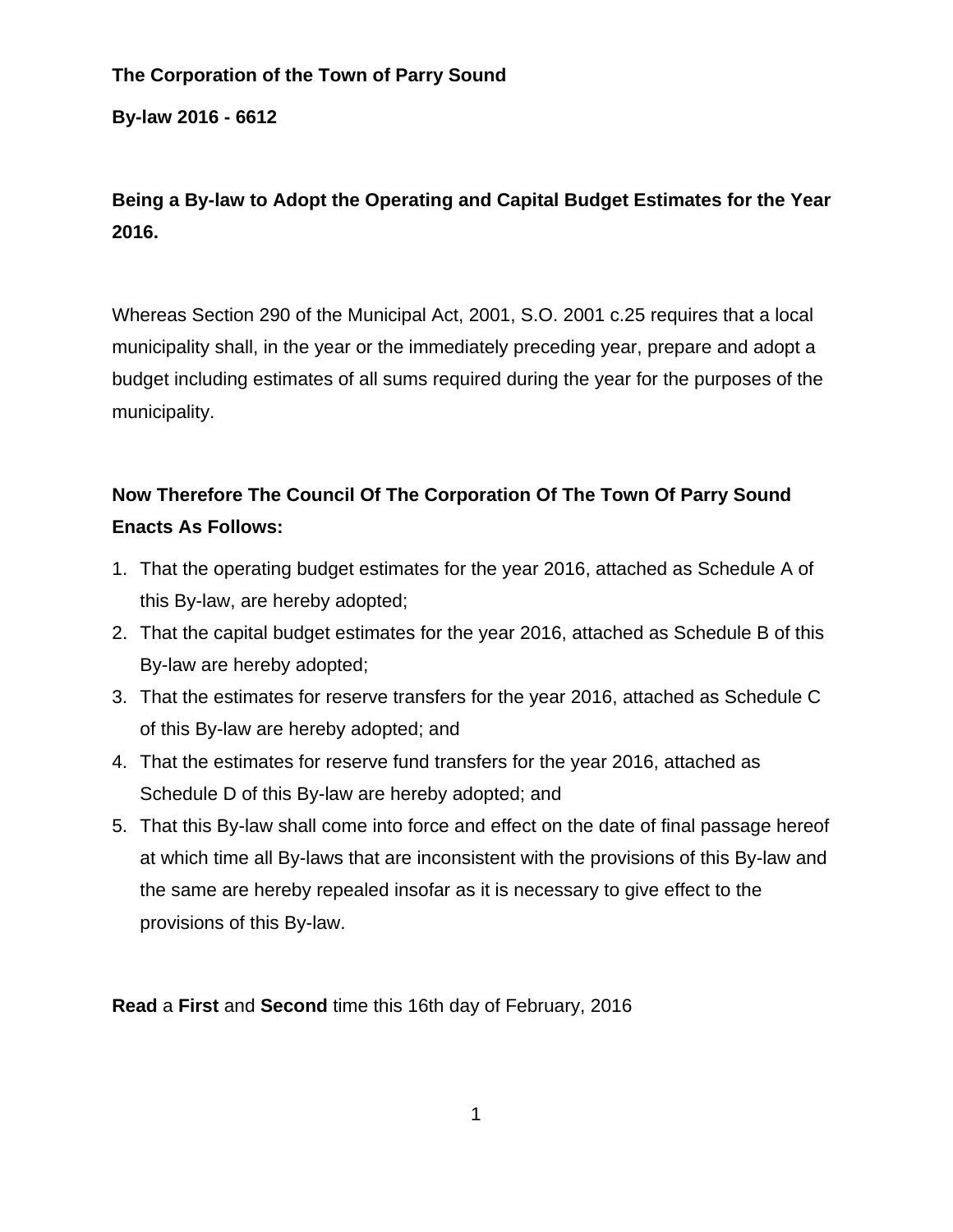# **The Corporation of the Town of Parry Sound**

**By-law 2016 - 6612** 

# **Being a By-law to Adopt the Operating and Capital Budget Estimates for the Year 2016.**

Whereas Section 290 of the Municipal Act, 2001, S.O. 2001 c.25 requires that a local municipality shall, in the year or the immediately preceding year, prepare and adopt a budget including estimates of all sums required during the year for the purposes of the municipality.

# **Now Therefore The Council Of The Corporation Of The Town Of Parry Sound Enacts As Follows:**

- 1. That the operating budget estimates for the year 2016, attached as Schedule A of this By-law, are hereby adopted;
- 2. That the capital budget estimates for the year 2016, attached as Schedule B of this By-law are hereby adopted;
- 3. That the estimates for reserve transfers for the year 2016, attached as Schedule C of this By-law are hereby adopted; and
- 4. That the estimates for reserve fund transfers for the year 2016, attached as Schedule D of this By-law are hereby adopted; and
- 5. That this By-law shall come into force and effect on the date of final passage hereof at which time all By-laws that are inconsistent with the provisions of this By-law and the same are hereby repealed insofar as it is necessary to give effect to the provisions of this By-law.

**Read** a **First** and **Second** time this 16th day of February, 2016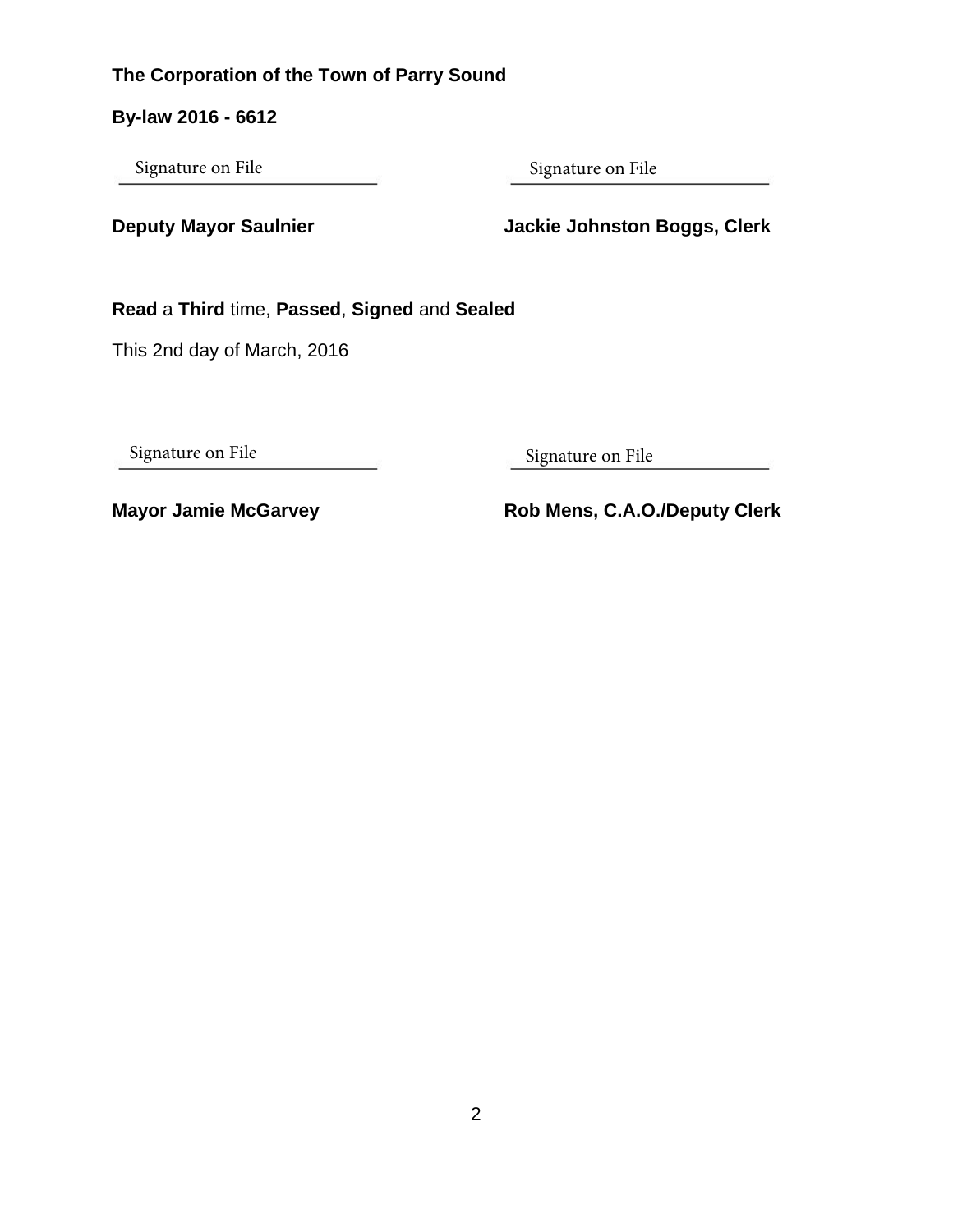# **The Corporation of the Town of Parry Sound**

**By-law 2016 - 6612** 

Signature on File Signature on File

**Deputy Mayor Saulnier Mayor Saulnier Access Manual Access Jackie Johnston Boggs, Clerk** 

**Read** a **Third** time, **Passed**, **Signed** and **Sealed**

This 2nd day of March, 2016

Signature on File Signature on File Signature on File

Mayor Jamie McGarvey **Rob Mens, C.A.O./Deputy Clerk**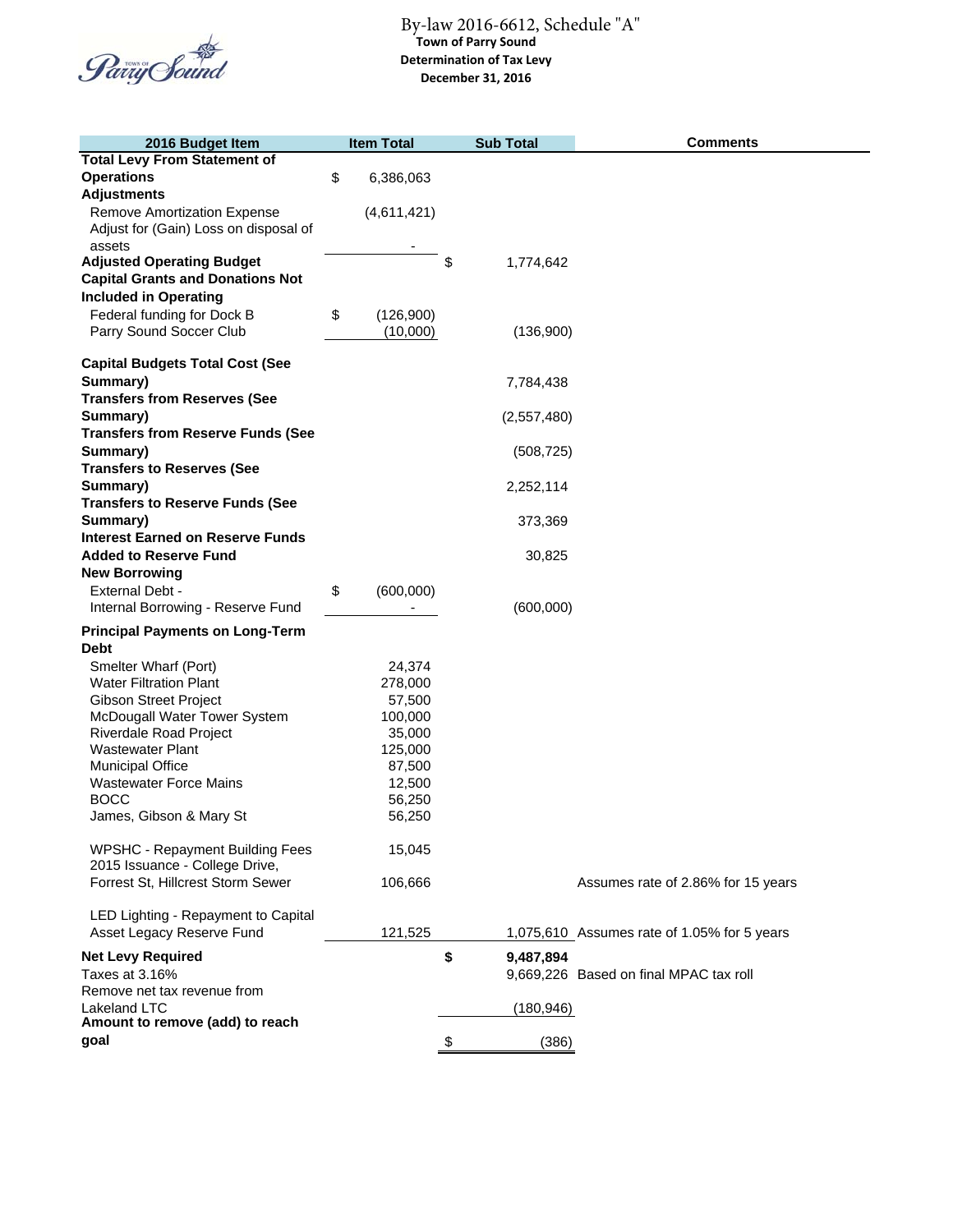

| 2016 Budget Item                         | <b>Item Total</b> | <b>Sub Total</b> | <b>Comments</b>                             |
|------------------------------------------|-------------------|------------------|---------------------------------------------|
| <b>Total Levy From Statement of</b>      |                   |                  |                                             |
| <b>Operations</b>                        | \$<br>6,386,063   |                  |                                             |
| <b>Adjustments</b>                       |                   |                  |                                             |
| Remove Amortization Expense              | (4,611,421)       |                  |                                             |
| Adjust for (Gain) Loss on disposal of    |                   |                  |                                             |
| assets                                   |                   |                  |                                             |
| <b>Adjusted Operating Budget</b>         |                   | \$<br>1,774,642  |                                             |
| <b>Capital Grants and Donations Not</b>  |                   |                  |                                             |
|                                          |                   |                  |                                             |
| <b>Included in Operating</b>             |                   |                  |                                             |
| Federal funding for Dock B               | \$<br>(126,900)   |                  |                                             |
| Parry Sound Soccer Club                  | (10,000)          | (136,900)        |                                             |
|                                          |                   |                  |                                             |
| <b>Capital Budgets Total Cost (See</b>   |                   |                  |                                             |
| Summary)                                 |                   | 7,784,438        |                                             |
| <b>Transfers from Reserves (See</b>      |                   |                  |                                             |
| Summary)                                 |                   | (2,557,480)      |                                             |
| <b>Transfers from Reserve Funds (See</b> |                   |                  |                                             |
| Summary)                                 |                   | (508, 725)       |                                             |
| <b>Transfers to Reserves (See</b>        |                   |                  |                                             |
| Summary)                                 |                   | 2,252,114        |                                             |
| <b>Transfers to Reserve Funds (See</b>   |                   |                  |                                             |
| Summary)                                 |                   | 373,369          |                                             |
| <b>Interest Earned on Reserve Funds</b>  |                   |                  |                                             |
|                                          |                   |                  |                                             |
| <b>Added to Reserve Fund</b>             |                   | 30,825           |                                             |
| <b>New Borrowing</b>                     |                   |                  |                                             |
| External Debt -                          | \$<br>(600,000)   |                  |                                             |
| Internal Borrowing - Reserve Fund        |                   | (600,000)        |                                             |
| <b>Principal Payments on Long-Term</b>   |                   |                  |                                             |
| <b>Debt</b>                              |                   |                  |                                             |
| Smelter Wharf (Port)                     | 24,374            |                  |                                             |
| <b>Water Filtration Plant</b>            | 278,000           |                  |                                             |
| <b>Gibson Street Project</b>             | 57,500            |                  |                                             |
| McDougall Water Tower System             | 100,000           |                  |                                             |
| Riverdale Road Project                   | 35,000            |                  |                                             |
| <b>Wastewater Plant</b>                  | 125,000           |                  |                                             |
| <b>Municipal Office</b>                  | 87,500            |                  |                                             |
| <b>Wastewater Force Mains</b>            | 12,500            |                  |                                             |
| <b>BOCC</b>                              | 56,250            |                  |                                             |
| James, Gibson & Mary St                  | 56,250            |                  |                                             |
|                                          |                   |                  |                                             |
| <b>WPSHC - Repayment Building Fees</b>   | 15,045            |                  |                                             |
| 2015 Issuance - College Drive,           |                   |                  |                                             |
| Forrest St, Hillcrest Storm Sewer        | 106,666           |                  | Assumes rate of 2.86% for 15 years          |
|                                          |                   |                  |                                             |
| LED Lighting - Repayment to Capital      |                   |                  |                                             |
| Asset Legacy Reserve Fund                | 121,525           |                  | 1,075,610 Assumes rate of 1.05% for 5 years |
|                                          |                   |                  |                                             |
| <b>Net Levy Required</b>                 |                   | \$<br>9,487,894  |                                             |
| Taxes at 3.16%                           |                   |                  | 9,669,226 Based on final MPAC tax roll      |
| Remove net tax revenue from              |                   |                  |                                             |
| Lakeland LTC                             |                   | (180, 946)       |                                             |
| Amount to remove (add) to reach          |                   |                  |                                             |
| goal                                     |                   | \$<br>(386)      |                                             |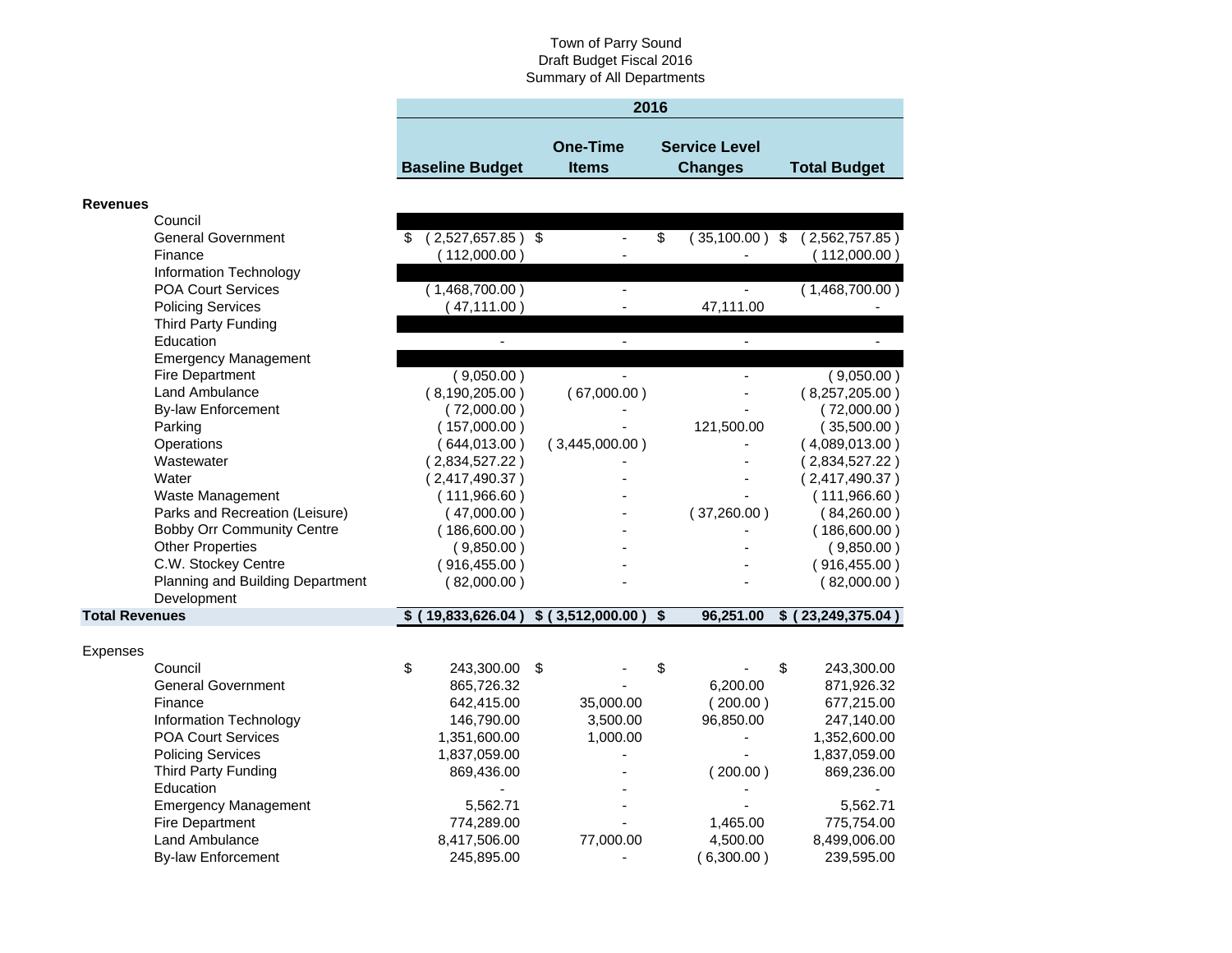| 2016                   |                 |                      |                     |  |  |  |
|------------------------|-----------------|----------------------|---------------------|--|--|--|
|                        |                 |                      |                     |  |  |  |
|                        | <b>One-Time</b> | <b>Service Level</b> |                     |  |  |  |
| <b>Baseline Budget</b> | <b>Items</b>    | <b>Changes</b>       | <b>Total Budget</b> |  |  |  |

#### **Revenues**

|                       | Council                           |                           |                                         |                        |                      |
|-----------------------|-----------------------------------|---------------------------|-----------------------------------------|------------------------|----------------------|
|                       | <b>General Government</b>         | \$<br>$(2,527,657.85)$ \$ |                                         | \$<br>$(35,100.00)$ \$ | (2,562,757.85)       |
|                       | Finance                           | (112,000.00)              |                                         |                        | (112,000.00)         |
|                       | Information Technology            |                           |                                         |                        |                      |
|                       | <b>POA Court Services</b>         | (1,468,700.00)            |                                         |                        | (1,468,700.00)       |
|                       | <b>Policing Services</b>          | (47, 111.00)              |                                         | 47,111.00              |                      |
|                       | Third Party Funding               |                           |                                         |                        |                      |
|                       | Education                         |                           |                                         |                        |                      |
|                       | <b>Emergency Management</b>       |                           |                                         |                        |                      |
|                       | <b>Fire Department</b>            | (9,050.00)                |                                         |                        | (9,050.00)           |
|                       | Land Ambulance                    | (8,190,205.00)            | (67,000.00)                             |                        | (8,257,205.00)       |
|                       | <b>By-law Enforcement</b>         | (72,000.00)               |                                         |                        | (72,000.00)          |
|                       | Parking                           | (157,000.00)              |                                         | 121,500.00             | (35,500.00)          |
|                       | Operations                        | (644,013.00)              | (3,445,000.00)                          |                        | (4,089,013.00)       |
|                       | Wastewater                        | (2,834,527.22)            |                                         |                        | 2,834,527.22)        |
|                       | Water                             | (2,417,490.37)            |                                         |                        | (2,417,490.37)       |
|                       | Waste Management                  | (111,966.60)              |                                         |                        | (111, 966.60)        |
|                       | Parks and Recreation (Leisure)    | (47,000.00)               |                                         | (37,260.00)            | (84,260.00)          |
|                       | <b>Bobby Orr Community Centre</b> | (186,600.00)              |                                         |                        | (186,600.00)         |
|                       | <b>Other Properties</b>           | (9,850.00)                |                                         |                        | (9,850.00)           |
|                       | C.W. Stockey Centre               | (916, 455.00)             |                                         |                        | (916, 455.00)        |
|                       | Planning and Building Department  | (82,000.00)               |                                         |                        | (82,000.00)          |
|                       | Development                       |                           |                                         |                        |                      |
| <b>Total Revenues</b> |                                   |                           | \$ (19,833,626.04) \$ (3,512,000.00) \$ | 96,251.00              | \$ (23, 249, 375.04) |
|                       |                                   |                           |                                         |                        |                      |
| <b>Expenses</b>       |                                   |                           |                                         |                        |                      |
|                       | Council                           | \$<br>243,300.00          | \$                                      | \$                     | \$<br>243,300.00     |
|                       | <b>General Government</b>         | 865,726.32                |                                         | 6,200.00               | 871,926.32           |
|                       | Finance                           | 642,415.00                | 35,000.00                               | (200.00)               | 677,215.00           |
|                       | Information Technology            | 146,790.00                | 3,500.00                                | 96,850.00              | 247,140.00           |
|                       | POA Court Services                | 1,351,600.00              | 1,000.00                                |                        | 1,352,600.00         |
|                       | <b>Policing Services</b>          | 1,837,059.00              |                                         |                        | 1,837,059.00         |
|                       | Third Party Funding               | 869,436.00                |                                         | (200.00)               | 869,236.00           |
|                       | Education                         |                           |                                         |                        |                      |
|                       | <b>Emergency Management</b>       | 5,562.71                  |                                         |                        | 5,562.71             |
|                       | Fire Department                   | 774,289.00                |                                         | 1,465.00               | 775,754.00           |
|                       | Land Ambulance                    | 8,417,506.00              | 77,000.00                               | 4,500.00               | 8,499,006.00         |
|                       | <b>By-law Enforcement</b>         | 245,895.00                |                                         | 6,300.00)              | 239,595.00           |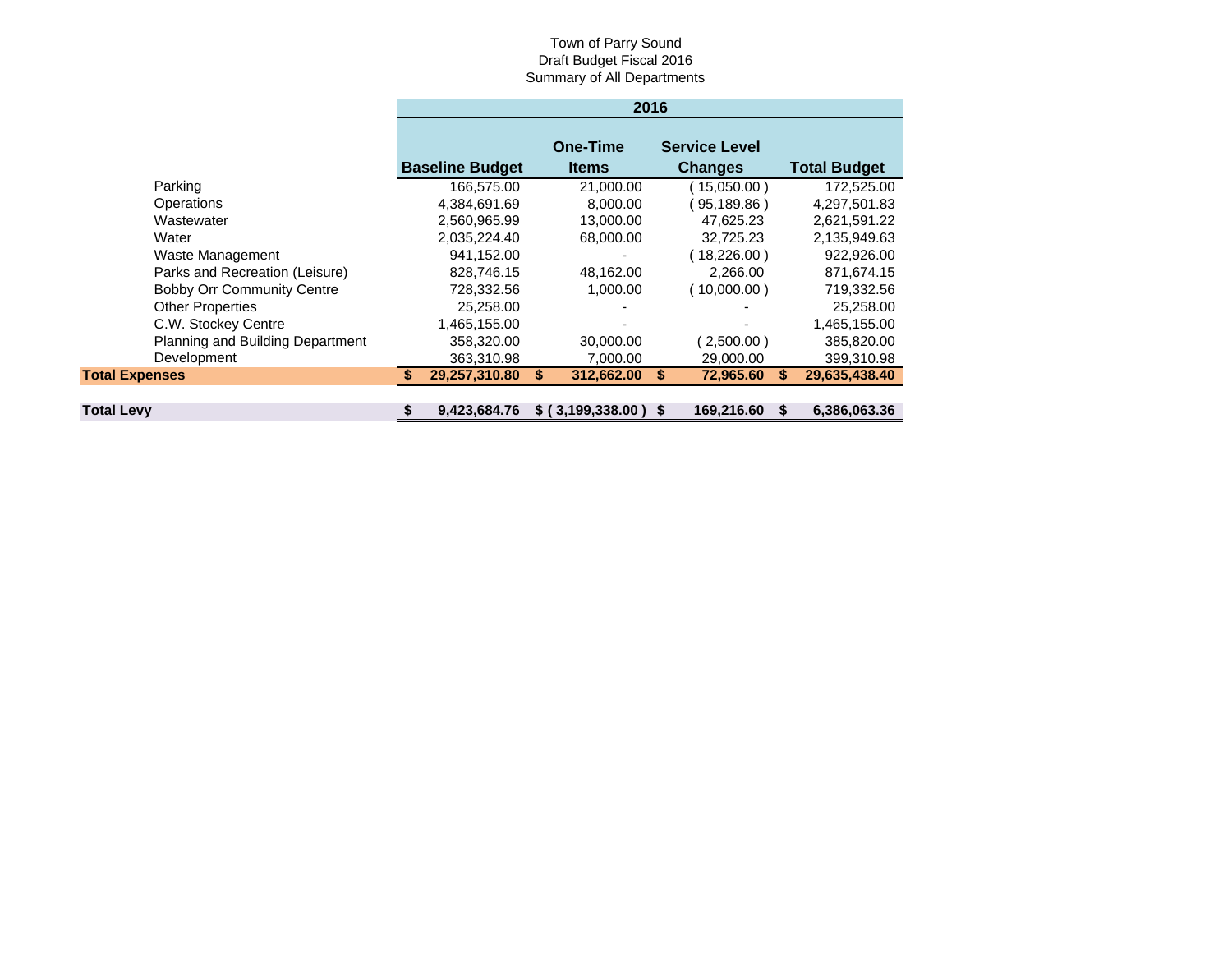|                                   | 2016                   |                                 |                                        |                               |  |  |  |  |
|-----------------------------------|------------------------|---------------------------------|----------------------------------------|-------------------------------|--|--|--|--|
|                                   | <b>Baseline Budget</b> | <b>One-Time</b><br><b>Items</b> | <b>Service Level</b><br><b>Changes</b> | <b>Total Budget</b>           |  |  |  |  |
| Parking                           | 166,575.00             | 21,000.00                       | 15,050.00)                             | 172,525.00                    |  |  |  |  |
| Operations                        | 4,384,691.69           | 8,000.00                        | 95,189.86)                             | 4,297,501.83                  |  |  |  |  |
| Wastewater                        | 2,560,965.99           | 13,000.00                       | 47,625.23                              | 2,621,591.22                  |  |  |  |  |
| Water                             | 2,035,224.40           | 68,000.00                       | 32,725.23                              | 2,135,949.63                  |  |  |  |  |
| Waste Management                  | 941,152.00             |                                 | 18,226.00)                             | 922,926.00                    |  |  |  |  |
| Parks and Recreation (Leisure)    | 828,746.15             | 48,162.00                       | 2,266.00                               | 871,674.15                    |  |  |  |  |
| <b>Bobby Orr Community Centre</b> | 728,332.56             | 1,000.00                        | (10,000.00)                            | 719,332.56                    |  |  |  |  |
| <b>Other Properties</b>           | 25,258.00              |                                 |                                        | 25,258.00                     |  |  |  |  |
| C.W. Stockey Centre               | 1,465,155.00           |                                 |                                        | 1,465,155.00                  |  |  |  |  |
| Planning and Building Department  | 358,320.00             | 30,000.00                       | $2,500.00$ )                           | 385,820.00                    |  |  |  |  |
| Development                       | 363,310.98             | 7.000.00                        | 29,000,00                              | 399,310.98                    |  |  |  |  |
| <b>Total Expenses</b>             | 29,257,310.80          | 312,662.00<br>S                 | 72,965.60                              | 29,635,438.40                 |  |  |  |  |
|                                   |                        |                                 |                                        |                               |  |  |  |  |
| <b>Total Levy</b>                 | 9.423.684.76<br>\$     | \$ (3,199,338.00)               | 169,216.60<br>- \$                     | 6,386,063.36<br><sup>\$</sup> |  |  |  |  |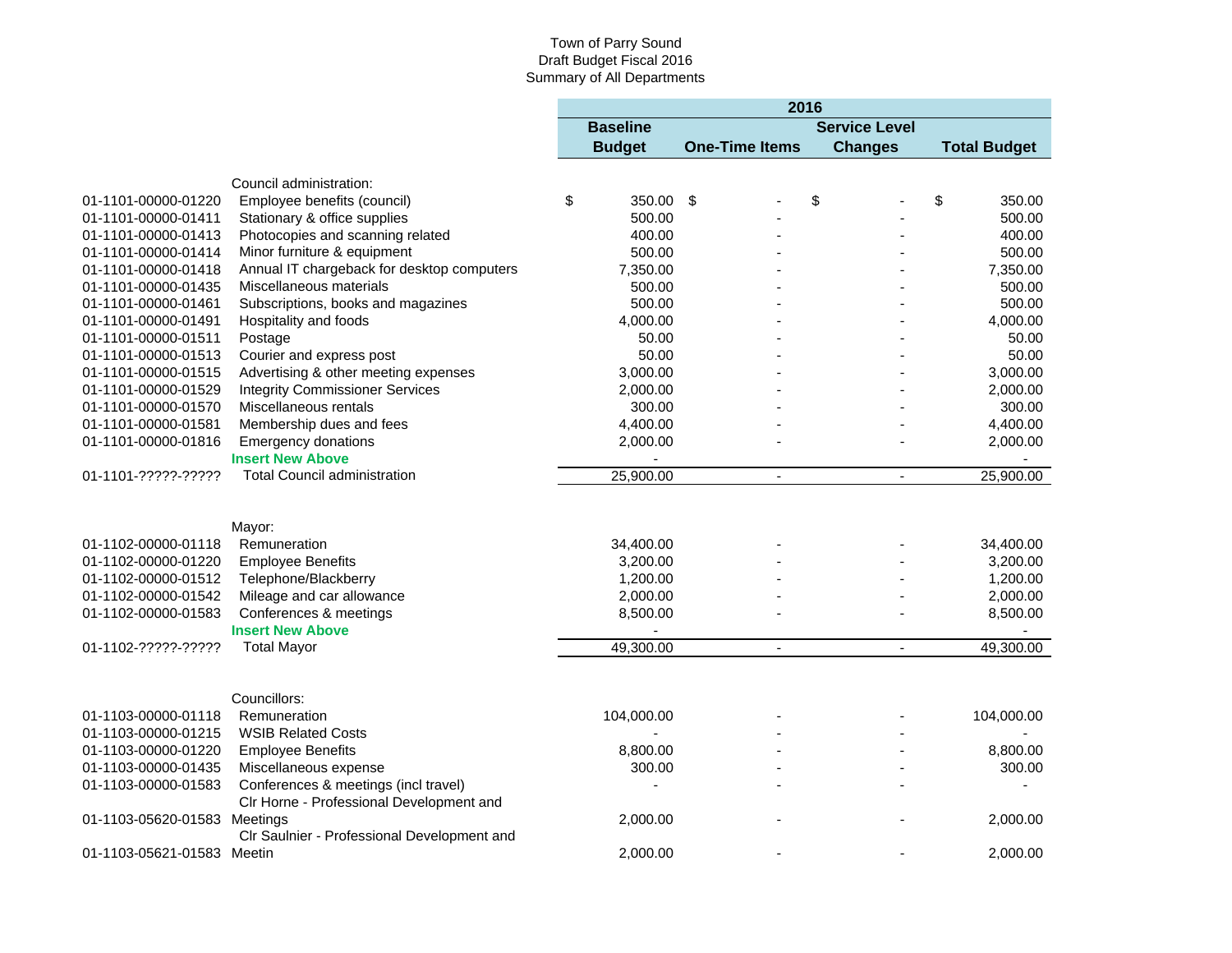|                              |                                             | 2016 |                 |                       |    |                      |                     |
|------------------------------|---------------------------------------------|------|-----------------|-----------------------|----|----------------------|---------------------|
|                              |                                             |      | <b>Baseline</b> |                       |    | <b>Service Level</b> |                     |
|                              |                                             |      | <b>Budget</b>   | <b>One-Time Items</b> |    | <b>Changes</b>       | <b>Total Budget</b> |
|                              | Council administration:                     |      |                 |                       |    |                      |                     |
| 01-1101-00000-01220          | Employee benefits (council)                 | \$   | 350.00          | -\$                   | \$ |                      | \$<br>350.00        |
| 01-1101-00000-01411          | Stationary & office supplies                |      | 500.00          |                       |    |                      | 500.00              |
| 01-1101-00000-01413          | Photocopies and scanning related            |      | 400.00          |                       |    |                      | 400.00              |
| 01-1101-00000-01414          | Minor furniture & equipment                 |      | 500.00          |                       |    |                      | 500.00              |
| 01-1101-00000-01418          | Annual IT chargeback for desktop computers  |      | 7,350.00        |                       |    |                      | 7,350.00            |
| 01-1101-00000-01435          | Miscellaneous materials                     |      | 500.00          |                       |    |                      | 500.00              |
| 01-1101-00000-01461          | Subscriptions, books and magazines          |      | 500.00          |                       |    |                      | 500.00              |
| 01-1101-00000-01491          | Hospitality and foods                       |      | 4,000.00        |                       |    |                      | 4,000.00            |
| 01-1101-00000-01511          | Postage                                     |      | 50.00           |                       |    |                      | 50.00               |
| 01-1101-00000-01513          | Courier and express post                    |      | 50.00           |                       |    |                      | 50.00               |
| 01-1101-00000-01515          | Advertising & other meeting expenses        |      | 3,000.00        |                       |    |                      | 3,000.00            |
| 01-1101-00000-01529          | <b>Integrity Commissioner Services</b>      |      | 2,000.00        |                       |    |                      | 2,000.00            |
| 01-1101-00000-01570          | Miscellaneous rentals                       |      | 300.00          |                       |    |                      | 300.00              |
| 01-1101-00000-01581          | Membership dues and fees                    |      | 4,400.00        |                       |    |                      | 4,400.00            |
| 01-1101-00000-01816          | <b>Emergency donations</b>                  |      | 2,000.00        |                       |    |                      | 2,000.00            |
|                              | <b>Insert New Above</b>                     |      |                 |                       |    |                      |                     |
| 01-1101-?????-?????          | <b>Total Council administration</b>         |      | 25,900.00       | $\overline{a}$        |    | $\overline{a}$       | 25,900.00           |
|                              | Mayor:                                      |      |                 |                       |    |                      |                     |
| 01-1102-00000-01118          | Remuneration                                |      | 34,400.00       |                       |    |                      | 34,400.00           |
| 01-1102-00000-01220          | <b>Employee Benefits</b>                    |      | 3,200.00        |                       |    |                      | 3,200.00            |
| 01-1102-00000-01512          | Telephone/Blackberry                        |      | 1,200.00        |                       |    |                      | 1,200.00            |
| 01-1102-00000-01542          | Mileage and car allowance                   |      | 2,000.00        |                       |    |                      | 2,000.00            |
| 01-1102-00000-01583          | Conferences & meetings                      |      | 8,500.00        |                       |    |                      | 8,500.00            |
|                              | <b>Insert New Above</b>                     |      |                 |                       |    |                      |                     |
| 01-1102-?????-?????          | <b>Total Mayor</b>                          |      | 49,300.00       | $\blacksquare$        |    | $\blacksquare$       | 49,300.00           |
|                              | Councillors:                                |      |                 |                       |    |                      |                     |
| 01-1103-00000-01118          | Remuneration                                |      | 104,000.00      |                       |    |                      | 104,000.00          |
| 01-1103-00000-01215          | <b>WSIB Related Costs</b>                   |      |                 |                       |    |                      |                     |
| 01-1103-00000-01220          | <b>Employee Benefits</b>                    |      | 8,800.00        |                       |    |                      | 8,800.00            |
| 01-1103-00000-01435          | Miscellaneous expense                       |      | 300.00          |                       |    |                      | 300.00              |
| 01-1103-00000-01583          | Conferences & meetings (incl travel)        |      |                 |                       |    |                      |                     |
|                              | CIr Horne - Professional Development and    |      |                 |                       |    |                      |                     |
| 01-1103-05620-01583 Meetings |                                             |      | 2,000.00        |                       |    |                      | 2,000.00            |
|                              | CIr Saulnier - Professional Development and |      |                 |                       |    |                      |                     |
| 01-1103-05621-01583 Meetin   |                                             |      | 2,000.00        |                       |    |                      | 2,000.00            |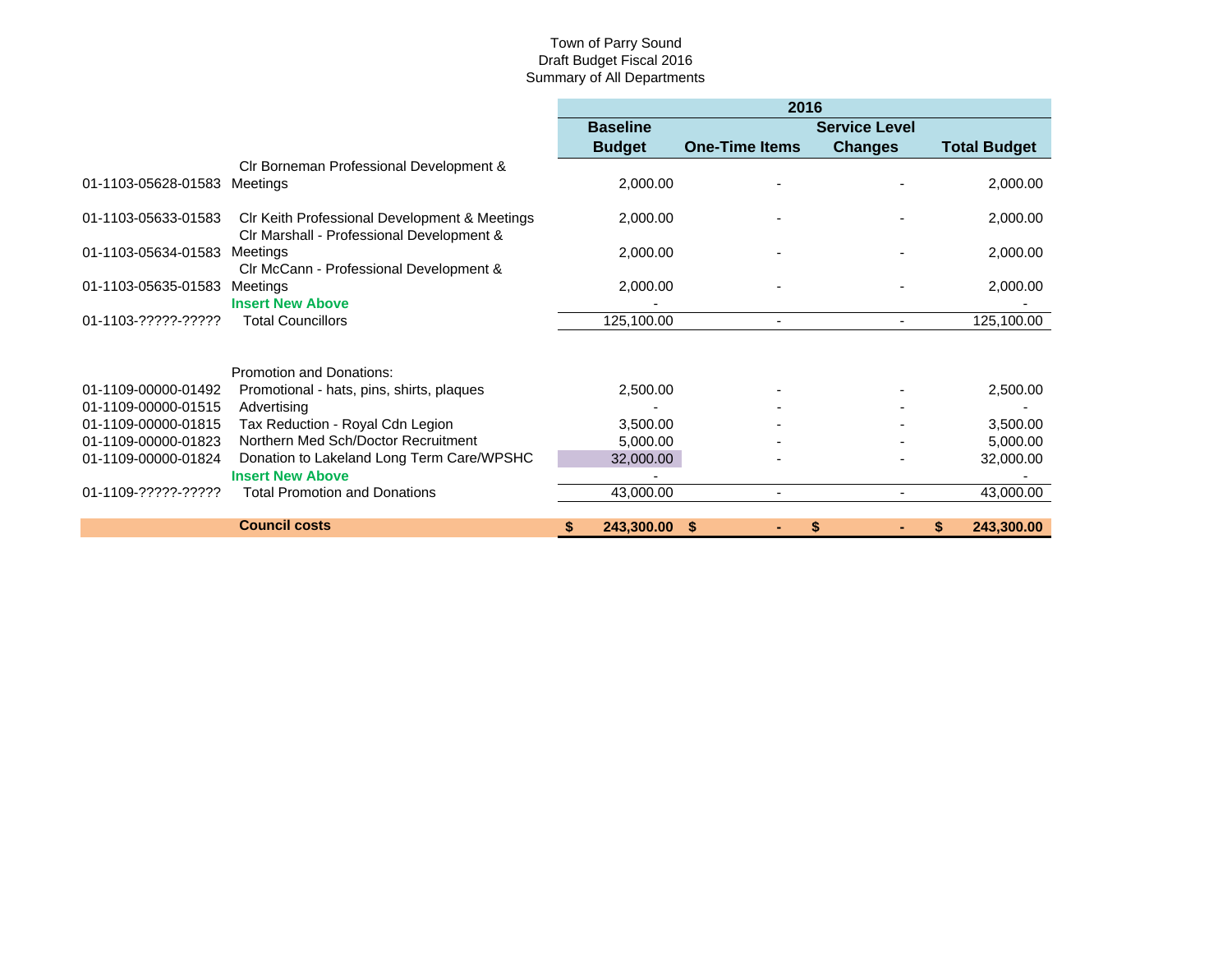|                     |                                                                                            | 2016                 |                       |                      |                     |
|---------------------|--------------------------------------------------------------------------------------------|----------------------|-----------------------|----------------------|---------------------|
|                     |                                                                                            | <b>Baseline</b>      |                       | <b>Service Level</b> |                     |
|                     |                                                                                            | <b>Budget</b>        | <b>One-Time Items</b> | <b>Changes</b>       | <b>Total Budget</b> |
|                     | CIr Borneman Professional Development &                                                    |                      |                       |                      |                     |
| 01-1103-05628-01583 | Meetings                                                                                   | 2,000.00             |                       |                      | 2,000.00            |
| 01-1103-05633-01583 | CIr Keith Professional Development & Meetings<br>CIr Marshall - Professional Development & | 2,000.00             |                       |                      | 2,000.00            |
| 01-1103-05634-01583 | <b>Meetings</b><br>CIr McCann - Professional Development &                                 | 2,000.00             |                       |                      | 2,000.00            |
| 01-1103-05635-01583 | Meetings<br><b>Insert New Above</b>                                                        | 2,000.00             |                       |                      | 2,000.00            |
| 01-1103-?????-????? | <b>Total Councillors</b>                                                                   | 125,100.00           |                       |                      | 125,100.00          |
|                     | Promotion and Donations:                                                                   |                      |                       |                      |                     |
| 01-1109-00000-01492 | Promotional - hats, pins, shirts, plaques                                                  | 2,500.00             |                       |                      | 2,500.00            |
| 01-1109-00000-01515 | Advertising                                                                                |                      |                       |                      |                     |
| 01-1109-00000-01815 | Tax Reduction - Royal Cdn Legion                                                           | 3,500.00             |                       |                      | 3,500.00            |
| 01-1109-00000-01823 | Northern Med Sch/Doctor Recruitment                                                        | 5,000.00             |                       |                      | 5,000.00            |
| 01-1109-00000-01824 | Donation to Lakeland Long Term Care/WPSHC                                                  | 32,000.00            |                       |                      | 32,000.00           |
|                     | <b>Insert New Above</b>                                                                    |                      |                       |                      |                     |
| 01-1109-?????-????? | <b>Total Promotion and Donations</b>                                                       | 43,000.00            | ٠                     |                      | 43,000.00           |
|                     | <b>Council costs</b>                                                                       | 243,300.00 \$<br>\$. | ٠                     | \$                   | 243,300.00<br>S.    |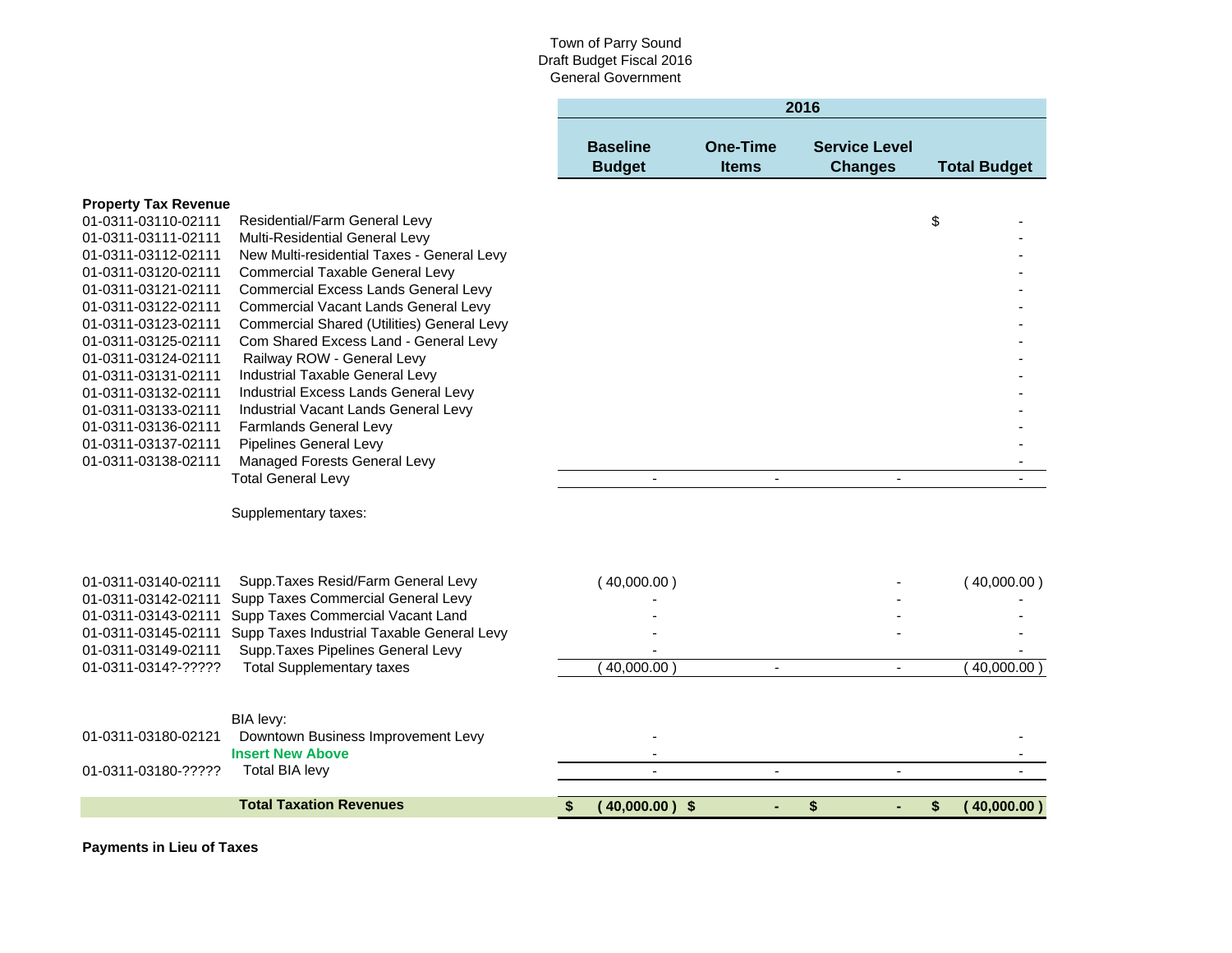| 2016            |              |                      |                     |  |  |  |  |  |
|-----------------|--------------|----------------------|---------------------|--|--|--|--|--|
|                 |              |                      |                     |  |  |  |  |  |
| <b>Baseline</b> | One-Time     | <b>Service Level</b> |                     |  |  |  |  |  |
| <b>Budget</b>   | <b>Items</b> | <b>Changes</b>       | <b>Total Budget</b> |  |  |  |  |  |

|                                            | <b>Total Taxation Revenues</b>                                               | $(40,000.00)$ \$<br>\$ | \$             | \$                       | (40,000.00) |
|--------------------------------------------|------------------------------------------------------------------------------|------------------------|----------------|--------------------------|-------------|
| 01-0311-03180-?????                        | <b>Total BIA levy</b>                                                        |                        |                | $\overline{\phantom{m}}$ |             |
|                                            | <b>Insert New Above</b>                                                      |                        |                |                          |             |
| 01-0311-03180-02121                        | Downtown Business Improvement Levy                                           |                        |                |                          |             |
|                                            | BIA levy:                                                                    |                        |                |                          |             |
|                                            |                                                                              |                        |                |                          |             |
| 01-0311-0314?-?????                        | <b>Total Supplementary taxes</b>                                             | 40,000.00              | $\blacksquare$ | $\blacksquare$           | 40,000.00   |
| 01-0311-03149-02111                        | Supp. Taxes Pipelines General Levy                                           |                        |                |                          |             |
| 01-0311-03145-02111                        | Supp Taxes Industrial Taxable General Levy                                   |                        |                |                          |             |
| 01-0311-03143-02111                        | Supp Taxes Commercial Vacant Land                                            |                        |                |                          |             |
| 01-0311-03142-02111                        | Supp Taxes Commercial General Levy                                           |                        |                |                          |             |
| 01-0311-03140-02111                        | Supp. Taxes Resid/Farm General Levy                                          | (40,000.00)            |                |                          | (40,000.00) |
|                                            |                                                                              |                        |                |                          |             |
|                                            | Supplementary taxes:                                                         |                        |                |                          |             |
|                                            | <b>Total General Levy</b>                                                    |                        |                |                          |             |
| 01-0311-03138-02111                        | Managed Forests General Levy                                                 |                        |                |                          |             |
| 01-0311-03137-02111                        | Pipelines General Levy                                                       |                        |                |                          |             |
| 01-0311-03136-02111                        | Farmlands General Levy                                                       |                        |                |                          |             |
| 01-0311-03133-02111                        | Industrial Vacant Lands General Levy                                         |                        |                |                          |             |
| 01-0311-03132-02111                        | Industrial Excess Lands General Levy                                         |                        |                |                          |             |
| 01-0311-03131-02111                        | Industrial Taxable General Levy                                              |                        |                |                          |             |
| 01-0311-03124-02111                        | Railway ROW - General Levy                                                   |                        |                |                          |             |
| 01-0311-03125-02111                        | Com Shared Excess Land - General Levy                                        |                        |                |                          |             |
| 01-0311-03123-02111                        | Commercial Shared (Utilities) General Levy                                   |                        |                |                          |             |
| 01-0311-03122-02111                        | <b>Commercial Vacant Lands General Levy</b>                                  |                        |                |                          |             |
| 01-0311-03121-02111                        | Commercial Excess Lands General Levy                                         |                        |                |                          |             |
| 01-0311-03120-02111                        | <b>Commercial Taxable General Levy</b>                                       |                        |                |                          |             |
| 01-0311-03111-02111<br>01-0311-03112-02111 | Multi-Residential General Levy<br>New Multi-residential Taxes - General Levy |                        |                |                          |             |
| 01-0311-03110-02111                        | Residential/Farm General Levy                                                |                        |                | \$                       |             |
|                                            |                                                                              |                        |                |                          |             |

**Payments in Lieu of Taxes**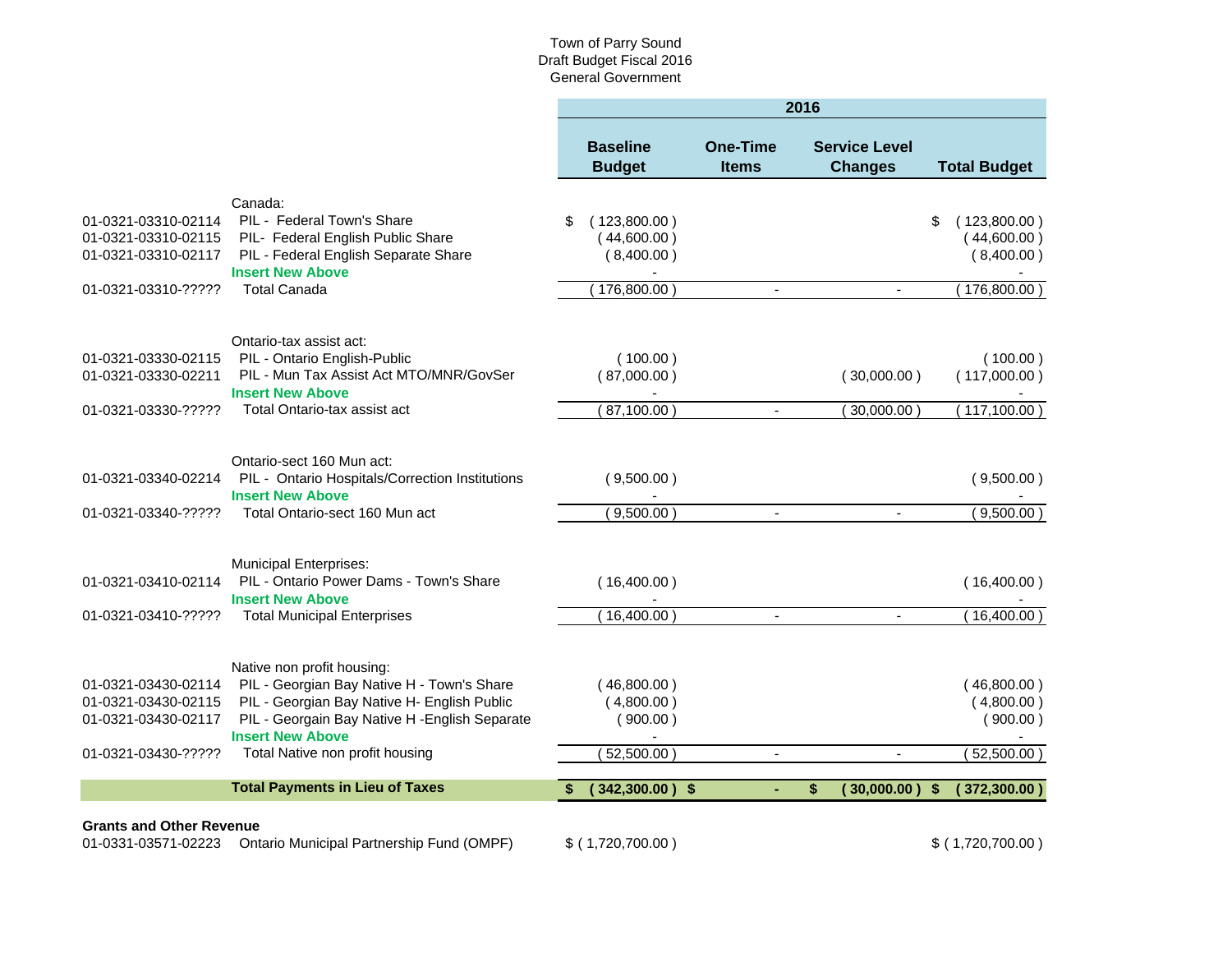|                                                                   |                                                                                                                                    | 2016 |                                           |                                 |                          |                                        |    |                                           |
|-------------------------------------------------------------------|------------------------------------------------------------------------------------------------------------------------------------|------|-------------------------------------------|---------------------------------|--------------------------|----------------------------------------|----|-------------------------------------------|
|                                                                   |                                                                                                                                    |      | <b>Baseline</b><br><b>Budget</b>          | <b>One-Time</b><br><b>Items</b> |                          | <b>Service Level</b><br><b>Changes</b> |    | <b>Total Budget</b>                       |
|                                                                   | Canada:                                                                                                                            |      |                                           |                                 |                          |                                        |    |                                           |
| 01-0321-03310-02114<br>01-0321-03310-02115<br>01-0321-03310-02117 | PIL - Federal Town's Share<br>PIL- Federal English Public Share<br>PIL - Federal English Separate Share<br><b>Insert New Above</b> | \$   | (123,800.00)<br>(44,600.00)<br>(8,400.00) |                                 |                          |                                        | \$ | (123,800.00)<br>(44,600.00)<br>(8,400.00) |
| 01-0321-03310-?????                                               | <b>Total Canada</b>                                                                                                                |      | 176,800.00                                |                                 | $\overline{\phantom{a}}$ |                                        |    | $176,800.00$ )                            |
|                                                                   | Ontario-tax assist act:                                                                                                            |      |                                           |                                 |                          |                                        |    |                                           |
| 01-0321-03330-02115<br>01-0321-03330-02211                        | PIL - Ontario English-Public<br>PIL - Mun Tax Assist Act MTO/MNR/GovSer<br><b>Insert New Above</b>                                 |      | (100.00)<br>(87,000.00)                   |                                 |                          | (30,000.00)                            |    | (100.00)<br>(117,000.00)                  |
| 01-0321-03330-?????                                               | Total Ontario-tax assist act                                                                                                       |      | 87,100.00                                 |                                 |                          | 30,000.00                              |    | $117,100.00$ )                            |
|                                                                   | Ontario-sect 160 Mun act:                                                                                                          |      |                                           |                                 |                          |                                        |    |                                           |
| 01-0321-03340-02214                                               | PIL - Ontario Hospitals/Correction Institutions<br><b>Insert New Above</b>                                                         |      | (9,500.00)                                |                                 |                          |                                        |    | (9,500.00)                                |
| 01-0321-03340-?????                                               | Total Ontario-sect 160 Mun act                                                                                                     |      | (9,500.00)                                |                                 | $\blacksquare$           | $\mathbf{r}$                           |    | (9,500.00)                                |
|                                                                   | <b>Municipal Enterprises:</b>                                                                                                      |      |                                           |                                 |                          |                                        |    |                                           |
| 01-0321-03410-02114                                               | PIL - Ontario Power Dams - Town's Share<br><b>Insert New Above</b>                                                                 |      | (16,400.00)                               |                                 |                          |                                        |    | (16,400.00)                               |
| 01-0321-03410-?????                                               | <b>Total Municipal Enterprises</b>                                                                                                 |      | 16,400.00                                 |                                 | $\blacksquare$           | $\blacksquare$                         |    | (16,400.00)                               |
|                                                                   | Native non profit housing:                                                                                                         |      |                                           |                                 |                          |                                        |    |                                           |
| 01-0321-03430-02114                                               | PIL - Georgian Bay Native H - Town's Share                                                                                         |      | (46,800.00)                               |                                 |                          |                                        |    | (46,800.00)                               |
| 01-0321-03430-02115                                               | PIL - Georgian Bay Native H- English Public                                                                                        |      | (4,800.00)                                |                                 |                          |                                        |    | (4,800.00)                                |
| 01-0321-03430-02117                                               | PIL - Georgain Bay Native H - English Separate<br><b>Insert New Above</b>                                                          |      | (900.00)                                  |                                 |                          |                                        |    | (900.00)                                  |
| 01-0321-03430-?????                                               | Total Native non profit housing                                                                                                    |      | 52,500.00)                                |                                 | $\blacksquare$           | $\sim$                                 |    | 52,500.00)                                |
|                                                                   | <b>Total Payments in Lieu of Taxes</b>                                                                                             |      | $(342,300.00)$ \$                         |                                 | \$                       | (30,000,00)                            | S. | (372,300.00)                              |
| <b>Grants and Other Revenue</b>                                   |                                                                                                                                    |      |                                           |                                 |                          |                                        |    |                                           |
| 01-0331-03571-02223                                               | Ontario Municipal Partnership Fund (OMPF)                                                                                          |      | $$$ (1,720,700.00)                        |                                 |                          |                                        |    | $$$ (1,720,700.00)                        |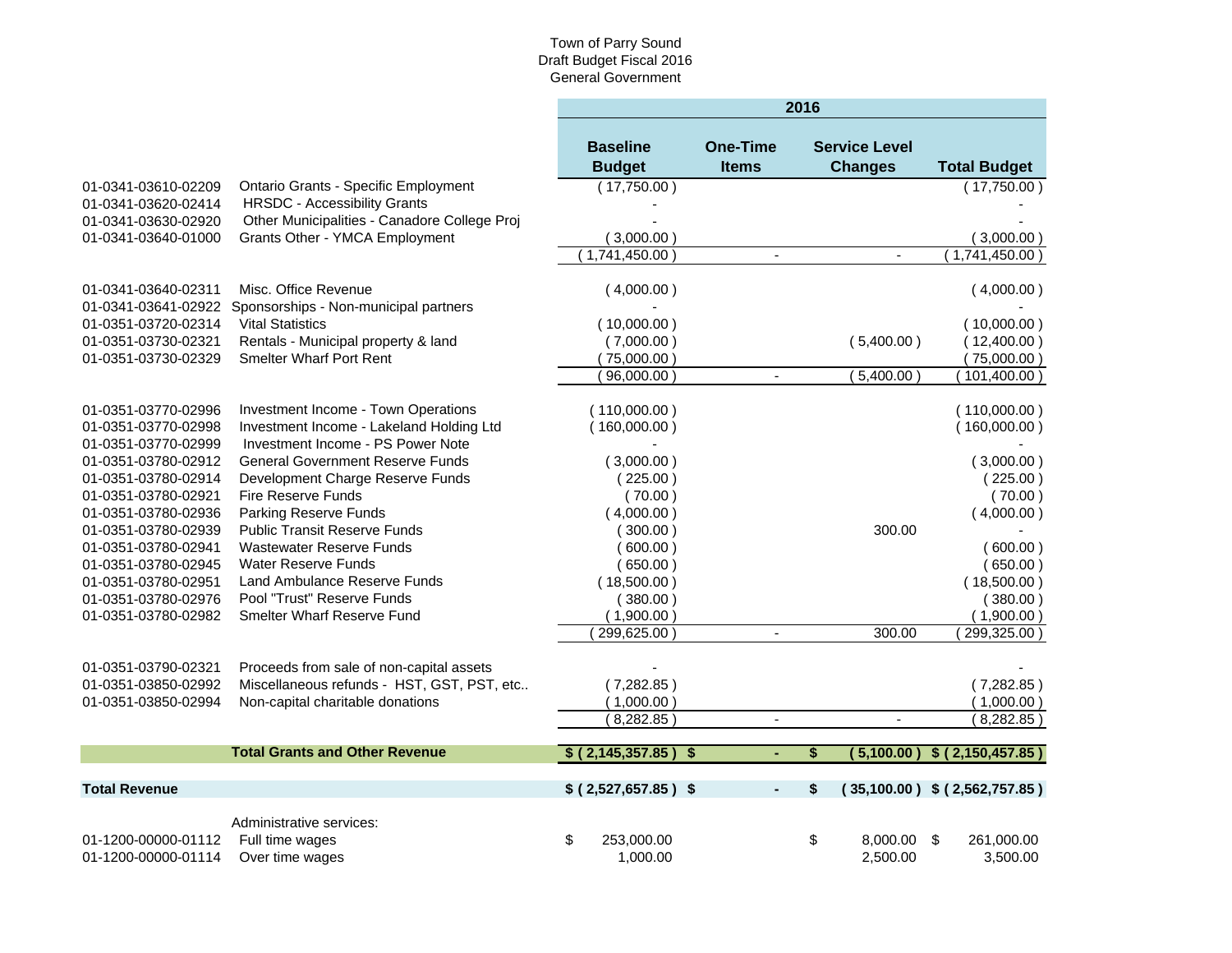|                                            |                                                                  | 2016                      |                 |                      |                                   |  |
|--------------------------------------------|------------------------------------------------------------------|---------------------------|-----------------|----------------------|-----------------------------------|--|
|                                            |                                                                  | <b>Baseline</b>           | <b>One-Time</b> | <b>Service Level</b> |                                   |  |
|                                            |                                                                  | <b>Budget</b>             | <b>Items</b>    | <b>Changes</b>       | <b>Total Budget</b>               |  |
| 01-0341-03610-02209                        | <b>Ontario Grants - Specific Employment</b>                      | (17,750.00)               |                 |                      | (17,750.00)                       |  |
| 01-0341-03620-02414                        | <b>HRSDC - Accessibility Grants</b>                              |                           |                 |                      |                                   |  |
| 01-0341-03630-02920                        | Other Municipalities - Canadore College Proj                     |                           |                 |                      |                                   |  |
| 01-0341-03640-01000                        | Grants Other - YMCA Employment                                   | (3,000.00)                |                 |                      | (3,000.00)                        |  |
|                                            |                                                                  | (1,741,450.00)            |                 | $\blacksquare$       | (1,741,450.00)                    |  |
|                                            |                                                                  |                           |                 |                      |                                   |  |
| 01-0341-03640-02311                        | Misc. Office Revenue                                             | (4,000.00)                |                 |                      | (4,000.00)                        |  |
| 01-0341-03641-02922<br>01-0351-03720-02314 | Sponsorships - Non-municipal partners<br><b>Vital Statistics</b> |                           |                 |                      |                                   |  |
| 01-0351-03730-02321                        | Rentals - Municipal property & land                              | (10,000.00)<br>(7,000.00) |                 | (5,400.00)           | (10,000.00)<br>(12,400.00)        |  |
| 01-0351-03730-02329                        | <b>Smelter Wharf Port Rent</b>                                   |                           |                 |                      |                                   |  |
|                                            |                                                                  | (75,000.00)<br>96,000.00  | $\blacksquare$  | (5,400.00)           | 75,000.00)<br>$101,400.00$ )      |  |
|                                            |                                                                  |                           |                 |                      |                                   |  |
| 01-0351-03770-02996                        | Investment Income - Town Operations                              | (110,000.00)              |                 |                      | (110,000.00)                      |  |
| 01-0351-03770-02998                        | Investment Income - Lakeland Holding Ltd                         | (160,000.00)              |                 |                      | (160,000.00)                      |  |
| 01-0351-03770-02999                        | Investment Income - PS Power Note                                |                           |                 |                      |                                   |  |
| 01-0351-03780-02912                        | <b>General Government Reserve Funds</b>                          | (3,000.00)                |                 |                      | (3,000.00)                        |  |
| 01-0351-03780-02914                        | Development Charge Reserve Funds                                 | (225.00)                  |                 |                      | (225.00)                          |  |
| 01-0351-03780-02921                        | Fire Reserve Funds                                               | (70.00)                   |                 |                      | (70.00)                           |  |
| 01-0351-03780-02936                        | <b>Parking Reserve Funds</b>                                     | (4,000.00)                |                 |                      | (4,000.00)                        |  |
| 01-0351-03780-02939                        | <b>Public Transit Reserve Funds</b>                              | (300.00)                  |                 | 300.00               |                                   |  |
| 01-0351-03780-02941                        | <b>Wastewater Reserve Funds</b>                                  | 600.00)                   |                 |                      | (600.00)                          |  |
| 01-0351-03780-02945                        | <b>Water Reserve Funds</b>                                       | (650.00)                  |                 |                      | (650.00)                          |  |
| 01-0351-03780-02951                        | Land Ambulance Reserve Funds                                     | (18,500.00)               |                 |                      | (18,500.00)                       |  |
| 01-0351-03780-02976                        | Pool "Trust" Reserve Funds                                       | (380.00)                  |                 |                      | (380.00)                          |  |
| 01-0351-03780-02982                        | <b>Smelter Wharf Reserve Fund</b>                                | (1,900.00)                |                 |                      | (1,900.00)                        |  |
|                                            |                                                                  | 299,625.00                | $\blacksquare$  | 300.00               | 299,325.00)                       |  |
|                                            |                                                                  |                           |                 |                      |                                   |  |
| 01-0351-03790-02321                        | Proceeds from sale of non-capital assets                         |                           |                 |                      |                                   |  |
| 01-0351-03850-02992                        | Miscellaneous refunds - HST, GST, PST, etc                       | (7,282.85)                |                 |                      | (7, 282.85)                       |  |
| 01-0351-03850-02994                        | Non-capital charitable donations                                 | (1,000.00)                |                 |                      | (1,000.00)                        |  |
|                                            |                                                                  | (8, 282.85)               | $\mathbf{r}$    | $\sim$               | (8, 282.85)                       |  |
|                                            | <b>Total Grants and Other Revenue</b>                            | \$(2, 145, 357.85)<br>-\$ |                 | \$<br>(5.100.00)     | \$(2,150,457.85)                  |  |
| <b>Total Revenue</b>                       |                                                                  |                           |                 |                      |                                   |  |
|                                            |                                                                  | $$$ (2,527,657.85) \$     | ٠               | \$                   | $(35,100.00)$ \$ $(2,562,757.85)$ |  |
|                                            | Administrative services:                                         |                           |                 |                      |                                   |  |
| 01-1200-00000-01112                        | Full time wages                                                  | \$<br>253,000.00          |                 | \$<br>8,000.00 \$    | 261,000.00                        |  |
| 01-1200-00000-01114                        | Over time wages                                                  | 1,000.00                  |                 | 2,500.00             | 3,500.00                          |  |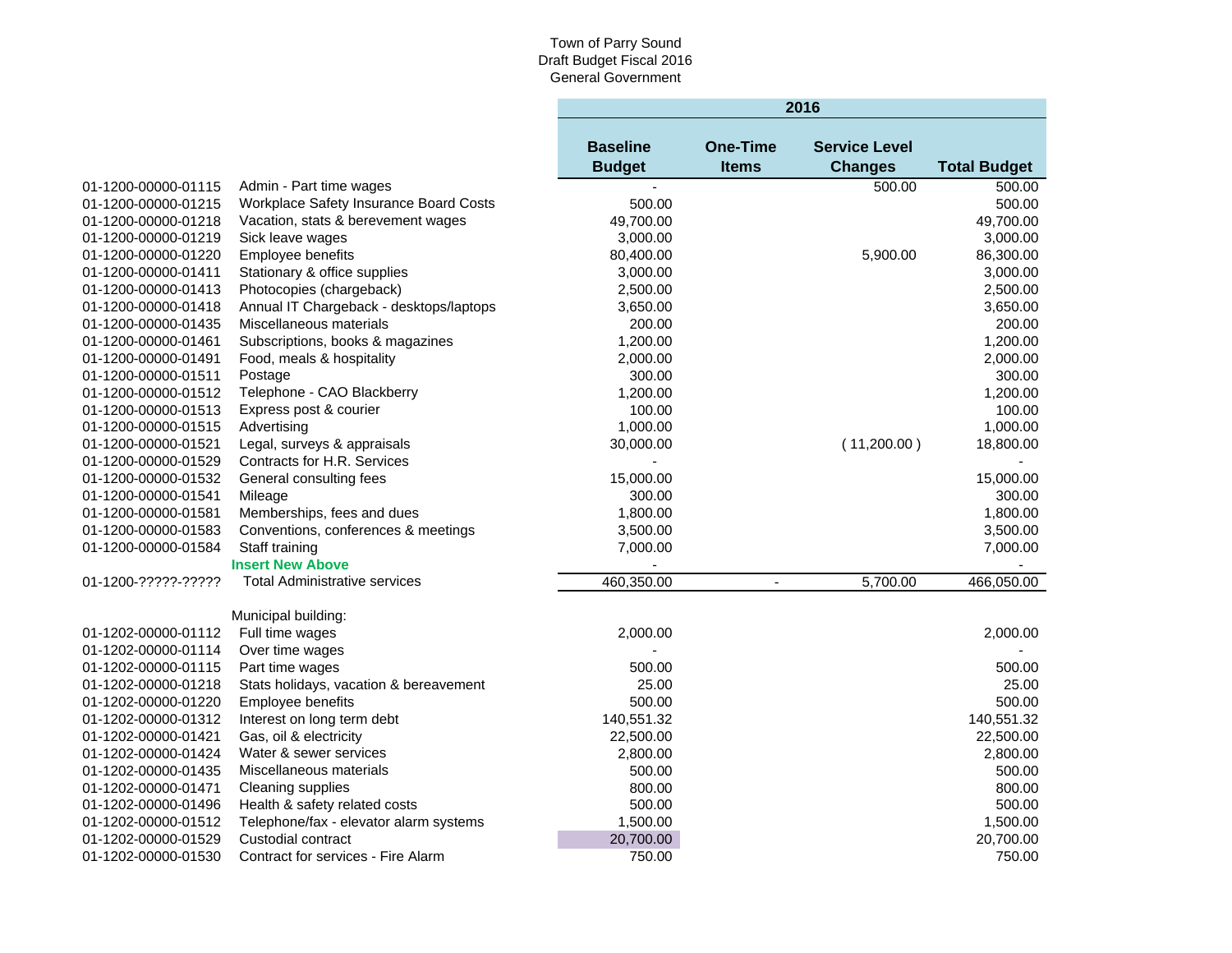٠

|                     |                                         |                                  |                                 | 2016                                   |                     |
|---------------------|-----------------------------------------|----------------------------------|---------------------------------|----------------------------------------|---------------------|
|                     |                                         | <b>Baseline</b><br><b>Budget</b> | <b>One-Time</b><br><b>Items</b> | <b>Service Level</b><br><b>Changes</b> | <b>Total Budget</b> |
| 01-1200-00000-01115 | Admin - Part time wages                 |                                  |                                 | 500.00                                 | 500.00              |
| 01-1200-00000-01215 | Workplace Safety Insurance Board Costs  | 500.00                           |                                 |                                        | 500.00              |
| 01-1200-00000-01218 | Vacation, stats & berevement wages      | 49,700.00                        |                                 |                                        | 49,700.00           |
| 01-1200-00000-01219 | Sick leave wages                        | 3,000.00                         |                                 |                                        | 3,000.00            |
| 01-1200-00000-01220 | Employee benefits                       | 80,400.00                        |                                 | 5,900.00                               | 86,300.00           |
| 01-1200-00000-01411 | Stationary & office supplies            | 3,000.00                         |                                 |                                        | 3,000.00            |
| 01-1200-00000-01413 | Photocopies (chargeback)                | 2,500.00                         |                                 |                                        | 2,500.00            |
| 01-1200-00000-01418 | Annual IT Chargeback - desktops/laptops | 3,650.00                         |                                 |                                        | 3,650.00            |
| 01-1200-00000-01435 | Miscellaneous materials                 | 200.00                           |                                 |                                        | 200.00              |
| 01-1200-00000-01461 | Subscriptions, books & magazines        | 1,200.00                         |                                 |                                        | 1,200.00            |
| 01-1200-00000-01491 | Food, meals & hospitality               | 2,000.00                         |                                 |                                        | 2,000.00            |
| 01-1200-00000-01511 | Postage                                 | 300.00                           |                                 |                                        | 300.00              |
| 01-1200-00000-01512 | Telephone - CAO Blackberry              | 1,200.00                         |                                 |                                        | 1,200.00            |
| 01-1200-00000-01513 | Express post & courier                  | 100.00                           |                                 |                                        | 100.00              |
| 01-1200-00000-01515 | Advertising                             | 1,000.00                         |                                 |                                        | 1,000.00            |
| 01-1200-00000-01521 | Legal, surveys & appraisals             | 30,000.00                        |                                 | (11,200.00)                            | 18,800.00           |
| 01-1200-00000-01529 | Contracts for H.R. Services             |                                  |                                 |                                        |                     |
| 01-1200-00000-01532 | General consulting fees                 | 15,000.00                        |                                 |                                        | 15,000.00           |
| 01-1200-00000-01541 | Mileage                                 | 300.00                           |                                 |                                        | 300.00              |
| 01-1200-00000-01581 | Memberships, fees and dues              | 1,800.00                         |                                 |                                        | 1,800.00            |
| 01-1200-00000-01583 | Conventions, conferences & meetings     | 3,500.00                         |                                 |                                        | 3,500.00            |
| 01-1200-00000-01584 | Staff training                          | 7,000.00                         |                                 |                                        | 7,000.00            |
|                     | <b>Insert New Above</b>                 |                                  |                                 |                                        |                     |
| 01-1200-?????-????? | <b>Total Administrative services</b>    | 460,350.00                       | $\blacksquare$                  | 5,700.00                               | 466,050.00          |
|                     | Municipal building:                     |                                  |                                 |                                        |                     |
| 01-1202-00000-01112 | Full time wages                         | 2,000.00                         |                                 |                                        | 2,000.00            |
| 01-1202-00000-01114 | Over time wages                         |                                  |                                 |                                        |                     |
| 01-1202-00000-01115 | Part time wages                         | 500.00                           |                                 |                                        | 500.00              |
| 01-1202-00000-01218 | Stats holidays, vacation & bereavement  | 25.00                            |                                 |                                        | 25.00               |
| 01-1202-00000-01220 | Employee benefits                       | 500.00                           |                                 |                                        | 500.00              |
| 01-1202-00000-01312 | Interest on long term debt              | 140,551.32                       |                                 |                                        | 140,551.32          |
| 01-1202-00000-01421 | Gas, oil & electricity                  | 22,500.00                        |                                 |                                        | 22,500.00           |
| 01-1202-00000-01424 | Water & sewer services                  | 2,800.00                         |                                 |                                        | 2,800.00            |
| 01-1202-00000-01435 | Miscellaneous materials                 | 500.00                           |                                 |                                        | 500.00              |
| 01-1202-00000-01471 | Cleaning supplies                       | 800.00                           |                                 |                                        | 800.00              |
| 01-1202-00000-01496 | Health & safety related costs           | 500.00                           |                                 |                                        | 500.00              |
| 01-1202-00000-01512 | Telephone/fax - elevator alarm systems  | 1,500.00                         |                                 |                                        | 1,500.00            |
| 01-1202-00000-01529 | Custodial contract                      | 20,700.00                        |                                 |                                        | 20,700.00           |
| 01-1202-00000-01530 | Contract for services - Fire Alarm      | 750.00                           |                                 |                                        | 750.00              |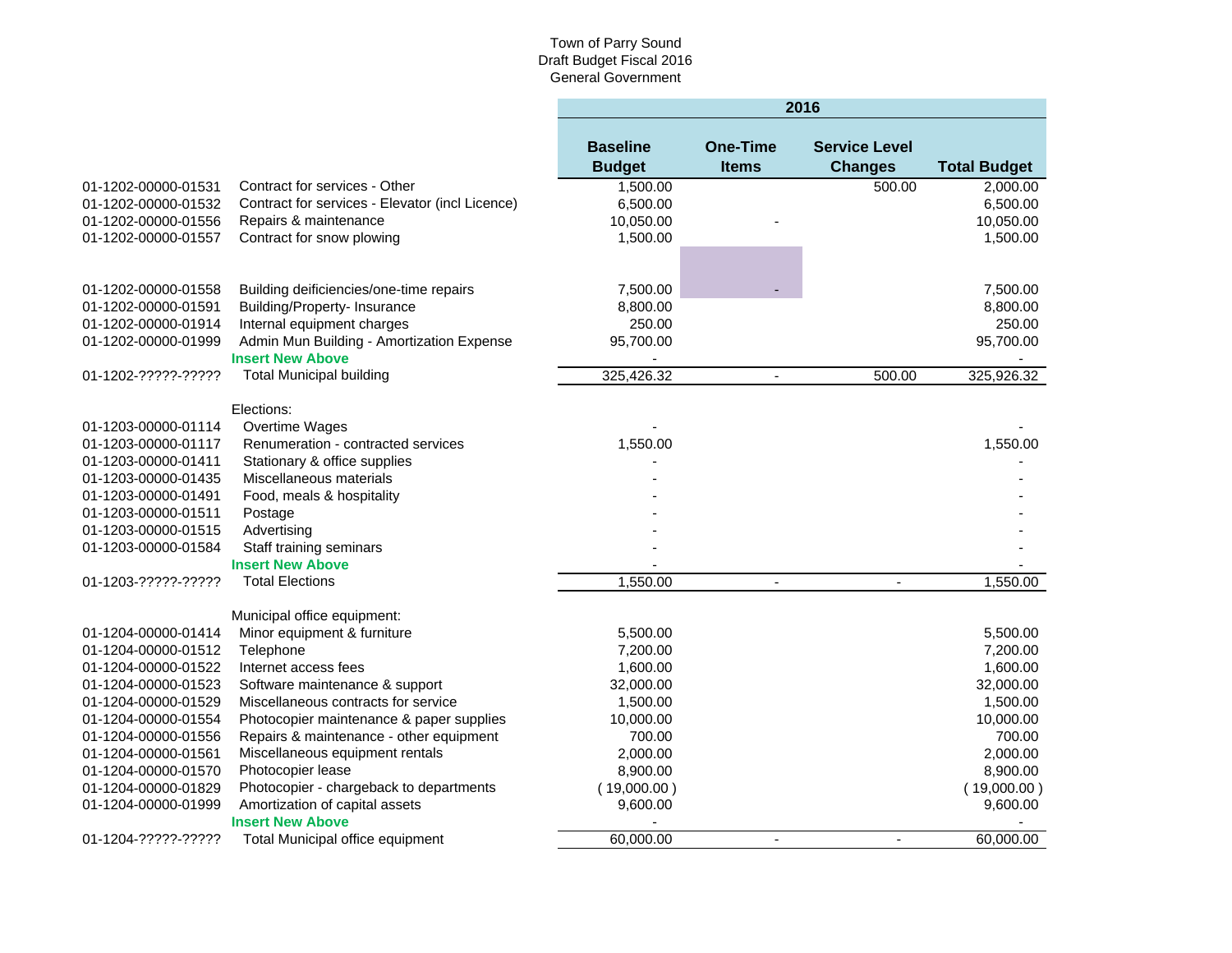|                     |                                                                      | 2016                             |                                 |                                        |                     |  |  |  |  |
|---------------------|----------------------------------------------------------------------|----------------------------------|---------------------------------|----------------------------------------|---------------------|--|--|--|--|
|                     |                                                                      | <b>Baseline</b><br><b>Budget</b> | <b>One-Time</b><br><b>Items</b> | <b>Service Level</b><br><b>Changes</b> | <b>Total Budget</b> |  |  |  |  |
| 01-1202-00000-01531 | Contract for services - Other                                        | 1,500.00                         |                                 | 500.00                                 | 2,000.00            |  |  |  |  |
| 01-1202-00000-01532 | Contract for services - Elevator (incl Licence)                      | 6,500.00                         |                                 |                                        | 6,500.00            |  |  |  |  |
| 01-1202-00000-01556 | Repairs & maintenance                                                | 10,050.00                        |                                 |                                        | 10,050.00           |  |  |  |  |
| 01-1202-00000-01557 | Contract for snow plowing                                            | 1,500.00                         |                                 |                                        | 1,500.00            |  |  |  |  |
|                     |                                                                      |                                  |                                 |                                        |                     |  |  |  |  |
| 01-1202-00000-01558 | Building deificiencies/one-time repairs                              | 7,500.00                         |                                 |                                        | 7,500.00            |  |  |  |  |
| 01-1202-00000-01591 | <b>Building/Property-Insurance</b>                                   | 8,800.00                         |                                 |                                        | 8,800.00            |  |  |  |  |
| 01-1202-00000-01914 | Internal equipment charges                                           | 250.00                           |                                 |                                        | 250.00              |  |  |  |  |
| 01-1202-00000-01999 | Admin Mun Building - Amortization Expense<br><b>Insert New Above</b> | 95,700.00                        |                                 |                                        | 95,700.00           |  |  |  |  |
| 01-1202-?????-????? | <b>Total Municipal building</b>                                      | 325,426.32                       | $\blacksquare$                  | 500.00                                 | 325,926.32          |  |  |  |  |
|                     |                                                                      |                                  |                                 |                                        |                     |  |  |  |  |
|                     | Elections:                                                           |                                  |                                 |                                        |                     |  |  |  |  |
| 01-1203-00000-01114 | Overtime Wages                                                       |                                  |                                 |                                        |                     |  |  |  |  |
| 01-1203-00000-01117 | Renumeration - contracted services                                   | 1,550.00                         |                                 |                                        | 1,550.00            |  |  |  |  |
| 01-1203-00000-01411 | Stationary & office supplies                                         |                                  |                                 |                                        |                     |  |  |  |  |
| 01-1203-00000-01435 | Miscellaneous materials                                              |                                  |                                 |                                        |                     |  |  |  |  |
| 01-1203-00000-01491 | Food, meals & hospitality                                            |                                  |                                 |                                        |                     |  |  |  |  |
| 01-1203-00000-01511 | Postage                                                              |                                  |                                 |                                        |                     |  |  |  |  |
| 01-1203-00000-01515 | Advertising                                                          |                                  |                                 |                                        |                     |  |  |  |  |
| 01-1203-00000-01584 | Staff training seminars                                              |                                  |                                 |                                        |                     |  |  |  |  |
|                     | <b>Insert New Above</b>                                              |                                  |                                 |                                        |                     |  |  |  |  |
| 01-1203-?????-????? | <b>Total Elections</b>                                               | 1,550.00                         | $\blacksquare$                  | $\blacksquare$                         | 1,550.00            |  |  |  |  |
|                     | Municipal office equipment:                                          |                                  |                                 |                                        |                     |  |  |  |  |
| 01-1204-00000-01414 | Minor equipment & furniture                                          | 5,500.00                         |                                 |                                        | 5,500.00            |  |  |  |  |
| 01-1204-00000-01512 | Telephone                                                            | 7,200.00                         |                                 |                                        | 7,200.00            |  |  |  |  |
| 01-1204-00000-01522 | Internet access fees                                                 | 1,600.00                         |                                 |                                        | 1,600.00            |  |  |  |  |
| 01-1204-00000-01523 | Software maintenance & support                                       | 32,000.00                        |                                 |                                        | 32,000.00           |  |  |  |  |
| 01-1204-00000-01529 | Miscellaneous contracts for service                                  | 1,500.00                         |                                 |                                        | 1,500.00            |  |  |  |  |
| 01-1204-00000-01554 | Photocopier maintenance & paper supplies                             | 10,000.00                        |                                 |                                        | 10,000.00           |  |  |  |  |
| 01-1204-00000-01556 | Repairs & maintenance - other equipment                              | 700.00                           |                                 |                                        | 700.00              |  |  |  |  |
| 01-1204-00000-01561 | Miscellaneous equipment rentals                                      | 2,000.00                         |                                 |                                        | 2,000.00            |  |  |  |  |
| 01-1204-00000-01570 | Photocopier lease                                                    | 8,900.00                         |                                 |                                        | 8,900.00            |  |  |  |  |
| 01-1204-00000-01829 | Photocopier - chargeback to departments                              | (19,000.00)                      |                                 |                                        | (19,000.00)         |  |  |  |  |
| 01-1204-00000-01999 | Amortization of capital assets                                       | 9,600.00                         |                                 |                                        | 9,600.00            |  |  |  |  |
|                     | <b>Insert New Above</b>                                              |                                  |                                 |                                        |                     |  |  |  |  |
| 01-1204-?????-????? | Total Municipal office equipment                                     | 60,000.00                        | $\sim$                          | $\mathbf{r}$                           | 60,000.00           |  |  |  |  |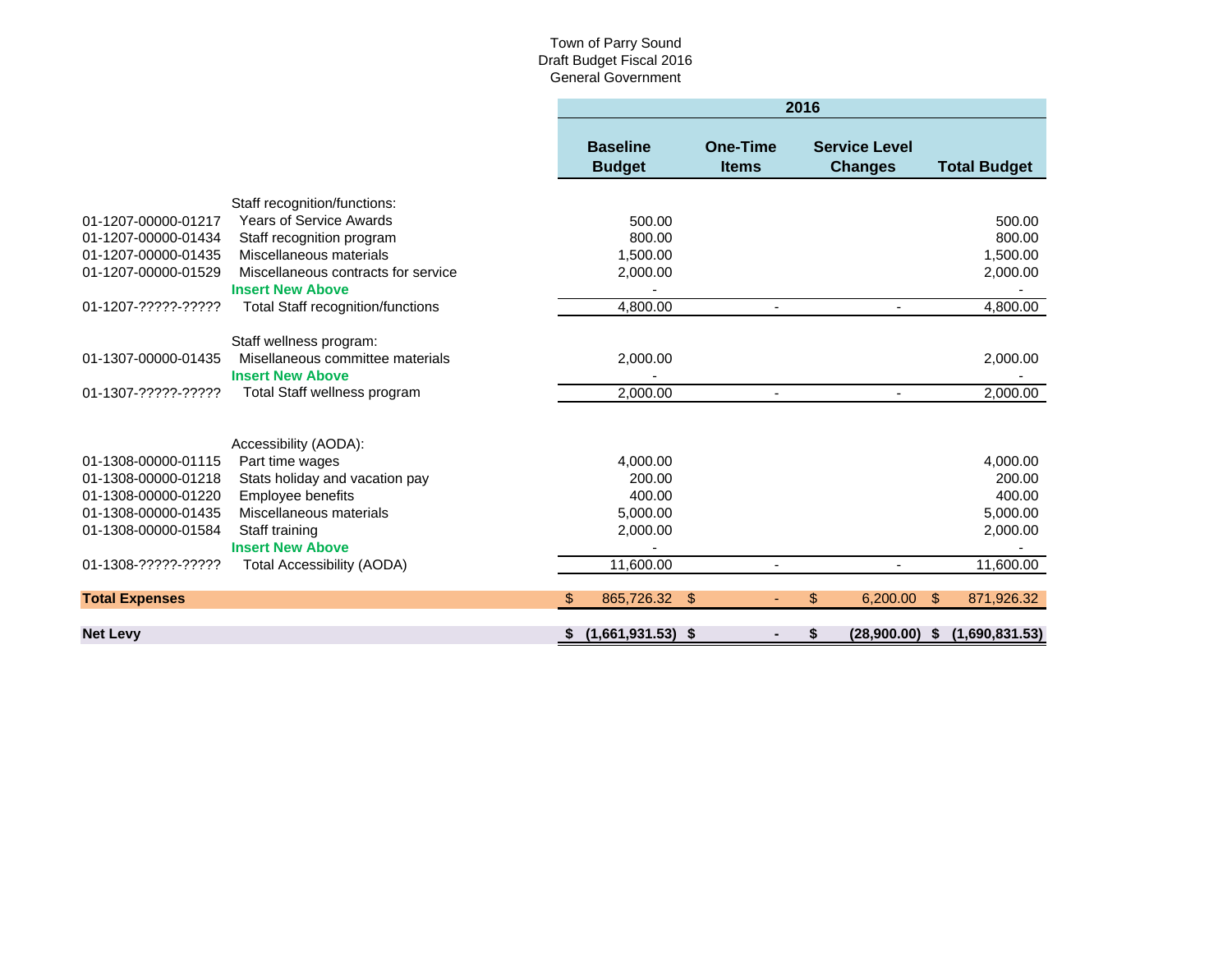|                                            |                                              |     |                                  |                          | 2016 |                                        |    |                     |
|--------------------------------------------|----------------------------------------------|-----|----------------------------------|--------------------------|------|----------------------------------------|----|---------------------|
|                                            |                                              |     | <b>Baseline</b><br><b>Budget</b> | One-Time<br><b>Items</b> |      | <b>Service Level</b><br><b>Changes</b> |    | <b>Total Budget</b> |
|                                            | Staff recognition/functions:                 |     |                                  |                          |      |                                        |    |                     |
| 01-1207-00000-01217                        | <b>Years of Service Awards</b>               |     | 500.00                           |                          |      |                                        |    | 500.00              |
| 01-1207-00000-01434                        | Staff recognition program                    |     | 800.00                           |                          |      |                                        |    | 800.00              |
| 01-1207-00000-01435                        | Miscellaneous materials                      |     | 1,500.00                         |                          |      |                                        |    | 1,500.00            |
| 01-1207-00000-01529                        | Miscellaneous contracts for service          |     | 2,000.00                         |                          |      |                                        |    | 2,000.00            |
|                                            | <b>Insert New Above</b>                      |     |                                  |                          |      |                                        |    |                     |
| 01-1207-?????-?????                        | <b>Total Staff recognition/functions</b>     |     | 4,800.00                         |                          |      |                                        |    | 4,800.00            |
|                                            | Staff wellness program:                      |     |                                  |                          |      |                                        |    |                     |
| 01-1307-00000-01435                        | Misellaneous committee materials             |     | 2,000.00                         |                          |      |                                        |    | 2,000.00            |
|                                            | <b>Insert New Above</b>                      |     |                                  |                          |      |                                        |    |                     |
| 01-1307-?????-?????                        | Total Staff wellness program                 |     | 2,000.00                         |                          |      |                                        |    | 2,000.00            |
|                                            |                                              |     |                                  |                          |      |                                        |    |                     |
|                                            |                                              |     |                                  |                          |      |                                        |    |                     |
| 01-1308-00000-01115                        | Accessibility (AODA):                        |     |                                  |                          |      |                                        |    |                     |
|                                            | Part time wages                              |     | 4,000.00                         |                          |      |                                        |    | 4,000.00            |
| 01-1308-00000-01218<br>01-1308-00000-01220 | Stats holiday and vacation pay               |     | 200.00<br>400.00                 |                          |      |                                        |    | 200.00<br>400.00    |
|                                            | Employee benefits<br>Miscellaneous materials |     |                                  |                          |      |                                        |    |                     |
| 01-1308-00000-01435                        |                                              |     | 5,000.00                         |                          |      |                                        |    | 5,000.00            |
| 01-1308-00000-01584                        | Staff training<br><b>Insert New Above</b>    |     | 2,000.00                         |                          |      |                                        |    | 2,000.00            |
| 01-1308-?????-?????                        |                                              |     | 11,600.00                        |                          |      |                                        |    |                     |
|                                            | <b>Total Accessibility (AODA)</b>            |     |                                  |                          |      |                                        |    | 11,600.00           |
| <b>Total Expenses</b>                      |                                              | \$. | 865.726.32                       | \$                       | \$   | 6.200.00                               | -S | 871,926.32          |
| <b>Net Levy</b>                            |                                              | -SS | $(1,661,931.53)$ \$              |                          |      | (28,900.00)                            | S. | (1,690,831.53)      |
|                                            |                                              |     |                                  |                          |      |                                        |    |                     |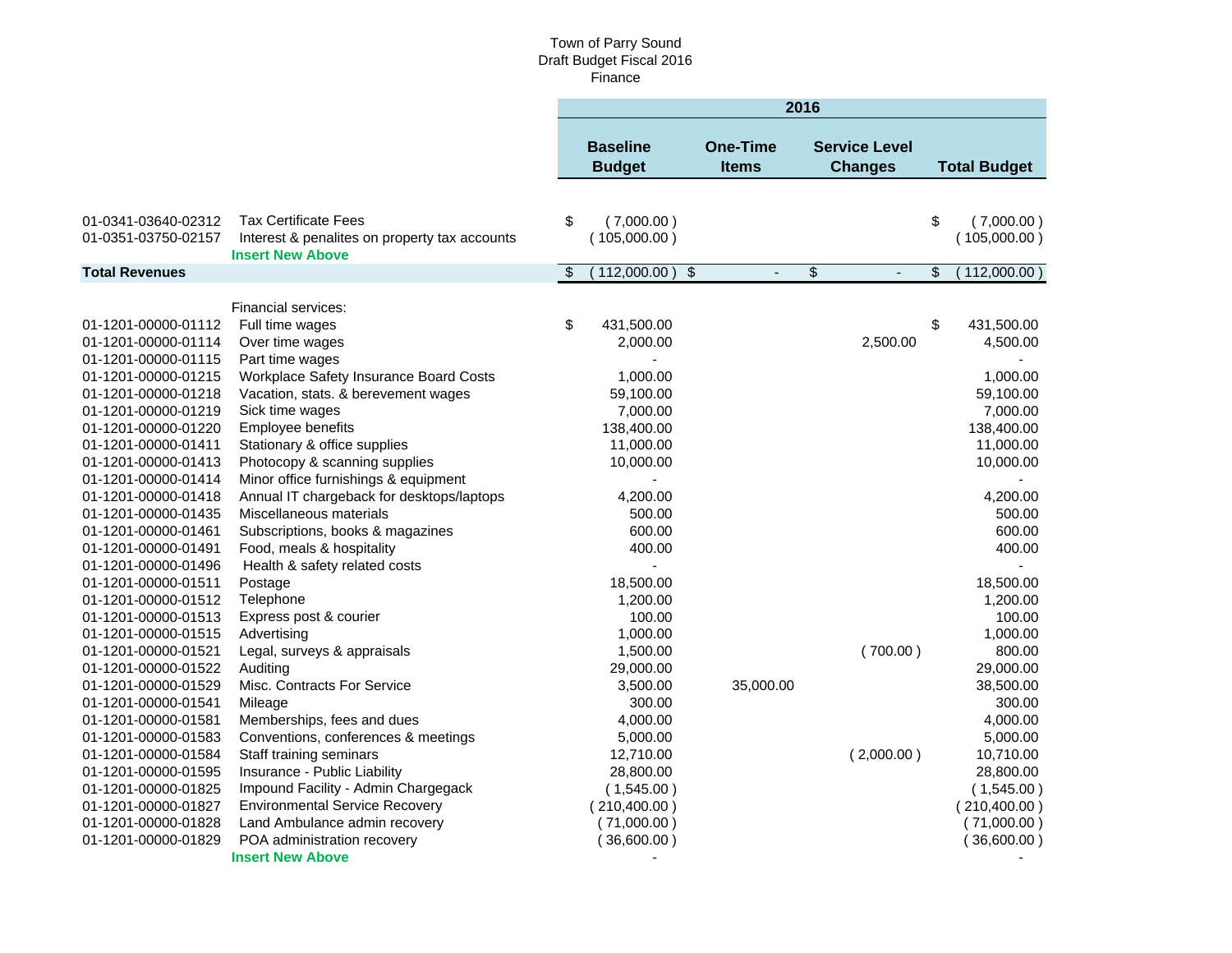#### Town of Parry Sound Draft Budget Fiscal 2016 Finance

|                       |                                                                          | 2016           |                                  |                                           |               |                                        |    |                     |
|-----------------------|--------------------------------------------------------------------------|----------------|----------------------------------|-------------------------------------------|---------------|----------------------------------------|----|---------------------|
|                       |                                                                          |                | <b>Baseline</b><br><b>Budget</b> | <b>One-Time</b><br><b>Items</b>           |               | <b>Service Level</b><br><b>Changes</b> |    | <b>Total Budget</b> |
|                       |                                                                          |                |                                  |                                           |               |                                        |    |                     |
| 01-0341-03640-02312   | <b>Tax Certificate Fees</b>                                              | \$             | (7,000.00)                       |                                           |               |                                        | \$ | (7,000.00)          |
| 01-0351-03750-02157   | Interest & penalites on property tax accounts<br><b>Insert New Above</b> |                | (105,000.00)                     |                                           |               |                                        |    | (105,000.00)        |
| <b>Total Revenues</b> |                                                                          | $\mathfrak{F}$ | (112,000.00)                     | $\sqrt[6]{\frac{1}{2}}$<br>$\overline{a}$ | $\frac{1}{2}$ |                                        | \$ | $112,000.00$ )      |
|                       |                                                                          |                |                                  |                                           |               |                                        |    |                     |
|                       | Financial services:                                                      |                |                                  |                                           |               |                                        |    |                     |
| 01-1201-00000-01112   | Full time wages                                                          | \$             | 431,500.00                       |                                           |               |                                        | \$ | 431,500.00          |
| 01-1201-00000-01114   | Over time wages                                                          |                | 2,000.00                         |                                           |               | 2,500.00                               |    | 4,500.00            |
| 01-1201-00000-01115   | Part time wages                                                          |                |                                  |                                           |               |                                        |    |                     |
| 01-1201-00000-01215   | Workplace Safety Insurance Board Costs                                   |                | 1,000.00                         |                                           |               |                                        |    | 1,000.00            |
| 01-1201-00000-01218   | Vacation, stats. & berevement wages                                      |                | 59,100.00                        |                                           |               |                                        |    | 59,100.00           |
| 01-1201-00000-01219   | Sick time wages                                                          |                | 7,000.00                         |                                           |               |                                        |    | 7,000.00            |
| 01-1201-00000-01220   | Employee benefits                                                        |                | 138,400.00                       |                                           |               |                                        |    | 138,400.00          |
| 01-1201-00000-01411   | Stationary & office supplies                                             |                | 11,000.00                        |                                           |               |                                        |    | 11,000.00           |
| 01-1201-00000-01413   | Photocopy & scanning supplies                                            |                | 10,000.00                        |                                           |               |                                        |    | 10,000.00           |
| 01-1201-00000-01414   | Minor office furnishings & equipment                                     |                |                                  |                                           |               |                                        |    |                     |
| 01-1201-00000-01418   | Annual IT chargeback for desktops/laptops                                |                | 4,200.00                         |                                           |               |                                        |    | 4,200.00            |
| 01-1201-00000-01435   | Miscellaneous materials                                                  |                | 500.00                           |                                           |               |                                        |    | 500.00              |
| 01-1201-00000-01461   | Subscriptions, books & magazines                                         |                | 600.00                           |                                           |               |                                        |    | 600.00              |
| 01-1201-00000-01491   | Food, meals & hospitality                                                |                | 400.00                           |                                           |               |                                        |    | 400.00              |
| 01-1201-00000-01496   | Health & safety related costs                                            |                |                                  |                                           |               |                                        |    |                     |
| 01-1201-00000-01511   | Postage                                                                  |                | 18,500.00                        |                                           |               |                                        |    | 18,500.00           |
| 01-1201-00000-01512   | Telephone                                                                |                | 1,200.00                         |                                           |               |                                        |    | 1,200.00            |
| 01-1201-00000-01513   | Express post & courier                                                   |                | 100.00                           |                                           |               |                                        |    | 100.00              |
| 01-1201-00000-01515   | Advertising                                                              |                | 1,000.00                         |                                           |               |                                        |    | 1,000.00            |
| 01-1201-00000-01521   | Legal, surveys & appraisals                                              |                | 1,500.00                         |                                           |               | (700.00)                               |    | 800.00              |
| 01-1201-00000-01522   | Auditing                                                                 |                | 29,000.00                        |                                           |               |                                        |    | 29,000.00           |
| 01-1201-00000-01529   | Misc. Contracts For Service                                              |                | 3,500.00                         | 35,000.00                                 |               |                                        |    | 38,500.00           |
| 01-1201-00000-01541   | Mileage                                                                  |                | 300.00                           |                                           |               |                                        |    | 300.00              |
| 01-1201-00000-01581   | Memberships, fees and dues                                               |                | 4,000.00                         |                                           |               |                                        |    | 4,000.00            |
| 01-1201-00000-01583   | Conventions, conferences & meetings                                      |                | 5,000.00                         |                                           |               |                                        |    | 5,000.00            |
| 01-1201-00000-01584   | Staff training seminars                                                  |                | 12,710.00                        |                                           |               | (2,000.00)                             |    | 10,710.00           |
| 01-1201-00000-01595   | Insurance - Public Liability                                             |                | 28,800.00                        |                                           |               |                                        |    | 28,800.00           |
| 01-1201-00000-01825   | Impound Facility - Admin Chargegack                                      |                | (1,545.00)                       |                                           |               |                                        |    | (1,545.00)          |
| 01-1201-00000-01827   | <b>Environmental Service Recovery</b>                                    |                | (210, 400.00)                    |                                           |               |                                        |    | (210, 400.00)       |
| 01-1201-00000-01828   | Land Ambulance admin recovery                                            |                | (71,000.00)                      |                                           |               |                                        |    | (71,000.00)         |
| 01-1201-00000-01829   | POA administration recovery                                              |                | (36,600.00)                      |                                           |               |                                        |    | (36,600.00)         |
|                       | <b>Insert New Above</b>                                                  |                |                                  |                                           |               |                                        |    |                     |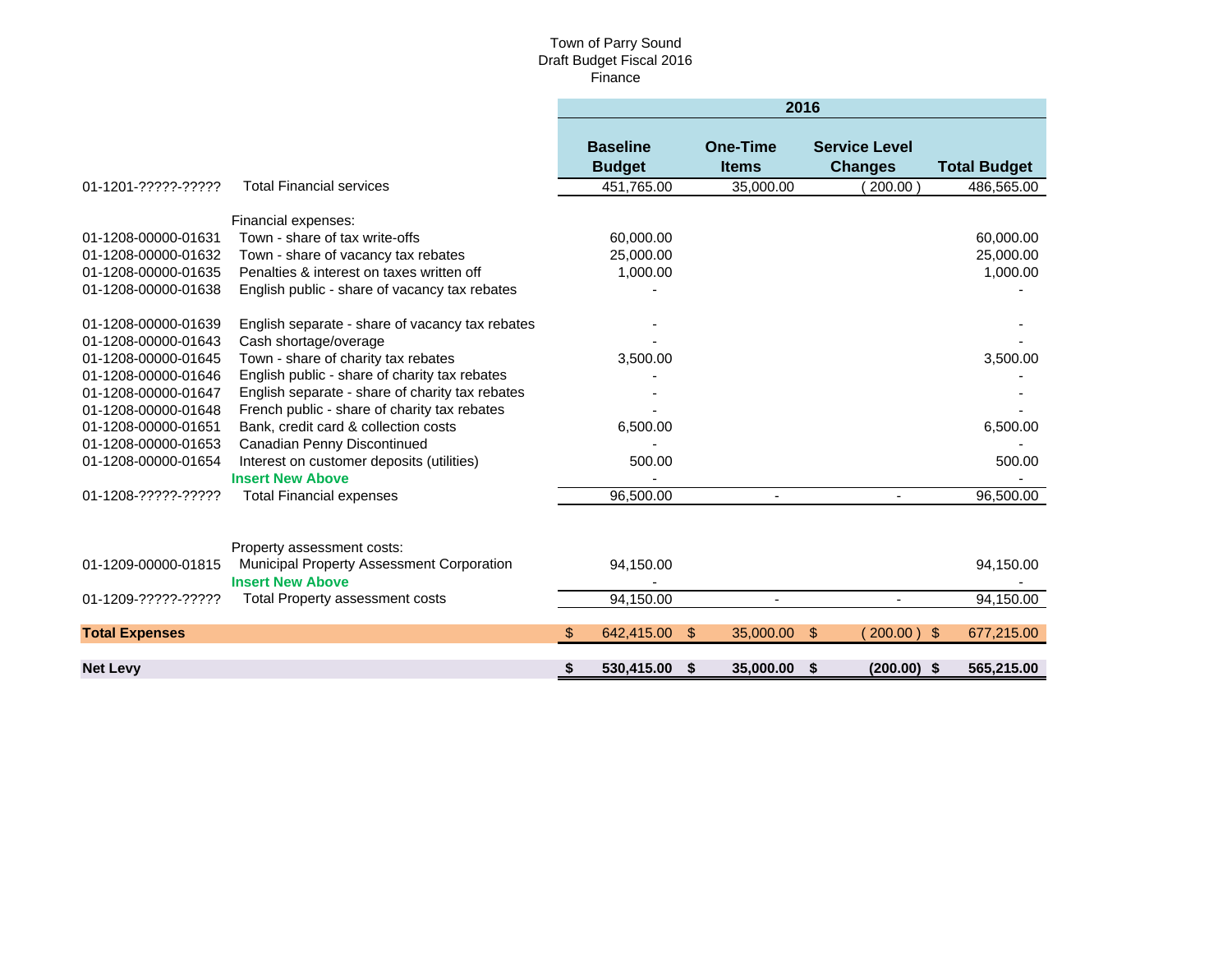#### Town of Parry Sound Draft Budget Fiscal 2016 Finance

|                       |                                                 |     |                                  |               | 2016                            |                                        |                |                     |
|-----------------------|-------------------------------------------------|-----|----------------------------------|---------------|---------------------------------|----------------------------------------|----------------|---------------------|
|                       |                                                 |     | <b>Baseline</b><br><b>Budget</b> |               | <b>One-Time</b><br><b>Items</b> | <b>Service Level</b><br><b>Changes</b> |                | <b>Total Budget</b> |
| 01-1201-?????-?????   | <b>Total Financial services</b>                 |     | 451,765.00                       |               | 35,000.00                       |                                        | $200.00$ )     | 486,565.00          |
|                       | Financial expenses:                             |     |                                  |               |                                 |                                        |                |                     |
| 01-1208-00000-01631   | Town - share of tax write-offs                  |     | 60,000.00                        |               |                                 |                                        |                | 60,000.00           |
| 01-1208-00000-01632   | Town - share of vacancy tax rebates             |     | 25,000.00                        |               |                                 |                                        |                | 25,000.00           |
| 01-1208-00000-01635   | Penalties & interest on taxes written off       |     | 1,000.00                         |               |                                 |                                        |                | 1,000.00            |
| 01-1208-00000-01638   | English public - share of vacancy tax rebates   |     |                                  |               |                                 |                                        |                |                     |
|                       |                                                 |     |                                  |               |                                 |                                        |                |                     |
| 01-1208-00000-01639   | English separate - share of vacancy tax rebates |     |                                  |               |                                 |                                        |                |                     |
| 01-1208-00000-01643   | Cash shortage/overage                           |     |                                  |               |                                 |                                        |                |                     |
| 01-1208-00000-01645   | Town - share of charity tax rebates             |     | 3,500.00                         |               |                                 |                                        |                | 3,500.00            |
| 01-1208-00000-01646   | English public - share of charity tax rebates   |     |                                  |               |                                 |                                        |                |                     |
| 01-1208-00000-01647   | English separate - share of charity tax rebates |     |                                  |               |                                 |                                        |                |                     |
| 01-1208-00000-01648   | French public - share of charity tax rebates    |     |                                  |               |                                 |                                        |                |                     |
| 01-1208-00000-01651   | Bank, credit card & collection costs            |     | 6,500.00                         |               |                                 |                                        |                | 6,500.00            |
| 01-1208-00000-01653   | Canadian Penny Discontinued                     |     |                                  |               |                                 |                                        |                |                     |
| 01-1208-00000-01654   | Interest on customer deposits (utilities)       |     | 500.00                           |               |                                 |                                        |                | 500.00              |
|                       | <b>Insert New Above</b>                         |     |                                  |               |                                 |                                        |                |                     |
| 01-1208-?????-?????   | <b>Total Financial expenses</b>                 |     | 96.500.00                        |               | $\blacksquare$                  |                                        | $\blacksquare$ | 96,500.00           |
|                       |                                                 |     |                                  |               |                                 |                                        |                |                     |
|                       | Property assessment costs:                      |     |                                  |               |                                 |                                        |                |                     |
| 01-1209-00000-01815   | Municipal Property Assessment Corporation       |     | 94,150.00                        |               |                                 |                                        |                | 94,150.00           |
|                       | <b>Insert New Above</b>                         |     |                                  |               |                                 |                                        |                |                     |
| 01-1209-?????-?????   | Total Property assessment costs                 |     | 94,150.00                        |               |                                 |                                        |                | 94,150.00           |
|                       |                                                 |     |                                  |               |                                 |                                        |                |                     |
| <b>Total Expenses</b> |                                                 | \$. | 642,415.00                       | $\sqrt[6]{3}$ | 35,000.00                       | $\sqrt[6]{3}$                          | $200.00$ )     | 677,215.00<br>-\$   |
| <b>Net Levy</b>       |                                                 | S.  | 530,415.00                       | \$            | 35,000.00                       | - \$                                   | $(200.00)$ \$  | 565,215.00          |
|                       |                                                 |     |                                  |               |                                 |                                        |                |                     |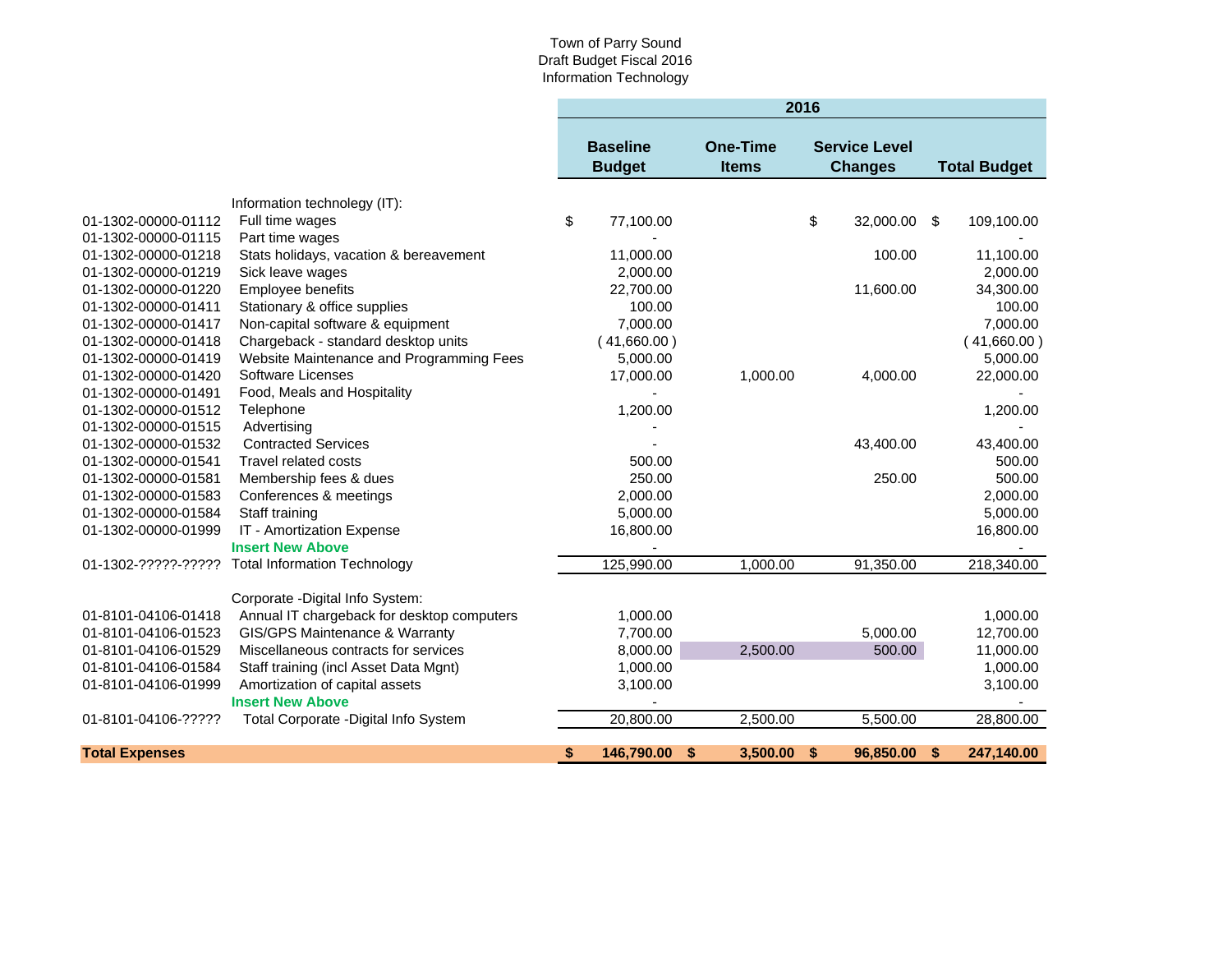#### Town of Parry Sound Draft Budget Fiscal 2016 Information Technology

|                       |                                                 | 2016                                                                |             |    |          |                                        |           |                     |             |
|-----------------------|-------------------------------------------------|---------------------------------------------------------------------|-------------|----|----------|----------------------------------------|-----------|---------------------|-------------|
|                       |                                                 | <b>Baseline</b><br><b>One-Time</b><br><b>Budget</b><br><b>Items</b> |             |    |          | <b>Service Level</b><br><b>Changes</b> |           | <b>Total Budget</b> |             |
|                       |                                                 |                                                                     |             |    |          |                                        |           |                     |             |
| 01-1302-00000-01112   | Information technolegy (IT):<br>Full time wages | \$                                                                  | 77,100.00   |    |          | \$                                     | 32,000.00 | \$                  | 109,100.00  |
| 01-1302-00000-01115   | Part time wages                                 |                                                                     |             |    |          |                                        |           |                     |             |
| 01-1302-00000-01218   | Stats holidays, vacation & bereavement          |                                                                     | 11,000.00   |    |          |                                        | 100.00    |                     | 11,100.00   |
| 01-1302-00000-01219   | Sick leave wages                                |                                                                     | 2,000.00    |    |          |                                        |           |                     | 2,000.00    |
| 01-1302-00000-01220   | Employee benefits                               |                                                                     | 22,700.00   |    |          |                                        | 11,600.00 |                     | 34,300.00   |
| 01-1302-00000-01411   | Stationary & office supplies                    |                                                                     | 100.00      |    |          |                                        |           |                     | 100.00      |
| 01-1302-00000-01417   | Non-capital software & equipment                |                                                                     | 7,000.00    |    |          |                                        |           |                     | 7,000.00    |
| 01-1302-00000-01418   | Chargeback - standard desktop units             |                                                                     | (41,660.00) |    |          |                                        |           |                     | (41,660.00) |
| 01-1302-00000-01419   | Website Maintenance and Programming Fees        |                                                                     | 5,000.00    |    |          |                                        |           |                     | 5,000.00    |
| 01-1302-00000-01420   | <b>Software Licenses</b>                        |                                                                     | 17,000.00   |    | 1,000.00 |                                        | 4,000.00  |                     | 22,000.00   |
| 01-1302-00000-01491   | Food, Meals and Hospitality                     |                                                                     |             |    |          |                                        |           |                     |             |
| 01-1302-00000-01512   | Telephone                                       |                                                                     | 1,200.00    |    |          |                                        |           |                     | 1,200.00    |
| 01-1302-00000-01515   | Advertising                                     |                                                                     |             |    |          |                                        |           |                     |             |
| 01-1302-00000-01532   | <b>Contracted Services</b>                      |                                                                     |             |    |          |                                        | 43,400.00 |                     | 43,400.00   |
| 01-1302-00000-01541   | Travel related costs                            |                                                                     | 500.00      |    |          |                                        |           |                     | 500.00      |
| 01-1302-00000-01581   | Membership fees & dues                          |                                                                     | 250.00      |    |          |                                        | 250.00    |                     | 500.00      |
| 01-1302-00000-01583   | Conferences & meetings                          |                                                                     | 2,000.00    |    |          |                                        |           |                     | 2,000.00    |
| 01-1302-00000-01584   | Staff training                                  |                                                                     | 5,000.00    |    |          |                                        |           |                     | 5,000.00    |
| 01-1302-00000-01999   | IT - Amortization Expense                       |                                                                     | 16,800.00   |    |          |                                        |           |                     | 16,800.00   |
|                       | <b>Insert New Above</b>                         |                                                                     |             |    |          |                                        |           |                     |             |
| 01-1302-?????-?????   | <b>Total Information Technology</b>             |                                                                     | 125,990.00  |    | 1,000.00 |                                        | 91,350.00 |                     | 218,340.00  |
|                       | Corporate - Digital Info System:                |                                                                     |             |    |          |                                        |           |                     |             |
| 01-8101-04106-01418   | Annual IT chargeback for desktop computers      |                                                                     | 1,000.00    |    |          |                                        |           |                     | 1,000.00    |
| 01-8101-04106-01523   | GIS/GPS Maintenance & Warranty                  |                                                                     | 7,700.00    |    |          |                                        | 5,000.00  |                     | 12,700.00   |
| 01-8101-04106-01529   | Miscellaneous contracts for services            |                                                                     | 8,000.00    |    | 2,500.00 |                                        | 500.00    |                     | 11,000.00   |
| 01-8101-04106-01584   | Staff training (incl Asset Data Mgnt)           |                                                                     | 1,000.00    |    |          |                                        |           |                     | 1,000.00    |
| 01-8101-04106-01999   | Amortization of capital assets                  |                                                                     | 3,100.00    |    |          |                                        |           |                     | 3,100.00    |
|                       | <b>Insert New Above</b>                         |                                                                     |             |    |          |                                        |           |                     |             |
| 01-8101-04106-?????   | Total Corporate - Digital Info System           |                                                                     | 20,800.00   |    | 2,500.00 |                                        | 5,500.00  |                     | 28,800.00   |
| <b>Total Expenses</b> |                                                 |                                                                     | 146,790.00  | \$ | 3,500.00 | \$                                     | 96,850.00 | \$                  | 247,140.00  |
|                       |                                                 | $\frac{1}{2}$                                                       |             |    |          |                                        |           |                     |             |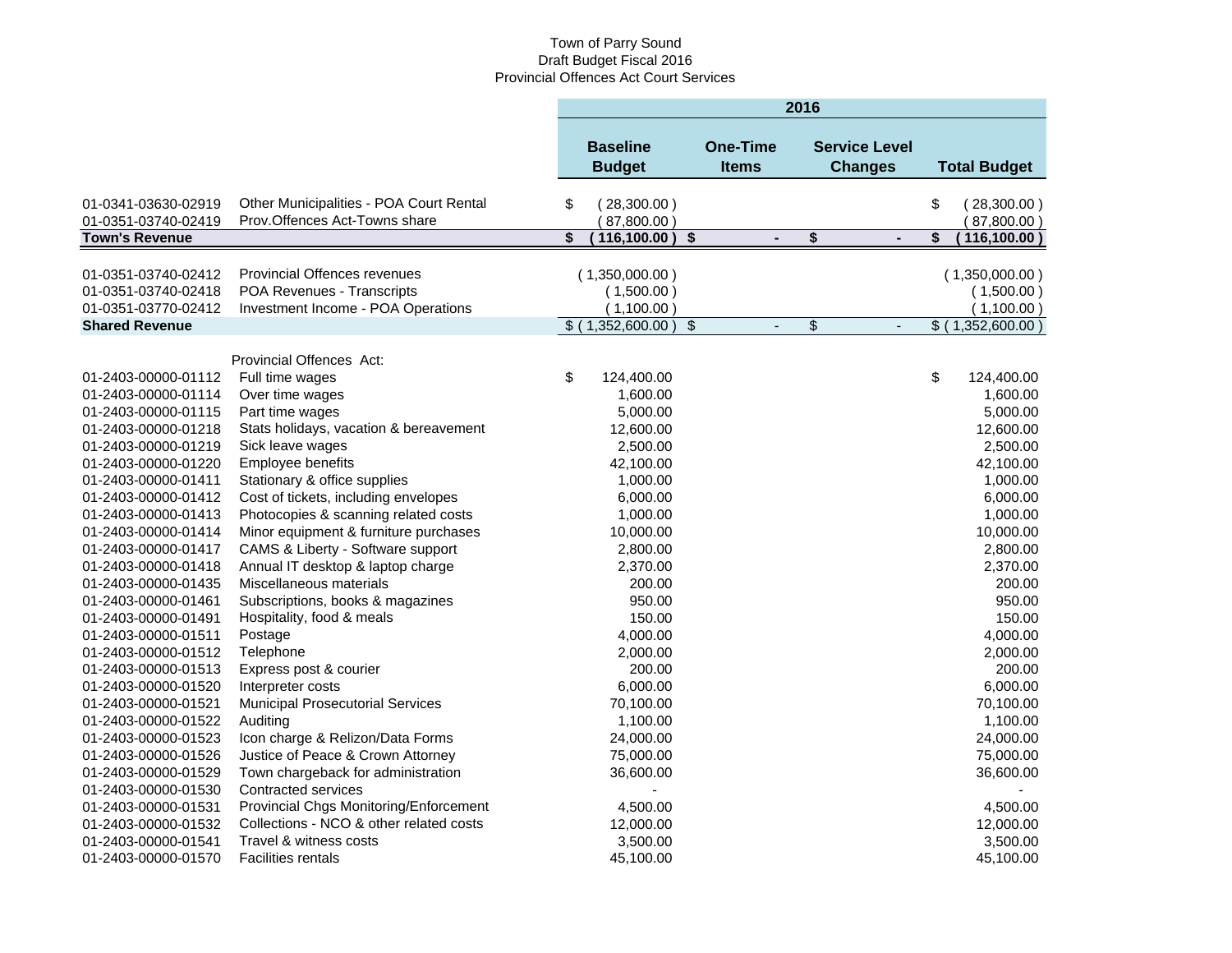# Town of Parry Sound Draft Budget Fiscal 2016 Provincial Offences Act Court Services

|                       |                                         | 2016                             |                      |                                 |    |                                        |    |                     |
|-----------------------|-----------------------------------------|----------------------------------|----------------------|---------------------------------|----|----------------------------------------|----|---------------------|
|                       |                                         | <b>Baseline</b><br><b>Budget</b> |                      | <b>One-Time</b><br><b>Items</b> |    | <b>Service Level</b><br><b>Changes</b> |    | <b>Total Budget</b> |
| 01-0341-03630-02919   | Other Municipalities - POA Court Rental | \$<br>(28,300.00)                |                      |                                 |    |                                        | \$ | (28,300.00)         |
| 01-0351-03740-02419   | Prov.Offences Act-Towns share           | 87,800.00                        |                      |                                 |    |                                        |    | (87,800.00)         |
| <b>Town's Revenue</b> |                                         | \$<br>116,100.00)                | $\overline{\bullet}$ | $\blacksquare$                  | \$ |                                        | \$ | 116,100.00)         |
| 01-0351-03740-02412   | <b>Provincial Offences revenues</b>     | (1,350,000.00)                   |                      |                                 |    |                                        |    | (1,350,000.00)      |
| 01-0351-03740-02418   | POA Revenues - Transcripts              | (1,500.00)                       |                      |                                 |    |                                        |    | (1,500.00)          |
| 01-0351-03770-02412   | Investment Income - POA Operations      | (1,100.00)                       |                      |                                 |    |                                        |    | (1,100.00)          |
| <b>Shared Revenue</b> |                                         | $$$ (1,352,600.00)               | $\sqrt[6]{3}$        | $\blacksquare$                  | \$ |                                        |    | \$ (1,352,600.00)   |
|                       |                                         |                                  |                      |                                 |    |                                        |    |                     |
|                       | <b>Provincial Offences Act:</b>         |                                  |                      |                                 |    |                                        |    |                     |
| 01-2403-00000-01112   | Full time wages                         | \$<br>124,400.00                 |                      |                                 |    |                                        | \$ | 124,400.00          |
| 01-2403-00000-01114   | Over time wages                         | 1,600.00                         |                      |                                 |    |                                        |    | 1,600.00            |
| 01-2403-00000-01115   | Part time wages                         | 5,000.00                         |                      |                                 |    |                                        |    | 5,000.00            |
| 01-2403-00000-01218   | Stats holidays, vacation & bereavement  | 12,600.00                        |                      |                                 |    |                                        |    | 12,600.00           |
| 01-2403-00000-01219   | Sick leave wages                        | 2,500.00                         |                      |                                 |    |                                        |    | 2,500.00            |
| 01-2403-00000-01220   | Employee benefits                       | 42,100.00                        |                      |                                 |    |                                        |    | 42,100.00           |
| 01-2403-00000-01411   | Stationary & office supplies            | 1,000.00                         |                      |                                 |    |                                        |    | 1,000.00            |
| 01-2403-00000-01412   | Cost of tickets, including envelopes    | 6,000.00                         |                      |                                 |    |                                        |    | 6,000.00            |
| 01-2403-00000-01413   | Photocopies & scanning related costs    | 1,000.00                         |                      |                                 |    |                                        |    | 1,000.00            |
| 01-2403-00000-01414   | Minor equipment & furniture purchases   | 10,000.00                        |                      |                                 |    |                                        |    | 10,000.00           |
| 01-2403-00000-01417   | CAMS & Liberty - Software support       | 2,800.00                         |                      |                                 |    |                                        |    | 2,800.00            |
| 01-2403-00000-01418   | Annual IT desktop & laptop charge       | 2,370.00                         |                      |                                 |    |                                        |    | 2,370.00            |
| 01-2403-00000-01435   | Miscellaneous materials                 | 200.00                           |                      |                                 |    |                                        |    | 200.00              |
| 01-2403-00000-01461   | Subscriptions, books & magazines        | 950.00                           |                      |                                 |    |                                        |    | 950.00              |
| 01-2403-00000-01491   | Hospitality, food & meals               | 150.00                           |                      |                                 |    |                                        |    | 150.00              |
| 01-2403-00000-01511   | Postage                                 | 4,000.00                         |                      |                                 |    |                                        |    | 4,000.00            |
| 01-2403-00000-01512   | Telephone                               | 2,000.00                         |                      |                                 |    |                                        |    | 2,000.00            |
| 01-2403-00000-01513   | Express post & courier                  | 200.00                           |                      |                                 |    |                                        |    | 200.00              |
| 01-2403-00000-01520   | Interpreter costs                       | 6,000.00                         |                      |                                 |    |                                        |    | 6,000.00            |
| 01-2403-00000-01521   | <b>Municipal Prosecutorial Services</b> | 70,100.00                        |                      |                                 |    |                                        |    | 70,100.00           |
| 01-2403-00000-01522   | Auditing                                | 1,100.00                         |                      |                                 |    |                                        |    | 1,100.00            |
| 01-2403-00000-01523   | Icon charge & Relizon/Data Forms        | 24,000.00                        |                      |                                 |    |                                        |    | 24,000.00           |
| 01-2403-00000-01526   | Justice of Peace & Crown Attorney       | 75,000.00                        |                      |                                 |    |                                        |    | 75,000.00           |
| 01-2403-00000-01529   | Town chargeback for administration      | 36,600.00                        |                      |                                 |    |                                        |    | 36,600.00           |
| 01-2403-00000-01530   | Contracted services                     |                                  |                      |                                 |    |                                        |    |                     |
| 01-2403-00000-01531   | Provincial Chgs Monitoring/Enforcement  | 4,500.00                         |                      |                                 |    |                                        |    | 4,500.00            |
| 01-2403-00000-01532   | Collections - NCO & other related costs | 12,000.00                        |                      |                                 |    |                                        |    | 12,000.00           |
| 01-2403-00000-01541   | Travel & witness costs                  | 3,500.00                         |                      |                                 |    |                                        |    | 3,500.00            |
| 01-2403-00000-01570   | <b>Facilities rentals</b>               | 45,100.00                        |                      |                                 |    |                                        |    | 45,100.00           |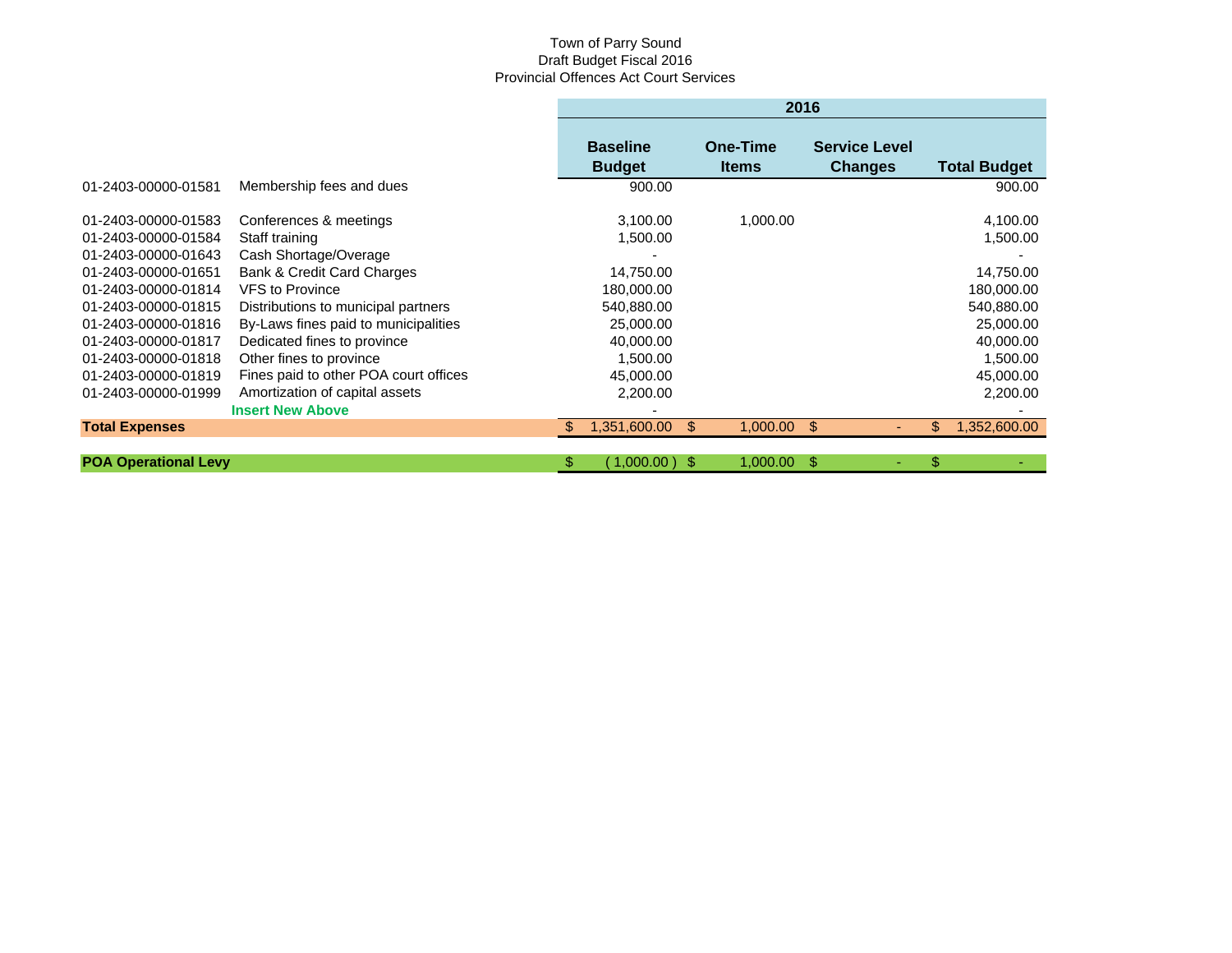# Town of Parry Sound Draft Budget Fiscal 2016 Provincial Offences Act Court Services

|                                                                   |                                                                                                            |   | 2016                                 |                          |                                        |                                      |  |  |  |
|-------------------------------------------------------------------|------------------------------------------------------------------------------------------------------------|---|--------------------------------------|--------------------------|----------------------------------------|--------------------------------------|--|--|--|
|                                                                   |                                                                                                            |   | <b>Baseline</b><br><b>Budget</b>     | One-Time<br><b>Items</b> | <b>Service Level</b><br><b>Changes</b> | <b>Total Budget</b>                  |  |  |  |
| 01-2403-00000-01581                                               | Membership fees and dues                                                                                   |   | 900.00                               |                          |                                        | 900.00                               |  |  |  |
| 01-2403-00000-01583<br>01-2403-00000-01584<br>01-2403-00000-01643 | Conferences & meetings<br>Staff training                                                                   |   | 3,100.00<br>1,500.00                 | 1,000.00                 |                                        | 4,100.00<br>1,500.00                 |  |  |  |
| 01-2403-00000-01651<br>01-2403-00000-01814                        | Cash Shortage/Overage<br>Bank & Credit Card Charges<br><b>VFS</b> to Province                              |   | 14,750.00<br>180.000.00              |                          |                                        | 14,750.00<br>180,000.00              |  |  |  |
| 01-2403-00000-01815<br>01-2403-00000-01816<br>01-2403-00000-01817 | Distributions to municipal partners<br>By-Laws fines paid to municipalities<br>Dedicated fines to province |   | 540,880.00<br>25,000.00<br>40,000.00 |                          |                                        | 540,880.00<br>25,000.00<br>40,000.00 |  |  |  |
| 01-2403-00000-01818<br>01-2403-00000-01819                        | Other fines to province<br>Fines paid to other POA court offices                                           |   | 1,500.00<br>45,000.00                |                          |                                        | 1,500.00<br>45,000.00                |  |  |  |
| 01-2403-00000-01999                                               | Amortization of capital assets<br><b>Insert New Above</b>                                                  |   | 2,200.00                             |                          |                                        | 2,200.00                             |  |  |  |
| <b>Total Expenses</b>                                             |                                                                                                            |   | 1,351,600.00                         | $1,000.00$ \$<br>\$.     |                                        | 1,352,600.00<br>\$                   |  |  |  |
| <b>POA Operational Levy</b>                                       |                                                                                                            | S | (1,000.00)                           | 1,000.00<br>- \$         | S.                                     | \$                                   |  |  |  |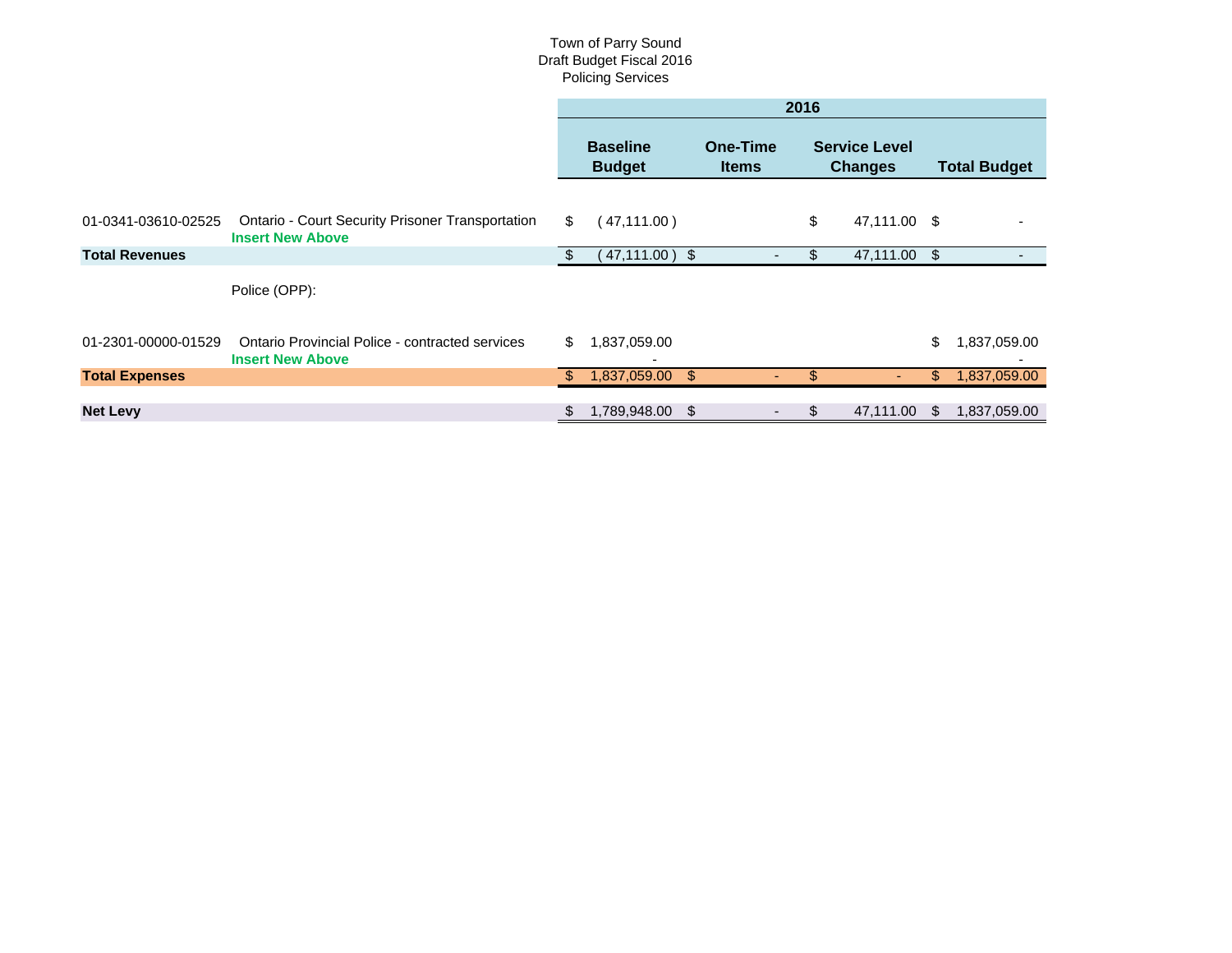#### Town of Parry Sound Draft Budget Fiscal 2016 Policing Services

|                       |                                                                                    | 2016 |                                  |                |                                 |     |                                        |    |                     |
|-----------------------|------------------------------------------------------------------------------------|------|----------------------------------|----------------|---------------------------------|-----|----------------------------------------|----|---------------------|
|                       |                                                                                    |      | <b>Baseline</b><br><b>Budget</b> |                | <b>One-Time</b><br><b>Items</b> |     | <b>Service Level</b><br><b>Changes</b> |    | <b>Total Budget</b> |
| 01-0341-03610-02525   | <b>Ontario - Court Security Prisoner Transportation</b><br><b>Insert New Above</b> | \$   | (47, 111.00)                     |                |                                 | \$  | 47,111.00 \$                           |    |                     |
| <b>Total Revenues</b> |                                                                                    |      | 47,111.00)                       | - \$           |                                 | S.  | 47,111.00                              | \$ | ٠                   |
|                       | Police (OPP):                                                                      |      |                                  |                |                                 |     |                                        |    |                     |
| 01-2301-00000-01529   | <b>Ontario Provincial Police - contracted services</b><br><b>Insert New Above</b>  | \$   | 1,837,059.00                     |                |                                 |     |                                        | \$ | 1,837,059.00        |
| <b>Total Expenses</b> |                                                                                    | \$.  | 1,837,059.00                     | $\mathfrak{S}$ |                                 | \$. |                                        | \$ | 1,837,059.00        |
| <b>Net Levy</b>       |                                                                                    |      | 1,789,948.00                     | \$             |                                 |     | 47,111.00                              | \$ | 1,837,059.00        |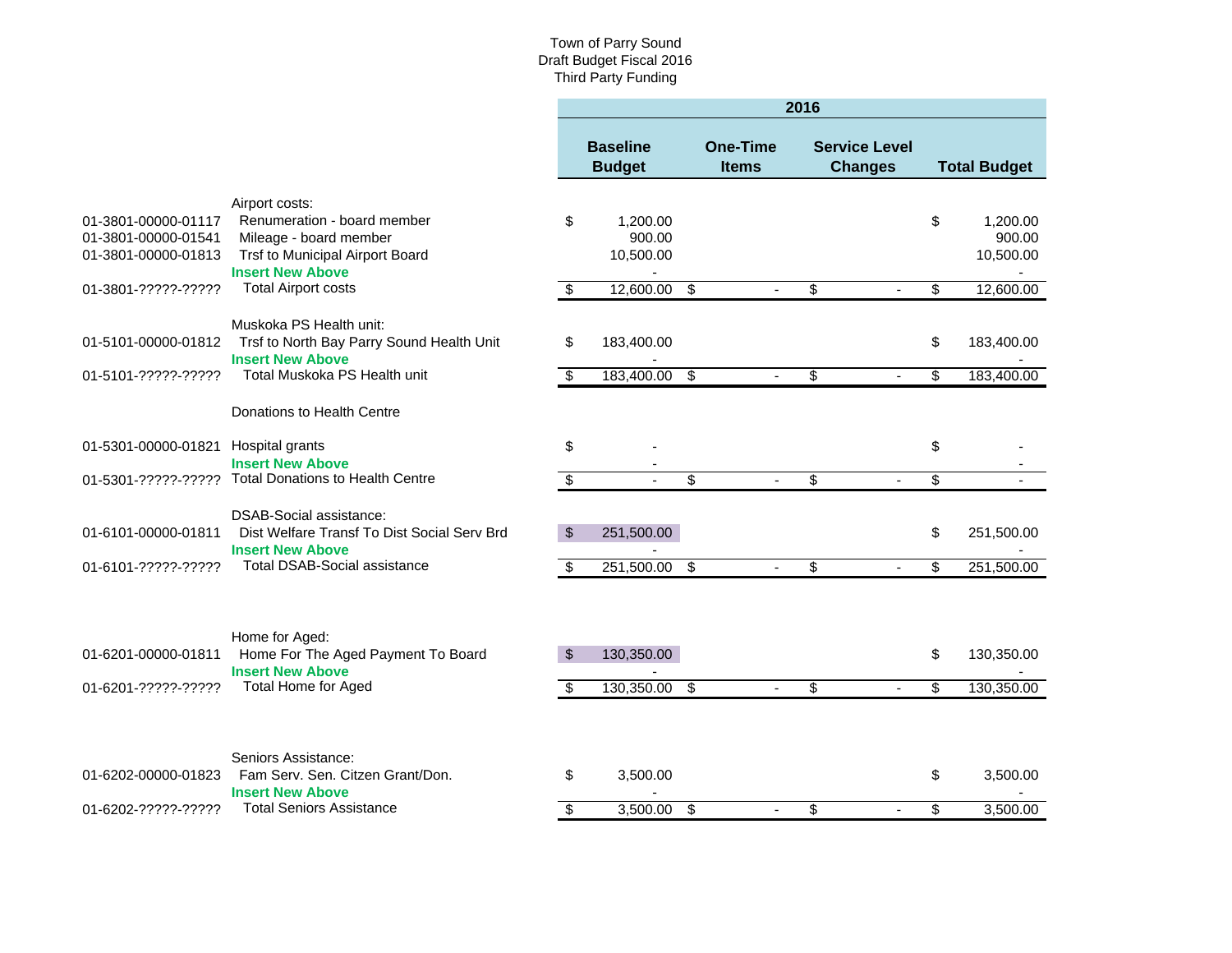#### Town of Parry Sound Draft Budget Fiscal 2016 Third Party Funding

|                                                                   |                                                                                                               | 2016                 |                                  |                                  |                                 |                 |                                        |          |                                 |
|-------------------------------------------------------------------|---------------------------------------------------------------------------------------------------------------|----------------------|----------------------------------|----------------------------------|---------------------------------|-----------------|----------------------------------------|----------|---------------------------------|
|                                                                   |                                                                                                               |                      | <b>Baseline</b><br><b>Budget</b> |                                  | <b>One-Time</b><br><b>Items</b> |                 | <b>Service Level</b><br><b>Changes</b> |          | <b>Total Budget</b>             |
|                                                                   | Airport costs:                                                                                                |                      |                                  |                                  |                                 |                 |                                        |          |                                 |
| 01-3801-00000-01117<br>01-3801-00000-01541<br>01-3801-00000-01813 | Renumeration - board member<br>Mileage - board member<br>Trsf to Municipal Airport Board                      | \$                   | 1,200.00<br>900.00<br>10,500.00  |                                  |                                 |                 |                                        | \$       | 1,200.00<br>900.00<br>10,500.00 |
| 01-3801-?????-?????                                               | <b>Insert New Above</b><br><b>Total Airport costs</b>                                                         | \$                   | $\blacksquare$<br>12,600.00      | $\overline{\boldsymbol{\theta}}$ |                                 | \$              |                                        | \$       | 12,600.00                       |
|                                                                   |                                                                                                               |                      |                                  |                                  |                                 |                 |                                        |          |                                 |
| 01-5101-00000-01812                                               | Muskoka PS Health unit:<br>Trsf to North Bay Parry Sound Health Unit<br><b>Insert New Above</b>               | \$                   | 183,400.00                       |                                  |                                 |                 |                                        | \$       | 183,400.00                      |
| 01-5101-?????-?????                                               | Total Muskoka PS Health unit                                                                                  | \$                   | 183,400.00                       | \$                               |                                 | \$              |                                        | \$       | 183,400.00                      |
|                                                                   | Donations to Health Centre                                                                                    |                      |                                  |                                  |                                 |                 |                                        |          |                                 |
| 01-5301-00000-01821                                               | Hospital grants                                                                                               | \$                   |                                  |                                  |                                 |                 |                                        | \$       |                                 |
|                                                                   | <b>Insert New Above</b><br>01-5301-?????-????? Total Donations to Health Centre                               | s)                   |                                  | S                                |                                 | $\overline{\$}$ |                                        | \$       |                                 |
|                                                                   |                                                                                                               |                      |                                  |                                  |                                 |                 |                                        |          |                                 |
| 01-6101-00000-01811                                               | DSAB-Social assistance:<br>Dist Welfare Transf To Dist Social Serv Brd<br><b>Insert New Above</b>             | \$                   | 251,500.00                       |                                  |                                 |                 |                                        | \$       | 251,500.00                      |
| 01-6101-?????-?????                                               | <b>Total DSAB-Social assistance</b>                                                                           | \$                   | 251,500.00                       | $\overline{\mathcal{S}}$         |                                 | \$              |                                        | \$       | 251,500.00                      |
| 01-6201-00000-01811<br>01-6201-?????-?????                        | Home for Aged:<br>Home For The Aged Payment To Board<br><b>Insert New Above</b><br><b>Total Home for Aged</b> | $\mathfrak{L}$<br>\$ | 130,350.00<br>130,350.00         | \$                               | $\sim$                          | \$              | $\sim$                                 | \$<br>\$ | 130,350.00<br>130,350.00        |
|                                                                   |                                                                                                               |                      |                                  |                                  |                                 |                 |                                        |          |                                 |
| 01-6202-00000-01823                                               | Seniors Assistance:<br>Fam Serv. Sen. Citzen Grant/Don.<br><b>Insert New Above</b>                            | \$                   | 3,500.00                         |                                  |                                 |                 |                                        | \$       | 3,500.00                        |
| 01-6202-?????-?????                                               | <b>Total Seniors Assistance</b>                                                                               | \$                   | 3,500.00                         | \$                               |                                 | \$              |                                        | \$       | 3,500.00                        |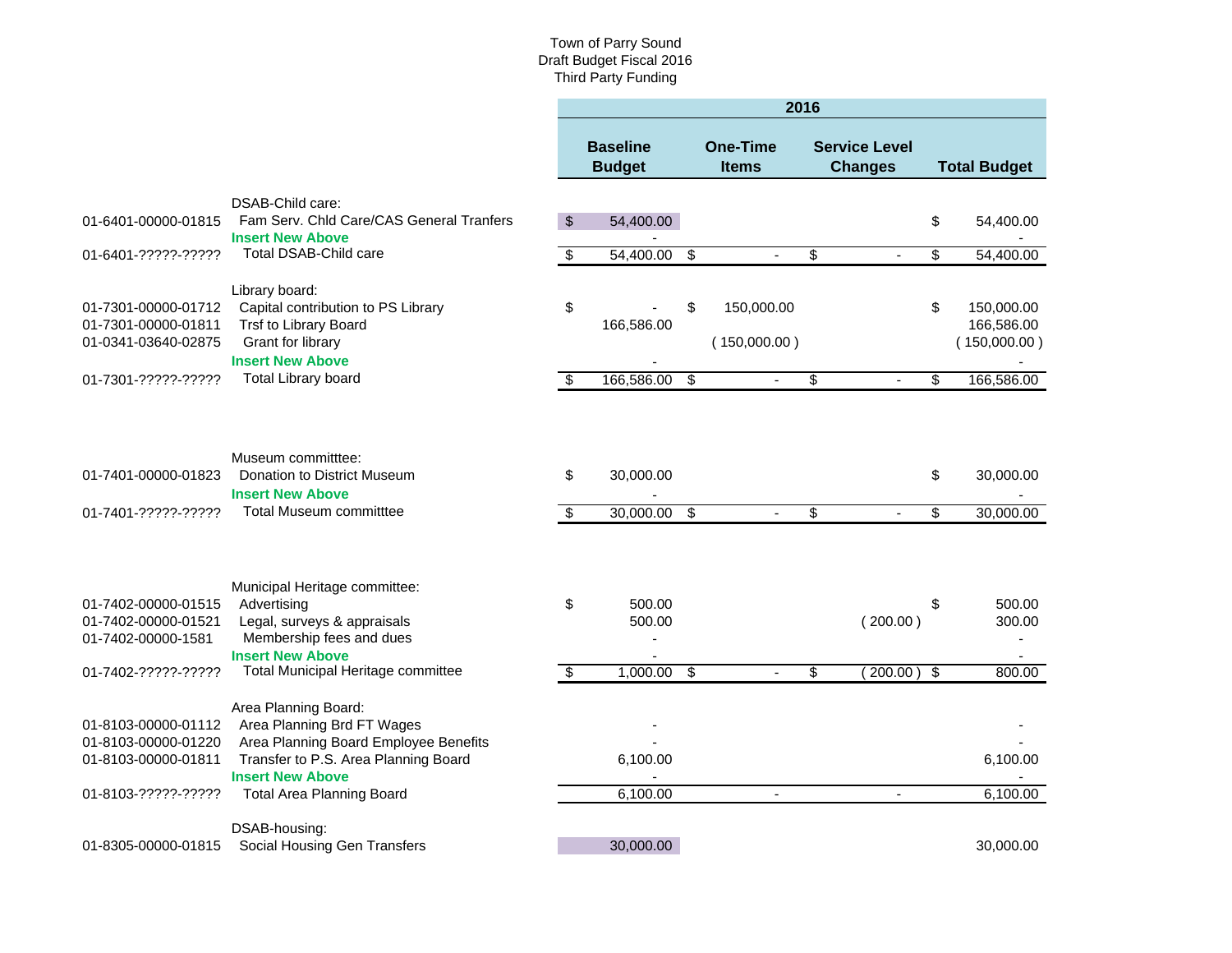#### Town of Parry Sound Draft Budget Fiscal 2016 Third Party Funding

|                                            |                                                                 | 2016                     |                                  |                          |                                 |                          |                                        |    |                            |
|--------------------------------------------|-----------------------------------------------------------------|--------------------------|----------------------------------|--------------------------|---------------------------------|--------------------------|----------------------------------------|----|----------------------------|
|                                            |                                                                 |                          | <b>Baseline</b><br><b>Budget</b> |                          | <b>One-Time</b><br><b>Items</b> |                          | <b>Service Level</b><br><b>Changes</b> |    | <b>Total Budget</b>        |
|                                            | DSAB-Child care:                                                |                          |                                  |                          |                                 |                          |                                        |    |                            |
| 01-6401-00000-01815                        | Fam Serv. Chld Care/CAS General Tranfers                        | $\sqrt[3]{2}$            | 54,400.00                        |                          |                                 |                          |                                        | \$ | 54,400.00                  |
| 01-6401-?????-?????                        | <b>Insert New Above</b><br><b>Total DSAB-Child care</b>         | $\sqrt{3}$               | 54,400.00                        | $\overline{\mathcal{S}}$ | $\blacksquare$                  | \$                       |                                        | \$ | 54,400.00                  |
|                                            | Library board:                                                  |                          |                                  |                          |                                 |                          |                                        |    |                            |
| 01-7301-00000-01712                        | Capital contribution to PS Library                              | \$                       |                                  | \$                       | 150,000.00                      |                          |                                        | \$ | 150,000.00                 |
| 01-7301-00000-01811<br>01-0341-03640-02875 | Trsf to Library Board<br>Grant for library                      |                          | 166,586.00                       |                          | (150,000.00)                    |                          |                                        |    | 166,586.00<br>(150,000.00) |
|                                            | <b>Insert New Above</b>                                         |                          |                                  |                          |                                 |                          |                                        |    |                            |
| 01-7301-?????-?????                        | <b>Total Library board</b>                                      | $\overline{\mathcal{S}}$ | 166,586.00                       | $\overline{\mathcal{S}}$ | $\blacksquare$                  | $\overline{\mathcal{G}}$ |                                        | \$ | 166,586.00                 |
|                                            |                                                                 |                          |                                  |                          |                                 |                          |                                        |    |                            |
|                                            | Museum committtee:                                              |                          |                                  |                          |                                 |                          |                                        |    |                            |
| 01-7401-00000-01823                        | Donation to District Museum<br><b>Insert New Above</b>          | \$                       | 30,000.00                        |                          |                                 |                          |                                        | \$ | 30,000.00                  |
| 01-7401-?????-?????                        | <b>Total Museum committtee</b>                                  | $\overline{\mathcal{G}}$ | 30,000.00                        | \$                       |                                 | \$                       |                                        | \$ | 30,000.00                  |
|                                            |                                                                 |                          |                                  |                          |                                 |                          |                                        |    |                            |
|                                            | Municipal Heritage committee:                                   |                          |                                  |                          |                                 |                          |                                        |    |                            |
| 01-7402-00000-01515                        | Advertising                                                     | \$                       | 500.00                           |                          |                                 |                          |                                        | \$ | 500.00                     |
| 01-7402-00000-01521<br>01-7402-00000-1581  | Legal, surveys & appraisals<br>Membership fees and dues         |                          | 500.00<br>÷,                     |                          |                                 |                          | (200.00)                               |    | 300.00                     |
| 01-7402-?????-?????                        | <b>Insert New Above</b><br>Total Municipal Heritage committee   | $\overline{\mathcal{L}}$ | 1,000.00                         | $\overline{\$}$          |                                 | \$                       | (200.00)                               | \$ | 800.00                     |
|                                            |                                                                 |                          |                                  |                          |                                 |                          |                                        |    |                            |
| 01-8103-00000-01112                        | Area Planning Board:<br>Area Planning Brd FT Wages              |                          |                                  |                          |                                 |                          |                                        |    |                            |
| 01-8103-00000-01220                        | Area Planning Board Employee Benefits                           |                          |                                  |                          |                                 |                          |                                        |    |                            |
| 01-8103-00000-01811                        | Transfer to P.S. Area Planning Board<br><b>Insert New Above</b> |                          | 6,100.00                         |                          |                                 |                          |                                        |    | 6,100.00                   |
| 01-8103-?????-?????                        | <b>Total Area Planning Board</b>                                |                          | 6,100.00                         |                          | $\blacksquare$                  |                          |                                        |    | 6,100.00                   |
|                                            | DSAB-housing:                                                   |                          |                                  |                          |                                 |                          |                                        |    |                            |
| 01-8305-00000-01815                        | Social Housing Gen Transfers                                    |                          | 30,000.00                        |                          |                                 |                          |                                        |    | 30,000.00                  |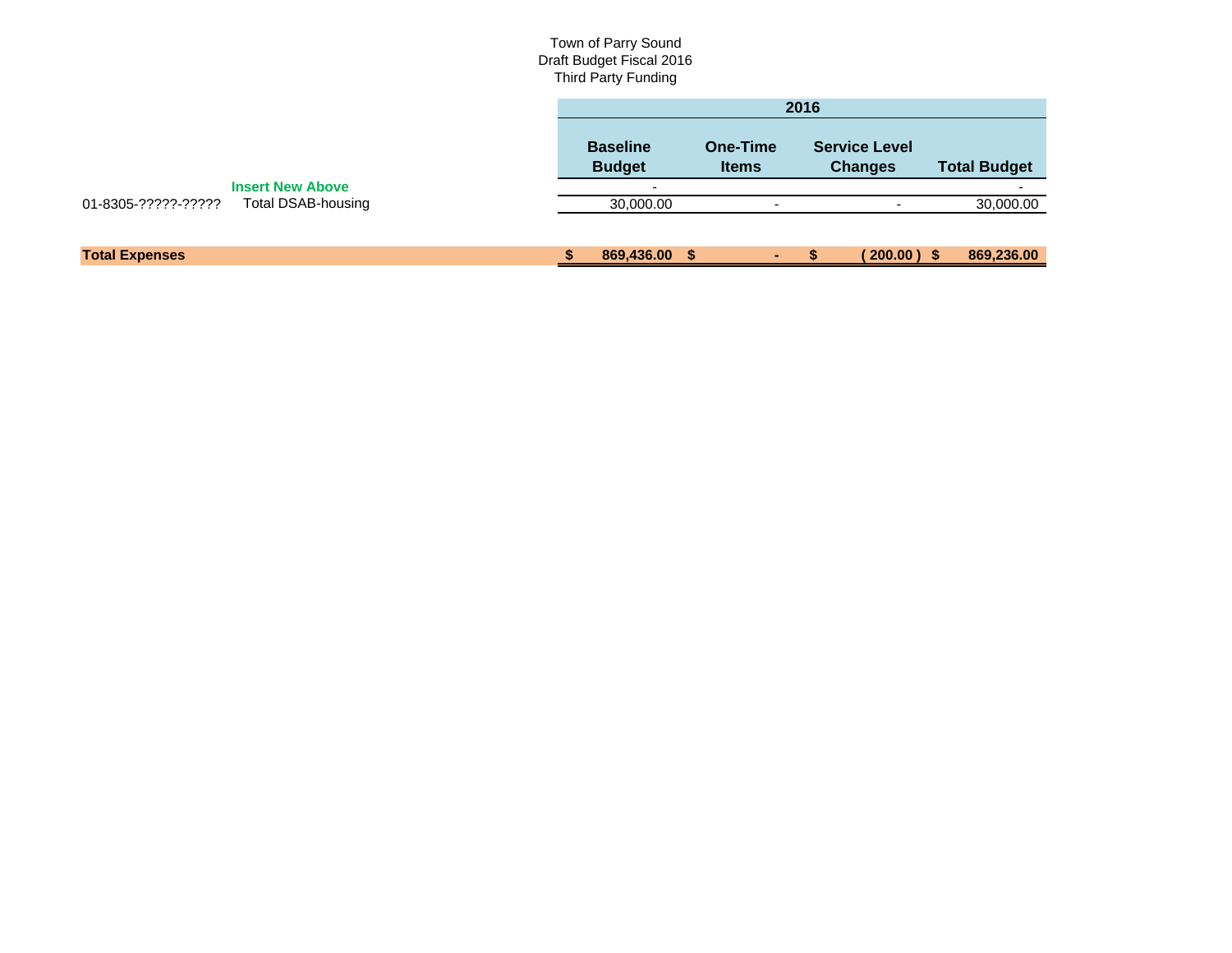#### Town of Parry Sound Draft Budget Fiscal 2016 Third Party Funding

|                                                  |                                  |                          | 2016                                   |                     |
|--------------------------------------------------|----------------------------------|--------------------------|----------------------------------------|---------------------|
|                                                  | <b>Baseline</b><br><b>Budget</b> | One-Time<br><b>Items</b> | <b>Service Level</b><br><b>Changes</b> | <b>Total Budget</b> |
| <b>Insert New Above</b>                          |                                  |                          |                                        |                     |
| 01-8305-?????-?????<br><b>Total DSAB-housing</b> | 30,000.00                        | $\overline{\phantom{a}}$ |                                        | 30,000.00           |
|                                                  |                                  |                          |                                        |                     |
| <b>Total Expenses</b>                            | 869,436.00 \$                    | ٠.                       | $200.00$ ) \$                          | 869,236.00          |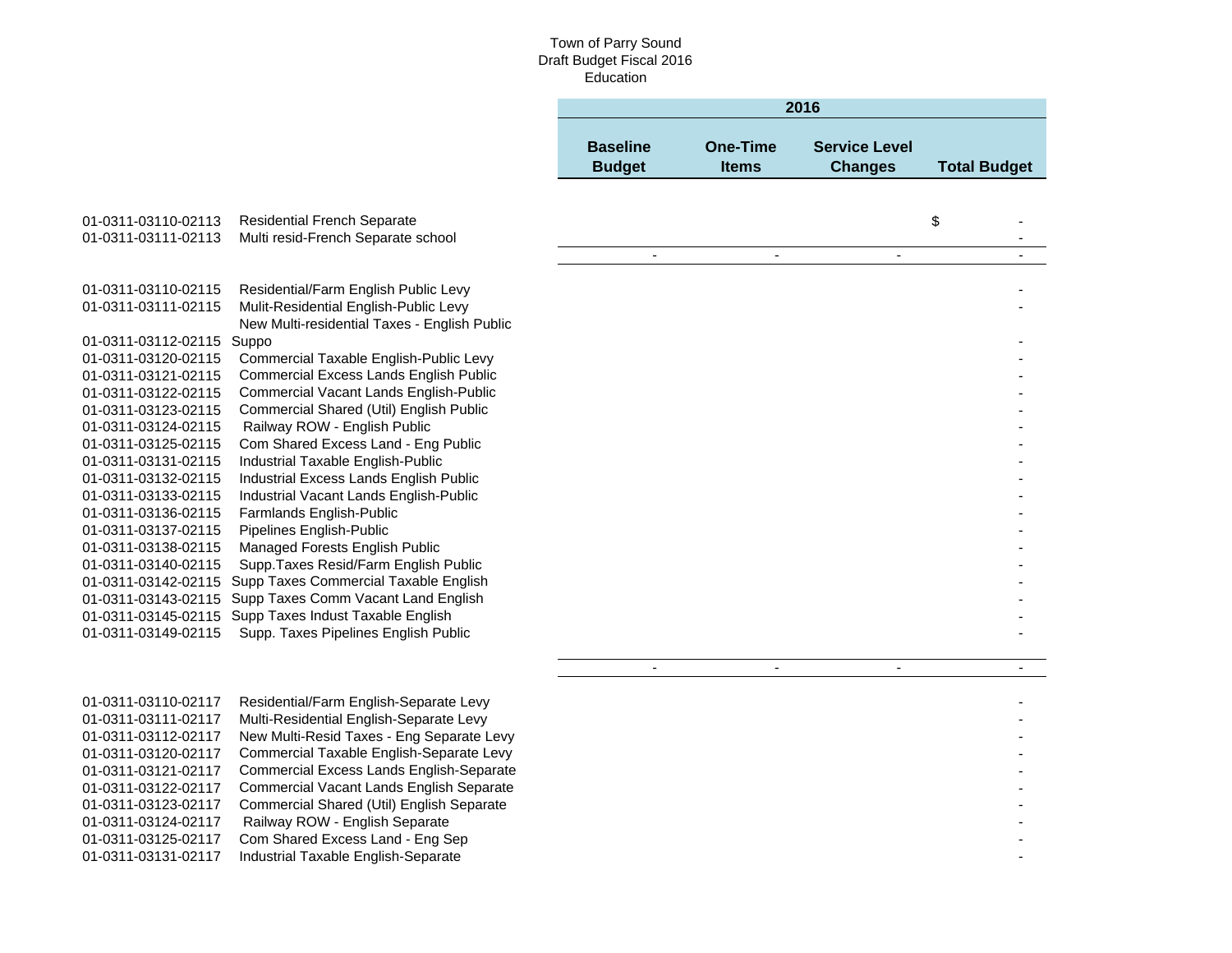## Town of Parry Sound Draft Budget Fiscal 2016 Education

|                                            |                                                                                   |                                  |                                 | 2016                                   |                     |
|--------------------------------------------|-----------------------------------------------------------------------------------|----------------------------------|---------------------------------|----------------------------------------|---------------------|
|                                            |                                                                                   | <b>Baseline</b><br><b>Budget</b> | <b>One-Time</b><br><b>Items</b> | <b>Service Level</b><br><b>Changes</b> | <b>Total Budget</b> |
|                                            |                                                                                   |                                  |                                 |                                        |                     |
| 01-0311-03110-02113                        | <b>Residential French Separate</b>                                                |                                  |                                 |                                        | \$                  |
| 01-0311-03111-02113                        | Multi resid-French Separate school                                                |                                  |                                 |                                        |                     |
|                                            |                                                                                   | $\blacksquare$                   | $\blacksquare$                  | $\sim$                                 | $\sim$              |
| 01-0311-03110-02115                        | Residential/Farm English Public Levy                                              |                                  |                                 |                                        |                     |
| 01-0311-03111-02115                        | Mulit-Residential English-Public Levy                                             |                                  |                                 |                                        |                     |
| 01-0311-03112-02115 Suppo                  | New Multi-residential Taxes - English Public                                      |                                  |                                 |                                        |                     |
| 01-0311-03120-02115                        | Commercial Taxable English-Public Levy                                            |                                  |                                 |                                        |                     |
| 01-0311-03121-02115                        | <b>Commercial Excess Lands English Public</b>                                     |                                  |                                 |                                        |                     |
| 01-0311-03122-02115                        | Commercial Vacant Lands English-Public                                            |                                  |                                 |                                        |                     |
| 01-0311-03123-02115                        | Commercial Shared (Util) English Public                                           |                                  |                                 |                                        |                     |
| 01-0311-03124-02115                        | Railway ROW - English Public                                                      |                                  |                                 |                                        |                     |
| 01-0311-03125-02115                        | Com Shared Excess Land - Eng Public                                               |                                  |                                 |                                        |                     |
| 01-0311-03131-02115                        | Industrial Taxable English-Public                                                 |                                  |                                 |                                        |                     |
| 01-0311-03132-02115                        | Industrial Excess Lands English Public<br>Industrial Vacant Lands English-Public  |                                  |                                 |                                        |                     |
| 01-0311-03133-02115<br>01-0311-03136-02115 | Farmlands English-Public                                                          |                                  |                                 |                                        |                     |
| 01-0311-03137-02115                        | Pipelines English-Public                                                          |                                  |                                 |                                        |                     |
| 01-0311-03138-02115                        | Managed Forests English Public                                                    |                                  |                                 |                                        |                     |
| 01-0311-03140-02115                        | Supp. Taxes Resid/Farm English Public                                             |                                  |                                 |                                        |                     |
| 01-0311-03142-02115                        | Supp Taxes Commercial Taxable English                                             |                                  |                                 |                                        |                     |
| 01-0311-03143-02115                        | Supp Taxes Comm Vacant Land English                                               |                                  |                                 |                                        |                     |
|                                            | 01-0311-03145-02115 Supp Taxes Indust Taxable English                             |                                  |                                 |                                        |                     |
| 01-0311-03149-02115                        | Supp. Taxes Pipelines English Public                                              |                                  |                                 |                                        |                     |
|                                            |                                                                                   | $\blacksquare$                   | $\overline{a}$                  | $\blacksquare$                         |                     |
|                                            |                                                                                   |                                  |                                 |                                        |                     |
| 01-0311-03110-02117<br>01-0311-03111-02117 | Residential/Farm English-Separate Levy<br>Multi-Residential English-Separate Levy |                                  |                                 |                                        |                     |
| 01-0311-03112-02117                        | New Multi-Resid Taxes - Eng Separate Levy                                         |                                  |                                 |                                        |                     |
| 01-0311-03120-02117                        | Commercial Taxable English-Separate Levy                                          |                                  |                                 |                                        |                     |
| 01-0311-03121-02117                        | Commercial Excess Lands English-Separate                                          |                                  |                                 |                                        |                     |
| 01-0311-03122-02117                        | Commercial Vacant Lands English Separate                                          |                                  |                                 |                                        |                     |
| 01-0311-03123-02117                        | Commercial Shared (Util) English Separate                                         |                                  |                                 |                                        |                     |
| 01-0311-03124-02117                        | Railway ROW - English Separate                                                    |                                  |                                 |                                        |                     |
| 01-0311-03125-02117                        | Com Shared Excess Land - Eng Sep                                                  |                                  |                                 |                                        |                     |
| 01-0311-03131-02117                        | Industrial Taxable English-Separate                                               |                                  |                                 |                                        |                     |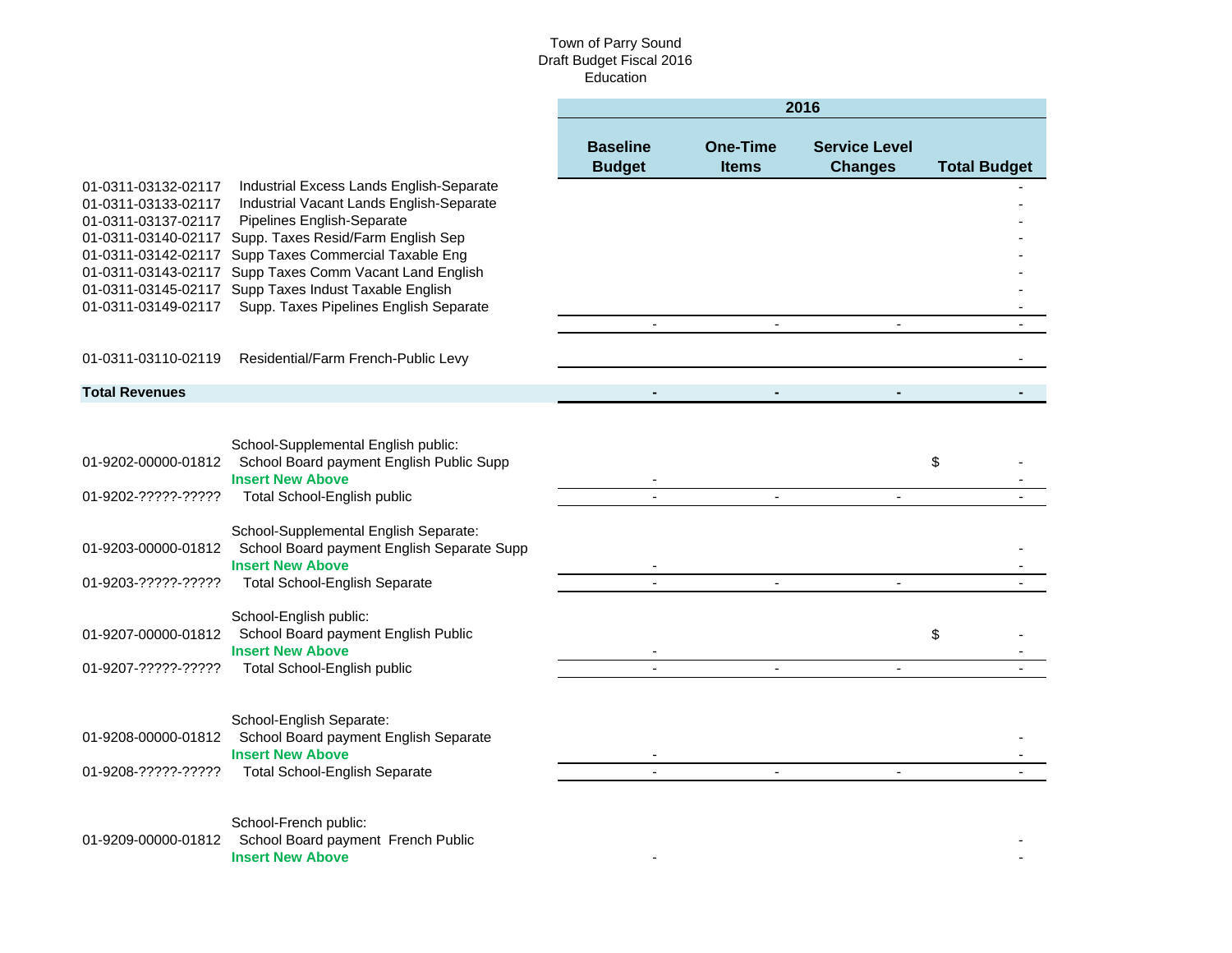#### Town of Parry Sound Draft Budget Fiscal 2016 Education

|                                                                   |                                                                                                                                                                                             | 2016                             |                                 |                                        |                     |  |  |  |
|-------------------------------------------------------------------|---------------------------------------------------------------------------------------------------------------------------------------------------------------------------------------------|----------------------------------|---------------------------------|----------------------------------------|---------------------|--|--|--|
|                                                                   |                                                                                                                                                                                             | <b>Baseline</b><br><b>Budget</b> | <b>One-Time</b><br><b>Items</b> | <b>Service Level</b><br><b>Changes</b> | <b>Total Budget</b> |  |  |  |
| 01-0311-03132-02117<br>01-0311-03133-02117<br>01-0311-03137-02117 | Industrial Excess Lands English-Separate<br>Industrial Vacant Lands English-Separate<br>Pipelines English-Separate                                                                          |                                  |                                 |                                        |                     |  |  |  |
| 01-0311-03142-02117<br>01-0311-03143-02117                        | 01-0311-03140-02117 Supp. Taxes Resid/Farm English Sep<br>Supp Taxes Commercial Taxable Eng<br>Supp Taxes Comm Vacant Land English<br>01-0311-03145-02117 Supp Taxes Indust Taxable English |                                  |                                 |                                        |                     |  |  |  |
| 01-0311-03149-02117                                               | Supp. Taxes Pipelines English Separate                                                                                                                                                      |                                  |                                 |                                        |                     |  |  |  |
| 01-0311-03110-02119                                               | Residential/Farm French-Public Levy                                                                                                                                                         |                                  |                                 |                                        |                     |  |  |  |
| <b>Total Revenues</b>                                             |                                                                                                                                                                                             |                                  |                                 |                                        |                     |  |  |  |
|                                                                   |                                                                                                                                                                                             |                                  |                                 |                                        |                     |  |  |  |
| 01-9202-00000-01812                                               | School-Supplemental English public:<br>School Board payment English Public Supp<br><b>Insert New Above</b>                                                                                  |                                  |                                 |                                        | \$                  |  |  |  |
| 01-9202-?????-?????                                               | Total School-English public                                                                                                                                                                 |                                  |                                 |                                        |                     |  |  |  |
| 01-9203-00000-01812                                               | School-Supplemental English Separate:<br>School Board payment English Separate Supp<br><b>Insert New Above</b>                                                                              |                                  |                                 |                                        |                     |  |  |  |
| 01-9203-?????-?????                                               | <b>Total School-English Separate</b>                                                                                                                                                        |                                  | $\sim$                          | $\blacksquare$                         |                     |  |  |  |
| 01-9207-00000-01812                                               | School-English public:<br>School Board payment English Public<br><b>Insert New Above</b>                                                                                                    |                                  |                                 |                                        | \$                  |  |  |  |
| 01-9207-?????-?????                                               | Total School-English public                                                                                                                                                                 |                                  | $\blacksquare$                  |                                        |                     |  |  |  |
|                                                                   | School-English Separate:                                                                                                                                                                    |                                  |                                 |                                        |                     |  |  |  |
| 01-9208-00000-01812                                               | School Board payment English Separate<br><b>Insert New Above</b>                                                                                                                            |                                  |                                 |                                        |                     |  |  |  |
| 01-9208-?????-?????                                               | <b>Total School-English Separate</b>                                                                                                                                                        |                                  |                                 | $\sim$                                 |                     |  |  |  |
| 01-9209-00000-01812                                               | School-French public:<br>School Board payment French Public<br><b>Insert New Above</b>                                                                                                      |                                  |                                 |                                        |                     |  |  |  |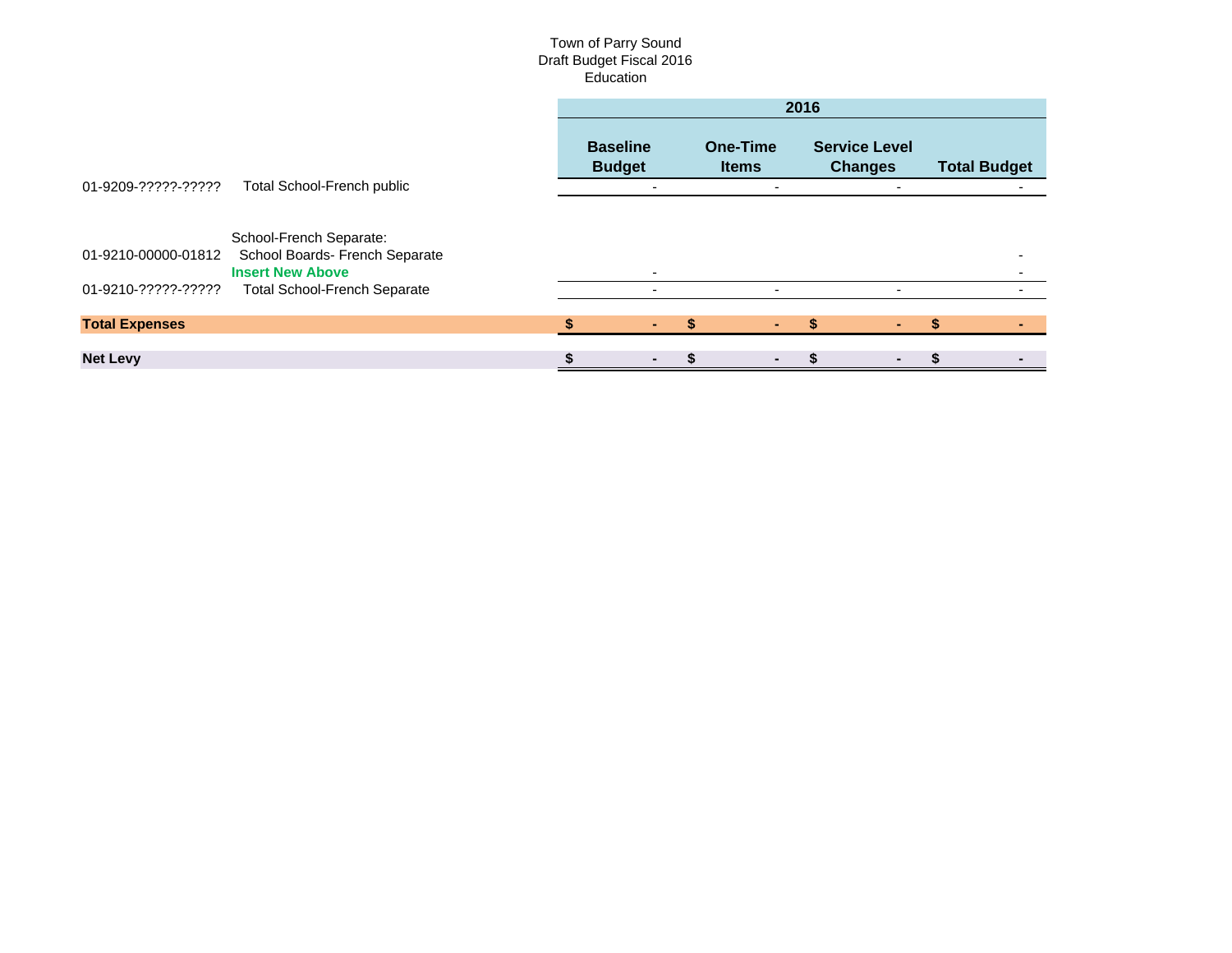#### Town of Parry Sound Draft Budget Fiscal 2016 Education

|                       |                                                                                      | 2016 |                                  |  |                                 |  |                                        |  |                     |  |
|-----------------------|--------------------------------------------------------------------------------------|------|----------------------------------|--|---------------------------------|--|----------------------------------------|--|---------------------|--|
|                       |                                                                                      |      | <b>Baseline</b><br><b>Budget</b> |  | <b>One-Time</b><br><b>Items</b> |  | <b>Service Level</b><br><b>Changes</b> |  | <b>Total Budget</b> |  |
| 01-9209-?????-?????   | <b>Total School-French public</b>                                                    |      | -                                |  | $\overline{\phantom{0}}$        |  | $\overline{\phantom{0}}$               |  |                     |  |
| 01-9210-00000-01812   | School-French Separate:<br>School Boards- French Separate<br><b>Insert New Above</b> |      | ۰                                |  |                                 |  |                                        |  |                     |  |
| 01-9210-?????-?????   | <b>Total School-French Separate</b>                                                  |      | $\overline{\phantom{0}}$         |  |                                 |  |                                        |  |                     |  |
| <b>Total Expenses</b> |                                                                                      |      |                                  |  |                                 |  |                                        |  |                     |  |
| <b>Net Levy</b>       |                                                                                      |      |                                  |  |                                 |  |                                        |  |                     |  |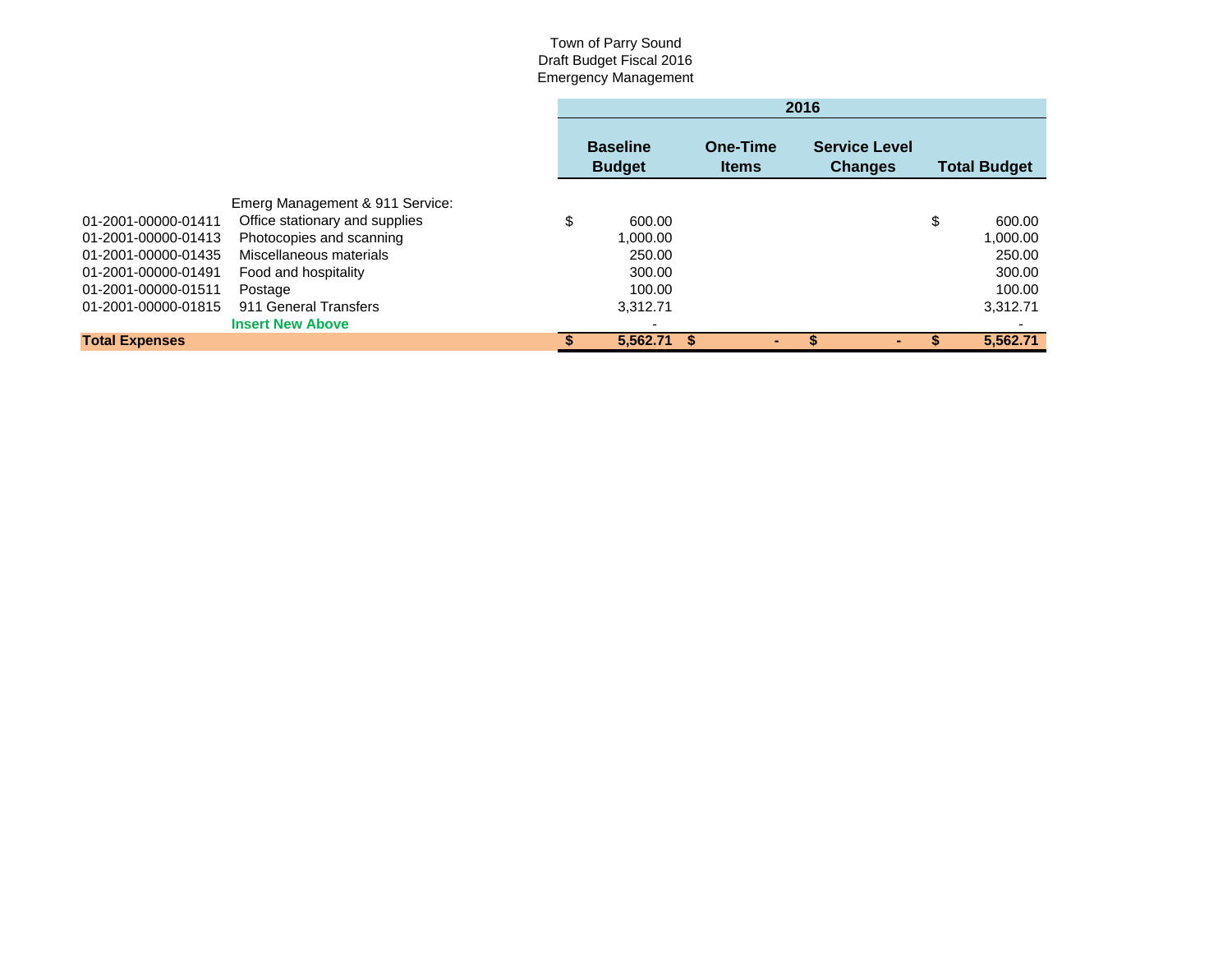#### Town of Parry Sound Draft Budget Fiscal 2016 Emergency Management

|                       |                                 | 2016                             |                          |                                        |    |          |  |  |
|-----------------------|---------------------------------|----------------------------------|--------------------------|----------------------------------------|----|----------|--|--|
|                       |                                 | <b>Baseline</b><br><b>Budget</b> | One-Time<br><b>Items</b> | <b>Service Level</b><br><b>Changes</b> |    |          |  |  |
|                       | Emerg Management & 911 Service: |                                  |                          |                                        |    |          |  |  |
| 01-2001-00000-01411   | Office stationary and supplies  | \$<br>600.00                     |                          |                                        | \$ | 600.00   |  |  |
| 01-2001-00000-01413   | Photocopies and scanning        | 1.000.00                         |                          |                                        |    | 1,000.00 |  |  |
| 01-2001-00000-01435   | Miscellaneous materials         | 250.00                           |                          |                                        |    | 250.00   |  |  |
| 01-2001-00000-01491   | Food and hospitality            | 300.00                           |                          |                                        |    | 300.00   |  |  |
| 01-2001-00000-01511   | Postage                         | 100.00                           |                          |                                        |    | 100.00   |  |  |
| 01-2001-00000-01815   | 911 General Transfers           | 3.312.71                         |                          |                                        |    | 3,312.71 |  |  |
|                       | <b>Insert New Above</b>         |                                  |                          |                                        |    |          |  |  |
| <b>Total Expenses</b> |                                 | 5.562.71                         | -S                       |                                        |    | 5.562.71 |  |  |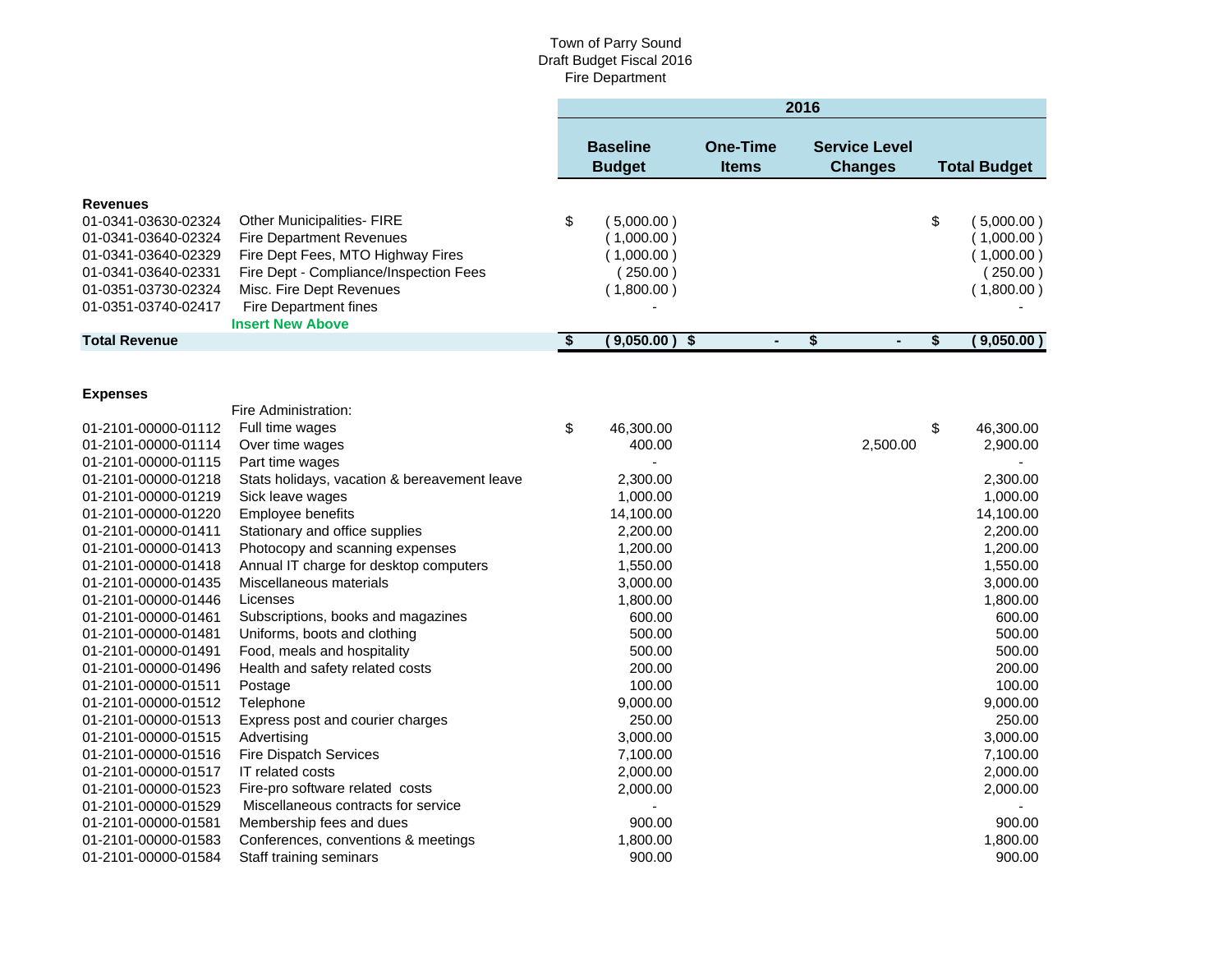|                                                                                                                                                           |                                                                                                                                                                                                                                     |                         |                                                                  |                                 | 2016 |                                        |                                      |                                                                 |  |
|-----------------------------------------------------------------------------------------------------------------------------------------------------------|-------------------------------------------------------------------------------------------------------------------------------------------------------------------------------------------------------------------------------------|-------------------------|------------------------------------------------------------------|---------------------------------|------|----------------------------------------|--------------------------------------|-----------------------------------------------------------------|--|
|                                                                                                                                                           |                                                                                                                                                                                                                                     |                         | <b>Baseline</b><br><b>Budget</b>                                 | <b>One-Time</b><br><b>Items</b> |      | <b>Service Level</b><br><b>Changes</b> | <b>Total Budget</b>                  |                                                                 |  |
| <b>Revenues</b><br>01-0341-03630-02324<br>01-0341-03640-02324<br>01-0341-03640-02329<br>01-0341-03640-02331<br>01-0351-03730-02324<br>01-0351-03740-02417 | <b>Other Municipalities- FIRE</b><br><b>Fire Department Revenues</b><br>Fire Dept Fees, MTO Highway Fires<br>Fire Dept - Compliance/Inspection Fees<br>Misc. Fire Dept Revenues<br>Fire Department fines<br><b>Insert New Above</b> | \$                      | (5,000.00)<br>(1,000.00)<br>(1,000.00)<br>(250.00)<br>(1,800.00) |                                 |      |                                        | \$                                   | (5,000.00)<br>(1,000.00)<br>(1,000.00)<br>250.00)<br>(1,800.00) |  |
| <b>Total Revenue</b>                                                                                                                                      |                                                                                                                                                                                                                                     | $\overline{\mathbf{S}}$ | (9,050.00)<br>$\boldsymbol{\$}$                                  | $\blacksquare$                  | \$   | $\blacksquare$                         | $\overline{\boldsymbol{\mathsf{s}}}$ | (9,050.00)                                                      |  |
| <b>Expenses</b>                                                                                                                                           | Fire Administration:                                                                                                                                                                                                                |                         |                                                                  |                                 |      |                                        |                                      |                                                                 |  |
| 01-2101-00000-01112<br>01-2101-00000-01114                                                                                                                | Full time wages<br>Over time wages                                                                                                                                                                                                  | \$                      | 46,300.00<br>400.00                                              |                                 |      | 2,500.00                               | \$                                   | 46,300.00<br>2,900.00                                           |  |
| 01-2101-00000-01115<br>01-2101-00000-01218<br>01-2101-00000-01219                                                                                         | Part time wages<br>Stats holidays, vacation & bereavement leave<br>Sick leave wages                                                                                                                                                 |                         | 2,300.00<br>1,000.00                                             |                                 |      |                                        |                                      | 2,300.00<br>1,000.00                                            |  |
| 01-2101-00000-01220<br>01-2101-00000-01411<br>01-2101-00000-01413                                                                                         | Employee benefits<br>Stationary and office supplies<br>Photocopy and scanning expenses                                                                                                                                              |                         | 14,100.00<br>2,200.00<br>1,200.00                                |                                 |      |                                        |                                      | 14,100.00<br>2,200.00<br>1,200.00                               |  |
| 01-2101-00000-01418<br>01-2101-00000-01435<br>01-2101-00000-01446                                                                                         | Annual IT charge for desktop computers<br>Miscellaneous materials<br>Licenses                                                                                                                                                       |                         | 1,550.00<br>3,000.00<br>1,800.00                                 |                                 |      |                                        |                                      | 1,550.00<br>3,000.00<br>1,800.00                                |  |
| 01-2101-00000-01461<br>01-2101-00000-01481                                                                                                                | Subscriptions, books and magazines<br>Uniforms, boots and clothing                                                                                                                                                                  |                         | 600.00<br>500.00                                                 |                                 |      |                                        |                                      | 600.00<br>500.00                                                |  |
| 01-2101-00000-01491<br>01-2101-00000-01496<br>01-2101-00000-01511                                                                                         | Food, meals and hospitality<br>Health and safety related costs<br>Postage                                                                                                                                                           |                         | 500.00<br>200.00<br>100.00                                       |                                 |      |                                        |                                      | 500.00<br>200.00<br>100.00                                      |  |
| 01-2101-00000-01512<br>01-2101-00000-01513                                                                                                                | Telephone<br>Express post and courier charges                                                                                                                                                                                       |                         | 9,000.00<br>250.00                                               |                                 |      |                                        |                                      | 9,000.00<br>250.00                                              |  |
| 01-2101-00000-01515<br>01-2101-00000-01516<br>01-2101-00000-01517                                                                                         | Advertising<br><b>Fire Dispatch Services</b><br>IT related costs                                                                                                                                                                    |                         | 3,000.00<br>7,100.00<br>2,000.00                                 |                                 |      |                                        |                                      | 3,000.00<br>7,100.00<br>2,000.00                                |  |
| 01-2101-00000-01523<br>01-2101-00000-01529<br>01-2101-00000-01581                                                                                         | Fire-pro software related costs<br>Miscellaneous contracts for service<br>Membership fees and dues                                                                                                                                  |                         | 2,000.00<br>900.00                                               |                                 |      |                                        |                                      | 2,000.00<br>900.00                                              |  |
| 01-2101-00000-01583<br>01-2101-00000-01584                                                                                                                | Conferences, conventions & meetings<br>Staff training seminars                                                                                                                                                                      |                         | 1,800.00<br>900.00                                               |                                 |      |                                        |                                      | 1,800.00<br>900.00                                              |  |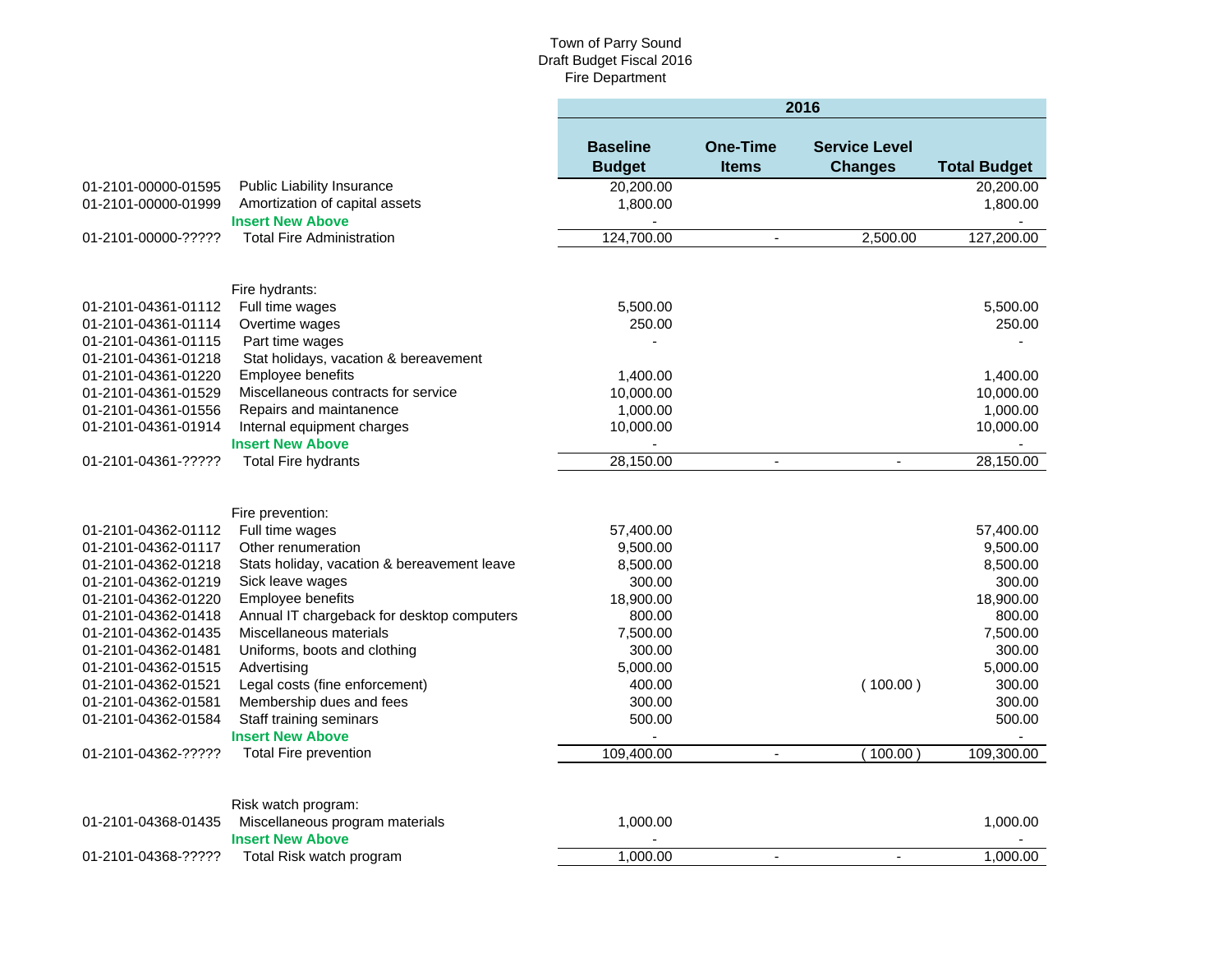|                     |                                                        | 2016                             |                                 |                                        |                     |  |  |  |  |
|---------------------|--------------------------------------------------------|----------------------------------|---------------------------------|----------------------------------------|---------------------|--|--|--|--|
|                     |                                                        | <b>Baseline</b><br><b>Budget</b> | <b>One-Time</b><br><b>Items</b> | <b>Service Level</b><br><b>Changes</b> | <b>Total Budget</b> |  |  |  |  |
| 01-2101-00000-01595 | Public Liability Insurance                             | 20,200.00                        |                                 |                                        | 20,200.00           |  |  |  |  |
| 01-2101-00000-01999 | Amortization of capital assets                         | 1,800.00                         |                                 |                                        | 1,800.00            |  |  |  |  |
|                     | <b>Insert New Above</b>                                |                                  |                                 |                                        |                     |  |  |  |  |
| 01-2101-00000-????? | <b>Total Fire Administration</b>                       | 124,700.00                       | $\blacksquare$                  | 2,500.00                               | 127,200.00          |  |  |  |  |
|                     |                                                        |                                  |                                 |                                        |                     |  |  |  |  |
|                     | Fire hydrants:                                         |                                  |                                 |                                        |                     |  |  |  |  |
| 01-2101-04361-01112 | Full time wages                                        | 5,500.00                         |                                 |                                        | 5,500.00            |  |  |  |  |
| 01-2101-04361-01114 | Overtime wages                                         | 250.00                           |                                 |                                        | 250.00              |  |  |  |  |
| 01-2101-04361-01115 | Part time wages                                        |                                  |                                 |                                        |                     |  |  |  |  |
| 01-2101-04361-01218 | Stat holidays, vacation & bereavement                  |                                  |                                 |                                        |                     |  |  |  |  |
| 01-2101-04361-01220 | Employee benefits                                      | 1,400.00                         |                                 |                                        | 1,400.00            |  |  |  |  |
| 01-2101-04361-01529 | Miscellaneous contracts for service                    | 10,000.00                        |                                 |                                        | 10,000.00           |  |  |  |  |
| 01-2101-04361-01556 | Repairs and maintanence                                | 1,000.00                         |                                 |                                        | 1,000.00            |  |  |  |  |
| 01-2101-04361-01914 | Internal equipment charges                             | 10,000.00                        |                                 |                                        | 10,000.00           |  |  |  |  |
|                     | <b>Insert New Above</b>                                |                                  |                                 |                                        |                     |  |  |  |  |
| 01-2101-04361-????? | <b>Total Fire hydrants</b>                             | 28,150.00                        | $\blacksquare$                  | $\blacksquare$                         | 28,150.00           |  |  |  |  |
|                     |                                                        |                                  |                                 |                                        |                     |  |  |  |  |
|                     | Fire prevention:                                       |                                  |                                 |                                        |                     |  |  |  |  |
| 01-2101-04362-01112 | Full time wages                                        | 57,400.00                        |                                 |                                        | 57,400.00           |  |  |  |  |
| 01-2101-04362-01117 | Other renumeration                                     | 9,500.00                         |                                 |                                        | 9,500.00            |  |  |  |  |
| 01-2101-04362-01218 | Stats holiday, vacation & bereavement leave            | 8,500.00                         |                                 |                                        | 8,500.00            |  |  |  |  |
| 01-2101-04362-01219 | Sick leave wages                                       | 300.00                           |                                 |                                        | 300.00              |  |  |  |  |
| 01-2101-04362-01220 | Employee benefits                                      | 18,900.00                        |                                 |                                        | 18,900.00           |  |  |  |  |
| 01-2101-04362-01418 | Annual IT chargeback for desktop computers             | 800.00                           |                                 |                                        | 800.00              |  |  |  |  |
| 01-2101-04362-01435 | Miscellaneous materials                                | 7,500.00                         |                                 |                                        | 7,500.00            |  |  |  |  |
| 01-2101-04362-01481 | Uniforms, boots and clothing                           | 300.00                           |                                 |                                        | 300.00              |  |  |  |  |
| 01-2101-04362-01515 | Advertising                                            | 5,000.00                         |                                 |                                        | 5,000.00            |  |  |  |  |
| 01-2101-04362-01521 | Legal costs (fine enforcement)                         | 400.00                           |                                 | (100.00)                               | 300.00              |  |  |  |  |
| 01-2101-04362-01581 | Membership dues and fees                               | 300.00                           |                                 |                                        | 300.00              |  |  |  |  |
| 01-2101-04362-01584 | Staff training seminars                                | 500.00                           |                                 |                                        | 500.00              |  |  |  |  |
|                     | <b>Insert New Above</b>                                |                                  |                                 |                                        |                     |  |  |  |  |
| 01-2101-04362-????? | <b>Total Fire prevention</b>                           | 109,400.00                       | $\blacksquare$                  | (100.00)                               | 109,300.00          |  |  |  |  |
|                     |                                                        |                                  |                                 |                                        |                     |  |  |  |  |
| 01-2101-04368-01435 | Risk watch program:<br>Miscellaneous program materials | 1,000.00                         |                                 |                                        | 1,000.00            |  |  |  |  |
|                     | <b>Insert New Above</b>                                |                                  |                                 |                                        |                     |  |  |  |  |
| 01-2101-04368-????? | Total Risk watch program                               | 1,000.00                         | $\blacksquare$                  | $\blacksquare$                         | 1,000.00            |  |  |  |  |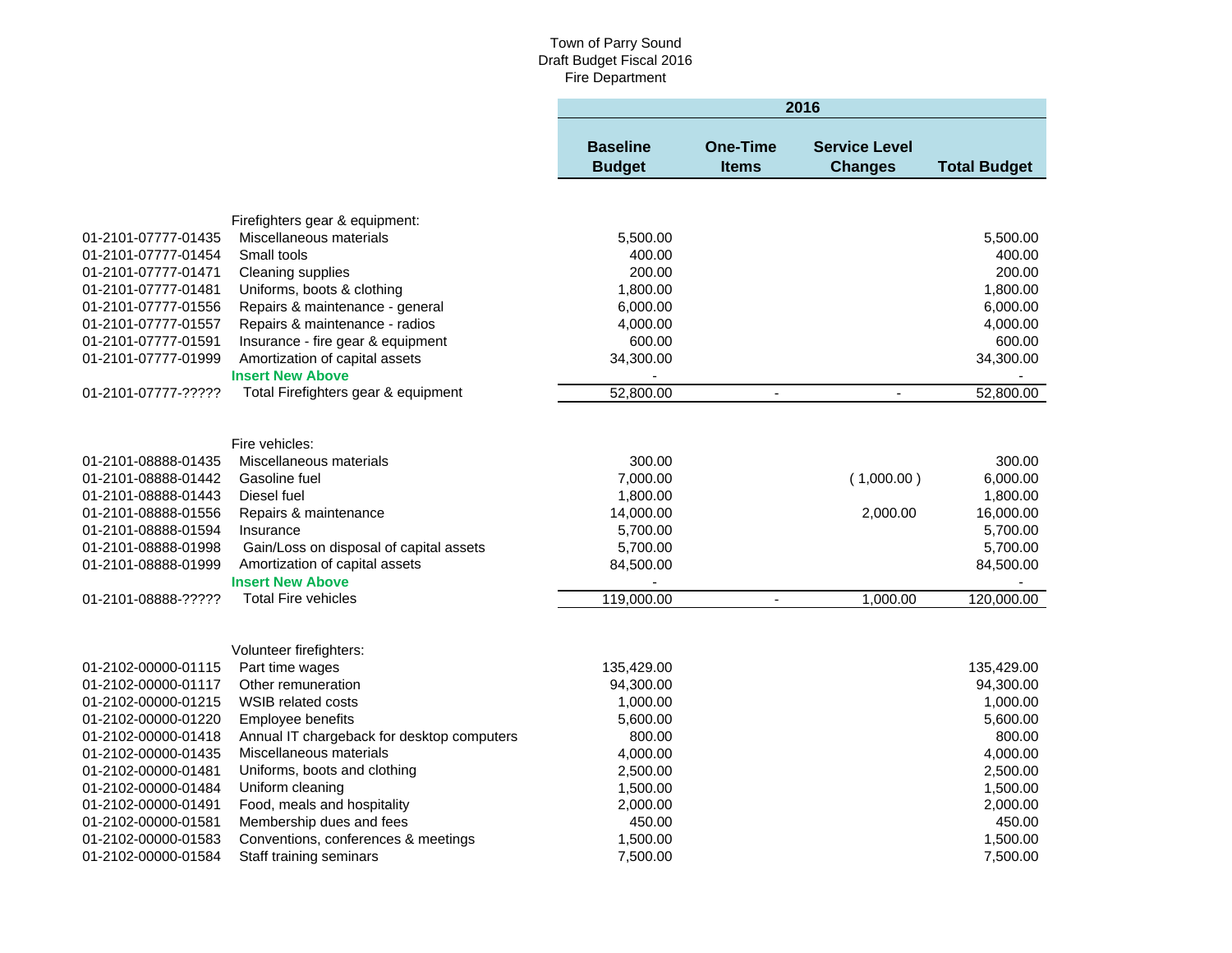|                     |                                            |                                  |                                 | 2016                                   |                         |
|---------------------|--------------------------------------------|----------------------------------|---------------------------------|----------------------------------------|-------------------------|
|                     |                                            | <b>Baseline</b><br><b>Budget</b> | <b>One-Time</b><br><b>Items</b> | <b>Service Level</b><br><b>Changes</b> | <b>Total Budget</b>     |
|                     |                                            |                                  |                                 |                                        |                         |
|                     | Firefighters gear & equipment:             |                                  |                                 |                                        |                         |
| 01-2101-07777-01435 | Miscellaneous materials                    | 5,500.00                         |                                 |                                        | 5,500.00                |
| 01-2101-07777-01454 | Small tools                                | 400.00                           |                                 |                                        | 400.00                  |
| 01-2101-07777-01471 | Cleaning supplies                          | 200.00                           |                                 |                                        | 200.00                  |
| 01-2101-07777-01481 | Uniforms, boots & clothing                 | 1,800.00                         |                                 |                                        | 1,800.00                |
| 01-2101-07777-01556 | Repairs & maintenance - general            | 6,000.00                         |                                 |                                        | 6,000.00                |
| 01-2101-07777-01557 | Repairs & maintenance - radios             | 4,000.00                         |                                 |                                        | 4,000.00                |
| 01-2101-07777-01591 | Insurance - fire gear & equipment          | 600.00                           |                                 |                                        | 600.00                  |
| 01-2101-07777-01999 | Amortization of capital assets             | 34,300.00                        |                                 |                                        | 34,300.00               |
|                     | <b>Insert New Above</b>                    |                                  |                                 |                                        |                         |
| 01-2101-07777-????? | Total Firefighters gear & equipment        | 52,800.00                        | $\blacksquare$                  | $\blacksquare$                         | 52,800.00               |
|                     |                                            |                                  |                                 |                                        |                         |
|                     |                                            |                                  |                                 |                                        |                         |
|                     | Fire vehicles:                             |                                  |                                 |                                        |                         |
| 01-2101-08888-01435 | Miscellaneous materials                    | 300.00                           |                                 |                                        | 300.00                  |
| 01-2101-08888-01442 | Gasoline fuel                              | 7,000.00                         |                                 | (1,000.00)                             | 6,000.00                |
| 01-2101-08888-01443 | Diesel fuel                                | 1,800.00                         |                                 |                                        | 1,800.00                |
| 01-2101-08888-01556 | Repairs & maintenance                      | 14,000.00                        |                                 | 2,000.00                               | 16,000.00               |
| 01-2101-08888-01594 | Insurance                                  | 5,700.00                         |                                 |                                        | 5,700.00                |
| 01-2101-08888-01998 | Gain/Loss on disposal of capital assets    | 5,700.00                         |                                 |                                        | 5,700.00                |
| 01-2101-08888-01999 | Amortization of capital assets             | 84,500.00                        |                                 |                                        | 84,500.00               |
|                     | <b>Insert New Above</b>                    |                                  |                                 |                                        |                         |
| 01-2101-08888-????? | <b>Total Fire vehicles</b>                 | 119,000.00                       | $\blacksquare$                  | 1,000.00                               | 120,000.00              |
|                     |                                            |                                  |                                 |                                        |                         |
|                     |                                            |                                  |                                 |                                        |                         |
| 01-2102-00000-01115 | Volunteer firefighters:<br>Part time wages |                                  |                                 |                                        |                         |
| 01-2102-00000-01117 | Other remuneration                         | 135,429.00<br>94,300.00          |                                 |                                        | 135,429.00<br>94,300.00 |
| 01-2102-00000-01215 | <b>WSIB related costs</b>                  | 1,000.00                         |                                 |                                        | 1,000.00                |
| 01-2102-00000-01220 | Employee benefits                          | 5,600.00                         |                                 |                                        | 5,600.00                |
| 01-2102-00000-01418 | Annual IT chargeback for desktop computers | 800.00                           |                                 |                                        | 800.00                  |
| 01-2102-00000-01435 | Miscellaneous materials                    | 4,000.00                         |                                 |                                        | 4,000.00                |
| 01-2102-00000-01481 | Uniforms, boots and clothing               | 2,500.00                         |                                 |                                        | 2,500.00                |
| 01-2102-00000-01484 | Uniform cleaning                           | 1,500.00                         |                                 |                                        | 1,500.00                |
| 01-2102-00000-01491 | Food, meals and hospitality                | 2,000.00                         |                                 |                                        | 2,000.00                |
| 01-2102-00000-01581 | Membership dues and fees                   | 450.00                           |                                 |                                        | 450.00                  |
| 01-2102-00000-01583 | Conventions, conferences & meetings        | 1,500.00                         |                                 |                                        | 1,500.00                |
| 01-2102-00000-01584 | Staff training seminars                    | 7,500.00                         |                                 |                                        | 7,500.00                |
|                     |                                            |                                  |                                 |                                        |                         |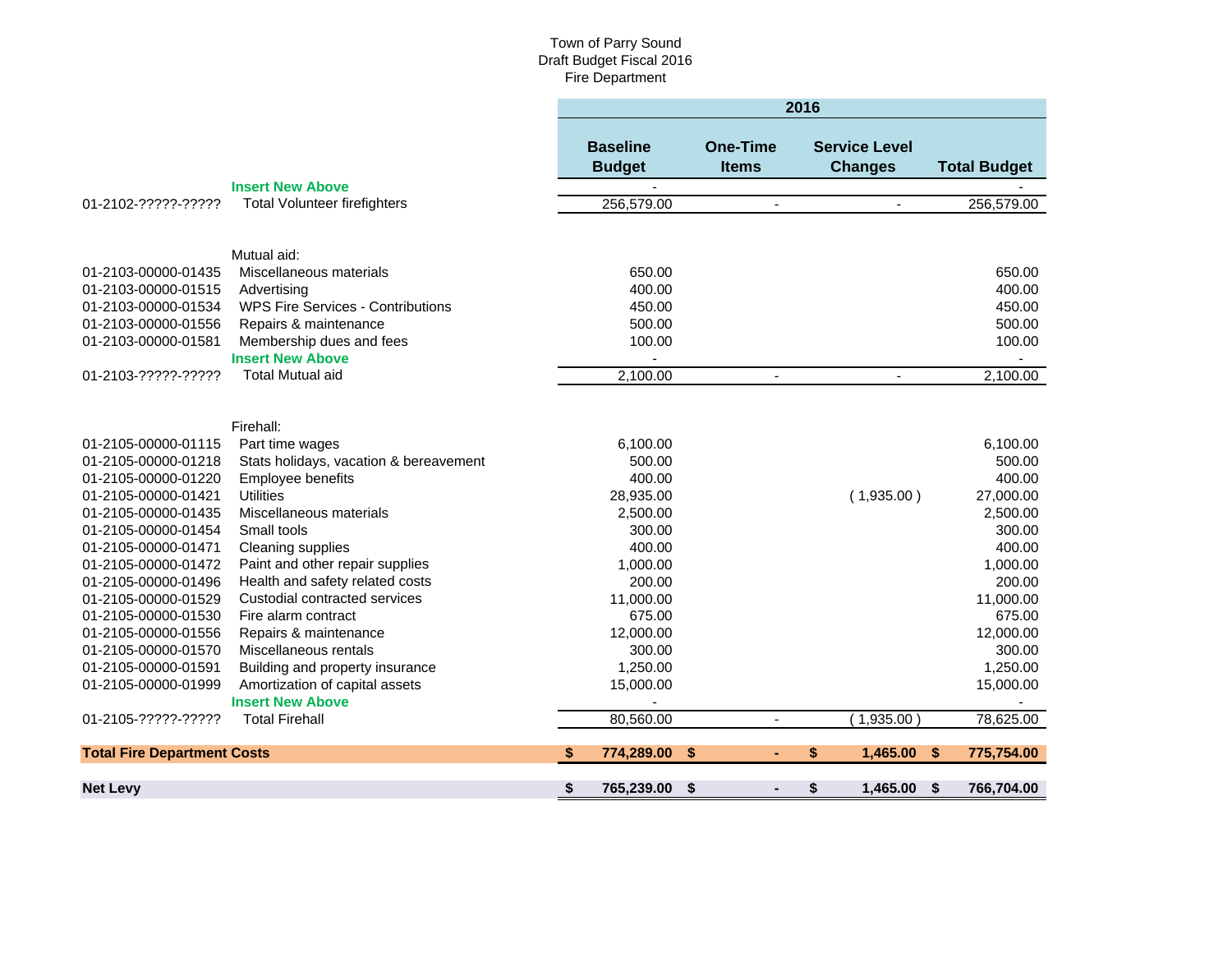|                                    |                                          | 2016 |                                  |                                 |                |                                        |    |                     |  |
|------------------------------------|------------------------------------------|------|----------------------------------|---------------------------------|----------------|----------------------------------------|----|---------------------|--|
|                                    |                                          |      | <b>Baseline</b><br><b>Budget</b> | <b>One-Time</b><br><b>Items</b> |                | <b>Service Level</b><br><b>Changes</b> |    | <b>Total Budget</b> |  |
|                                    | <b>Insert New Above</b>                  |      |                                  |                                 |                |                                        |    |                     |  |
| 01-2102-?????-?????                | <b>Total Volunteer firefighters</b>      |      | 256,579.00                       |                                 | $\blacksquare$ | ä,                                     |    | 256,579.00          |  |
|                                    |                                          |      |                                  |                                 |                |                                        |    |                     |  |
|                                    | Mutual aid:                              |      |                                  |                                 |                |                                        |    |                     |  |
| 01-2103-00000-01435                | Miscellaneous materials                  |      | 650.00                           |                                 |                |                                        |    | 650.00              |  |
| 01-2103-00000-01515                | Advertising                              |      | 400.00                           |                                 |                |                                        |    | 400.00              |  |
| 01-2103-00000-01534                | <b>WPS Fire Services - Contributions</b> |      | 450.00                           |                                 |                |                                        |    | 450.00              |  |
| 01-2103-00000-01556                | Repairs & maintenance                    |      | 500.00                           |                                 |                |                                        |    | 500.00              |  |
| 01-2103-00000-01581                | Membership dues and fees                 |      | 100.00                           |                                 |                |                                        |    | 100.00              |  |
|                                    | <b>Insert New Above</b>                  |      |                                  |                                 |                |                                        |    |                     |  |
| 01-2103-?????-?????                | <b>Total Mutual aid</b>                  |      | 2,100.00                         |                                 | $\blacksquare$ | $\blacksquare$                         |    | 2,100.00            |  |
|                                    |                                          |      |                                  |                                 |                |                                        |    |                     |  |
|                                    |                                          |      |                                  |                                 |                |                                        |    |                     |  |
|                                    | Firehall:                                |      |                                  |                                 |                |                                        |    |                     |  |
| 01-2105-00000-01115                | Part time wages                          |      | 6,100.00                         |                                 |                |                                        |    | 6,100.00            |  |
| 01-2105-00000-01218                | Stats holidays, vacation & bereavement   |      | 500.00                           |                                 |                |                                        |    | 500.00              |  |
| 01-2105-00000-01220                | Employee benefits                        |      | 400.00                           |                                 |                |                                        |    | 400.00              |  |
| 01-2105-00000-01421                | <b>Utilities</b>                         |      | 28,935.00                        |                                 |                | (1,935.00)                             |    | 27,000.00           |  |
| 01-2105-00000-01435                | Miscellaneous materials                  |      | 2,500.00                         |                                 |                |                                        |    | 2,500.00            |  |
| 01-2105-00000-01454                | Small tools                              |      | 300.00                           |                                 |                |                                        |    | 300.00              |  |
| 01-2105-00000-01471                | Cleaning supplies                        |      | 400.00                           |                                 |                |                                        |    | 400.00              |  |
| 01-2105-00000-01472                | Paint and other repair supplies          |      | 1,000.00                         |                                 |                |                                        |    | 1,000.00            |  |
| 01-2105-00000-01496                | Health and safety related costs          |      | 200.00                           |                                 |                |                                        |    | 200.00              |  |
| 01-2105-00000-01529                | Custodial contracted services            |      | 11,000.00                        |                                 |                |                                        |    | 11,000.00           |  |
| 01-2105-00000-01530                | Fire alarm contract                      |      | 675.00                           |                                 |                |                                        |    | 675.00              |  |
| 01-2105-00000-01556                | Repairs & maintenance                    |      | 12,000.00                        |                                 |                |                                        |    | 12,000.00           |  |
| 01-2105-00000-01570                | Miscellaneous rentals                    |      | 300.00                           |                                 |                |                                        |    | 300.00              |  |
| 01-2105-00000-01591                | Building and property insurance          |      | 1,250.00                         |                                 |                |                                        |    | 1,250.00            |  |
| 01-2105-00000-01999                | Amortization of capital assets           |      | 15,000.00                        |                                 |                |                                        |    | 15,000.00           |  |
|                                    | <b>Insert New Above</b>                  |      |                                  |                                 |                |                                        |    |                     |  |
| 01-2105-?????-?????                | <b>Total Firehall</b>                    |      | 80,560.00                        |                                 | $\blacksquare$ | (1,935.00)                             |    | 78,625.00           |  |
| <b>Total Fire Department Costs</b> |                                          | S    | 774,289.00                       | \$                              | ٠              | 1,465.00<br>\$                         | \$ | 775,754.00          |  |
|                                    |                                          |      |                                  |                                 |                |                                        |    |                     |  |
| <b>Net Levy</b>                    |                                          | \$   | 765,239.00                       | \$                              |                | \$<br>1,465.00                         | \$ | 766,704.00          |  |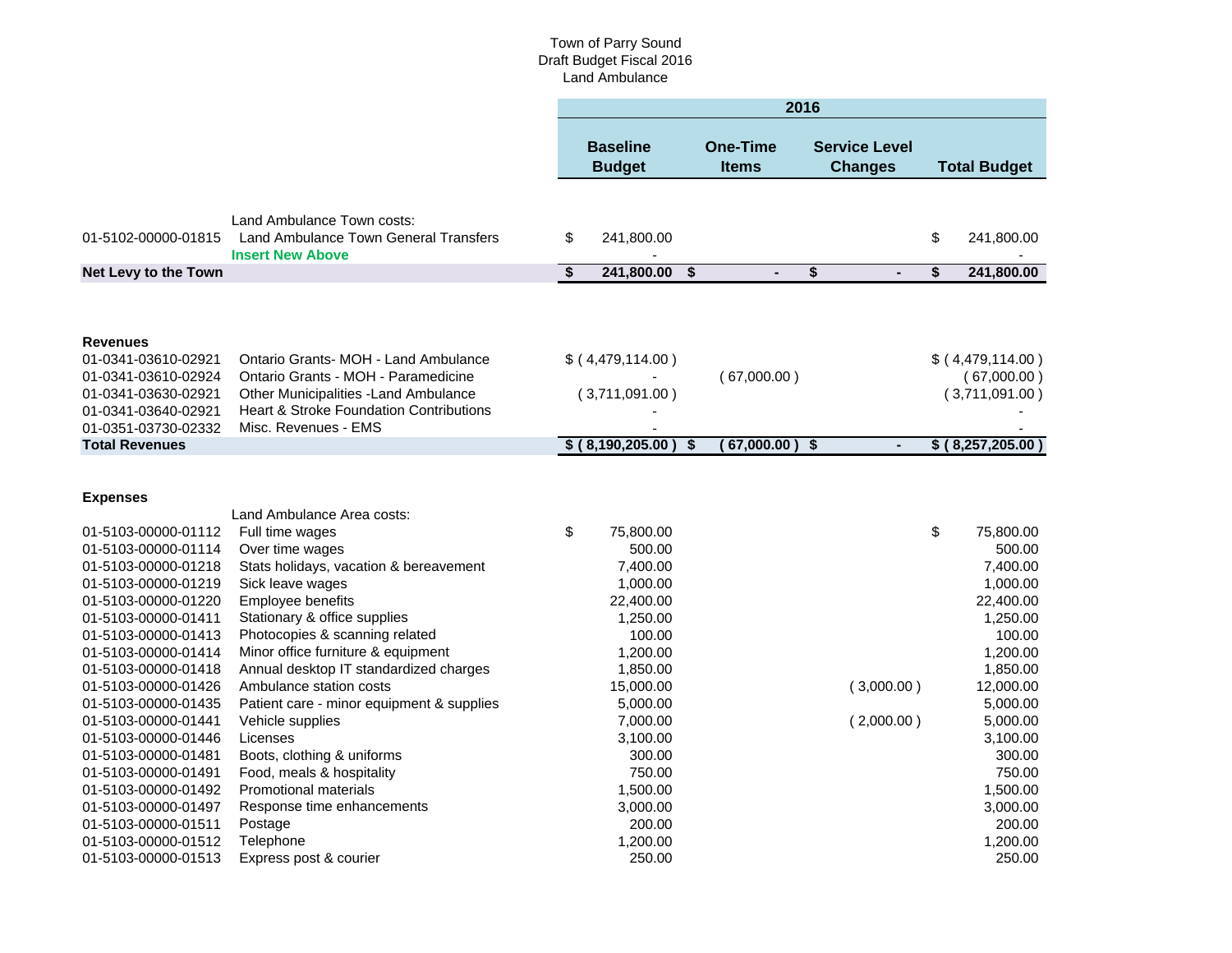#### Town of Parry Sound Draft Budget Fiscal 2016 Land Ambulance

|                                                                                                                                                                                                                                                                                                         |                                                                                                                                                                                                                                                                                                                                                                                 | 2016                    |                                                                                                                                                         |                           |                                 |                                      |                                        |    |                                                                                                                                                         |
|---------------------------------------------------------------------------------------------------------------------------------------------------------------------------------------------------------------------------------------------------------------------------------------------------------|---------------------------------------------------------------------------------------------------------------------------------------------------------------------------------------------------------------------------------------------------------------------------------------------------------------------------------------------------------------------------------|-------------------------|---------------------------------------------------------------------------------------------------------------------------------------------------------|---------------------------|---------------------------------|--------------------------------------|----------------------------------------|----|---------------------------------------------------------------------------------------------------------------------------------------------------------|
|                                                                                                                                                                                                                                                                                                         |                                                                                                                                                                                                                                                                                                                                                                                 |                         | <b>Baseline</b><br><b>Budget</b>                                                                                                                        |                           | <b>One-Time</b><br><b>Items</b> |                                      | <b>Service Level</b><br><b>Changes</b> |    | <b>Total Budget</b>                                                                                                                                     |
|                                                                                                                                                                                                                                                                                                         | Land Ambulance Town costs:                                                                                                                                                                                                                                                                                                                                                      |                         |                                                                                                                                                         |                           |                                 |                                      |                                        |    |                                                                                                                                                         |
| 01-5102-00000-01815                                                                                                                                                                                                                                                                                     | <b>Land Ambulance Town General Transfers</b><br><b>Insert New Above</b>                                                                                                                                                                                                                                                                                                         | \$                      | 241,800.00                                                                                                                                              |                           |                                 |                                      |                                        | \$ | 241,800.00                                                                                                                                              |
| Net Levy to the Town                                                                                                                                                                                                                                                                                    |                                                                                                                                                                                                                                                                                                                                                                                 | $\overline{\mathbf{S}}$ | 241,800.00                                                                                                                                              | \$                        |                                 | $\overline{\boldsymbol{\mathsf{s}}}$ | $\overline{a}$                         | \$ | 241,800.00                                                                                                                                              |
| <b>Revenues</b><br>01-0341-03610-02921<br>01-0341-03610-02924<br>01-0341-03630-02921<br>01-0341-03640-02921<br>01-0351-03730-02332                                                                                                                                                                      | Ontario Grants- MOH - Land Ambulance<br>Ontario Grants - MOH - Paramedicine<br>Other Municipalities - Land Ambulance<br><b>Heart &amp; Stroke Foundation Contributions</b><br>Misc. Revenues - EMS                                                                                                                                                                              |                         | \$ (4,479,114.00)<br>(3,711,091.00)                                                                                                                     |                           | (67,000.00)                     |                                      |                                        |    | \$(4,479,114.00)<br>(67,000.00)<br>(3,711,091.00)                                                                                                       |
| <b>Total Revenues</b>                                                                                                                                                                                                                                                                                   |                                                                                                                                                                                                                                                                                                                                                                                 |                         | \$ (8,190,205.00)                                                                                                                                       | $\boldsymbol{\mathsf{s}}$ | $(67,000.00)$ \$                |                                      | $\blacksquare$                         |    | \$ (8,257,205.00)                                                                                                                                       |
| <b>Expenses</b>                                                                                                                                                                                                                                                                                         | Land Ambulance Area costs:                                                                                                                                                                                                                                                                                                                                                      |                         |                                                                                                                                                         |                           |                                 |                                      |                                        |    |                                                                                                                                                         |
| 01-5103-00000-01112<br>01-5103-00000-01114<br>01-5103-00000-01218<br>01-5103-00000-01219<br>01-5103-00000-01220<br>01-5103-00000-01411<br>01-5103-00000-01413<br>01-5103-00000-01414<br>01-5103-00000-01418<br>01-5103-00000-01426<br>01-5103-00000-01435<br>01-5103-00000-01441<br>01-5103-00000-01446 | Full time wages<br>Over time wages<br>Stats holidays, vacation & bereavement<br>Sick leave wages<br>Employee benefits<br>Stationary & office supplies<br>Photocopies & scanning related<br>Minor office furniture & equipment<br>Annual desktop IT standardized charges<br>Ambulance station costs<br>Patient care - minor equipment & supplies<br>Vehicle supplies<br>Licenses | \$                      | 75,800.00<br>500.00<br>7,400.00<br>1,000.00<br>22,400.00<br>1,250.00<br>100.00<br>1,200.00<br>1,850.00<br>15,000.00<br>5,000.00<br>7,000.00<br>3,100.00 |                           |                                 |                                      | (3,000.00)<br>(2,000.00)               | \$ | 75,800.00<br>500.00<br>7,400.00<br>1,000.00<br>22,400.00<br>1,250.00<br>100.00<br>1,200.00<br>1,850.00<br>12,000.00<br>5,000.00<br>5,000.00<br>3,100.00 |
| 01-5103-00000-01481<br>01-5103-00000-01491<br>01-5103-00000-01492<br>01-5103-00000-01497<br>01-5103-00000-01511<br>01-5103-00000-01512<br>01-5103-00000-01513                                                                                                                                           | Boots, clothing & uniforms<br>Food, meals & hospitality<br><b>Promotional materials</b><br>Response time enhancements<br>Postage<br>Telephone<br>Express post & courier                                                                                                                                                                                                         |                         | 300.00<br>750.00<br>1,500.00<br>3,000.00<br>200.00<br>1,200.00<br>250.00                                                                                |                           |                                 |                                      |                                        |    | 300.00<br>750.00<br>1,500.00<br>3,000.00<br>200.00<br>1,200.00<br>250.00                                                                                |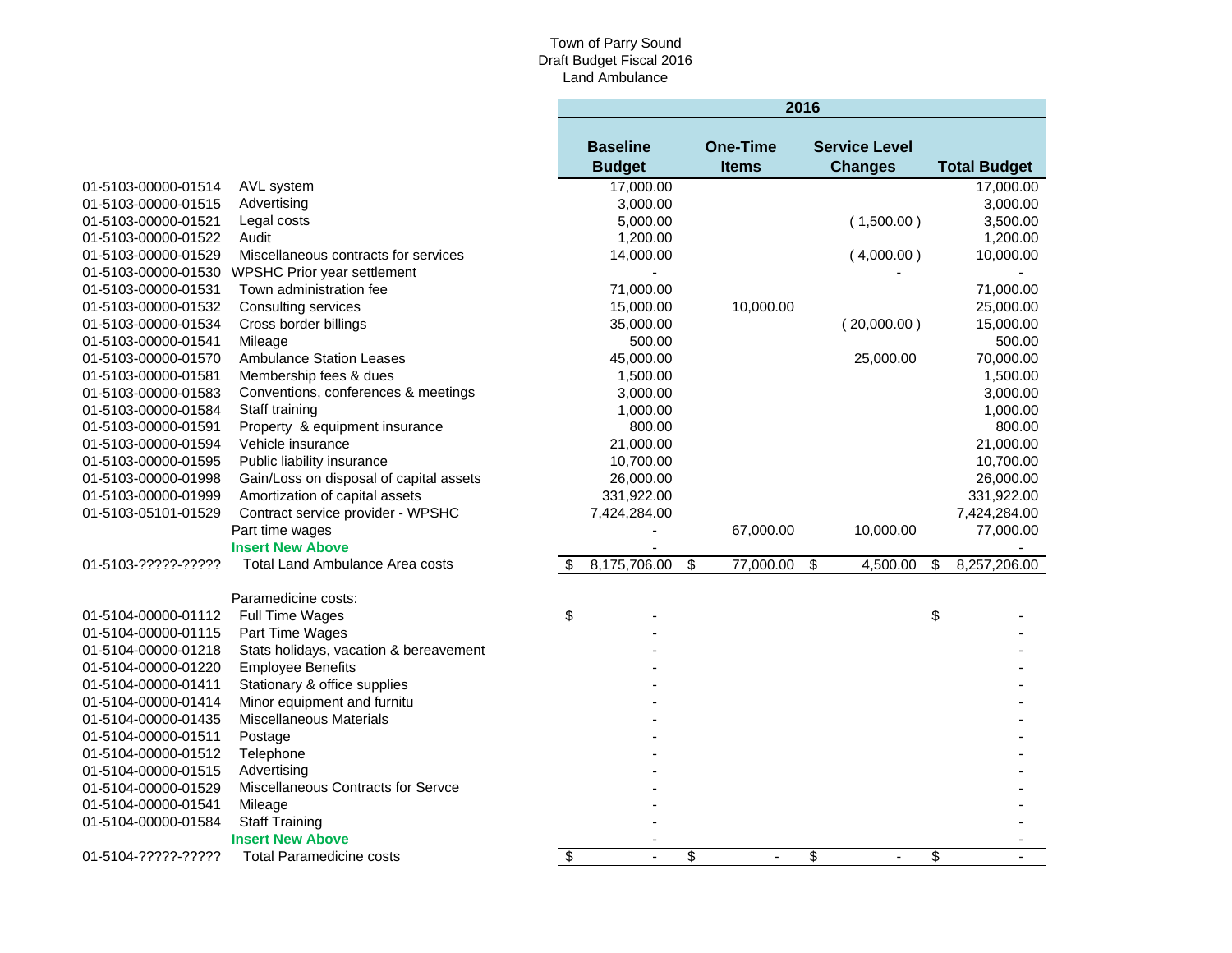# Town of Parry Sound Draft Budget Fiscal 2016 Land Ambulance

÷

|                     |                                           |                         | 2016            |                                      |  |                      |    |                     |  |  |
|---------------------|-------------------------------------------|-------------------------|-----------------|--------------------------------------|--|----------------------|----|---------------------|--|--|
|                     |                                           |                         | <b>Baseline</b> | <b>One-Time</b>                      |  | <b>Service Level</b> |    |                     |  |  |
|                     |                                           |                         | <b>Budget</b>   | <b>Items</b>                         |  | <b>Changes</b>       |    | <b>Total Budget</b> |  |  |
| 01-5103-00000-01514 | AVL system                                |                         | 17,000.00       |                                      |  |                      |    | 17,000.00           |  |  |
| 01-5103-00000-01515 | Advertising                               |                         | 3,000.00        |                                      |  |                      |    | 3,000.00            |  |  |
| 01-5103-00000-01521 | Legal costs                               |                         | 5,000.00        |                                      |  | (1,500.00)           |    | 3,500.00            |  |  |
| 01-5103-00000-01522 | Audit                                     |                         | 1,200.00        |                                      |  |                      |    | 1,200.00            |  |  |
| 01-5103-00000-01529 | Miscellaneous contracts for services      |                         | 14,000.00       |                                      |  | (4,000.00)           |    | 10,000.00           |  |  |
| 01-5103-00000-01530 | WPSHC Prior year settlement               |                         |                 |                                      |  |                      |    |                     |  |  |
| 01-5103-00000-01531 | Town administration fee                   |                         | 71,000.00       |                                      |  |                      |    | 71,000.00           |  |  |
| 01-5103-00000-01532 | Consulting services                       |                         | 15,000.00       | 10,000.00                            |  |                      |    | 25,000.00           |  |  |
| 01-5103-00000-01534 | Cross border billings                     |                         | 35,000.00       |                                      |  | (20,000.00)          |    | 15,000.00           |  |  |
| 01-5103-00000-01541 | Mileage                                   |                         | 500.00          |                                      |  |                      |    | 500.00              |  |  |
| 01-5103-00000-01570 | <b>Ambulance Station Leases</b>           |                         | 45,000.00       |                                      |  | 25,000.00            |    | 70,000.00           |  |  |
| 01-5103-00000-01581 | Membership fees & dues                    |                         | 1,500.00        |                                      |  |                      |    | 1,500.00            |  |  |
| 01-5103-00000-01583 | Conventions, conferences & meetings       |                         | 3,000.00        |                                      |  |                      |    | 3,000.00            |  |  |
| 01-5103-00000-01584 | Staff training                            |                         | 1,000.00        |                                      |  |                      |    | 1,000.00            |  |  |
| 01-5103-00000-01591 | Property & equipment insurance            |                         | 800.00          |                                      |  |                      |    | 800.00              |  |  |
| 01-5103-00000-01594 | Vehicle insurance                         |                         | 21,000.00       |                                      |  |                      |    | 21,000.00           |  |  |
| 01-5103-00000-01595 | Public liability insurance                |                         | 10,700.00       |                                      |  |                      |    | 10,700.00           |  |  |
| 01-5103-00000-01998 | Gain/Loss on disposal of capital assets   |                         | 26,000.00       |                                      |  |                      |    | 26,000.00           |  |  |
| 01-5103-00000-01999 | Amortization of capital assets            |                         | 331,922.00      |                                      |  |                      |    | 331,922.00          |  |  |
| 01-5103-05101-01529 | Contract service provider - WPSHC         |                         | 7,424,284.00    |                                      |  |                      |    | 7,424,284.00        |  |  |
|                     | Part time wages                           |                         |                 | 67,000.00                            |  | 10,000.00            |    | 77,000.00           |  |  |
|                     | <b>Insert New Above</b>                   |                         |                 |                                      |  |                      |    |                     |  |  |
| 01-5103-?????-????? | Total Land Ambulance Area costs           | \$                      | 8,175,706.00    | $\overline{\mathbb{S}}$<br>77,000.00 |  | \$<br>4,500.00       | \$ | 8,257,206.00        |  |  |
|                     | Paramedicine costs:                       |                         |                 |                                      |  |                      |    |                     |  |  |
| 01-5104-00000-01112 | Full Time Wages                           | \$                      |                 |                                      |  |                      | \$ |                     |  |  |
| 01-5104-00000-01115 | Part Time Wages                           |                         |                 |                                      |  |                      |    |                     |  |  |
| 01-5104-00000-01218 | Stats holidays, vacation & bereavement    |                         |                 |                                      |  |                      |    |                     |  |  |
| 01-5104-00000-01220 | <b>Employee Benefits</b>                  |                         |                 |                                      |  |                      |    |                     |  |  |
| 01-5104-00000-01411 | Stationary & office supplies              |                         |                 |                                      |  |                      |    |                     |  |  |
| 01-5104-00000-01414 | Minor equipment and furnitu               |                         |                 |                                      |  |                      |    |                     |  |  |
| 01-5104-00000-01435 | <b>Miscellaneous Materials</b>            |                         |                 |                                      |  |                      |    |                     |  |  |
| 01-5104-00000-01511 | Postage                                   |                         |                 |                                      |  |                      |    |                     |  |  |
| 01-5104-00000-01512 | Telephone                                 |                         |                 |                                      |  |                      |    |                     |  |  |
| 01-5104-00000-01515 | Advertising                               |                         |                 |                                      |  |                      |    |                     |  |  |
| 01-5104-00000-01529 | <b>Miscellaneous Contracts for Servce</b> |                         |                 |                                      |  |                      |    |                     |  |  |
| 01-5104-00000-01541 | Mileage                                   |                         |                 |                                      |  |                      |    |                     |  |  |
| 01-5104-00000-01584 | <b>Staff Training</b>                     |                         |                 |                                      |  |                      |    |                     |  |  |
|                     | <b>Insert New Above</b>                   |                         |                 |                                      |  |                      |    |                     |  |  |
| 01-5104-?????-????? | <b>Total Paramedicine costs</b>           | $\overline{\mathbf{S}}$ | $\overline{a}$  | \$<br>$\blacksquare$                 |  | \$<br>$\blacksquare$ | \$ |                     |  |  |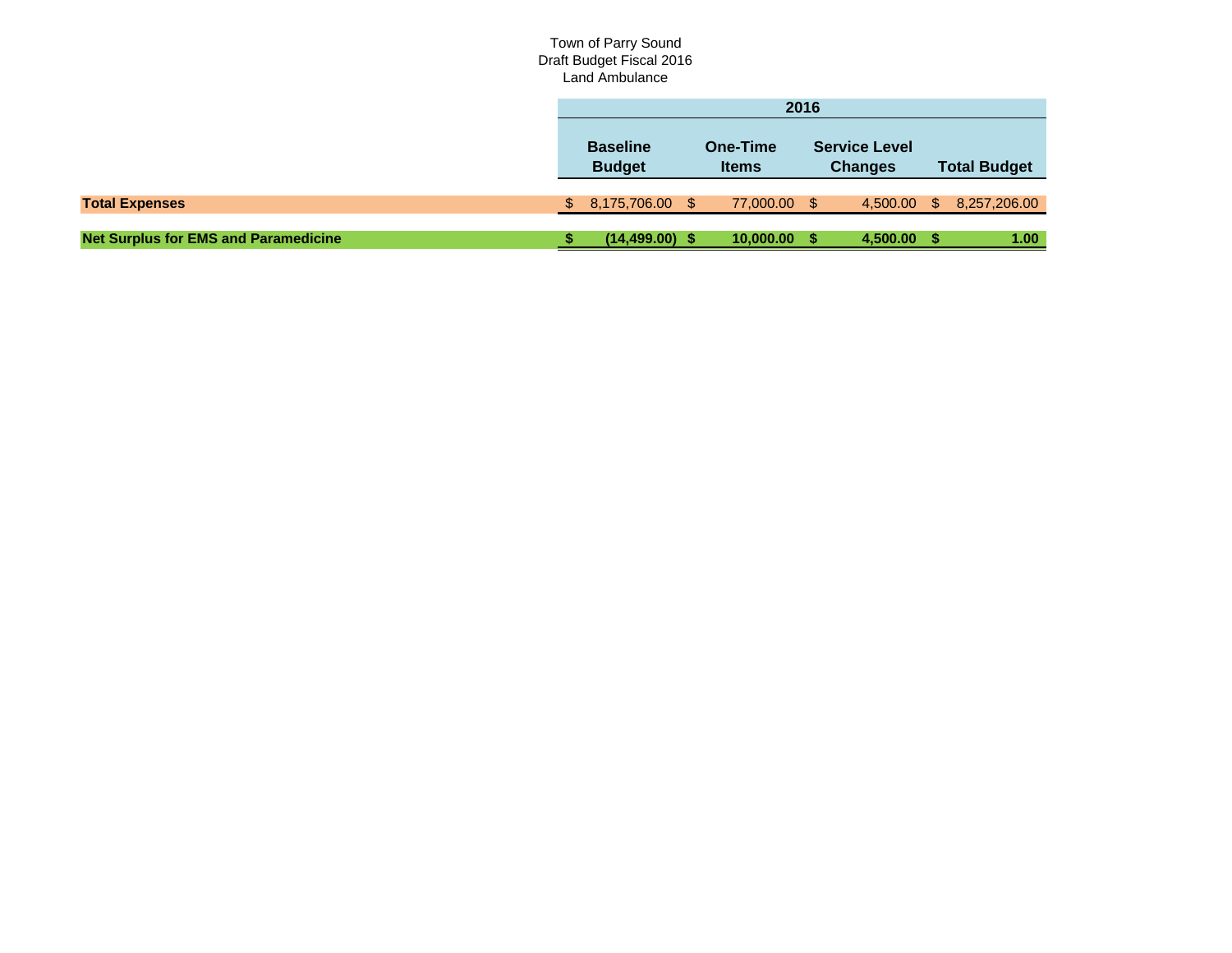#### Town of Parry Sound Draft Budget Fiscal 2016 Land Ambulance

|                                             | 2016                                                         |                   |                                        |              |                     |          |          |              |  |
|---------------------------------------------|--------------------------------------------------------------|-------------------|----------------------------------------|--------------|---------------------|----------|----------|--------------|--|
|                                             | <b>Baseline</b><br>One-Time<br><b>Budget</b><br><b>Items</b> |                   | <b>Service Level</b><br><b>Changes</b> |              | <b>Total Budget</b> |          |          |              |  |
| <b>Total Expenses</b>                       |                                                              | 8,175,706.00 \$   |                                        | 77,000.00 \$ |                     | 4,500.00 | <b>S</b> | 8,257,206.00 |  |
| <b>Net Surplus for EMS and Paramedicine</b> |                                                              | $(14, 499.00)$ \$ |                                        | 10,000.00 \$ |                     | 4,500.00 |          | 1.00         |  |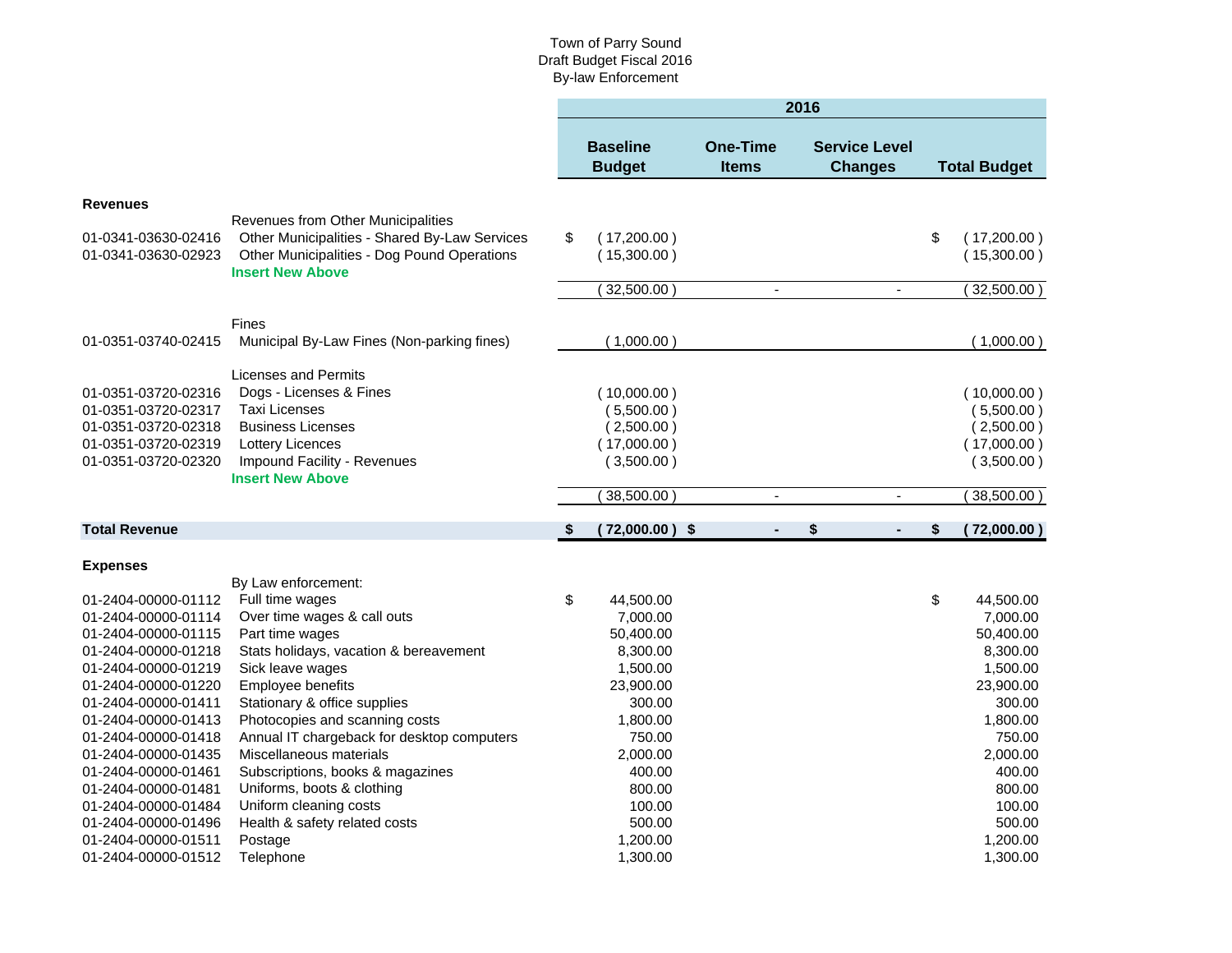#### Town of Parry Sound Draft Budget Fiscal 2016 By-law Enforcement

|                      |                                                                                     |                                  |                                 |                          | 2016 |                                        |                     |
|----------------------|-------------------------------------------------------------------------------------|----------------------------------|---------------------------------|--------------------------|------|----------------------------------------|---------------------|
|                      |                                                                                     | <b>Baseline</b><br><b>Budget</b> | <b>One-Time</b><br><b>Items</b> |                          |      | <b>Service Level</b><br><b>Changes</b> | <b>Total Budget</b> |
| <b>Revenues</b>      |                                                                                     |                                  |                                 |                          |      |                                        |                     |
| 01-0341-03630-02416  | Revenues from Other Municipalities<br>Other Municipalities - Shared By-Law Services | \$<br>(17,200.00)                |                                 |                          |      |                                        | \$<br>(17,200.00)   |
| 01-0341-03630-02923  | Other Municipalities - Dog Pound Operations<br><b>Insert New Above</b>              | (15,300.00)                      |                                 |                          |      |                                        | (15,300.00)         |
|                      |                                                                                     | 32,500.00                        |                                 | $\overline{\phantom{a}}$ |      | $\overline{\phantom{a}}$               | $32,500.00$ )       |
|                      | Fines                                                                               |                                  |                                 |                          |      |                                        |                     |
| 01-0351-03740-02415  | Municipal By-Law Fines (Non-parking fines)                                          | (1,000.00)                       |                                 |                          |      |                                        | (1,000.00)          |
|                      | Licenses and Permits                                                                |                                  |                                 |                          |      |                                        |                     |
| 01-0351-03720-02316  | Dogs - Licenses & Fines                                                             | (10,000.00)                      |                                 |                          |      |                                        | (10,000.00)         |
| 01-0351-03720-02317  | <b>Taxi Licenses</b>                                                                | (5,500.00)                       |                                 |                          |      |                                        | (5,500.00)          |
| 01-0351-03720-02318  | <b>Business Licenses</b>                                                            | (2,500.00)                       |                                 |                          |      |                                        | (2,500.00)          |
| 01-0351-03720-02319  | <b>Lottery Licences</b>                                                             | (17,000.00)                      |                                 |                          |      |                                        | (17,000.00)         |
| 01-0351-03720-02320  | Impound Facility - Revenues                                                         | (3,500.00)                       |                                 |                          |      |                                        | (3,500.00)          |
|                      | <b>Insert New Above</b>                                                             |                                  |                                 |                          |      |                                        |                     |
|                      |                                                                                     | 38,500.00                        |                                 | $\blacksquare$           |      | $\blacksquare$                         | $38,500.00$ )       |
| <b>Total Revenue</b> |                                                                                     | \$<br>$(72,000.00)$ \$           |                                 | $\blacksquare$           | \$   | $\blacksquare$                         | \$<br>(72,000.00)   |
| <b>Expenses</b>      |                                                                                     |                                  |                                 |                          |      |                                        |                     |
|                      | By Law enforcement:                                                                 |                                  |                                 |                          |      |                                        |                     |
| 01-2404-00000-01112  | Full time wages                                                                     | \$<br>44,500.00                  |                                 |                          |      |                                        | \$<br>44,500.00     |
| 01-2404-00000-01114  | Over time wages & call outs                                                         | 7,000.00                         |                                 |                          |      |                                        | 7,000.00            |
| 01-2404-00000-01115  | Part time wages                                                                     | 50,400.00                        |                                 |                          |      |                                        | 50,400.00           |
| 01-2404-00000-01218  | Stats holidays, vacation & bereavement                                              | 8,300.00                         |                                 |                          |      |                                        | 8,300.00            |
| 01-2404-00000-01219  | Sick leave wages                                                                    | 1,500.00                         |                                 |                          |      |                                        | 1,500.00            |
| 01-2404-00000-01220  | Employee benefits                                                                   | 23,900.00                        |                                 |                          |      |                                        | 23,900.00           |
| 01-2404-00000-01411  | Stationary & office supplies                                                        | 300.00                           |                                 |                          |      |                                        | 300.00              |
| 01-2404-00000-01413  | Photocopies and scanning costs                                                      | 1,800.00                         |                                 |                          |      |                                        | 1,800.00            |
| 01-2404-00000-01418  | Annual IT chargeback for desktop computers                                          | 750.00                           |                                 |                          |      |                                        | 750.00              |
| 01-2404-00000-01435  | Miscellaneous materials                                                             | 2,000.00                         |                                 |                          |      |                                        | 2,000.00            |
| 01-2404-00000-01461  | Subscriptions, books & magazines                                                    | 400.00                           |                                 |                          |      |                                        | 400.00              |
| 01-2404-00000-01481  | Uniforms, boots & clothing                                                          | 800.00                           |                                 |                          |      |                                        | 800.00              |
| 01-2404-00000-01484  | Uniform cleaning costs                                                              | 100.00                           |                                 |                          |      |                                        | 100.00              |
| 01-2404-00000-01496  | Health & safety related costs                                                       | 500.00                           |                                 |                          |      |                                        | 500.00              |
| 01-2404-00000-01511  | Postage                                                                             | 1,200.00                         |                                 |                          |      |                                        | 1,200.00            |
| 01-2404-00000-01512  | Telephone                                                                           | 1,300.00                         |                                 |                          |      |                                        | 1,300.00            |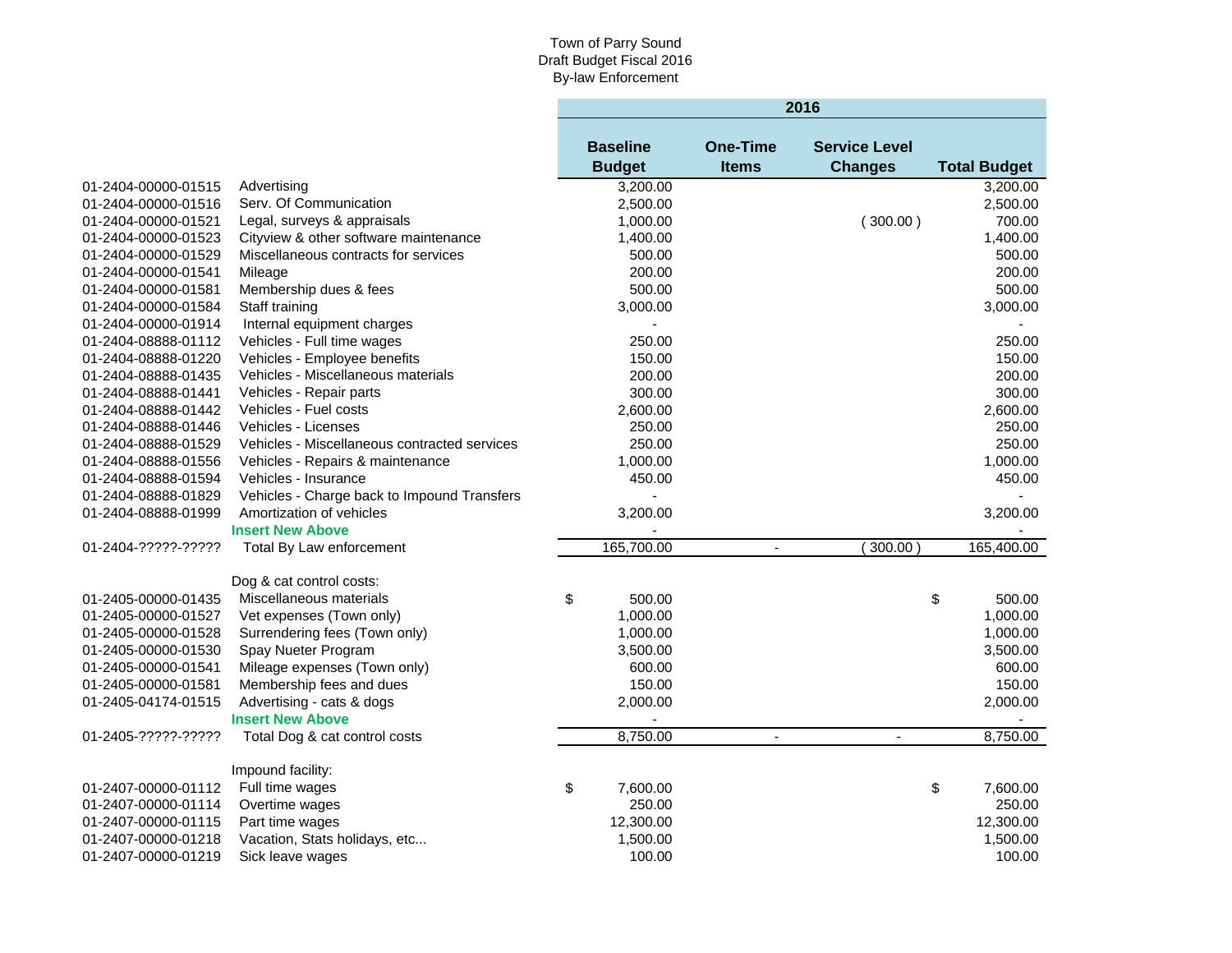#### Town of Parry Sound Draft Budget Fiscal 2016 By-law Enforcement

 $\mathcal{L}^{\text{max}}$ 

|                     |                                              |                 |            |                          | 2016                 |                     |
|---------------------|----------------------------------------------|-----------------|------------|--------------------------|----------------------|---------------------|
|                     |                                              | <b>Baseline</b> |            | <b>One-Time</b>          | <b>Service Level</b> |                     |
|                     |                                              | <b>Budget</b>   |            | <b>Items</b>             | <b>Changes</b>       | <b>Total Budget</b> |
| 01-2404-00000-01515 | Advertising                                  |                 | 3,200.00   |                          |                      | 3,200.00            |
| 01-2404-00000-01516 | Serv. Of Communication                       |                 | 2,500.00   |                          |                      | 2,500.00            |
| 01-2404-00000-01521 | Legal, surveys & appraisals                  |                 | 1,000.00   |                          | (300.00)             | 700.00              |
| 01-2404-00000-01523 | Cityview & other software maintenance        |                 | 1,400.00   |                          |                      | 1,400.00            |
| 01-2404-00000-01529 | Miscellaneous contracts for services         |                 | 500.00     |                          |                      | 500.00              |
| 01-2404-00000-01541 | Mileage                                      |                 | 200.00     |                          |                      | 200.00              |
| 01-2404-00000-01581 | Membership dues & fees                       |                 | 500.00     |                          |                      | 500.00              |
| 01-2404-00000-01584 | Staff training                               |                 | 3,000.00   |                          |                      | 3,000.00            |
| 01-2404-00000-01914 | Internal equipment charges                   |                 |            |                          |                      |                     |
| 01-2404-08888-01112 | Vehicles - Full time wages                   |                 | 250.00     |                          |                      | 250.00              |
| 01-2404-08888-01220 | Vehicles - Employee benefits                 |                 | 150.00     |                          |                      | 150.00              |
| 01-2404-08888-01435 | Vehicles - Miscellaneous materials           |                 | 200.00     |                          |                      | 200.00              |
| 01-2404-08888-01441 | Vehicles - Repair parts                      |                 | 300.00     |                          |                      | 300.00              |
| 01-2404-08888-01442 | Vehicles - Fuel costs                        |                 | 2,600.00   |                          |                      | 2,600.00            |
| 01-2404-08888-01446 | Vehicles - Licenses                          |                 | 250.00     |                          |                      | 250.00              |
| 01-2404-08888-01529 | Vehicles - Miscellaneous contracted services |                 | 250.00     |                          |                      | 250.00              |
| 01-2404-08888-01556 | Vehicles - Repairs & maintenance             |                 | 1,000.00   |                          |                      | 1,000.00            |
| 01-2404-08888-01594 | Vehicles - Insurance                         |                 | 450.00     |                          |                      | 450.00              |
| 01-2404-08888-01829 | Vehicles - Charge back to Impound Transfers  |                 |            |                          |                      |                     |
| 01-2404-08888-01999 | Amortization of vehicles                     |                 | 3,200.00   |                          |                      | 3,200.00            |
|                     | <b>Insert New Above</b>                      |                 |            |                          |                      |                     |
| 01-2404-?????-????? | Total By Law enforcement                     |                 | 165,700.00 | $\blacksquare$           | 300.00               | 165,400.00          |
|                     | Dog & cat control costs:                     |                 |            |                          |                      |                     |
| 01-2405-00000-01435 | Miscellaneous materials                      | \$              | 500.00     |                          |                      | \$<br>500.00        |
| 01-2405-00000-01527 | Vet expenses (Town only)                     |                 | 1,000.00   |                          |                      | 1,000.00            |
| 01-2405-00000-01528 | Surrendering fees (Town only)                |                 | 1,000.00   |                          |                      | 1,000.00            |
| 01-2405-00000-01530 | Spay Nueter Program                          |                 | 3,500.00   |                          |                      | 3,500.00            |
| 01-2405-00000-01541 | Mileage expenses (Town only)                 |                 | 600.00     |                          |                      | 600.00              |
| 01-2405-00000-01581 | Membership fees and dues                     |                 | 150.00     |                          |                      | 150.00              |
| 01-2405-04174-01515 | Advertising - cats & dogs                    |                 | 2,000.00   |                          |                      | 2,000.00            |
|                     | <b>Insert New Above</b>                      |                 |            |                          |                      |                     |
| 01-2405-?????-????? | Total Dog & cat control costs                |                 | 8,750.00   | $\overline{\phantom{a}}$ | $\blacksquare$       | 8,750.00            |
|                     | Impound facility:                            |                 |            |                          |                      |                     |
| 01-2407-00000-01112 | Full time wages                              | \$              | 7,600.00   |                          |                      | \$<br>7,600.00      |
| 01-2407-00000-01114 | Overtime wages                               |                 | 250.00     |                          |                      | 250.00              |
| 01-2407-00000-01115 | Part time wages                              |                 | 12,300.00  |                          |                      | 12,300.00           |
| 01-2407-00000-01218 | Vacation, Stats holidays, etc                |                 | 1,500.00   |                          |                      | 1,500.00            |
| 01-2407-00000-01219 | Sick leave wages                             |                 | 100.00     |                          |                      | 100.00              |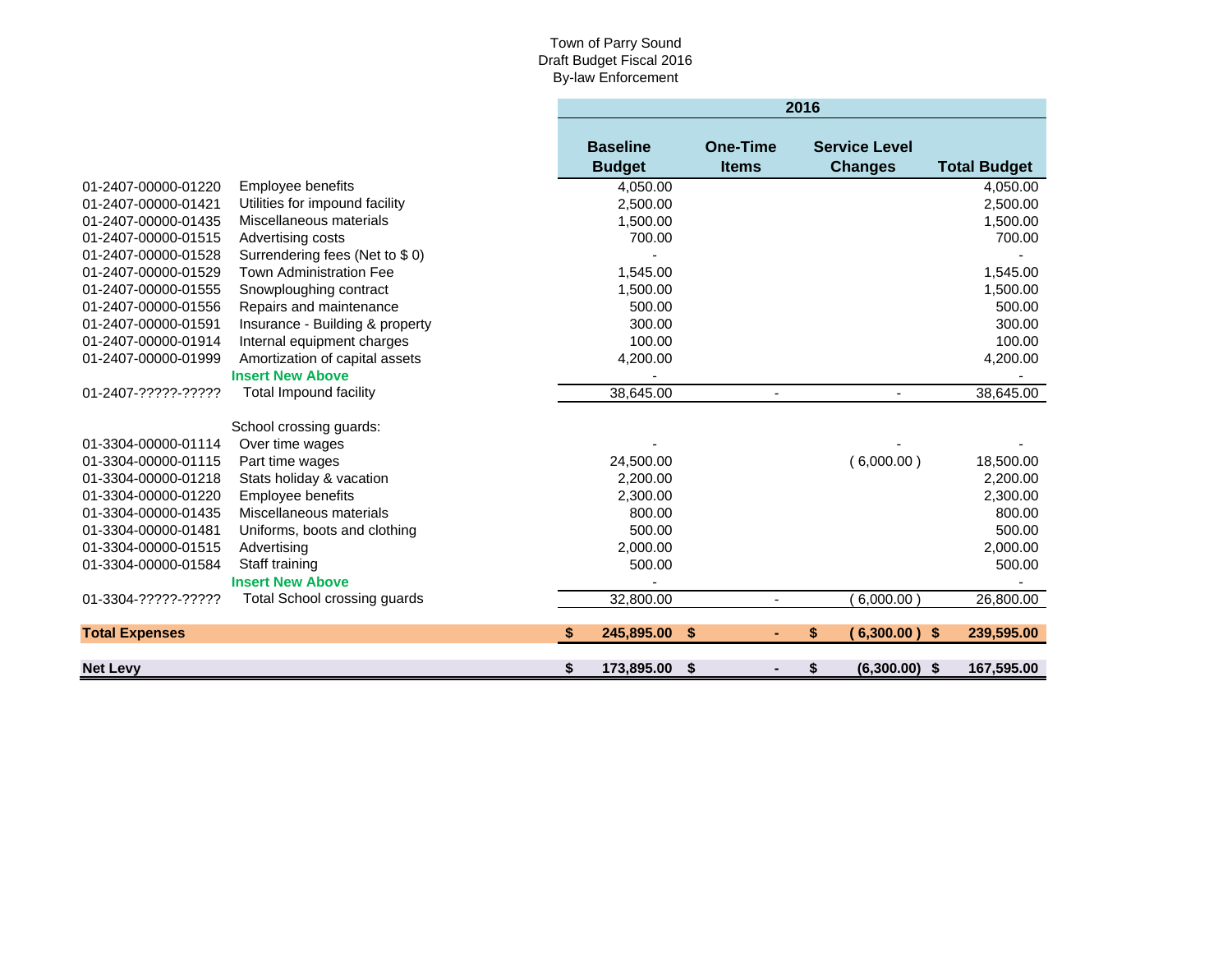#### Town of Parry Sound Draft Budget Fiscal 2016 By-law Enforcement

٠

|                       |                                 |    | 2016                             |                                 |                          |                                        |                     |  |
|-----------------------|---------------------------------|----|----------------------------------|---------------------------------|--------------------------|----------------------------------------|---------------------|--|
|                       |                                 |    | <b>Baseline</b><br><b>Budget</b> | <b>One-Time</b><br><b>Items</b> |                          | <b>Service Level</b><br><b>Changes</b> | <b>Total Budget</b> |  |
| 01-2407-00000-01220   | Employee benefits               |    | 4,050.00                         |                                 |                          |                                        | 4,050.00            |  |
| 01-2407-00000-01421   | Utilities for impound facility  |    | 2,500.00                         |                                 |                          |                                        | 2,500.00            |  |
| 01-2407-00000-01435   | Miscellaneous materials         |    | 1,500.00                         |                                 |                          |                                        | 1,500.00            |  |
| 01-2407-00000-01515   | Advertising costs               |    | 700.00                           |                                 |                          |                                        | 700.00              |  |
| 01-2407-00000-01528   | Surrendering fees (Net to \$0)  |    |                                  |                                 |                          |                                        |                     |  |
| 01-2407-00000-01529   | <b>Town Administration Fee</b>  |    | 1,545.00                         |                                 |                          |                                        | 1,545.00            |  |
| 01-2407-00000-01555   | Snowploughing contract          |    | 1,500.00                         |                                 |                          |                                        | 1,500.00            |  |
| 01-2407-00000-01556   | Repairs and maintenance         |    | 500.00                           |                                 |                          |                                        | 500.00              |  |
| 01-2407-00000-01591   | Insurance - Building & property |    | 300.00                           |                                 |                          |                                        | 300.00              |  |
| 01-2407-00000-01914   | Internal equipment charges      |    | 100.00                           |                                 |                          |                                        | 100.00              |  |
| 01-2407-00000-01999   | Amortization of capital assets  |    | 4,200.00                         |                                 |                          |                                        | 4,200.00            |  |
|                       | <b>Insert New Above</b>         |    |                                  |                                 |                          |                                        |                     |  |
| 01-2407-?????-?????   | <b>Total Impound facility</b>   |    | 38,645.00                        |                                 | $\overline{\phantom{a}}$ | $\overline{\phantom{a}}$               | 38,645.00           |  |
|                       | School crossing guards:         |    |                                  |                                 |                          |                                        |                     |  |
| 01-3304-00000-01114   | Over time wages                 |    |                                  |                                 |                          |                                        |                     |  |
| 01-3304-00000-01115   | Part time wages                 |    | 24,500.00                        |                                 |                          | (6,000.00)                             | 18,500.00           |  |
| 01-3304-00000-01218   | Stats holiday & vacation        |    | 2.200.00                         |                                 |                          |                                        | 2,200.00            |  |
| 01-3304-00000-01220   | Employee benefits               |    | 2,300.00                         |                                 |                          |                                        | 2,300.00            |  |
| 01-3304-00000-01435   | Miscellaneous materials         |    | 800.00                           |                                 |                          |                                        | 800.00              |  |
| 01-3304-00000-01481   | Uniforms, boots and clothing    |    | 500.00                           |                                 |                          |                                        | 500.00              |  |
| 01-3304-00000-01515   | Advertising                     |    | 2,000.00                         |                                 |                          |                                        | 2,000.00            |  |
| 01-3304-00000-01584   | Staff training                  |    | 500.00                           |                                 |                          |                                        | 500.00              |  |
|                       | <b>Insert New Above</b>         |    |                                  |                                 |                          |                                        |                     |  |
| 01-3304-?????-?????   | Total School crossing guards    |    | 32,800.00                        |                                 | $\blacksquare$           | 6,000.00                               | 26,800.00           |  |
| <b>Total Expenses</b> |                                 | -S | 245,895.00                       | \$                              | ٠                        | \$<br>$(6,300.00)$ \$                  | 239,595.00          |  |
| <b>Net Levy</b>       |                                 | \$ | 173,895.00                       | \$                              |                          | \$<br>$(6,300.00)$ \$                  | 167,595.00          |  |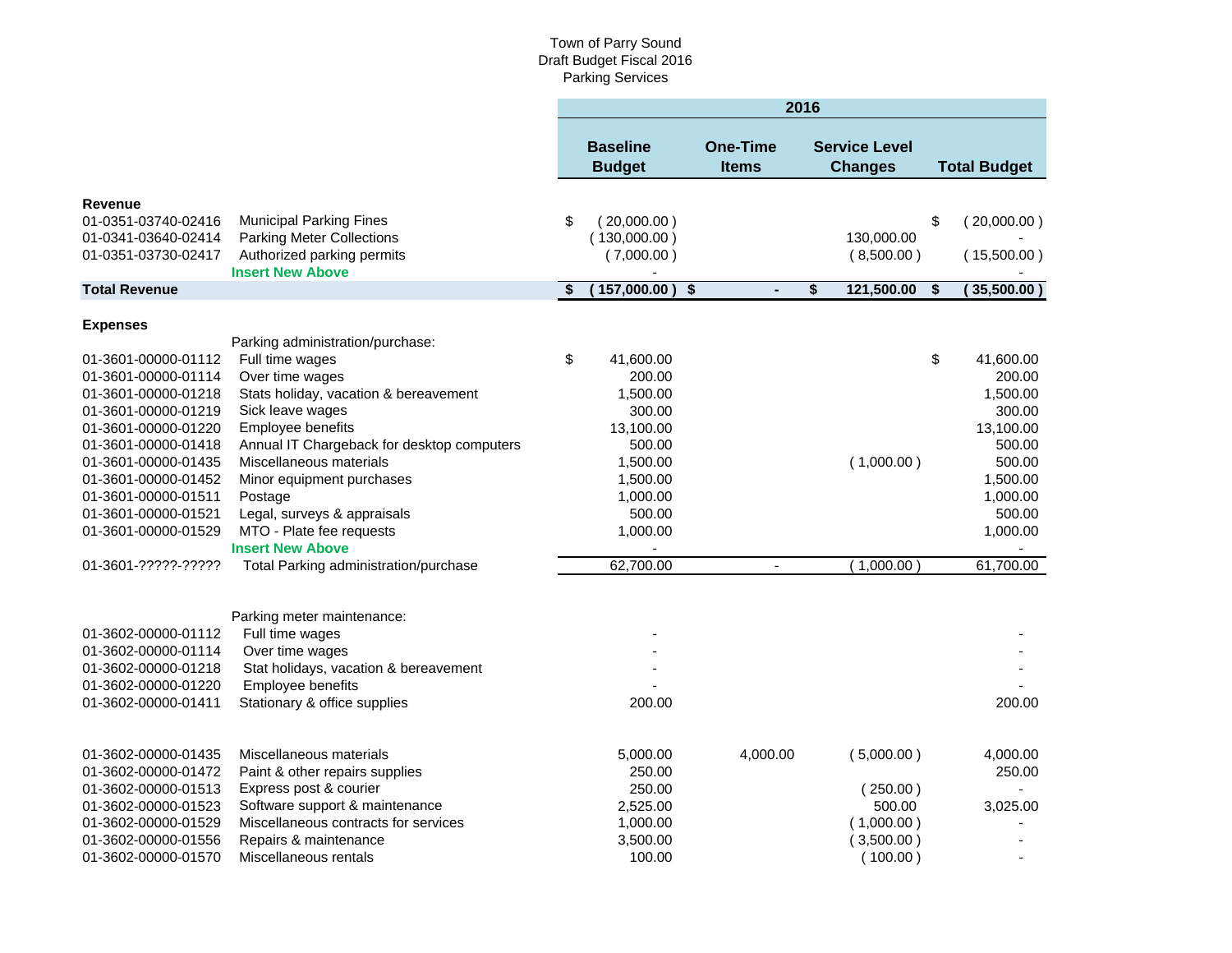|                                            |                                                          |     |                                  |                                 | 2016 |                                        |                     |
|--------------------------------------------|----------------------------------------------------------|-----|----------------------------------|---------------------------------|------|----------------------------------------|---------------------|
|                                            |                                                          |     | <b>Baseline</b><br><b>Budget</b> | <b>One-Time</b><br><b>Items</b> |      | <b>Service Level</b><br><b>Changes</b> | <b>Total Budget</b> |
| Revenue                                    |                                                          |     |                                  |                                 |      |                                        |                     |
| 01-0351-03740-02416                        | <b>Municipal Parking Fines</b>                           | \$  | (20,000.00)                      |                                 |      |                                        | \$<br>(20,000.00)   |
| 01-0341-03640-02414                        | <b>Parking Meter Collections</b>                         |     | (130,000.00)                     |                                 |      | 130,000.00                             |                     |
| 01-0351-03730-02417                        | Authorized parking permits                               |     | (7,000.00)                       |                                 |      | (8,500.00)                             | (15,500.00)         |
|                                            | <b>Insert New Above</b>                                  |     |                                  |                                 |      |                                        |                     |
| <b>Total Revenue</b>                       |                                                          | -\$ | 157,000.00                       | \$<br>$\blacksquare$            | \$   | 121,500.00                             | \$<br>(35,500.00)   |
|                                            |                                                          |     |                                  |                                 |      |                                        |                     |
| <b>Expenses</b>                            |                                                          |     |                                  |                                 |      |                                        |                     |
|                                            | Parking administration/purchase:                         |     |                                  |                                 |      |                                        |                     |
| 01-3601-00000-01112                        | Full time wages                                          | \$  | 41,600.00                        |                                 |      |                                        | \$<br>41,600.00     |
| 01-3601-00000-01114                        | Over time wages<br>Stats holiday, vacation & bereavement |     | 200.00<br>1,500.00               |                                 |      |                                        | 200.00<br>1,500.00  |
| 01-3601-00000-01218                        | Sick leave wages                                         |     |                                  |                                 |      |                                        | 300.00              |
| 01-3601-00000-01219<br>01-3601-00000-01220 | Employee benefits                                        |     | 300.00                           |                                 |      |                                        | 13,100.00           |
| 01-3601-00000-01418                        | Annual IT Chargeback for desktop computers               |     | 13,100.00<br>500.00              |                                 |      |                                        | 500.00              |
| 01-3601-00000-01435                        | Miscellaneous materials                                  |     | 1,500.00                         |                                 |      | (1,000.00)                             | 500.00              |
| 01-3601-00000-01452                        | Minor equipment purchases                                |     | 1,500.00                         |                                 |      |                                        | 1,500.00            |
| 01-3601-00000-01511                        | Postage                                                  |     | 1,000.00                         |                                 |      |                                        | 1,000.00            |
| 01-3601-00000-01521                        | Legal, surveys & appraisals                              |     | 500.00                           |                                 |      |                                        | 500.00              |
| 01-3601-00000-01529                        | MTO - Plate fee requests                                 |     | 1,000.00                         |                                 |      |                                        | 1,000.00            |
|                                            | <b>Insert New Above</b>                                  |     |                                  |                                 |      |                                        |                     |
| 01-3601-?????-?????                        | Total Parking administration/purchase                    |     | 62,700.00                        | $\overline{\phantom{a}}$        |      | (1,000.00)                             | 61,700.00           |
|                                            |                                                          |     |                                  |                                 |      |                                        |                     |
|                                            | Parking meter maintenance:                               |     |                                  |                                 |      |                                        |                     |
| 01-3602-00000-01112                        | Full time wages                                          |     |                                  |                                 |      |                                        |                     |
| 01-3602-00000-01114                        | Over time wages                                          |     |                                  |                                 |      |                                        |                     |
| 01-3602-00000-01218                        | Stat holidays, vacation & bereavement                    |     |                                  |                                 |      |                                        |                     |
| 01-3602-00000-01220                        | Employee benefits                                        |     |                                  |                                 |      |                                        |                     |
| 01-3602-00000-01411                        | Stationary & office supplies                             |     | 200.00                           |                                 |      |                                        | 200.00              |
| 01-3602-00000-01435                        | Miscellaneous materials                                  |     | 5,000.00                         | 4,000.00                        |      | (5,000.00)                             | 4,000.00            |
| 01-3602-00000-01472                        | Paint & other repairs supplies                           |     | 250.00                           |                                 |      |                                        | 250.00              |
| 01-3602-00000-01513                        | Express post & courier                                   |     | 250.00                           |                                 |      | (250.00)                               |                     |
| 01-3602-00000-01523                        | Software support & maintenance                           |     | 2,525.00                         |                                 |      | 500.00                                 | 3,025.00            |
| 01-3602-00000-01529                        | Miscellaneous contracts for services                     |     | 1,000.00                         |                                 |      | (1,000.00)                             |                     |
| 01-3602-00000-01556                        | Repairs & maintenance                                    |     | 3,500.00                         |                                 |      | (3,500.00)                             |                     |
| 01-3602-00000-01570                        | Miscellaneous rentals                                    |     | 100.00                           |                                 |      | (100.00)                               |                     |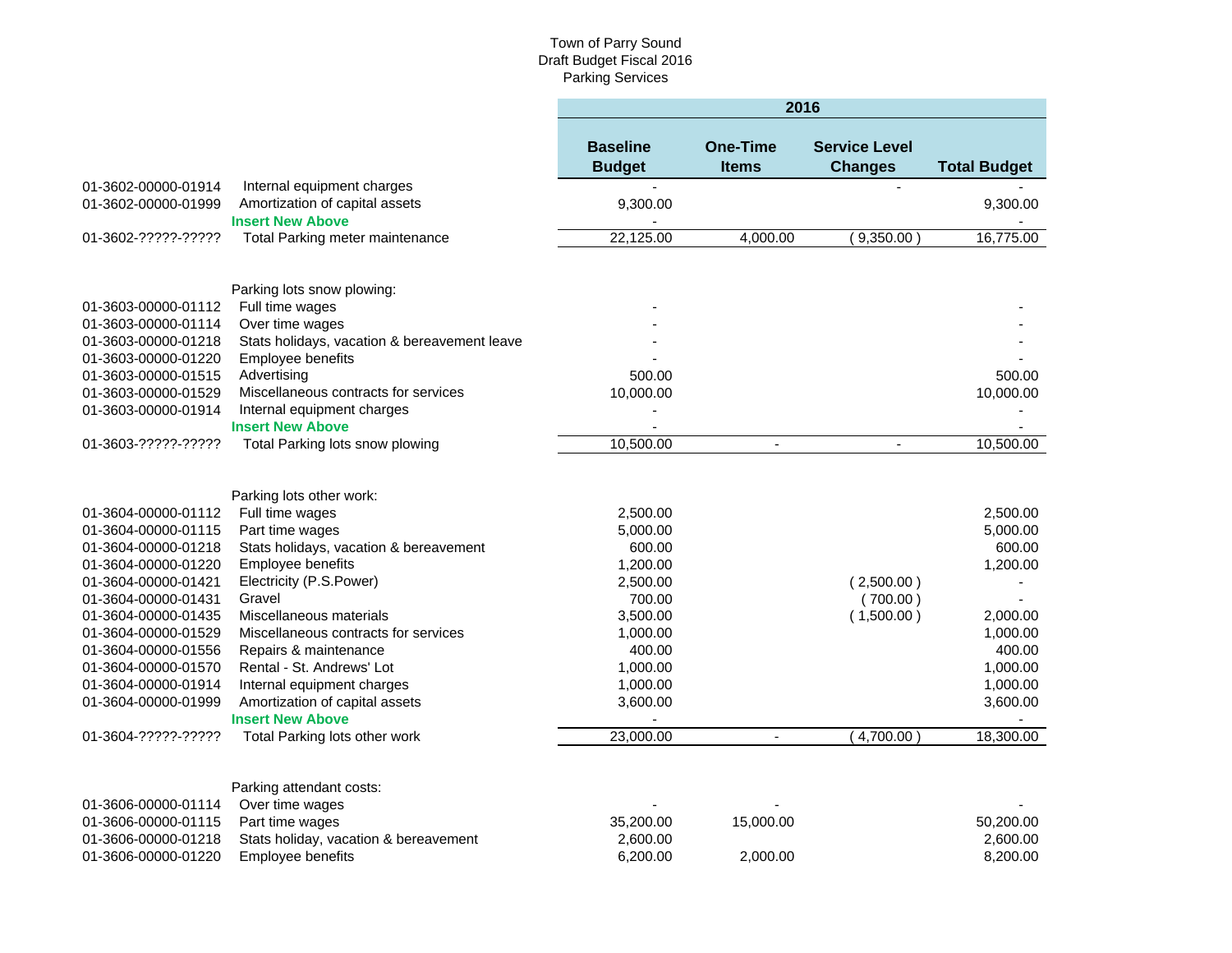|                     |                                              | 2016                             |                                 |                                        |                     |  |
|---------------------|----------------------------------------------|----------------------------------|---------------------------------|----------------------------------------|---------------------|--|
|                     |                                              | <b>Baseline</b><br><b>Budget</b> | <b>One-Time</b><br><b>Items</b> | <b>Service Level</b><br><b>Changes</b> | <b>Total Budget</b> |  |
| 01-3602-00000-01914 | Internal equipment charges                   |                                  |                                 |                                        |                     |  |
| 01-3602-00000-01999 | Amortization of capital assets               | 9,300.00                         |                                 |                                        | 9,300.00            |  |
|                     | <b>Insert New Above</b>                      |                                  |                                 |                                        |                     |  |
| 01-3602-?????-????? | Total Parking meter maintenance              | 22,125.00                        | 4,000.00                        | 9,350.00                               | 16,775.00           |  |
|                     |                                              |                                  |                                 |                                        |                     |  |
|                     | Parking lots snow plowing:                   |                                  |                                 |                                        |                     |  |
| 01-3603-00000-01112 | Full time wages                              |                                  |                                 |                                        |                     |  |
| 01-3603-00000-01114 | Over time wages                              |                                  |                                 |                                        |                     |  |
| 01-3603-00000-01218 | Stats holidays, vacation & bereavement leave |                                  |                                 |                                        |                     |  |
| 01-3603-00000-01220 | Employee benefits                            |                                  |                                 |                                        |                     |  |
| 01-3603-00000-01515 | Advertising                                  | 500.00                           |                                 |                                        | 500.00              |  |
| 01-3603-00000-01529 | Miscellaneous contracts for services         | 10,000.00                        |                                 |                                        | 10,000.00           |  |
| 01-3603-00000-01914 | Internal equipment charges                   |                                  |                                 |                                        |                     |  |
|                     | <b>Insert New Above</b>                      |                                  |                                 |                                        |                     |  |
| 01-3603-?????-????? | Total Parking lots snow plowing              | 10,500.00                        | ÷,                              | $\sim$                                 | 10,500.00           |  |
|                     | Parking lots other work:                     |                                  |                                 |                                        |                     |  |
| 01-3604-00000-01112 | Full time wages                              | 2,500.00                         |                                 |                                        | 2,500.00            |  |
| 01-3604-00000-01115 | Part time wages                              | 5,000.00                         |                                 |                                        | 5,000.00            |  |
| 01-3604-00000-01218 | Stats holidays, vacation & bereavement       | 600.00                           |                                 |                                        | 600.00              |  |
| 01-3604-00000-01220 | Employee benefits                            | 1,200.00                         |                                 |                                        | 1,200.00            |  |
| 01-3604-00000-01421 | Electricity (P.S.Power)                      | 2,500.00                         |                                 | (2,500.00)                             |                     |  |
| 01-3604-00000-01431 | Gravel                                       | 700.00                           |                                 | (700.00)                               |                     |  |
| 01-3604-00000-01435 | Miscellaneous materials                      | 3,500.00                         |                                 | (1,500.00)                             | 2,000.00            |  |
| 01-3604-00000-01529 | Miscellaneous contracts for services         | 1,000.00                         |                                 |                                        | 1,000.00            |  |
| 01-3604-00000-01556 | Repairs & maintenance                        | 400.00                           |                                 |                                        | 400.00              |  |
| 01-3604-00000-01570 | Rental - St. Andrews' Lot                    | 1,000.00                         |                                 |                                        | 1,000.00            |  |
| 01-3604-00000-01914 | Internal equipment charges                   | 1,000.00                         |                                 |                                        | 1,000.00            |  |
| 01-3604-00000-01999 | Amortization of capital assets               | 3,600.00                         |                                 |                                        | 3,600.00            |  |
|                     | <b>Insert New Above</b>                      |                                  |                                 |                                        |                     |  |
| 01-3604-?????-????? | Total Parking lots other work                | 23,000.00                        | $\overline{\phantom{a}}$        | 4,700.00                               | 18,300.00           |  |
|                     |                                              |                                  |                                 |                                        |                     |  |
|                     | Parking attendant costs:                     |                                  |                                 |                                        |                     |  |
| 01-3606-00000-01114 | Over time wages                              |                                  |                                 |                                        |                     |  |
| 01-3606-00000-01115 | Part time wages                              | 35,200.00                        | 15,000.00                       |                                        | 50,200.00           |  |
| 01-3606-00000-01218 | Stats holiday, vacation & bereavement        | 2,600.00                         |                                 |                                        | 2,600.00            |  |
| 01-3606-00000-01220 | Employee benefits                            | 6,200.00                         | 2,000.00                        |                                        | 8,200.00            |  |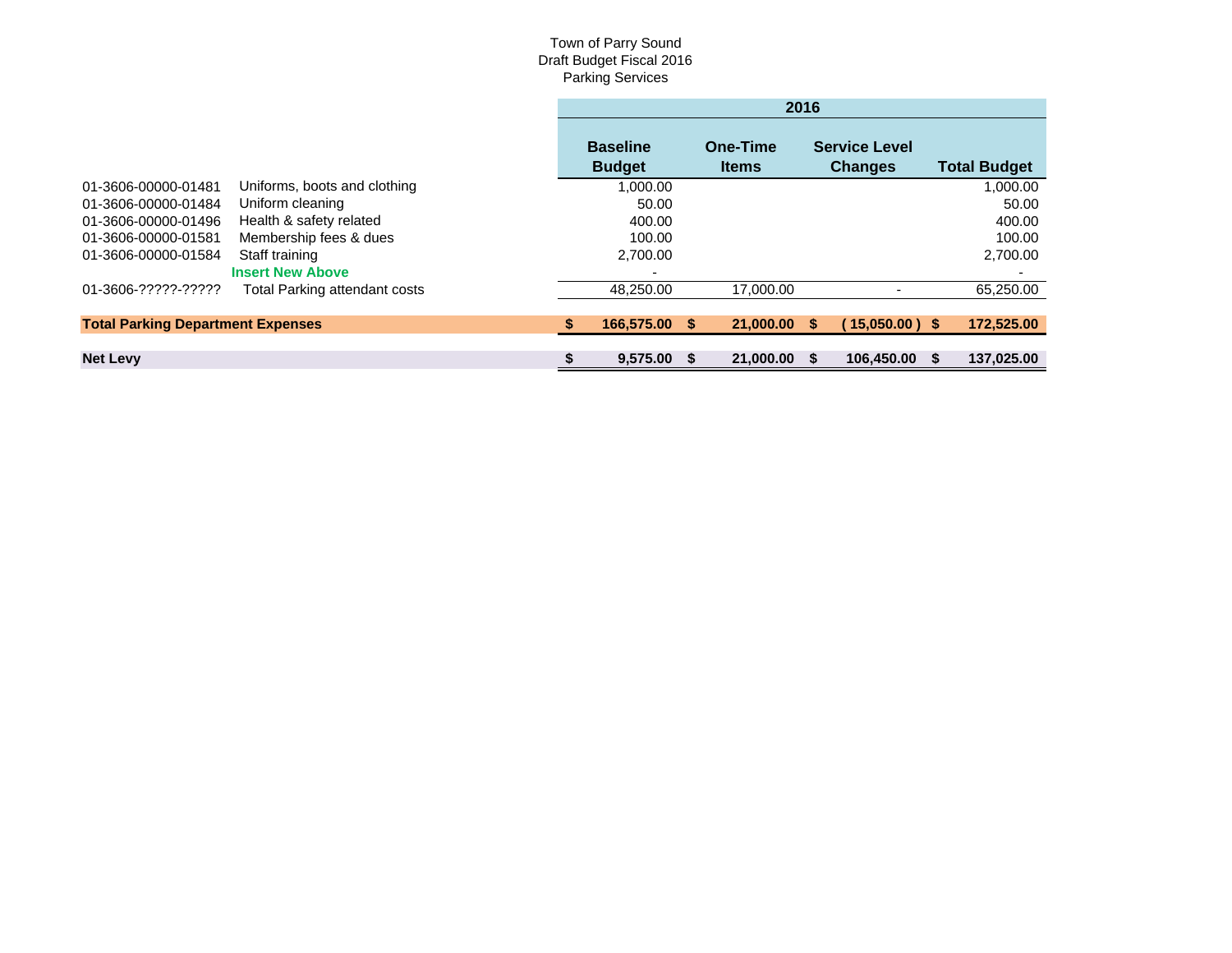|                                          |                               | 2016                             |    |                          |  |                                        |  |                     |
|------------------------------------------|-------------------------------|----------------------------------|----|--------------------------|--|----------------------------------------|--|---------------------|
|                                          |                               | <b>Baseline</b><br><b>Budget</b> |    | One-Time<br><b>Items</b> |  | <b>Service Level</b><br><b>Changes</b> |  | <b>Total Budget</b> |
| 01-3606-00000-01481                      | Uniforms, boots and clothing  | 1,000.00                         |    |                          |  |                                        |  | 1,000.00            |
| 01-3606-00000-01484                      | Uniform cleaning              | 50.00                            |    |                          |  |                                        |  | 50.00               |
| 01-3606-00000-01496                      | Health & safety related       | 400.00                           |    |                          |  |                                        |  | 400.00              |
| 01-3606-00000-01581                      | Membership fees & dues        | 100.00                           |    |                          |  |                                        |  | 100.00              |
| 01-3606-00000-01584                      | Staff training                | 2,700.00                         |    |                          |  |                                        |  | 2,700.00            |
|                                          | <b>Insert New Above</b>       |                                  |    |                          |  |                                        |  |                     |
| 01-3606-?????-?????                      | Total Parking attendant costs | 48,250.00                        |    | 17,000.00                |  |                                        |  | 65,250.00           |
| <b>Total Parking Department Expenses</b> |                               | 166,575.00                       | -S | 21,000.00 \$             |  | $15,050.00$ ) \$                       |  | 172,525.00          |
|                                          |                               |                                  |    |                          |  |                                        |  |                     |
| <b>Net Levy</b>                          |                               | 9,575.00                         |    | 21,000.00                |  | 106.450.00                             |  | 137.025.00          |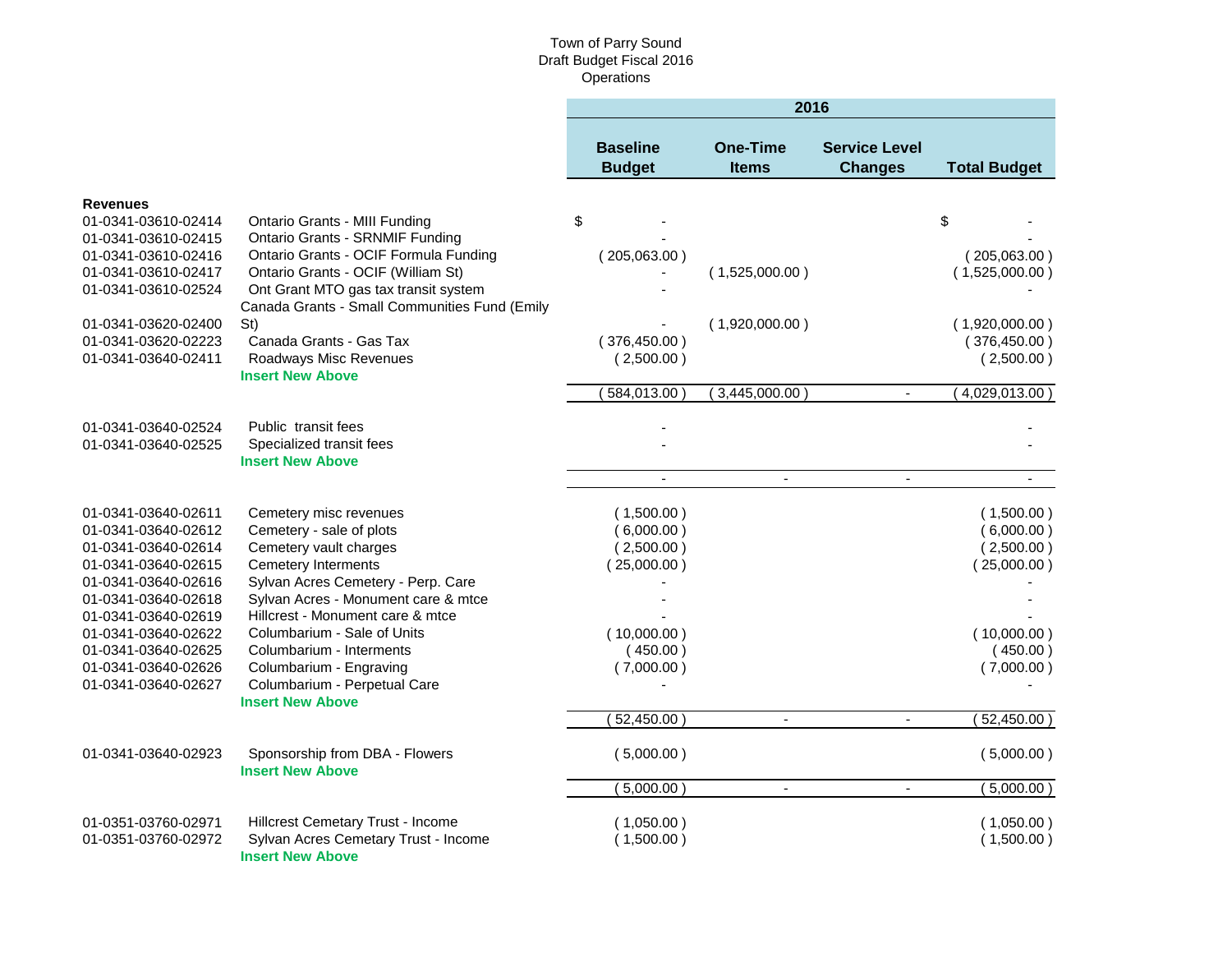|                                                                                                                                                                                                                                                           |                                                                                                                                                                                                                                                                                                                                                                              |                                                                                                             | 2016                                               |                                        |                                                                                                                 |
|-----------------------------------------------------------------------------------------------------------------------------------------------------------------------------------------------------------------------------------------------------------|------------------------------------------------------------------------------------------------------------------------------------------------------------------------------------------------------------------------------------------------------------------------------------------------------------------------------------------------------------------------------|-------------------------------------------------------------------------------------------------------------|----------------------------------------------------|----------------------------------------|-----------------------------------------------------------------------------------------------------------------|
|                                                                                                                                                                                                                                                           |                                                                                                                                                                                                                                                                                                                                                                              | <b>Baseline</b><br><b>Budget</b>                                                                            | <b>One-Time</b><br><b>Items</b>                    | <b>Service Level</b><br><b>Changes</b> | <b>Total Budget</b>                                                                                             |
| <b>Revenues</b><br>01-0341-03610-02414<br>01-0341-03610-02415<br>01-0341-03610-02416<br>01-0341-03610-02417<br>01-0341-03610-02524<br>01-0341-03620-02400<br>01-0341-03620-02223<br>01-0341-03640-02411                                                   | Ontario Grants - MIII Funding<br><b>Ontario Grants - SRNMIF Funding</b><br>Ontario Grants - OCIF Formula Funding<br>Ontario Grants - OCIF (William St)<br>Ont Grant MTO gas tax transit system<br>Canada Grants - Small Communities Fund (Emily<br>St)<br>Canada Grants - Gas Tax<br>Roadways Misc Revenues<br><b>Insert New Above</b>                                       | \$<br>(205,063.00)<br>(376, 450.00)<br>(2,500.00)<br>584,013.00)                                            | (1,525,000.00)<br>(1,920,000.00)<br>(3,445,000.00) | $\blacksquare$                         | \$<br>(205,063.00)<br>(1,525,000.00)<br>(1,920,000.00)<br>(376, 450.00)<br>(2,500.00)<br>(4,029,013.00)         |
| 01-0341-03640-02524<br>01-0341-03640-02525                                                                                                                                                                                                                | Public transit fees<br>Specialized transit fees<br><b>Insert New Above</b>                                                                                                                                                                                                                                                                                                   | $\overline{\phantom{a}}$                                                                                    | $\blacksquare$                                     | $\blacksquare$                         |                                                                                                                 |
| 01-0341-03640-02611<br>01-0341-03640-02612<br>01-0341-03640-02614<br>01-0341-03640-02615<br>01-0341-03640-02616<br>01-0341-03640-02618<br>01-0341-03640-02619<br>01-0341-03640-02622<br>01-0341-03640-02625<br>01-0341-03640-02626<br>01-0341-03640-02627 | Cemetery misc revenues<br>Cemetery - sale of plots<br>Cemetery vault charges<br><b>Cemetery Interments</b><br>Sylvan Acres Cemetery - Perp. Care<br>Sylvan Acres - Monument care & mtce<br>Hillcrest - Monument care & mtce<br>Columbarium - Sale of Units<br>Columbarium - Interments<br>Columbarium - Engraving<br>Columbarium - Perpetual Care<br><b>Insert New Above</b> | (1,500.00)<br>(6,000.00)<br>(2,500.00)<br>(25,000.00)<br>(10,000.00)<br>(450.00)<br>(7,000.00)<br>52,450.00 | $\blacksquare$                                     | $\mathbf{r}$                           | (1,500.00)<br>(6,000.00)<br>(2,500.00)<br>(25,000.00)<br>(10,000.00)<br>(450.00)<br>(7,000.00)<br>$52,450.00$ ) |
| 01-0341-03640-02923                                                                                                                                                                                                                                       | Sponsorship from DBA - Flowers<br><b>Insert New Above</b>                                                                                                                                                                                                                                                                                                                    | (5,000.00)<br>5,000.00)                                                                                     | $\overline{\phantom{a}}$                           | $\blacksquare$                         | (5,000.00)<br>(5,000.00)                                                                                        |
| 01-0351-03760-02971<br>01-0351-03760-02972                                                                                                                                                                                                                | Hillcrest Cemetary Trust - Income<br>Sylvan Acres Cemetary Trust - Income<br><b>Insert New Above</b>                                                                                                                                                                                                                                                                         | (1,050.00)<br>(1,500.00)                                                                                    |                                                    |                                        | (1,050.00)<br>(1,500.00)                                                                                        |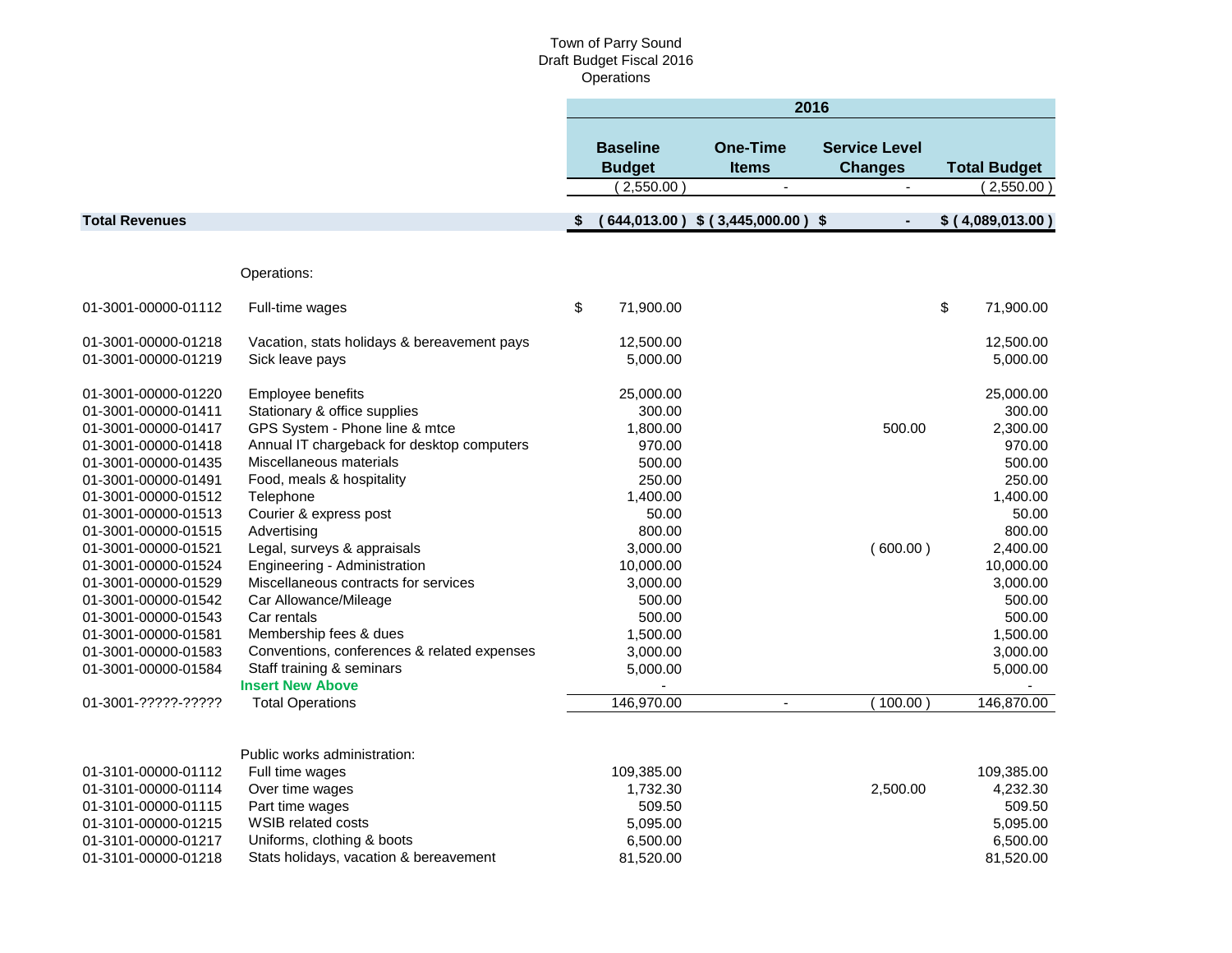|                       |                                             | 2016                                           |                                                   |                                                    |    |                                   |
|-----------------------|---------------------------------------------|------------------------------------------------|---------------------------------------------------|----------------------------------------------------|----|-----------------------------------|
|                       |                                             | <b>Baseline</b><br><b>Budget</b><br>(2,550.00) | <b>One-Time</b><br><b>Items</b><br>$\blacksquare$ | <b>Service Level</b><br><b>Changes</b><br>$\omega$ |    | <b>Total Budget</b><br>(2,550.00) |
| <b>Total Revenues</b> |                                             |                                                | 644,013.00) \$ (3,445,000.00) \$                  | $\blacksquare$                                     |    | \$ (4,089,013.00)                 |
|                       |                                             |                                                |                                                   |                                                    |    |                                   |
|                       | Operations:                                 |                                                |                                                   |                                                    |    |                                   |
|                       |                                             |                                                |                                                   |                                                    |    |                                   |
| 01-3001-00000-01112   | Full-time wages                             | \$<br>71,900.00                                |                                                   |                                                    | \$ | 71,900.00                         |
| 01-3001-00000-01218   | Vacation, stats holidays & bereavement pays | 12,500.00                                      |                                                   |                                                    |    | 12,500.00                         |
| 01-3001-00000-01219   | Sick leave pays                             | 5,000.00                                       |                                                   |                                                    |    | 5,000.00                          |
| 01-3001-00000-01220   | Employee benefits                           | 25,000.00                                      |                                                   |                                                    |    | 25,000.00                         |
| 01-3001-00000-01411   | Stationary & office supplies                | 300.00                                         |                                                   |                                                    |    | 300.00                            |
| 01-3001-00000-01417   | GPS System - Phone line & mtce              | 1,800.00                                       |                                                   | 500.00                                             |    | 2,300.00                          |
| 01-3001-00000-01418   | Annual IT chargeback for desktop computers  | 970.00                                         |                                                   |                                                    |    | 970.00                            |
| 01-3001-00000-01435   | Miscellaneous materials                     | 500.00                                         |                                                   |                                                    |    | 500.00                            |
| 01-3001-00000-01491   | Food, meals & hospitality                   | 250.00                                         |                                                   |                                                    |    | 250.00                            |
| 01-3001-00000-01512   | Telephone                                   | 1,400.00                                       |                                                   |                                                    |    | 1,400.00                          |
| 01-3001-00000-01513   | Courier & express post                      | 50.00                                          |                                                   |                                                    |    | 50.00                             |
| 01-3001-00000-01515   | Advertising                                 | 800.00                                         |                                                   |                                                    |    | 800.00                            |
| 01-3001-00000-01521   | Legal, surveys & appraisals                 | 3,000.00                                       |                                                   | (600.00)                                           |    | 2,400.00                          |
| 01-3001-00000-01524   | Engineering - Administration                | 10,000.00                                      |                                                   |                                                    |    | 10,000.00                         |
| 01-3001-00000-01529   | Miscellaneous contracts for services        | 3,000.00                                       |                                                   |                                                    |    | 3,000.00                          |
| 01-3001-00000-01542   | Car Allowance/Mileage                       | 500.00                                         |                                                   |                                                    |    | 500.00                            |
| 01-3001-00000-01543   | Car rentals                                 | 500.00                                         |                                                   |                                                    |    | 500.00                            |
| 01-3001-00000-01581   | Membership fees & dues                      | 1,500.00                                       |                                                   |                                                    |    | 1,500.00                          |
| 01-3001-00000-01583   | Conventions, conferences & related expenses | 3,000.00                                       |                                                   |                                                    |    | 3,000.00                          |
| 01-3001-00000-01584   | Staff training & seminars                   | 5,000.00                                       |                                                   |                                                    |    | 5,000.00                          |
|                       | <b>Insert New Above</b>                     |                                                |                                                   |                                                    |    |                                   |
| 01-3001-?????-?????   | <b>Total Operations</b>                     | 146,970.00                                     |                                                   | 100.00                                             |    | 146,870.00                        |
|                       | Public works administration:                |                                                |                                                   |                                                    |    |                                   |
| 01-3101-00000-01112   | Full time wages                             | 109,385.00                                     |                                                   |                                                    |    | 109,385.00                        |
| 01-3101-00000-01114   | Over time wages                             | 1,732.30                                       |                                                   | 2,500.00                                           |    | 4,232.30                          |
| 01-3101-00000-01115   | Part time wages                             | 509.50                                         |                                                   |                                                    |    | 509.50                            |
| 01-3101-00000-01215   | WSIB related costs                          | 5,095.00                                       |                                                   |                                                    |    | 5,095.00                          |
| 01-3101-00000-01217   | Uniforms, clothing & boots                  | 6,500.00                                       |                                                   |                                                    |    | 6,500.00                          |
| 01-3101-00000-01218   | Stats holidays, vacation & bereavement      | 81,520.00                                      |                                                   |                                                    |    | 81,520.00                         |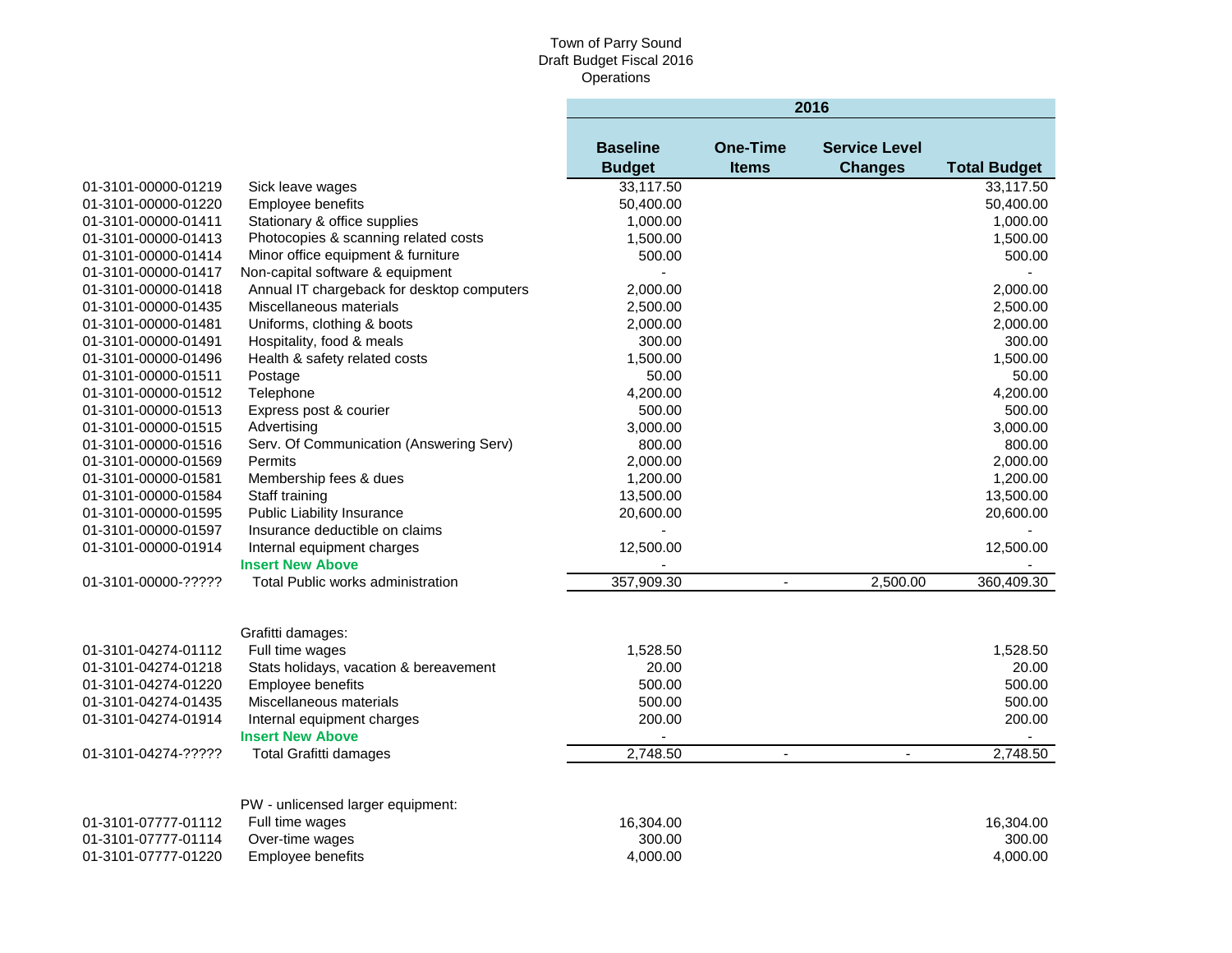|                     |                                            | 2016            |                 |                      |                     |  |
|---------------------|--------------------------------------------|-----------------|-----------------|----------------------|---------------------|--|
|                     |                                            | <b>Baseline</b> | <b>One-Time</b> | <b>Service Level</b> |                     |  |
|                     |                                            | <b>Budget</b>   | <b>Items</b>    | <b>Changes</b>       | <b>Total Budget</b> |  |
| 01-3101-00000-01219 | Sick leave wages                           | 33,117.50       |                 |                      | 33,117.50           |  |
| 01-3101-00000-01220 | Employee benefits                          | 50,400.00       |                 |                      | 50,400.00           |  |
| 01-3101-00000-01411 | Stationary & office supplies               | 1,000.00        |                 |                      | 1,000.00            |  |
| 01-3101-00000-01413 | Photocopies & scanning related costs       | 1,500.00        |                 |                      | 1,500.00            |  |
| 01-3101-00000-01414 | Minor office equipment & furniture         | 500.00          |                 |                      | 500.00              |  |
| 01-3101-00000-01417 | Non-capital software & equipment           | $\blacksquare$  |                 |                      |                     |  |
| 01-3101-00000-01418 | Annual IT chargeback for desktop computers | 2,000.00        |                 |                      | 2,000.00            |  |
| 01-3101-00000-01435 | Miscellaneous materials                    | 2,500.00        |                 |                      | 2,500.00            |  |
| 01-3101-00000-01481 | Uniforms, clothing & boots                 | 2,000.00        |                 |                      | 2,000.00            |  |
| 01-3101-00000-01491 | Hospitality, food & meals                  | 300.00          |                 |                      | 300.00              |  |
| 01-3101-00000-01496 | Health & safety related costs              | 1,500.00        |                 |                      | 1,500.00            |  |
| 01-3101-00000-01511 | Postage                                    | 50.00           |                 |                      | 50.00               |  |
| 01-3101-00000-01512 | Telephone                                  | 4,200.00        |                 |                      | 4,200.00            |  |
| 01-3101-00000-01513 | Express post & courier                     | 500.00          |                 |                      | 500.00              |  |
| 01-3101-00000-01515 | Advertising                                | 3,000.00        |                 |                      | 3,000.00            |  |
| 01-3101-00000-01516 | Serv. Of Communication (Answering Serv)    | 800.00          |                 |                      | 800.00              |  |
| 01-3101-00000-01569 | Permits                                    | 2,000.00        |                 |                      | 2,000.00            |  |
| 01-3101-00000-01581 | Membership fees & dues                     | 1,200.00        |                 |                      | 1,200.00            |  |
| 01-3101-00000-01584 | Staff training                             | 13,500.00       |                 |                      | 13,500.00           |  |
| 01-3101-00000-01595 | <b>Public Liability Insurance</b>          | 20,600.00       |                 |                      | 20,600.00           |  |
| 01-3101-00000-01597 | Insurance deductible on claims             | $\blacksquare$  |                 |                      |                     |  |
| 01-3101-00000-01914 | Internal equipment charges                 | 12,500.00       |                 |                      | 12,500.00           |  |
|                     | <b>Insert New Above</b>                    |                 |                 |                      |                     |  |
| 01-3101-00000-????? | Total Public works administration          | 357,909.30      | $\blacksquare$  | 2,500.00             | 360,409.30          |  |
|                     |                                            |                 |                 |                      |                     |  |
|                     | Grafitti damages:                          |                 |                 |                      |                     |  |
| 01-3101-04274-01112 | Full time wages                            | 1,528.50        |                 |                      | 1,528.50            |  |
| 01-3101-04274-01218 | Stats holidays, vacation & bereavement     | 20.00           |                 |                      | 20.00               |  |
| 01-3101-04274-01220 | Employee benefits                          | 500.00          |                 |                      | 500.00              |  |
| 01-3101-04274-01435 | Miscellaneous materials                    | 500.00          |                 |                      | 500.00              |  |
| 01-3101-04274-01914 | Internal equipment charges                 | 200.00          |                 |                      | 200.00              |  |
|                     | <b>Insert New Above</b>                    |                 |                 |                      |                     |  |
| 01-3101-04274-????? | <b>Total Grafitti damages</b>              | 2,748.50        | $\blacksquare$  | $\sim$               | 2,748.50            |  |
|                     |                                            |                 |                 |                      |                     |  |
|                     | PW - unlicensed larger equipment:          |                 |                 |                      |                     |  |
| 01-3101-07777-01112 | Full time wages                            | 16,304.00       |                 |                      | 16,304.00           |  |
| 01-3101-07777-01114 | Over-time wages                            | 300.00          |                 |                      | 300.00              |  |
| 01-3101-07777-01220 | Employee benefits                          | 4.000.00        |                 |                      | 4,000.00            |  |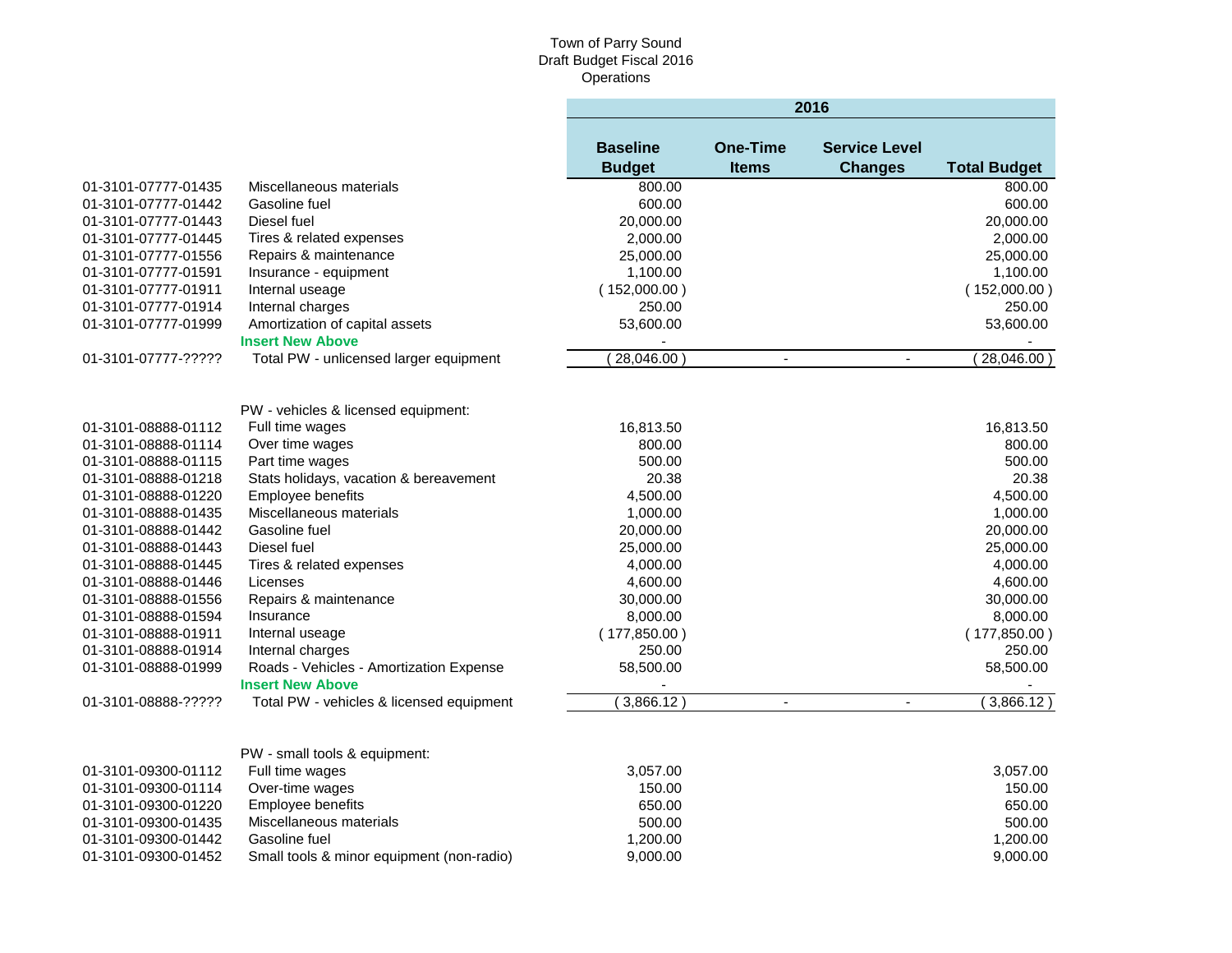|                     |                                           |                                  |                                 | 2016                                   |                     |
|---------------------|-------------------------------------------|----------------------------------|---------------------------------|----------------------------------------|---------------------|
|                     |                                           | <b>Baseline</b><br><b>Budget</b> | <b>One-Time</b><br><b>Items</b> | <b>Service Level</b><br><b>Changes</b> | <b>Total Budget</b> |
| 01-3101-07777-01435 | Miscellaneous materials                   | 800.00                           |                                 |                                        | 800.00              |
| 01-3101-07777-01442 | Gasoline fuel                             | 600.00                           |                                 |                                        | 600.00              |
| 01-3101-07777-01443 | Diesel fuel                               | 20,000.00                        |                                 |                                        | 20,000.00           |
| 01-3101-07777-01445 | Tires & related expenses                  | 2,000.00                         |                                 |                                        | 2,000.00            |
| 01-3101-07777-01556 | Repairs & maintenance                     | 25,000.00                        |                                 |                                        | 25,000.00           |
| 01-3101-07777-01591 | Insurance - equipment                     | 1,100.00                         |                                 |                                        | 1,100.00            |
| 01-3101-07777-01911 | Internal useage                           | (152,000.00)                     |                                 |                                        | (152,000.00)        |
| 01-3101-07777-01914 | Internal charges                          | 250.00                           |                                 |                                        | 250.00              |
| 01-3101-07777-01999 | Amortization of capital assets            | 53,600.00                        |                                 |                                        | 53,600.00           |
|                     | <b>Insert New Above</b>                   |                                  |                                 |                                        |                     |
| 01-3101-07777-????? | Total PW - unlicensed larger equipment    | 28,046.00                        | $\blacksquare$                  | $\blacksquare$                         | 28,046.00)          |
|                     |                                           |                                  |                                 |                                        |                     |
|                     | PW - vehicles & licensed equipment:       |                                  |                                 |                                        |                     |
| 01-3101-08888-01112 | Full time wages                           | 16,813.50                        |                                 |                                        | 16,813.50           |
| 01-3101-08888-01114 | Over time wages                           | 800.00                           |                                 |                                        | 800.00              |
| 01-3101-08888-01115 | Part time wages                           | 500.00                           |                                 |                                        | 500.00              |
| 01-3101-08888-01218 | Stats holidays, vacation & bereavement    | 20.38                            |                                 |                                        | 20.38               |
| 01-3101-08888-01220 | Employee benefits                         | 4,500.00                         |                                 |                                        | 4,500.00            |
| 01-3101-08888-01435 | Miscellaneous materials                   | 1,000.00                         |                                 |                                        | 1,000.00            |
| 01-3101-08888-01442 | Gasoline fuel                             | 20,000.00                        |                                 |                                        | 20,000.00           |
| 01-3101-08888-01443 | Diesel fuel                               | 25,000.00                        |                                 |                                        | 25,000.00           |
| 01-3101-08888-01445 | Tires & related expenses                  | 4,000.00                         |                                 |                                        | 4,000.00            |
| 01-3101-08888-01446 | Licenses                                  | 4,600.00                         |                                 |                                        | 4,600.00            |
| 01-3101-08888-01556 | Repairs & maintenance                     | 30,000.00                        |                                 |                                        | 30,000.00           |
| 01-3101-08888-01594 | Insurance                                 | 8,000.00                         |                                 |                                        | 8,000.00            |
| 01-3101-08888-01911 | Internal useage                           | (177, 850.00)                    |                                 |                                        | (177, 850.00)       |
| 01-3101-08888-01914 | Internal charges                          | 250.00                           |                                 |                                        | 250.00              |
| 01-3101-08888-01999 | Roads - Vehicles - Amortization Expense   | 58,500.00                        |                                 |                                        | 58,500.00           |
|                     | <b>Insert New Above</b>                   |                                  |                                 |                                        |                     |
| 01-3101-08888-????? | Total PW - vehicles & licensed equipment  | 3,866.12                         | $\blacksquare$                  | $\mathbf{r}$                           | (3,866.12)          |
|                     |                                           |                                  |                                 |                                        |                     |
|                     | PW - small tools & equipment:             |                                  |                                 |                                        |                     |
| 01-3101-09300-01112 | Full time wages                           | 3,057.00                         |                                 |                                        | 3,057.00            |
| 01-3101-09300-01114 | Over-time wages                           | 150.00                           |                                 |                                        | 150.00              |
| 01-3101-09300-01220 | Employee benefits                         | 650.00                           |                                 |                                        | 650.00              |
| 01-3101-09300-01435 | Miscellaneous materials                   | 500.00                           |                                 |                                        | 500.00              |
| 01-3101-09300-01442 | Gasoline fuel                             | 1,200.00                         |                                 |                                        | 1,200.00            |
| 01-3101-09300-01452 | Small tools & minor equipment (non-radio) | 9,000.00                         |                                 |                                        | 9,000.00            |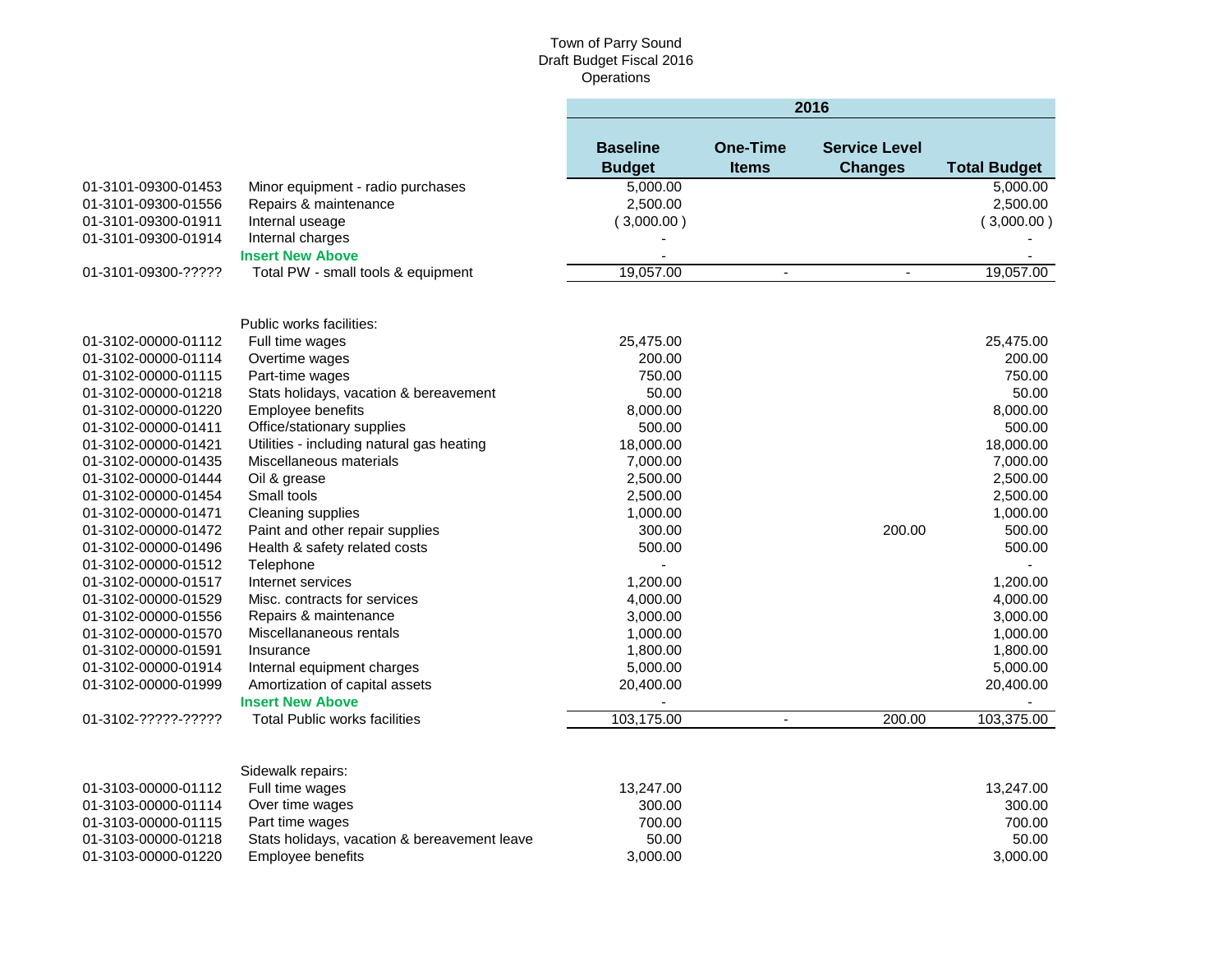÷

|                     |                                              | 2016                             |                                 |                                        |                     |
|---------------------|----------------------------------------------|----------------------------------|---------------------------------|----------------------------------------|---------------------|
|                     |                                              | <b>Baseline</b><br><b>Budget</b> | <b>One-Time</b><br><b>Items</b> | <b>Service Level</b><br><b>Changes</b> | <b>Total Budget</b> |
| 01-3101-09300-01453 | Minor equipment - radio purchases            | 5.000.00                         |                                 |                                        | 5,000.00            |
| 01-3101-09300-01556 | Repairs & maintenance                        | 2,500.00                         |                                 |                                        | 2,500.00            |
| 01-3101-09300-01911 | Internal useage                              | (3,000.00)                       |                                 |                                        | (3,000.00)          |
| 01-3101-09300-01914 | Internal charges                             |                                  |                                 |                                        |                     |
|                     | <b>Insert New Above</b>                      |                                  |                                 |                                        |                     |
| 01-3101-09300-????? | Total PW - small tools & equipment           | 19,057.00                        | $\blacksquare$                  | $\blacksquare$                         | 19,057.00           |
|                     | Public works facilities:                     |                                  |                                 |                                        |                     |
| 01-3102-00000-01112 | Full time wages                              | 25,475.00                        |                                 |                                        | 25,475.00           |
| 01-3102-00000-01114 | Overtime wages                               | 200.00                           |                                 |                                        | 200.00              |
| 01-3102-00000-01115 | Part-time wages                              | 750.00                           |                                 |                                        | 750.00              |
| 01-3102-00000-01218 | Stats holidays, vacation & bereavement       | 50.00                            |                                 |                                        | 50.00               |
| 01-3102-00000-01220 | Employee benefits                            | 8,000.00                         |                                 |                                        | 8,000.00            |
| 01-3102-00000-01411 | Office/stationary supplies                   | 500.00                           |                                 |                                        | 500.00              |
| 01-3102-00000-01421 | Utilities - including natural gas heating    | 18,000.00                        |                                 |                                        | 18,000.00           |
| 01-3102-00000-01435 | Miscellaneous materials                      | 7,000.00                         |                                 |                                        | 7,000.00            |
| 01-3102-00000-01444 | Oil & grease                                 | 2,500.00                         |                                 |                                        | 2,500.00            |
| 01-3102-00000-01454 | Small tools                                  | 2,500.00                         |                                 |                                        | 2,500.00            |
| 01-3102-00000-01471 | Cleaning supplies                            | 1,000.00                         |                                 |                                        | 1,000.00            |
| 01-3102-00000-01472 | Paint and other repair supplies              | 300.00                           |                                 | 200.00                                 | 500.00              |
| 01-3102-00000-01496 | Health & safety related costs                | 500.00                           |                                 |                                        | 500.00              |
| 01-3102-00000-01512 | Telephone                                    |                                  |                                 |                                        |                     |
| 01-3102-00000-01517 | Internet services                            | 1,200.00                         |                                 |                                        | 1,200.00            |
| 01-3102-00000-01529 | Misc. contracts for services                 | 4,000.00                         |                                 |                                        | 4,000.00            |
| 01-3102-00000-01556 | Repairs & maintenance                        | 3,000.00                         |                                 |                                        | 3,000.00            |
| 01-3102-00000-01570 | Miscellananeous rentals                      | 1,000.00                         |                                 |                                        | 1,000.00            |
| 01-3102-00000-01591 | Insurance                                    | 1,800.00                         |                                 |                                        | 1,800.00            |
| 01-3102-00000-01914 | Internal equipment charges                   | 5,000.00                         |                                 |                                        | 5,000.00            |
| 01-3102-00000-01999 | Amortization of capital assets               | 20,400.00                        |                                 |                                        | 20,400.00           |
|                     | <b>Insert New Above</b>                      |                                  |                                 |                                        |                     |
| 01-3102-?????-????? | <b>Total Public works facilities</b>         | 103,175.00                       | $\blacksquare$                  | 200.00                                 | 103,375.00          |
|                     | Sidewalk repairs:                            |                                  |                                 |                                        |                     |
| 01-3103-00000-01112 | Full time wages                              | 13,247.00                        |                                 |                                        | 13,247.00           |
| 01-3103-00000-01114 | Over time wages                              | 300.00                           |                                 |                                        | 300.00              |
| 01-3103-00000-01115 | Part time wages                              | 700.00                           |                                 |                                        | 700.00              |
| 01-3103-00000-01218 | Stats holidays, vacation & bereavement leave | 50.00                            |                                 |                                        | 50.00               |
| 01-3103-00000-01220 | Employee benefits                            | 3,000.00                         |                                 |                                        | 3,000.00            |
|                     |                                              |                                  |                                 |                                        |                     |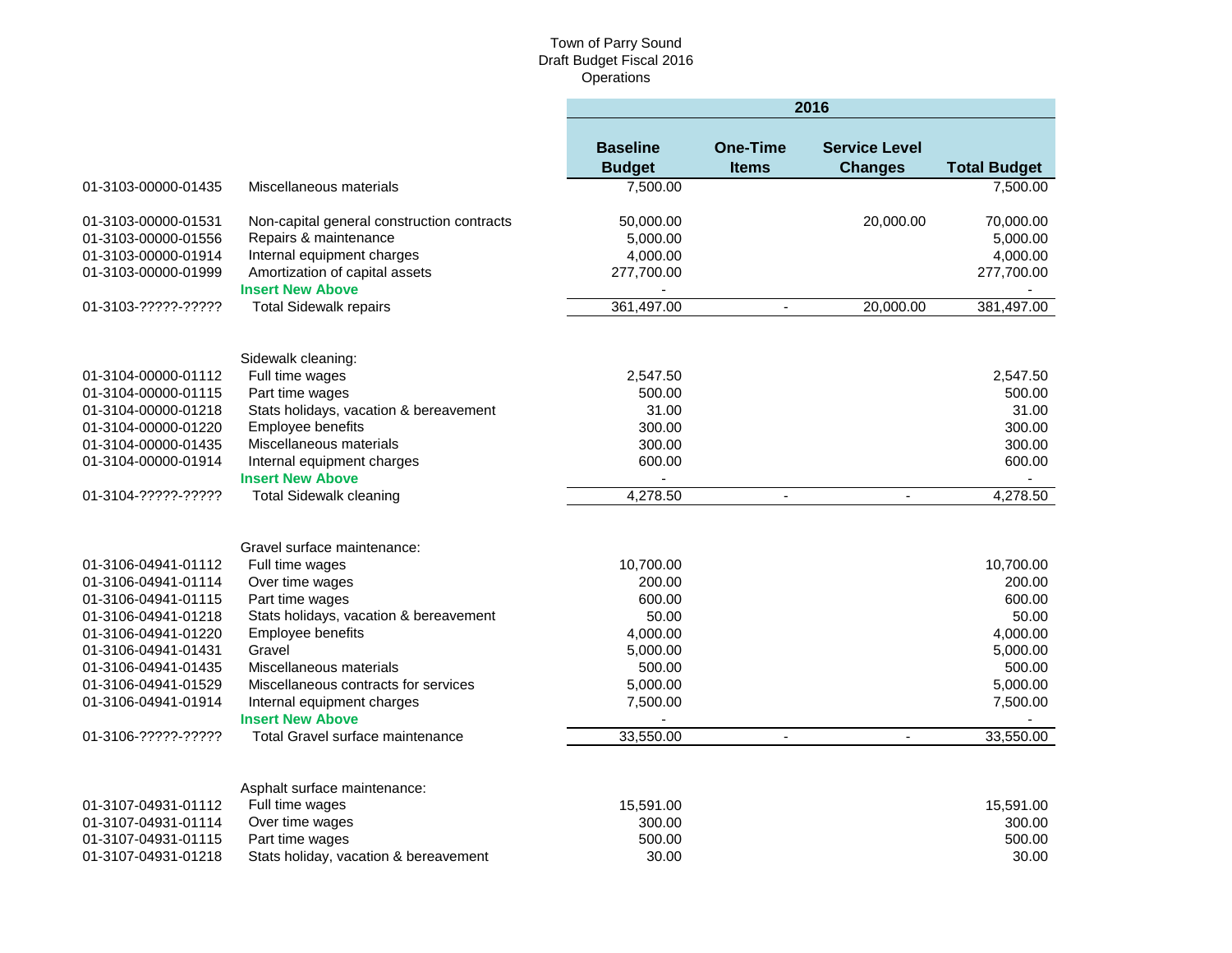|                     |                                            | 2016                             |                                 |                                        |                     |  |
|---------------------|--------------------------------------------|----------------------------------|---------------------------------|----------------------------------------|---------------------|--|
|                     |                                            | <b>Baseline</b><br><b>Budget</b> | <b>One-Time</b><br><b>Items</b> | <b>Service Level</b><br><b>Changes</b> | <b>Total Budget</b> |  |
| 01-3103-00000-01435 | Miscellaneous materials                    | 7,500.00                         |                                 |                                        | 7,500.00            |  |
| 01-3103-00000-01531 | Non-capital general construction contracts | 50,000.00                        |                                 | 20,000.00                              | 70,000.00           |  |
| 01-3103-00000-01556 | Repairs & maintenance                      | 5,000.00                         |                                 |                                        | 5,000.00            |  |
| 01-3103-00000-01914 | Internal equipment charges                 | 4,000.00                         |                                 |                                        | 4,000.00            |  |
| 01-3103-00000-01999 | Amortization of capital assets             | 277,700.00                       |                                 |                                        | 277,700.00          |  |
|                     | <b>Insert New Above</b>                    |                                  |                                 |                                        |                     |  |
| 01-3103-?????-????? | <b>Total Sidewalk repairs</b>              | 361,497.00                       | $\blacksquare$                  | 20,000.00                              | 381,497.00          |  |
|                     |                                            |                                  |                                 |                                        |                     |  |
|                     | Sidewalk cleaning:                         |                                  |                                 |                                        |                     |  |
| 01-3104-00000-01112 | Full time wages                            | 2,547.50                         |                                 |                                        | 2,547.50            |  |
| 01-3104-00000-01115 | Part time wages                            | 500.00                           |                                 |                                        | 500.00              |  |
| 01-3104-00000-01218 | Stats holidays, vacation & bereavement     | 31.00                            |                                 |                                        | 31.00               |  |
| 01-3104-00000-01220 | Employee benefits                          | 300.00                           |                                 |                                        | 300.00              |  |
| 01-3104-00000-01435 | Miscellaneous materials                    | 300.00                           |                                 |                                        | 300.00              |  |
| 01-3104-00000-01914 | Internal equipment charges                 | 600.00                           |                                 |                                        | 600.00              |  |
|                     | <b>Insert New Above</b>                    | $\blacksquare$                   |                                 |                                        |                     |  |
| 01-3104-?????-????? | <b>Total Sidewalk cleaning</b>             | 4,278.50                         | $\blacksquare$                  | $\mathbf{r}$                           | 4,278.50            |  |
|                     |                                            |                                  |                                 |                                        |                     |  |
|                     | Gravel surface maintenance:                |                                  |                                 |                                        |                     |  |
| 01-3106-04941-01112 | Full time wages                            | 10,700.00                        |                                 |                                        | 10,700.00           |  |
| 01-3106-04941-01114 | Over time wages                            | 200.00                           |                                 |                                        | 200.00              |  |
| 01-3106-04941-01115 | Part time wages                            | 600.00                           |                                 |                                        | 600.00              |  |
| 01-3106-04941-01218 | Stats holidays, vacation & bereavement     | 50.00                            |                                 |                                        | 50.00               |  |
| 01-3106-04941-01220 | Employee benefits                          | 4,000.00                         |                                 |                                        | 4,000.00            |  |
| 01-3106-04941-01431 | Gravel                                     | 5,000.00                         |                                 |                                        | 5,000.00            |  |
| 01-3106-04941-01435 | Miscellaneous materials                    | 500.00                           |                                 |                                        | 500.00              |  |
| 01-3106-04941-01529 | Miscellaneous contracts for services       | 5,000.00                         |                                 |                                        | 5,000.00            |  |
| 01-3106-04941-01914 | Internal equipment charges                 | 7,500.00                         |                                 |                                        | 7,500.00            |  |
|                     | <b>Insert New Above</b>                    |                                  |                                 |                                        |                     |  |
| 01-3106-?????-????? | Total Gravel surface maintenance           | 33,550.00                        | $\blacksquare$                  | $\blacksquare$                         | 33,550.00           |  |
|                     |                                            |                                  |                                 |                                        |                     |  |
|                     | Asphalt surface maintenance:               |                                  |                                 |                                        |                     |  |
| 01-3107-04931-01112 | Full time wages                            | 15,591.00                        |                                 |                                        | 15,591.00           |  |
| 01-3107-04931-01114 | Over time wages                            | 300.00                           |                                 |                                        | 300.00              |  |
| 01-3107-04931-01115 | Part time wages                            | 500.00                           |                                 |                                        | 500.00              |  |
| 01-3107-04931-01218 | Stats holiday, vacation & bereavement      | 30.00                            |                                 |                                        | 30.00               |  |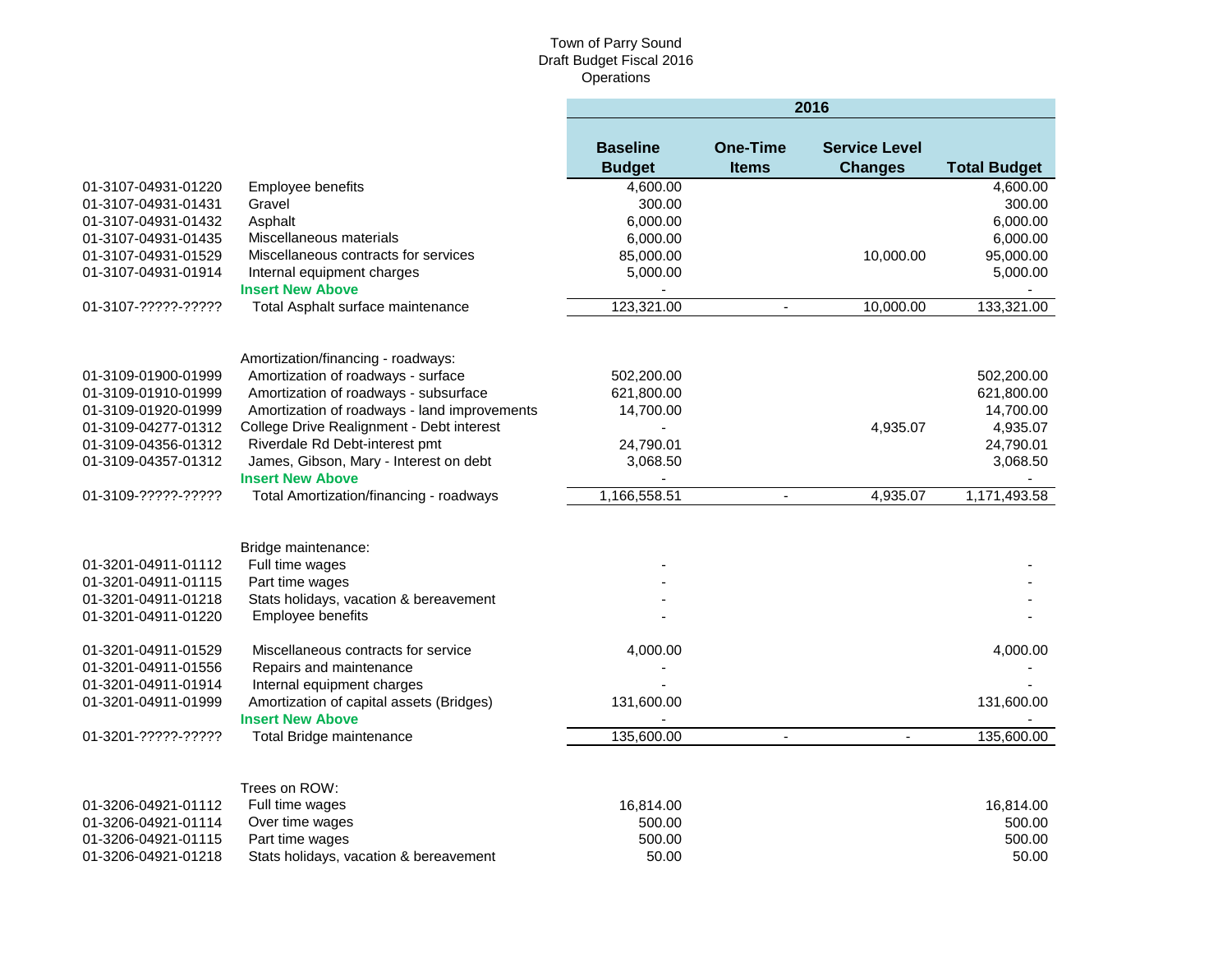|                     |                                                                     | 2016                             |                                 |                                        |                          |  |
|---------------------|---------------------------------------------------------------------|----------------------------------|---------------------------------|----------------------------------------|--------------------------|--|
|                     |                                                                     | <b>Baseline</b><br><b>Budget</b> | <b>One-Time</b><br><b>Items</b> | <b>Service Level</b><br><b>Changes</b> | <b>Total Budget</b>      |  |
| 01-3107-04931-01220 | <b>Employee benefits</b>                                            | 4,600.00                         |                                 |                                        | 4,600.00                 |  |
| 01-3107-04931-01431 | Gravel                                                              | 300.00                           |                                 |                                        | 300.00                   |  |
| 01-3107-04931-01432 | Asphalt                                                             | 6,000.00                         |                                 |                                        | 6,000.00                 |  |
| 01-3107-04931-01435 | Miscellaneous materials                                             | 6,000.00                         |                                 |                                        | 6,000.00                 |  |
| 01-3107-04931-01529 | Miscellaneous contracts for services                                | 85,000.00                        |                                 | 10,000.00                              | 95,000.00                |  |
| 01-3107-04931-01914 | Internal equipment charges                                          | 5,000.00                         |                                 |                                        | 5,000.00                 |  |
|                     | <b>Insert New Above</b>                                             | $\overline{\phantom{a}}$         |                                 |                                        | $\overline{\phantom{a}}$ |  |
| 01-3107-?????-????? | Total Asphalt surface maintenance                                   | 123,321.00                       | $\blacksquare$                  | 10,000.00                              | 133,321.00               |  |
|                     |                                                                     |                                  |                                 |                                        |                          |  |
|                     | Amortization/financing - roadways:                                  |                                  |                                 |                                        |                          |  |
| 01-3109-01900-01999 | Amortization of roadways - surface                                  | 502,200.00                       |                                 |                                        | 502,200.00               |  |
| 01-3109-01910-01999 | Amortization of roadways - subsurface                               | 621,800.00                       |                                 |                                        | 621,800.00               |  |
| 01-3109-01920-01999 | Amortization of roadways - land improvements                        | 14,700.00                        |                                 |                                        | 14,700.00                |  |
| 01-3109-04277-01312 | College Drive Realignment - Debt interest                           | $\blacksquare$                   |                                 | 4,935.07                               | 4,935.07                 |  |
| 01-3109-04356-01312 | Riverdale Rd Debt-interest pmt                                      | 24,790.01                        |                                 |                                        | 24,790.01                |  |
| 01-3109-04357-01312 | James, Gibson, Mary - Interest on debt<br><b>Insert New Above</b>   | 3,068.50                         |                                 |                                        | 3,068.50                 |  |
| 01-3109-?????-????? | Total Amortization/financing - roadways                             | 1,166,558.51                     | $\blacksquare$                  | 4,935.07                               | 1,171,493.58             |  |
|                     |                                                                     |                                  |                                 |                                        |                          |  |
|                     | Bridge maintenance:                                                 |                                  |                                 |                                        |                          |  |
| 01-3201-04911-01112 | Full time wages                                                     |                                  |                                 |                                        |                          |  |
| 01-3201-04911-01115 | Part time wages                                                     |                                  |                                 |                                        |                          |  |
| 01-3201-04911-01218 | Stats holidays, vacation & bereavement                              |                                  |                                 |                                        |                          |  |
| 01-3201-04911-01220 | Employee benefits                                                   |                                  |                                 |                                        |                          |  |
| 01-3201-04911-01529 | Miscellaneous contracts for service                                 | 4,000.00                         |                                 |                                        | 4,000.00                 |  |
| 01-3201-04911-01556 | Repairs and maintenance                                             |                                  |                                 |                                        |                          |  |
| 01-3201-04911-01914 | Internal equipment charges                                          |                                  |                                 |                                        |                          |  |
| 01-3201-04911-01999 | Amortization of capital assets (Bridges)<br><b>Insert New Above</b> | 131,600.00                       |                                 |                                        | 131,600.00               |  |
|                     |                                                                     |                                  |                                 |                                        |                          |  |
| 01-3201-?????-????? | Total Bridge maintenance                                            | 135,600.00                       | $\blacksquare$                  | $\overline{\phantom{a}}$               | 135,600.00               |  |
|                     | Trees on ROW:                                                       |                                  |                                 |                                        |                          |  |
| 01-3206-04921-01112 | Full time wages                                                     | 16,814.00                        |                                 |                                        | 16,814.00                |  |
| 01-3206-04921-01114 | Over time wages                                                     | 500.00                           |                                 |                                        | 500.00                   |  |
|                     |                                                                     | 500.00                           |                                 |                                        | 500.00                   |  |
| 01-3206-04921-01115 | Part time wages                                                     | 50.00                            |                                 |                                        | 50.00                    |  |
| 01-3206-04921-01218 | Stats holidays, vacation & bereavement                              |                                  |                                 |                                        |                          |  |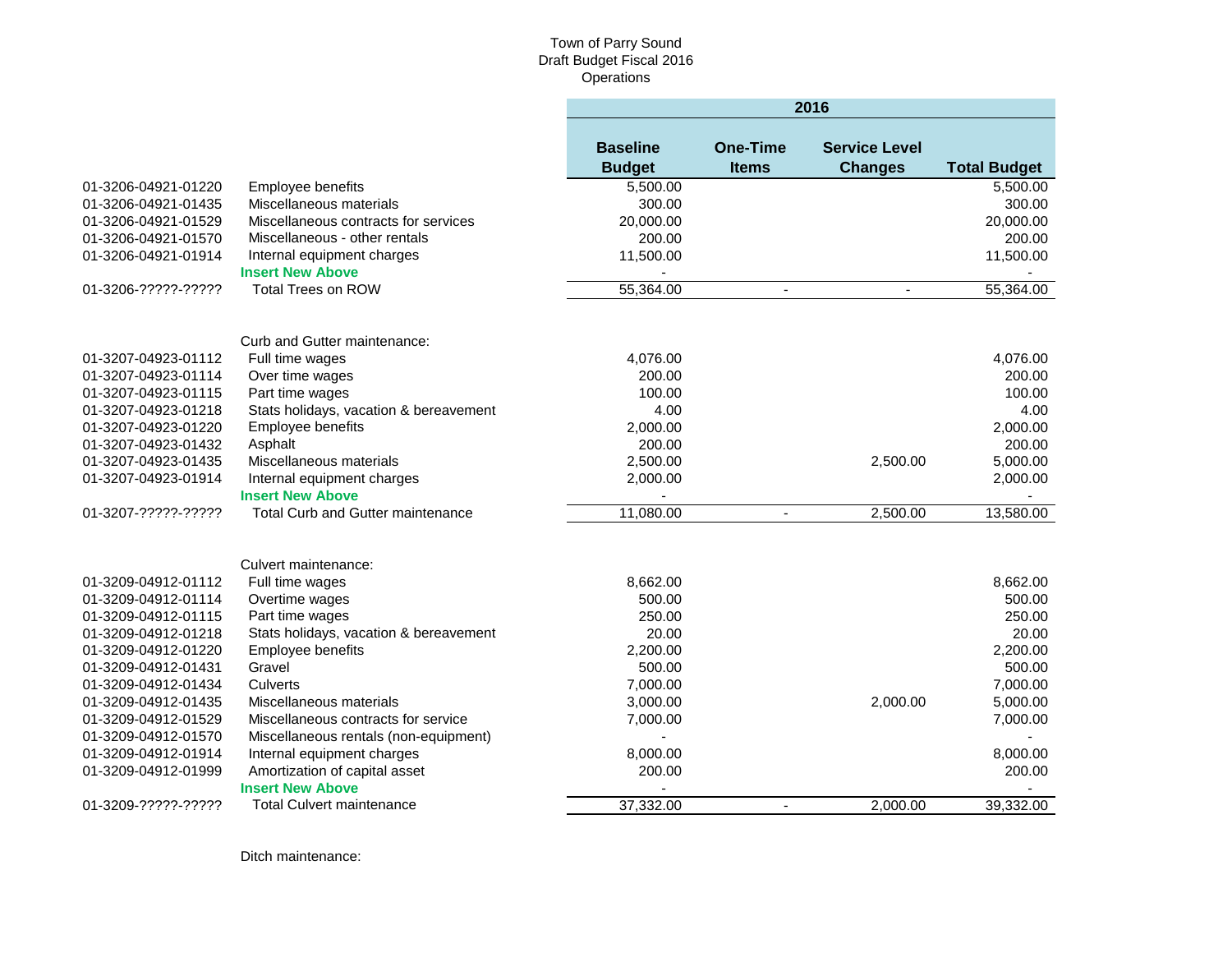|                     |                                        | 2016                             |                                 |                                        |                     |  |
|---------------------|----------------------------------------|----------------------------------|---------------------------------|----------------------------------------|---------------------|--|
|                     |                                        | <b>Baseline</b><br><b>Budget</b> | <b>One-Time</b><br><b>Items</b> | <b>Service Level</b><br><b>Changes</b> | <b>Total Budget</b> |  |
| 01-3206-04921-01220 | Employee benefits                      | 5,500.00                         |                                 |                                        | 5,500.00            |  |
| 01-3206-04921-01435 | Miscellaneous materials                | 300.00                           |                                 |                                        | 300.00              |  |
| 01-3206-04921-01529 | Miscellaneous contracts for services   | 20,000.00                        |                                 |                                        | 20,000.00           |  |
| 01-3206-04921-01570 | Miscellaneous - other rentals          | 200.00                           |                                 |                                        | 200.00              |  |
| 01-3206-04921-01914 | Internal equipment charges             | 11,500.00                        |                                 |                                        | 11,500.00           |  |
|                     | <b>Insert New Above</b>                |                                  |                                 |                                        |                     |  |
| 01-3206-?????-????? | <b>Total Trees on ROW</b>              | 55,364.00                        | $\blacksquare$                  | $\omega$                               | 55,364.00           |  |
|                     | Curb and Gutter maintenance:           |                                  |                                 |                                        |                     |  |
| 01-3207-04923-01112 | Full time wages                        | 4,076.00                         |                                 |                                        | 4,076.00            |  |
| 01-3207-04923-01114 | Over time wages                        | 200.00                           |                                 |                                        | 200.00              |  |
| 01-3207-04923-01115 | Part time wages                        | 100.00                           |                                 |                                        | 100.00              |  |
| 01-3207-04923-01218 | Stats holidays, vacation & bereavement | 4.00                             |                                 |                                        | 4.00                |  |
| 01-3207-04923-01220 | Employee benefits                      | 2,000.00                         |                                 |                                        | 2,000.00            |  |
| 01-3207-04923-01432 | Asphalt                                | 200.00                           |                                 |                                        | 200.00              |  |
| 01-3207-04923-01435 | Miscellaneous materials                | 2,500.00                         |                                 | 2.500.00                               | 5,000.00            |  |
| 01-3207-04923-01914 | Internal equipment charges             | 2,000.00                         |                                 |                                        | 2,000.00            |  |
|                     | <b>Insert New Above</b>                |                                  |                                 |                                        |                     |  |
| 01-3207-?????-????? | Total Curb and Gutter maintenance      | 11,080.00                        |                                 | 2,500.00                               | 13,580.00           |  |
|                     | Culvert maintenance:                   |                                  |                                 |                                        |                     |  |
| 01-3209-04912-01112 | Full time wages                        | 8,662.00                         |                                 |                                        | 8,662.00            |  |
| 01-3209-04912-01114 | Overtime wages                         | 500.00                           |                                 |                                        | 500.00              |  |
| 01-3209-04912-01115 | Part time wages                        | 250.00                           |                                 |                                        | 250.00              |  |
| 01-3209-04912-01218 | Stats holidays, vacation & bereavement | 20.00                            |                                 |                                        | 20.00               |  |
| 01-3209-04912-01220 | <b>Employee benefits</b>               | 2.200.00                         |                                 |                                        | 2.200.00            |  |
| 01-3209-04912-01431 | Gravel                                 | 500.00                           |                                 |                                        | 500.00              |  |
| 01-3209-04912-01434 | Culverts                               | 7,000.00                         |                                 |                                        | 7,000.00            |  |
| 01-3209-04912-01435 | Miscellaneous materials                | 3,000.00                         |                                 | 2,000.00                               | 5,000.00            |  |
| 01-3209-04912-01529 | Miscellaneous contracts for service    | 7,000.00                         |                                 |                                        | 7,000.00            |  |
| 01-3209-04912-01570 | Miscellaneous rentals (non-equipment)  | $\blacksquare$                   |                                 |                                        |                     |  |
| 01-3209-04912-01914 | Internal equipment charges             | 8,000.00                         |                                 |                                        | 8,000.00            |  |
| 01-3209-04912-01999 | Amortization of capital asset          | 200.00                           |                                 |                                        | 200.00              |  |
|                     | <b>Insert New Above</b>                |                                  |                                 |                                        |                     |  |
| 01-3209-?????-????? | <b>Total Culvert maintenance</b>       | 37,332.00                        | $\overline{\phantom{a}}$        | 2,000.00                               | 39,332.00           |  |

Ditch maintenance: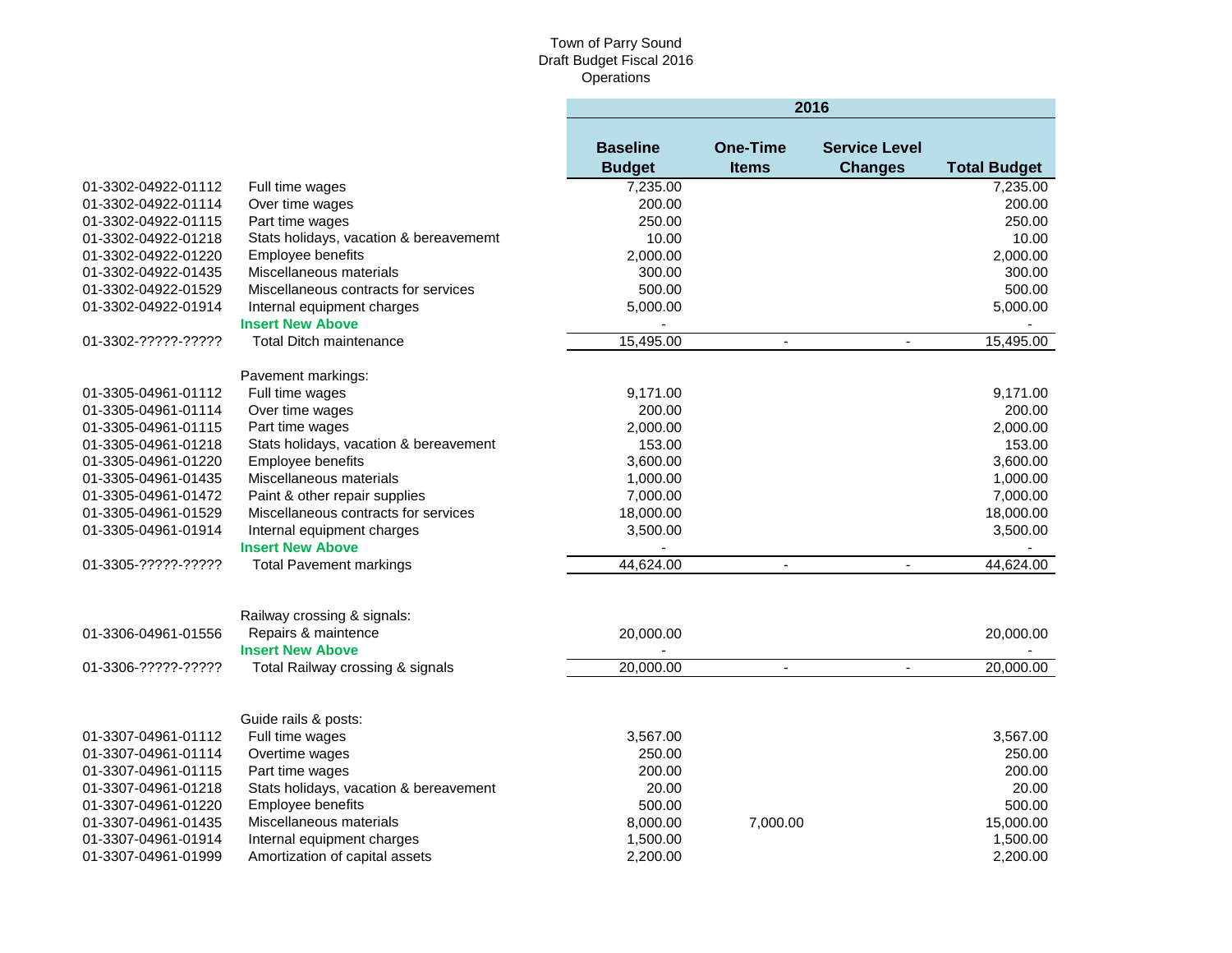|                     |                                                                               | 2016                             |                                 |                                        |                     |  |
|---------------------|-------------------------------------------------------------------------------|----------------------------------|---------------------------------|----------------------------------------|---------------------|--|
|                     |                                                                               | <b>Baseline</b><br><b>Budget</b> | <b>One-Time</b><br><b>Items</b> | <b>Service Level</b><br><b>Changes</b> | <b>Total Budget</b> |  |
| 01-3302-04922-01112 | Full time wages                                                               | 7,235.00                         |                                 |                                        | 7,235.00            |  |
| 01-3302-04922-01114 | Over time wages                                                               | 200.00                           |                                 |                                        | 200.00              |  |
| 01-3302-04922-01115 | Part time wages                                                               | 250.00                           |                                 |                                        | 250.00              |  |
| 01-3302-04922-01218 | Stats holidays, vacation & bereavememt                                        | 10.00                            |                                 |                                        | 10.00               |  |
| 01-3302-04922-01220 | Employee benefits                                                             | 2,000.00                         |                                 |                                        | 2,000.00            |  |
| 01-3302-04922-01435 | Miscellaneous materials                                                       | 300.00                           |                                 |                                        | 300.00              |  |
| 01-3302-04922-01529 | Miscellaneous contracts for services                                          | 500.00                           |                                 |                                        | 500.00              |  |
| 01-3302-04922-01914 | Internal equipment charges                                                    | 5,000.00                         |                                 |                                        | 5,000.00            |  |
|                     | <b>Insert New Above</b>                                                       |                                  |                                 |                                        |                     |  |
| 01-3302-?????-????? | <b>Total Ditch maintenance</b>                                                | 15,495.00                        | $\blacksquare$                  | $\blacksquare$                         | 15,495.00           |  |
|                     | Pavement markings:                                                            |                                  |                                 |                                        |                     |  |
| 01-3305-04961-01112 | Full time wages                                                               | 9,171.00                         |                                 |                                        | 9,171.00            |  |
| 01-3305-04961-01114 | Over time wages                                                               | 200.00                           |                                 |                                        | 200.00              |  |
| 01-3305-04961-01115 | Part time wages                                                               | 2,000.00                         |                                 |                                        | 2,000.00            |  |
| 01-3305-04961-01218 | Stats holidays, vacation & bereavement                                        | 153.00                           |                                 |                                        | 153.00              |  |
| 01-3305-04961-01220 | <b>Employee benefits</b>                                                      | 3,600.00                         |                                 |                                        | 3,600.00            |  |
| 01-3305-04961-01435 | Miscellaneous materials                                                       | 1,000.00                         |                                 |                                        | 1,000.00            |  |
| 01-3305-04961-01472 | Paint & other repair supplies                                                 | 7,000.00                         |                                 |                                        | 7,000.00            |  |
| 01-3305-04961-01529 | Miscellaneous contracts for services                                          | 18,000.00                        |                                 |                                        | 18,000.00           |  |
| 01-3305-04961-01914 | Internal equipment charges<br><b>Insert New Above</b>                         | 3,500.00                         |                                 |                                        | 3,500.00            |  |
| 01-3305-?????-????? | <b>Total Pavement markings</b>                                                | 44,624.00                        | $\blacksquare$                  | $\overline{\phantom{a}}$               | 44,624.00           |  |
| 01-3306-04961-01556 | Railway crossing & signals:<br>Repairs & maintence<br><b>Insert New Above</b> | 20,000.00                        |                                 |                                        | 20,000.00           |  |
| 01-3306-?????-????? | Total Railway crossing & signals                                              | 20,000.00                        | $\blacksquare$                  | $\blacksquare$                         | 20,000.00           |  |
|                     | Guide rails & posts:                                                          |                                  |                                 |                                        |                     |  |
| 01-3307-04961-01112 | Full time wages                                                               | 3,567.00                         |                                 |                                        | 3,567.00            |  |
| 01-3307-04961-01114 | Overtime wages                                                                | 250.00                           |                                 |                                        | 250.00              |  |
| 01-3307-04961-01115 | Part time wages                                                               | 200.00                           |                                 |                                        | 200.00              |  |
| 01-3307-04961-01218 | Stats holidays, vacation & bereavement                                        | 20.00                            |                                 |                                        | 20.00               |  |
| 01-3307-04961-01220 | Employee benefits                                                             | 500.00                           |                                 |                                        | 500.00              |  |
| 01-3307-04961-01435 | Miscellaneous materials                                                       | 8,000.00                         | 7,000.00                        |                                        | 15,000.00           |  |
| 01-3307-04961-01914 | Internal equipment charges                                                    | 1,500.00                         |                                 |                                        | 1,500.00            |  |
| 01-3307-04961-01999 | Amortization of capital assets                                                | 2,200.00                         |                                 |                                        | 2,200.00            |  |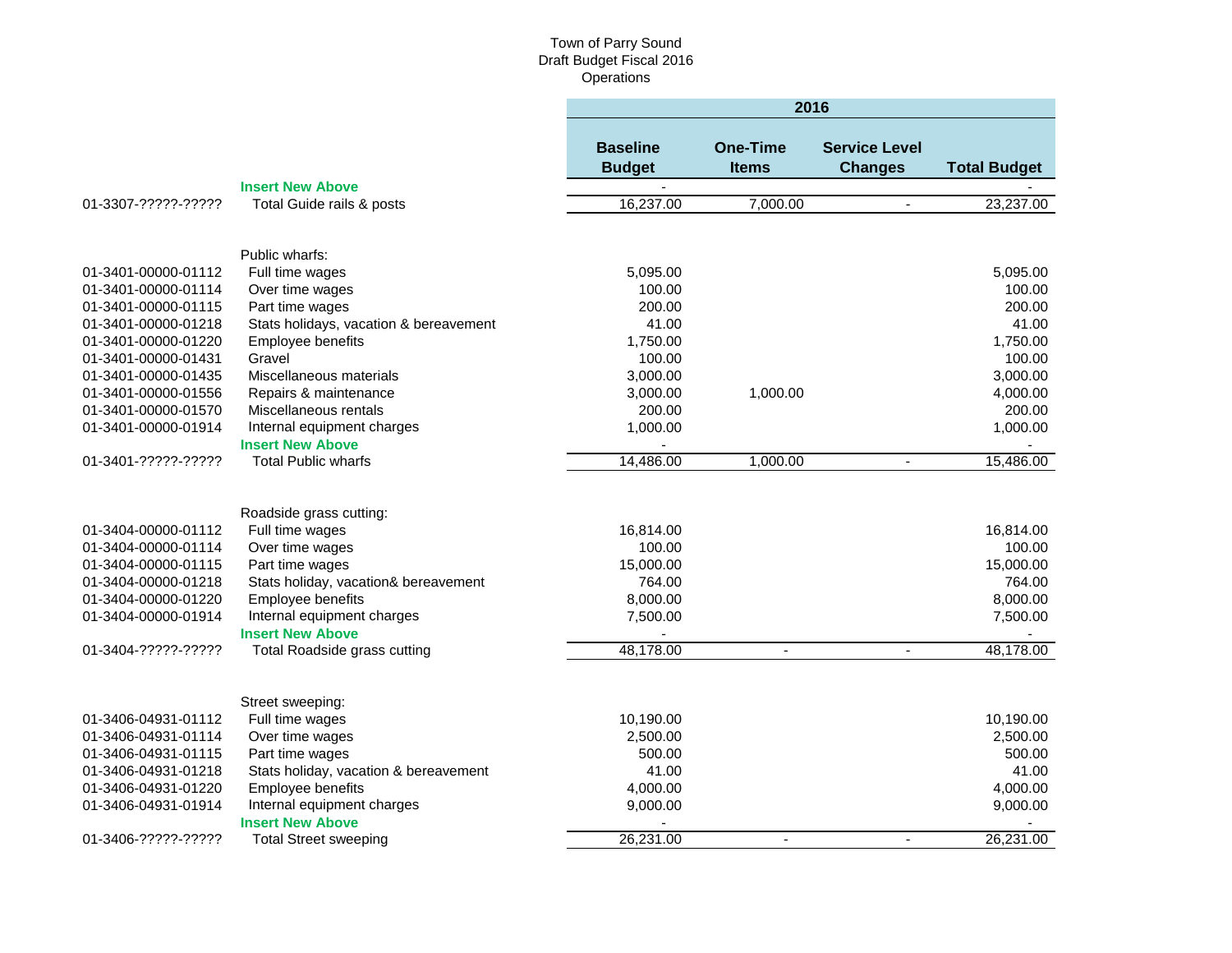|                                            |                                                 | 2016                             |                                 |                                        |                      |  |
|--------------------------------------------|-------------------------------------------------|----------------------------------|---------------------------------|----------------------------------------|----------------------|--|
|                                            |                                                 | <b>Baseline</b><br><b>Budget</b> | <b>One-Time</b><br><b>Items</b> | <b>Service Level</b><br><b>Changes</b> | <b>Total Budget</b>  |  |
|                                            | <b>Insert New Above</b>                         |                                  |                                 |                                        |                      |  |
| 01-3307-?????-?????                        | Total Guide rails & posts                       | 16,237.00                        | 7,000.00                        | $\blacksquare$                         | 23,237.00            |  |
|                                            |                                                 |                                  |                                 |                                        |                      |  |
|                                            | Public wharfs:                                  |                                  |                                 |                                        |                      |  |
| 01-3401-00000-01112<br>01-3401-00000-01114 | Full time wages                                 | 5,095.00<br>100.00               |                                 |                                        | 5,095.00<br>100.00   |  |
| 01-3401-00000-01115                        | Over time wages<br>Part time wages              | 200.00                           |                                 |                                        | 200.00               |  |
| 01-3401-00000-01218                        | Stats holidays, vacation & bereavement          | 41.00                            |                                 |                                        | 41.00                |  |
| 01-3401-00000-01220                        | Employee benefits                               | 1,750.00                         |                                 |                                        | 1,750.00             |  |
| 01-3401-00000-01431                        | Gravel                                          | 100.00                           |                                 |                                        | 100.00               |  |
| 01-3401-00000-01435                        | Miscellaneous materials                         | 3,000.00                         |                                 |                                        | 3,000.00             |  |
| 01-3401-00000-01556                        | Repairs & maintenance                           | 3,000.00                         | 1,000.00                        |                                        | 4,000.00             |  |
| 01-3401-00000-01570                        | Miscellaneous rentals                           | 200.00                           |                                 |                                        | 200.00               |  |
| 01-3401-00000-01914                        | Internal equipment charges                      | 1,000.00                         |                                 |                                        | 1,000.00             |  |
|                                            | <b>Insert New Above</b>                         |                                  |                                 |                                        |                      |  |
| 01-3401-?????-?????                        | <b>Total Public wharfs</b>                      | 14,486.00                        | 1,000.00                        | $\blacksquare$                         | 15,486.00            |  |
|                                            |                                                 |                                  |                                 |                                        |                      |  |
|                                            | Roadside grass cutting:                         |                                  |                                 |                                        |                      |  |
| 01-3404-00000-01112                        | Full time wages                                 | 16,814.00                        |                                 |                                        | 16,814.00            |  |
| 01-3404-00000-01114                        | Over time wages                                 | 100.00                           |                                 |                                        | 100.00               |  |
| 01-3404-00000-01115                        | Part time wages                                 | 15,000.00                        |                                 |                                        | 15,000.00            |  |
| 01-3404-00000-01218                        | Stats holiday, vacation& bereavement            | 764.00                           |                                 |                                        | 764.00               |  |
| 01-3404-00000-01220                        | Employee benefits                               | 8,000.00                         |                                 |                                        | 8,000.00             |  |
| 01-3404-00000-01914                        | Internal equipment charges                      | 7,500.00                         |                                 |                                        | 7,500.00             |  |
|                                            | <b>Insert New Above</b>                         |                                  |                                 |                                        |                      |  |
| 01-3404-?????-?????                        | Total Roadside grass cutting                    | 48,178.00                        | $\blacksquare$                  |                                        | 48,178.00            |  |
|                                            |                                                 |                                  |                                 |                                        |                      |  |
|                                            | Street sweeping:                                |                                  |                                 |                                        |                      |  |
| 01-3406-04931-01112                        | Full time wages                                 | 10,190.00                        |                                 |                                        | 10,190.00            |  |
| 01-3406-04931-01114                        | Over time wages                                 | 2,500.00                         |                                 |                                        | 2,500.00             |  |
| 01-3406-04931-01115                        | Part time wages                                 | 500.00                           |                                 |                                        | 500.00               |  |
| 01-3406-04931-01218                        | Stats holiday, vacation & bereavement           | 41.00                            |                                 |                                        | 41.00                |  |
| 01-3406-04931-01220                        | Employee benefits<br>Internal equipment charges | 4,000.00<br>9,000.00             |                                 |                                        | 4,000.00<br>9,000.00 |  |
| 01-3406-04931-01914                        | <b>Insert New Above</b>                         |                                  |                                 |                                        |                      |  |
| 01-3406-?????-?????                        | <b>Total Street sweeping</b>                    | 26,231.00                        | $\sim$                          | $\mathbf{r}$                           | 26,231.00            |  |
|                                            |                                                 |                                  |                                 |                                        |                      |  |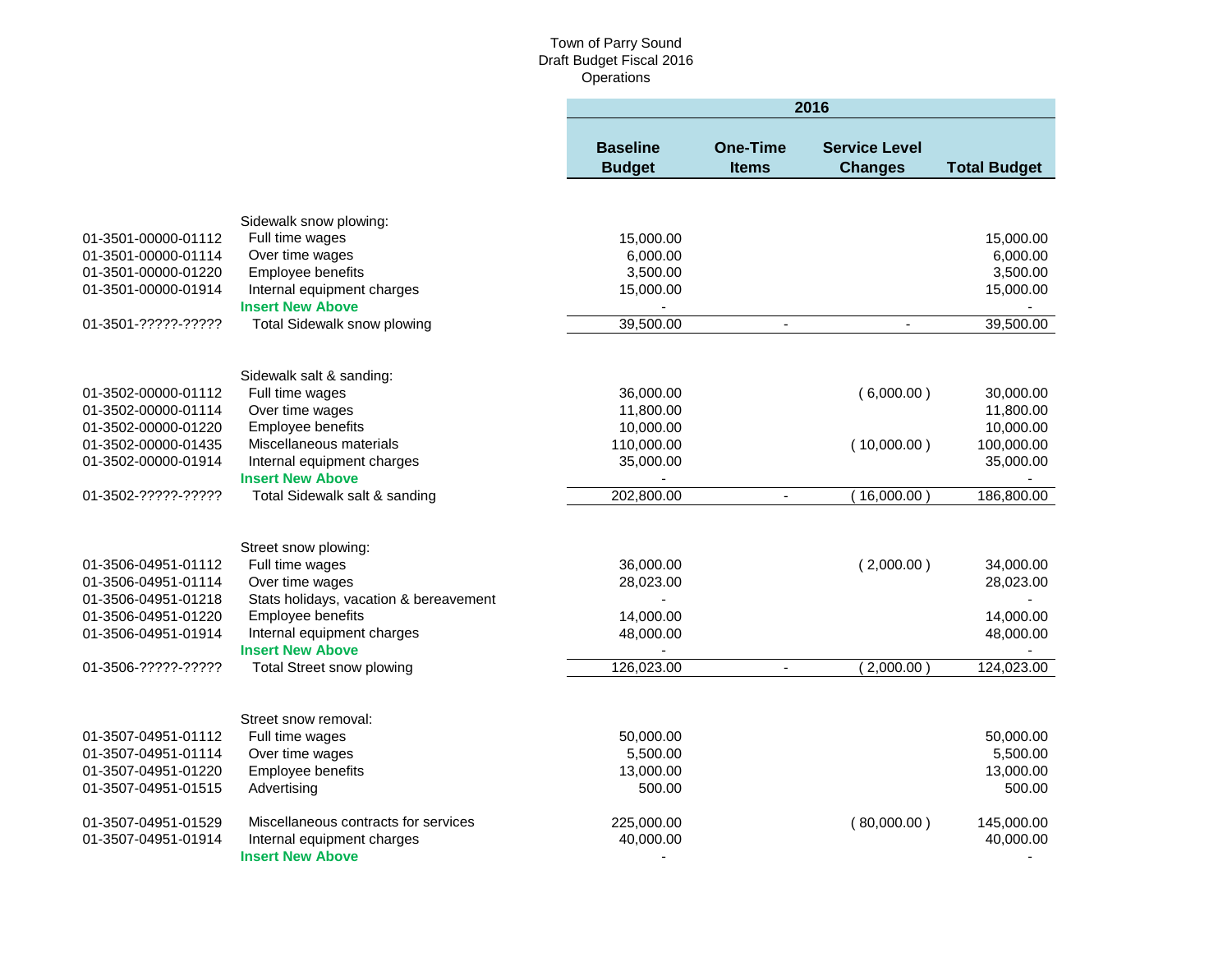|                     |                                        | 2016                             |                                 |                                        |                     |  |
|---------------------|----------------------------------------|----------------------------------|---------------------------------|----------------------------------------|---------------------|--|
|                     |                                        | <b>Baseline</b><br><b>Budget</b> | <b>One-Time</b><br><b>Items</b> | <b>Service Level</b><br><b>Changes</b> | <b>Total Budget</b> |  |
|                     |                                        |                                  |                                 |                                        |                     |  |
|                     | Sidewalk snow plowing:                 |                                  |                                 |                                        |                     |  |
| 01-3501-00000-01112 | Full time wages                        | 15,000.00                        |                                 |                                        | 15,000.00           |  |
| 01-3501-00000-01114 | Over time wages                        | 6,000.00                         |                                 |                                        | 6,000.00            |  |
| 01-3501-00000-01220 | Employee benefits                      | 3,500.00                         |                                 |                                        | 3,500.00            |  |
| 01-3501-00000-01914 | Internal equipment charges             | 15,000.00                        |                                 |                                        | 15,000.00           |  |
|                     | <b>Insert New Above</b>                |                                  |                                 |                                        |                     |  |
| 01-3501-?????-????? | Total Sidewalk snow plowing            | 39,500.00                        | ä,                              |                                        | 39,500.00           |  |
|                     |                                        |                                  |                                 |                                        |                     |  |
|                     | Sidewalk salt & sanding:               |                                  |                                 |                                        |                     |  |
| 01-3502-00000-01112 | Full time wages                        | 36,000.00                        |                                 | (6,000.00)                             | 30,000.00           |  |
| 01-3502-00000-01114 | Over time wages                        | 11,800.00                        |                                 |                                        | 11,800.00           |  |
| 01-3502-00000-01220 | Employee benefits                      | 10,000.00                        |                                 |                                        | 10,000.00           |  |
| 01-3502-00000-01435 | Miscellaneous materials                | 110,000.00                       |                                 | (10,000.00)                            | 100,000.00          |  |
| 01-3502-00000-01914 | Internal equipment charges             | 35,000.00                        |                                 |                                        | 35,000.00           |  |
|                     | <b>Insert New Above</b>                |                                  |                                 |                                        |                     |  |
| 01-3502-?????-????? | Total Sidewalk salt & sanding          | 202,800.00                       | $\blacksquare$                  | 16,000.00                              | 186,800.00          |  |
|                     |                                        |                                  |                                 |                                        |                     |  |
|                     | Street snow plowing:                   |                                  |                                 |                                        |                     |  |
| 01-3506-04951-01112 | Full time wages                        | 36,000.00                        |                                 | (2,000.00)                             | 34,000.00           |  |
| 01-3506-04951-01114 | Over time wages                        | 28,023.00                        |                                 |                                        | 28,023.00           |  |
| 01-3506-04951-01218 | Stats holidays, vacation & bereavement |                                  |                                 |                                        |                     |  |
| 01-3506-04951-01220 | Employee benefits                      | 14,000.00                        |                                 |                                        | 14,000.00           |  |
| 01-3506-04951-01914 | Internal equipment charges             | 48,000.00                        |                                 |                                        | 48,000.00           |  |
|                     | <b>Insert New Above</b>                | $\sim$                           |                                 |                                        |                     |  |
| 01-3506-?????-????? | <b>Total Street snow plowing</b>       | 126,023.00                       | $\blacksquare$                  | (2,000.00)                             | 124,023.00          |  |
|                     |                                        |                                  |                                 |                                        |                     |  |
|                     | Street snow removal:                   |                                  |                                 |                                        |                     |  |
| 01-3507-04951-01112 | Full time wages                        | 50,000.00                        |                                 |                                        | 50,000.00           |  |
| 01-3507-04951-01114 | Over time wages                        | 5,500.00                         |                                 |                                        | 5,500.00            |  |
| 01-3507-04951-01220 | Employee benefits                      | 13,000.00                        |                                 |                                        | 13,000.00           |  |
| 01-3507-04951-01515 | Advertising                            | 500.00                           |                                 |                                        | 500.00              |  |
| 01-3507-04951-01529 | Miscellaneous contracts for services   | 225,000.00                       |                                 | (80,000.00)                            | 145,000.00          |  |
| 01-3507-04951-01914 | Internal equipment charges             | 40,000.00                        |                                 |                                        | 40,000.00           |  |
|                     | <b>Insert New Above</b>                |                                  |                                 |                                        |                     |  |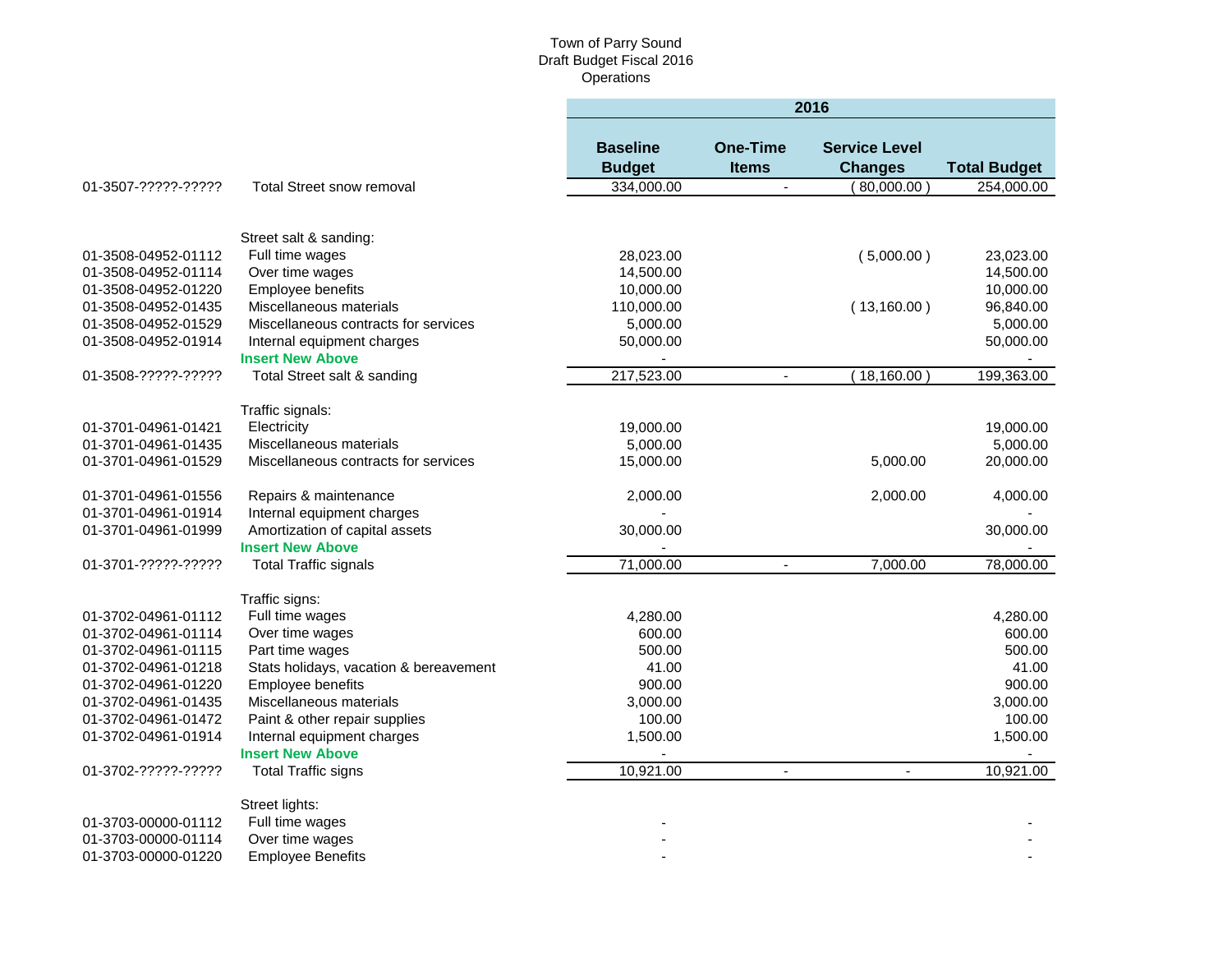|                     |                                                       | 2016                             |                                 |                                        |                     |  |
|---------------------|-------------------------------------------------------|----------------------------------|---------------------------------|----------------------------------------|---------------------|--|
|                     |                                                       | <b>Baseline</b><br><b>Budget</b> | <b>One-Time</b><br><b>Items</b> | <b>Service Level</b><br><b>Changes</b> | <b>Total Budget</b> |  |
| 01-3507-?????-????? | <b>Total Street snow removal</b>                      | 334,000.00                       | $\blacksquare$                  | 80,000.00                              | 254,000.00          |  |
|                     |                                                       |                                  |                                 |                                        |                     |  |
|                     | Street salt & sanding:                                |                                  |                                 |                                        |                     |  |
| 01-3508-04952-01112 | Full time wages                                       | 28,023.00                        |                                 | (5,000.00)                             | 23,023.00           |  |
| 01-3508-04952-01114 | Over time wages                                       | 14,500.00                        |                                 |                                        | 14,500.00           |  |
| 01-3508-04952-01220 | Employee benefits                                     | 10,000.00                        |                                 |                                        | 10,000.00           |  |
| 01-3508-04952-01435 | Miscellaneous materials                               | 110,000.00                       |                                 | (13,160.00)                            | 96,840.00           |  |
| 01-3508-04952-01529 | Miscellaneous contracts for services                  | 5,000.00                         |                                 |                                        | 5,000.00            |  |
| 01-3508-04952-01914 | Internal equipment charges<br><b>Insert New Above</b> | 50,000.00                        |                                 |                                        | 50,000.00           |  |
| 01-3508-?????-????? | Total Street salt & sanding                           | 217,523.00                       | $\blacksquare$                  | 18,160.00                              | 199,363.00          |  |
|                     | Traffic signals:                                      |                                  |                                 |                                        |                     |  |
| 01-3701-04961-01421 | Electricity                                           | 19,000.00                        |                                 |                                        | 19,000.00           |  |
| 01-3701-04961-01435 | Miscellaneous materials                               | 5,000.00                         |                                 |                                        | 5,000.00            |  |
| 01-3701-04961-01529 | Miscellaneous contracts for services                  | 15,000.00                        |                                 | 5,000.00                               | 20,000.00           |  |
| 01-3701-04961-01556 | Repairs & maintenance                                 | 2,000.00                         |                                 | 2,000.00                               | 4,000.00            |  |
| 01-3701-04961-01914 | Internal equipment charges                            |                                  |                                 |                                        |                     |  |
| 01-3701-04961-01999 | Amortization of capital assets                        | 30,000.00                        |                                 |                                        | 30,000.00           |  |
|                     | <b>Insert New Above</b>                               |                                  |                                 |                                        |                     |  |
| 01-3701-?????-????? | <b>Total Traffic signals</b>                          | 71,000.00                        | $\blacksquare$                  | 7,000.00                               | 78,000.00           |  |
|                     | Traffic signs:                                        |                                  |                                 |                                        |                     |  |
| 01-3702-04961-01112 | Full time wages                                       | 4,280.00                         |                                 |                                        | 4,280.00            |  |
| 01-3702-04961-01114 | Over time wages                                       | 600.00                           |                                 |                                        | 600.00              |  |
| 01-3702-04961-01115 | Part time wages                                       | 500.00                           |                                 |                                        | 500.00              |  |
| 01-3702-04961-01218 | Stats holidays, vacation & bereavement                | 41.00                            |                                 |                                        | 41.00               |  |
| 01-3702-04961-01220 | Employee benefits                                     | 900.00                           |                                 |                                        | 900.00              |  |
| 01-3702-04961-01435 | Miscellaneous materials                               | 3,000.00                         |                                 |                                        | 3.000.00            |  |
| 01-3702-04961-01472 | Paint & other repair supplies                         | 100.00                           |                                 |                                        | 100.00              |  |
| 01-3702-04961-01914 | Internal equipment charges                            | 1,500.00                         |                                 |                                        | 1,500.00            |  |
|                     | <b>Insert New Above</b>                               |                                  |                                 |                                        |                     |  |
| 01-3702-?????-????? | <b>Total Traffic signs</b>                            | 10,921.00                        | $\blacksquare$                  | $\blacksquare$                         | 10,921.00           |  |
|                     | Street lights:                                        |                                  |                                 |                                        |                     |  |
| 01-3703-00000-01112 | Full time wages                                       |                                  |                                 |                                        |                     |  |
| 01-3703-00000-01114 | Over time wages                                       |                                  |                                 |                                        |                     |  |
| 01-3703-00000-01220 | <b>Employee Benefits</b>                              |                                  |                                 |                                        |                     |  |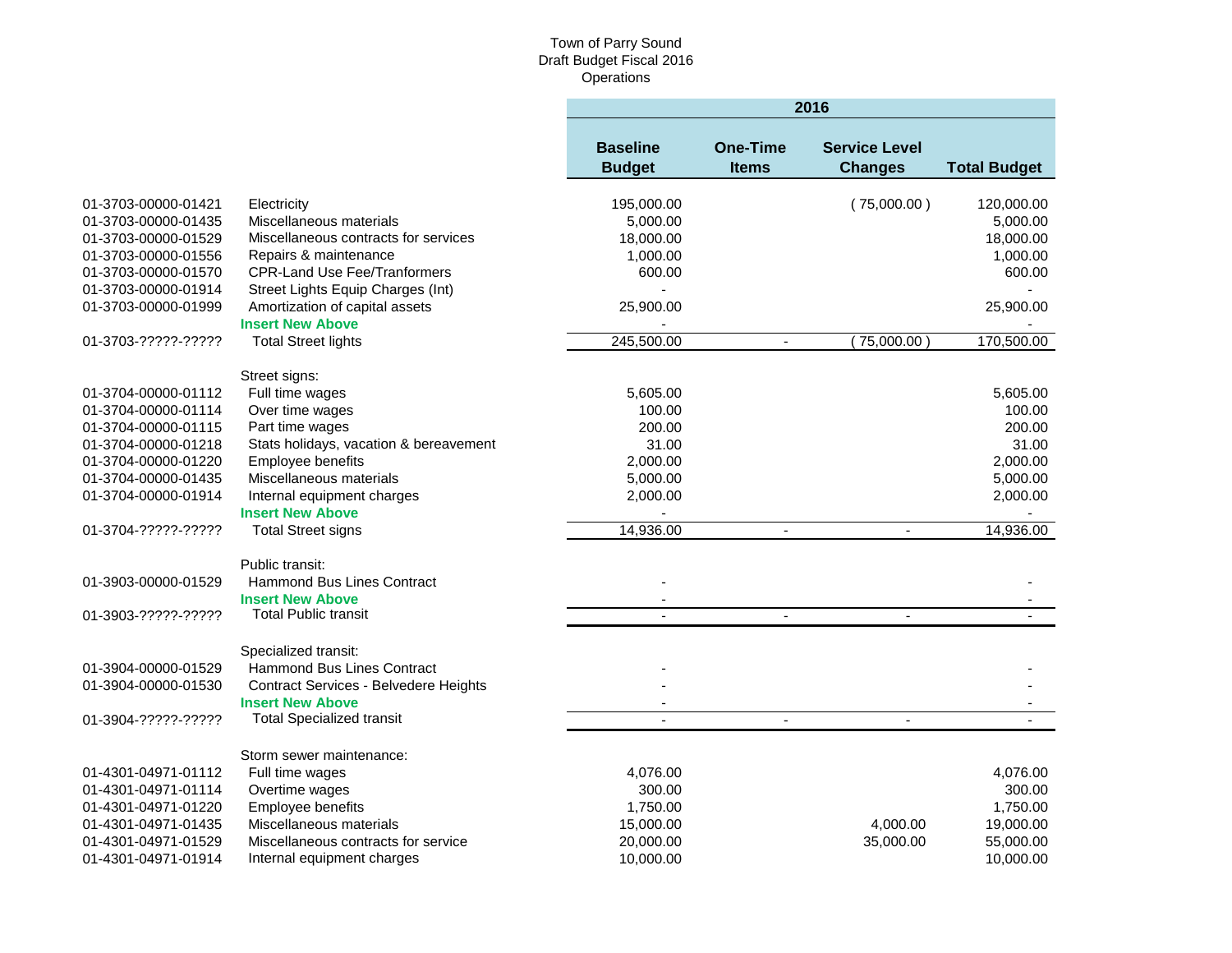٠

|                     |                                        | 2016                             |                                 |                                        |                     |  |
|---------------------|----------------------------------------|----------------------------------|---------------------------------|----------------------------------------|---------------------|--|
|                     |                                        | <b>Baseline</b><br><b>Budget</b> | <b>One-Time</b><br><b>Items</b> | <b>Service Level</b><br><b>Changes</b> | <b>Total Budget</b> |  |
| 01-3703-00000-01421 | Electricity                            | 195,000.00                       |                                 | (75,000.00)                            | 120,000.00          |  |
| 01-3703-00000-01435 | Miscellaneous materials                | 5,000.00                         |                                 |                                        | 5,000.00            |  |
| 01-3703-00000-01529 | Miscellaneous contracts for services   | 18,000.00                        |                                 |                                        | 18,000.00           |  |
| 01-3703-00000-01556 | Repairs & maintenance                  | 1,000.00                         |                                 |                                        | 1,000.00            |  |
| 01-3703-00000-01570 | <b>CPR-Land Use Fee/Tranformers</b>    | 600.00                           |                                 |                                        | 600.00              |  |
| 01-3703-00000-01914 | Street Lights Equip Charges (Int)      |                                  |                                 |                                        |                     |  |
| 01-3703-00000-01999 | Amortization of capital assets         | 25,900.00                        |                                 |                                        | 25,900.00           |  |
|                     | <b>Insert New Above</b>                |                                  |                                 |                                        |                     |  |
| 01-3703-?????-????? | <b>Total Street lights</b>             | 245,500.00                       | $\overline{\phantom{a}}$        | 75,000.00                              | 170,500.00          |  |
|                     |                                        |                                  |                                 |                                        |                     |  |
|                     | Street signs:                          |                                  |                                 |                                        |                     |  |
| 01-3704-00000-01112 | Full time wages                        | 5,605.00                         |                                 |                                        | 5,605.00            |  |
| 01-3704-00000-01114 | Over time wages                        | 100.00                           |                                 |                                        | 100.00              |  |
| 01-3704-00000-01115 | Part time wages                        | 200.00                           |                                 |                                        | 200.00              |  |
| 01-3704-00000-01218 | Stats holidays, vacation & bereavement | 31.00                            |                                 |                                        | 31.00               |  |
| 01-3704-00000-01220 | Employee benefits                      | 2,000.00                         |                                 |                                        | 2,000.00            |  |
| 01-3704-00000-01435 | Miscellaneous materials                | 5,000.00                         |                                 |                                        | 5,000.00            |  |
| 01-3704-00000-01914 | Internal equipment charges             | 2,000.00                         |                                 |                                        | 2,000.00            |  |
|                     | <b>Insert New Above</b>                |                                  |                                 |                                        |                     |  |
| 01-3704-?????-????? | <b>Total Street signs</b>              | 14,936.00                        |                                 |                                        | 14,936.00           |  |
|                     | Public transit:                        |                                  |                                 |                                        |                     |  |
| 01-3903-00000-01529 | <b>Hammond Bus Lines Contract</b>      |                                  |                                 |                                        |                     |  |
|                     | <b>Insert New Above</b>                |                                  |                                 |                                        |                     |  |
| 01-3903-?????-????? | <b>Total Public transit</b>            | $\blacksquare$                   | $\blacksquare$                  | $\overline{\phantom{a}}$               |                     |  |
|                     |                                        |                                  |                                 |                                        |                     |  |
|                     | Specialized transit:                   |                                  |                                 |                                        |                     |  |
| 01-3904-00000-01529 | Hammond Bus Lines Contract             |                                  |                                 |                                        |                     |  |
| 01-3904-00000-01530 | Contract Services - Belvedere Heights  |                                  |                                 |                                        |                     |  |
|                     | <b>Insert New Above</b>                |                                  |                                 |                                        |                     |  |
| 01-3904-?????-????? | <b>Total Specialized transit</b>       |                                  | $\blacksquare$                  | $\blacksquare$                         |                     |  |
|                     | Storm sewer maintenance:               |                                  |                                 |                                        |                     |  |
| 01-4301-04971-01112 | Full time wages                        | 4,076.00                         |                                 |                                        | 4,076.00            |  |
| 01-4301-04971-01114 | Overtime wages                         | 300.00                           |                                 |                                        | 300.00              |  |
| 01-4301-04971-01220 | Employee benefits                      | 1,750.00                         |                                 |                                        | 1,750.00            |  |
| 01-4301-04971-01435 | Miscellaneous materials                | 15,000.00                        |                                 | 4,000.00                               | 19,000.00           |  |
| 01-4301-04971-01529 | Miscellaneous contracts for service    | 20,000.00                        |                                 | 35,000.00                              | 55,000.00           |  |
| 01-4301-04971-01914 | Internal equipment charges             | 10,000.00                        |                                 |                                        | 10,000.00           |  |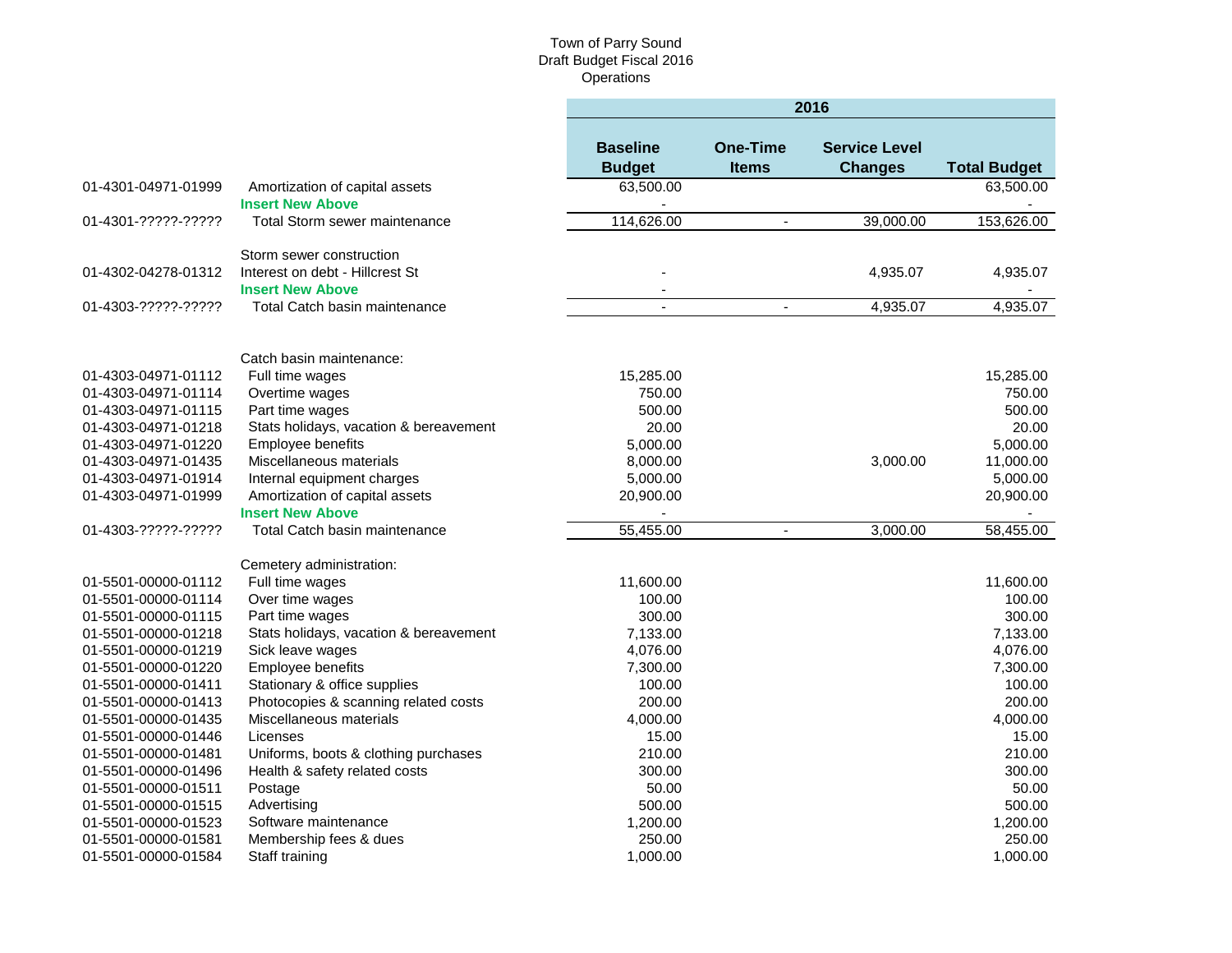×

|                                            |                                                            | 2016                             |                                 |                                        |                     |  |
|--------------------------------------------|------------------------------------------------------------|----------------------------------|---------------------------------|----------------------------------------|---------------------|--|
|                                            |                                                            | <b>Baseline</b><br><b>Budget</b> | <b>One-Time</b><br><b>Items</b> | <b>Service Level</b><br><b>Changes</b> | <b>Total Budget</b> |  |
| 01-4301-04971-01999                        | Amortization of capital assets<br><b>Insert New Above</b>  | 63,500.00                        |                                 |                                        | 63,500.00           |  |
| 01-4301-?????-?????                        | Total Storm sewer maintenance                              | 114,626.00                       | $\mathbf{u}$                    | 39,000.00                              | 153,626.00          |  |
|                                            | Storm sewer construction                                   |                                  |                                 |                                        |                     |  |
| 01-4302-04278-01312                        | Interest on debt - Hillcrest St<br><b>Insert New Above</b> |                                  |                                 | 4,935.07                               | 4,935.07            |  |
| 01-4303-?????-?????                        | Total Catch basin maintenance                              | $\overline{a}$                   | $\blacksquare$                  | 4,935.07                               | 4,935.07            |  |
|                                            |                                                            |                                  |                                 |                                        |                     |  |
| 01-4303-04971-01112                        | Catch basin maintenance:                                   | 15,285.00                        |                                 |                                        | 15,285.00           |  |
|                                            | Full time wages                                            | 750.00                           |                                 |                                        | 750.00              |  |
| 01-4303-04971-01114<br>01-4303-04971-01115 | Overtime wages<br>Part time wages                          | 500.00                           |                                 |                                        | 500.00              |  |
| 01-4303-04971-01218                        | Stats holidays, vacation & bereavement                     | 20.00                            |                                 |                                        | 20.00               |  |
| 01-4303-04971-01220                        | Employee benefits                                          | 5,000.00                         |                                 |                                        | 5,000.00            |  |
| 01-4303-04971-01435                        | Miscellaneous materials                                    | 8,000.00                         |                                 | 3,000.00                               | 11,000.00           |  |
| 01-4303-04971-01914                        | Internal equipment charges                                 | 5,000.00                         |                                 |                                        | 5,000.00            |  |
| 01-4303-04971-01999                        | Amortization of capital assets                             | 20,900.00                        |                                 |                                        | 20,900.00           |  |
|                                            | <b>Insert New Above</b>                                    |                                  |                                 |                                        |                     |  |
| 01-4303-?????-?????                        | Total Catch basin maintenance                              | 55,455.00                        | $\blacksquare$                  | 3,000.00                               | 58,455.00           |  |
|                                            | Cemetery administration:                                   |                                  |                                 |                                        |                     |  |
| 01-5501-00000-01112                        | Full time wages                                            | 11,600.00                        |                                 |                                        | 11,600.00           |  |
| 01-5501-00000-01114                        | Over time wages                                            | 100.00                           |                                 |                                        | 100.00              |  |
| 01-5501-00000-01115                        | Part time wages                                            | 300.00                           |                                 |                                        | 300.00              |  |
| 01-5501-00000-01218                        | Stats holidays, vacation & bereavement                     | 7,133.00                         |                                 |                                        | 7,133.00            |  |
| 01-5501-00000-01219                        | Sick leave wages                                           | 4,076.00                         |                                 |                                        | 4,076.00            |  |
| 01-5501-00000-01220                        | Employee benefits                                          | 7,300.00                         |                                 |                                        | 7,300.00            |  |
| 01-5501-00000-01411                        | Stationary & office supplies                               | 100.00                           |                                 |                                        | 100.00              |  |
| 01-5501-00000-01413                        | Photocopies & scanning related costs                       | 200.00                           |                                 |                                        | 200.00              |  |
| 01-5501-00000-01435                        | Miscellaneous materials                                    | 4,000.00                         |                                 |                                        | 4,000.00            |  |
| 01-5501-00000-01446                        | Licenses                                                   | 15.00                            |                                 |                                        | 15.00               |  |
| 01-5501-00000-01481                        | Uniforms, boots & clothing purchases                       | 210.00                           |                                 |                                        | 210.00              |  |
| 01-5501-00000-01496                        | Health & safety related costs                              | 300.00                           |                                 |                                        | 300.00              |  |
| 01-5501-00000-01511                        | Postage                                                    | 50.00                            |                                 |                                        | 50.00               |  |
| 01-5501-00000-01515                        | Advertising                                                | 500.00                           |                                 |                                        | 500.00              |  |
| 01-5501-00000-01523                        | Software maintenance                                       | 1,200.00                         |                                 |                                        | 1,200.00            |  |
| 01-5501-00000-01581                        | Membership fees & dues                                     | 250.00                           |                                 |                                        | 250.00              |  |
| 01-5501-00000-01584                        | Staff training                                             | 1,000.00                         |                                 |                                        | 1,000.00            |  |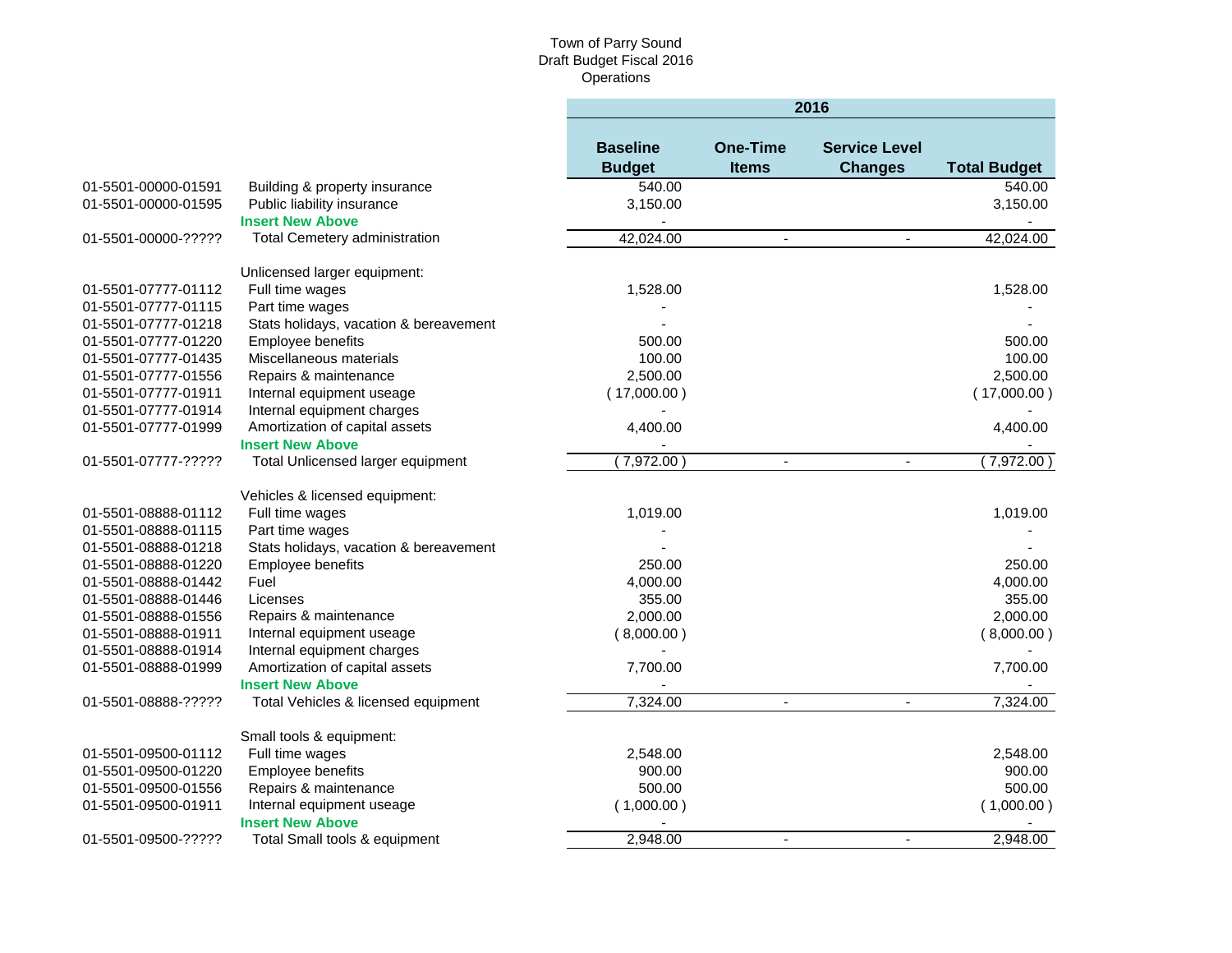×

|                     |                                        | 2016                             |                                 |                                        |                     |
|---------------------|----------------------------------------|----------------------------------|---------------------------------|----------------------------------------|---------------------|
|                     |                                        | <b>Baseline</b><br><b>Budget</b> | <b>One-Time</b><br><b>Items</b> | <b>Service Level</b><br><b>Changes</b> | <b>Total Budget</b> |
| 01-5501-00000-01591 | Building & property insurance          | 540.00                           |                                 |                                        | 540.00              |
| 01-5501-00000-01595 | Public liability insurance             | 3,150.00                         |                                 |                                        | 3,150.00            |
|                     | <b>Insert New Above</b>                |                                  |                                 |                                        |                     |
| 01-5501-00000-????? | Total Cemetery administration          | 42,024.00                        | $\sim$                          | $\mathbf{r}$                           | 42,024.00           |
|                     | Unlicensed larger equipment:           |                                  |                                 |                                        |                     |
| 01-5501-07777-01112 | Full time wages                        | 1,528.00                         |                                 |                                        | 1,528.00            |
| 01-5501-07777-01115 | Part time wages                        |                                  |                                 |                                        |                     |
| 01-5501-07777-01218 | Stats holidays, vacation & bereavement |                                  |                                 |                                        |                     |
| 01-5501-07777-01220 | Employee benefits                      | 500.00                           |                                 |                                        | 500.00              |
| 01-5501-07777-01435 | Miscellaneous materials                | 100.00                           |                                 |                                        | 100.00              |
| 01-5501-07777-01556 | Repairs & maintenance                  | 2,500.00                         |                                 |                                        | 2,500.00            |
| 01-5501-07777-01911 | Internal equipment useage              | (17,000.00)                      |                                 |                                        | (17,000.00)         |
| 01-5501-07777-01914 | Internal equipment charges             |                                  |                                 |                                        |                     |
| 01-5501-07777-01999 | Amortization of capital assets         | 4,400.00                         |                                 |                                        | 4,400.00            |
|                     | <b>Insert New Above</b>                |                                  |                                 |                                        |                     |
| 01-5501-07777-????? | Total Unlicensed larger equipment      | (7,972.00)                       | $\blacksquare$                  | $\blacksquare$                         | (7,972.00)          |
|                     | Vehicles & licensed equipment:         |                                  |                                 |                                        |                     |
| 01-5501-08888-01112 | Full time wages                        | 1,019.00                         |                                 |                                        | 1,019.00            |
| 01-5501-08888-01115 | Part time wages                        |                                  |                                 |                                        |                     |
| 01-5501-08888-01218 | Stats holidays, vacation & bereavement |                                  |                                 |                                        |                     |
| 01-5501-08888-01220 | Employee benefits                      | 250.00                           |                                 |                                        | 250.00              |
| 01-5501-08888-01442 | Fuel                                   | 4,000.00                         |                                 |                                        | 4,000.00            |
| 01-5501-08888-01446 | Licenses                               | 355.00                           |                                 |                                        | 355.00              |
| 01-5501-08888-01556 | Repairs & maintenance                  | 2,000.00                         |                                 |                                        | 2,000.00            |
| 01-5501-08888-01911 | Internal equipment useage              | (8,000.00)                       |                                 |                                        | (8,000.00)          |
| 01-5501-08888-01914 | Internal equipment charges             |                                  |                                 |                                        |                     |
| 01-5501-08888-01999 | Amortization of capital assets         | 7,700.00                         |                                 |                                        | 7,700.00            |
|                     | <b>Insert New Above</b>                |                                  |                                 |                                        |                     |
| 01-5501-08888-????? | Total Vehicles & licensed equipment    | 7,324.00                         | $\blacksquare$                  | $\blacksquare$                         | 7,324.00            |
|                     | Small tools & equipment:               |                                  |                                 |                                        |                     |
| 01-5501-09500-01112 | Full time wages                        | 2,548.00                         |                                 |                                        | 2,548.00            |
| 01-5501-09500-01220 | Employee benefits                      | 900.00                           |                                 |                                        | 900.00              |
| 01-5501-09500-01556 | Repairs & maintenance                  | 500.00                           |                                 |                                        | 500.00              |
| 01-5501-09500-01911 | Internal equipment useage              | (1,000.00)                       |                                 |                                        | (1,000.00)          |
|                     | <b>Insert New Above</b>                |                                  |                                 |                                        |                     |
| 01-5501-09500-????? | Total Small tools & equipment          | 2,948.00                         | $\overline{a}$                  | $\blacksquare$                         | 2,948.00            |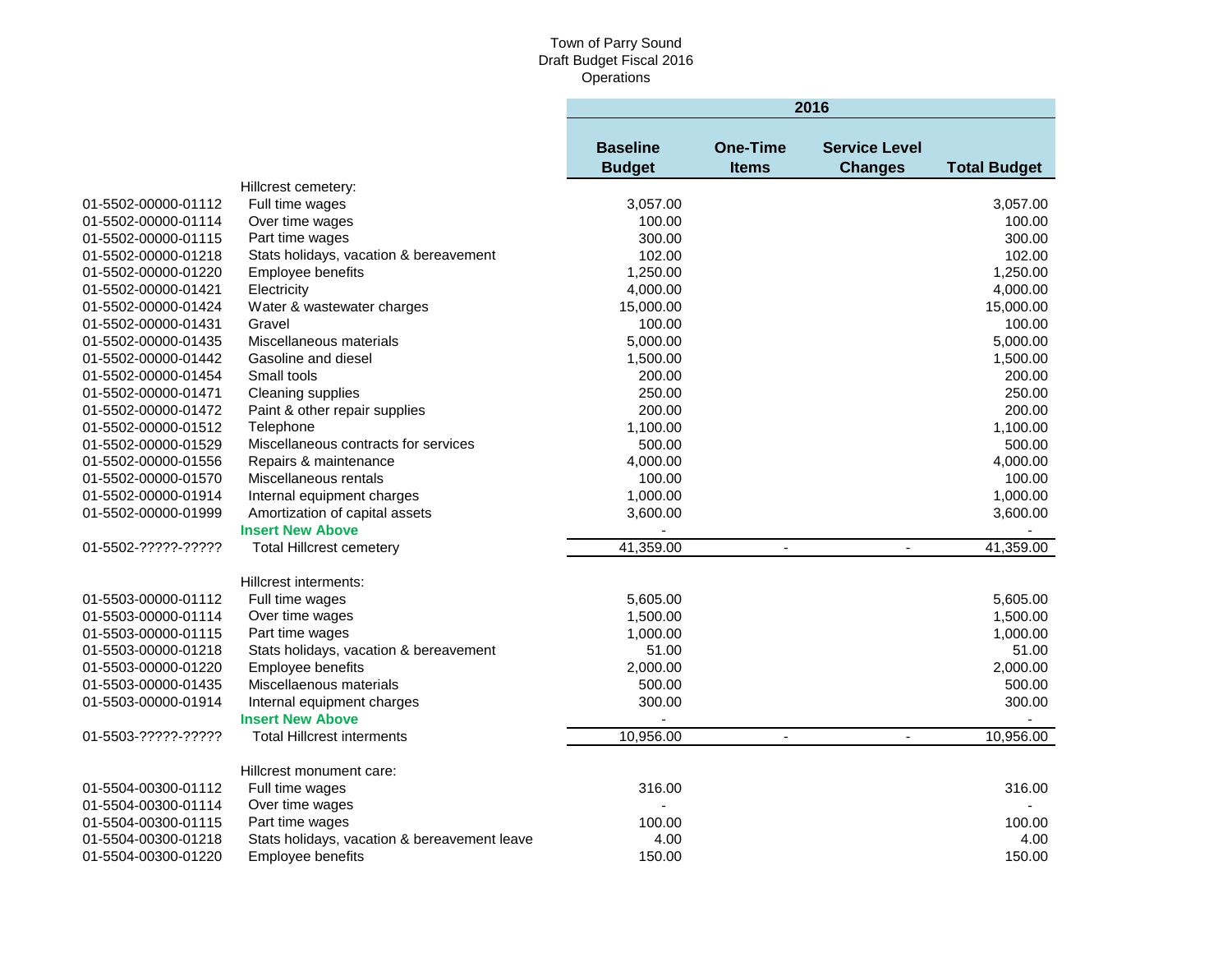|                     |                                              | 2016                             |                                 |                                        |                     |  |
|---------------------|----------------------------------------------|----------------------------------|---------------------------------|----------------------------------------|---------------------|--|
|                     |                                              | <b>Baseline</b><br><b>Budget</b> | <b>One-Time</b><br><b>Items</b> | <b>Service Level</b><br><b>Changes</b> | <b>Total Budget</b> |  |
|                     | Hillcrest cemetery:                          |                                  |                                 |                                        |                     |  |
| 01-5502-00000-01112 | Full time wages                              | 3,057.00                         |                                 |                                        | 3,057.00            |  |
| 01-5502-00000-01114 | Over time wages                              | 100.00                           |                                 |                                        | 100.00              |  |
| 01-5502-00000-01115 | Part time wages                              | 300.00                           |                                 |                                        | 300.00              |  |
| 01-5502-00000-01218 | Stats holidays, vacation & bereavement       | 102.00                           |                                 |                                        | 102.00              |  |
| 01-5502-00000-01220 | Employee benefits                            | 1,250.00                         |                                 |                                        | 1,250.00            |  |
| 01-5502-00000-01421 | Electricity                                  | 4,000.00                         |                                 |                                        | 4,000.00            |  |
| 01-5502-00000-01424 | Water & wastewater charges                   | 15,000.00                        |                                 |                                        | 15,000.00           |  |
| 01-5502-00000-01431 | Gravel                                       | 100.00                           |                                 |                                        | 100.00              |  |
| 01-5502-00000-01435 | Miscellaneous materials                      | 5,000.00                         |                                 |                                        | 5,000.00            |  |
| 01-5502-00000-01442 | Gasoline and diesel                          | 1,500.00                         |                                 |                                        | 1,500.00            |  |
| 01-5502-00000-01454 | Small tools                                  | 200.00                           |                                 |                                        | 200.00              |  |
| 01-5502-00000-01471 | Cleaning supplies                            | 250.00                           |                                 |                                        | 250.00              |  |
| 01-5502-00000-01472 | Paint & other repair supplies                | 200.00                           |                                 |                                        | 200.00              |  |
| 01-5502-00000-01512 | Telephone                                    | 1,100.00                         |                                 |                                        | 1,100.00            |  |
| 01-5502-00000-01529 | Miscellaneous contracts for services         | 500.00                           |                                 |                                        | 500.00              |  |
| 01-5502-00000-01556 | Repairs & maintenance                        | 4,000.00                         |                                 |                                        | 4,000.00            |  |
| 01-5502-00000-01570 | Miscellaneous rentals                        | 100.00                           |                                 |                                        | 100.00              |  |
| 01-5502-00000-01914 | Internal equipment charges                   | 1,000.00                         |                                 |                                        | 1,000.00            |  |
| 01-5502-00000-01999 | Amortization of capital assets               | 3,600.00                         |                                 |                                        | 3,600.00            |  |
|                     | <b>Insert New Above</b>                      |                                  |                                 |                                        |                     |  |
| 01-5502-?????-????? | <b>Total Hillcrest cemetery</b>              | 41,359.00                        | $\blacksquare$                  | $\mathbf{r}$                           | 41,359.00           |  |
|                     | Hillcrest interments:                        |                                  |                                 |                                        |                     |  |
| 01-5503-00000-01112 | Full time wages                              | 5,605.00                         |                                 |                                        | 5,605.00            |  |
| 01-5503-00000-01114 | Over time wages                              | 1,500.00                         |                                 |                                        | 1,500.00            |  |
| 01-5503-00000-01115 | Part time wages                              | 1,000.00                         |                                 |                                        | 1,000.00            |  |
| 01-5503-00000-01218 | Stats holidays, vacation & bereavement       | 51.00                            |                                 |                                        | 51.00               |  |
| 01-5503-00000-01220 | Employee benefits                            | 2,000.00                         |                                 |                                        | 2,000.00            |  |
| 01-5503-00000-01435 | Miscellaenous materials                      | 500.00                           |                                 |                                        | 500.00              |  |
| 01-5503-00000-01914 | Internal equipment charges                   | 300.00                           |                                 |                                        | 300.00              |  |
|                     | <b>Insert New Above</b>                      |                                  |                                 |                                        |                     |  |
| 01-5503-?????-????? | <b>Total Hillcrest interments</b>            | 10,956.00                        | $\blacksquare$                  | $\sim$                                 | 10,956.00           |  |
|                     | Hillcrest monument care:                     |                                  |                                 |                                        |                     |  |
| 01-5504-00300-01112 | Full time wages                              | 316.00                           |                                 |                                        | 316.00              |  |
| 01-5504-00300-01114 | Over time wages                              |                                  |                                 |                                        |                     |  |
| 01-5504-00300-01115 | Part time wages                              | 100.00                           |                                 |                                        | 100.00              |  |
| 01-5504-00300-01218 | Stats holidays, vacation & bereavement leave | 4.00                             |                                 |                                        | 4.00                |  |
| 01-5504-00300-01220 | <b>Employee benefits</b>                     | 150.00                           |                                 |                                        | 150.00              |  |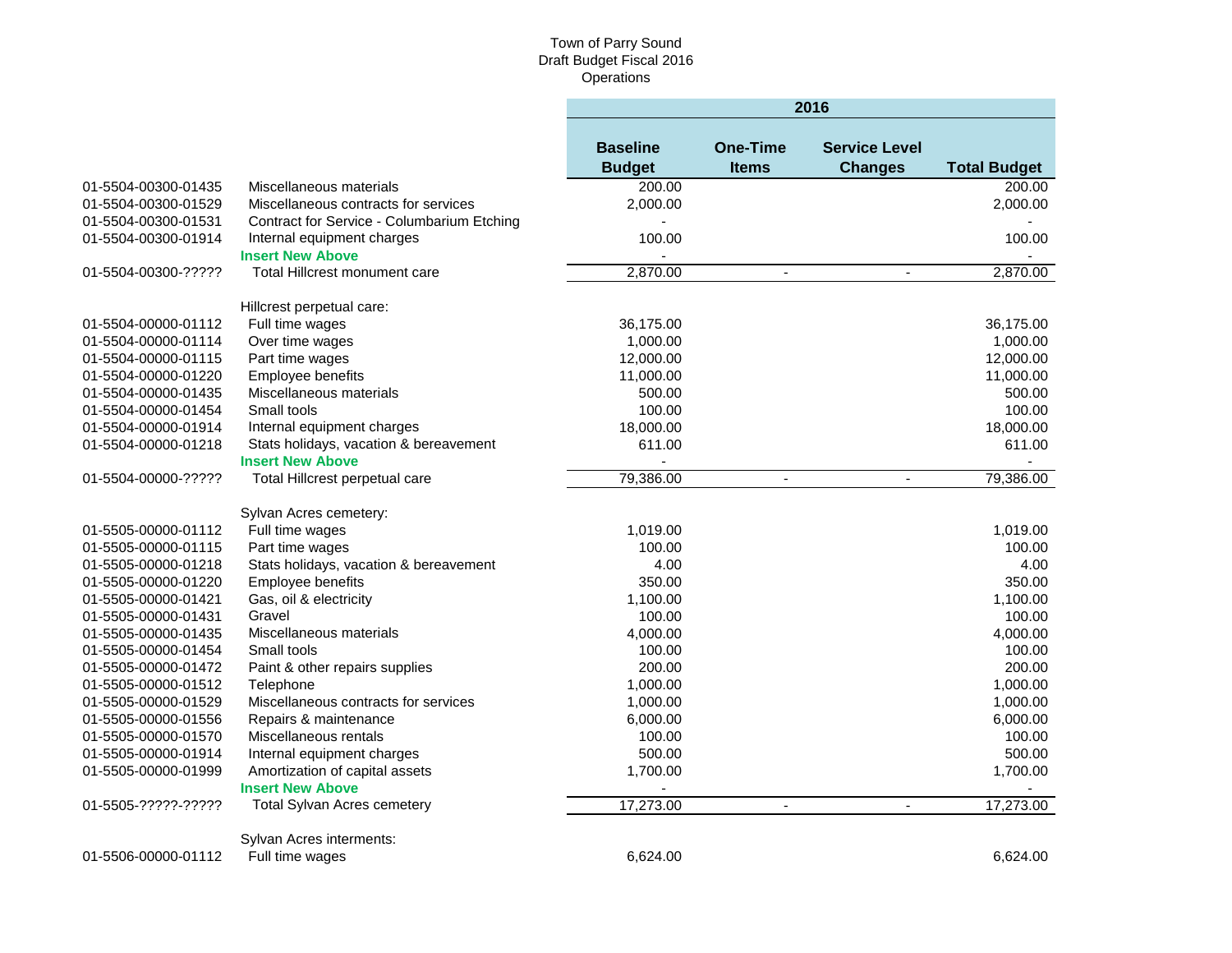٠

|                     |                                            | 2016                             |                                 |                                        |                     |
|---------------------|--------------------------------------------|----------------------------------|---------------------------------|----------------------------------------|---------------------|
|                     |                                            | <b>Baseline</b><br><b>Budget</b> | <b>One-Time</b><br><b>Items</b> | <b>Service Level</b><br><b>Changes</b> | <b>Total Budget</b> |
| 01-5504-00300-01435 | Miscellaneous materials                    | 200.00                           |                                 |                                        | 200.00              |
| 01-5504-00300-01529 | Miscellaneous contracts for services       | 2,000.00                         |                                 |                                        | 2,000.00            |
| 01-5504-00300-01531 | Contract for Service - Columbarium Etching |                                  |                                 |                                        |                     |
| 01-5504-00300-01914 | Internal equipment charges                 | 100.00                           |                                 |                                        | 100.00              |
|                     | <b>Insert New Above</b>                    |                                  |                                 |                                        |                     |
| 01-5504-00300-????? | <b>Total Hillcrest monument care</b>       | 2,870.00                         | $\blacksquare$                  | ä,                                     | 2,870.00            |
|                     | Hillcrest perpetual care:                  |                                  |                                 |                                        |                     |
| 01-5504-00000-01112 | Full time wages                            | 36,175.00                        |                                 |                                        | 36,175.00           |
| 01-5504-00000-01114 | Over time wages                            | 1,000.00                         |                                 |                                        | 1,000.00            |
| 01-5504-00000-01115 | Part time wages                            | 12,000.00                        |                                 |                                        | 12,000.00           |
| 01-5504-00000-01220 | Employee benefits                          | 11,000.00                        |                                 |                                        | 11,000.00           |
| 01-5504-00000-01435 | Miscellaneous materials                    | 500.00                           |                                 |                                        | 500.00              |
| 01-5504-00000-01454 | Small tools                                | 100.00                           |                                 |                                        | 100.00              |
| 01-5504-00000-01914 | Internal equipment charges                 | 18,000.00                        |                                 |                                        | 18,000.00           |
| 01-5504-00000-01218 | Stats holidays, vacation & bereavement     | 611.00                           |                                 |                                        | 611.00              |
|                     | <b>Insert New Above</b>                    |                                  |                                 |                                        |                     |
| 01-5504-00000-????? | Total Hillcrest perpetual care             | 79,386.00                        | $\blacksquare$                  |                                        | 79,386.00           |
|                     | Sylvan Acres cemetery:                     |                                  |                                 |                                        |                     |
| 01-5505-00000-01112 | Full time wages                            | 1,019.00                         |                                 |                                        | 1,019.00            |
| 01-5505-00000-01115 | Part time wages                            | 100.00                           |                                 |                                        | 100.00              |
| 01-5505-00000-01218 | Stats holidays, vacation & bereavement     | 4.00                             |                                 |                                        | 4.00                |
| 01-5505-00000-01220 | Employee benefits                          | 350.00                           |                                 |                                        | 350.00              |
| 01-5505-00000-01421 | Gas, oil & electricity                     | 1,100.00                         |                                 |                                        | 1,100.00            |
| 01-5505-00000-01431 | Gravel                                     | 100.00                           |                                 |                                        | 100.00              |
| 01-5505-00000-01435 | Miscellaneous materials                    | 4,000.00                         |                                 |                                        | 4,000.00            |
| 01-5505-00000-01454 | Small tools                                | 100.00                           |                                 |                                        | 100.00              |
| 01-5505-00000-01472 | Paint & other repairs supplies             | 200.00                           |                                 |                                        | 200.00              |
| 01-5505-00000-01512 | Telephone                                  | 1,000.00                         |                                 |                                        | 1,000.00            |
| 01-5505-00000-01529 | Miscellaneous contracts for services       | 1,000.00                         |                                 |                                        | 1,000.00            |
| 01-5505-00000-01556 | Repairs & maintenance                      | 6,000.00                         |                                 |                                        | 6,000.00            |
| 01-5505-00000-01570 | Miscellaneous rentals                      | 100.00                           |                                 |                                        | 100.00              |
| 01-5505-00000-01914 | Internal equipment charges                 | 500.00                           |                                 |                                        | 500.00              |
| 01-5505-00000-01999 | Amortization of capital assets             | 1,700.00                         |                                 |                                        | 1,700.00            |
|                     | <b>Insert New Above</b>                    |                                  |                                 |                                        |                     |
| 01-5505-?????-????? | <b>Total Sylvan Acres cemetery</b>         | 17,273.00                        | $\blacksquare$                  | $\overline{a}$                         | 17,273.00           |
|                     | Sylvan Acres interments:                   |                                  |                                 |                                        |                     |
| 01-5506-00000-01112 | Full time wages                            | 6.624.00                         |                                 |                                        | 6.624.00            |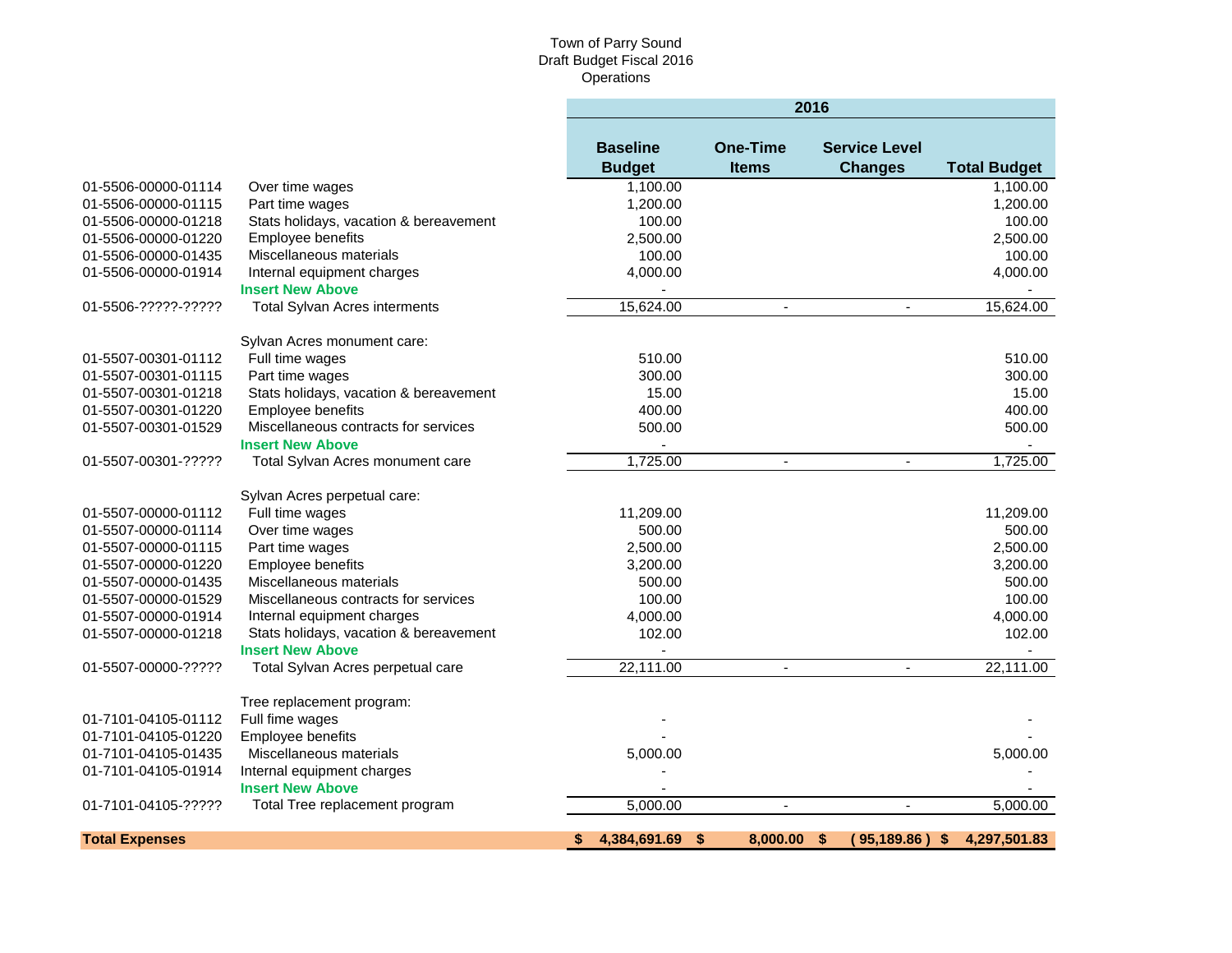|                       |                                        | 2016                             |                                 |                                        |                     |
|-----------------------|----------------------------------------|----------------------------------|---------------------------------|----------------------------------------|---------------------|
|                       |                                        | <b>Baseline</b><br><b>Budget</b> | <b>One-Time</b><br><b>Items</b> | <b>Service Level</b><br><b>Changes</b> | <b>Total Budget</b> |
| 01-5506-00000-01114   | Over time wages                        | 1,100.00                         |                                 |                                        | 1,100.00            |
| 01-5506-00000-01115   | Part time wages                        | 1,200.00                         |                                 |                                        | 1,200.00            |
| 01-5506-00000-01218   | Stats holidays, vacation & bereavement | 100.00                           |                                 |                                        | 100.00              |
| 01-5506-00000-01220   | Employee benefits                      | 2,500.00                         |                                 |                                        | 2,500.00            |
| 01-5506-00000-01435   | Miscellaneous materials                | 100.00                           |                                 |                                        | 100.00              |
| 01-5506-00000-01914   | Internal equipment charges             | 4,000.00                         |                                 |                                        | 4,000.00            |
|                       | <b>Insert New Above</b>                |                                  |                                 |                                        |                     |
| 01-5506-?????-?????   | <b>Total Sylvan Acres interments</b>   | 15,624.00                        | $\blacksquare$                  | $\mathbf{r}$                           | 15,624.00           |
|                       | Sylvan Acres monument care:            |                                  |                                 |                                        |                     |
| 01-5507-00301-01112   | Full time wages                        | 510.00                           |                                 |                                        | 510.00              |
| 01-5507-00301-01115   | Part time wages                        | 300.00                           |                                 |                                        | 300.00              |
| 01-5507-00301-01218   | Stats holidays, vacation & bereavement | 15.00                            |                                 |                                        | 15.00               |
| 01-5507-00301-01220   | Employee benefits                      | 400.00                           |                                 |                                        | 400.00              |
| 01-5507-00301-01529   | Miscellaneous contracts for services   | 500.00                           |                                 |                                        | 500.00              |
|                       | <b>Insert New Above</b>                |                                  |                                 |                                        |                     |
| 01-5507-00301-?????   | Total Sylvan Acres monument care       | 1,725.00                         | $\blacksquare$                  | $\blacksquare$                         | 1,725.00            |
|                       | Sylvan Acres perpetual care:           |                                  |                                 |                                        |                     |
| 01-5507-00000-01112   | Full time wages                        | 11,209.00                        |                                 |                                        | 11,209.00           |
| 01-5507-00000-01114   | Over time wages                        | 500.00                           |                                 |                                        | 500.00              |
| 01-5507-00000-01115   | Part time wages                        | 2,500.00                         |                                 |                                        | 2,500.00            |
| 01-5507-00000-01220   | Employee benefits                      | 3,200.00                         |                                 |                                        | 3,200.00            |
| 01-5507-00000-01435   | Miscellaneous materials                | 500.00                           |                                 |                                        | 500.00              |
| 01-5507-00000-01529   | Miscellaneous contracts for services   | 100.00                           |                                 |                                        | 100.00              |
| 01-5507-00000-01914   | Internal equipment charges             | 4,000.00                         |                                 |                                        | 4,000.00            |
| 01-5507-00000-01218   | Stats holidays, vacation & bereavement | 102.00                           |                                 |                                        | 102.00              |
|                       | <b>Insert New Above</b>                |                                  |                                 |                                        |                     |
| 01-5507-00000-?????   | Total Sylvan Acres perpetual care      | 22,111.00                        |                                 |                                        | 22,111.00           |
|                       | Tree replacement program:              |                                  |                                 |                                        |                     |
| 01-7101-04105-01112   | Full fime wages                        |                                  |                                 |                                        |                     |
| 01-7101-04105-01220   | Employee benefits                      |                                  |                                 |                                        |                     |
| 01-7101-04105-01435   | Miscellaneous materials                | 5,000.00                         |                                 |                                        | 5,000.00            |
| 01-7101-04105-01914   | Internal equipment charges             |                                  |                                 |                                        |                     |
|                       | <b>Insert New Above</b>                |                                  |                                 |                                        |                     |
| 01-7101-04105-?????   | Total Tree replacement program         | 5,000.00                         |                                 | $\mathbf{r}$                           | 5,000.00            |
| <b>Total Expenses</b> |                                        | 4,384,691.69<br>\$               | \$<br>8.000.00                  | \$<br>95,189.86) \$                    | 4,297,501.83        |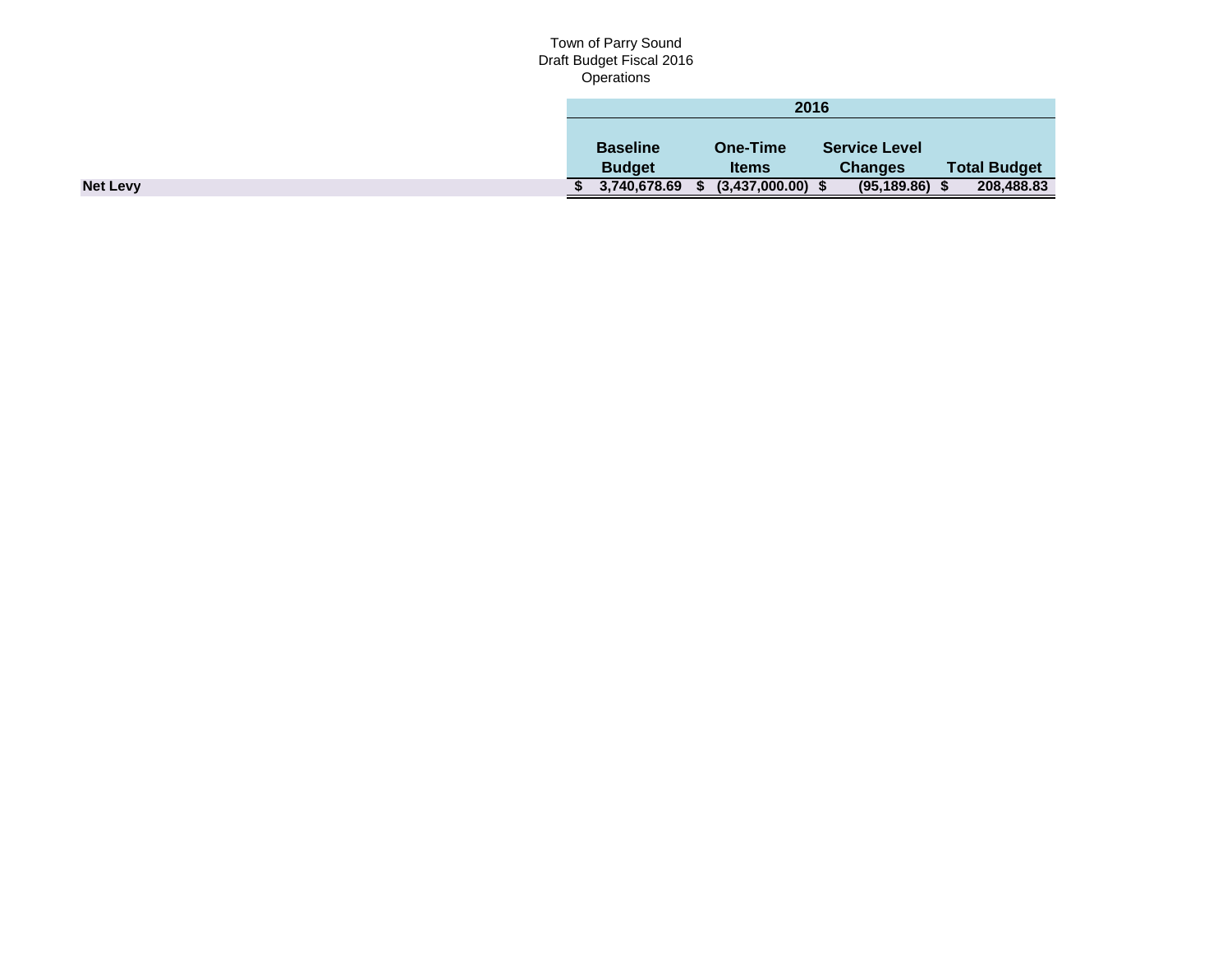|                 | 2016            |                 |                      |                     |  |
|-----------------|-----------------|-----------------|----------------------|---------------------|--|
|                 |                 |                 |                      |                     |  |
|                 | <b>Baseline</b> | <b>One-Time</b> | <b>Service Level</b> |                     |  |
|                 | <b>Budget</b>   | <b>Items</b>    | <b>Changes</b>       | <b>Total Budget</b> |  |
| <b>Net Levy</b> | 3,740,678.69    | (3,437,000.00)  | (95, 189.86)         | 208,488.83          |  |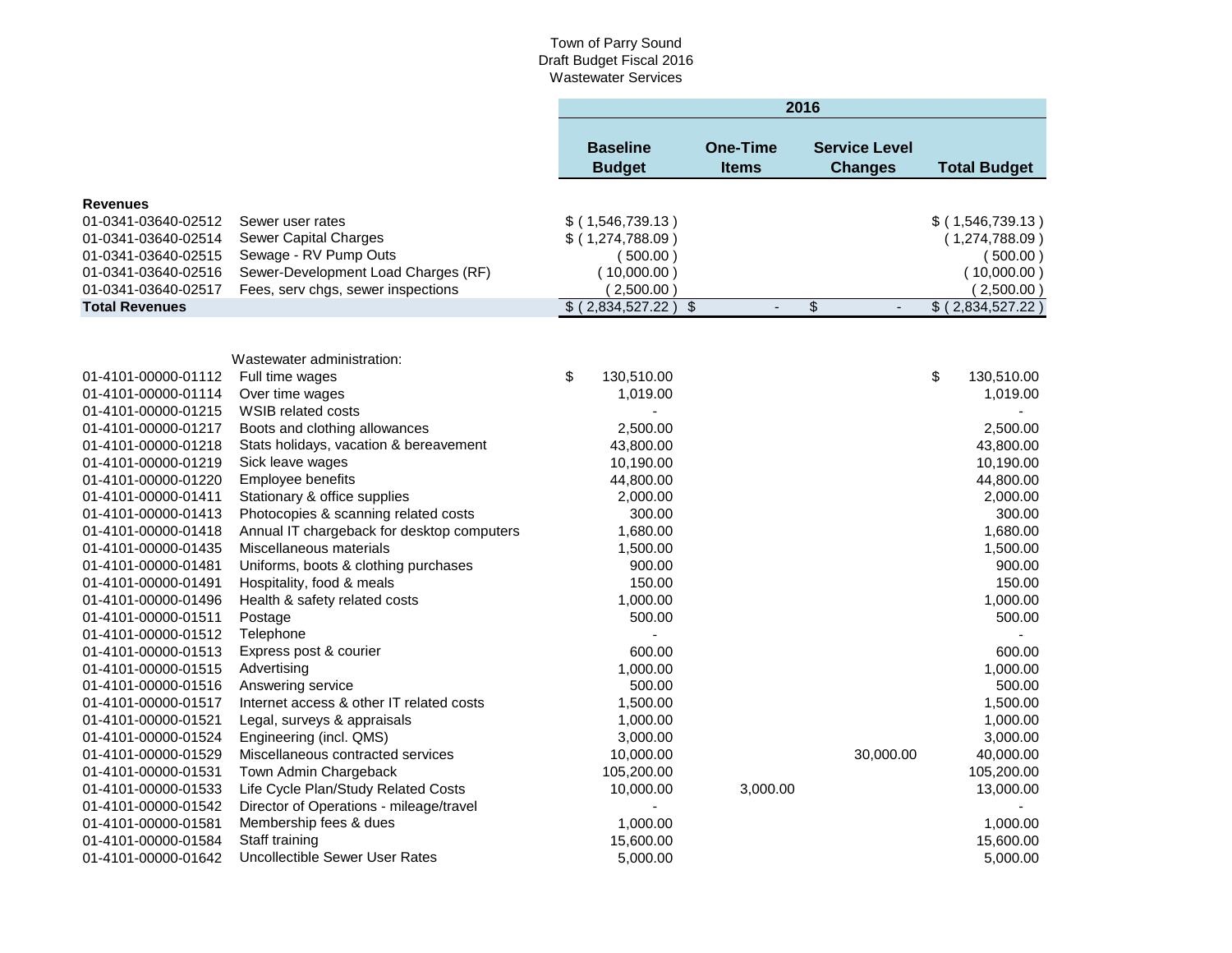|                       |                                            |                                  |           |                                 | 2016          |                                        |                     |
|-----------------------|--------------------------------------------|----------------------------------|-----------|---------------------------------|---------------|----------------------------------------|---------------------|
|                       |                                            | <b>Baseline</b><br><b>Budget</b> |           | <b>One-Time</b><br><b>Items</b> |               | <b>Service Level</b><br><b>Changes</b> | <b>Total Budget</b> |
| <b>Revenues</b>       |                                            |                                  |           |                                 |               |                                        |                     |
| 01-0341-03640-02512   | Sewer user rates                           | $$$ (1,546,739.13)               |           |                                 |               |                                        | $$$ (1,546,739.13)  |
| 01-0341-03640-02514   | <b>Sewer Capital Charges</b>               | \$ (1,274,788.09)                |           |                                 |               |                                        | (1,274,788.09)      |
| 01-0341-03640-02515   | Sewage - RV Pump Outs                      | (500.00)                         |           |                                 |               |                                        | (500.00)            |
| 01-0341-03640-02516   | Sewer-Development Load Charges (RF)        | (10,000.00)                      |           |                                 |               |                                        | (10,000.00)         |
| 01-0341-03640-02517   | Fees, serv chgs, sewer inspections         | (2,500.00)                       |           |                                 |               |                                        | (2,500.00)          |
| <b>Total Revenues</b> |                                            | \$ (2,834,527.22)                | $\bullet$ | ÷,                              | $\frac{1}{2}$ | $\blacksquare$                         | \$ (2,834,527.22)   |
|                       |                                            |                                  |           |                                 |               |                                        |                     |
|                       |                                            |                                  |           |                                 |               |                                        |                     |
|                       | Wastewater administration:                 |                                  |           |                                 |               |                                        |                     |
| 01-4101-00000-01112   | Full time wages                            | \$<br>130,510.00                 |           |                                 |               |                                        | \$<br>130,510.00    |
| 01-4101-00000-01114   | Over time wages                            | 1,019.00                         |           |                                 |               |                                        | 1,019.00            |
| 01-4101-00000-01215   | <b>WSIB related costs</b>                  |                                  |           |                                 |               |                                        |                     |
| 01-4101-00000-01217   | Boots and clothing allowances              | 2,500.00                         |           |                                 |               |                                        | 2,500.00            |
| 01-4101-00000-01218   | Stats holidays, vacation & bereavement     | 43,800.00                        |           |                                 |               |                                        | 43,800.00           |
| 01-4101-00000-01219   | Sick leave wages                           | 10,190.00                        |           |                                 |               |                                        | 10,190.00           |
| 01-4101-00000-01220   | Employee benefits                          | 44,800.00                        |           |                                 |               |                                        | 44,800.00           |
| 01-4101-00000-01411   | Stationary & office supplies               | 2,000.00                         |           |                                 |               |                                        | 2,000.00            |
| 01-4101-00000-01413   | Photocopies & scanning related costs       | 300.00                           |           |                                 |               |                                        | 300.00              |
| 01-4101-00000-01418   | Annual IT chargeback for desktop computers | 1,680.00                         |           |                                 |               |                                        | 1,680.00            |
| 01-4101-00000-01435   | Miscellaneous materials                    | 1,500.00                         |           |                                 |               |                                        | 1,500.00            |
| 01-4101-00000-01481   | Uniforms, boots & clothing purchases       | 900.00                           |           |                                 |               |                                        | 900.00              |
| 01-4101-00000-01491   | Hospitality, food & meals                  | 150.00                           |           |                                 |               |                                        | 150.00              |
| 01-4101-00000-01496   | Health & safety related costs              | 1,000.00                         |           |                                 |               |                                        | 1,000.00            |
| 01-4101-00000-01511   | Postage                                    | 500.00                           |           |                                 |               |                                        | 500.00              |
| 01-4101-00000-01512   | Telephone                                  | $\sim$                           |           |                                 |               |                                        |                     |
| 01-4101-00000-01513   | Express post & courier                     | 600.00                           |           |                                 |               |                                        | 600.00              |
| 01-4101-00000-01515   | Advertising                                | 1,000.00                         |           |                                 |               |                                        | 1,000.00            |
| 01-4101-00000-01516   | Answering service                          | 500.00                           |           |                                 |               |                                        | 500.00              |
| 01-4101-00000-01517   | Internet access & other IT related costs   | 1,500.00                         |           |                                 |               |                                        | 1,500.00            |
| 01-4101-00000-01521   | Legal, surveys & appraisals                | 1,000.00                         |           |                                 |               |                                        | 1,000.00            |
| 01-4101-00000-01524   | Engineering (incl. QMS)                    | 3,000.00                         |           |                                 |               |                                        | 3,000.00            |
| 01-4101-00000-01529   | Miscellaneous contracted services          | 10,000.00                        |           |                                 |               | 30,000.00                              | 40,000.00           |
| 01-4101-00000-01531   | Town Admin Chargeback                      | 105,200.00                       |           |                                 |               |                                        | 105,200.00          |
| 01-4101-00000-01533   | Life Cycle Plan/Study Related Costs        | 10,000.00                        |           | 3,000.00                        |               |                                        | 13,000.00           |
| 01-4101-00000-01542   | Director of Operations - mileage/travel    |                                  |           |                                 |               |                                        |                     |
| 01-4101-00000-01581   | Membership fees & dues                     | 1,000.00                         |           |                                 |               |                                        | 1,000.00            |
| 01-4101-00000-01584   | Staff training                             | 15,600.00                        |           |                                 |               |                                        | 15,600.00           |
| 01-4101-00000-01642   | Uncollectible Sewer User Rates             | 5,000.00                         |           |                                 |               |                                        | 5,000.00            |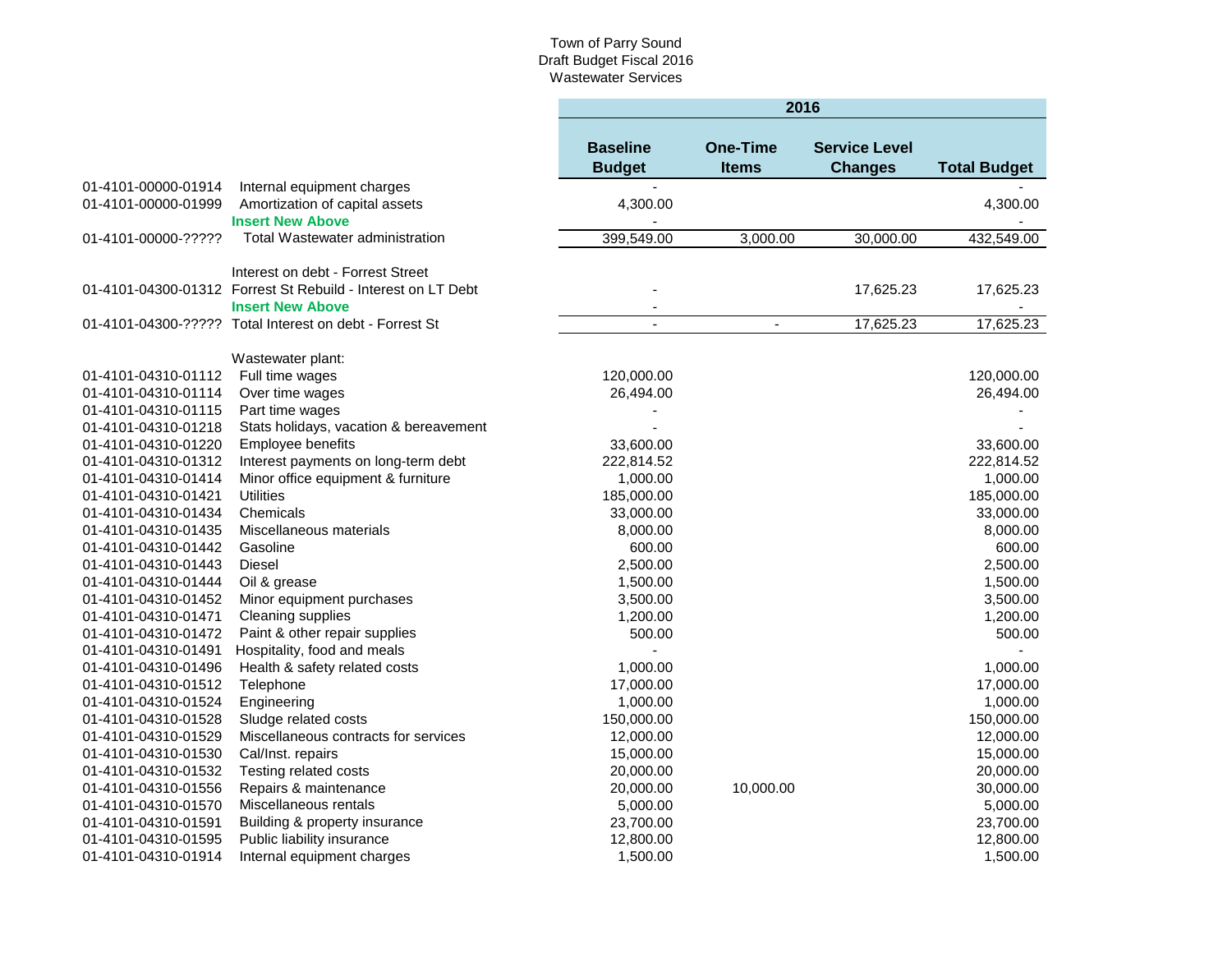**Contract Contract** 

**2016**

|                     |                                                              | 2016                             |                                 |                                        |                     |  |
|---------------------|--------------------------------------------------------------|----------------------------------|---------------------------------|----------------------------------------|---------------------|--|
|                     |                                                              | <b>Baseline</b><br><b>Budget</b> | <b>One-Time</b><br><b>Items</b> | <b>Service Level</b><br><b>Changes</b> | <b>Total Budget</b> |  |
| 01-4101-00000-01914 | Internal equipment charges                                   |                                  |                                 |                                        |                     |  |
| 01-4101-00000-01999 | Amortization of capital assets                               | 4,300.00                         |                                 |                                        | 4,300.00            |  |
|                     | <b>Insert New Above</b>                                      |                                  |                                 |                                        |                     |  |
| 01-4101-00000-????? | <b>Total Wastewater administration</b>                       | 399,549.00                       | 3,000.00                        | 30,000.00                              | 432,549.00          |  |
|                     |                                                              |                                  |                                 |                                        |                     |  |
|                     | Interest on debt - Forrest Street                            |                                  |                                 |                                        |                     |  |
|                     | 01-4101-04300-01312 Forrest St Rebuild - Interest on LT Debt |                                  |                                 | 17,625.23                              | 17,625.23           |  |
|                     | <b>Insert New Above</b>                                      |                                  |                                 |                                        |                     |  |
|                     | 01-4101-04300-????? Total Interest on debt - Forrest St      | $\sim$                           | $\blacksquare$                  | 17,625.23                              | 17,625.23           |  |
|                     |                                                              |                                  |                                 |                                        |                     |  |
|                     | Wastewater plant:                                            |                                  |                                 |                                        |                     |  |
| 01-4101-04310-01112 | Full time wages                                              | 120,000.00                       |                                 |                                        | 120,000.00          |  |
| 01-4101-04310-01114 | Over time wages                                              | 26,494.00                        |                                 |                                        | 26,494.00           |  |
| 01-4101-04310-01115 | Part time wages                                              |                                  |                                 |                                        |                     |  |
| 01-4101-04310-01218 | Stats holidays, vacation & bereavement                       |                                  |                                 |                                        |                     |  |
| 01-4101-04310-01220 | Employee benefits                                            | 33,600.00                        |                                 |                                        | 33,600.00           |  |
| 01-4101-04310-01312 | Interest payments on long-term debt                          | 222,814.52                       |                                 |                                        | 222,814.52          |  |
| 01-4101-04310-01414 | Minor office equipment & furniture                           | 1,000.00                         |                                 |                                        | 1,000.00            |  |
| 01-4101-04310-01421 | <b>Utilities</b>                                             | 185,000.00                       |                                 |                                        | 185,000.00          |  |
| 01-4101-04310-01434 | Chemicals                                                    | 33,000.00                        |                                 |                                        | 33,000.00           |  |
| 01-4101-04310-01435 | Miscellaneous materials                                      | 8,000.00                         |                                 |                                        | 8,000.00            |  |
| 01-4101-04310-01442 | Gasoline                                                     | 600.00                           |                                 |                                        | 600.00              |  |
| 01-4101-04310-01443 | <b>Diesel</b>                                                | 2,500.00                         |                                 |                                        | 2,500.00            |  |
| 01-4101-04310-01444 | Oil & grease                                                 | 1,500.00                         |                                 |                                        | 1,500.00            |  |
| 01-4101-04310-01452 | Minor equipment purchases                                    | 3,500.00                         |                                 |                                        | 3,500.00            |  |
| 01-4101-04310-01471 | Cleaning supplies                                            | 1,200.00                         |                                 |                                        | 1,200.00            |  |
| 01-4101-04310-01472 | Paint & other repair supplies                                | 500.00                           |                                 |                                        | 500.00              |  |
| 01-4101-04310-01491 | Hospitality, food and meals                                  |                                  |                                 |                                        |                     |  |
| 01-4101-04310-01496 | Health & safety related costs                                | 1,000.00                         |                                 |                                        | 1,000.00            |  |
| 01-4101-04310-01512 | Telephone                                                    | 17,000.00                        |                                 |                                        | 17,000.00           |  |
| 01-4101-04310-01524 | Engineering                                                  | 1,000.00                         |                                 |                                        | 1,000.00            |  |
| 01-4101-04310-01528 | Sludge related costs                                         | 150,000.00                       |                                 |                                        | 150,000.00          |  |
| 01-4101-04310-01529 | Miscellaneous contracts for services                         | 12,000.00                        |                                 |                                        | 12,000.00           |  |
| 01-4101-04310-01530 | Cal/Inst. repairs                                            | 15,000.00                        |                                 |                                        | 15,000.00           |  |
| 01-4101-04310-01532 | Testing related costs                                        | 20,000.00                        |                                 |                                        | 20,000.00           |  |
| 01-4101-04310-01556 | Repairs & maintenance                                        | 20,000.00                        | 10,000.00                       |                                        | 30,000.00           |  |
| 01-4101-04310-01570 | Miscellaneous rentals                                        | 5,000.00                         |                                 |                                        | 5,000.00            |  |
| 01-4101-04310-01591 | Building & property insurance                                | 23,700.00                        |                                 |                                        | 23,700.00           |  |
| 01-4101-04310-01595 | Public liability insurance                                   | 12,800.00                        |                                 |                                        | 12,800.00           |  |
| 01-4101-04310-01914 | Internal equipment charges                                   | 1,500.00                         |                                 |                                        | 1,500.00            |  |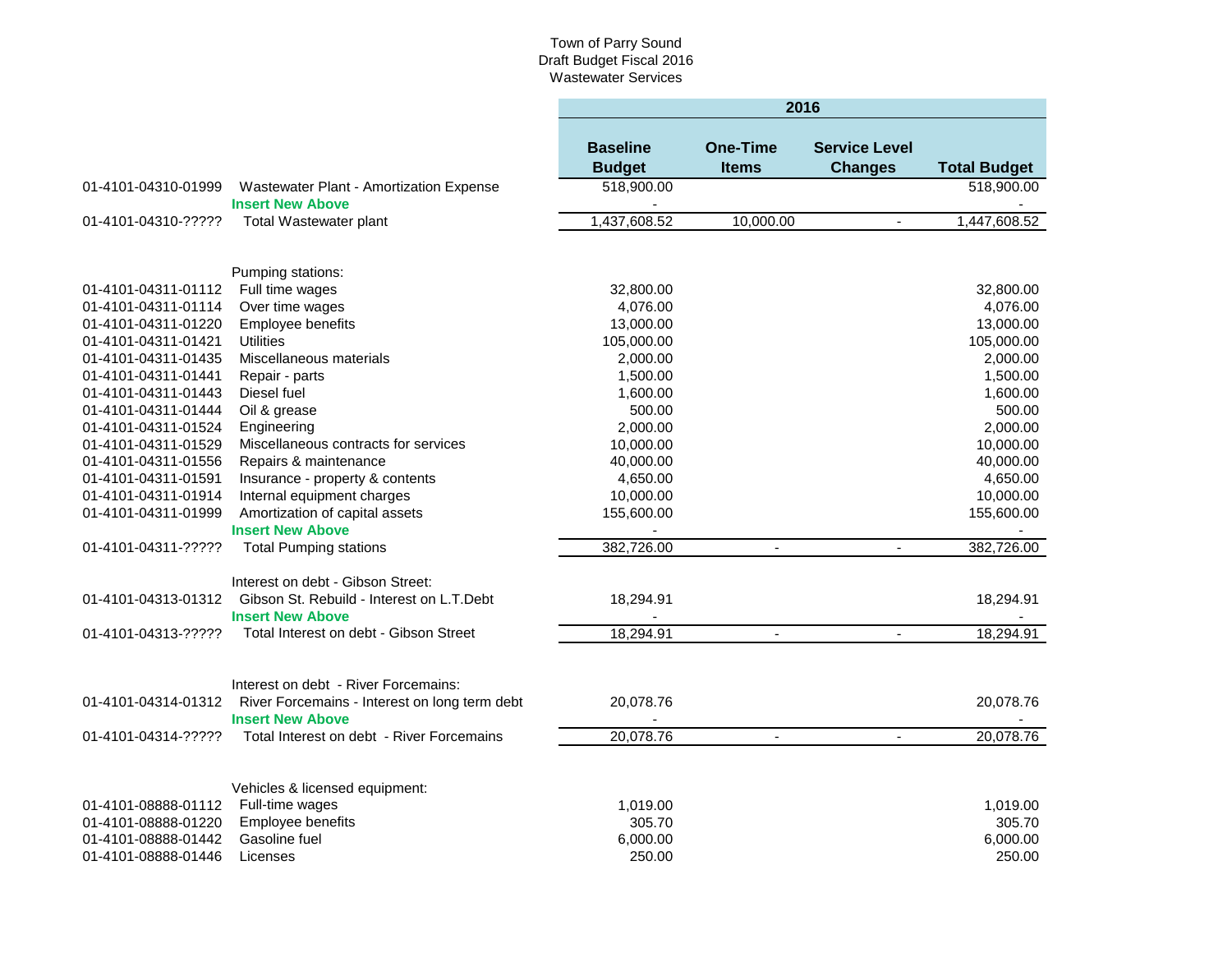|                     |                                                                                              | 2016                             |                                 |                                        |                     |  |  |  |
|---------------------|----------------------------------------------------------------------------------------------|----------------------------------|---------------------------------|----------------------------------------|---------------------|--|--|--|
|                     |                                                                                              | <b>Baseline</b><br><b>Budget</b> | <b>One-Time</b><br><b>Items</b> | <b>Service Level</b><br><b>Changes</b> | <b>Total Budget</b> |  |  |  |
| 01-4101-04310-01999 | Wastewater Plant - Amortization Expense                                                      | 518,900.00                       |                                 |                                        | 518,900.00          |  |  |  |
| 01-4101-04310-????? | <b>Insert New Above</b><br>Total Wastewater plant                                            | 1,437,608.52                     | 10,000.00                       | $\blacksquare$                         | 1,447,608.52        |  |  |  |
|                     |                                                                                              |                                  |                                 |                                        |                     |  |  |  |
|                     | Pumping stations:                                                                            |                                  |                                 |                                        |                     |  |  |  |
| 01-4101-04311-01112 | Full time wages                                                                              | 32,800.00                        |                                 |                                        | 32,800.00           |  |  |  |
| 01-4101-04311-01114 | Over time wages                                                                              | 4,076.00                         |                                 |                                        | 4,076.00            |  |  |  |
| 01-4101-04311-01220 | Employee benefits                                                                            | 13,000.00                        |                                 |                                        | 13,000.00           |  |  |  |
| 01-4101-04311-01421 | <b>Utilities</b>                                                                             | 105,000.00                       |                                 |                                        | 105,000.00          |  |  |  |
| 01-4101-04311-01435 | Miscellaneous materials                                                                      | 2,000.00                         |                                 |                                        | 2,000.00            |  |  |  |
| 01-4101-04311-01441 | Repair - parts                                                                               | 1,500.00                         |                                 |                                        | 1,500.00            |  |  |  |
| 01-4101-04311-01443 | Diesel fuel                                                                                  | 1,600.00                         |                                 |                                        | 1,600.00            |  |  |  |
| 01-4101-04311-01444 | Oil & grease                                                                                 | 500.00                           |                                 |                                        | 500.00              |  |  |  |
| 01-4101-04311-01524 | Engineering                                                                                  | 2,000.00                         |                                 |                                        | 2,000.00            |  |  |  |
| 01-4101-04311-01529 | Miscellaneous contracts for services                                                         | 10,000.00                        |                                 |                                        | 10,000.00           |  |  |  |
| 01-4101-04311-01556 | Repairs & maintenance                                                                        | 40,000.00                        |                                 |                                        | 40,000.00           |  |  |  |
| 01-4101-04311-01591 | Insurance - property & contents                                                              | 4,650.00                         |                                 |                                        | 4,650.00            |  |  |  |
| 01-4101-04311-01914 | Internal equipment charges                                                                   | 10,000.00                        |                                 |                                        | 10,000.00           |  |  |  |
| 01-4101-04311-01999 | Amortization of capital assets                                                               | 155,600.00                       |                                 |                                        | 155,600.00          |  |  |  |
|                     | <b>Insert New Above</b>                                                                      | $\overline{\phantom{a}}$         |                                 |                                        |                     |  |  |  |
| 01-4101-04311-????? | <b>Total Pumping stations</b>                                                                | 382,726.00                       | $\blacksquare$                  | $\overline{a}$                         | 382,726.00          |  |  |  |
|                     |                                                                                              |                                  |                                 |                                        |                     |  |  |  |
|                     | Interest on debt - Gibson Street:                                                            |                                  |                                 |                                        |                     |  |  |  |
| 01-4101-04313-01312 | Gibson St. Rebuild - Interest on L.T.Debt<br><b>Insert New Above</b>                         | 18,294.91                        |                                 |                                        | 18,294.91           |  |  |  |
| 01-4101-04313-????? | Total Interest on debt - Gibson Street                                                       | 18,294.91                        | $\sim$                          | $\blacksquare$                         | 18,294.91           |  |  |  |
|                     |                                                                                              |                                  |                                 |                                        |                     |  |  |  |
|                     | Interest on debt - River Forcemains:                                                         |                                  |                                 |                                        |                     |  |  |  |
|                     | 01-4101-04314-01312 River Forcemains - Interest on long term debt<br><b>Insert New Above</b> | 20,078.76                        |                                 |                                        | 20,078.76           |  |  |  |
| 01-4101-04314-????? | Total Interest on debt - River Forcemains                                                    | 20,078.76                        | $\blacksquare$                  | $\blacksquare$                         | 20,078.76           |  |  |  |
|                     |                                                                                              |                                  |                                 |                                        |                     |  |  |  |
|                     | Vehicles & licensed equipment:                                                               |                                  |                                 |                                        |                     |  |  |  |
| 01-4101-08888-01112 | Full-time wages                                                                              | 1,019.00                         |                                 |                                        | 1,019.00            |  |  |  |
| 01-4101-08888-01220 | Employee benefits                                                                            | 305.70                           |                                 |                                        | 305.70              |  |  |  |
| 01-4101-08888-01442 | Gasoline fuel                                                                                | 6,000.00                         |                                 |                                        | 6,000.00            |  |  |  |
| 01-4101-08888-01446 | Licenses                                                                                     | 250.00                           |                                 |                                        | 250.00              |  |  |  |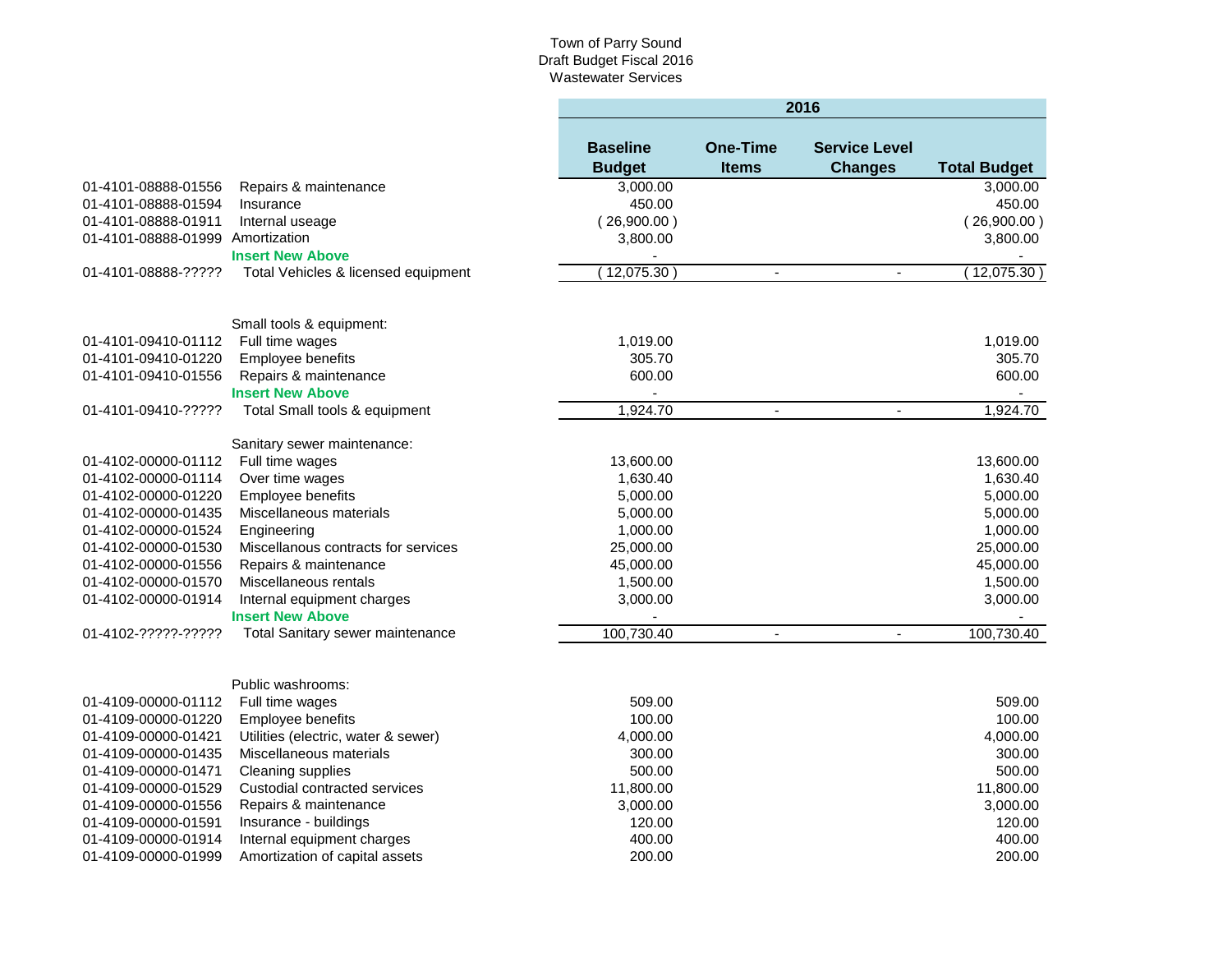|                                  |                                                       | 2016                             |                                 |                                        |                     |  |
|----------------------------------|-------------------------------------------------------|----------------------------------|---------------------------------|----------------------------------------|---------------------|--|
|                                  |                                                       | <b>Baseline</b><br><b>Budget</b> | <b>One-Time</b><br><b>Items</b> | <b>Service Level</b><br><b>Changes</b> | <b>Total Budget</b> |  |
| 01-4101-08888-01556              | Repairs & maintenance                                 | 3,000.00                         |                                 |                                        | 3,000.00            |  |
| 01-4101-08888-01594              | Insurance                                             | 450.00                           |                                 |                                        | 450.00              |  |
| 01-4101-08888-01911              | Internal useage                                       | (26,900.00)                      |                                 |                                        | (26,900.00)         |  |
| 01-4101-08888-01999 Amortization |                                                       | 3,800.00                         |                                 |                                        | 3,800.00            |  |
|                                  | <b>Insert New Above</b>                               |                                  |                                 |                                        |                     |  |
| 01-4101-08888-?????              | Total Vehicles & licensed equipment                   | 12,075.30                        | $\sim$                          | $\overline{\phantom{a}}$               | (12,075.30)         |  |
|                                  | Small tools & equipment:                              |                                  |                                 |                                        |                     |  |
| 01-4101-09410-01112              | Full time wages                                       | 1,019.00                         |                                 |                                        | 1,019.00            |  |
| 01-4101-09410-01220              | Employee benefits                                     | 305.70                           |                                 |                                        | 305.70              |  |
| 01-4101-09410-01556              | Repairs & maintenance                                 | 600.00                           |                                 |                                        | 600.00              |  |
|                                  | <b>Insert New Above</b>                               |                                  |                                 |                                        |                     |  |
| 01-4101-09410-?????              | Total Small tools & equipment                         | 1,924.70                         | $\blacksquare$                  | $\blacksquare$                         | 1,924.70            |  |
|                                  | Sanitary sewer maintenance:                           |                                  |                                 |                                        |                     |  |
| 01-4102-00000-01112              | Full time wages                                       | 13,600.00                        |                                 |                                        | 13,600.00           |  |
| 01-4102-00000-01114              | Over time wages                                       | 1,630.40                         |                                 |                                        | 1,630.40            |  |
| 01-4102-00000-01220              | Employee benefits                                     | 5,000.00                         |                                 |                                        | 5,000.00            |  |
| 01-4102-00000-01435              | Miscellaneous materials                               | 5,000.00                         |                                 |                                        | 5,000.00            |  |
| 01-4102-00000-01524              | Engineering                                           | 1,000.00                         |                                 |                                        | 1,000.00            |  |
| 01-4102-00000-01530              | Miscellanous contracts for services                   | 25,000.00                        |                                 |                                        | 25,000.00           |  |
| 01-4102-00000-01556              | Repairs & maintenance                                 | 45,000.00                        |                                 |                                        | 45,000.00           |  |
| 01-4102-00000-01570              | Miscellaneous rentals                                 | 1,500.00                         |                                 |                                        | 1,500.00            |  |
| 01-4102-00000-01914              | Internal equipment charges<br><b>Insert New Above</b> | 3,000.00<br>L.                   |                                 |                                        | 3,000.00            |  |
| 01-4102-?????-?????              | Total Sanitary sewer maintenance                      | 100,730.40                       | $\sim$                          | $\blacksquare$                         | 100,730.40          |  |
|                                  |                                                       |                                  |                                 |                                        |                     |  |
|                                  | Public washrooms:                                     |                                  |                                 |                                        |                     |  |
| 01-4109-00000-01112              | Full time wages                                       | 509.00                           |                                 |                                        | 509.00              |  |
| 01-4109-00000-01220              | Employee benefits                                     | 100.00                           |                                 |                                        | 100.00              |  |
| 01-4109-00000-01421              | Utilities (electric, water & sewer)                   | 4,000.00                         |                                 |                                        | 4,000.00            |  |
| 01-4109-00000-01435              | Miscellaneous materials                               | 300.00                           |                                 |                                        | 300.00              |  |
| 01-4109-00000-01471              | Cleaning supplies                                     | 500.00                           |                                 |                                        | 500.00              |  |
| 01-4109-00000-01529              | Custodial contracted services                         | 11,800.00                        |                                 |                                        | 11,800.00           |  |
| 01-4109-00000-01556              | Repairs & maintenance                                 | 3,000.00                         |                                 |                                        | 3,000.00            |  |
| 01-4109-00000-01591              | Insurance - buildings                                 | 120.00                           |                                 |                                        | 120.00              |  |
| 01-4109-00000-01914              | Internal equipment charges                            | 400.00                           |                                 |                                        | 400.00              |  |
| 01-4109-00000-01999              | Amortization of capital assets                        | 200.00                           |                                 |                                        | 200.00              |  |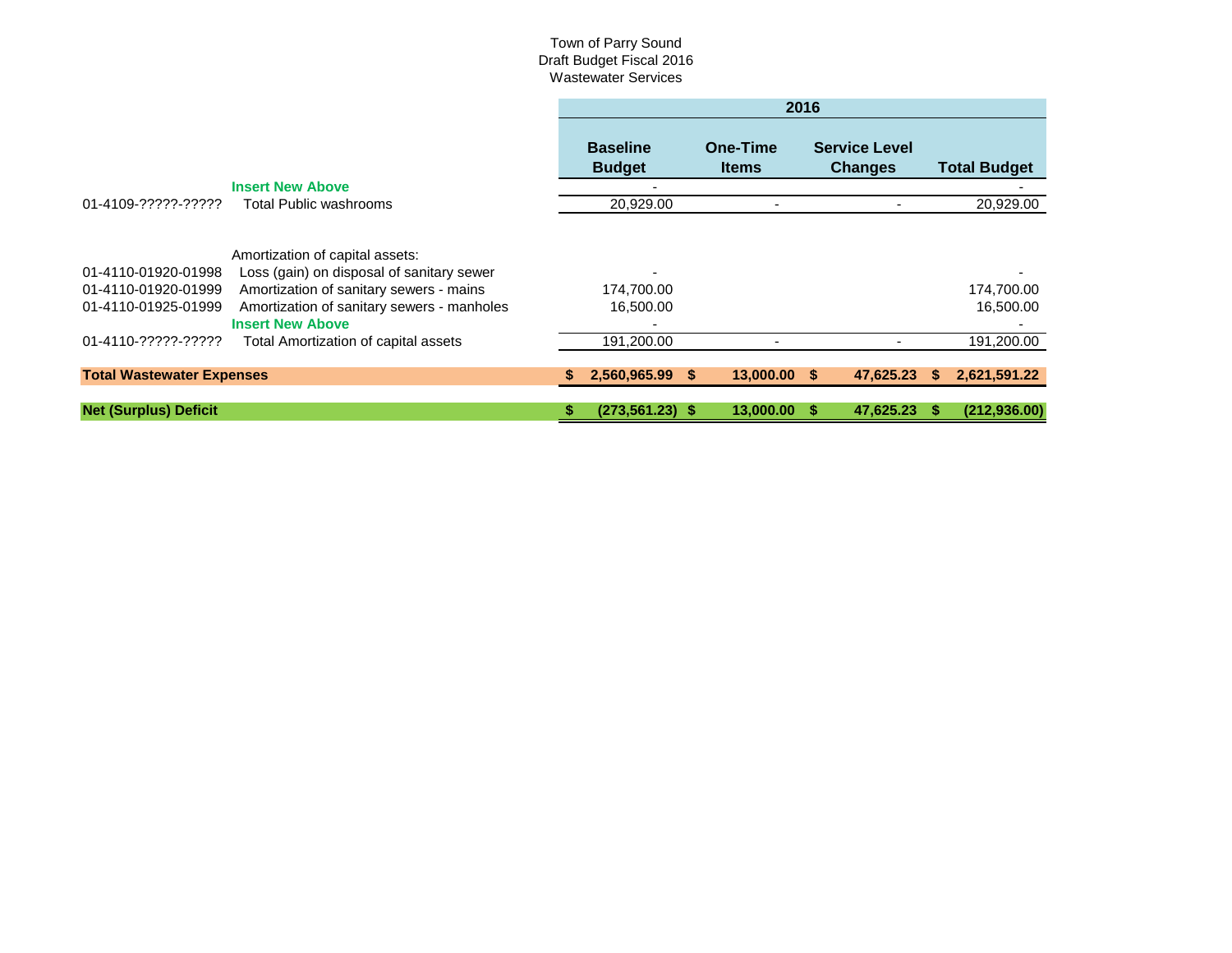|                                                                   |                                                                                                                                                                                                  | 2016 |                                  |     |                          |  |                                        |    |                         |
|-------------------------------------------------------------------|--------------------------------------------------------------------------------------------------------------------------------------------------------------------------------------------------|------|----------------------------------|-----|--------------------------|--|----------------------------------------|----|-------------------------|
|                                                                   |                                                                                                                                                                                                  |      | <b>Baseline</b><br><b>Budget</b> |     | One-Time<br><b>Items</b> |  | <b>Service Level</b><br><b>Changes</b> |    | <b>Total Budget</b>     |
|                                                                   | <b>Insert New Above</b>                                                                                                                                                                          |      |                                  |     |                          |  |                                        |    |                         |
| 01-4109-?????-?????                                               | Total Public washrooms                                                                                                                                                                           |      | 20,929.00                        |     |                          |  |                                        |    | 20,929.00               |
| 01-4110-01920-01998<br>01-4110-01920-01999<br>01-4110-01925-01999 | Amortization of capital assets:<br>Loss (gain) on disposal of sanitary sewer<br>Amortization of sanitary sewers - mains<br>Amortization of sanitary sewers - manholes<br><b>Insert New Above</b> |      | 174,700.00<br>16,500.00          |     |                          |  |                                        |    | 174,700.00<br>16,500.00 |
| 01-4110-?????-?????                                               | Total Amortization of capital assets                                                                                                                                                             |      | 191,200.00                       |     |                          |  |                                        |    | 191,200.00              |
| <b>Total Wastewater Expenses</b>                                  |                                                                                                                                                                                                  |      | 2,560,965.99                     | \$. | $13,000.00$ \$           |  | 47,625.23                              | S. | 2,621,591.22            |
| <b>Net (Surplus) Deficit</b>                                      |                                                                                                                                                                                                  | \$.  | $(273, 561.23)$ \$               |     | 13,000.00                |  | 47,625.23                              |    | (212, 936.00)           |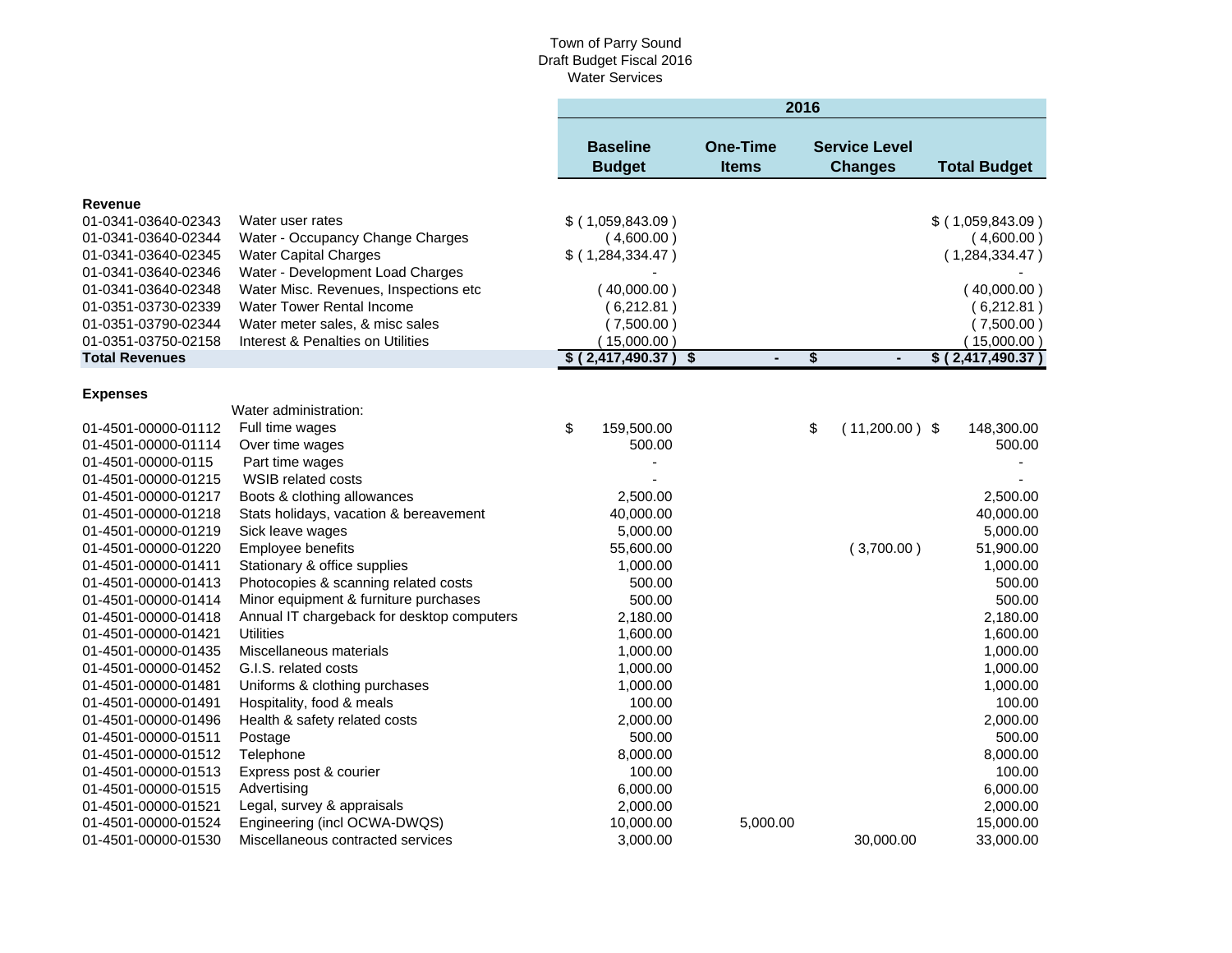|                       |                                            | 2016 |                                  |                                 |                      |                                        |  |                     |
|-----------------------|--------------------------------------------|------|----------------------------------|---------------------------------|----------------------|----------------------------------------|--|---------------------|
|                       |                                            |      | <b>Baseline</b><br><b>Budget</b> | <b>One-Time</b><br><b>Items</b> |                      | <b>Service Level</b><br><b>Changes</b> |  | <b>Total Budget</b> |
| Revenue               |                                            |      |                                  |                                 |                      |                                        |  |                     |
| 01-0341-03640-02343   | Water user rates                           |      | $$$ (1,059,843.09)               |                                 |                      |                                        |  | $$$ (1,059,843.09)  |
| 01-0341-03640-02344   | Water - Occupancy Change Charges           |      | (4,600.00)                       |                                 |                      |                                        |  | (4,600.00)          |
| 01-0341-03640-02345   | <b>Water Capital Charges</b>               |      | $$$ (1,284,334.47)               |                                 |                      |                                        |  | (1,284,334.47)      |
| 01-0341-03640-02346   | Water - Development Load Charges           |      |                                  |                                 |                      |                                        |  |                     |
| 01-0341-03640-02348   | Water Misc. Revenues, Inspections etc      |      | (40,000.00)                      |                                 |                      |                                        |  | (40,000.00)         |
| 01-0351-03730-02339   | <b>Water Tower Rental Income</b>           |      | (6,212.81)                       |                                 |                      |                                        |  | (6,212.81)          |
| 01-0351-03790-02344   | Water meter sales, & misc sales            |      | (7,500.00)                       |                                 |                      |                                        |  | (7,500.00)          |
| 01-0351-03750-02158   | Interest & Penalties on Utilities          |      | (15,000.00)                      |                                 |                      |                                        |  | (15,000.00)         |
| <b>Total Revenues</b> |                                            |      | $$$ (2,417,490.37)               | \$                              | \$<br>$\blacksquare$ |                                        |  | \$ (2,417,490.37)   |
|                       |                                            |      |                                  |                                 |                      |                                        |  |                     |
| <b>Expenses</b>       | Water administration:                      |      |                                  |                                 |                      |                                        |  |                     |
| 01-4501-00000-01112   | Full time wages                            | \$   | 159,500.00                       |                                 | \$                   | $(11,200.00)$ \$                       |  | 148,300.00          |
| 01-4501-00000-01114   | Over time wages                            |      | 500.00                           |                                 |                      |                                        |  | 500.00              |
| 01-4501-00000-0115    | Part time wages                            |      |                                  |                                 |                      |                                        |  |                     |
| 01-4501-00000-01215   | <b>WSIB related costs</b>                  |      |                                  |                                 |                      |                                        |  |                     |
| 01-4501-00000-01217   | Boots & clothing allowances                |      | 2,500.00                         |                                 |                      |                                        |  | 2,500.00            |
| 01-4501-00000-01218   | Stats holidays, vacation & bereavement     |      | 40,000.00                        |                                 |                      |                                        |  | 40,000.00           |
| 01-4501-00000-01219   | Sick leave wages                           |      | 5,000.00                         |                                 |                      |                                        |  | 5,000.00            |
| 01-4501-00000-01220   | Employee benefits                          |      | 55,600.00                        |                                 |                      | (3,700.00)                             |  | 51,900.00           |
| 01-4501-00000-01411   | Stationary & office supplies               |      | 1,000.00                         |                                 |                      |                                        |  | 1,000.00            |
| 01-4501-00000-01413   | Photocopies & scanning related costs       |      | 500.00                           |                                 |                      |                                        |  | 500.00              |
| 01-4501-00000-01414   | Minor equipment & furniture purchases      |      | 500.00                           |                                 |                      |                                        |  | 500.00              |
| 01-4501-00000-01418   | Annual IT chargeback for desktop computers |      | 2,180.00                         |                                 |                      |                                        |  | 2,180.00            |
| 01-4501-00000-01421   | <b>Utilities</b>                           |      | 1,600.00                         |                                 |                      |                                        |  | 1,600.00            |
| 01-4501-00000-01435   | Miscellaneous materials                    |      | 1,000.00                         |                                 |                      |                                        |  | 1,000.00            |
| 01-4501-00000-01452   | G.I.S. related costs                       |      | 1,000.00                         |                                 |                      |                                        |  | 1,000.00            |
| 01-4501-00000-01481   | Uniforms & clothing purchases              |      | 1,000.00                         |                                 |                      |                                        |  | 1,000.00            |
| 01-4501-00000-01491   | Hospitality, food & meals                  |      | 100.00                           |                                 |                      |                                        |  | 100.00              |
| 01-4501-00000-01496   | Health & safety related costs              |      | 2,000.00                         |                                 |                      |                                        |  | 2,000.00            |
| 01-4501-00000-01511   | Postage                                    |      | 500.00                           |                                 |                      |                                        |  | 500.00              |
| 01-4501-00000-01512   | Telephone                                  |      | 8,000.00                         |                                 |                      |                                        |  | 8,000.00            |
| 01-4501-00000-01513   | Express post & courier                     |      | 100.00                           |                                 |                      |                                        |  | 100.00              |
| 01-4501-00000-01515   | Advertising                                |      | 6,000.00                         |                                 |                      |                                        |  | 6,000.00            |
| 01-4501-00000-01521   | Legal, survey & appraisals                 |      | 2,000.00                         |                                 |                      |                                        |  | 2,000.00            |
| 01-4501-00000-01524   | Engineering (incl OCWA-DWQS)               |      | 10,000.00                        |                                 | 5,000.00             |                                        |  | 15,000.00           |
| 01-4501-00000-01530   | Miscellaneous contracted services          |      | 3,000.00                         |                                 |                      | 30,000.00                              |  | 33,000.00           |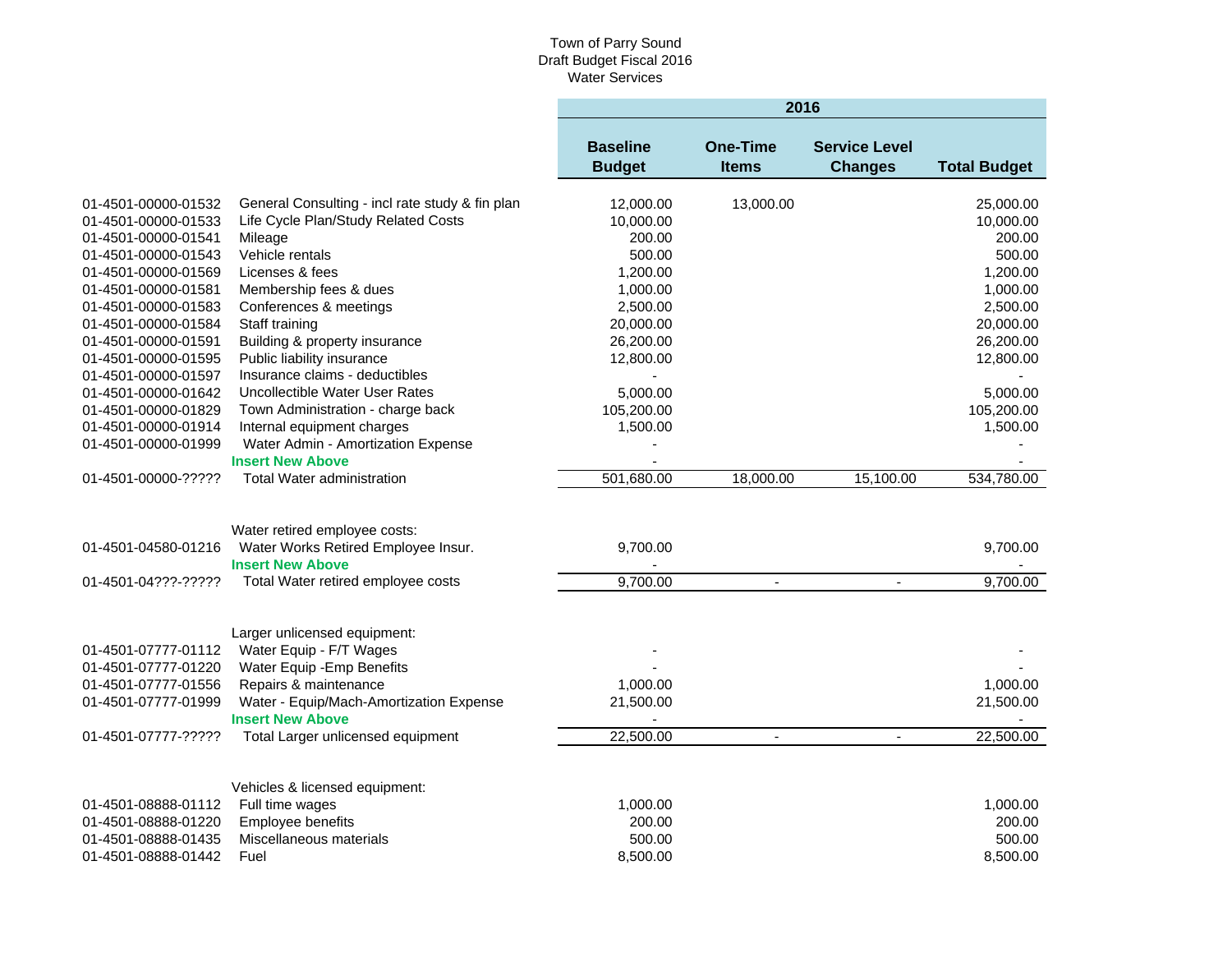|                     |                                                 | 2016                             |                                 |                                        |                     |  |  |
|---------------------|-------------------------------------------------|----------------------------------|---------------------------------|----------------------------------------|---------------------|--|--|
|                     |                                                 | <b>Baseline</b><br><b>Budget</b> | <b>One-Time</b><br><b>Items</b> | <b>Service Level</b><br><b>Changes</b> | <b>Total Budget</b> |  |  |
|                     |                                                 |                                  |                                 |                                        |                     |  |  |
| 01-4501-00000-01532 | General Consulting - incl rate study & fin plan | 12,000.00                        | 13,000.00                       |                                        | 25,000.00           |  |  |
| 01-4501-00000-01533 | Life Cycle Plan/Study Related Costs             | 10,000.00                        |                                 |                                        | 10,000.00           |  |  |
| 01-4501-00000-01541 | Mileage                                         | 200.00                           |                                 |                                        | 200.00              |  |  |
| 01-4501-00000-01543 | Vehicle rentals                                 | 500.00                           |                                 |                                        | 500.00              |  |  |
| 01-4501-00000-01569 | Licenses & fees                                 | 1,200.00                         |                                 |                                        | 1,200.00            |  |  |
| 01-4501-00000-01581 | Membership fees & dues                          | 1,000.00                         |                                 |                                        | 1,000.00            |  |  |
| 01-4501-00000-01583 | Conferences & meetings                          | 2,500.00                         |                                 |                                        | 2,500.00            |  |  |
| 01-4501-00000-01584 | Staff training                                  | 20,000.00                        |                                 |                                        | 20,000.00           |  |  |
| 01-4501-00000-01591 | Building & property insurance                   | 26,200.00                        |                                 |                                        | 26,200.00           |  |  |
| 01-4501-00000-01595 | Public liability insurance                      | 12,800.00                        |                                 |                                        | 12,800.00           |  |  |
| 01-4501-00000-01597 | Insurance claims - deductibles                  |                                  |                                 |                                        |                     |  |  |
| 01-4501-00000-01642 | Uncollectible Water User Rates                  | 5,000.00                         |                                 |                                        | 5,000.00            |  |  |
| 01-4501-00000-01829 | Town Administration - charge back               | 105,200.00                       |                                 |                                        | 105,200.00          |  |  |
| 01-4501-00000-01914 | Internal equipment charges                      | 1,500.00                         |                                 |                                        | 1,500.00            |  |  |
| 01-4501-00000-01999 | Water Admin - Amortization Expense              |                                  |                                 |                                        |                     |  |  |
|                     | <b>Insert New Above</b>                         |                                  |                                 |                                        |                     |  |  |
| 01-4501-00000-????? | <b>Total Water administration</b>               | 501,680.00                       | 18,000.00                       | 15,100.00                              | 534,780.00          |  |  |
|                     |                                                 |                                  |                                 |                                        |                     |  |  |
|                     | Water retired employee costs:                   |                                  |                                 |                                        |                     |  |  |
| 01-4501-04580-01216 | Water Works Retired Employee Insur.             | 9,700.00                         |                                 |                                        | 9,700.00            |  |  |
|                     | <b>Insert New Above</b>                         |                                  |                                 |                                        |                     |  |  |
| 01-4501-04???-????? | Total Water retired employee costs              | 9,700.00                         | $\blacksquare$                  | $\blacksquare$                         | 9,700.00            |  |  |
|                     |                                                 |                                  |                                 |                                        |                     |  |  |
|                     |                                                 |                                  |                                 |                                        |                     |  |  |
|                     | Larger unlicensed equipment:                    |                                  |                                 |                                        |                     |  |  |
| 01-4501-07777-01112 | Water Equip - F/T Wages                         |                                  |                                 |                                        |                     |  |  |
| 01-4501-07777-01220 | Water Equip - Emp Benefits                      |                                  |                                 |                                        |                     |  |  |
| 01-4501-07777-01556 | Repairs & maintenance                           | 1,000.00                         |                                 |                                        | 1,000.00            |  |  |
| 01-4501-07777-01999 | Water - Equip/Mach-Amortization Expense         | 21,500.00                        |                                 |                                        | 21,500.00           |  |  |
|                     | <b>Insert New Above</b>                         |                                  |                                 |                                        |                     |  |  |
| 01-4501-07777-????? | Total Larger unlicensed equipment               | 22,500.00                        | $\overline{\phantom{a}}$        | $\blacksquare$                         | 22,500.00           |  |  |
|                     |                                                 |                                  |                                 |                                        |                     |  |  |
|                     | Vehicles & licensed equipment:                  |                                  |                                 |                                        |                     |  |  |
| 01-4501-08888-01112 | Full time wages                                 | 1,000.00                         |                                 |                                        | 1,000.00            |  |  |
| 01-4501-08888-01220 | <b>Employee benefits</b>                        | 200.00                           |                                 |                                        | 200.00              |  |  |
| 01-4501-08888-01435 | Miscellaneous materials                         | 500.00                           |                                 |                                        | 500.00              |  |  |
| 01-4501-08888-01442 | Fuel                                            | 8,500.00                         |                                 |                                        | 8,500.00            |  |  |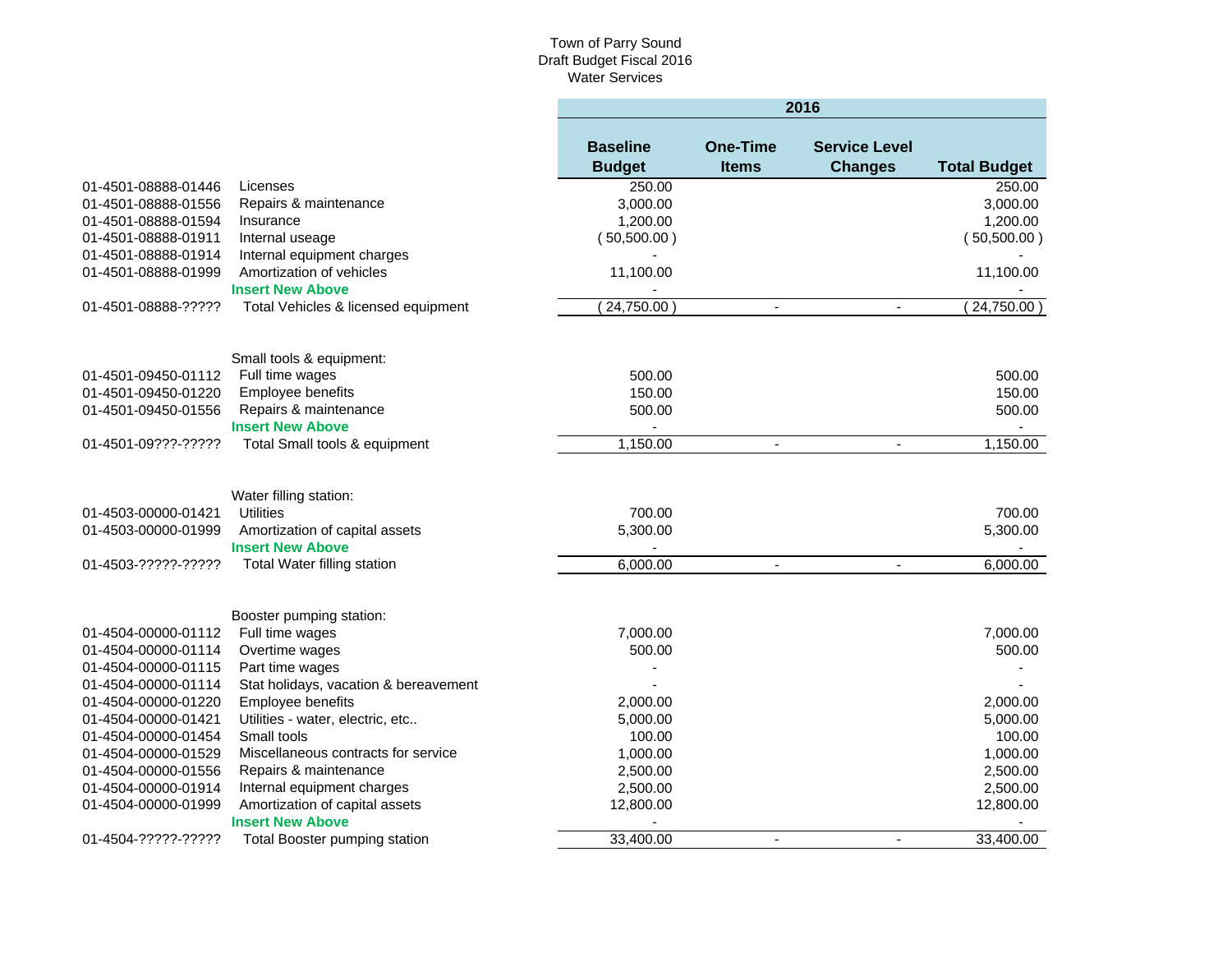|                     |                                       | 2016                             |                                 |                                        |                     |  |  |
|---------------------|---------------------------------------|----------------------------------|---------------------------------|----------------------------------------|---------------------|--|--|
|                     |                                       | <b>Baseline</b><br><b>Budget</b> | <b>One-Time</b><br><b>Items</b> | <b>Service Level</b><br><b>Changes</b> | <b>Total Budget</b> |  |  |
| 01-4501-08888-01446 | Licenses                              | 250.00                           |                                 |                                        | 250.00              |  |  |
| 01-4501-08888-01556 | Repairs & maintenance                 | 3,000.00                         |                                 |                                        | 3,000.00            |  |  |
| 01-4501-08888-01594 | Insurance                             | 1,200.00                         |                                 |                                        | 1,200.00            |  |  |
| 01-4501-08888-01911 | Internal useage                       | (50,500.00)                      |                                 |                                        | (50,500.00)         |  |  |
| 01-4501-08888-01914 | Internal equipment charges            |                                  |                                 |                                        |                     |  |  |
| 01-4501-08888-01999 | Amortization of vehicles              | 11,100.00                        |                                 |                                        | 11,100.00           |  |  |
|                     | <b>Insert New Above</b>               |                                  |                                 |                                        |                     |  |  |
| 01-4501-08888-????? | Total Vehicles & licensed equipment   | 24,750.00                        | $\blacksquare$                  | $\blacksquare$                         | 24,750.00           |  |  |
|                     | Small tools & equipment:              |                                  |                                 |                                        |                     |  |  |
| 01-4501-09450-01112 | Full time wages                       | 500.00                           |                                 |                                        | 500.00              |  |  |
| 01-4501-09450-01220 | Employee benefits                     | 150.00                           |                                 |                                        | 150.00              |  |  |
| 01-4501-09450-01556 | Repairs & maintenance                 | 500.00                           |                                 |                                        | 500.00              |  |  |
|                     | <b>Insert New Above</b>               |                                  |                                 |                                        | $\blacksquare$      |  |  |
| 01-4501-09???-????? | Total Small tools & equipment         | 1,150.00                         | $\blacksquare$                  | $\blacksquare$                         | 1,150.00            |  |  |
| 01-4503-00000-01421 | Water filling station:<br>Utilities   | 700.00                           |                                 |                                        | 700.00              |  |  |
| 01-4503-00000-01999 | Amortization of capital assets        | 5,300.00                         |                                 |                                        | 5,300.00            |  |  |
|                     | <b>Insert New Above</b>               |                                  |                                 |                                        |                     |  |  |
| 01-4503-?????-????? | Total Water filling station           | 6,000.00                         | $\blacksquare$                  | $\blacksquare$                         | 6,000.00            |  |  |
|                     | Booster pumping station:              |                                  |                                 |                                        |                     |  |  |
| 01-4504-00000-01112 | Full time wages                       | 7,000.00                         |                                 |                                        | 7,000.00            |  |  |
| 01-4504-00000-01114 | Overtime wages                        | 500.00                           |                                 |                                        | 500.00              |  |  |
| 01-4504-00000-01115 | Part time wages                       |                                  |                                 |                                        |                     |  |  |
| 01-4504-00000-01114 | Stat holidays, vacation & bereavement |                                  |                                 |                                        |                     |  |  |
| 01-4504-00000-01220 | Employee benefits                     | 2,000.00                         |                                 |                                        | 2,000.00            |  |  |
| 01-4504-00000-01421 | Utilities - water, electric, etc      | 5,000.00                         |                                 |                                        | 5,000.00            |  |  |
| 01-4504-00000-01454 | Small tools                           | 100.00                           |                                 |                                        | 100.00              |  |  |
| 01-4504-00000-01529 | Miscellaneous contracts for service   | 1,000.00                         |                                 |                                        | 1,000.00            |  |  |
| 01-4504-00000-01556 | Repairs & maintenance                 | 2,500.00                         |                                 |                                        | 2,500.00            |  |  |
| 01-4504-00000-01914 | Internal equipment charges            | 2,500.00                         |                                 |                                        | 2,500.00            |  |  |
| 01-4504-00000-01999 | Amortization of capital assets        | 12,800.00                        |                                 |                                        | 12,800.00           |  |  |
|                     | <b>Insert New Above</b>               |                                  |                                 |                                        |                     |  |  |
| 01-4504-?????-????? | Total Booster pumping station         | 33,400.00                        | $\blacksquare$                  | $\blacksquare$                         | 33,400.00           |  |  |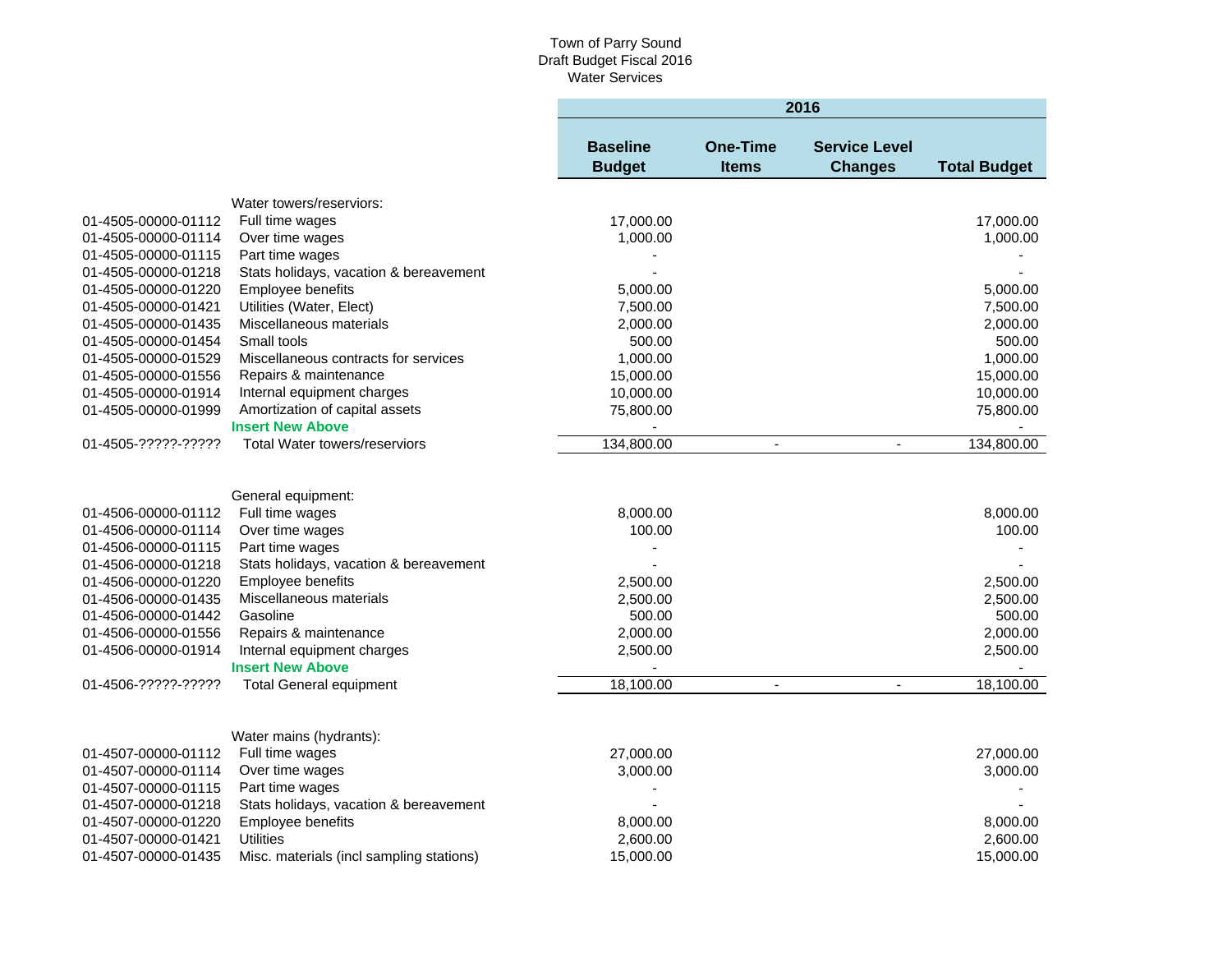٠

|                                            |                                          | 2016                             |                                 |                                        |                       |  |
|--------------------------------------------|------------------------------------------|----------------------------------|---------------------------------|----------------------------------------|-----------------------|--|
|                                            |                                          | <b>Baseline</b><br><b>Budget</b> | <b>One-Time</b><br><b>Items</b> | <b>Service Level</b><br><b>Changes</b> | <b>Total Budget</b>   |  |
|                                            | Water towers/reserviors:                 |                                  |                                 |                                        |                       |  |
| 01-4505-00000-01112                        | Full time wages                          | 17,000.00                        |                                 |                                        | 17,000.00             |  |
| 01-4505-00000-01114                        | Over time wages                          | 1,000.00                         |                                 |                                        | 1,000.00              |  |
| 01-4505-00000-01115                        | Part time wages                          |                                  |                                 |                                        |                       |  |
| 01-4505-00000-01218                        | Stats holidays, vacation & bereavement   |                                  |                                 |                                        |                       |  |
| 01-4505-00000-01220                        | Employee benefits                        | 5,000.00                         |                                 |                                        | 5,000.00              |  |
| 01-4505-00000-01421                        | Utilities (Water, Elect)                 | 7,500.00                         |                                 |                                        | 7,500.00              |  |
| 01-4505-00000-01435                        | Miscellaneous materials                  | 2,000.00                         |                                 |                                        | 2,000.00              |  |
| 01-4505-00000-01454                        | Small tools                              | 500.00                           |                                 |                                        | 500.00                |  |
| 01-4505-00000-01529                        | Miscellaneous contracts for services     | 1,000.00                         |                                 |                                        | 1,000.00              |  |
| 01-4505-00000-01556                        | Repairs & maintenance                    | 15,000.00                        |                                 |                                        | 15,000.00             |  |
| 01-4505-00000-01914                        | Internal equipment charges               | 10,000.00                        |                                 |                                        | 10,000.00             |  |
| 01-4505-00000-01999                        | Amortization of capital assets           | 75,800.00                        |                                 |                                        | 75,800.00             |  |
|                                            | <b>Insert New Above</b>                  |                                  |                                 |                                        |                       |  |
| 01-4505-?????-?????                        | <b>Total Water towers/reserviors</b>     | 134,800.00                       | $\blacksquare$                  | $\blacksquare$                         | 134,800.00            |  |
|                                            |                                          |                                  |                                 |                                        |                       |  |
|                                            |                                          |                                  |                                 |                                        |                       |  |
|                                            | General equipment:                       |                                  |                                 |                                        |                       |  |
| 01-4506-00000-01112                        | Full time wages                          | 8,000.00                         |                                 |                                        | 8,000.00              |  |
| 01-4506-00000-01114                        | Over time wages                          | 100.00                           |                                 |                                        | 100.00                |  |
| 01-4506-00000-01115                        | Part time wages                          |                                  |                                 |                                        |                       |  |
| 01-4506-00000-01218                        | Stats holidays, vacation & bereavement   |                                  |                                 |                                        |                       |  |
| 01-4506-00000-01220                        | Employee benefits                        | 2,500.00                         |                                 |                                        | 2,500.00              |  |
| 01-4506-00000-01435                        | Miscellaneous materials                  | 2,500.00                         |                                 |                                        | 2,500.00              |  |
| 01-4506-00000-01442                        | Gasoline                                 | 500.00                           |                                 |                                        | 500.00                |  |
| 01-4506-00000-01556                        | Repairs & maintenance                    | 2,000.00                         |                                 |                                        | 2,000.00              |  |
| 01-4506-00000-01914                        | Internal equipment charges               | 2,500.00                         |                                 |                                        | 2,500.00              |  |
|                                            | <b>Insert New Above</b>                  |                                  |                                 |                                        |                       |  |
| 01-4506-?????-?????                        | <b>Total General equipment</b>           | 18,100.00                        | $\blacksquare$                  | $\blacksquare$                         | 18,100.00             |  |
|                                            |                                          |                                  |                                 |                                        |                       |  |
|                                            |                                          |                                  |                                 |                                        |                       |  |
|                                            | Water mains (hydrants):                  |                                  |                                 |                                        |                       |  |
| 01-4507-00000-01112<br>01-4507-00000-01114 | Full time wages<br>Over time wages       | 27,000.00<br>3,000.00            |                                 |                                        | 27,000.00<br>3,000.00 |  |
| 01-4507-00000-01115                        | Part time wages                          |                                  |                                 |                                        |                       |  |
| 01-4507-00000-01218                        | Stats holidays, vacation & bereavement   |                                  |                                 |                                        |                       |  |
| 01-4507-00000-01220                        | Employee benefits                        | 8,000.00                         |                                 |                                        | 8,000.00              |  |
| 01-4507-00000-01421                        | <b>Utilities</b>                         | 2,600.00                         |                                 |                                        | 2,600.00              |  |
| 01-4507-00000-01435                        | Misc. materials (incl sampling stations) | 15,000.00                        |                                 |                                        | 15,000.00             |  |
|                                            |                                          |                                  |                                 |                                        |                       |  |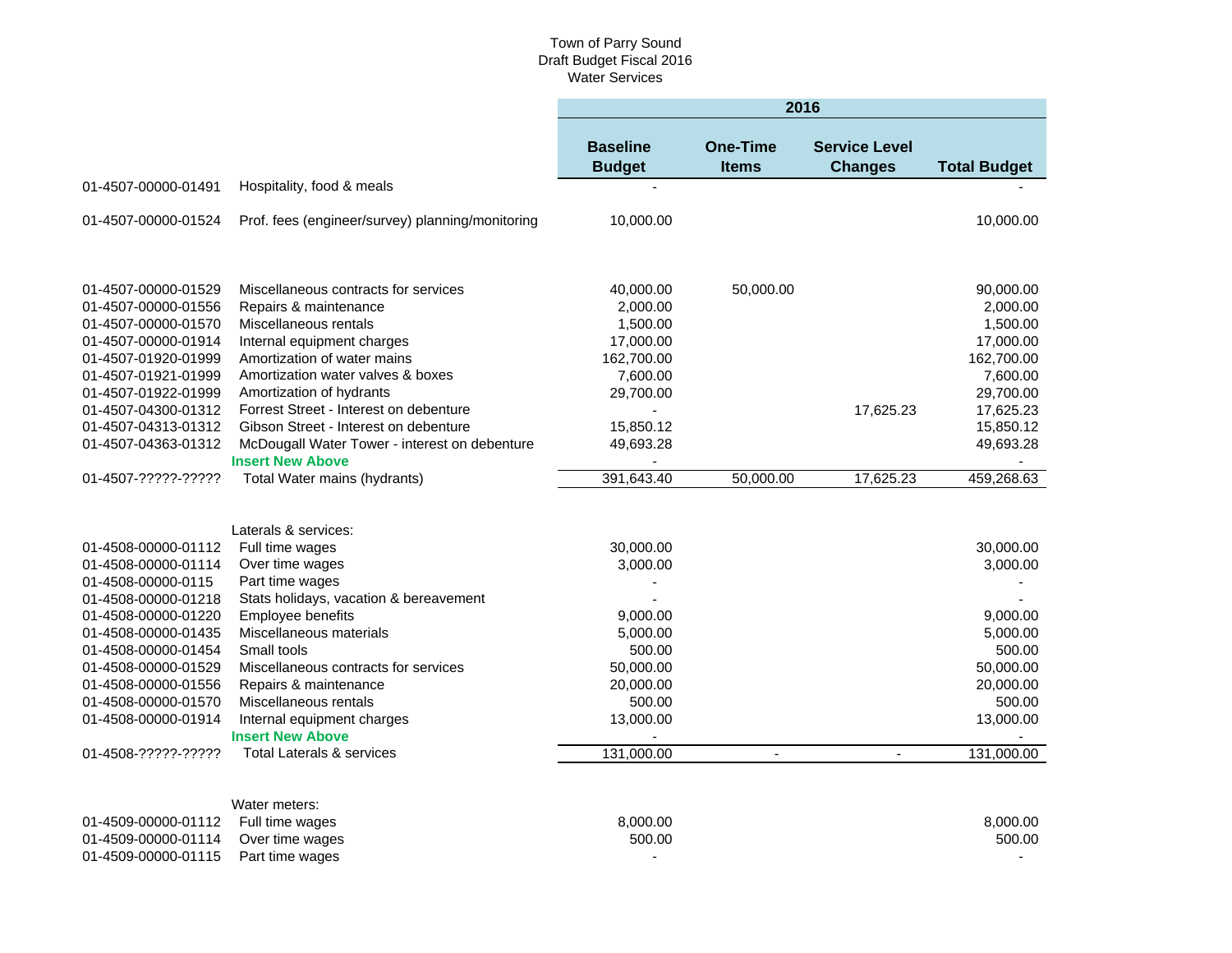|                     |                                                  | 2016                             |                                 |                                        |                     |  |  |
|---------------------|--------------------------------------------------|----------------------------------|---------------------------------|----------------------------------------|---------------------|--|--|
|                     |                                                  | <b>Baseline</b><br><b>Budget</b> | <b>One-Time</b><br><b>Items</b> | <b>Service Level</b><br><b>Changes</b> | <b>Total Budget</b> |  |  |
| 01-4507-00000-01491 | Hospitality, food & meals                        |                                  |                                 |                                        |                     |  |  |
| 01-4507-00000-01524 | Prof. fees (engineer/survey) planning/monitoring | 10,000.00                        |                                 |                                        | 10,000.00           |  |  |
|                     |                                                  |                                  |                                 |                                        |                     |  |  |
| 01-4507-00000-01529 | Miscellaneous contracts for services             | 40,000.00                        | 50,000.00                       |                                        | 90,000.00           |  |  |
| 01-4507-00000-01556 | Repairs & maintenance                            | 2,000.00                         |                                 |                                        | 2,000.00            |  |  |
| 01-4507-00000-01570 | Miscellaneous rentals                            | 1,500.00                         |                                 |                                        | 1,500.00            |  |  |
| 01-4507-00000-01914 | Internal equipment charges                       | 17,000.00                        |                                 |                                        | 17,000.00           |  |  |
| 01-4507-01920-01999 | Amortization of water mains                      | 162,700.00                       |                                 |                                        | 162,700.00          |  |  |
| 01-4507-01921-01999 | Amortization water valves & boxes                | 7,600.00                         |                                 |                                        | 7,600.00            |  |  |
| 01-4507-01922-01999 | Amortization of hydrants                         | 29,700.00                        |                                 |                                        | 29,700.00           |  |  |
| 01-4507-04300-01312 | Forrest Street - Interest on debenture           |                                  |                                 | 17,625.23                              | 17,625.23           |  |  |
| 01-4507-04313-01312 | Gibson Street - Interest on debenture            | 15,850.12                        |                                 |                                        | 15,850.12           |  |  |
| 01-4507-04363-01312 | McDougall Water Tower - interest on debenture    | 49,693.28                        |                                 |                                        | 49,693.28           |  |  |
|                     | <b>Insert New Above</b>                          |                                  |                                 |                                        |                     |  |  |
| 01-4507-?????-????? | Total Water mains (hydrants)                     | 391,643.40                       | 50,000.00                       | 17,625.23                              | 459,268.63          |  |  |
|                     |                                                  |                                  |                                 |                                        |                     |  |  |
|                     | Laterals & services:                             |                                  |                                 |                                        |                     |  |  |
| 01-4508-00000-01112 | Full time wages                                  | 30,000.00                        |                                 |                                        | 30,000.00           |  |  |
| 01-4508-00000-01114 | Over time wages                                  | 3,000.00                         |                                 |                                        | 3,000.00            |  |  |
| 01-4508-00000-0115  | Part time wages                                  |                                  |                                 |                                        |                     |  |  |
| 01-4508-00000-01218 | Stats holidays, vacation & bereavement           |                                  |                                 |                                        |                     |  |  |
| 01-4508-00000-01220 | Employee benefits                                | 9,000.00                         |                                 |                                        | 9,000.00            |  |  |
| 01-4508-00000-01435 | Miscellaneous materials                          | 5,000.00                         |                                 |                                        | 5,000.00            |  |  |
| 01-4508-00000-01454 | Small tools                                      | 500.00                           |                                 |                                        | 500.00              |  |  |
| 01-4508-00000-01529 | Miscellaneous contracts for services             | 50,000.00                        |                                 |                                        | 50,000.00           |  |  |
| 01-4508-00000-01556 | Repairs & maintenance                            | 20,000.00                        |                                 |                                        | 20,000.00           |  |  |
| 01-4508-00000-01570 | Miscellaneous rentals                            | 500.00                           |                                 |                                        | 500.00              |  |  |
| 01-4508-00000-01914 | Internal equipment charges                       | 13,000.00                        |                                 |                                        | 13,000.00           |  |  |
|                     | <b>Insert New Above</b>                          |                                  |                                 |                                        |                     |  |  |
| 01-4508-?????-????? | <b>Total Laterals &amp; services</b>             | 131,000.00                       | $\overline{a}$                  | $\overline{\phantom{a}}$               | 131,000.00          |  |  |
|                     |                                                  |                                  |                                 |                                        |                     |  |  |
|                     | Water meters:                                    |                                  |                                 |                                        |                     |  |  |
| 01-4509-00000-01112 | Full time wages                                  | 8,000.00                         |                                 |                                        | 8.000.00            |  |  |

01-4509-00000-01114 Over time wages 500.00 500.00 01-4509-00000-01115 Part time wages and the state of the state of the state of the state of the state of the state of the state of the state of the state of the state of the state of the state of the state of the state of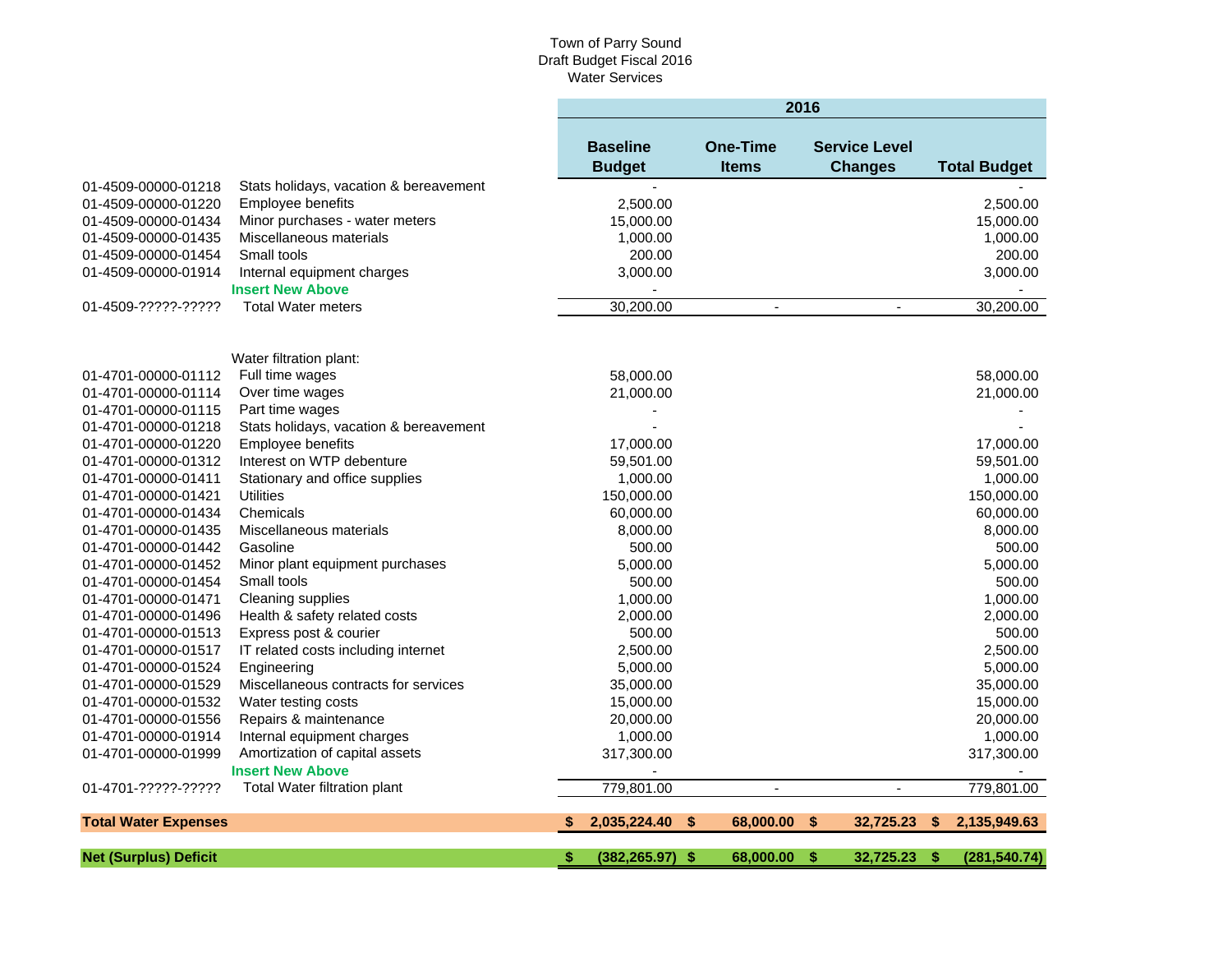|                              |                                        | 2016                             |                                 |                                        |                     |  |
|------------------------------|----------------------------------------|----------------------------------|---------------------------------|----------------------------------------|---------------------|--|
|                              |                                        | <b>Baseline</b><br><b>Budget</b> | <b>One-Time</b><br><b>Items</b> | <b>Service Level</b><br><b>Changes</b> | <b>Total Budget</b> |  |
| 01-4509-00000-01218          | Stats holidays, vacation & bereavement |                                  |                                 |                                        |                     |  |
| 01-4509-00000-01220          | Employee benefits                      | 2,500.00                         |                                 |                                        | 2,500.00            |  |
| 01-4509-00000-01434          | Minor purchases - water meters         | 15,000.00                        |                                 |                                        | 15,000.00           |  |
| 01-4509-00000-01435          | Miscellaneous materials                | 1,000.00                         |                                 |                                        | 1,000.00            |  |
| 01-4509-00000-01454          | Small tools                            | 200.00                           |                                 |                                        | 200.00              |  |
| 01-4509-00000-01914          | Internal equipment charges             | 3,000.00                         |                                 |                                        | 3,000.00            |  |
|                              | <b>Insert New Above</b>                |                                  |                                 |                                        |                     |  |
| 01-4509-?????-?????          | <b>Total Water meters</b>              | 30,200.00                        | $\blacksquare$                  | $\blacksquare$                         | 30,200.00           |  |
|                              | Water filtration plant:                |                                  |                                 |                                        |                     |  |
| 01-4701-00000-01112          | Full time wages                        | 58,000.00                        |                                 |                                        | 58,000.00           |  |
| 01-4701-00000-01114          | Over time wages                        | 21,000.00                        |                                 |                                        | 21,000.00           |  |
| 01-4701-00000-01115          | Part time wages                        |                                  |                                 |                                        |                     |  |
| 01-4701-00000-01218          | Stats holidays, vacation & bereavement |                                  |                                 |                                        |                     |  |
| 01-4701-00000-01220          | Employee benefits                      | 17,000.00                        |                                 |                                        | 17,000.00           |  |
| 01-4701-00000-01312          | Interest on WTP debenture              | 59,501.00                        |                                 |                                        | 59,501.00           |  |
| 01-4701-00000-01411          | Stationary and office supplies         | 1,000.00                         |                                 |                                        | 1,000.00            |  |
| 01-4701-00000-01421          | <b>Utilities</b>                       | 150,000.00                       |                                 |                                        | 150,000.00          |  |
| 01-4701-00000-01434          | Chemicals                              | 60,000.00                        |                                 |                                        | 60,000.00           |  |
| 01-4701-00000-01435          | Miscellaneous materials                | 8,000.00                         |                                 |                                        | 8,000.00            |  |
| 01-4701-00000-01442          | Gasoline                               | 500.00                           |                                 |                                        | 500.00              |  |
| 01-4701-00000-01452          | Minor plant equipment purchases        | 5,000.00                         |                                 |                                        | 5,000.00            |  |
| 01-4701-00000-01454          | Small tools                            | 500.00                           |                                 |                                        | 500.00              |  |
| 01-4701-00000-01471          | Cleaning supplies                      | 1,000.00                         |                                 |                                        | 1,000.00            |  |
| 01-4701-00000-01496          | Health & safety related costs          | 2,000.00                         |                                 |                                        | 2,000.00            |  |
| 01-4701-00000-01513          | Express post & courier                 | 500.00                           |                                 |                                        | 500.00              |  |
| 01-4701-00000-01517          | IT related costs including internet    | 2,500.00                         |                                 |                                        | 2,500.00            |  |
| 01-4701-00000-01524          | Engineering                            | 5,000.00                         |                                 |                                        | 5,000.00            |  |
| 01-4701-00000-01529          | Miscellaneous contracts for services   | 35,000.00                        |                                 |                                        | 35,000.00           |  |
| 01-4701-00000-01532          | Water testing costs                    | 15,000.00                        |                                 |                                        | 15,000.00           |  |
| 01-4701-00000-01556          | Repairs & maintenance                  | 20,000.00                        |                                 |                                        | 20,000.00           |  |
| 01-4701-00000-01914          | Internal equipment charges             | 1,000.00                         |                                 |                                        | 1,000.00            |  |
| 01-4701-00000-01999          | Amortization of capital assets         | 317,300.00                       |                                 |                                        | 317,300.00          |  |
|                              | <b>Insert New Above</b>                |                                  |                                 |                                        |                     |  |
| 01-4701-?????-?????          | Total Water filtration plant           | 779,801.00                       | $\overline{\phantom{a}}$        | $\sim$                                 | 779,801.00          |  |
| <b>Total Water Expenses</b>  |                                        | 2,035,224.40<br>S                | \$.<br>68,000,00                | 32,725.23<br><b>S</b>                  | 2,135,949.63<br>S.  |  |
| <b>Net (Surplus) Deficit</b> |                                        | S<br>$(382, 265.97)$ \$          | 68,000.00                       | 32.725.23<br>S                         | (281, 540.74)<br>S  |  |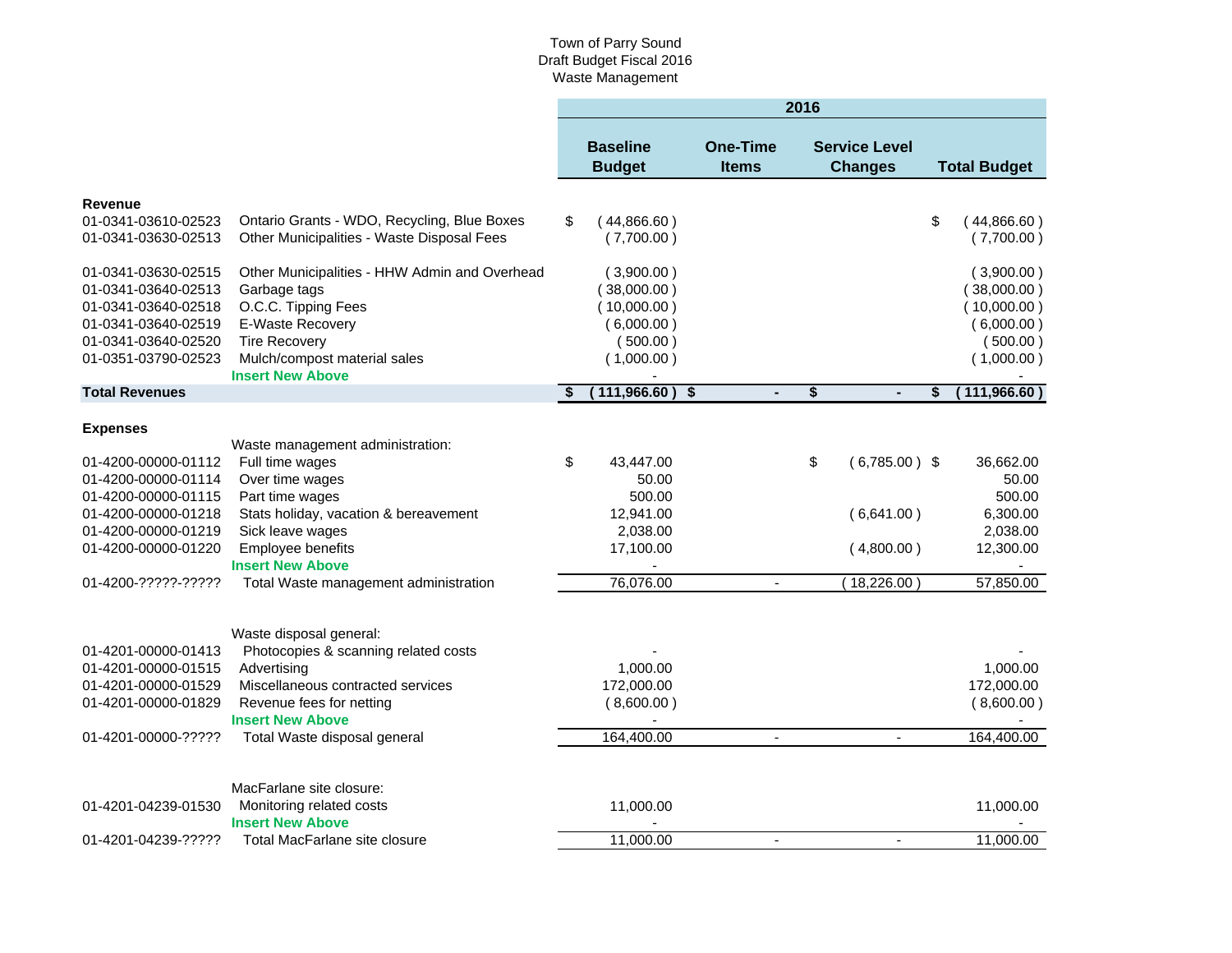### Town of Parry Sound Draft Budget Fiscal 2016 Waste Management

|                                            |                                                      | 2016 |                                  |                                 |    |                                        |    |                          |
|--------------------------------------------|------------------------------------------------------|------|----------------------------------|---------------------------------|----|----------------------------------------|----|--------------------------|
|                                            |                                                      |      | <b>Baseline</b><br><b>Budget</b> | <b>One-Time</b><br><b>Items</b> |    | <b>Service Level</b><br><b>Changes</b> |    | <b>Total Budget</b>      |
| <b>Revenue</b>                             |                                                      |      |                                  |                                 |    |                                        |    |                          |
| 01-0341-03610-02523                        | Ontario Grants - WDO, Recycling, Blue Boxes          | \$   | 44,866.60)                       |                                 |    |                                        | \$ | (44,866.60)              |
| 01-0341-03630-02513                        | Other Municipalities - Waste Disposal Fees           |      | (7,700.00)                       |                                 |    |                                        |    | (7,700.00)               |
| 01-0341-03630-02515                        | Other Municipalities - HHW Admin and Overhead        |      | (3,900.00)                       |                                 |    |                                        |    | (3,900.00)               |
| 01-0341-03640-02513                        | Garbage tags                                         |      | 38,000.00)                       |                                 |    |                                        |    | (38,000.00)              |
| 01-0341-03640-02518                        | O.C.C. Tipping Fees                                  |      | (10,000.00)                      |                                 |    |                                        |    | (10,000.00)              |
| 01-0341-03640-02519                        | E-Waste Recovery                                     |      | (6,000.00)                       |                                 |    |                                        |    | (6,000.00)               |
| 01-0341-03640-02520                        | <b>Tire Recovery</b>                                 |      | (500.00)                         |                                 |    |                                        |    | (500.00)                 |
| 01-0351-03790-02523                        | Mulch/compost material sales                         |      | (1,000.00)                       |                                 |    |                                        |    | (1,000.00)               |
| <b>Total Revenues</b>                      | <b>Insert New Above</b>                              | - \$ | (111,966.60)<br>-\$              |                                 | \$ |                                        | \$ | (111,966.60)             |
|                                            |                                                      |      |                                  |                                 |    |                                        |    |                          |
| <b>Expenses</b>                            |                                                      |      |                                  |                                 |    |                                        |    |                          |
|                                            | Waste management administration:                     |      |                                  |                                 |    |                                        |    |                          |
| 01-4200-00000-01112                        | Full time wages                                      | \$   | 43,447.00                        |                                 | \$ | $(6,785.00)$ \$                        |    | 36,662.00                |
| 01-4200-00000-01114                        | Over time wages                                      |      | 50.00                            |                                 |    |                                        |    | 50.00                    |
| 01-4200-00000-01115                        | Part time wages                                      |      | 500.00                           |                                 |    |                                        |    | 500.00                   |
| 01-4200-00000-01218                        | Stats holiday, vacation & bereavement                |      | 12,941.00                        |                                 |    | (6,641.00)                             |    | 6,300.00                 |
| 01-4200-00000-01219                        | Sick leave wages                                     |      | 2,038.00                         |                                 |    |                                        |    | 2,038.00                 |
| 01-4200-00000-01220                        | <b>Employee benefits</b>                             |      | 17,100.00                        |                                 |    | (4,800.00)                             |    | 12,300.00                |
|                                            | <b>Insert New Above</b>                              |      |                                  |                                 |    |                                        |    |                          |
| 01-4200-?????-?????                        | Total Waste management administration                |      | 76,076.00                        | $\blacksquare$                  |    | (18,226.00)                            |    | 57,850.00                |
|                                            |                                                      |      |                                  |                                 |    |                                        |    |                          |
|                                            | Waste disposal general:                              |      |                                  |                                 |    |                                        |    |                          |
| 01-4201-00000-01413                        | Photocopies & scanning related costs                 |      |                                  |                                 |    |                                        |    |                          |
| 01-4201-00000-01515                        | Advertising<br>Miscellaneous contracted services     |      | 1,000.00                         |                                 |    |                                        |    | 1,000.00                 |
| 01-4201-00000-01529<br>01-4201-00000-01829 | Revenue fees for netting                             |      | 172,000.00<br>(8,600.00)         |                                 |    |                                        |    | 172,000.00<br>(8,600.00) |
|                                            | <b>Insert New Above</b>                              |      |                                  |                                 |    |                                        |    |                          |
| 01-4201-00000-?????                        | Total Waste disposal general                         |      | 164,400.00                       | $\sim$                          |    | $\blacksquare$                         |    | 164,400.00               |
|                                            |                                                      |      |                                  |                                 |    |                                        |    |                          |
|                                            |                                                      |      |                                  |                                 |    |                                        |    |                          |
| 01-4201-04239-01530                        | MacFarlane site closure:<br>Monitoring related costs |      | 11,000.00                        |                                 |    |                                        |    | 11,000.00                |
|                                            | <b>Insert New Above</b>                              |      |                                  |                                 |    |                                        |    |                          |
| 01-4201-04239-?????                        | Total MacFarlane site closure                        |      | 11,000.00                        |                                 |    | $\blacksquare$                         |    | 11,000.00                |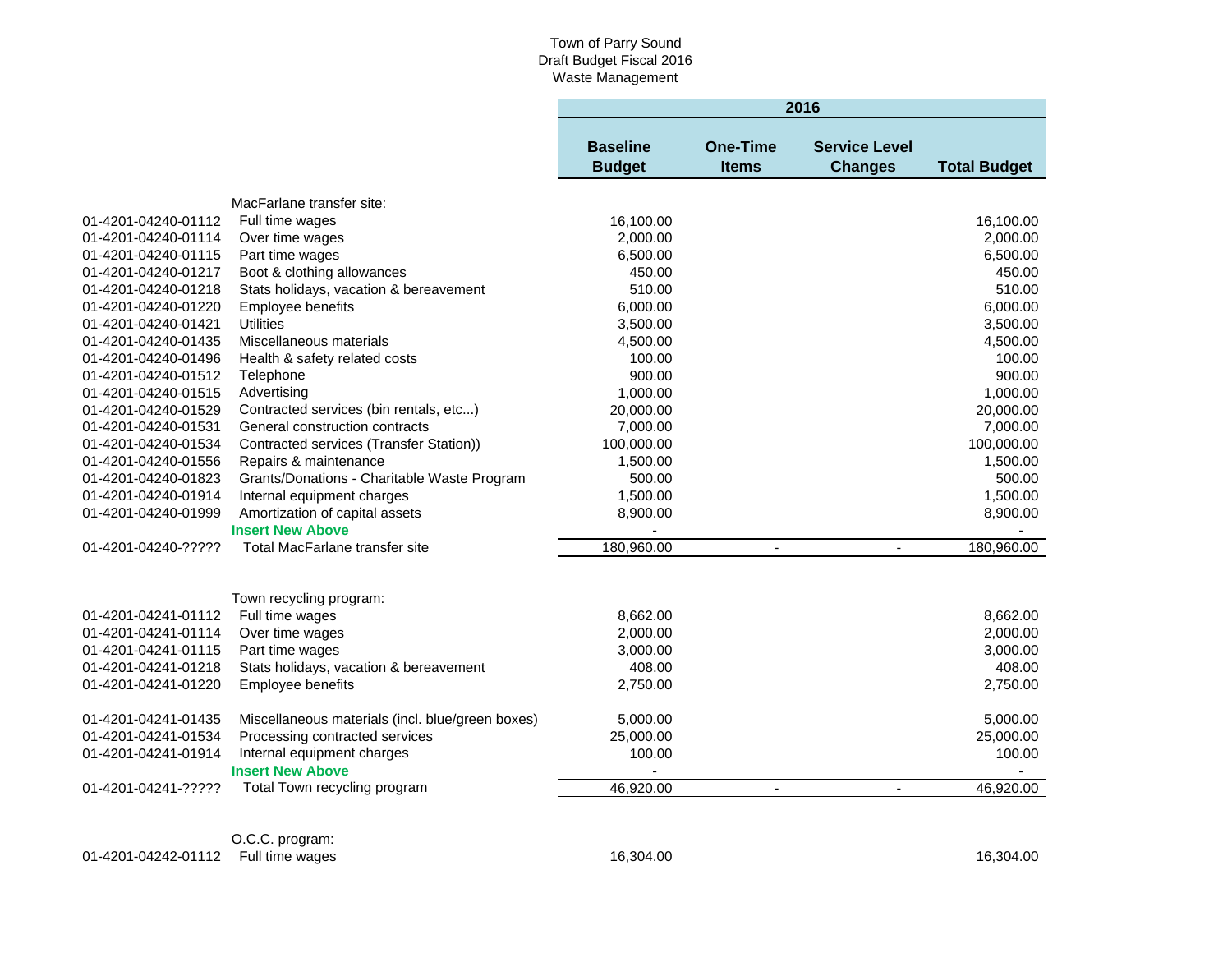# Town of Parry Sound Draft Budget Fiscal 2016 Waste Management

|                     |                                                  | 2016                             |                          |                                        |                     |  |  |
|---------------------|--------------------------------------------------|----------------------------------|--------------------------|----------------------------------------|---------------------|--|--|
|                     |                                                  | <b>Baseline</b><br><b>Budget</b> | One-Time<br><b>Items</b> | <b>Service Level</b><br><b>Changes</b> | <b>Total Budget</b> |  |  |
|                     | MacFarlane transfer site:                        |                                  |                          |                                        |                     |  |  |
| 01-4201-04240-01112 | Full time wages                                  | 16,100.00                        |                          |                                        | 16,100.00           |  |  |
| 01-4201-04240-01114 | Over time wages                                  | 2.000.00                         |                          |                                        | 2,000.00            |  |  |
| 01-4201-04240-01115 | Part time wages                                  | 6,500.00                         |                          |                                        | 6,500.00            |  |  |
| 01-4201-04240-01217 | Boot & clothing allowances                       | 450.00                           |                          |                                        | 450.00              |  |  |
| 01-4201-04240-01218 | Stats holidays, vacation & bereavement           | 510.00                           |                          |                                        | 510.00              |  |  |
| 01-4201-04240-01220 | Employee benefits                                | 6,000.00                         |                          |                                        | 6,000.00            |  |  |
| 01-4201-04240-01421 | <b>Utilities</b>                                 | 3,500.00                         |                          |                                        | 3,500.00            |  |  |
| 01-4201-04240-01435 | Miscellaneous materials                          | 4,500.00                         |                          |                                        | 4,500.00            |  |  |
| 01-4201-04240-01496 | Health & safety related costs                    | 100.00                           |                          |                                        | 100.00              |  |  |
| 01-4201-04240-01512 | Telephone                                        | 900.00                           |                          |                                        | 900.00              |  |  |
| 01-4201-04240-01515 | Advertising                                      | 1,000.00                         |                          |                                        | 1,000.00            |  |  |
| 01-4201-04240-01529 | Contracted services (bin rentals, etc)           | 20,000.00                        |                          |                                        | 20,000.00           |  |  |
| 01-4201-04240-01531 | General construction contracts                   | 7,000.00                         |                          |                                        | 7,000.00            |  |  |
| 01-4201-04240-01534 | Contracted services (Transfer Station))          | 100,000.00                       |                          |                                        | 100,000.00          |  |  |
| 01-4201-04240-01556 | Repairs & maintenance                            | 1,500.00                         |                          |                                        | 1,500.00            |  |  |
| 01-4201-04240-01823 | Grants/Donations - Charitable Waste Program      | 500.00                           |                          |                                        | 500.00              |  |  |
| 01-4201-04240-01914 | Internal equipment charges                       | 1,500.00                         |                          |                                        | 1,500.00            |  |  |
| 01-4201-04240-01999 | Amortization of capital assets                   | 8,900.00                         |                          |                                        | 8,900.00            |  |  |
|                     | <b>Insert New Above</b>                          | $\blacksquare$                   |                          |                                        |                     |  |  |
| 01-4201-04240-????? | Total MacFarlane transfer site                   | 180,960.00                       | $\blacksquare$           | $\blacksquare$                         | 180,960.00          |  |  |
|                     |                                                  |                                  |                          |                                        |                     |  |  |
|                     | Town recycling program:                          |                                  |                          |                                        |                     |  |  |
| 01-4201-04241-01112 | Full time wages                                  | 8,662.00                         |                          |                                        | 8,662.00            |  |  |
| 01-4201-04241-01114 | Over time wages                                  | 2,000.00                         |                          |                                        | 2,000.00            |  |  |
| 01-4201-04241-01115 | Part time wages                                  | 3,000.00                         |                          |                                        | 3,000.00            |  |  |
| 01-4201-04241-01218 | Stats holidays, vacation & bereavement           | 408.00                           |                          |                                        | 408.00              |  |  |
| 01-4201-04241-01220 | Employee benefits                                | 2.750.00                         |                          |                                        | 2,750.00            |  |  |
|                     |                                                  |                                  |                          |                                        |                     |  |  |
| 01-4201-04241-01435 | Miscellaneous materials (incl. blue/green boxes) | 5,000.00                         |                          |                                        | 5,000.00            |  |  |
| 01-4201-04241-01534 | Processing contracted services                   | 25,000.00                        |                          |                                        | 25,000.00           |  |  |
| 01-4201-04241-01914 | Internal equipment charges                       | 100.00                           |                          |                                        | 100.00              |  |  |
|                     | <b>Insert New Above</b>                          |                                  |                          |                                        |                     |  |  |
| 01-4201-04241-????? | Total Town recycling program                     | 46,920.00                        | $\blacksquare$           | $\blacksquare$                         | 46,920.00           |  |  |
|                     |                                                  |                                  |                          |                                        |                     |  |  |

O.C.C. program: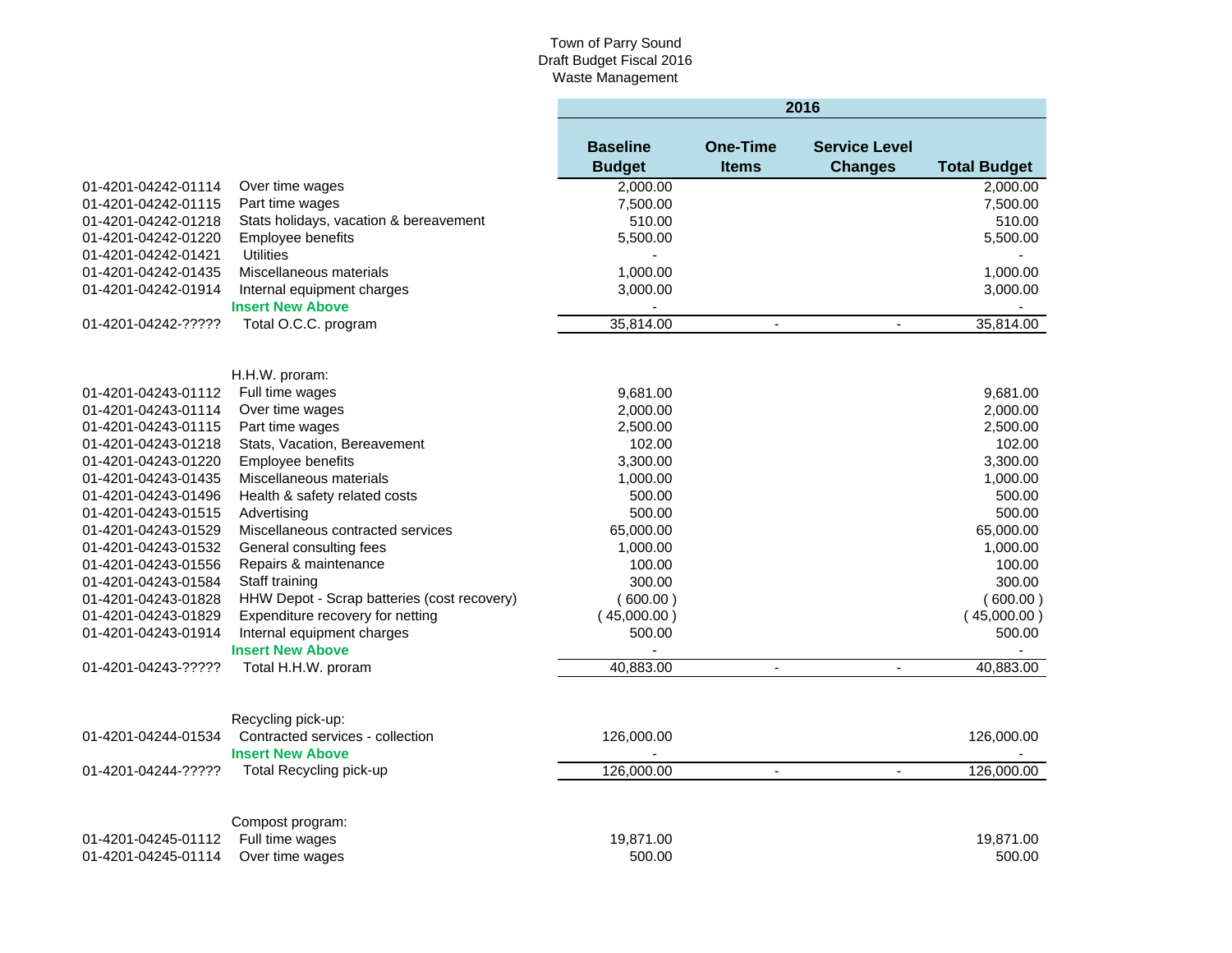### Town of Parry Sound Draft Budget Fiscal 2016 Waste Management

|                                            |                                                  | 2016                             |                                 |                                        |                     |  |
|--------------------------------------------|--------------------------------------------------|----------------------------------|---------------------------------|----------------------------------------|---------------------|--|
|                                            |                                                  | <b>Baseline</b><br><b>Budget</b> | <b>One-Time</b><br><b>Items</b> | <b>Service Level</b><br><b>Changes</b> | <b>Total Budget</b> |  |
| 01-4201-04242-01114                        | Over time wages                                  | 2,000.00                         |                                 |                                        | 2,000.00            |  |
| 01-4201-04242-01115                        | Part time wages                                  | 7,500.00                         |                                 |                                        | 7,500.00            |  |
| 01-4201-04242-01218                        | Stats holidays, vacation & bereavement           | 510.00                           |                                 |                                        | 510.00              |  |
| 01-4201-04242-01220                        | Employee benefits                                | 5,500.00                         |                                 |                                        | 5,500.00            |  |
| 01-4201-04242-01421                        | <b>Utilities</b>                                 |                                  |                                 |                                        |                     |  |
| 01-4201-04242-01435                        | Miscellaneous materials                          | 1,000.00                         |                                 |                                        | 1,000.00            |  |
| 01-4201-04242-01914                        | Internal equipment charges                       | 3,000.00                         |                                 |                                        | 3,000.00            |  |
|                                            | <b>Insert New Above</b>                          |                                  |                                 |                                        |                     |  |
| 01-4201-04242-?????                        | Total O.C.C. program                             | 35,814.00                        |                                 |                                        | 35,814.00           |  |
|                                            |                                                  |                                  |                                 |                                        |                     |  |
| 01-4201-04243-01112                        | H.H.W. proram:<br>Full time wages                | 9,681.00                         |                                 |                                        | 9,681.00            |  |
|                                            |                                                  | 2,000.00                         |                                 |                                        | 2,000.00            |  |
| 01-4201-04243-01114<br>01-4201-04243-01115 | Over time wages<br>Part time wages               | 2,500.00                         |                                 |                                        | 2,500.00            |  |
| 01-4201-04243-01218                        | Stats, Vacation, Bereavement                     | 102.00                           |                                 |                                        | 102.00              |  |
| 01-4201-04243-01220                        | Employee benefits                                | 3,300.00                         |                                 |                                        | 3,300.00            |  |
| 01-4201-04243-01435                        | Miscellaneous materials                          | 1,000.00                         |                                 |                                        | 1,000.00            |  |
|                                            | Health & safety related costs                    | 500.00                           |                                 |                                        | 500.00              |  |
| 01-4201-04243-01496                        |                                                  |                                  |                                 |                                        | 500.00              |  |
| 01-4201-04243-01515<br>01-4201-04243-01529 | Advertising<br>Miscellaneous contracted services | 500.00<br>65,000.00              |                                 |                                        | 65,000.00           |  |
|                                            | General consulting fees                          |                                  |                                 |                                        | 1,000.00            |  |
| 01-4201-04243-01532                        |                                                  | 1,000.00                         |                                 |                                        |                     |  |
| 01-4201-04243-01556                        | Repairs & maintenance                            | 100.00<br>300.00                 |                                 |                                        | 100.00<br>300.00    |  |
| 01-4201-04243-01584                        | Staff training                                   |                                  |                                 |                                        |                     |  |
| 01-4201-04243-01828                        | HHW Depot - Scrap batteries (cost recovery)      | (600.00)                         |                                 |                                        | (600.00)            |  |
| 01-4201-04243-01829                        | Expenditure recovery for netting                 | (45,000.00)                      |                                 |                                        | (45,000.00)         |  |
| 01-4201-04243-01914                        | Internal equipment charges                       | 500.00                           |                                 |                                        | 500.00              |  |
| 01-4201-04243-?????                        | <b>Insert New Above</b><br>Total H.H.W. proram   | 40,883.00                        | $\blacksquare$                  | $\blacksquare$                         | 40,883.00           |  |
|                                            |                                                  |                                  |                                 |                                        |                     |  |
|                                            | Recycling pick-up:                               |                                  |                                 |                                        |                     |  |
| 01-4201-04244-01534                        | Contracted services - collection                 | 126,000.00                       |                                 |                                        | 126,000.00          |  |
|                                            | <b>Insert New Above</b>                          |                                  |                                 |                                        |                     |  |
| 01-4201-04244-?????                        | Total Recycling pick-up                          | 126,000.00                       | $\blacksquare$                  | $\blacksquare$                         | 126,000.00          |  |
|                                            | Compost program:                                 |                                  |                                 |                                        |                     |  |
| 01-4201-04245-01112                        | Full time wages                                  | 19,871.00                        |                                 |                                        | 19,871.00           |  |
| 01-4201-04245-01114                        | Over time wages                                  | 500.00                           |                                 |                                        | 500.00              |  |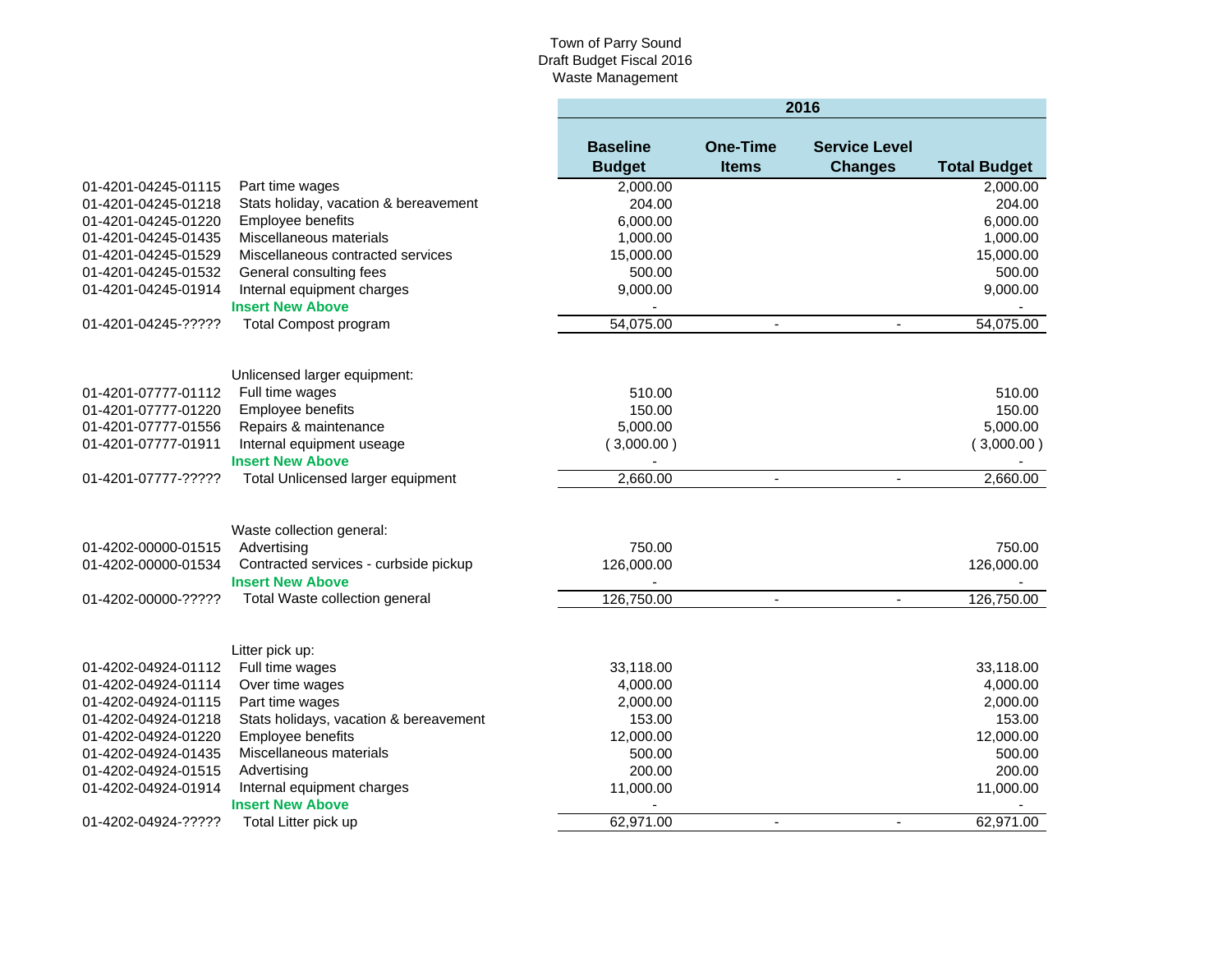## Town of Parry Sound Draft Budget Fiscal 2016 Waste Management

|                     |                                                                  |                                  | 2016                            |                                        |                     |  |  |
|---------------------|------------------------------------------------------------------|----------------------------------|---------------------------------|----------------------------------------|---------------------|--|--|
|                     |                                                                  | <b>Baseline</b><br><b>Budget</b> | <b>One-Time</b><br><b>Items</b> | <b>Service Level</b><br><b>Changes</b> | <b>Total Budget</b> |  |  |
| 01-4201-04245-01115 | Part time wages                                                  | 2,000.00                         |                                 |                                        | 2,000.00            |  |  |
| 01-4201-04245-01218 | Stats holiday, vacation & bereavement                            | 204.00                           |                                 |                                        | 204.00              |  |  |
| 01-4201-04245-01220 | Employee benefits                                                | 6,000.00                         |                                 |                                        | 6,000.00            |  |  |
| 01-4201-04245-01435 | Miscellaneous materials                                          | 1,000.00                         |                                 |                                        | 1,000.00            |  |  |
| 01-4201-04245-01529 | Miscellaneous contracted services                                | 15,000.00                        |                                 |                                        | 15,000.00           |  |  |
| 01-4201-04245-01532 | General consulting fees                                          | 500.00                           |                                 |                                        | 500.00              |  |  |
| 01-4201-04245-01914 | Internal equipment charges                                       | 9,000.00                         |                                 |                                        | 9,000.00            |  |  |
|                     | <b>Insert New Above</b>                                          |                                  |                                 |                                        |                     |  |  |
| 01-4201-04245-????? | <b>Total Compost program</b>                                     | 54,075.00                        |                                 |                                        | 54,075.00           |  |  |
|                     | Unlicensed larger equipment:                                     |                                  |                                 |                                        |                     |  |  |
| 01-4201-07777-01112 | Full time wages                                                  | 510.00                           |                                 |                                        | 510.00              |  |  |
| 01-4201-07777-01220 | Employee benefits                                                | 150.00                           |                                 |                                        | 150.00              |  |  |
| 01-4201-07777-01556 | Repairs & maintenance                                            | 5,000.00                         |                                 |                                        | 5,000.00            |  |  |
| 01-4201-07777-01911 | Internal equipment useage                                        | (3,000.00)                       |                                 |                                        | (3,000.00)          |  |  |
|                     | <b>Insert New Above</b>                                          |                                  |                                 |                                        |                     |  |  |
| 01-4201-07777-????? | Total Unlicensed larger equipment                                | 2,660.00                         | $\blacksquare$                  | $\mathbf{r}$                           | 2,660.00            |  |  |
|                     | Waste collection general:                                        |                                  |                                 |                                        |                     |  |  |
| 01-4202-00000-01515 | Advertising                                                      | 750.00                           |                                 |                                        | 750.00              |  |  |
| 01-4202-00000-01534 | Contracted services - curbside pickup<br><b>Insert New Above</b> | 126,000.00                       |                                 |                                        | 126,000.00          |  |  |
| 01-4202-00000-????? | Total Waste collection general                                   | 126,750.00                       | $\blacksquare$                  | $\overline{\phantom{a}}$               | 126,750.00          |  |  |
|                     | Litter pick up:                                                  |                                  |                                 |                                        |                     |  |  |
| 01-4202-04924-01112 | Full time wages                                                  | 33,118.00                        |                                 |                                        | 33,118.00           |  |  |
| 01-4202-04924-01114 | Over time wages                                                  | 4,000.00                         |                                 |                                        | 4,000.00            |  |  |
| 01-4202-04924-01115 | Part time wages                                                  | 2,000.00                         |                                 |                                        | 2,000.00            |  |  |
| 01-4202-04924-01218 | Stats holidays, vacation & bereavement                           | 153.00                           |                                 |                                        | 153.00              |  |  |
| 01-4202-04924-01220 | Employee benefits                                                | 12,000.00                        |                                 |                                        | 12,000.00           |  |  |
| 01-4202-04924-01435 | Miscellaneous materials                                          | 500.00                           |                                 |                                        | 500.00              |  |  |
| 01-4202-04924-01515 | Advertising                                                      | 200.00                           |                                 |                                        | 200.00              |  |  |
| 01-4202-04924-01914 | Internal equipment charges                                       | 11,000.00                        |                                 |                                        | 11,000.00           |  |  |
|                     | <b>Insert New Above</b>                                          |                                  |                                 |                                        |                     |  |  |
| 01-4202-04924-????? | Total Litter pick up                                             | 62,971.00                        | $\blacksquare$                  |                                        | 62,971.00           |  |  |
|                     |                                                                  |                                  |                                 |                                        |                     |  |  |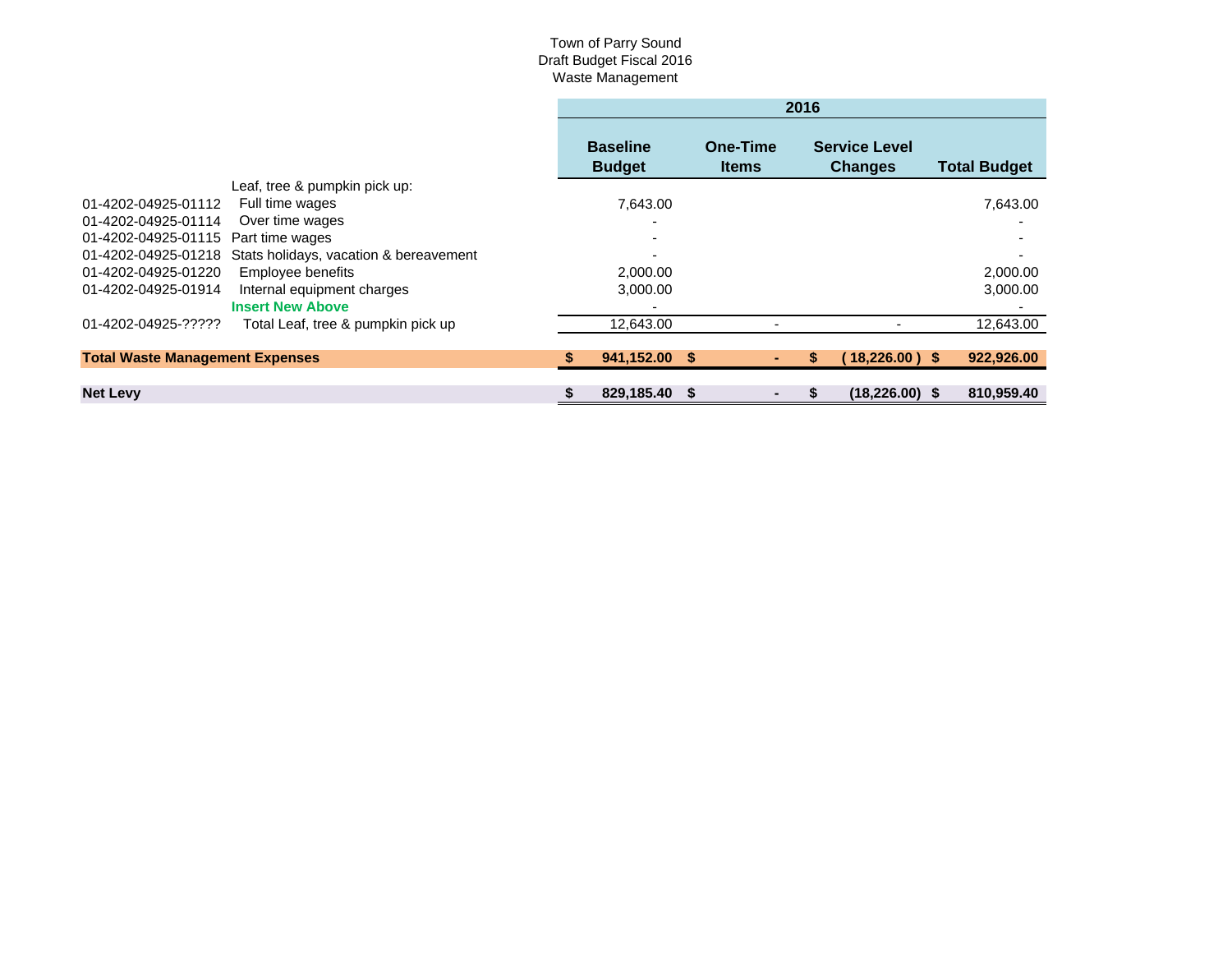## Town of Parry Sound Draft Budget Fiscal 2016 Waste Management

|                                        |                                        | 2016                             |    |                          |  |                                        |  |                     |
|----------------------------------------|----------------------------------------|----------------------------------|----|--------------------------|--|----------------------------------------|--|---------------------|
|                                        |                                        | <b>Baseline</b><br><b>Budget</b> |    | One-Time<br><b>Items</b> |  | <b>Service Level</b><br><b>Changes</b> |  | <b>Total Budget</b> |
|                                        | Leaf, tree & pumpkin pick up:          |                                  |    |                          |  |                                        |  |                     |
| 01-4202-04925-01112                    | Full time wages                        | 7.643.00                         |    |                          |  |                                        |  | 7,643.00            |
| 01-4202-04925-01114                    | Over time wages                        |                                  |    |                          |  |                                        |  |                     |
| 01-4202-04925-01115 Part time wages    |                                        |                                  |    |                          |  |                                        |  |                     |
| 01-4202-04925-01218                    | Stats holidays, vacation & bereavement |                                  |    |                          |  |                                        |  |                     |
| 01-4202-04925-01220                    | Employee benefits                      | 2,000.00                         |    |                          |  |                                        |  | 2,000.00            |
| 01-4202-04925-01914                    | Internal equipment charges             | 3,000.00                         |    |                          |  |                                        |  | 3,000.00            |
|                                        | <b>Insert New Above</b>                |                                  |    |                          |  |                                        |  |                     |
| 01-4202-04925-?????                    | Total Leaf, tree & pumpkin pick up     | 12,643.00                        |    |                          |  |                                        |  | 12,643.00           |
|                                        |                                        |                                  |    |                          |  |                                        |  |                     |
| <b>Total Waste Management Expenses</b> |                                        | 941,152.00 \$                    |    |                          |  | $18,226.00$ ) \$                       |  | 922,926.00          |
|                                        |                                        |                                  |    |                          |  |                                        |  |                     |
| <b>Net Levy</b>                        |                                        | 829.185.40                       | -S |                          |  | $(18.226.00)$ \$                       |  | 810.959.40          |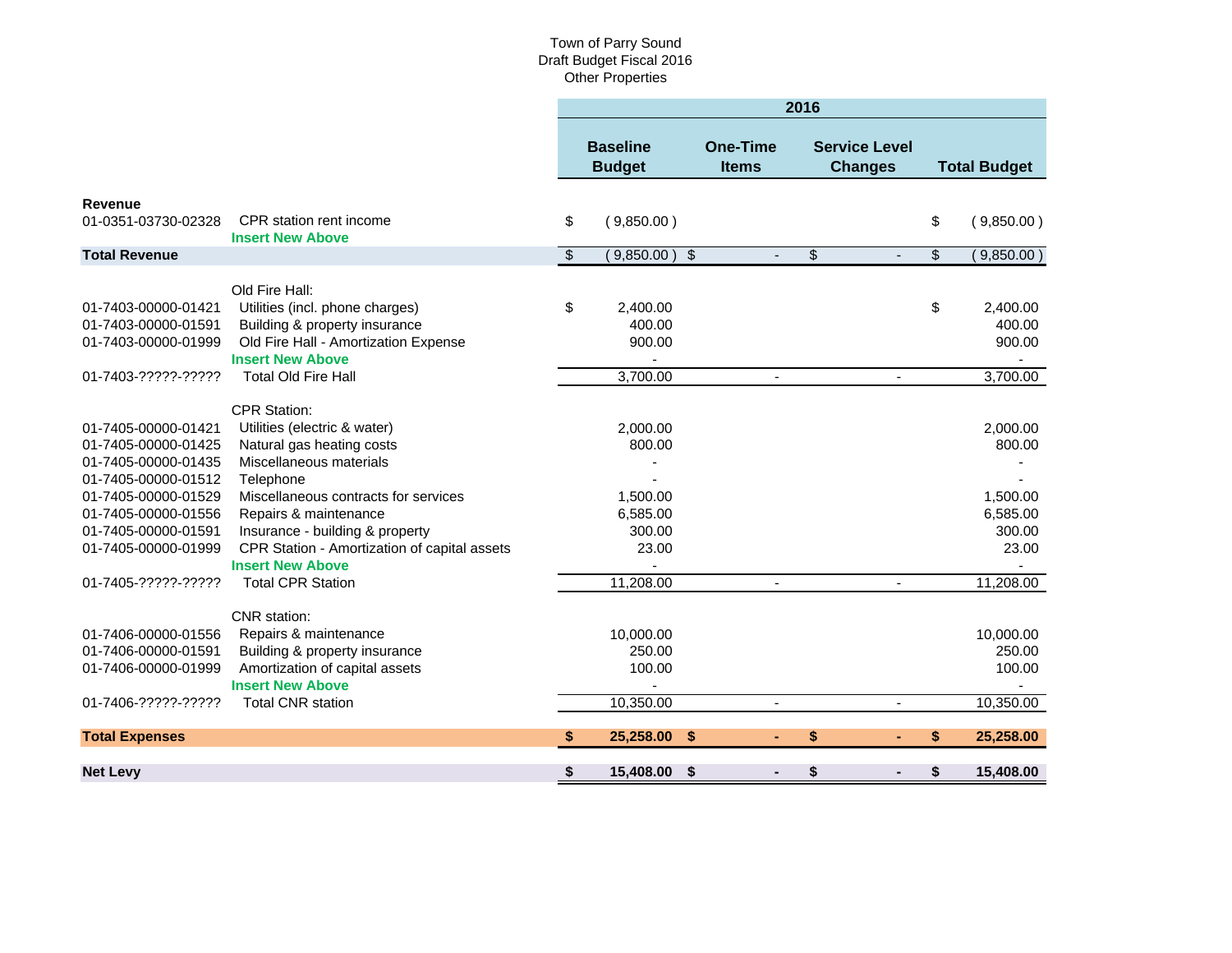## Town of Parry Sound Draft Budget Fiscal 2016 Other Properties

|                          | 2016                             |                                                                                                                      |                                        |                          |                     |
|--------------------------|----------------------------------|----------------------------------------------------------------------------------------------------------------------|----------------------------------------|--------------------------|---------------------|
|                          | <b>Baseline</b><br><b>Budget</b> | <b>One-Time</b><br><b>Items</b>                                                                                      | <b>Service Level</b><br><b>Changes</b> |                          | <b>Total Budget</b> |
|                          |                                  |                                                                                                                      |                                        |                          |                     |
| \$                       | (9,850.00)                       |                                                                                                                      |                                        | \$                       | (9,850.00)          |
| $\overline{\mathcal{S}}$ |                                  | $\blacksquare$                                                                                                       | \$<br>$\blacksquare$                   | $\overline{\mathcal{S}}$ | (9,850.00)          |
|                          |                                  |                                                                                                                      |                                        |                          |                     |
|                          |                                  |                                                                                                                      |                                        |                          | 2,400.00            |
|                          |                                  |                                                                                                                      |                                        |                          | 400.00              |
|                          |                                  |                                                                                                                      |                                        |                          | 900.00              |
|                          |                                  |                                                                                                                      |                                        |                          |                     |
|                          | 3,700.00                         | $\blacksquare$                                                                                                       | $\blacksquare$                         |                          | 3,700.00            |
|                          |                                  |                                                                                                                      |                                        |                          |                     |
|                          |                                  |                                                                                                                      |                                        |                          | 2,000.00            |
|                          |                                  |                                                                                                                      |                                        |                          | 800.00              |
|                          |                                  |                                                                                                                      |                                        |                          |                     |
|                          |                                  |                                                                                                                      |                                        |                          |                     |
|                          |                                  |                                                                                                                      |                                        |                          | 1,500.00            |
|                          |                                  |                                                                                                                      |                                        |                          | 6,585.00            |
|                          |                                  |                                                                                                                      |                                        |                          | 300.00              |
|                          |                                  |                                                                                                                      |                                        |                          | 23.00               |
|                          |                                  |                                                                                                                      |                                        |                          |                     |
|                          | 11,208.00                        |                                                                                                                      |                                        |                          | 11,208.00           |
|                          |                                  |                                                                                                                      |                                        |                          |                     |
|                          |                                  |                                                                                                                      |                                        |                          | 10,000.00           |
|                          |                                  |                                                                                                                      |                                        |                          | 250.00              |
|                          | 100.00                           |                                                                                                                      |                                        |                          | 100.00              |
|                          |                                  |                                                                                                                      |                                        |                          |                     |
|                          | 10,350.00                        | $\blacksquare$                                                                                                       |                                        |                          | 10,350.00           |
| S                        | 25,258.00                        |                                                                                                                      | \$                                     | S.                       | 25,258.00           |
| \$                       | 15,408.00                        |                                                                                                                      | S                                      | \$                       | 15,408.00           |
|                          | \$                               | 2,400.00<br>400.00<br>900.00<br>2.000.00<br>800.00<br>1,500.00<br>6,585.00<br>300.00<br>23.00<br>10,000.00<br>250.00 | $(9,850.00)$ \$<br>\$<br>- \$          |                          | \$                  |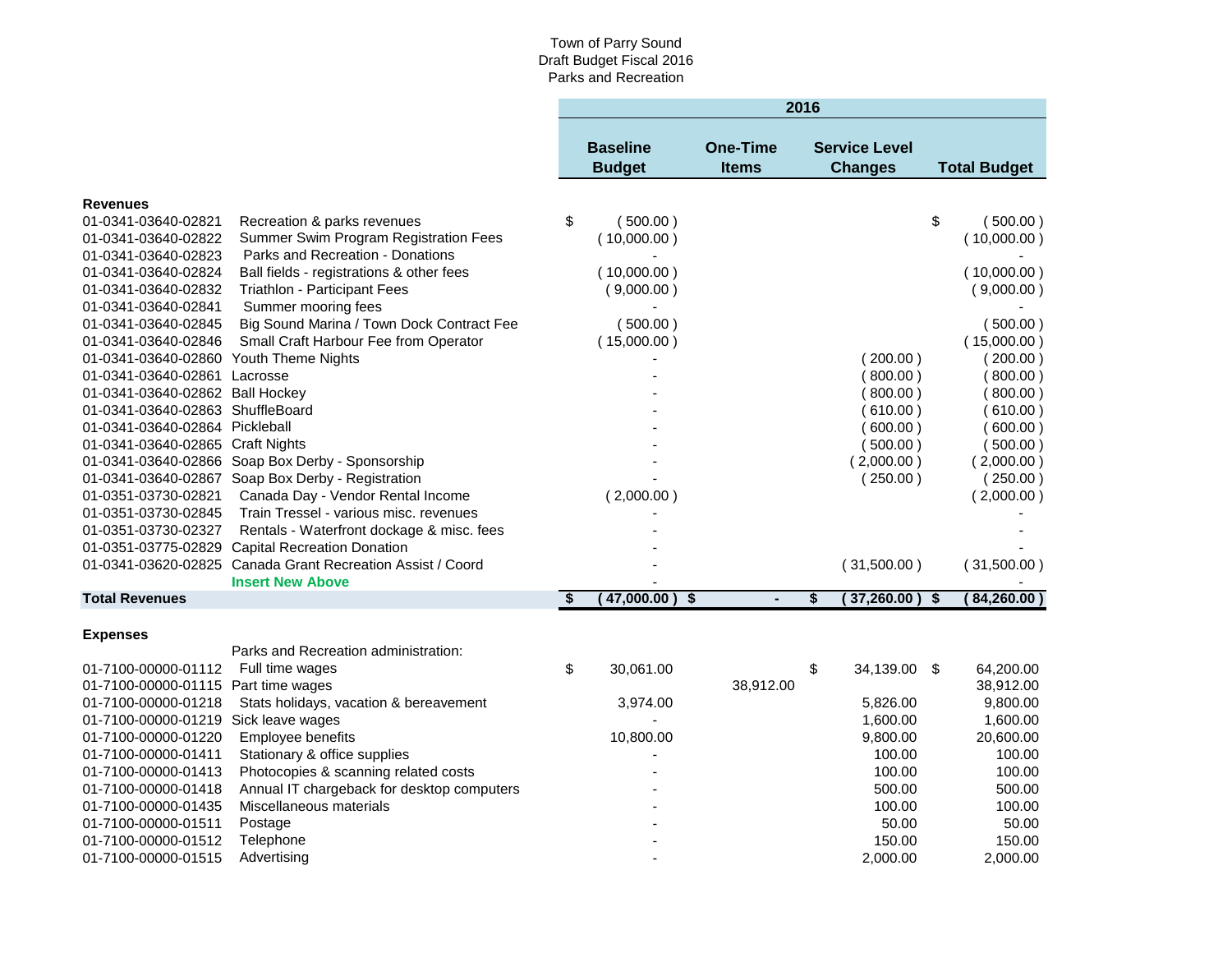|                                      |                                                            |                         |                                  |                                      |                                 | 2016 |                                        |                         |                     |
|--------------------------------------|------------------------------------------------------------|-------------------------|----------------------------------|--------------------------------------|---------------------------------|------|----------------------------------------|-------------------------|---------------------|
|                                      |                                                            |                         | <b>Baseline</b><br><b>Budget</b> |                                      | <b>One-Time</b><br><b>Items</b> |      | <b>Service Level</b><br><b>Changes</b> |                         | <b>Total Budget</b> |
| <b>Revenues</b>                      |                                                            |                         |                                  |                                      |                                 |      |                                        |                         |                     |
| 01-0341-03640-02821                  | Recreation & parks revenues                                | \$                      | (500.00)                         |                                      |                                 |      |                                        | \$                      | (500.00)            |
| 01-0341-03640-02822                  | Summer Swim Program Registration Fees                      |                         | (10,000.00)                      |                                      |                                 |      |                                        |                         | (10,000.00)         |
| 01-0341-03640-02823                  | Parks and Recreation - Donations                           |                         |                                  |                                      |                                 |      |                                        |                         |                     |
| 01-0341-03640-02824                  | Ball fields - registrations & other fees                   |                         | (10,000.00)                      |                                      |                                 |      |                                        |                         | (10,000.00)         |
| 01-0341-03640-02832                  | Triathlon - Participant Fees                               |                         | (9,000.00)                       |                                      |                                 |      |                                        |                         | (9,000.00)          |
| 01-0341-03640-02841                  | Summer mooring fees                                        |                         |                                  |                                      |                                 |      |                                        |                         |                     |
| 01-0341-03640-02845                  | Big Sound Marina / Town Dock Contract Fee                  |                         | (500.00)                         |                                      |                                 |      |                                        |                         | (500.00)            |
| 01-0341-03640-02846                  | Small Craft Harbour Fee from Operator                      |                         | (15,000.00)                      |                                      |                                 |      |                                        |                         | (15,000.00)         |
| 01-0341-03640-02860                  | Youth Theme Nights                                         |                         |                                  |                                      |                                 |      | (200.00)                               |                         | (200.00)            |
| 01-0341-03640-02861                  | Lacrosse                                                   |                         |                                  |                                      |                                 |      | 800.00)                                |                         | 800.00)             |
| 01-0341-03640-02862 Ball Hockey      |                                                            |                         |                                  |                                      |                                 |      | (800.00)                               |                         | 800.00)             |
| 01-0341-03640-02863 ShuffleBoard     |                                                            |                         |                                  |                                      |                                 |      | (610.00)                               |                         | 610.00)             |
| 01-0341-03640-02864 Pickleball       |                                                            |                         |                                  |                                      |                                 |      | 600.00)                                |                         | 600.00)             |
| 01-0341-03640-02865 Craft Nights     |                                                            |                         |                                  |                                      |                                 |      | 500.00)                                |                         | (500.00)            |
|                                      | 01-0341-03640-02866 Soap Box Derby - Sponsorship           |                         |                                  |                                      |                                 |      | (2,000.00)                             |                         | (2,000.00)          |
|                                      | 01-0341-03640-02867 Soap Box Derby - Registration          |                         |                                  |                                      |                                 |      | (250.00)                               |                         | (250.00)            |
| 01-0351-03730-02821                  | Canada Day - Vendor Rental Income                          |                         | (2,000.00)                       |                                      |                                 |      |                                        |                         | (2,000.00)          |
| 01-0351-03730-02845                  | Train Tressel - various misc. revenues                     |                         |                                  |                                      |                                 |      |                                        |                         |                     |
| 01-0351-03730-02327                  | Rentals - Waterfront dockage & misc. fees                  |                         |                                  |                                      |                                 |      |                                        |                         |                     |
| 01-0351-03775-02829                  | <b>Capital Recreation Donation</b>                         |                         |                                  |                                      |                                 |      |                                        |                         |                     |
|                                      | 01-0341-03620-02825 Canada Grant Recreation Assist / Coord |                         |                                  |                                      |                                 |      | (31,500.00)                            |                         | (31,500.00)         |
|                                      | <b>Insert New Above</b>                                    |                         |                                  |                                      |                                 |      |                                        |                         |                     |
| <b>Total Revenues</b>                |                                                            | $\overline{\mathbf{s}}$ | 47,000.00)                       | $\overline{\boldsymbol{\mathsf{s}}}$ | $\blacksquare$                  | \$   | (37,260.00)                            | $\overline{\mathbf{s}}$ | 84,260.00           |
| <b>Expenses</b>                      |                                                            |                         |                                  |                                      |                                 |      |                                        |                         |                     |
|                                      | Parks and Recreation administration:                       |                         |                                  |                                      |                                 |      |                                        |                         |                     |
| 01-7100-00000-01112                  | Full time wages                                            | \$                      | 30,061.00                        |                                      |                                 | \$   | 34,139.00 \$                           |                         | 64,200.00           |
| 01-7100-00000-01115 Part time wages  |                                                            |                         |                                  |                                      | 38,912.00                       |      |                                        |                         | 38,912.00           |
| 01-7100-00000-01218                  | Stats holidays, vacation & bereavement                     |                         | 3,974.00                         |                                      |                                 |      | 5,826.00                               |                         | 9,800.00            |
| 01-7100-00000-01219 Sick leave wages |                                                            |                         |                                  |                                      |                                 |      | 1,600.00                               |                         | 1,600.00            |
| 01-7100-00000-01220                  | Employee benefits                                          |                         | 10,800.00                        |                                      |                                 |      | 9,800.00                               |                         | 20,600.00           |
| 01-7100-00000-01411                  | Stationary & office supplies                               |                         |                                  |                                      |                                 |      | 100.00                                 |                         | 100.00              |
| 01-7100-00000-01413                  | Photocopies & scanning related costs                       |                         |                                  |                                      |                                 |      | 100.00                                 |                         | 100.00              |
| 01-7100-00000-01418                  | Annual IT chargeback for desktop computers                 |                         |                                  |                                      |                                 |      | 500.00                                 |                         | 500.00              |
| 01-7100-00000-01435                  | Miscellaneous materials                                    |                         |                                  |                                      |                                 |      | 100.00                                 |                         | 100.00              |
| 01-7100-00000-01511                  | Postage                                                    |                         |                                  |                                      |                                 |      | 50.00                                  |                         | 50.00               |
| 01-7100-00000-01512                  | Telephone                                                  |                         |                                  |                                      |                                 |      | 150.00                                 |                         | 150.00              |
| 01-7100-00000-01515                  | Advertising                                                |                         |                                  |                                      |                                 |      | 2,000.00                               |                         | 2,000.00            |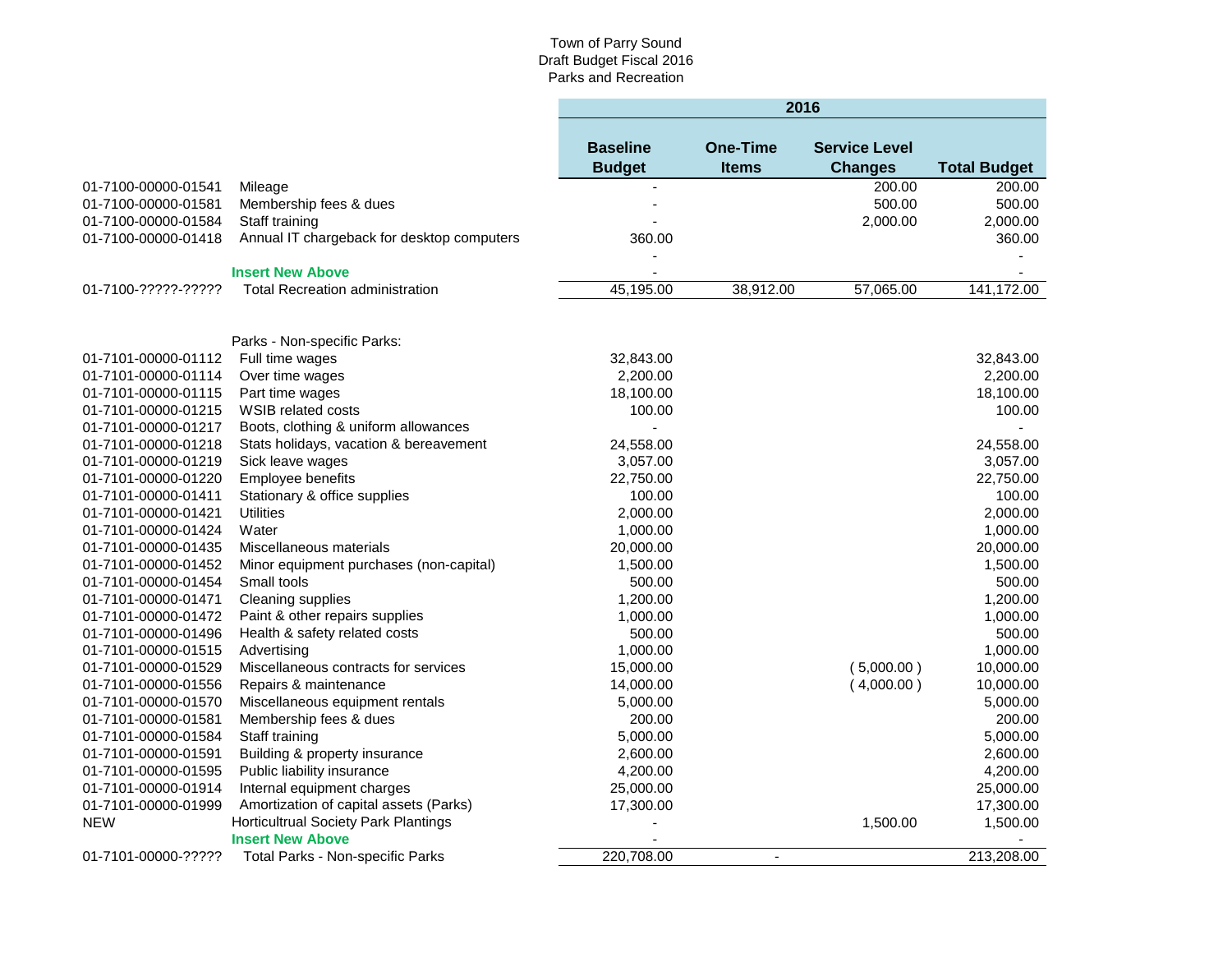**College** 

|                     |                                                                 | 2016                             |                                 |                                        |                     |  |
|---------------------|-----------------------------------------------------------------|----------------------------------|---------------------------------|----------------------------------------|---------------------|--|
|                     |                                                                 | <b>Baseline</b><br><b>Budget</b> | <b>One-Time</b><br><b>Items</b> | <b>Service Level</b><br><b>Changes</b> | <b>Total Budget</b> |  |
| 01-7100-00000-01541 | Mileage                                                         |                                  |                                 | 200.00                                 | 200.00              |  |
| 01-7100-00000-01581 | Membership fees & dues                                          |                                  |                                 | 500.00                                 | 500.00              |  |
| 01-7100-00000-01584 | Staff training                                                  |                                  |                                 | 2,000.00                               | 2,000.00            |  |
| 01-7100-00000-01418 | Annual IT chargeback for desktop computers                      | 360.00                           |                                 |                                        | 360.00              |  |
|                     | <b>Insert New Above</b>                                         |                                  |                                 |                                        |                     |  |
| 01-7100-?????-????? | <b>Total Recreation administration</b>                          | 45,195.00                        | 38,912.00                       | 57,065.00                              | 141,172.00          |  |
|                     | Parks - Non-specific Parks:                                     |                                  |                                 |                                        |                     |  |
| 01-7101-00000-01112 | Full time wages                                                 | 32,843.00                        |                                 |                                        | 32,843.00           |  |
| 01-7101-00000-01114 | Over time wages                                                 | 2,200.00                         |                                 |                                        | 2,200.00            |  |
| 01-7101-00000-01115 | Part time wages                                                 | 18,100.00                        |                                 |                                        | 18,100.00           |  |
| 01-7101-00000-01215 | WSIB related costs                                              | 100.00                           |                                 |                                        | 100.00              |  |
| 01-7101-00000-01217 | Boots, clothing & uniform allowances                            |                                  |                                 |                                        |                     |  |
| 01-7101-00000-01218 | Stats holidays, vacation & bereavement                          | 24,558.00                        |                                 |                                        | 24,558.00           |  |
| 01-7101-00000-01219 | Sick leave wages                                                | 3,057.00                         |                                 |                                        | 3,057.00            |  |
| 01-7101-00000-01220 | Employee benefits                                               | 22,750.00                        |                                 |                                        | 22,750.00           |  |
| 01-7101-00000-01411 | Stationary & office supplies                                    | 100.00                           |                                 |                                        | 100.00              |  |
| 01-7101-00000-01421 | <b>Utilities</b>                                                | 2,000.00                         |                                 |                                        | 2,000.00            |  |
| 01-7101-00000-01424 | Water                                                           | 1,000.00                         |                                 |                                        | 1,000.00            |  |
| 01-7101-00000-01435 | Miscellaneous materials                                         | 20,000.00                        |                                 |                                        | 20,000.00           |  |
| 01-7101-00000-01452 | Minor equipment purchases (non-capital)                         | 1,500.00                         |                                 |                                        | 1,500.00            |  |
| 01-7101-00000-01454 | Small tools                                                     | 500.00                           |                                 |                                        | 500.00              |  |
| 01-7101-00000-01471 | Cleaning supplies                                               | 1,200.00                         |                                 |                                        | 1,200.00            |  |
| 01-7101-00000-01472 | Paint & other repairs supplies                                  | 1,000.00                         |                                 |                                        | 1,000.00            |  |
| 01-7101-00000-01496 | Health & safety related costs                                   | 500.00                           |                                 |                                        | 500.00              |  |
| 01-7101-00000-01515 | Advertising                                                     | 1,000.00                         |                                 |                                        | 1,000.00            |  |
| 01-7101-00000-01529 | Miscellaneous contracts for services                            | 15,000.00                        |                                 | (5,000.00)                             | 10,000.00           |  |
| 01-7101-00000-01556 | Repairs & maintenance                                           | 14,000.00                        |                                 | (4,000.00)                             | 10,000.00           |  |
| 01-7101-00000-01570 | Miscellaneous equipment rentals                                 | 5,000.00                         |                                 |                                        | 5,000.00            |  |
| 01-7101-00000-01581 | Membership fees & dues                                          | 200.00                           |                                 |                                        | 200.00              |  |
| 01-7101-00000-01584 | Staff training                                                  | 5,000.00                         |                                 |                                        | 5,000.00            |  |
| 01-7101-00000-01591 | Building & property insurance                                   | 2,600.00                         |                                 |                                        | 2,600.00            |  |
| 01-7101-00000-01595 | Public liability insurance                                      | 4,200.00                         |                                 |                                        | 4,200.00            |  |
| 01-7101-00000-01914 | Internal equipment charges                                      | 25,000.00                        |                                 |                                        | 25,000.00           |  |
| 01-7101-00000-01999 | Amortization of capital assets (Parks)                          | 17,300.00                        |                                 |                                        | 17,300.00           |  |
| <b>NEW</b>          | Horticultrual Society Park Plantings<br><b>Insert New Above</b> |                                  |                                 | 1,500.00                               | 1,500.00            |  |
| 01-7101-00000-????? | Total Parks - Non-specific Parks                                | 220,708.00                       | $\overline{a}$                  |                                        | 213,208.00          |  |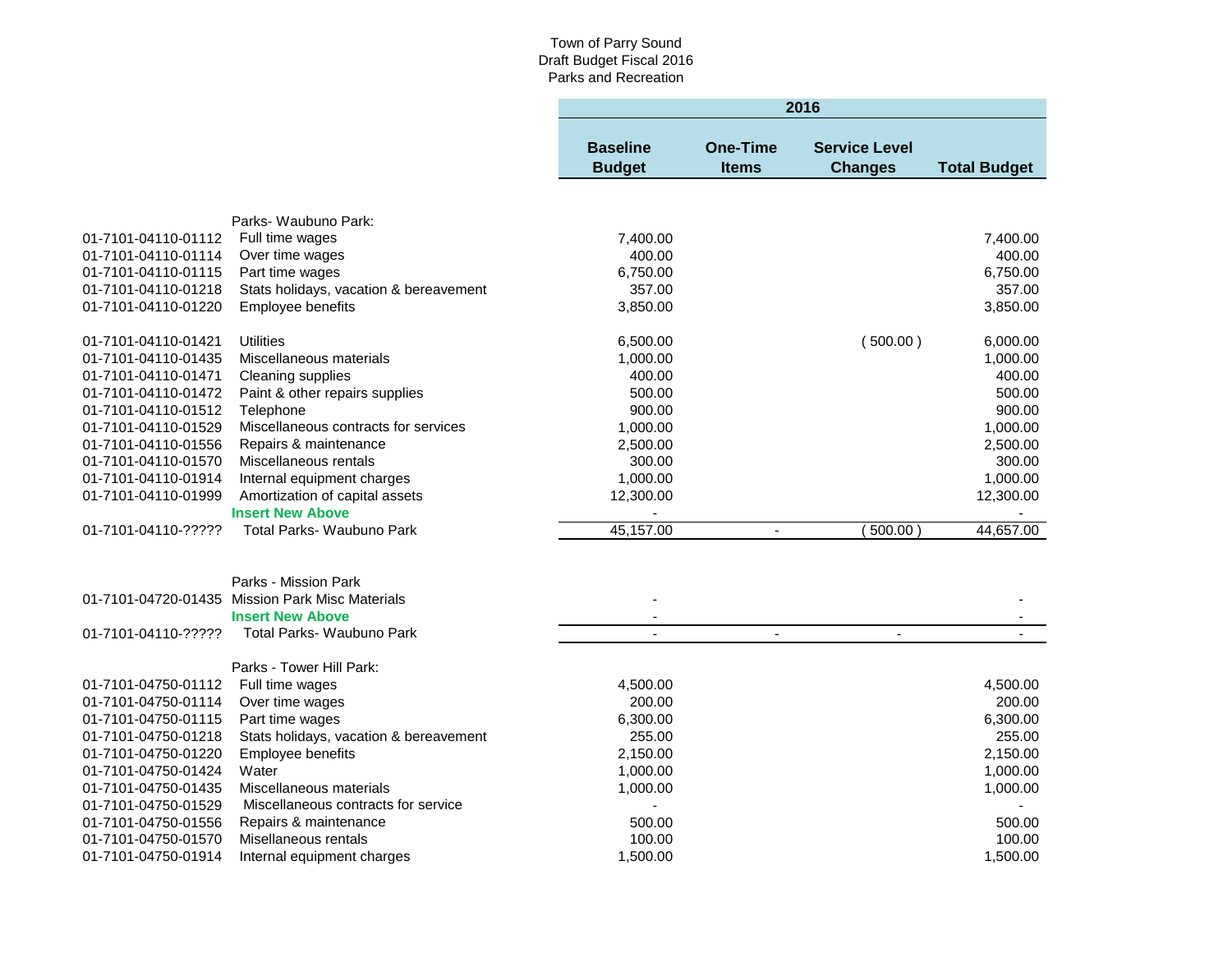|                     |                                                      | 2016                             |                                 |                                        |                     |  |
|---------------------|------------------------------------------------------|----------------------------------|---------------------------------|----------------------------------------|---------------------|--|
|                     |                                                      | <b>Baseline</b><br><b>Budget</b> | <b>One-Time</b><br><b>Items</b> | <b>Service Level</b><br><b>Changes</b> | <b>Total Budget</b> |  |
|                     |                                                      |                                  |                                 |                                        |                     |  |
|                     | Parks- Waubuno Park:                                 |                                  |                                 |                                        |                     |  |
| 01-7101-04110-01112 | Full time wages                                      | 7,400.00                         |                                 |                                        | 7,400.00            |  |
| 01-7101-04110-01114 | Over time wages                                      | 400.00                           |                                 |                                        | 400.00              |  |
| 01-7101-04110-01115 | Part time wages                                      | 6,750.00                         |                                 |                                        | 6,750.00            |  |
| 01-7101-04110-01218 | Stats holidays, vacation & bereavement               | 357.00                           |                                 |                                        | 357.00              |  |
| 01-7101-04110-01220 | Employee benefits                                    | 3,850.00                         |                                 |                                        | 3,850.00            |  |
|                     |                                                      |                                  |                                 |                                        |                     |  |
| 01-7101-04110-01421 | <b>Utilities</b>                                     | 6,500.00                         |                                 | (500.00)                               | 6,000.00            |  |
| 01-7101-04110-01435 | Miscellaneous materials                              | 1,000.00                         |                                 |                                        | 1,000.00            |  |
| 01-7101-04110-01471 | Cleaning supplies                                    | 400.00                           |                                 |                                        | 400.00              |  |
| 01-7101-04110-01472 | Paint & other repairs supplies                       | 500.00                           |                                 |                                        | 500.00              |  |
| 01-7101-04110-01512 | Telephone                                            | 900.00                           |                                 |                                        | 900.00              |  |
| 01-7101-04110-01529 | Miscellaneous contracts for services                 | 1,000.00                         |                                 |                                        | 1,000.00            |  |
| 01-7101-04110-01556 | Repairs & maintenance                                | 2,500.00                         |                                 |                                        | 2,500.00            |  |
| 01-7101-04110-01570 | Miscellaneous rentals                                | 300.00                           |                                 |                                        | 300.00              |  |
| 01-7101-04110-01914 | Internal equipment charges                           | 1,000.00                         |                                 |                                        | 1,000.00            |  |
| 01-7101-04110-01999 | Amortization of capital assets                       | 12,300.00                        |                                 |                                        | 12,300.00           |  |
|                     | <b>Insert New Above</b>                              |                                  |                                 |                                        |                     |  |
| 01-7101-04110-????? | Total Parks- Waubuno Park                            | 45,157.00                        | $\blacksquare$                  | (500.00)                               | 44,657.00           |  |
|                     |                                                      |                                  |                                 |                                        |                     |  |
|                     | Parks - Mission Park                                 |                                  |                                 |                                        |                     |  |
|                     | 01-7101-04720-01435 Mission Park Misc Materials      |                                  |                                 |                                        |                     |  |
| 01-7101-04110-????? | <b>Insert New Above</b><br>Total Parks- Waubuno Park | $\blacksquare$<br>$\overline{a}$ | $\blacksquare$                  | $\blacksquare$                         |                     |  |
|                     |                                                      |                                  |                                 |                                        |                     |  |
|                     | Parks - Tower Hill Park:                             |                                  |                                 |                                        |                     |  |
| 01-7101-04750-01112 | Full time wages                                      | 4,500.00                         |                                 |                                        | 4,500.00            |  |
| 01-7101-04750-01114 | Over time wages                                      | 200.00                           |                                 |                                        | 200.00              |  |
| 01-7101-04750-01115 | Part time wages                                      | 6,300.00                         |                                 |                                        | 6,300.00            |  |
| 01-7101-04750-01218 | Stats holidays, vacation & bereavement               | 255.00                           |                                 |                                        | 255.00              |  |
| 01-7101-04750-01220 | Employee benefits                                    | 2,150.00                         |                                 |                                        | 2,150.00            |  |
| 01-7101-04750-01424 | Water                                                | 1,000.00                         |                                 |                                        | 1,000.00            |  |
| 01-7101-04750-01435 | Miscellaneous materials                              | 1,000.00                         |                                 |                                        | 1,000.00            |  |
| 01-7101-04750-01529 | Miscellaneous contracts for service                  |                                  |                                 |                                        |                     |  |
| 01-7101-04750-01556 | Repairs & maintenance                                | 500.00                           |                                 |                                        | 500.00              |  |
| 01-7101-04750-01570 | Misellaneous rentals                                 | 100.00                           |                                 |                                        | 100.00              |  |
| 01-7101-04750-01914 | Internal equipment charges                           | 1,500.00                         |                                 |                                        | 1,500.00            |  |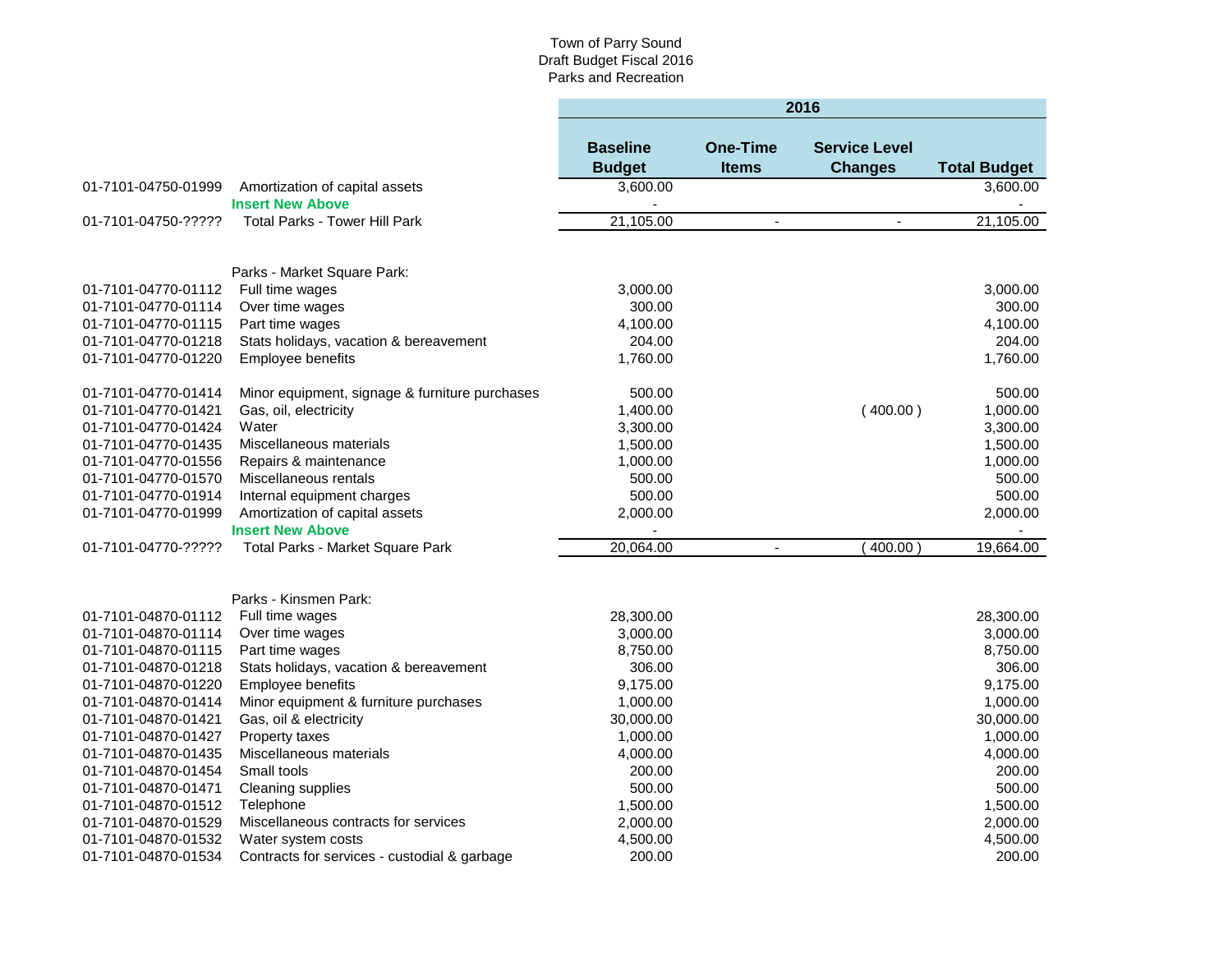|                     |                                                |                                  |                                 | 2016                                   |                     |
|---------------------|------------------------------------------------|----------------------------------|---------------------------------|----------------------------------------|---------------------|
|                     |                                                | <b>Baseline</b><br><b>Budget</b> | <b>One-Time</b><br><b>Items</b> | <b>Service Level</b><br><b>Changes</b> | <b>Total Budget</b> |
| 01-7101-04750-01999 | Amortization of capital assets                 | 3,600.00                         |                                 |                                        | 3,600.00            |
|                     | <b>Insert New Above</b>                        |                                  |                                 |                                        |                     |
| 01-7101-04750-????? | <b>Total Parks - Tower Hill Park</b>           | 21,105.00                        | ÷.                              |                                        | 21,105.00           |
|                     |                                                |                                  |                                 |                                        |                     |
|                     | Parks - Market Square Park:                    |                                  |                                 |                                        |                     |
| 01-7101-04770-01112 | Full time wages                                | 3,000.00                         |                                 |                                        | 3,000.00            |
| 01-7101-04770-01114 | Over time wages                                | 300.00                           |                                 |                                        | 300.00              |
| 01-7101-04770-01115 | Part time wages                                | 4,100.00                         |                                 |                                        | 4,100.00            |
| 01-7101-04770-01218 | Stats holidays, vacation & bereavement         | 204.00                           |                                 |                                        | 204.00              |
| 01-7101-04770-01220 | Employee benefits                              | 1,760.00                         |                                 |                                        | 1,760.00            |
| 01-7101-04770-01414 | Minor equipment, signage & furniture purchases | 500.00                           |                                 |                                        | 500.00              |
| 01-7101-04770-01421 | Gas, oil, electricity                          | 1,400.00                         |                                 | (400.00)                               | 1,000.00            |
| 01-7101-04770-01424 | Water                                          | 3,300.00                         |                                 |                                        | 3,300.00            |
| 01-7101-04770-01435 | Miscellaneous materials                        | 1,500.00                         |                                 |                                        | 1,500.00            |
| 01-7101-04770-01556 | Repairs & maintenance                          | 1,000.00                         |                                 |                                        | 1,000.00            |
| 01-7101-04770-01570 | Miscellaneous rentals                          | 500.00                           |                                 |                                        | 500.00              |
| 01-7101-04770-01914 | Internal equipment charges                     | 500.00                           |                                 |                                        | 500.00              |
| 01-7101-04770-01999 | Amortization of capital assets                 | 2,000.00                         |                                 |                                        | 2,000.00            |
|                     | <b>Insert New Above</b>                        |                                  |                                 |                                        |                     |
| 01-7101-04770-????? | Total Parks - Market Square Park               | 20,064.00                        | $\overline{\phantom{a}}$        | 400.00                                 | 19,664.00           |
|                     |                                                |                                  |                                 |                                        |                     |
|                     | Parks - Kinsmen Park:                          |                                  |                                 |                                        |                     |
| 01-7101-04870-01112 | Full time wages                                | 28,300.00                        |                                 |                                        | 28,300.00           |
| 01-7101-04870-01114 | Over time wages                                | 3,000.00                         |                                 |                                        | 3,000.00            |
| 01-7101-04870-01115 | Part time wages                                | 8,750.00                         |                                 |                                        | 8,750.00            |
| 01-7101-04870-01218 | Stats holidays, vacation & bereavement         | 306.00                           |                                 |                                        | 306.00              |
| 01-7101-04870-01220 | Employee benefits                              | 9,175.00                         |                                 |                                        | 9,175.00            |
| 01-7101-04870-01414 | Minor equipment & furniture purchases          | 1,000.00                         |                                 |                                        | 1,000.00            |
| 01-7101-04870-01421 | Gas, oil & electricity                         | 30,000.00                        |                                 |                                        | 30,000.00           |
| 01-7101-04870-01427 | Property taxes                                 | 1,000.00                         |                                 |                                        | 1,000.00            |
| 01-7101-04870-01435 | Miscellaneous materials                        | 4,000.00                         |                                 |                                        | 4,000.00            |
| 01-7101-04870-01454 | Small tools                                    | 200.00                           |                                 |                                        | 200.00              |
| 01-7101-04870-01471 | Cleaning supplies                              | 500.00                           |                                 |                                        | 500.00              |
| 01-7101-04870-01512 | Telephone                                      | 1,500.00                         |                                 |                                        | 1,500.00            |
| 01-7101-04870-01529 | Miscellaneous contracts for services           | 2,000.00                         |                                 |                                        | 2,000.00            |
| 01-7101-04870-01532 | Water system costs                             | 4,500.00                         |                                 |                                        | 4,500.00            |
| 01-7101-04870-01534 | Contracts for services - custodial & garbage   | 200.00                           |                                 |                                        | 200.00              |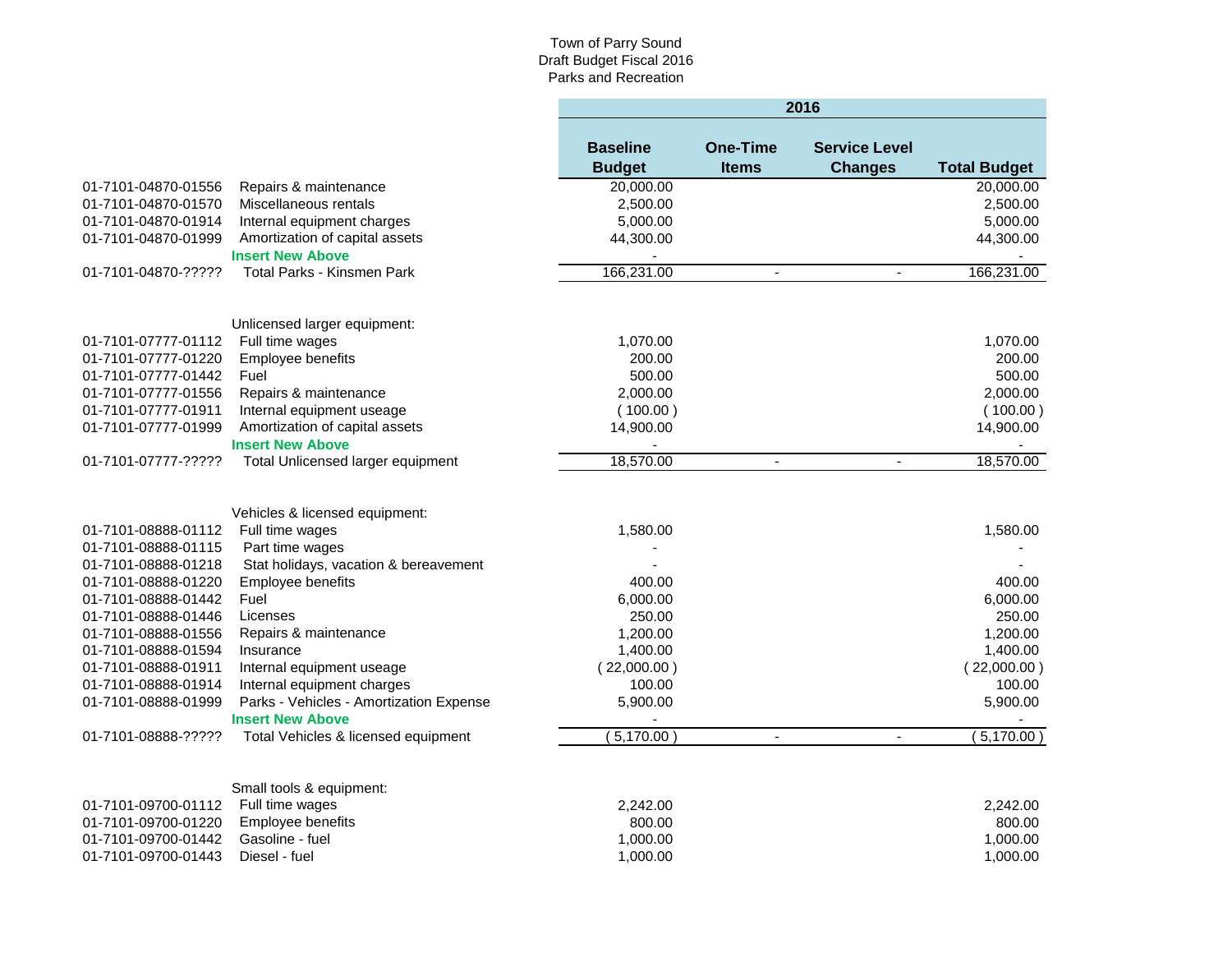|                     |                                         |                                  |                                 | 2016                                   |                     |
|---------------------|-----------------------------------------|----------------------------------|---------------------------------|----------------------------------------|---------------------|
|                     |                                         | <b>Baseline</b><br><b>Budget</b> | <b>One-Time</b><br><b>Items</b> | <b>Service Level</b><br><b>Changes</b> | <b>Total Budget</b> |
| 01-7101-04870-01556 | Repairs & maintenance                   | 20,000.00                        |                                 |                                        | 20,000.00           |
| 01-7101-04870-01570 | Miscellaneous rentals                   | 2,500.00                         |                                 |                                        | 2,500.00            |
| 01-7101-04870-01914 | Internal equipment charges              | 5,000.00                         |                                 |                                        | 5,000.00            |
| 01-7101-04870-01999 | Amortization of capital assets          | 44,300.00                        |                                 |                                        | 44,300.00           |
|                     | <b>Insert New Above</b>                 |                                  |                                 |                                        |                     |
| 01-7101-04870-????? | <b>Total Parks - Kinsmen Park</b>       | 166,231.00                       |                                 |                                        | 166,231.00          |
|                     | Unlicensed larger equipment:            |                                  |                                 |                                        |                     |
| 01-7101-07777-01112 | Full time wages                         | 1,070.00                         |                                 |                                        | 1,070.00            |
| 01-7101-07777-01220 | Employee benefits                       | 200.00                           |                                 |                                        | 200.00              |
| 01-7101-07777-01442 | Fuel                                    | 500.00                           |                                 |                                        | 500.00              |
| 01-7101-07777-01556 | Repairs & maintenance                   | 2,000.00                         |                                 |                                        | 2,000.00            |
| 01-7101-07777-01911 | Internal equipment useage               | (100.00)                         |                                 |                                        | (100.00)            |
| 01-7101-07777-01999 | Amortization of capital assets          | 14,900.00                        |                                 |                                        | 14,900.00           |
|                     | <b>Insert New Above</b>                 |                                  |                                 |                                        |                     |
| 01-7101-07777-????? | Total Unlicensed larger equipment       | 18,570.00                        | $\blacksquare$                  | $\blacksquare$                         | 18,570.00           |
|                     | Vehicles & licensed equipment:          |                                  |                                 |                                        |                     |
| 01-7101-08888-01112 | Full time wages                         | 1,580.00                         |                                 |                                        | 1,580.00            |
| 01-7101-08888-01115 | Part time wages                         |                                  |                                 |                                        |                     |
| 01-7101-08888-01218 | Stat holidays, vacation & bereavement   |                                  |                                 |                                        |                     |
| 01-7101-08888-01220 | Employee benefits                       | 400.00                           |                                 |                                        | 400.00              |
| 01-7101-08888-01442 | Fuel                                    | 6,000.00                         |                                 |                                        | 6,000.00            |
| 01-7101-08888-01446 | Licenses                                | 250.00                           |                                 |                                        | 250.00              |
| 01-7101-08888-01556 | Repairs & maintenance                   | 1,200.00                         |                                 |                                        | 1,200.00            |
| 01-7101-08888-01594 | Insurance                               | 1,400.00                         |                                 |                                        | 1,400.00            |
| 01-7101-08888-01911 | Internal equipment useage               | (22,000.00)                      |                                 |                                        | (22,000.00)         |
| 01-7101-08888-01914 | Internal equipment charges              | 100.00                           |                                 |                                        | 100.00              |
| 01-7101-08888-01999 | Parks - Vehicles - Amortization Expense | 5,900.00                         |                                 |                                        | 5,900.00            |
|                     | <b>Insert New Above</b>                 |                                  |                                 |                                        |                     |
| 01-7101-08888-????? | Total Vehicles & licensed equipment     | 5,170.00                         | $\overline{\phantom{a}}$        | $\blacksquare$                         | 5,170.00            |
|                     | Small tools & equipment:                |                                  |                                 |                                        |                     |
| 01-7101-09700-01112 | Full time wages                         | 2,242.00                         |                                 |                                        | 2,242.00            |
| 01-7101-09700-01220 | Employee benefits                       | 800.00                           |                                 |                                        | 800.00              |
| 01-7101-09700-01442 | Gasoline - fuel                         | 1,000.00                         |                                 |                                        | 1,000.00            |
| 01-7101-09700-01443 | Diesel - fuel                           | 1,000.00                         |                                 |                                        | 1,000.00            |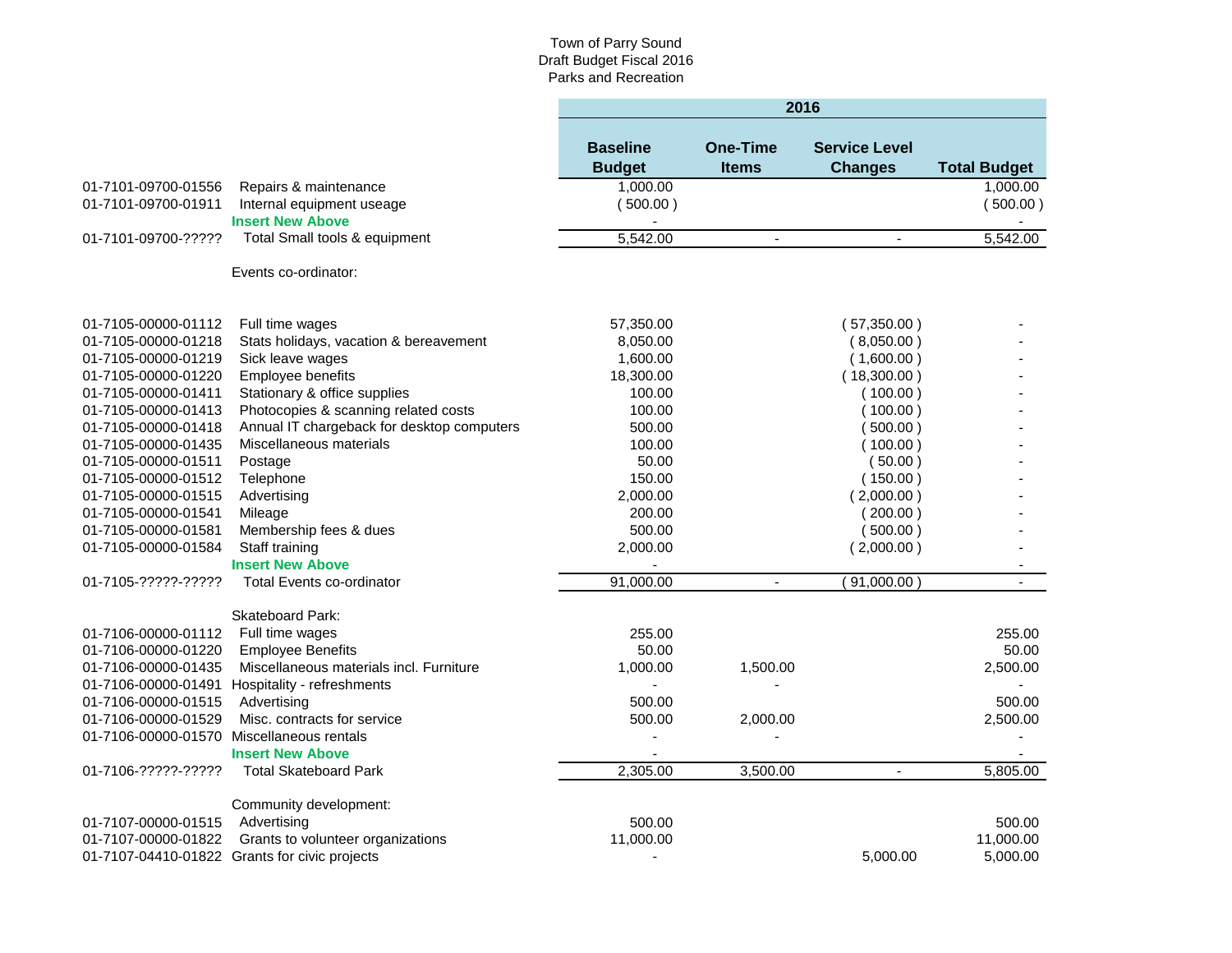|                                           |                                               | 2016                             |                                 |                                        |                     |  |
|-------------------------------------------|-----------------------------------------------|----------------------------------|---------------------------------|----------------------------------------|---------------------|--|
|                                           |                                               | <b>Baseline</b><br><b>Budget</b> | <b>One-Time</b><br><b>Items</b> | <b>Service Level</b><br><b>Changes</b> | <b>Total Budget</b> |  |
| 01-7101-09700-01556                       | Repairs & maintenance                         | 1,000.00                         |                                 |                                        | 1.000.00            |  |
| 01-7101-09700-01911                       | Internal equipment useage                     | (500.00)                         |                                 |                                        | (500.00)            |  |
|                                           | <b>Insert New Above</b>                       |                                  |                                 |                                        |                     |  |
| 01-7101-09700-?????                       | Total Small tools & equipment                 | 5,542.00                         | $\blacksquare$                  | $\blacksquare$                         | 5,542.00            |  |
|                                           | Events co-ordinator:                          |                                  |                                 |                                        |                     |  |
| 01-7105-00000-01112                       | Full time wages                               | 57,350.00                        |                                 | (57,350.00)                            |                     |  |
| 01-7105-00000-01218                       | Stats holidays, vacation & bereavement        | 8,050.00                         |                                 | (8,050.00)                             |                     |  |
| 01-7105-00000-01219                       | Sick leave wages                              | 1,600.00                         |                                 | (1,600.00)                             |                     |  |
| 01-7105-00000-01220                       | Employee benefits                             | 18,300.00                        |                                 | (18,300.00)                            |                     |  |
| 01-7105-00000-01411                       | Stationary & office supplies                  | 100.00                           |                                 | (100.00)                               |                     |  |
| 01-7105-00000-01413                       | Photocopies & scanning related costs          | 100.00                           |                                 | (100.00)                               |                     |  |
| 01-7105-00000-01418                       | Annual IT chargeback for desktop computers    | 500.00                           |                                 | (500.00)                               |                     |  |
| 01-7105-00000-01435                       | Miscellaneous materials                       | 100.00                           |                                 | (100.00)                               |                     |  |
| 01-7105-00000-01511                       | Postage                                       | 50.00                            |                                 | (50.00)                                |                     |  |
| 01-7105-00000-01512                       | Telephone                                     | 150.00                           |                                 | (150.00)                               |                     |  |
| 01-7105-00000-01515                       | Advertising                                   | 2,000.00                         |                                 | (2,000.00)                             |                     |  |
| 01-7105-00000-01541                       | Mileage                                       | 200.00                           |                                 | (200.00)                               |                     |  |
| 01-7105-00000-01581                       | Membership fees & dues                        | 500.00                           |                                 | (500.00)                               |                     |  |
| 01-7105-00000-01584                       | Staff training                                | 2,000.00                         |                                 | (2,000.00)                             |                     |  |
|                                           | <b>Insert New Above</b>                       |                                  |                                 |                                        |                     |  |
| 01-7105-?????-?????                       | Total Events co-ordinator                     | 91,000.00                        | ÷,                              | 91,000.00                              |                     |  |
|                                           | Skateboard Park:                              |                                  |                                 |                                        |                     |  |
| 01-7106-00000-01112                       | Full time wages                               | 255.00                           |                                 |                                        | 255.00              |  |
| 01-7106-00000-01220                       | <b>Employee Benefits</b>                      | 50.00                            |                                 |                                        | 50.00               |  |
| 01-7106-00000-01435                       | Miscellaneous materials incl. Furniture       | 1,000.00                         | 1,500.00                        |                                        | 2,500.00            |  |
| 01-7106-00000-01491                       | Hospitality - refreshments                    |                                  |                                 |                                        |                     |  |
| 01-7106-00000-01515                       | Advertising                                   | 500.00                           |                                 |                                        | 500.00              |  |
| 01-7106-00000-01529                       | Misc. contracts for service                   | 500.00                           | 2,000.00                        |                                        | 2,500.00            |  |
| 01-7106-00000-01570 Miscellaneous rentals |                                               | ä,                               |                                 |                                        |                     |  |
|                                           | <b>Insert New Above</b>                       |                                  |                                 |                                        |                     |  |
| 01-7106-?????-?????                       | <b>Total Skateboard Park</b>                  | 2,305.00                         | 3,500.00                        |                                        | 5,805.00            |  |
|                                           | Community development:                        |                                  |                                 |                                        |                     |  |
| 01-7107-00000-01515                       | Advertising                                   | 500.00                           |                                 |                                        | 500.00              |  |
| 01-7107-00000-01822                       | Grants to volunteer organizations             | 11,000.00                        |                                 |                                        | 11,000.00           |  |
|                                           | 01-7107-04410-01822 Grants for civic projects |                                  |                                 | 5.000.00                               | 5,000.00            |  |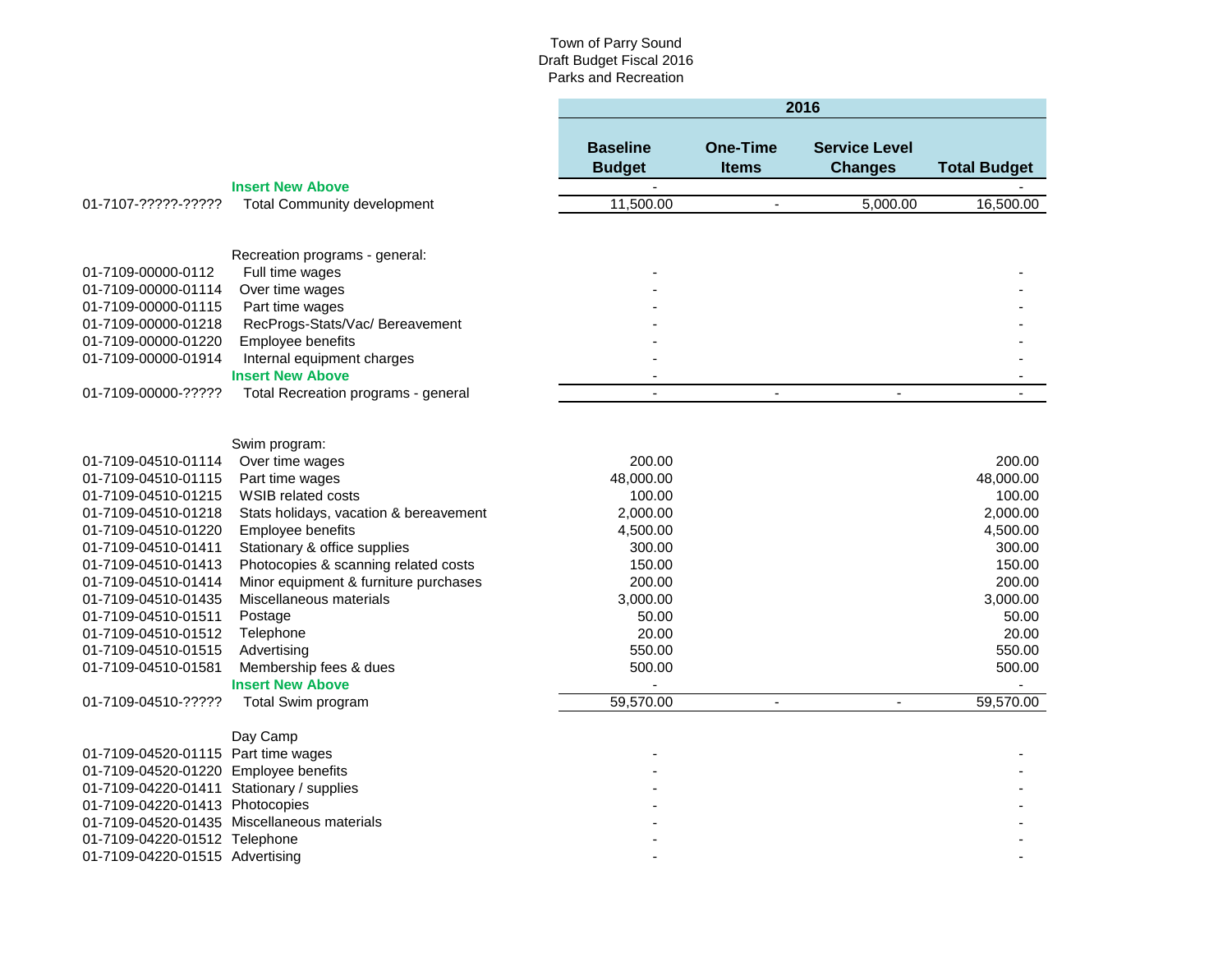|                                       |                                        | 2016                             |                                 |                                        |                     |
|---------------------------------------|----------------------------------------|----------------------------------|---------------------------------|----------------------------------------|---------------------|
|                                       |                                        | <b>Baseline</b><br><b>Budget</b> | <b>One-Time</b><br><b>Items</b> | <b>Service Level</b><br><b>Changes</b> | <b>Total Budget</b> |
|                                       | <b>Insert New Above</b>                |                                  |                                 |                                        |                     |
| 01-7107-?????-?????                   | <b>Total Community development</b>     | 11,500.00                        | $\blacksquare$                  | 5,000.00                               | 16,500.00           |
|                                       | Recreation programs - general:         |                                  |                                 |                                        |                     |
| 01-7109-00000-0112                    | Full time wages                        |                                  |                                 |                                        |                     |
| 01-7109-00000-01114                   | Over time wages                        |                                  |                                 |                                        |                     |
| 01-7109-00000-01115                   | Part time wages                        |                                  |                                 |                                        |                     |
| 01-7109-00000-01218                   | RecProgs-Stats/Vac/ Bereavement        |                                  |                                 |                                        |                     |
| 01-7109-00000-01220                   | Employee benefits                      |                                  |                                 |                                        |                     |
| 01-7109-00000-01914                   | Internal equipment charges             |                                  |                                 |                                        |                     |
|                                       | <b>Insert New Above</b>                |                                  |                                 |                                        |                     |
| 01-7109-00000-?????                   | Total Recreation programs - general    |                                  |                                 |                                        |                     |
|                                       |                                        |                                  |                                 |                                        |                     |
|                                       | Swim program:                          |                                  |                                 |                                        |                     |
| 01-7109-04510-01114                   | Over time wages                        | 200.00                           |                                 |                                        | 200.00              |
| 01-7109-04510-01115                   | Part time wages                        | 48,000.00                        |                                 |                                        | 48,000.00           |
| 01-7109-04510-01215                   | <b>WSIB related costs</b>              | 100.00                           |                                 |                                        | 100.00              |
| 01-7109-04510-01218                   | Stats holidays, vacation & bereavement | 2,000.00                         |                                 |                                        | 2,000.00            |
| 01-7109-04510-01220                   | Employee benefits                      | 4,500.00                         |                                 |                                        | 4,500.00            |
| 01-7109-04510-01411                   | Stationary & office supplies           | 300.00                           |                                 |                                        | 300.00              |
| 01-7109-04510-01413                   | Photocopies & scanning related costs   | 150.00                           |                                 |                                        | 150.00              |
| 01-7109-04510-01414                   | Minor equipment & furniture purchases  | 200.00                           |                                 |                                        | 200.00              |
| 01-7109-04510-01435                   | Miscellaneous materials                | 3,000.00                         |                                 |                                        | 3,000.00            |
| 01-7109-04510-01511                   | Postage                                | 50.00                            |                                 |                                        | 50.00               |
| 01-7109-04510-01512                   | Telephone                              | 20.00                            |                                 |                                        | 20.00               |
| 01-7109-04510-01515                   | Advertising                            | 550.00                           |                                 |                                        | 550.00              |
| 01-7109-04510-01581                   | Membership fees & dues                 | 500.00                           |                                 |                                        | 500.00              |
|                                       | <b>Insert New Above</b>                |                                  |                                 |                                        |                     |
| 01-7109-04510-?????                   | Total Swim program                     | 59,570.00                        | $\blacksquare$                  | $\blacksquare$                         | 59,570.00           |
|                                       | Day Camp                               |                                  |                                 |                                        |                     |
| 01-7109-04520-01115                   | Part time wages                        |                                  |                                 |                                        |                     |
| 01-7109-04520-01220 Employee benefits |                                        |                                  |                                 |                                        |                     |

- 01-7109-04220-01411 Stationary / supplies - 01-7109-04220-01413 Photocopies - - 01-7109-04520-01435 Miscellaneous materials - - 01-7109-04220-01512 Telephone - -
- 01-7109-04220-01515 Advertising -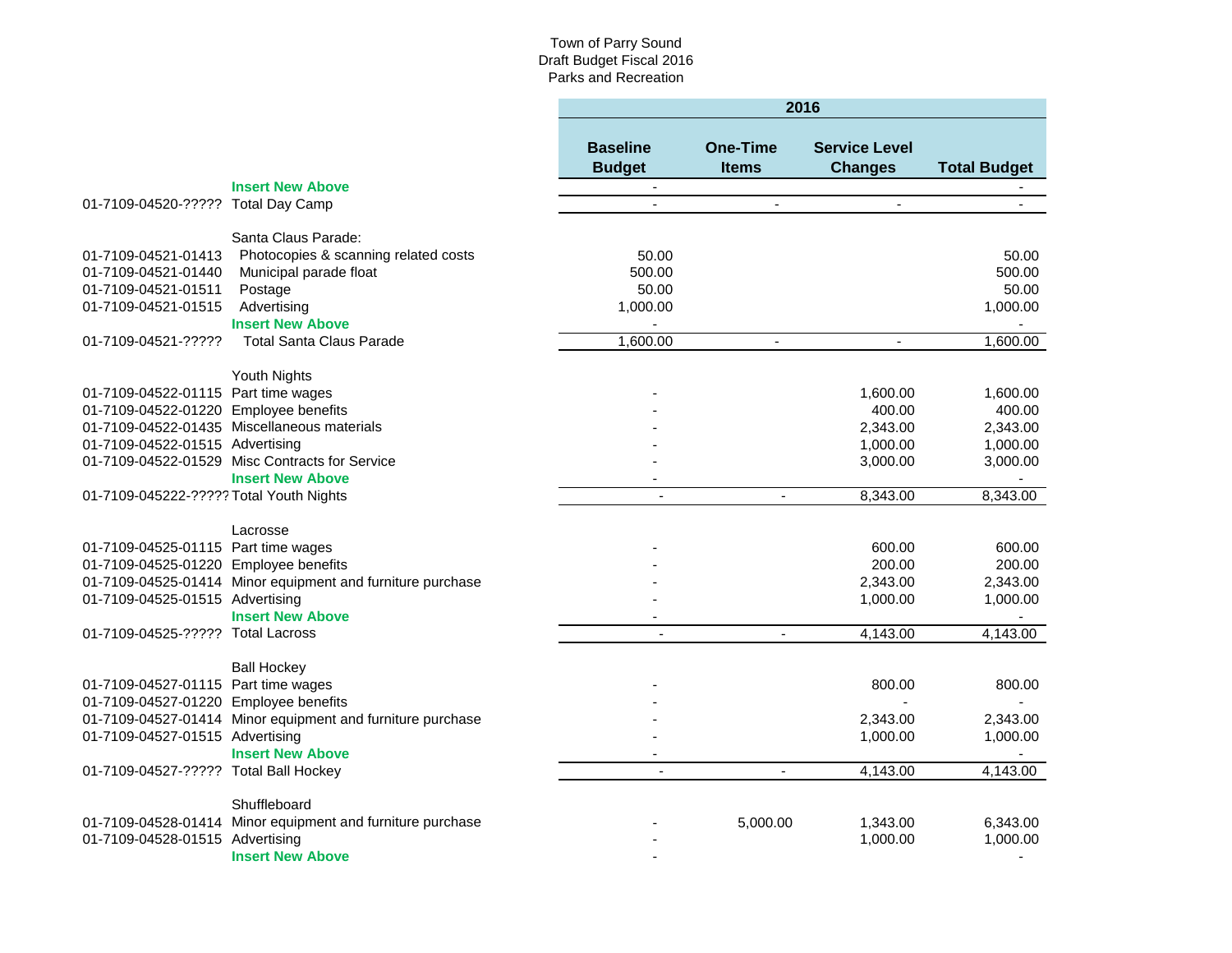|                                                                              |                                                            | 2016                             |                                 |                                        |                     |  |
|------------------------------------------------------------------------------|------------------------------------------------------------|----------------------------------|---------------------------------|----------------------------------------|---------------------|--|
|                                                                              |                                                            | <b>Baseline</b><br><b>Budget</b> | <b>One-Time</b><br><b>Items</b> | <b>Service Level</b><br><b>Changes</b> | <b>Total Budget</b> |  |
|                                                                              | <b>Insert New Above</b>                                    | $\blacksquare$                   |                                 |                                        |                     |  |
| 01-7109-04520-????? Total Day Camp                                           |                                                            |                                  |                                 | $\overline{\phantom{a}}$               |                     |  |
|                                                                              | Santa Claus Parade:                                        |                                  |                                 |                                        |                     |  |
| 01-7109-04521-01413                                                          | Photocopies & scanning related costs                       | 50.00                            |                                 |                                        | 50.00               |  |
| 01-7109-04521-01440                                                          | Municipal parade float                                     | 500.00                           |                                 |                                        | 500.00              |  |
| 01-7109-04521-01511                                                          | Postage                                                    | 50.00                            |                                 |                                        | 50.00               |  |
| 01-7109-04521-01515                                                          | Advertising                                                | 1,000.00                         |                                 |                                        | 1,000.00            |  |
|                                                                              | <b>Insert New Above</b>                                    |                                  |                                 |                                        |                     |  |
| 01-7109-04521-?????                                                          | <b>Total Santa Claus Parade</b>                            | 1,600.00                         | $\overline{a}$                  | $\blacksquare$                         | 1,600.00            |  |
|                                                                              | Youth Nights                                               |                                  |                                 |                                        |                     |  |
|                                                                              |                                                            |                                  |                                 |                                        | 1,600.00            |  |
| 01-7109-04522-01115 Part time wages<br>01-7109-04522-01220 Employee benefits |                                                            |                                  |                                 | 1,600.00<br>400.00                     | 400.00              |  |
|                                                                              | 01-7109-04522-01435 Miscellaneous materials                |                                  |                                 |                                        |                     |  |
|                                                                              |                                                            |                                  |                                 | 2,343.00                               | 2,343.00            |  |
| 01-7109-04522-01515 Advertising                                              |                                                            |                                  |                                 | 1,000.00                               | 1,000.00            |  |
|                                                                              | 01-7109-04522-01529 Misc Contracts for Service             |                                  |                                 | 3,000.00                               | 3,000.00            |  |
|                                                                              | <b>Insert New Above</b>                                    |                                  |                                 |                                        |                     |  |
| 01-7109-045222-????? Total Youth Nights                                      |                                                            | $\sim$                           | $\sim$                          | 8,343.00                               | 8,343.00            |  |
|                                                                              | Lacrosse                                                   |                                  |                                 |                                        |                     |  |
| 01-7109-04525-01115 Part time wages                                          |                                                            |                                  |                                 | 600.00                                 | 600.00              |  |
| 01-7109-04525-01220 Employee benefits                                        |                                                            |                                  |                                 | 200.00                                 | 200.00              |  |
|                                                                              | 01-7109-04525-01414 Minor equipment and furniture purchase |                                  |                                 | 2.343.00                               | 2,343.00            |  |
| 01-7109-04525-01515 Advertising                                              |                                                            |                                  |                                 | 1,000.00                               | 1,000.00            |  |
|                                                                              | <b>Insert New Above</b>                                    |                                  |                                 |                                        |                     |  |
| 01-7109-04525-????? Total Lacross                                            |                                                            | $\overline{a}$                   | ÷,                              | 4,143.00                               | 4,143.00            |  |
|                                                                              | <b>Ball Hockey</b>                                         |                                  |                                 |                                        |                     |  |
| 01-7109-04527-01115 Part time wages                                          |                                                            |                                  |                                 | 800.00                                 | 800.00              |  |
| 01-7109-04527-01220 Employee benefits                                        |                                                            |                                  |                                 |                                        |                     |  |
|                                                                              | 01-7109-04527-01414 Minor equipment and furniture purchase |                                  |                                 | 2,343.00                               | 2,343.00            |  |
| 01-7109-04527-01515 Advertising                                              |                                                            |                                  |                                 | 1,000.00                               | 1,000.00            |  |
|                                                                              | <b>Insert New Above</b>                                    |                                  |                                 |                                        |                     |  |
| 01-7109-04527-????? Total Ball Hockey                                        |                                                            | $\blacksquare$                   | $\blacksquare$                  | 4,143.00                               | 4,143.00            |  |
|                                                                              | Shuffleboard                                               |                                  |                                 |                                        |                     |  |
|                                                                              | 01-7109-04528-01414 Minor equipment and furniture purchase |                                  | 5,000.00                        | 1,343.00                               | 6,343.00            |  |
| 01-7109-04528-01515 Advertising                                              |                                                            |                                  |                                 | 1,000.00                               | 1,000.00            |  |
|                                                                              | <b>Insert New Above</b>                                    |                                  |                                 |                                        | $\blacksquare$      |  |
|                                                                              |                                                            |                                  |                                 |                                        |                     |  |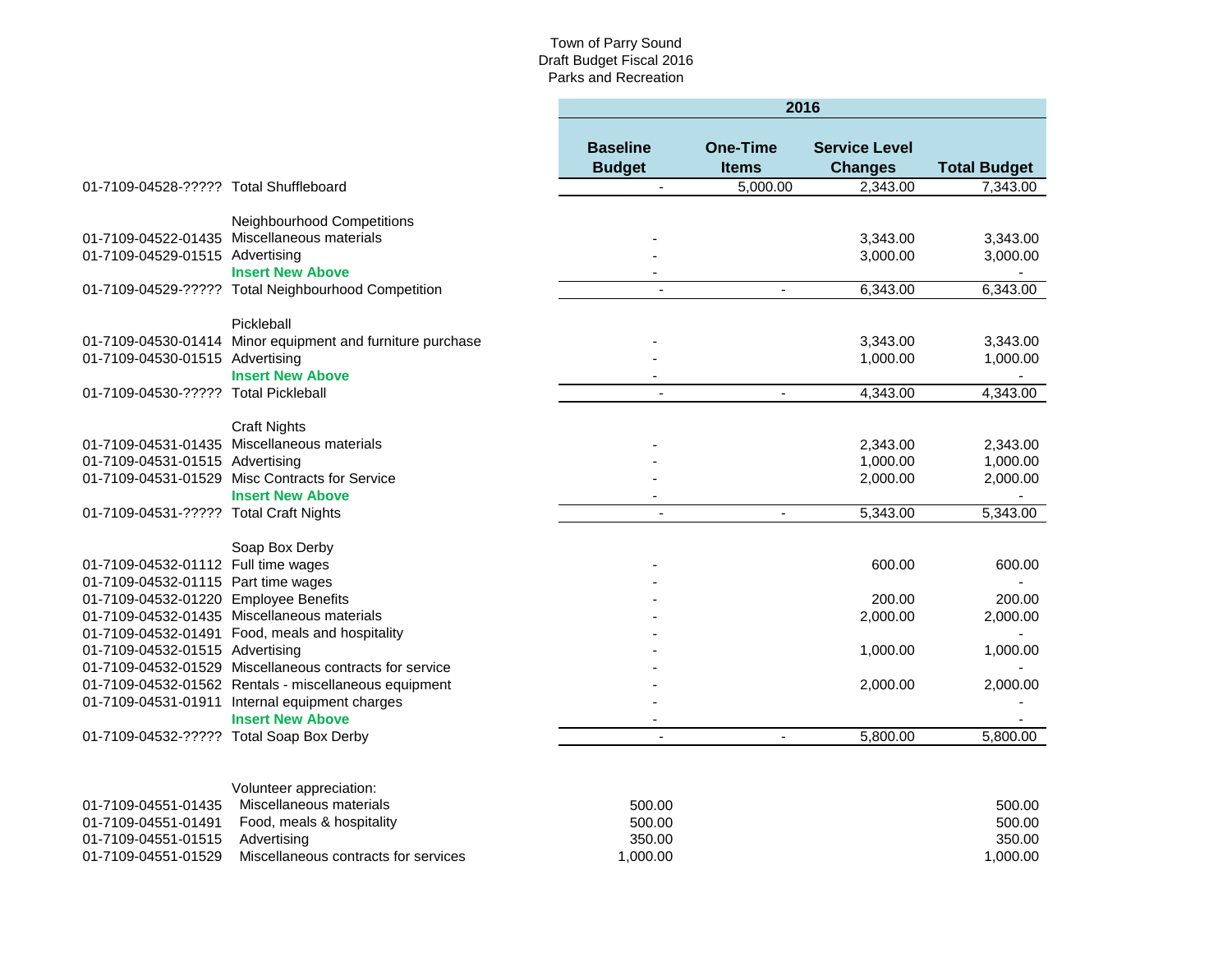٠

|                                        |                                                                           | 2016                             |                                 |                                        |                     |  |
|----------------------------------------|---------------------------------------------------------------------------|----------------------------------|---------------------------------|----------------------------------------|---------------------|--|
|                                        |                                                                           | <b>Baseline</b><br><b>Budget</b> | <b>One-Time</b><br><b>Items</b> | <b>Service Level</b><br><b>Changes</b> | <b>Total Budget</b> |  |
| 01-7109-04528-????? Total Shuffleboard |                                                                           | $\blacksquare$                   | $\overline{5,000.00}$           | 2,343.00                               | 7,343.00            |  |
|                                        |                                                                           |                                  |                                 |                                        |                     |  |
|                                        | Neighbourhood Competitions<br>01-7109-04522-01435 Miscellaneous materials |                                  |                                 | 3,343.00                               | 3,343.00            |  |
| 01-7109-04529-01515 Advertising        |                                                                           |                                  |                                 | 3,000.00                               | 3,000.00            |  |
|                                        | <b>Insert New Above</b>                                                   |                                  |                                 |                                        |                     |  |
|                                        | 01-7109-04529-????? Total Neighbourhood Competition                       |                                  | $\overline{\phantom{a}}$        | 6,343.00                               | 6,343.00            |  |
|                                        |                                                                           |                                  |                                 |                                        |                     |  |
|                                        | Pickleball                                                                |                                  |                                 |                                        |                     |  |
|                                        | 01-7109-04530-01414 Minor equipment and furniture purchase                |                                  |                                 | 3,343.00                               | 3,343.00            |  |
| 01-7109-04530-01515 Advertising        |                                                                           |                                  |                                 | 1,000.00                               | 1,000.00            |  |
|                                        | <b>Insert New Above</b>                                                   |                                  |                                 |                                        |                     |  |
| 01-7109-04530-????? Total Pickleball   |                                                                           | $\blacksquare$                   | $\blacksquare$                  | 4,343.00                               | 4,343.00            |  |
|                                        |                                                                           |                                  |                                 |                                        |                     |  |
|                                        | <b>Craft Nights</b>                                                       |                                  |                                 |                                        |                     |  |
|                                        | 01-7109-04531-01435 Miscellaneous materials                               |                                  |                                 | 2,343.00                               | 2,343.00            |  |
| 01-7109-04531-01515 Advertising        |                                                                           |                                  |                                 | 1,000.00                               | 1,000.00            |  |
|                                        | 01-7109-04531-01529 Misc Contracts for Service                            |                                  |                                 | 2,000.00                               | 2,000.00            |  |
|                                        | <b>Insert New Above</b>                                                   |                                  |                                 |                                        |                     |  |
| 01-7109-04531-????? Total Craft Nights |                                                                           | $\sim$                           | $\overline{\phantom{a}}$        | 5,343.00                               | 5,343.00            |  |
|                                        | Soap Box Derby                                                            |                                  |                                 |                                        |                     |  |
| 01-7109-04532-01112 Full time wages    |                                                                           |                                  |                                 | 600.00                                 | 600.00              |  |
| 01-7109-04532-01115 Part time wages    |                                                                           |                                  |                                 |                                        |                     |  |
| 01-7109-04532-01220 Employee Benefits  |                                                                           |                                  |                                 | 200.00                                 | 200.00              |  |
|                                        | 01-7109-04532-01435 Miscellaneous materials                               |                                  |                                 | 2,000.00                               | 2,000.00            |  |
|                                        | 01-7109-04532-01491 Food, meals and hospitality                           |                                  |                                 |                                        |                     |  |
| 01-7109-04532-01515 Advertising        |                                                                           |                                  |                                 | 1,000.00                               | 1,000.00            |  |
|                                        | 01-7109-04532-01529 Miscellaneous contracts for service                   |                                  |                                 |                                        |                     |  |
|                                        | 01-7109-04532-01562 Rentals - miscellaneous equipment                     |                                  |                                 | 2,000.00                               | 2,000.00            |  |
|                                        | 01-7109-04531-01911 Internal equipment charges                            |                                  |                                 |                                        |                     |  |
|                                        | <b>Insert New Above</b>                                                   |                                  |                                 |                                        |                     |  |
|                                        | 01-7109-04532-????? Total Soap Box Derby                                  |                                  | ÷,                              | 5,800.00                               | 5.800.00            |  |
|                                        |                                                                           |                                  |                                 |                                        |                     |  |
|                                        |                                                                           |                                  |                                 |                                        |                     |  |
| 01-7109-04551-01435                    | Volunteer appreciation:<br>Miscellaneous materials                        | 500.00                           |                                 |                                        | 500.00              |  |
| 01-7109-04551-01491                    | Food, meals & hospitality                                                 | 500.00                           |                                 |                                        | 500.00              |  |
| 01-7109-04551-01515                    | Advertising                                                               | 350.00                           |                                 |                                        | 350.00              |  |
| 01-7109-04551-01529                    | Miscellaneous contracts for services                                      | 1,000.00                         |                                 |                                        | 1,000.00            |  |
|                                        |                                                                           |                                  |                                 |                                        |                     |  |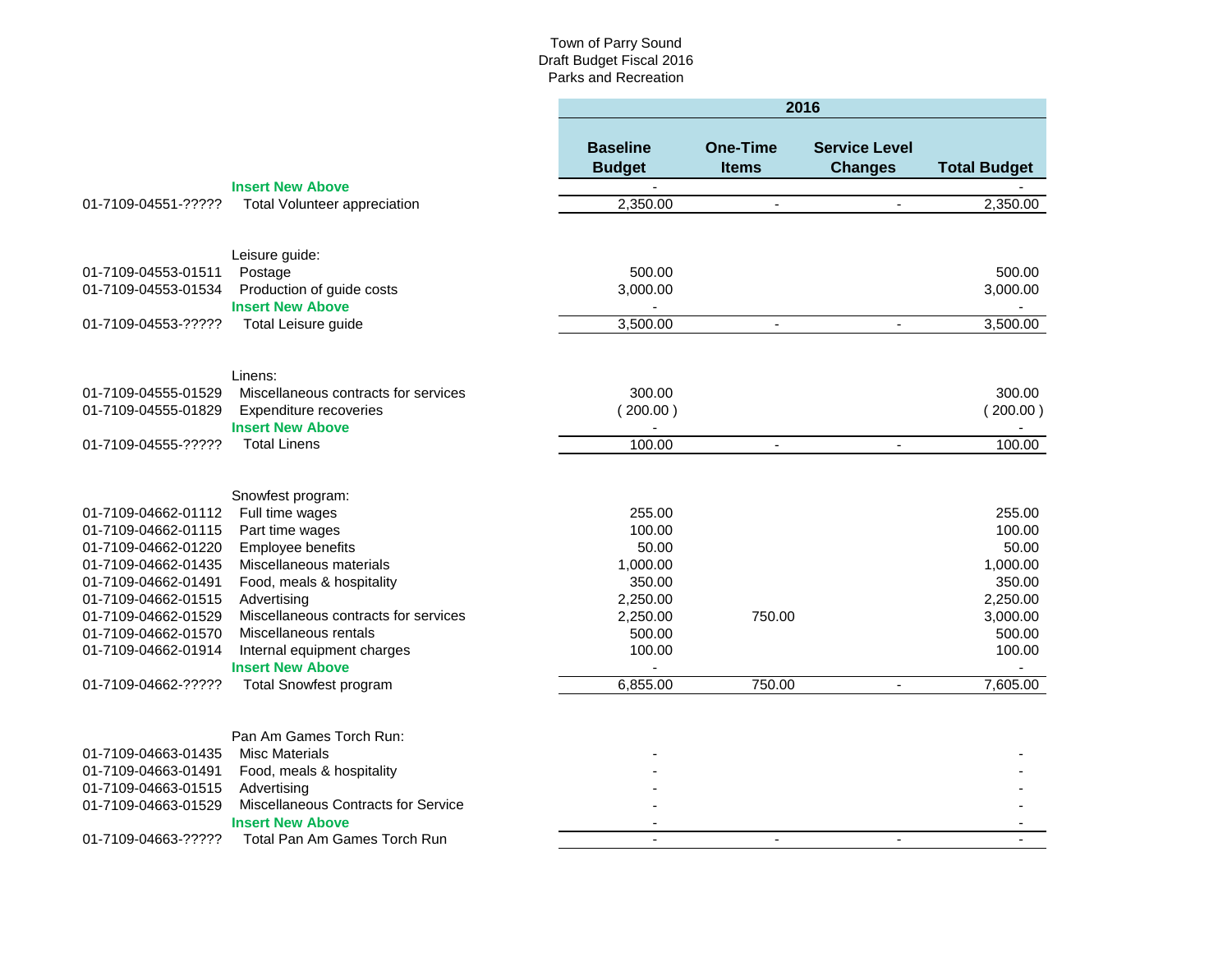|                                            |                                                    | 2016                             |                                 |                                        |                     |  |
|--------------------------------------------|----------------------------------------------------|----------------------------------|---------------------------------|----------------------------------------|---------------------|--|
|                                            |                                                    | <b>Baseline</b><br><b>Budget</b> | <b>One-Time</b><br><b>Items</b> | <b>Service Level</b><br><b>Changes</b> | <b>Total Budget</b> |  |
|                                            | <b>Insert New Above</b>                            | $\blacksquare$                   |                                 |                                        |                     |  |
| 01-7109-04551-?????                        | <b>Total Volunteer appreciation</b>                | 2,350.00                         | $\blacksquare$                  | $\blacksquare$                         | 2,350.00            |  |
|                                            |                                                    |                                  |                                 |                                        |                     |  |
|                                            | Leisure guide:                                     |                                  |                                 |                                        |                     |  |
| 01-7109-04553-01511                        | Postage                                            | 500.00                           |                                 |                                        | 500.00              |  |
| 01-7109-04553-01534                        | Production of guide costs                          | 3,000.00                         |                                 |                                        | 3,000.00            |  |
|                                            | <b>Insert New Above</b>                            | $\blacksquare$                   |                                 |                                        |                     |  |
| 01-7109-04553-?????                        | Total Leisure guide                                | 3,500.00                         | $\blacksquare$                  | $\blacksquare$                         | 3,500.00            |  |
|                                            | Linens:                                            |                                  |                                 |                                        |                     |  |
| 01-7109-04555-01529                        | Miscellaneous contracts for services               | 300.00                           |                                 |                                        | 300.00              |  |
| 01-7109-04555-01829                        | Expenditure recoveries                             | (200.00)                         |                                 |                                        | $200.00$ )          |  |
|                                            | <b>Insert New Above</b>                            | $\blacksquare$                   |                                 |                                        |                     |  |
| 01-7109-04555-?????                        | <b>Total Linens</b>                                | 100.00                           | $\blacksquare$                  | $\blacksquare$                         | 100.00              |  |
|                                            |                                                    |                                  |                                 |                                        |                     |  |
|                                            | Snowfest program:                                  |                                  |                                 |                                        |                     |  |
| 01-7109-04662-01112                        | Full time wages                                    | 255.00                           |                                 |                                        | 255.00              |  |
| 01-7109-04662-01115                        | Part time wages                                    | 100.00                           |                                 |                                        | 100.00              |  |
| 01-7109-04662-01220                        | Employee benefits                                  | 50.00                            |                                 |                                        | 50.00               |  |
| 01-7109-04662-01435                        | Miscellaneous materials                            | 1,000.00                         |                                 |                                        | 1,000.00            |  |
| 01-7109-04662-01491                        | Food, meals & hospitality                          | 350.00                           |                                 |                                        | 350.00              |  |
| 01-7109-04662-01515                        | Advertising                                        | 2,250.00                         |                                 |                                        | 2,250.00            |  |
| 01-7109-04662-01529                        | Miscellaneous contracts for services               | 2,250.00                         | 750.00                          |                                        | 3,000.00            |  |
| 01-7109-04662-01570                        | Miscellaneous rentals                              | 500.00                           |                                 |                                        | 500.00              |  |
| 01-7109-04662-01914                        | Internal equipment charges                         | 100.00                           |                                 |                                        | 100.00              |  |
|                                            | <b>Insert New Above</b>                            |                                  |                                 |                                        |                     |  |
| 01-7109-04662-?????                        | <b>Total Snowfest program</b>                      | 6,855.00                         | 750.00                          | $\blacksquare$                         | 7,605.00            |  |
|                                            |                                                    |                                  |                                 |                                        |                     |  |
|                                            | Pan Am Games Torch Run:                            |                                  |                                 |                                        |                     |  |
| 01-7109-04663-01435<br>01-7109-04663-01491 | <b>Misc Materials</b><br>Food, meals & hospitality |                                  |                                 |                                        |                     |  |
| 01-7109-04663-01515                        | Advertising                                        |                                  |                                 |                                        |                     |  |
| 01-7109-04663-01529                        | Miscellaneous Contracts for Service                |                                  |                                 |                                        |                     |  |
|                                            | <b>Insert New Above</b>                            |                                  |                                 |                                        |                     |  |
| 01-7109-04663-?????                        | Total Pan Am Games Torch Run                       |                                  | $\blacksquare$                  | $\blacksquare$                         |                     |  |
|                                            |                                                    |                                  |                                 |                                        |                     |  |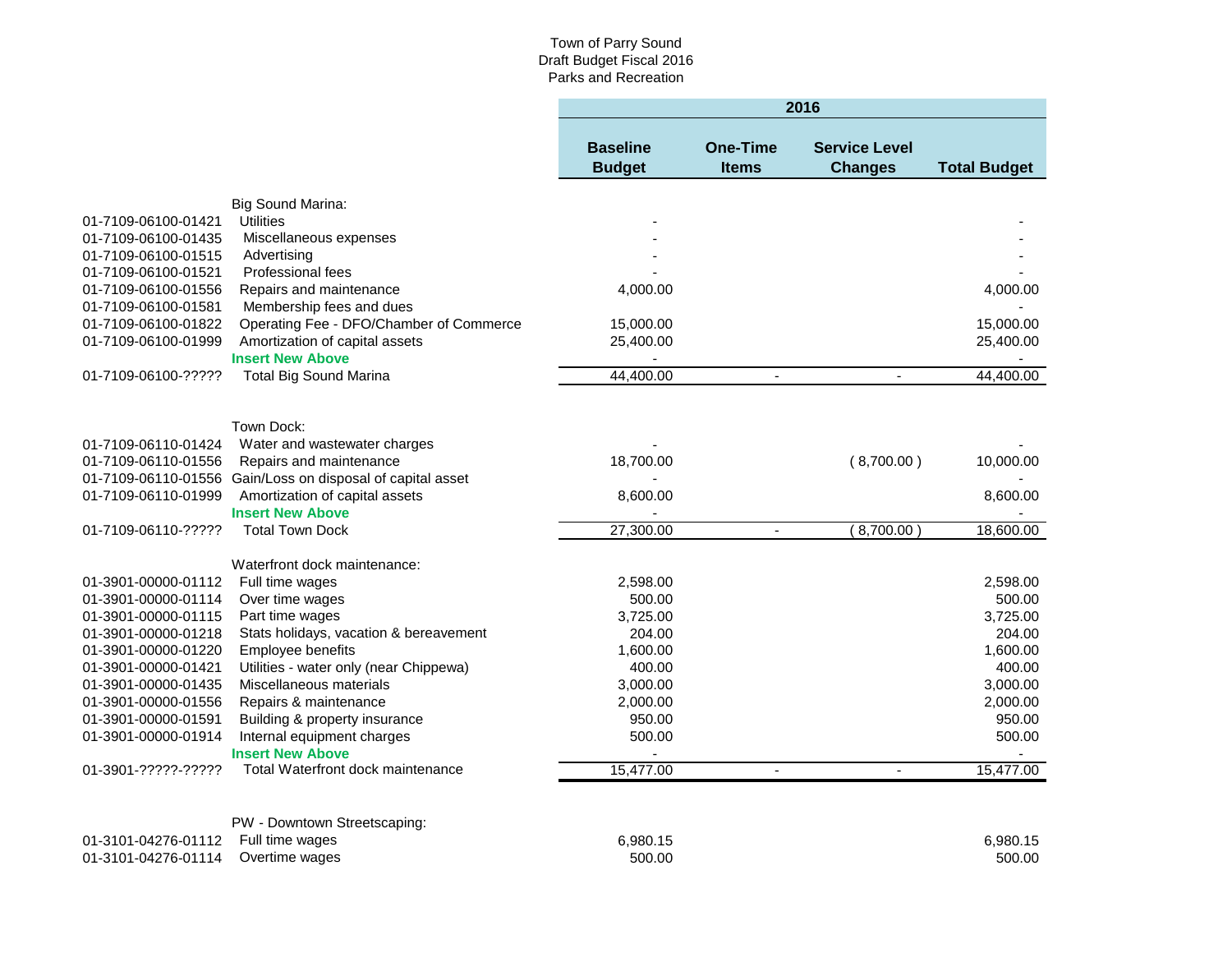|                     |                                                            |                                  |                                 | 2016                                   |                     |
|---------------------|------------------------------------------------------------|----------------------------------|---------------------------------|----------------------------------------|---------------------|
|                     |                                                            | <b>Baseline</b><br><b>Budget</b> | <b>One-Time</b><br><b>Items</b> | <b>Service Level</b><br><b>Changes</b> | <b>Total Budget</b> |
|                     | Big Sound Marina:                                          |                                  |                                 |                                        |                     |
| 01-7109-06100-01421 | <b>Utilities</b>                                           |                                  |                                 |                                        |                     |
| 01-7109-06100-01435 | Miscellaneous expenses                                     |                                  |                                 |                                        |                     |
| 01-7109-06100-01515 | Advertising                                                |                                  |                                 |                                        |                     |
| 01-7109-06100-01521 | Professional fees                                          |                                  |                                 |                                        |                     |
| 01-7109-06100-01556 | Repairs and maintenance                                    | 4,000.00                         |                                 |                                        | 4,000.00            |
| 01-7109-06100-01581 | Membership fees and dues                                   |                                  |                                 |                                        |                     |
| 01-7109-06100-01822 | Operating Fee - DFO/Chamber of Commerce                    | 15,000.00                        |                                 |                                        | 15,000.00           |
| 01-7109-06100-01999 | Amortization of capital assets                             | 25,400.00                        |                                 |                                        | 25,400.00           |
|                     | <b>Insert New Above</b>                                    |                                  |                                 |                                        |                     |
| 01-7109-06100-????? | <b>Total Big Sound Marina</b>                              | 44,400.00                        | $\overline{a}$                  | $\overline{a}$                         | 44,400.00           |
|                     |                                                            |                                  |                                 |                                        |                     |
|                     | Town Dock:                                                 |                                  |                                 |                                        |                     |
| 01-7109-06110-01424 | Water and wastewater charges                               |                                  |                                 |                                        |                     |
| 01-7109-06110-01556 | Repairs and maintenance                                    | 18,700.00                        |                                 | (8,700.00)                             | 10,000.00           |
|                     | 01-7109-06110-01556 Gain/Loss on disposal of capital asset |                                  |                                 |                                        |                     |
| 01-7109-06110-01999 | Amortization of capital assets                             | 8,600.00                         |                                 |                                        | 8,600.00            |
|                     | <b>Insert New Above</b>                                    |                                  |                                 |                                        |                     |
| 01-7109-06110-????? | <b>Total Town Dock</b>                                     | 27,300.00                        | $\overline{\phantom{a}}$        | (8,700.00)                             | 18,600.00           |
|                     | Waterfront dock maintenance:                               |                                  |                                 |                                        |                     |
| 01-3901-00000-01112 | Full time wages                                            | 2,598.00                         |                                 |                                        | 2,598.00            |
| 01-3901-00000-01114 | Over time wages                                            | 500.00                           |                                 |                                        | 500.00              |
| 01-3901-00000-01115 | Part time wages                                            | 3,725.00                         |                                 |                                        | 3,725.00            |
| 01-3901-00000-01218 | Stats holidays, vacation & bereavement                     | 204.00                           |                                 |                                        | 204.00              |
| 01-3901-00000-01220 | Employee benefits                                          | 1,600.00                         |                                 |                                        | 1,600.00            |
| 01-3901-00000-01421 | Utilities - water only (near Chippewa)                     | 400.00                           |                                 |                                        | 400.00              |
| 01-3901-00000-01435 | Miscellaneous materials                                    | 3,000.00                         |                                 |                                        | 3,000.00            |
| 01-3901-00000-01556 | Repairs & maintenance                                      | 2,000.00                         |                                 |                                        | 2,000.00            |
| 01-3901-00000-01591 | Building & property insurance                              | 950.00                           |                                 |                                        | 950.00              |
| 01-3901-00000-01914 | Internal equipment charges                                 | 500.00                           |                                 |                                        | 500.00              |
|                     | <b>Insert New Above</b>                                    |                                  |                                 |                                        |                     |
| 01-3901-?????-????? | Total Waterfront dock maintenance                          | 15,477.00                        | $\blacksquare$                  | $\mathbf{r}$                           | 15,477.00           |
|                     |                                                            |                                  |                                 |                                        |                     |
|                     | PW - Downtown Streetscaping:                               |                                  |                                 |                                        |                     |
| 01-3101-04276-01112 | Full time wages                                            | 6,980.15                         |                                 |                                        | 6,980.15            |
| 01-3101-04276-01114 | Overtime wages                                             | 500.00                           |                                 |                                        | 500.00              |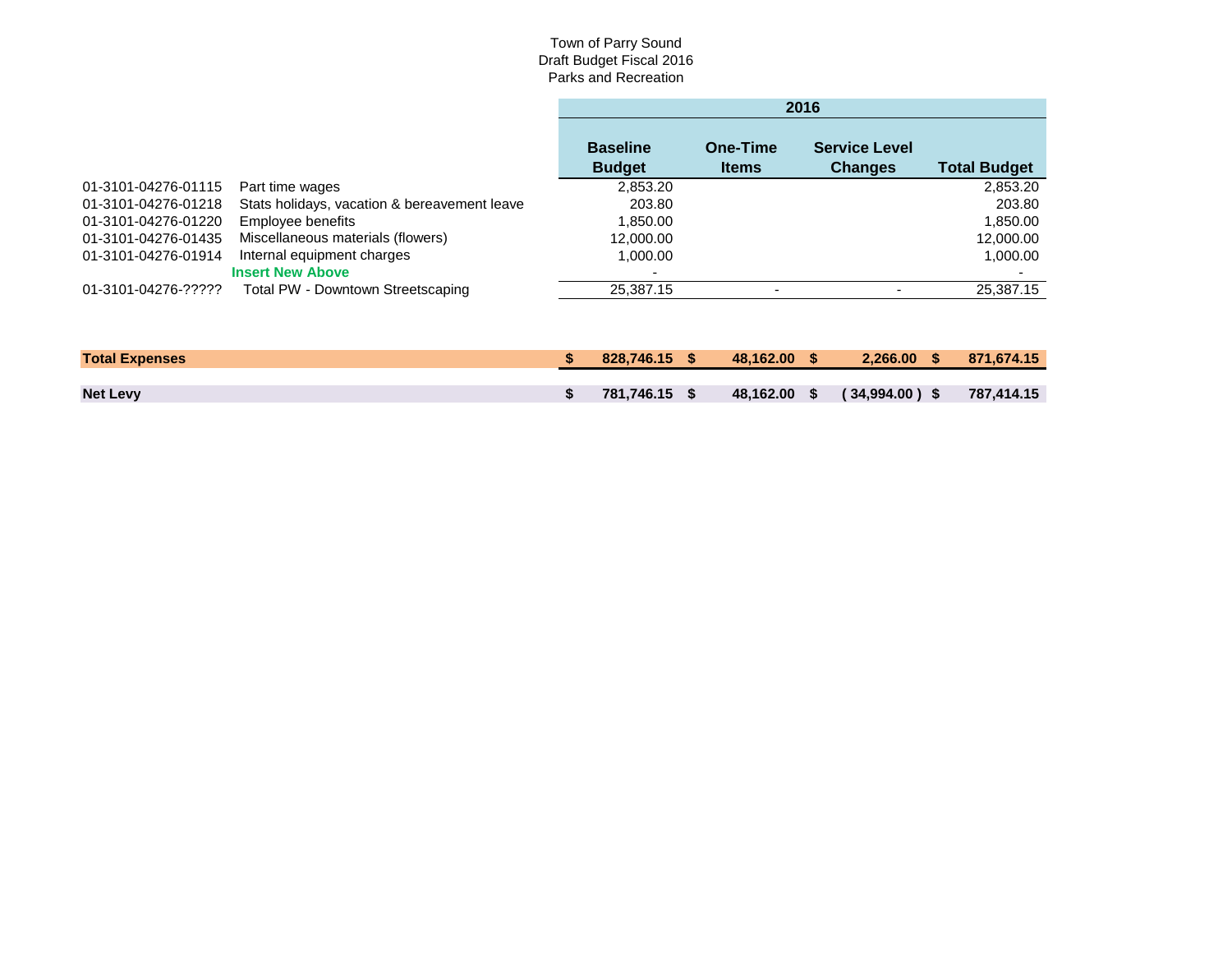|                     |                                              | 2016                             |                          |                                        |                     |  |  |
|---------------------|----------------------------------------------|----------------------------------|--------------------------|----------------------------------------|---------------------|--|--|
|                     |                                              | <b>Baseline</b><br><b>Budget</b> | One-Time<br><b>Items</b> | <b>Service Level</b><br><b>Changes</b> | <b>Total Budget</b> |  |  |
| 01-3101-04276-01115 | Part time wages                              | 2,853.20                         |                          |                                        | 2,853.20            |  |  |
| 01-3101-04276-01218 | Stats holidays, vacation & bereavement leave | 203.80                           |                          |                                        | 203.80              |  |  |
| 01-3101-04276-01220 | Employee benefits                            | 1,850.00                         |                          |                                        | 1,850.00            |  |  |
| 01-3101-04276-01435 | Miscellaneous materials (flowers)            | 12,000.00                        |                          |                                        | 12,000.00           |  |  |
| 01-3101-04276-01914 | Internal equipment charges                   | 1,000.00                         |                          |                                        | 1,000.00            |  |  |
|                     | <b>Insert New Above</b>                      |                                  |                          |                                        |                     |  |  |
| 01-3101-04276-????? | Total PW - Downtown Streetscaping            | 25,387.15                        |                          |                                        | 25.387.15           |  |  |

| <b>Total Expenses</b> | $828.746.15$ \$ | 48.162.00 S | $2.266,00$ \$               | 871.674.15 |
|-----------------------|-----------------|-------------|-----------------------------|------------|
|                       |                 |             |                             |            |
| <b>Net Levy</b>       | 781.746.15 \$   |             | 48,162.00 \$ (34,994.00) \$ | 787.414.15 |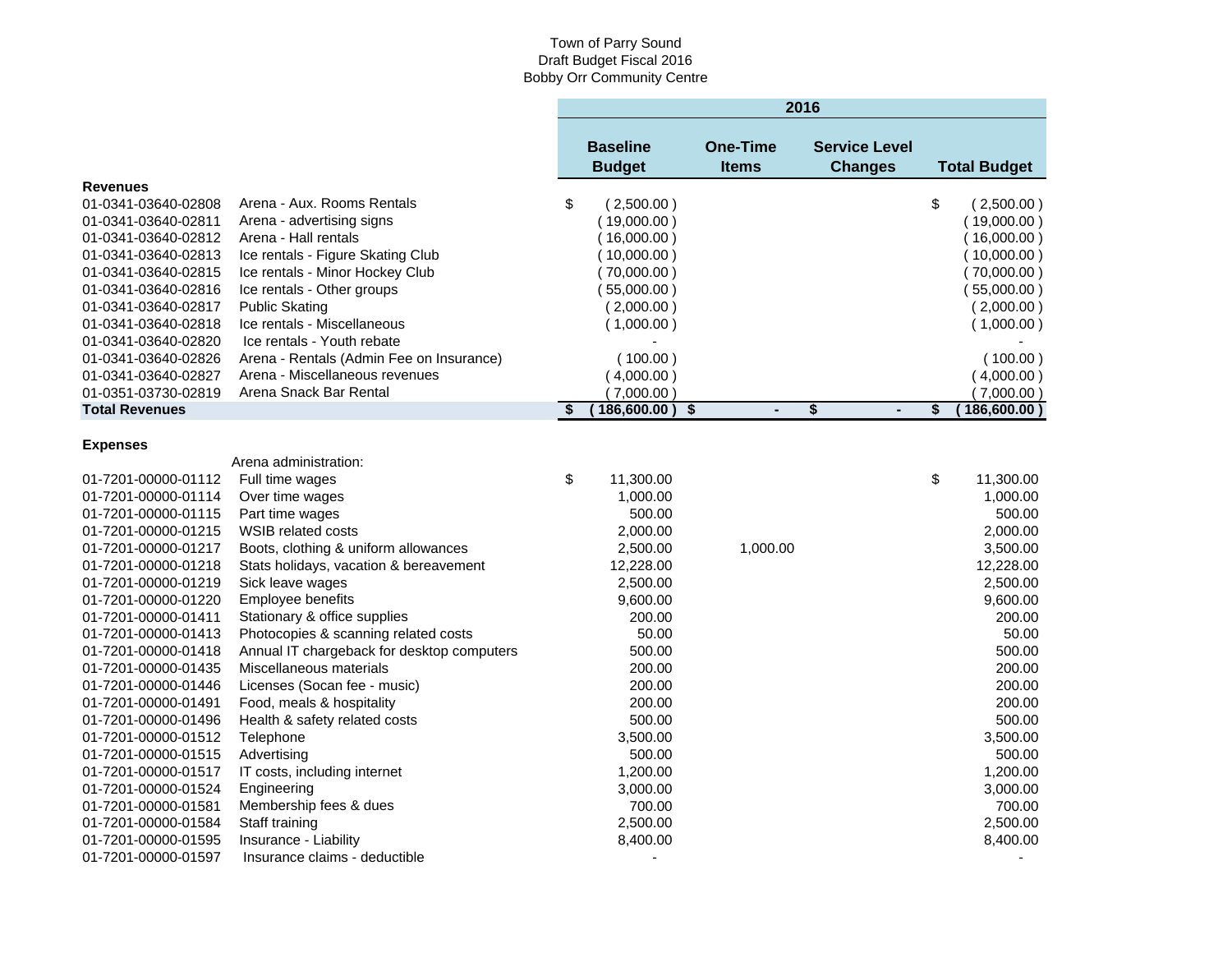|                       |                                            |                                  |                                 | 2016                                   |                     |
|-----------------------|--------------------------------------------|----------------------------------|---------------------------------|----------------------------------------|---------------------|
|                       |                                            | <b>Baseline</b><br><b>Budget</b> | <b>One-Time</b><br><b>Items</b> | <b>Service Level</b><br><b>Changes</b> | <b>Total Budget</b> |
| <b>Revenues</b>       |                                            |                                  |                                 |                                        |                     |
| 01-0341-03640-02808   | Arena - Aux. Rooms Rentals                 | \$<br>(2,500.00)                 |                                 |                                        | \$<br>(2,500.00)    |
| 01-0341-03640-02811   | Arena - advertising signs                  | (19,000.00)                      |                                 |                                        | (19,000.00)         |
| 01-0341-03640-02812   | Arena - Hall rentals                       | (16,000.00)                      |                                 |                                        | (16,000.00)         |
| 01-0341-03640-02813   | Ice rentals - Figure Skating Club          | 10,000.00)                       |                                 |                                        | (10,000.00)         |
| 01-0341-03640-02815   | Ice rentals - Minor Hockey Club            | (70,000.00)                      |                                 |                                        | (70,000.00)         |
| 01-0341-03640-02816   | Ice rentals - Other groups                 | (55,000.00)                      |                                 |                                        | (55,000.00)         |
| 01-0341-03640-02817   | <b>Public Skating</b>                      | (2,000.00)                       |                                 |                                        | (2,000.00)          |
| 01-0341-03640-02818   | Ice rentals - Miscellaneous                | (1,000.00)                       |                                 |                                        | (1,000.00)          |
| 01-0341-03640-02820   | Ice rentals - Youth rebate                 |                                  |                                 |                                        |                     |
| 01-0341-03640-02826   | Arena - Rentals (Admin Fee on Insurance)   | (100.00)                         |                                 |                                        | (100.00)            |
| 01-0341-03640-02827   | Arena - Miscellaneous revenues             | (4,000.00)                       |                                 |                                        | (4,000.00)          |
| 01-0351-03730-02819   | Arena Snack Bar Rental                     | (7,000.00)                       |                                 |                                        | (7,000.00)          |
| <b>Total Revenues</b> |                                            | \$<br>186,600.00)                | \$<br>$\blacksquare$            | \$<br>$\blacksquare$                   | \$<br>186,600.00    |
| <b>Expenses</b>       |                                            |                                  |                                 |                                        |                     |
|                       | Arena administration:                      |                                  |                                 |                                        |                     |
| 01-7201-00000-01112   | Full time wages                            | \$<br>11,300.00                  |                                 |                                        | \$<br>11,300.00     |
| 01-7201-00000-01114   | Over time wages                            | 1,000.00                         |                                 |                                        | 1,000.00            |
| 01-7201-00000-01115   | Part time wages                            | 500.00                           |                                 |                                        | 500.00              |
| 01-7201-00000-01215   | WSIB related costs                         | 2,000.00                         |                                 |                                        | 2,000.00            |
| 01-7201-00000-01217   | Boots, clothing & uniform allowances       | 2,500.00                         | 1,000.00                        |                                        | 3,500.00            |
| 01-7201-00000-01218   | Stats holidays, vacation & bereavement     | 12,228.00                        |                                 |                                        | 12,228.00           |
| 01-7201-00000-01219   | Sick leave wages                           | 2,500.00                         |                                 |                                        | 2,500.00            |
| 01-7201-00000-01220   | Employee benefits                          | 9,600.00                         |                                 |                                        | 9,600.00            |
| 01-7201-00000-01411   | Stationary & office supplies               | 200.00                           |                                 |                                        | 200.00              |
| 01-7201-00000-01413   | Photocopies & scanning related costs       | 50.00                            |                                 |                                        | 50.00               |
| 01-7201-00000-01418   | Annual IT chargeback for desktop computers | 500.00                           |                                 |                                        | 500.00              |
| 01-7201-00000-01435   | Miscellaneous materials                    | 200.00                           |                                 |                                        | 200.00              |
| 01-7201-00000-01446   | Licenses (Socan fee - music)               | 200.00                           |                                 |                                        | 200.00              |
| 01-7201-00000-01491   | Food, meals & hospitality                  | 200.00                           |                                 |                                        | 200.00              |
| 01-7201-00000-01496   | Health & safety related costs              | 500.00                           |                                 |                                        | 500.00              |
| 01-7201-00000-01512   | Telephone                                  | 3,500.00                         |                                 |                                        | 3,500.00            |
| 01-7201-00000-01515   | Advertising                                | 500.00                           |                                 |                                        | 500.00              |
| 01-7201-00000-01517   | IT costs, including internet               | 1,200.00                         |                                 |                                        | 1,200.00            |
| 01-7201-00000-01524   | Engineering                                | 3,000.00                         |                                 |                                        | 3,000.00            |
| 01-7201-00000-01581   | Membership fees & dues                     | 700.00                           |                                 |                                        | 700.00              |
| 01-7201-00000-01584   | Staff training                             | 2,500.00                         |                                 |                                        | 2,500.00            |
| 01-7201-00000-01595   | Insurance - Liability                      | 8,400.00                         |                                 |                                        | 8,400.00            |
| 01-7201-00000-01597   | Insurance claims - deductible              |                                  |                                 |                                        |                     |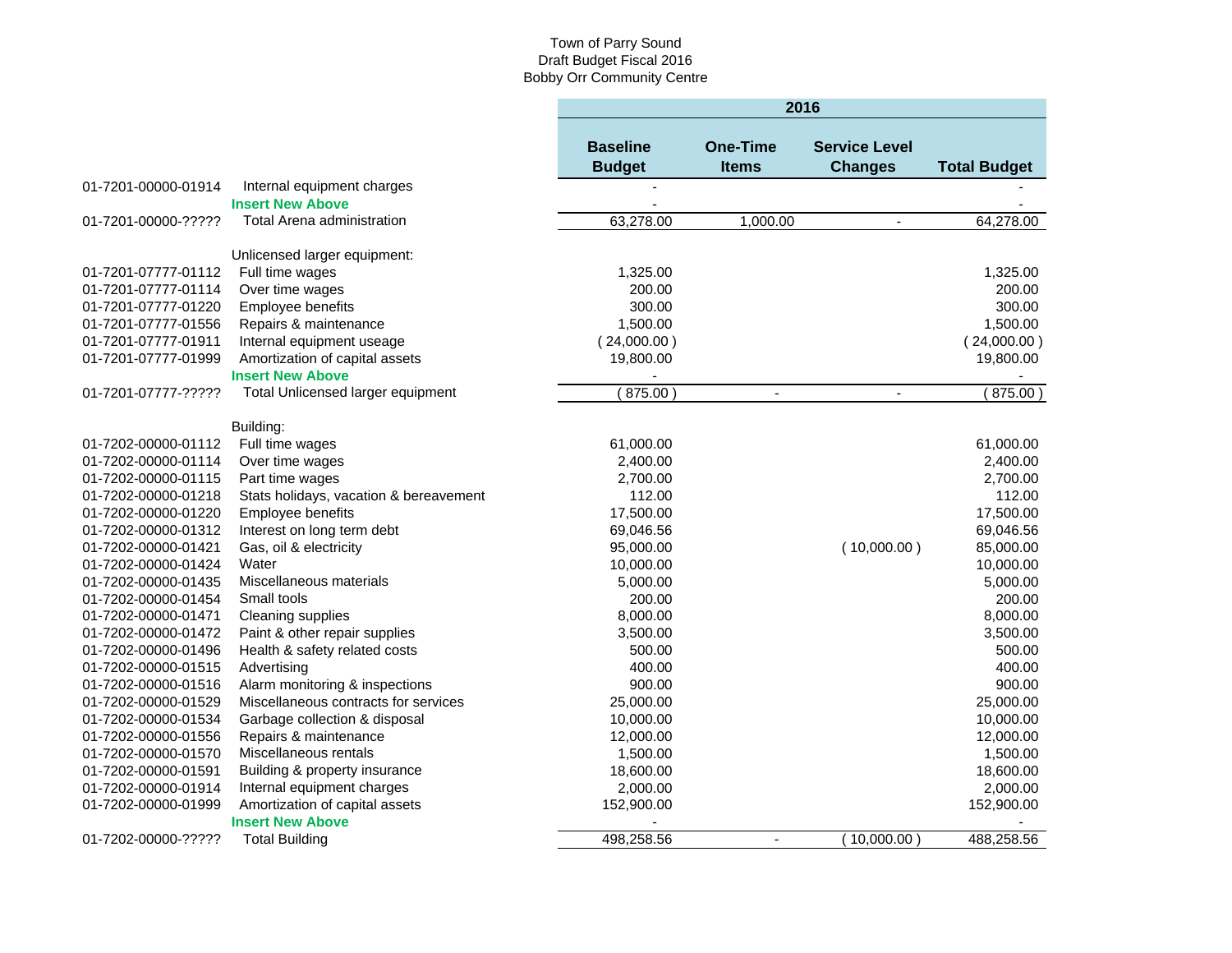|                     |                                        | 2016                             |                                 |                                        |                     |  |  |  |
|---------------------|----------------------------------------|----------------------------------|---------------------------------|----------------------------------------|---------------------|--|--|--|
|                     |                                        | <b>Baseline</b><br><b>Budget</b> | <b>One-Time</b><br><b>Items</b> | <b>Service Level</b><br><b>Changes</b> | <b>Total Budget</b> |  |  |  |
| 01-7201-00000-01914 | Internal equipment charges             |                                  |                                 |                                        |                     |  |  |  |
|                     | <b>Insert New Above</b>                |                                  |                                 |                                        |                     |  |  |  |
| 01-7201-00000-????? | <b>Total Arena administration</b>      | 63,278.00                        | 1,000.00                        | $\blacksquare$                         | 64,278.00           |  |  |  |
|                     |                                        |                                  |                                 |                                        |                     |  |  |  |
|                     | Unlicensed larger equipment:           |                                  |                                 |                                        |                     |  |  |  |
| 01-7201-07777-01112 | Full time wages                        | 1,325.00                         |                                 |                                        | 1,325.00            |  |  |  |
| 01-7201-07777-01114 | Over time wages                        | 200.00                           |                                 |                                        | 200.00              |  |  |  |
| 01-7201-07777-01220 | Employee benefits                      | 300.00                           |                                 |                                        | 300.00              |  |  |  |
| 01-7201-07777-01556 | Repairs & maintenance                  | 1,500.00                         |                                 |                                        | 1,500.00            |  |  |  |
| 01-7201-07777-01911 | Internal equipment useage              | (24,000.00)                      |                                 |                                        | (24,000.00)         |  |  |  |
| 01-7201-07777-01999 | Amortization of capital assets         | 19,800.00                        |                                 |                                        | 19,800.00           |  |  |  |
|                     | <b>Insert New Above</b>                |                                  |                                 |                                        |                     |  |  |  |
| 01-7201-07777-????? | Total Unlicensed larger equipment      | (875.00)                         | $\blacksquare$                  | $\blacksquare$                         | 875.00)             |  |  |  |
|                     |                                        |                                  |                                 |                                        |                     |  |  |  |
|                     | Building:                              |                                  |                                 |                                        |                     |  |  |  |
| 01-7202-00000-01112 | Full time wages                        | 61,000.00                        |                                 |                                        | 61,000.00           |  |  |  |
| 01-7202-00000-01114 | Over time wages                        | 2,400.00                         |                                 |                                        | 2,400.00            |  |  |  |
| 01-7202-00000-01115 | Part time wages                        | 2,700.00                         |                                 |                                        | 2,700.00            |  |  |  |
| 01-7202-00000-01218 | Stats holidays, vacation & bereavement | 112.00                           |                                 |                                        | 112.00              |  |  |  |
| 01-7202-00000-01220 | Employee benefits                      | 17,500.00                        |                                 |                                        | 17,500.00           |  |  |  |
| 01-7202-00000-01312 | Interest on long term debt             | 69,046.56                        |                                 |                                        | 69,046.56           |  |  |  |
| 01-7202-00000-01421 | Gas, oil & electricity                 | 95,000.00                        |                                 | (10,000.00)                            | 85,000.00           |  |  |  |
| 01-7202-00000-01424 | Water                                  | 10,000.00                        |                                 |                                        | 10,000.00           |  |  |  |
| 01-7202-00000-01435 | Miscellaneous materials                | 5,000.00                         |                                 |                                        | 5,000.00            |  |  |  |
| 01-7202-00000-01454 | Small tools                            | 200.00                           |                                 |                                        | 200.00              |  |  |  |
| 01-7202-00000-01471 | Cleaning supplies                      | 8,000.00                         |                                 |                                        | 8,000.00            |  |  |  |
| 01-7202-00000-01472 | Paint & other repair supplies          | 3,500.00                         |                                 |                                        | 3,500.00            |  |  |  |
| 01-7202-00000-01496 | Health & safety related costs          | 500.00                           |                                 |                                        | 500.00              |  |  |  |
| 01-7202-00000-01515 | Advertising                            | 400.00                           |                                 |                                        | 400.00              |  |  |  |
| 01-7202-00000-01516 | Alarm monitoring & inspections         | 900.00                           |                                 |                                        | 900.00              |  |  |  |
| 01-7202-00000-01529 | Miscellaneous contracts for services   | 25,000.00                        |                                 |                                        | 25,000.00           |  |  |  |
| 01-7202-00000-01534 | Garbage collection & disposal          | 10,000.00                        |                                 |                                        | 10,000.00           |  |  |  |
| 01-7202-00000-01556 | Repairs & maintenance                  | 12,000.00                        |                                 |                                        | 12,000.00           |  |  |  |
| 01-7202-00000-01570 | Miscellaneous rentals                  | 1,500.00                         |                                 |                                        | 1,500.00            |  |  |  |
| 01-7202-00000-01591 | Building & property insurance          | 18,600.00                        |                                 |                                        | 18,600.00           |  |  |  |
| 01-7202-00000-01914 | Internal equipment charges             | 2,000.00                         |                                 |                                        | 2,000.00            |  |  |  |
| 01-7202-00000-01999 | Amortization of capital assets         | 152,900.00                       |                                 |                                        | 152,900.00          |  |  |  |
|                     | <b>Insert New Above</b>                |                                  |                                 |                                        |                     |  |  |  |
| 01-7202-00000-????? | <b>Total Building</b>                  | 498,258.56                       |                                 | (10,000.00)                            | 488,258.56          |  |  |  |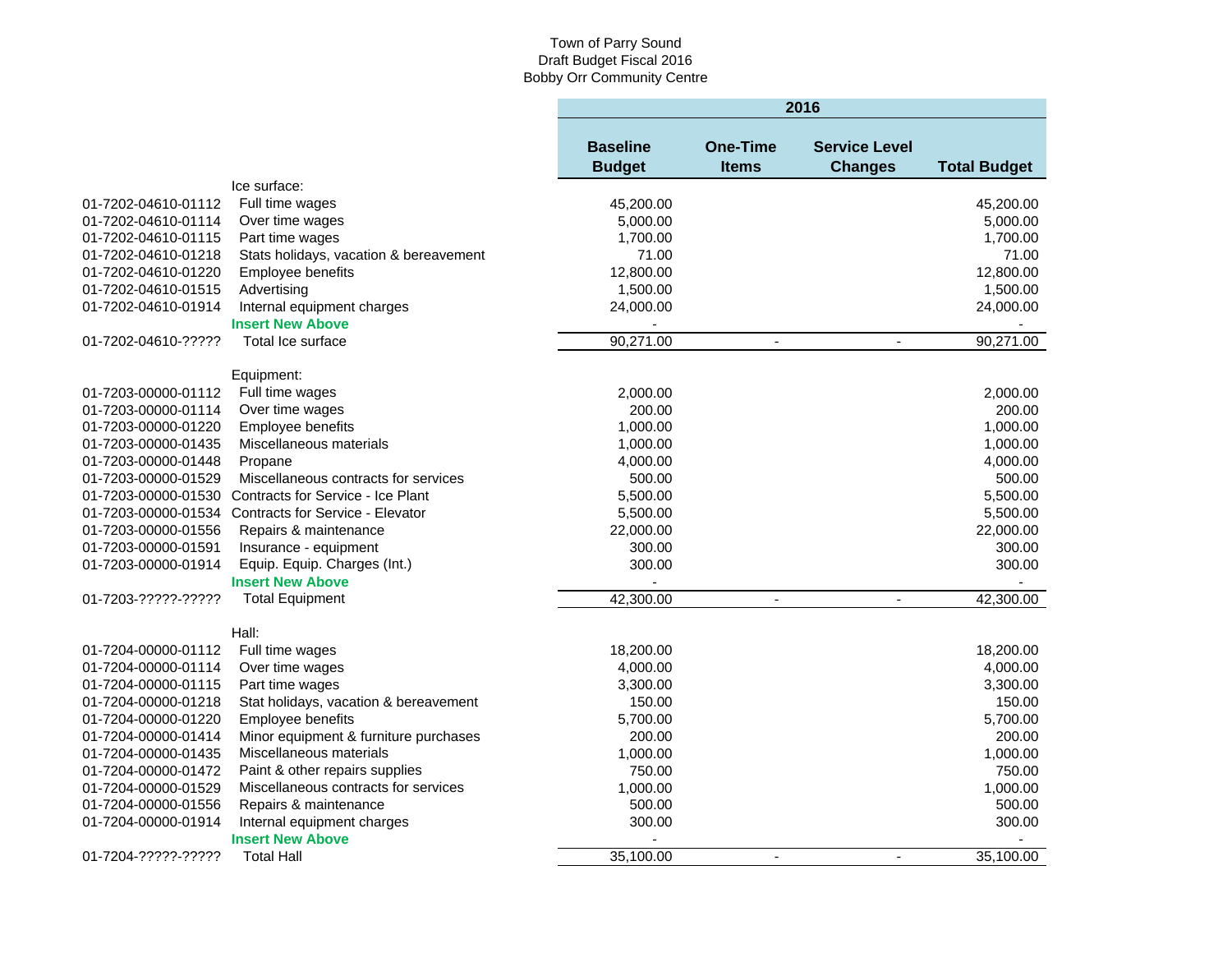|                     |                                         | 2016                             |                                 |                                        |                     |  |
|---------------------|-----------------------------------------|----------------------------------|---------------------------------|----------------------------------------|---------------------|--|
|                     |                                         | <b>Baseline</b><br><b>Budget</b> | <b>One-Time</b><br><b>Items</b> | <b>Service Level</b><br><b>Changes</b> | <b>Total Budget</b> |  |
|                     | Ice surface:                            |                                  |                                 |                                        |                     |  |
| 01-7202-04610-01112 | Full time wages                         | 45,200.00                        |                                 |                                        | 45,200.00           |  |
| 01-7202-04610-01114 | Over time wages                         | 5,000.00                         |                                 |                                        | 5,000.00            |  |
| 01-7202-04610-01115 | Part time wages                         | 1,700.00                         |                                 |                                        | 1,700.00            |  |
| 01-7202-04610-01218 | Stats holidays, vacation & bereavement  | 71.00                            |                                 |                                        | 71.00               |  |
| 01-7202-04610-01220 | Employee benefits                       | 12,800.00                        |                                 |                                        | 12,800.00           |  |
| 01-7202-04610-01515 | Advertising                             | 1,500.00                         |                                 |                                        | 1,500.00            |  |
| 01-7202-04610-01914 | Internal equipment charges              | 24,000.00                        |                                 |                                        | 24,000.00           |  |
|                     | <b>Insert New Above</b>                 |                                  |                                 |                                        |                     |  |
| 01-7202-04610-????? | Total Ice surface                       | 90,271.00                        | $\blacksquare$                  | $\blacksquare$                         | 90,271.00           |  |
|                     | Equipment:                              |                                  |                                 |                                        |                     |  |
| 01-7203-00000-01112 | Full time wages                         | 2,000.00                         |                                 |                                        | 2,000.00            |  |
| 01-7203-00000-01114 | Over time wages                         | 200.00                           |                                 |                                        | 200.00              |  |
| 01-7203-00000-01220 | Employee benefits                       | 1,000.00                         |                                 |                                        | 1,000.00            |  |
| 01-7203-00000-01435 | Miscellaneous materials                 | 1,000.00                         |                                 |                                        | 1,000.00            |  |
| 01-7203-00000-01448 | Propane                                 | 4,000.00                         |                                 |                                        | 4,000.00            |  |
| 01-7203-00000-01529 | Miscellaneous contracts for services    | 500.00                           |                                 |                                        | 500.00              |  |
| 01-7203-00000-01530 | Contracts for Service - Ice Plant       | 5,500.00                         |                                 |                                        | 5,500.00            |  |
| 01-7203-00000-01534 | <b>Contracts for Service - Elevator</b> | 5,500.00                         |                                 |                                        | 5,500.00            |  |
| 01-7203-00000-01556 | Repairs & maintenance                   | 22,000.00                        |                                 |                                        | 22,000.00           |  |
| 01-7203-00000-01591 | Insurance - equipment                   | 300.00                           |                                 |                                        | 300.00              |  |
| 01-7203-00000-01914 | Equip. Equip. Charges (Int.)            | 300.00                           |                                 |                                        | 300.00              |  |
|                     | <b>Insert New Above</b>                 |                                  |                                 |                                        |                     |  |
| 01-7203-?????-????? | <b>Total Equipment</b>                  | 42,300.00                        | $\sim$                          | $\overline{a}$                         | 42,300.00           |  |
|                     | Hall:                                   |                                  |                                 |                                        |                     |  |
| 01-7204-00000-01112 | Full time wages                         | 18,200.00                        |                                 |                                        | 18,200.00           |  |
| 01-7204-00000-01114 | Over time wages                         | 4,000.00                         |                                 |                                        | 4,000.00            |  |
| 01-7204-00000-01115 | Part time wages                         | 3,300.00                         |                                 |                                        | 3,300.00            |  |
| 01-7204-00000-01218 | Stat holidays, vacation & bereavement   | 150.00                           |                                 |                                        | 150.00              |  |
| 01-7204-00000-01220 | Employee benefits                       | 5,700.00                         |                                 |                                        | 5,700.00            |  |
| 01-7204-00000-01414 | Minor equipment & furniture purchases   | 200.00                           |                                 |                                        | 200.00              |  |
| 01-7204-00000-01435 | Miscellaneous materials                 | 1,000.00                         |                                 |                                        | 1,000.00            |  |
| 01-7204-00000-01472 | Paint & other repairs supplies          | 750.00                           |                                 |                                        | 750.00              |  |
| 01-7204-00000-01529 | Miscellaneous contracts for services    | 1,000.00                         |                                 |                                        | 1,000.00            |  |
| 01-7204-00000-01556 | Repairs & maintenance                   | 500.00                           |                                 |                                        | 500.00              |  |
| 01-7204-00000-01914 | Internal equipment charges              | 300.00                           |                                 |                                        | 300.00              |  |
|                     | <b>Insert New Above</b>                 |                                  |                                 |                                        |                     |  |
| 01-7204-?????-????? | <b>Total Hall</b>                       | 35,100.00                        | $\blacksquare$                  |                                        | 35,100.00           |  |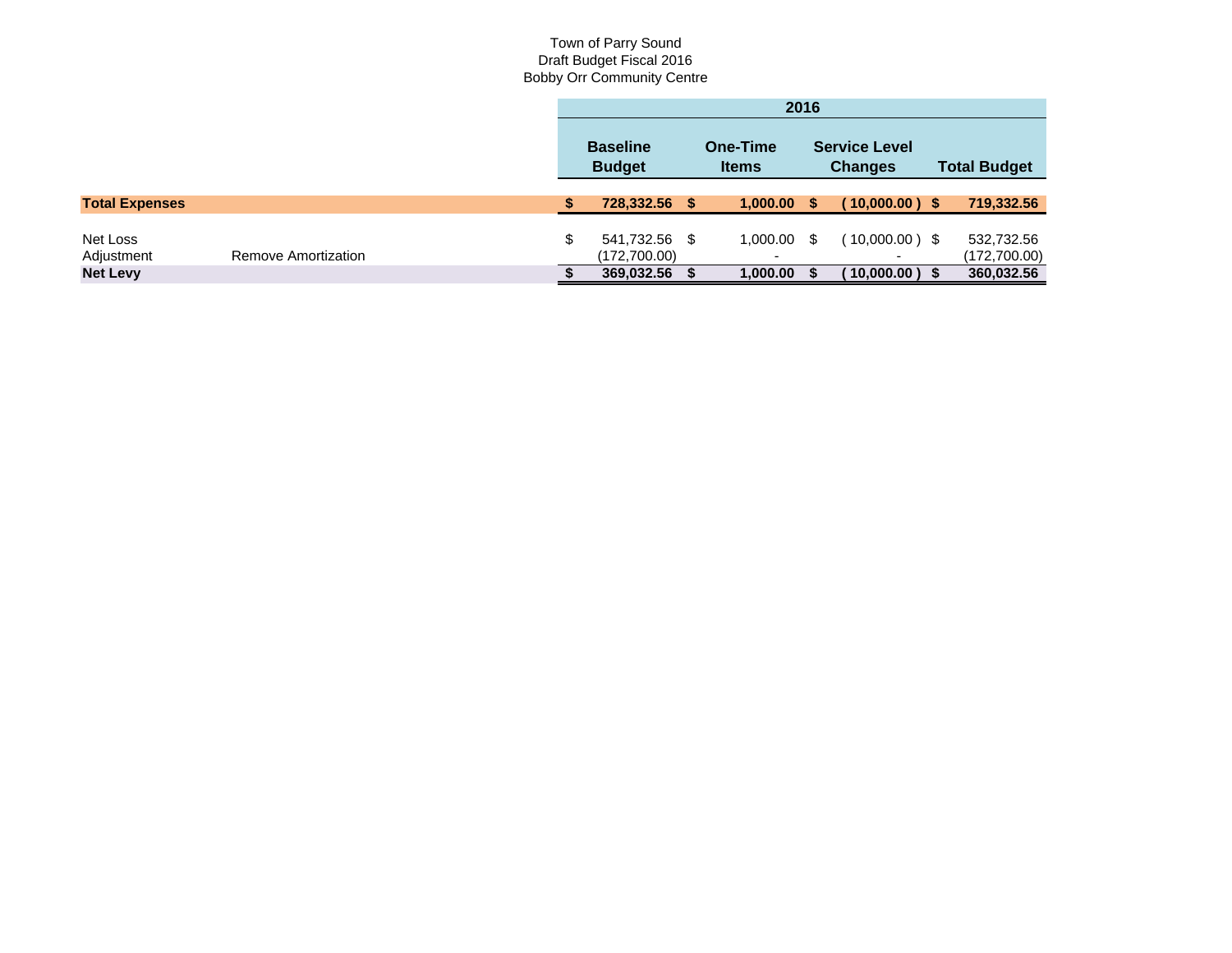|                        |                     | 2016                                |      |                                           |  |                                              |  |                            |
|------------------------|---------------------|-------------------------------------|------|-------------------------------------------|--|----------------------------------------------|--|----------------------------|
|                        |                     | <b>Baseline</b><br><b>Budget</b>    |      | <b>One-Time</b><br><b>Items</b>           |  | <b>Service Level</b><br><b>Changes</b>       |  | <b>Total Budget</b>        |
| <b>Total Expenses</b>  |                     | 728,332.56                          | - \$ | $1,000.00$ \$                             |  | $10,000.00$ ) \$                             |  | 719,332.56                 |
| Net Loss<br>Adjustment | Remove Amortization | \$<br>541,732.56 \$<br>(172,700.00) |      | $1,000.00$ \$<br>$\overline{\phantom{a}}$ |  | $(10,000.00)$ \$<br>$\overline{\phantom{a}}$ |  | 532,732.56<br>(172,700.00) |
| <b>Net Levy</b>        |                     | 369,032.56                          |      | 1,000.00                                  |  | 10,000.00)                                   |  | 360,032.56                 |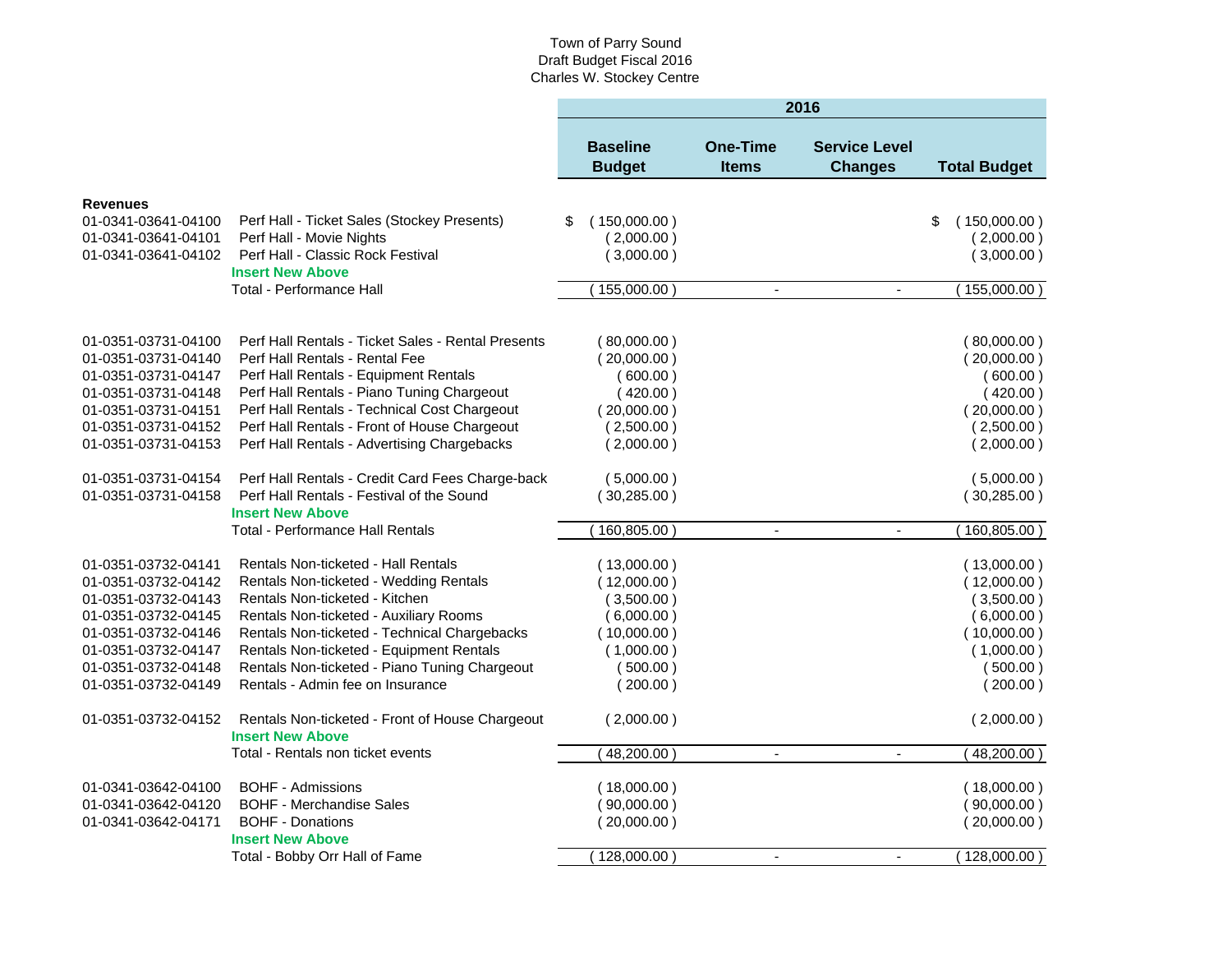|                     |                                                           | 2016 |                                  |                                 |                                        |    |                     |
|---------------------|-----------------------------------------------------------|------|----------------------------------|---------------------------------|----------------------------------------|----|---------------------|
|                     |                                                           |      | <b>Baseline</b><br><b>Budget</b> | <b>One-Time</b><br><b>Items</b> | <b>Service Level</b><br><b>Changes</b> |    | <b>Total Budget</b> |
| <b>Revenues</b>     |                                                           |      |                                  |                                 |                                        |    |                     |
| 01-0341-03641-04100 | Perf Hall - Ticket Sales (Stockey Presents)               | \$   | (150,000.00)                     |                                 |                                        | \$ | (150,000.00)        |
| 01-0341-03641-04101 | Perf Hall - Movie Nights                                  |      | (2,000.00)                       |                                 |                                        |    | (2,000.00)          |
| 01-0341-03641-04102 | Perf Hall - Classic Rock Festival                         |      | (3,000.00)                       |                                 |                                        |    | (3,000.00)          |
|                     | <b>Insert New Above</b>                                   |      |                                  |                                 |                                        |    |                     |
|                     | <b>Total - Performance Hall</b>                           |      | 155,000.00                       | $\overline{\phantom{a}}$        | $\blacksquare$                         |    | 155,000.00)         |
|                     |                                                           |      |                                  |                                 |                                        |    |                     |
| 01-0351-03731-04100 | Perf Hall Rentals - Ticket Sales - Rental Presents        |      | (80,000.00)                      |                                 |                                        |    | (80,000.00)         |
| 01-0351-03731-04140 | Perf Hall Rentals - Rental Fee                            |      | (20,000.00)                      |                                 |                                        |    | (20,000.00)         |
| 01-0351-03731-04147 | Perf Hall Rentals - Equipment Rentals                     |      | (600.00)                         |                                 |                                        |    | (600.00)            |
| 01-0351-03731-04148 | Perf Hall Rentals - Piano Tuning Chargeout                |      | (420.00)                         |                                 |                                        |    | (420.00)            |
| 01-0351-03731-04151 | Perf Hall Rentals - Technical Cost Chargeout              |      | (20,000.00)                      |                                 |                                        |    | (20,000.00)         |
| 01-0351-03731-04152 | Perf Hall Rentals - Front of House Chargeout              |      | (2,500.00)                       |                                 |                                        |    | (2,500.00)          |
| 01-0351-03731-04153 | Perf Hall Rentals - Advertising Chargebacks               |      | (2,000.00)                       |                                 |                                        |    | (2,000.00)          |
| 01-0351-03731-04154 | Perf Hall Rentals - Credit Card Fees Charge-back          |      | (5,000.00)                       |                                 |                                        |    | (5,000.00)          |
| 01-0351-03731-04158 | Perf Hall Rentals - Festival of the Sound                 |      | (30, 285.00)                     |                                 |                                        |    | (30, 285.00)        |
|                     | <b>Insert New Above</b>                                   |      |                                  |                                 |                                        |    |                     |
|                     | <b>Total - Performance Hall Rentals</b>                   |      | 160,805.00                       |                                 |                                        |    | $160,805.00$ )      |
| 01-0351-03732-04141 | Rentals Non-ticketed - Hall Rentals                       |      | (13,000.00)                      |                                 |                                        |    | (13,000.00)         |
| 01-0351-03732-04142 | Rentals Non-ticketed - Wedding Rentals                    |      | (12,000.00)                      |                                 |                                        |    | (12,000.00)         |
| 01-0351-03732-04143 | Rentals Non-ticketed - Kitchen                            |      | (3,500.00)                       |                                 |                                        |    | (3,500.00)          |
| 01-0351-03732-04145 | Rentals Non-ticketed - Auxiliary Rooms                    |      | (6,000.00)                       |                                 |                                        |    | (6,000.00)          |
| 01-0351-03732-04146 | Rentals Non-ticketed - Technical Chargebacks              |      | (10,000.00)                      |                                 |                                        |    | (10,000.00)         |
| 01-0351-03732-04147 | Rentals Non-ticketed - Equipment Rentals                  |      | (1,000.00)                       |                                 |                                        |    | (1,000.00)          |
| 01-0351-03732-04148 | Rentals Non-ticketed - Piano Tuning Chargeout             |      | (500.00)                         |                                 |                                        |    | (500.00)            |
| 01-0351-03732-04149 | Rentals - Admin fee on Insurance                          |      | (200.00)                         |                                 |                                        |    | (200.00)            |
| 01-0351-03732-04152 | Rentals Non-ticketed - Front of House Chargeout           |      | (2,000.00)                       |                                 |                                        |    | (2,000.00)          |
|                     | <b>Insert New Above</b>                                   |      |                                  |                                 |                                        |    |                     |
|                     | Total - Rentals non ticket events                         |      | 48,200.00                        | $\blacksquare$                  | $\blacksquare$                         |    | 48,200.00)          |
| 01-0341-03642-04100 | <b>BOHF - Admissions</b>                                  |      | (18,000.00)                      |                                 |                                        |    | (18,000.00)         |
| 01-0341-03642-04120 | <b>BOHF - Merchandise Sales</b>                           |      | (90,000.00)                      |                                 |                                        |    | (90,000.00)         |
| 01-0341-03642-04171 | <b>BOHF - Donations</b>                                   |      | (20,000.00)                      |                                 |                                        |    | (20,000.00)         |
|                     | <b>Insert New Above</b><br>Total - Bobby Orr Hall of Fame |      | (128,000.00)                     | $\blacksquare$                  | $\blacksquare$                         |    | (128,000.00)        |
|                     |                                                           |      |                                  |                                 |                                        |    |                     |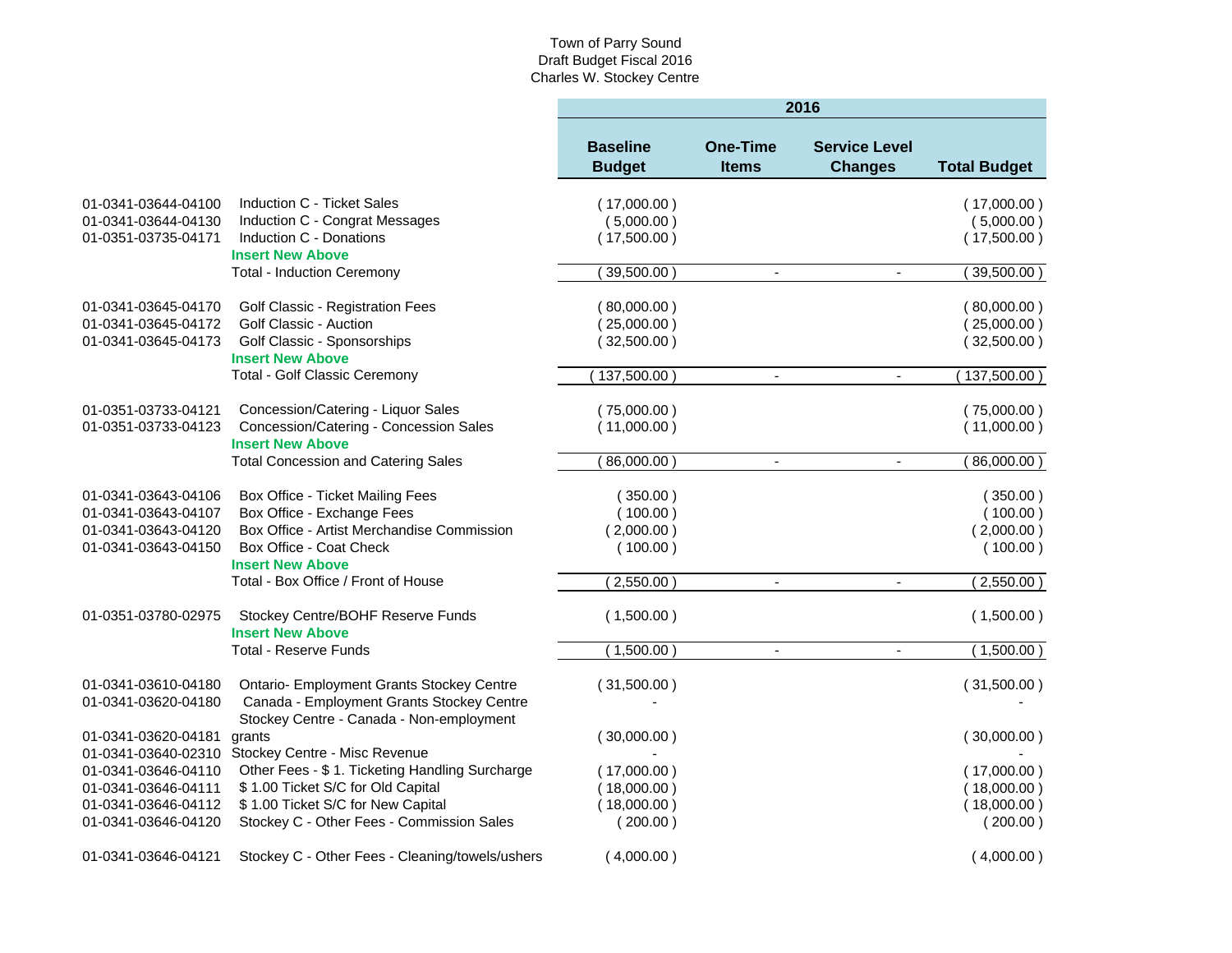|                                            |                                                                                                                                    | 2016                             |                                 |                                        |                     |  |
|--------------------------------------------|------------------------------------------------------------------------------------------------------------------------------------|----------------------------------|---------------------------------|----------------------------------------|---------------------|--|
|                                            |                                                                                                                                    | <b>Baseline</b><br><b>Budget</b> | <b>One-Time</b><br><b>Items</b> | <b>Service Level</b><br><b>Changes</b> | <b>Total Budget</b> |  |
| 01-0341-03644-04100                        | Induction C - Ticket Sales                                                                                                         | (17,000.00)                      |                                 |                                        | (17,000.00)         |  |
| 01-0341-03644-04130                        | Induction C - Congrat Messages                                                                                                     | (5,000.00)                       |                                 |                                        | (5,000.00)          |  |
| 01-0351-03735-04171                        | Induction C - Donations                                                                                                            | (17,500.00)                      |                                 |                                        | (17,500.00)         |  |
|                                            | <b>Insert New Above</b>                                                                                                            |                                  |                                 |                                        |                     |  |
|                                            | <b>Total - Induction Ceremony</b>                                                                                                  | 39,500.00                        |                                 | $\blacksquare$                         | 39,500.00)          |  |
| 01-0341-03645-04170                        | Golf Classic - Registration Fees                                                                                                   | (80,000.00)                      |                                 |                                        | (80,000.00)         |  |
| 01-0341-03645-04172                        | Golf Classic - Auction                                                                                                             | (25,000.00)                      |                                 |                                        | (25,000.00)         |  |
| 01-0341-03645-04173                        | Golf Classic - Sponsorships                                                                                                        | (32,500.00)                      |                                 |                                        | (32,500.00)         |  |
|                                            | <b>Insert New Above</b>                                                                                                            |                                  |                                 |                                        |                     |  |
|                                            | <b>Total - Golf Classic Ceremony</b>                                                                                               | 137,500.00                       |                                 |                                        | $137,500.00$ )      |  |
| 01-0351-03733-04121                        | Concession/Catering - Liquor Sales                                                                                                 | (75,000.00)                      |                                 |                                        | (75,000.00)         |  |
| 01-0351-03733-04123                        | Concession/Catering - Concession Sales                                                                                             | (11,000.00)                      |                                 |                                        | (11,000.00)         |  |
|                                            | <b>Insert New Above</b>                                                                                                            |                                  |                                 |                                        |                     |  |
|                                            | <b>Total Concession and Catering Sales</b>                                                                                         | 86,000.00                        | $\blacksquare$                  | $\blacksquare$                         | 86,000.00           |  |
| 01-0341-03643-04106                        | Box Office - Ticket Mailing Fees                                                                                                   | (350.00)                         |                                 |                                        | (350.00)            |  |
| 01-0341-03643-04107                        | Box Office - Exchange Fees                                                                                                         | (100.00)                         |                                 |                                        | (100.00)            |  |
| 01-0341-03643-04120                        | Box Office - Artist Merchandise Commission                                                                                         | (2,000.00)                       |                                 |                                        | (2,000.00)          |  |
| 01-0341-03643-04150                        | Box Office - Coat Check                                                                                                            | (100.00)                         |                                 |                                        | (100.00)            |  |
|                                            | <b>Insert New Above</b>                                                                                                            |                                  |                                 |                                        |                     |  |
|                                            | Total - Box Office / Front of House                                                                                                | (2,550.00)                       | $\blacksquare$                  | $\blacksquare$                         | (2,550.00)          |  |
| 01-0351-03780-02975                        | Stockey Centre/BOHF Reserve Funds<br><b>Insert New Above</b>                                                                       | (1,500.00)                       |                                 |                                        | (1,500.00)          |  |
|                                            | <b>Total - Reserve Funds</b>                                                                                                       | (1,500.00)                       | $\omega$                        | $\mathbf{r}$                           | (1,500.00)          |  |
| 01-0341-03610-04180<br>01-0341-03620-04180 | Ontario- Employment Grants Stockey Centre<br>Canada - Employment Grants Stockey Centre<br>Stockey Centre - Canada - Non-employment | (31,500.00)                      |                                 |                                        | (31,500.00)         |  |
| 01-0341-03620-04181                        | grants<br>01-0341-03640-02310 Stockey Centre - Misc Revenue                                                                        | (30,000.00)                      |                                 |                                        | (30,000.00)         |  |
| 01-0341-03646-04110                        | Other Fees - \$1. Ticketing Handling Surcharge                                                                                     | (17,000.00)                      |                                 |                                        | (17,000.00)         |  |
| 01-0341-03646-04111                        | \$1.00 Ticket S/C for Old Capital                                                                                                  | (18,000.00)                      |                                 |                                        | (18,000.00)         |  |
| 01-0341-03646-04112                        | \$1.00 Ticket S/C for New Capital                                                                                                  | (18,000.00)                      |                                 |                                        | (18,000.00)         |  |
| 01-0341-03646-04120                        | Stockey C - Other Fees - Commission Sales                                                                                          | (200.00)                         |                                 |                                        | (200.00)            |  |
| 01-0341-03646-04121                        | Stockey C - Other Fees - Cleaning/towels/ushers                                                                                    | (4,000.00)                       |                                 |                                        | (4,000.00)          |  |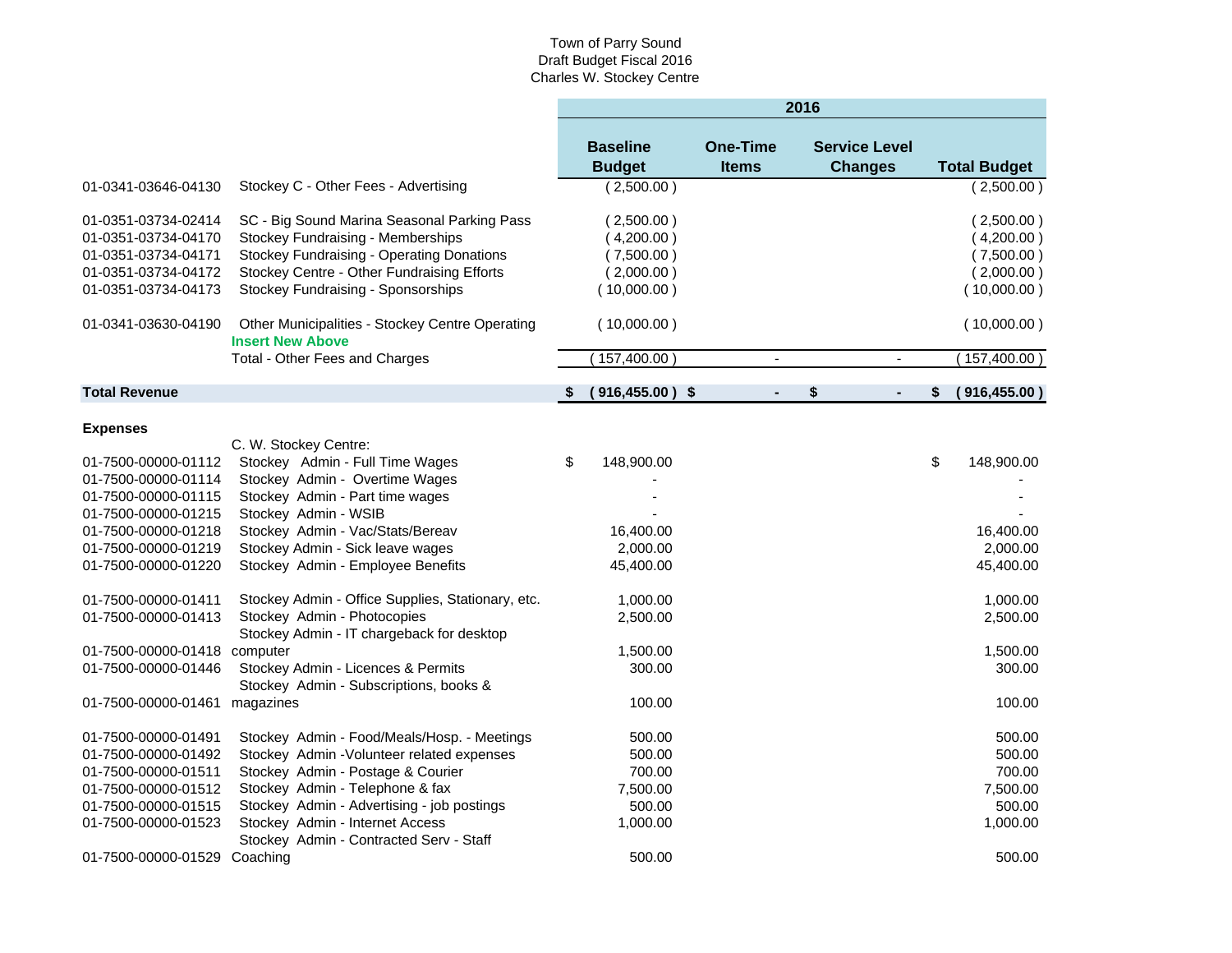|                      |                                                                              | 2016 |                                  |  |                                 |    |                                        |    |                     |
|----------------------|------------------------------------------------------------------------------|------|----------------------------------|--|---------------------------------|----|----------------------------------------|----|---------------------|
|                      |                                                                              |      | <b>Baseline</b><br><b>Budget</b> |  | <b>One-Time</b><br><b>Items</b> |    | <b>Service Level</b><br><b>Changes</b> |    | <b>Total Budget</b> |
| 01-0341-03646-04130  | Stockey C - Other Fees - Advertising                                         |      | (2,500.00)                       |  |                                 |    |                                        |    | (2,500.00)          |
| 01-0351-03734-02414  | SC - Big Sound Marina Seasonal Parking Pass                                  |      | (2,500.00)                       |  |                                 |    |                                        |    | (2,500.00)          |
| 01-0351-03734-04170  | Stockey Fundraising - Memberships                                            |      | (4,200.00)                       |  |                                 |    |                                        |    | (4,200.00)          |
| 01-0351-03734-04171  | <b>Stockey Fundraising - Operating Donations</b>                             |      | (7,500.00)                       |  |                                 |    |                                        |    | (7,500.00)          |
| 01-0351-03734-04172  | Stockey Centre - Other Fundraising Efforts                                   |      | (2,000.00)                       |  |                                 |    |                                        |    | (2,000.00)          |
| 01-0351-03734-04173  | Stockey Fundraising - Sponsorships                                           |      | (10,000.00)                      |  |                                 |    |                                        |    | (10,000.00)         |
| 01-0341-03630-04190  | Other Municipalities - Stockey Centre Operating<br><b>Insert New Above</b>   |      | (10,000.00)                      |  |                                 |    |                                        |    | (10,000.00)         |
|                      | Total - Other Fees and Charges                                               |      | (157, 400.00)                    |  | $\blacksquare$                  |    | ä,                                     |    | (157, 400.00)       |
| <b>Total Revenue</b> |                                                                              |      | $(916, 455.00)$ \$               |  | $\blacksquare$                  | \$ | $\blacksquare$                         | \$ | (916, 455.00)       |
|                      |                                                                              |      |                                  |  |                                 |    |                                        |    |                     |
| <b>Expenses</b>      |                                                                              |      |                                  |  |                                 |    |                                        |    |                     |
| 01-7500-00000-01112  | C. W. Stockey Centre:<br>Stockey Admin - Full Time Wages                     | \$   | 148,900.00                       |  |                                 |    |                                        | \$ | 148,900.00          |
| 01-7500-00000-01114  | Stockey Admin - Overtime Wages                                               |      |                                  |  |                                 |    |                                        |    |                     |
| 01-7500-00000-01115  | Stockey Admin - Part time wages                                              |      |                                  |  |                                 |    |                                        |    |                     |
| 01-7500-00000-01215  | Stockey Admin - WSIB                                                         |      |                                  |  |                                 |    |                                        |    |                     |
| 01-7500-00000-01218  | Stockey Admin - Vac/Stats/Bereav                                             |      | 16,400.00                        |  |                                 |    |                                        |    | 16,400.00           |
| 01-7500-00000-01219  | Stockey Admin - Sick leave wages                                             |      | 2,000.00                         |  |                                 |    |                                        |    | 2,000.00            |
| 01-7500-00000-01220  | Stockey Admin - Employee Benefits                                            |      | 45,400.00                        |  |                                 |    |                                        |    | 45,400.00           |
|                      |                                                                              |      |                                  |  |                                 |    |                                        |    |                     |
| 01-7500-00000-01411  | Stockey Admin - Office Supplies, Stationary, etc.                            |      | 1,000.00                         |  |                                 |    |                                        |    | 1,000.00            |
| 01-7500-00000-01413  | Stockey Admin - Photocopies                                                  |      | 2,500.00                         |  |                                 |    |                                        |    | 2,500.00            |
|                      | Stockey Admin - IT chargeback for desktop                                    |      |                                  |  |                                 |    |                                        |    |                     |
| 01-7500-00000-01418  | computer                                                                     |      | 1,500.00                         |  |                                 |    |                                        |    | 1,500.00            |
| 01-7500-00000-01446  | Stockey Admin - Licences & Permits<br>Stockey Admin - Subscriptions, books & |      | 300.00                           |  |                                 |    |                                        |    | 300.00              |
| 01-7500-00000-01461  | magazines                                                                    |      | 100.00                           |  |                                 |    |                                        |    | 100.00              |
|                      |                                                                              |      |                                  |  |                                 |    |                                        |    |                     |
| 01-7500-00000-01491  | Stockey Admin - Food/Meals/Hosp. - Meetings                                  |      | 500.00                           |  |                                 |    |                                        |    | 500.00              |
| 01-7500-00000-01492  | Stockey Admin - Volunteer related expenses                                   |      | 500.00                           |  |                                 |    |                                        |    | 500.00              |
| 01-7500-00000-01511  | Stockey Admin - Postage & Courier                                            |      | 700.00                           |  |                                 |    |                                        |    | 700.00              |
| 01-7500-00000-01512  | Stockey Admin - Telephone & fax                                              |      | 7,500.00                         |  |                                 |    |                                        |    | 7,500.00            |
| 01-7500-00000-01515  | Stockey Admin - Advertising - job postings                                   |      | 500.00                           |  |                                 |    |                                        |    | 500.00              |
| 01-7500-00000-01523  | Stockey Admin - Internet Access<br>Stockey Admin - Contracted Serv - Staff   |      | 1,000.00                         |  |                                 |    |                                        |    | 1,000.00            |
| 01-7500-00000-01529  | Coaching                                                                     |      | 500.00                           |  |                                 |    |                                        |    | 500.00              |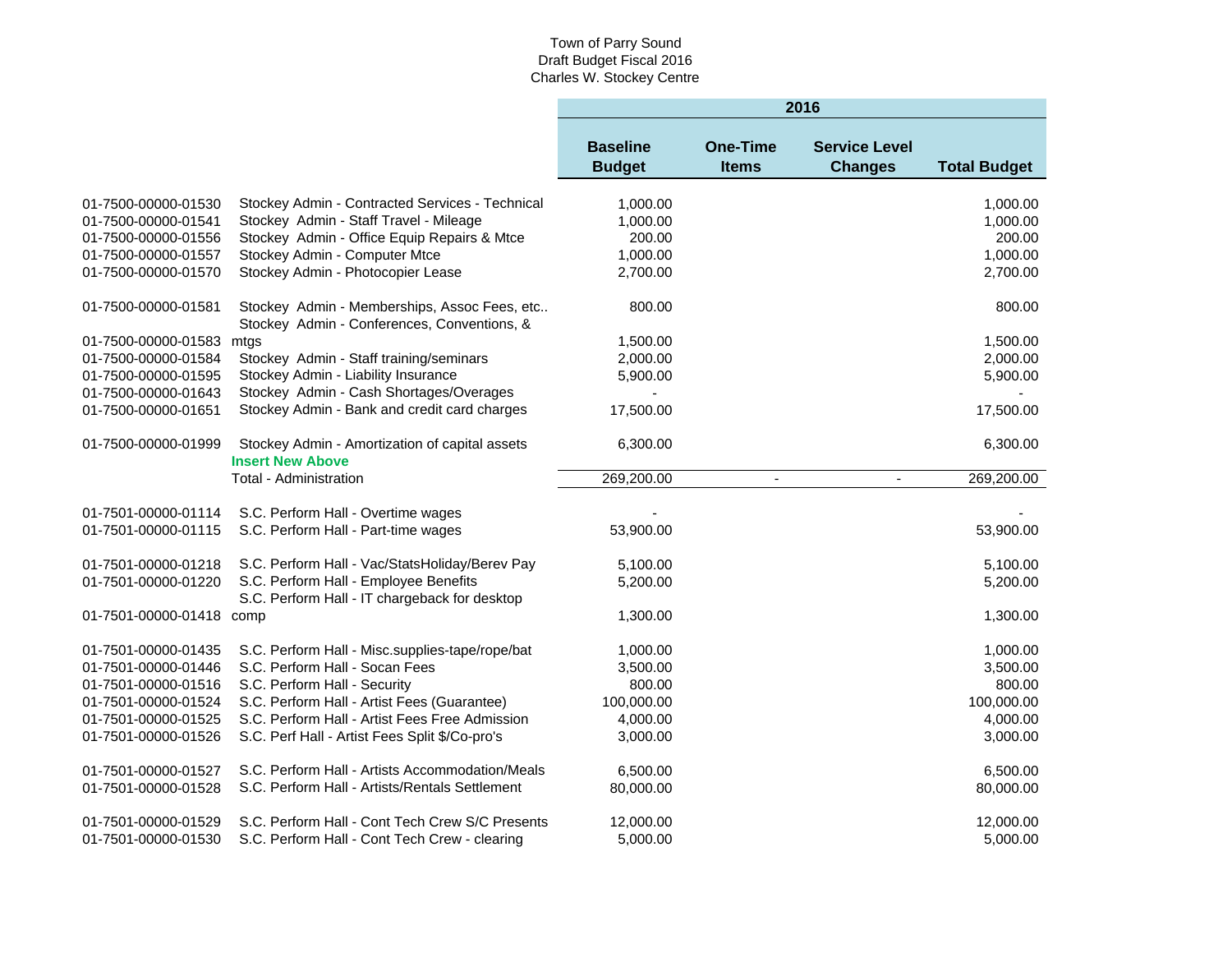|                          |                                                                                             | 2016                             |                                 |                                        |                     |  |
|--------------------------|---------------------------------------------------------------------------------------------|----------------------------------|---------------------------------|----------------------------------------|---------------------|--|
|                          |                                                                                             | <b>Baseline</b><br><b>Budget</b> | <b>One-Time</b><br><b>Items</b> | <b>Service Level</b><br><b>Changes</b> | <b>Total Budget</b> |  |
| 01-7500-00000-01530      | Stockey Admin - Contracted Services - Technical                                             | 1,000.00                         |                                 |                                        | 1,000.00            |  |
| 01-7500-00000-01541      | Stockey Admin - Staff Travel - Mileage                                                      | 1,000.00                         |                                 |                                        | 1,000.00            |  |
| 01-7500-00000-01556      | Stockey Admin - Office Equip Repairs & Mtce                                                 | 200.00                           |                                 |                                        | 200.00              |  |
| 01-7500-00000-01557      | Stockey Admin - Computer Mtce                                                               | 1,000.00                         |                                 |                                        | 1,000.00            |  |
| 01-7500-00000-01570      | Stockey Admin - Photocopier Lease                                                           | 2,700.00                         |                                 |                                        | 2,700.00            |  |
| 01-7500-00000-01581      | Stockey Admin - Memberships, Assoc Fees, etc<br>Stockey Admin - Conferences, Conventions, & | 800.00                           |                                 |                                        | 800.00              |  |
| 01-7500-00000-01583      | mtgs                                                                                        | 1,500.00                         |                                 |                                        | 1,500.00            |  |
| 01-7500-00000-01584      | Stockey Admin - Staff training/seminars                                                     | 2,000.00                         |                                 |                                        | 2,000.00            |  |
| 01-7500-00000-01595      | Stockey Admin - Liability Insurance                                                         | 5,900.00                         |                                 |                                        | 5,900.00            |  |
| 01-7500-00000-01643      | Stockey Admin - Cash Shortages/Overages                                                     |                                  |                                 |                                        |                     |  |
| 01-7500-00000-01651      | Stockey Admin - Bank and credit card charges                                                | 17,500.00                        |                                 |                                        | 17,500.00           |  |
| 01-7500-00000-01999      | Stockey Admin - Amortization of capital assets<br><b>Insert New Above</b>                   | 6,300.00                         |                                 |                                        | 6,300.00            |  |
|                          | Total - Administration                                                                      | 269,200.00                       |                                 |                                        | 269,200.00          |  |
| 01-7501-00000-01114      | S.C. Perform Hall - Overtime wages                                                          |                                  |                                 |                                        |                     |  |
| 01-7501-00000-01115      | S.C. Perform Hall - Part-time wages                                                         | 53,900.00                        |                                 |                                        | 53,900.00           |  |
| 01-7501-00000-01218      | S.C. Perform Hall - Vac/StatsHoliday/Berev Pay                                              | 5,100.00                         |                                 |                                        | 5,100.00            |  |
| 01-7501-00000-01220      | S.C. Perform Hall - Employee Benefits<br>S.C. Perform Hall - IT chargeback for desktop      | 5,200.00                         |                                 |                                        | 5,200.00            |  |
| 01-7501-00000-01418 comp |                                                                                             | 1,300.00                         |                                 |                                        | 1,300.00            |  |
| 01-7501-00000-01435      | S.C. Perform Hall - Misc.supplies-tape/rope/bat                                             | 1,000.00                         |                                 |                                        | 1,000.00            |  |
| 01-7501-00000-01446      | S.C. Perform Hall - Socan Fees                                                              | 3,500.00                         |                                 |                                        | 3,500.00            |  |
| 01-7501-00000-01516      | S.C. Perform Hall - Security                                                                | 800.00                           |                                 |                                        | 800.00              |  |
| 01-7501-00000-01524      | S.C. Perform Hall - Artist Fees (Guarantee)                                                 | 100,000.00                       |                                 |                                        | 100,000.00          |  |
| 01-7501-00000-01525      | S.C. Perform Hall - Artist Fees Free Admission                                              | 4,000.00                         |                                 |                                        | 4,000.00            |  |
| 01-7501-00000-01526      | S.C. Perf Hall - Artist Fees Split \$/Co-pro's                                              | 3,000.00                         |                                 |                                        | 3,000.00            |  |
| 01-7501-00000-01527      | S.C. Perform Hall - Artists Accommodation/Meals                                             | 6,500.00                         |                                 |                                        | 6,500.00            |  |
| 01-7501-00000-01528      | S.C. Perform Hall - Artists/Rentals Settlement                                              | 80,000.00                        |                                 |                                        | 80,000.00           |  |
| 01-7501-00000-01529      | S.C. Perform Hall - Cont Tech Crew S/C Presents                                             | 12,000.00                        |                                 |                                        | 12,000.00           |  |
| 01-7501-00000-01530      | S.C. Perform Hall - Cont Tech Crew - clearing                                               | 5,000.00                         |                                 |                                        | 5,000.00            |  |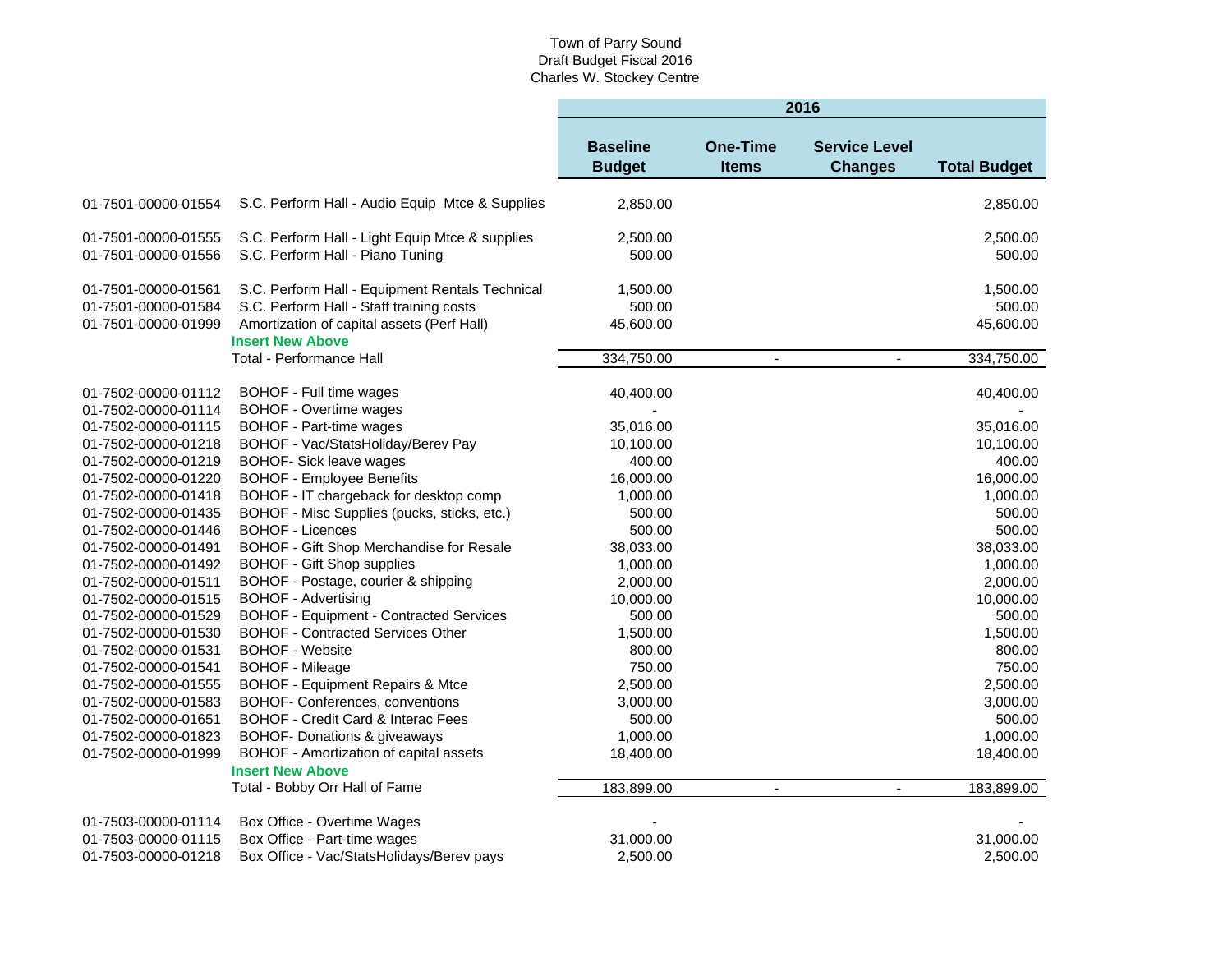|                                                                   |                                                                                                                                                                      | 2016                             |                                 |                                        |                                 |  |  |
|-------------------------------------------------------------------|----------------------------------------------------------------------------------------------------------------------------------------------------------------------|----------------------------------|---------------------------------|----------------------------------------|---------------------------------|--|--|
|                                                                   |                                                                                                                                                                      | <b>Baseline</b><br><b>Budget</b> | <b>One-Time</b><br><b>Items</b> | <b>Service Level</b><br><b>Changes</b> | <b>Total Budget</b>             |  |  |
| 01-7501-00000-01554                                               | S.C. Perform Hall - Audio Equip Mtce & Supplies                                                                                                                      | 2,850.00                         |                                 |                                        | 2,850.00                        |  |  |
| 01-7501-00000-01555<br>01-7501-00000-01556                        | S.C. Perform Hall - Light Equip Mtce & supplies<br>S.C. Perform Hall - Piano Tuning                                                                                  | 2,500.00<br>500.00               |                                 |                                        | 2,500.00<br>500.00              |  |  |
| 01-7501-00000-01561<br>01-7501-00000-01584<br>01-7501-00000-01999 | S.C. Perform Hall - Equipment Rentals Technical<br>S.C. Perform Hall - Staff training costs<br>Amortization of capital assets (Perf Hall)<br><b>Insert New Above</b> | 1,500.00<br>500.00<br>45,600.00  |                                 |                                        | 1,500.00<br>500.00<br>45,600.00 |  |  |
|                                                                   | <b>Total - Performance Hall</b>                                                                                                                                      | 334,750.00                       | $\blacksquare$                  | $\blacksquare$                         | 334,750.00                      |  |  |
| 01-7502-00000-01112<br>01-7502-00000-01114                        | BOHOF - Full time wages<br><b>BOHOF - Overtime wages</b>                                                                                                             | 40,400.00                        |                                 |                                        | 40,400.00                       |  |  |
| 01-7502-00000-01115<br>01-7502-00000-01218                        | BOHOF - Part-time wages<br>BOHOF - Vac/StatsHoliday/Berev Pay                                                                                                        | 35,016.00<br>10,100.00           |                                 |                                        | 35,016.00<br>10,100.00          |  |  |
| 01-7502-00000-01219<br>01-7502-00000-01220                        | BOHOF- Sick leave wages<br><b>BOHOF - Employee Benefits</b><br>BOHOF - IT chargeback for desktop comp                                                                | 400.00<br>16,000.00<br>1,000.00  |                                 |                                        | 400.00<br>16,000.00<br>1,000.00 |  |  |
| 01-7502-00000-01418<br>01-7502-00000-01435<br>01-7502-00000-01446 | BOHOF - Misc Supplies (pucks, sticks, etc.)<br><b>BOHOF - Licences</b>                                                                                               | 500.00<br>500.00                 |                                 |                                        | 500.00<br>500.00                |  |  |
| 01-7502-00000-01491<br>01-7502-00000-01492                        | BOHOF - Gift Shop Merchandise for Resale<br><b>BOHOF - Gift Shop supplies</b>                                                                                        | 38,033.00<br>1,000.00            |                                 |                                        | 38,033.00<br>1,000.00           |  |  |
| 01-7502-00000-01511<br>01-7502-00000-01515<br>01-7502-00000-01529 | BOHOF - Postage, courier & shipping<br><b>BOHOF - Advertising</b><br><b>BOHOF - Equipment - Contracted Services</b>                                                  | 2,000.00<br>10,000.00<br>500.00  |                                 |                                        | 2,000.00<br>10,000.00<br>500.00 |  |  |
| 01-7502-00000-01530<br>01-7502-00000-01531                        | <b>BOHOF - Contracted Services Other</b><br><b>BOHOF - Website</b>                                                                                                   | 1,500.00<br>800.00               |                                 |                                        | 1,500.00<br>800.00              |  |  |
| 01-7502-00000-01541<br>01-7502-00000-01555<br>01-7502-00000-01583 | <b>BOHOF - Mileage</b><br><b>BOHOF - Equipment Repairs &amp; Mtce</b><br>BOHOF- Conferences, conventions                                                             | 750.00<br>2,500.00<br>3,000.00   |                                 |                                        | 750.00<br>2,500.00<br>3,000.00  |  |  |
| 01-7502-00000-01651<br>01-7502-00000-01823                        | <b>BOHOF - Credit Card &amp; Interac Fees</b><br><b>BOHOF- Donations &amp; giveaways</b>                                                                             | 500.00<br>1,000.00               |                                 |                                        | 500.00<br>1,000.00              |  |  |
| 01-7502-00000-01999                                               | BOHOF - Amortization of capital assets<br><b>Insert New Above</b>                                                                                                    | 18,400.00                        |                                 |                                        | 18,400.00                       |  |  |
|                                                                   | Total - Bobby Orr Hall of Fame                                                                                                                                       | 183,899.00                       | $\blacksquare$                  | $\blacksquare$                         | 183,899.00                      |  |  |
| 01-7503-00000-01114<br>01-7503-00000-01115                        | Box Office - Overtime Wages<br>Box Office - Part-time wages                                                                                                          | 31,000.00                        |                                 |                                        | 31,000.00                       |  |  |
| 01-7503-00000-01218                                               | Box Office - Vac/StatsHolidays/Berev pays                                                                                                                            | 2,500.00                         |                                 |                                        | 2,500.00                        |  |  |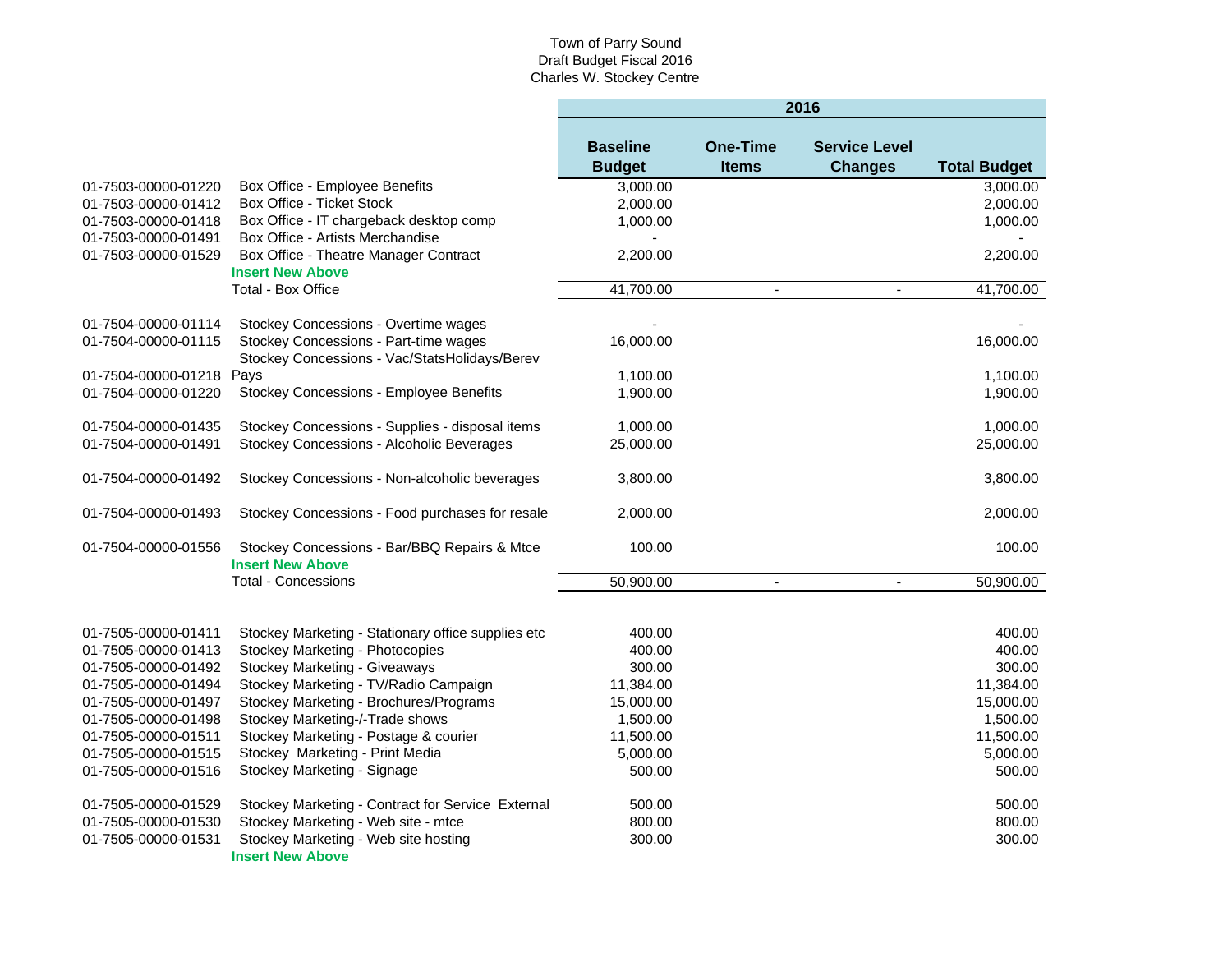|                          |                                                                         | 2016                             |                                 |                                        |                     |  |
|--------------------------|-------------------------------------------------------------------------|----------------------------------|---------------------------------|----------------------------------------|---------------------|--|
|                          |                                                                         | <b>Baseline</b><br><b>Budget</b> | <b>One-Time</b><br><b>Items</b> | <b>Service Level</b><br><b>Changes</b> | <b>Total Budget</b> |  |
| 01-7503-00000-01220      | Box Office - Employee Benefits                                          | 3,000.00                         |                                 |                                        | 3,000.00            |  |
| 01-7503-00000-01412      | Box Office - Ticket Stock                                               | 2,000.00                         |                                 |                                        | 2,000.00            |  |
| 01-7503-00000-01418      | Box Office - IT chargeback desktop comp                                 | 1,000.00                         |                                 |                                        | 1,000.00            |  |
| 01-7503-00000-01491      | Box Office - Artists Merchandise                                        |                                  |                                 |                                        |                     |  |
| 01-7503-00000-01529      | Box Office - Theatre Manager Contract                                   | 2,200.00                         |                                 |                                        | 2,200.00            |  |
|                          | <b>Insert New Above</b>                                                 |                                  |                                 |                                        |                     |  |
|                          | <b>Total - Box Office</b>                                               | 41,700.00                        | $\blacksquare$                  | $\blacksquare$                         | 41,700.00           |  |
| 01-7504-00000-01114      | Stockey Concessions - Overtime wages                                    |                                  |                                 |                                        |                     |  |
| 01-7504-00000-01115      | Stockey Concessions - Part-time wages                                   | 16,000.00                        |                                 |                                        | 16,000.00           |  |
|                          | Stockey Concessions - Vac/StatsHolidays/Berev                           |                                  |                                 |                                        |                     |  |
| 01-7504-00000-01218 Pays |                                                                         | 1,100.00                         |                                 |                                        | 1,100.00            |  |
| 01-7504-00000-01220      | Stockey Concessions - Employee Benefits                                 | 1,900.00                         |                                 |                                        | 1,900.00            |  |
|                          |                                                                         |                                  |                                 |                                        |                     |  |
| 01-7504-00000-01435      | Stockey Concessions - Supplies - disposal items                         | 1,000.00                         |                                 |                                        | 1,000.00            |  |
| 01-7504-00000-01491      | Stockey Concessions - Alcoholic Beverages                               | 25,000.00                        |                                 |                                        | 25,000.00           |  |
| 01-7504-00000-01492      | Stockey Concessions - Non-alcoholic beverages                           | 3,800.00                         |                                 |                                        | 3,800.00            |  |
| 01-7504-00000-01493      | Stockey Concessions - Food purchases for resale                         | 2,000.00                         |                                 |                                        | 2,000.00            |  |
| 01-7504-00000-01556      | Stockey Concessions - Bar/BBQ Repairs & Mtce<br><b>Insert New Above</b> | 100.00                           |                                 |                                        | 100.00              |  |
|                          | <b>Total - Concessions</b>                                              | 50,900.00                        | $\blacksquare$                  | $\blacksquare$                         | 50,900.00           |  |
|                          |                                                                         |                                  |                                 |                                        |                     |  |
| 01-7505-00000-01411      | Stockey Marketing - Stationary office supplies etc                      | 400.00                           |                                 |                                        | 400.00              |  |
| 01-7505-00000-01413      | Stockey Marketing - Photocopies                                         | 400.00                           |                                 |                                        | 400.00              |  |
| 01-7505-00000-01492      | Stockey Marketing - Giveaways                                           | 300.00                           |                                 |                                        | 300.00              |  |
| 01-7505-00000-01494      | Stockey Marketing - TV/Radio Campaign                                   | 11,384.00                        |                                 |                                        | 11,384.00           |  |
| 01-7505-00000-01497      | Stockey Marketing - Brochures/Programs                                  | 15,000.00                        |                                 |                                        | 15,000.00           |  |
| 01-7505-00000-01498      | Stockey Marketing-/-Trade shows                                         | 1,500.00                         |                                 |                                        | 1,500.00            |  |
| 01-7505-00000-01511      | Stockey Marketing - Postage & courier                                   | 11,500.00                        |                                 |                                        | 11,500.00           |  |
| 01-7505-00000-01515      | Stockey Marketing - Print Media                                         | 5,000.00                         |                                 |                                        | 5,000.00            |  |
| 01-7505-00000-01516      | Stockey Marketing - Signage                                             | 500.00                           |                                 |                                        | 500.00              |  |
| 01-7505-00000-01529      | Stockey Marketing - Contract for Service External                       | 500.00                           |                                 |                                        | 500.00              |  |
| 01-7505-00000-01530      | Stockey Marketing - Web site - mtce                                     | 800.00                           |                                 |                                        | 800.00              |  |
| 01-7505-00000-01531      | Stockey Marketing - Web site hosting                                    | 300.00                           |                                 |                                        | 300.00              |  |
|                          | <b>Insert New Above</b>                                                 |                                  |                                 |                                        |                     |  |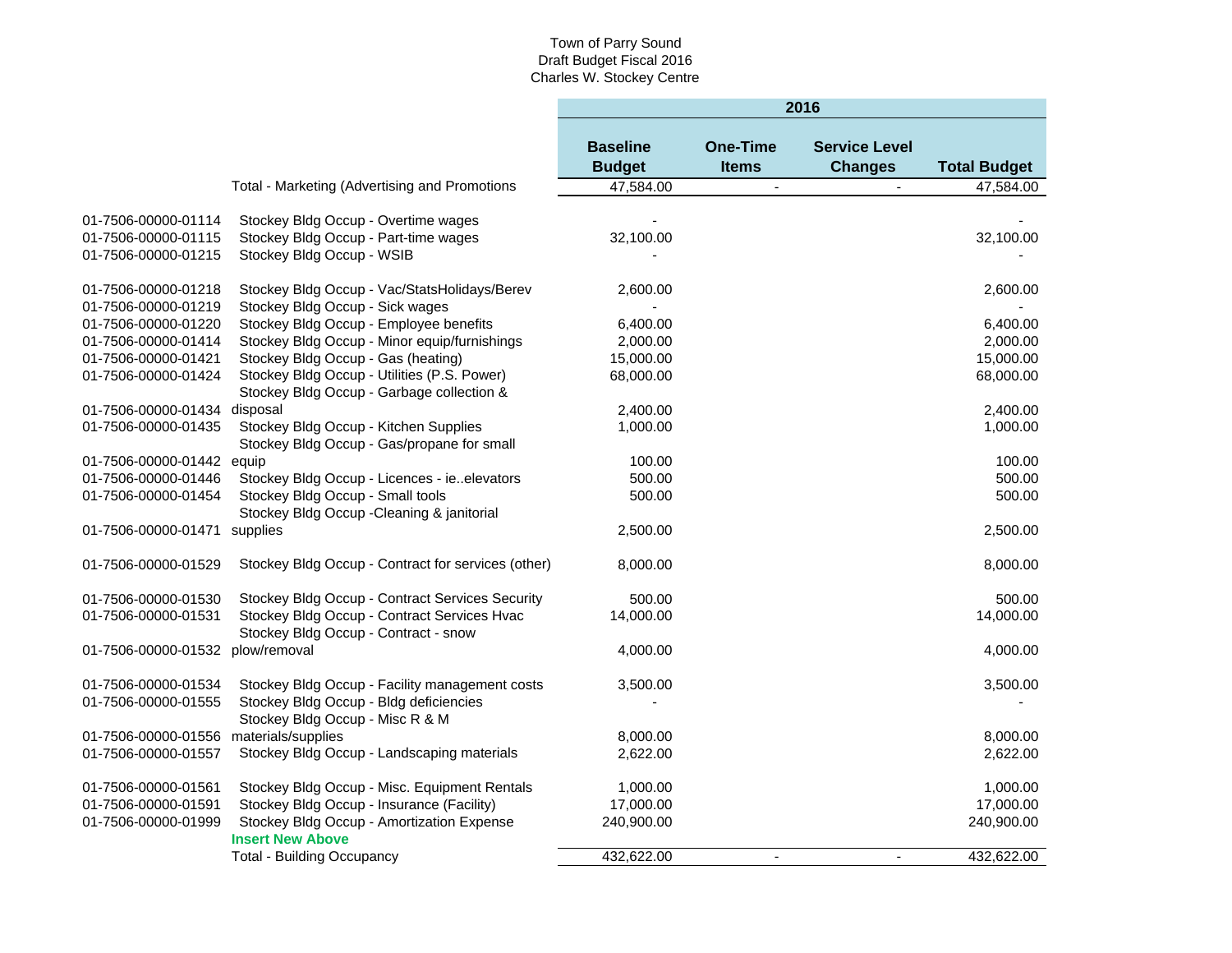|                                  |                                                    | 2016                             |                                 |                                        |                     |  |  |
|----------------------------------|----------------------------------------------------|----------------------------------|---------------------------------|----------------------------------------|---------------------|--|--|
|                                  |                                                    | <b>Baseline</b><br><b>Budget</b> | <b>One-Time</b><br><b>Items</b> | <b>Service Level</b><br><b>Changes</b> | <b>Total Budget</b> |  |  |
|                                  | Total - Marketing (Advertising and Promotions      | 47.584.00                        | $\blacksquare$                  |                                        | 47,584.00           |  |  |
|                                  |                                                    |                                  |                                 |                                        |                     |  |  |
| 01-7506-00000-01114              | Stockey Bldg Occup - Overtime wages                |                                  |                                 |                                        |                     |  |  |
| 01-7506-00000-01115              | Stockey Bldg Occup - Part-time wages               | 32,100.00                        |                                 |                                        | 32,100.00           |  |  |
| 01-7506-00000-01215              | Stockey Bldg Occup - WSIB                          |                                  |                                 |                                        |                     |  |  |
| 01-7506-00000-01218              | Stockey Bldg Occup - Vac/StatsHolidays/Berev       | 2,600.00                         |                                 |                                        | 2,600.00            |  |  |
| 01-7506-00000-01219              | Stockey Bldg Occup - Sick wages                    |                                  |                                 |                                        |                     |  |  |
| 01-7506-00000-01220              | Stockey Bldg Occup - Employee benefits             | 6,400.00                         |                                 |                                        | 6,400.00            |  |  |
| 01-7506-00000-01414              | Stockey Bldg Occup - Minor equip/furnishings       | 2,000.00                         |                                 |                                        | 2,000.00            |  |  |
| 01-7506-00000-01421              | Stockey Bldg Occup - Gas (heating)                 | 15,000.00                        |                                 |                                        | 15,000.00           |  |  |
| 01-7506-00000-01424              | Stockey Bldg Occup - Utilities (P.S. Power)        | 68,000.00                        |                                 |                                        | 68,000.00           |  |  |
|                                  | Stockey Bldg Occup - Garbage collection &          |                                  |                                 |                                        |                     |  |  |
| 01-7506-00000-01434              | disposal                                           | 2,400.00                         |                                 |                                        | 2,400.00            |  |  |
| 01-7506-00000-01435              | Stockey Bldg Occup - Kitchen Supplies              | 1,000.00                         |                                 |                                        | 1,000.00            |  |  |
|                                  | Stockey Bldg Occup - Gas/propane for small         |                                  |                                 |                                        |                     |  |  |
| 01-7506-00000-01442 equip        |                                                    | 100.00                           |                                 |                                        | 100.00              |  |  |
| 01-7506-00000-01446              | Stockey Bldg Occup - Licences - ieelevators        | 500.00                           |                                 |                                        | 500.00              |  |  |
| 01-7506-00000-01454              | Stockey Bldg Occup - Small tools                   | 500.00                           |                                 |                                        | 500.00              |  |  |
|                                  | Stockey Bldg Occup - Cleaning & janitorial         |                                  |                                 |                                        |                     |  |  |
| 01-7506-00000-01471 supplies     |                                                    | 2,500.00                         |                                 |                                        | 2,500.00            |  |  |
| 01-7506-00000-01529              | Stockey Bldg Occup - Contract for services (other) | 8,000.00                         |                                 |                                        | 8,000.00            |  |  |
| 01-7506-00000-01530              | Stockey Bldg Occup - Contract Services Security    | 500.00                           |                                 |                                        | 500.00              |  |  |
| 01-7506-00000-01531              | Stockey Bldg Occup - Contract Services Hvac        | 14,000.00                        |                                 |                                        | 14,000.00           |  |  |
|                                  | Stockey Bldg Occup - Contract - snow               |                                  |                                 |                                        |                     |  |  |
| 01-7506-00000-01532 plow/removal |                                                    | 4,000.00                         |                                 |                                        | 4,000.00            |  |  |
| 01-7506-00000-01534              | Stockey Bldg Occup - Facility management costs     | 3,500.00                         |                                 |                                        | 3,500.00            |  |  |
| 01-7506-00000-01555              | Stockey Bldg Occup - Bldg deficiencies             |                                  |                                 |                                        |                     |  |  |
|                                  | Stockey Bldg Occup - Misc R & M                    |                                  |                                 |                                        |                     |  |  |
| 01-7506-00000-01556              | materials/supplies                                 | 8,000.00                         |                                 |                                        | 8,000.00            |  |  |
| 01-7506-00000-01557              | Stockey Bldg Occup - Landscaping materials         | 2,622.00                         |                                 |                                        | 2,622.00            |  |  |
|                                  |                                                    |                                  |                                 |                                        |                     |  |  |
| 01-7506-00000-01561              | Stockey Bldg Occup - Misc. Equipment Rentals       | 1,000.00                         |                                 |                                        | 1,000.00            |  |  |
| 01-7506-00000-01591              | Stockey Bldg Occup - Insurance (Facility)          | 17,000.00                        |                                 |                                        | 17,000.00           |  |  |
| 01-7506-00000-01999              | Stockey Bldg Occup - Amortization Expense          | 240,900.00                       |                                 |                                        | 240,900.00          |  |  |
|                                  | <b>Insert New Above</b>                            |                                  |                                 |                                        |                     |  |  |
|                                  | <b>Total - Building Occupancy</b>                  | 432,622.00                       | $\blacksquare$                  | $\blacksquare$                         | 432,622.00          |  |  |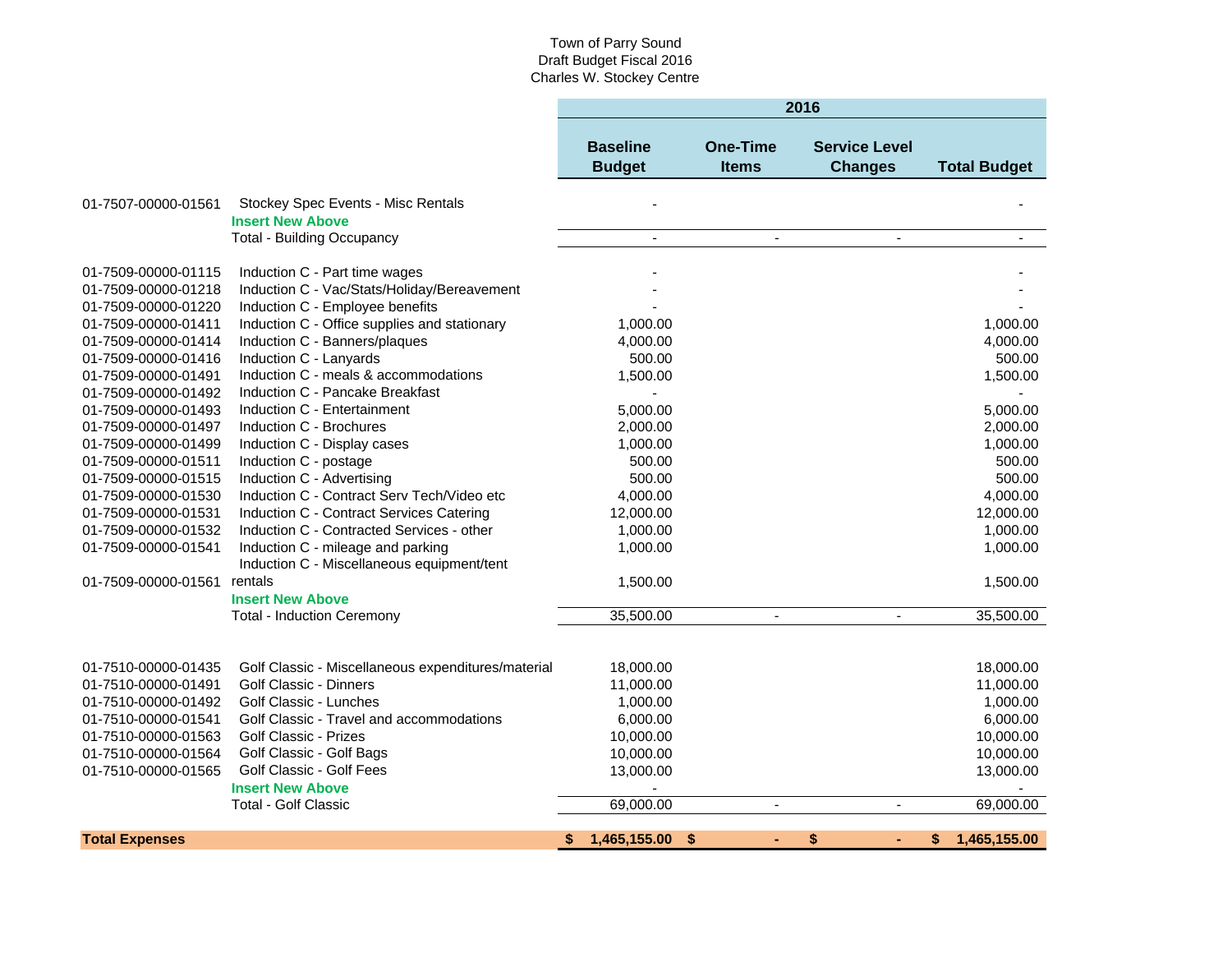|                       |                                                    | 2016                             |                          |                                        |                     |  |  |
|-----------------------|----------------------------------------------------|----------------------------------|--------------------------|----------------------------------------|---------------------|--|--|
|                       |                                                    | <b>Baseline</b><br><b>Budget</b> | One-Time<br><b>Items</b> | <b>Service Level</b><br><b>Changes</b> | <b>Total Budget</b> |  |  |
| 01-7507-00000-01561   | Stockey Spec Events - Misc Rentals                 |                                  |                          |                                        |                     |  |  |
|                       | <b>Insert New Above</b>                            |                                  |                          |                                        |                     |  |  |
|                       | <b>Total - Building Occupancy</b>                  | $\overline{a}$                   |                          |                                        |                     |  |  |
| 01-7509-00000-01115   | Induction C - Part time wages                      |                                  |                          |                                        |                     |  |  |
| 01-7509-00000-01218   | Induction C - Vac/Stats/Holiday/Bereavement        |                                  |                          |                                        |                     |  |  |
| 01-7509-00000-01220   | Induction C - Employee benefits                    |                                  |                          |                                        |                     |  |  |
| 01-7509-00000-01411   | Induction C - Office supplies and stationary       | 1,000.00                         |                          |                                        | 1,000.00            |  |  |
| 01-7509-00000-01414   | Induction C - Banners/plaques                      | 4,000.00                         |                          |                                        | 4,000.00            |  |  |
| 01-7509-00000-01416   | Induction C - Lanyards                             | 500.00                           |                          |                                        | 500.00              |  |  |
| 01-7509-00000-01491   | Induction C - meals & accommodations               | 1,500.00                         |                          |                                        | 1,500.00            |  |  |
| 01-7509-00000-01492   | Induction C - Pancake Breakfast                    |                                  |                          |                                        |                     |  |  |
| 01-7509-00000-01493   | Induction C - Entertainment                        | 5,000.00                         |                          |                                        | 5,000.00            |  |  |
| 01-7509-00000-01497   | Induction C - Brochures                            | 2,000.00                         |                          |                                        | 2,000.00            |  |  |
| 01-7509-00000-01499   | Induction C - Display cases                        | 1,000.00                         |                          |                                        | 1,000.00            |  |  |
| 01-7509-00000-01511   | Induction C - postage                              | 500.00                           |                          |                                        | 500.00              |  |  |
| 01-7509-00000-01515   | Induction C - Advertising                          | 500.00                           |                          |                                        | 500.00              |  |  |
| 01-7509-00000-01530   | Induction C - Contract Serv Tech/Video etc         | 4,000.00                         |                          |                                        | 4,000.00            |  |  |
| 01-7509-00000-01531   | Induction C - Contract Services Catering           | 12,000.00                        |                          |                                        | 12,000.00           |  |  |
| 01-7509-00000-01532   | Induction C - Contracted Services - other          | 1,000.00                         |                          |                                        | 1,000.00            |  |  |
| 01-7509-00000-01541   | Induction C - mileage and parking                  | 1,000.00                         |                          |                                        | 1,000.00            |  |  |
|                       | Induction C - Miscellaneous equipment/tent         |                                  |                          |                                        |                     |  |  |
| 01-7509-00000-01561   | rentals                                            | 1,500.00                         |                          |                                        | 1,500.00            |  |  |
|                       | <b>Insert New Above</b>                            |                                  |                          |                                        |                     |  |  |
|                       | <b>Total - Induction Ceremony</b>                  | 35,500.00                        |                          | $\blacksquare$                         | 35,500.00           |  |  |
|                       |                                                    |                                  |                          |                                        |                     |  |  |
| 01-7510-00000-01435   | Golf Classic - Miscellaneous expenditures/material | 18,000.00                        |                          |                                        | 18,000.00           |  |  |
| 01-7510-00000-01491   | Golf Classic - Dinners                             | 11,000.00                        |                          |                                        | 11,000.00           |  |  |
| 01-7510-00000-01492   | Golf Classic - Lunches                             | 1,000.00                         |                          |                                        | 1,000.00            |  |  |
| 01-7510-00000-01541   | Golf Classic - Travel and accommodations           | 6,000.00                         |                          |                                        | 6,000.00            |  |  |
| 01-7510-00000-01563   | Golf Classic - Prizes                              | 10,000.00                        |                          |                                        | 10,000.00           |  |  |
| 01-7510-00000-01564   | Golf Classic - Golf Bags                           | 10,000.00                        |                          |                                        | 10,000.00           |  |  |
| 01-7510-00000-01565   | Golf Classic - Golf Fees                           | 13,000.00                        |                          |                                        | 13,000.00           |  |  |
|                       | <b>Insert New Above</b>                            |                                  |                          |                                        |                     |  |  |
|                       | <b>Total - Golf Classic</b>                        | 69,000.00                        | $\overline{\phantom{a}}$ |                                        | 69,000.00           |  |  |
| <b>Total Expenses</b> |                                                    | 1,465,155.00<br>\$               | \$                       | \$                                     | 1,465,155.00        |  |  |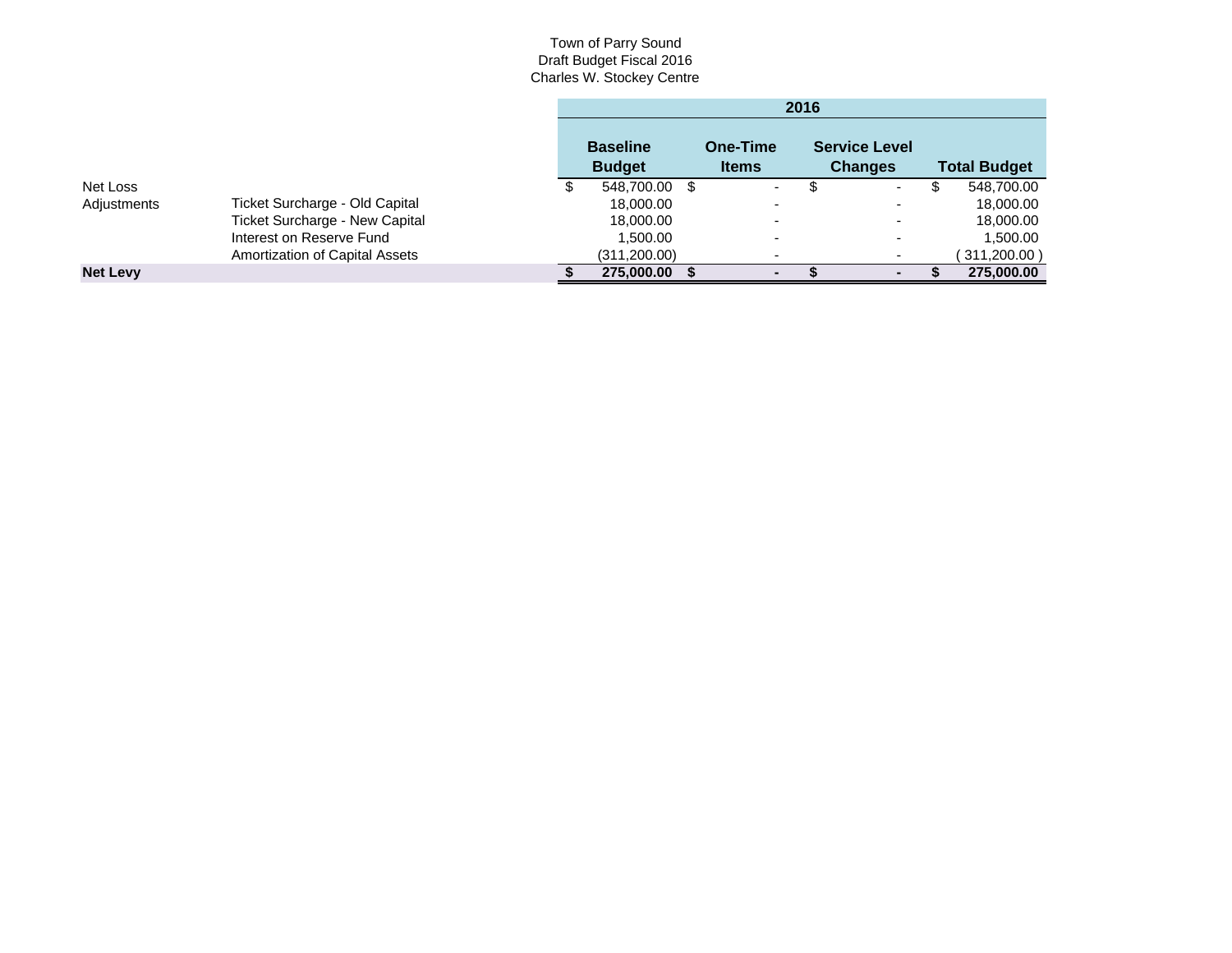|                 |                                       | 2016                             |  |                          |  |                                        |                     |
|-----------------|---------------------------------------|----------------------------------|--|--------------------------|--|----------------------------------------|---------------------|
|                 |                                       | <b>Baseline</b><br><b>Budget</b> |  | One-Time<br><b>Items</b> |  | <b>Service Level</b><br><b>Changes</b> | <b>Total Budget</b> |
| Net Loss        |                                       | 548,700.00 \$                    |  | $\overline{\phantom{0}}$ |  | ۰.                                     | 548,700.00          |
| Adjustments     | Ticket Surcharge - Old Capital        | 18,000.00                        |  |                          |  | $\overline{\phantom{0}}$               | 18,000.00           |
|                 | Ticket Surcharge - New Capital        | 18,000.00                        |  |                          |  | $\overline{\phantom{0}}$               | 18,000.00           |
|                 | Interest on Reserve Fund              | 1,500.00                         |  | $\overline{\phantom{0}}$ |  | -                                      | 1,500.00            |
|                 | <b>Amortization of Capital Assets</b> | (311, 200.00)                    |  | $\overline{\phantom{0}}$ |  |                                        | 311,200.00)         |
| <b>Net Levy</b> |                                       | 275,000.00                       |  | $\blacksquare$           |  |                                        | 275,000.00          |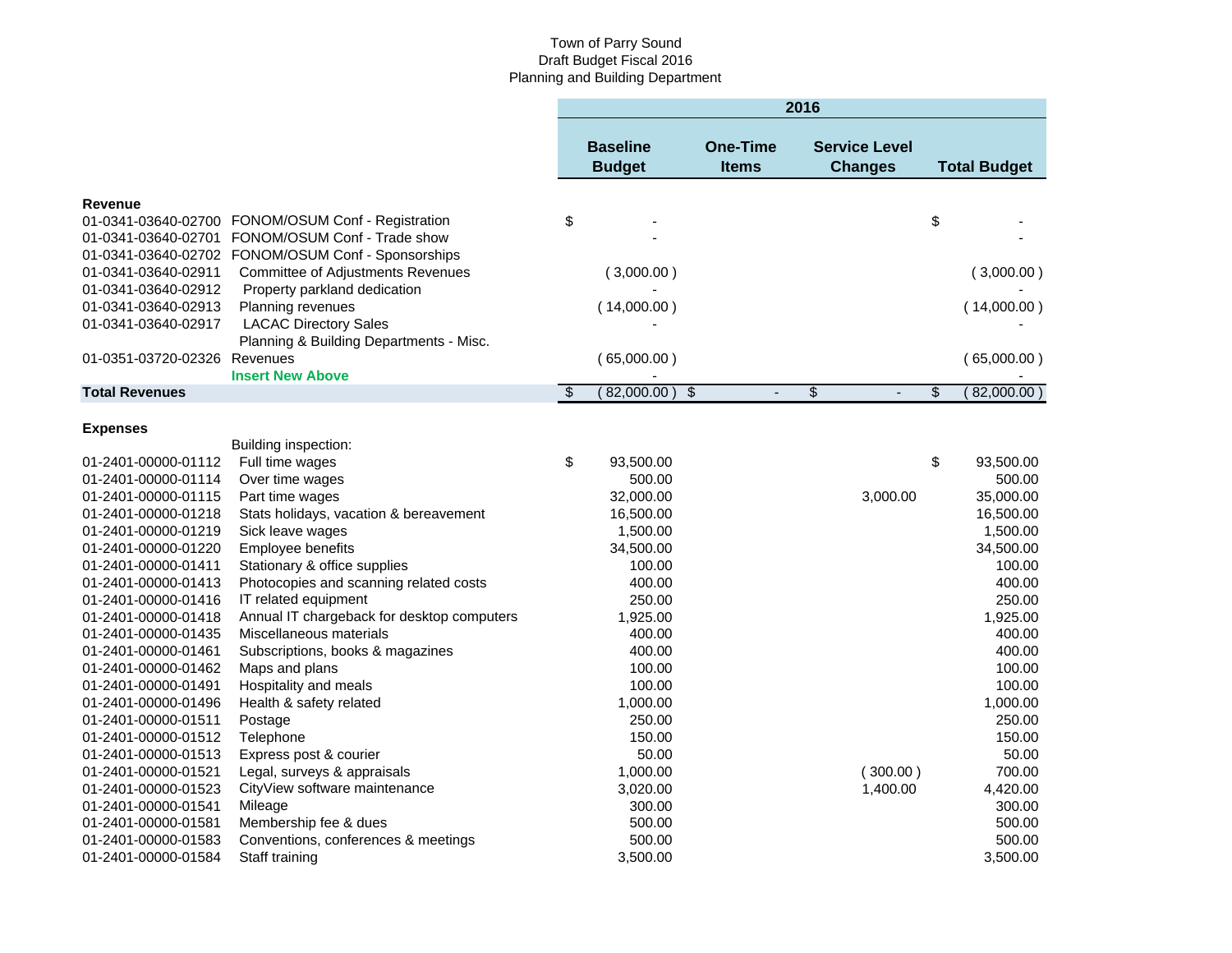## Town of Parry Sound Draft Budget Fiscal 2016 Planning and Building Department

|                              |                                                    |           |                                  |                                 | 2016 |                                        |                     |
|------------------------------|----------------------------------------------------|-----------|----------------------------------|---------------------------------|------|----------------------------------------|---------------------|
|                              |                                                    |           | <b>Baseline</b><br><b>Budget</b> | <b>One-Time</b><br><b>Items</b> |      | <b>Service Level</b><br><b>Changes</b> | <b>Total Budget</b> |
| <b>Revenue</b>               |                                                    |           |                                  |                                 |      |                                        |                     |
|                              | 01-0341-03640-02700 FONOM/OSUM Conf - Registration | \$        |                                  |                                 |      |                                        | \$                  |
| 01-0341-03640-02701          | FONOM/OSUM Conf - Trade show                       |           |                                  |                                 |      |                                        |                     |
|                              | 01-0341-03640-02702 FONOM/OSUM Conf - Sponsorships |           |                                  |                                 |      |                                        |                     |
| 01-0341-03640-02911          | <b>Committee of Adjustments Revenues</b>           |           | (3,000.00)                       |                                 |      |                                        | (3,000.00)          |
| 01-0341-03640-02912          | Property parkland dedication                       |           |                                  |                                 |      |                                        |                     |
| 01-0341-03640-02913          | Planning revenues                                  |           | (14,000.00)                      |                                 |      |                                        | (14,000.00)         |
| 01-0341-03640-02917          | <b>LACAC Directory Sales</b>                       |           |                                  |                                 |      |                                        |                     |
|                              | Planning & Building Departments - Misc.            |           |                                  |                                 |      |                                        |                     |
| 01-0351-03720-02326 Revenues |                                                    |           | (65,000.00)                      |                                 |      |                                        | (65,000.00)         |
|                              | <b>Insert New Above</b>                            |           |                                  |                                 |      |                                        |                     |
| <b>Total Revenues</b>        |                                                    | $\bullet$ | 82,000.00)                       | $\frac{1}{2}$<br>÷,             | \$   | ÷,                                     | \$<br>(82,000.00)   |
| <b>Expenses</b>              |                                                    |           |                                  |                                 |      |                                        |                     |
|                              | Building inspection:                               |           |                                  |                                 |      |                                        |                     |
| 01-2401-00000-01112          | Full time wages                                    | \$        | 93,500.00                        |                                 |      |                                        | \$<br>93,500.00     |
| 01-2401-00000-01114          | Over time wages                                    |           | 500.00                           |                                 |      |                                        | 500.00              |
| 01-2401-00000-01115          | Part time wages                                    |           | 32,000.00                        |                                 |      | 3,000.00                               | 35,000.00           |
| 01-2401-00000-01218          | Stats holidays, vacation & bereavement             |           | 16,500.00                        |                                 |      |                                        | 16,500.00           |
| 01-2401-00000-01219          | Sick leave wages                                   |           | 1,500.00                         |                                 |      |                                        | 1,500.00            |
| 01-2401-00000-01220          | Employee benefits                                  |           | 34,500.00                        |                                 |      |                                        | 34,500.00           |
| 01-2401-00000-01411          | Stationary & office supplies                       |           | 100.00                           |                                 |      |                                        | 100.00              |
| 01-2401-00000-01413          | Photocopies and scanning related costs             |           | 400.00                           |                                 |      |                                        | 400.00              |
| 01-2401-00000-01416          | IT related equipment                               |           | 250.00                           |                                 |      |                                        | 250.00              |
| 01-2401-00000-01418          | Annual IT chargeback for desktop computers         |           | 1,925.00                         |                                 |      |                                        | 1,925.00            |
| 01-2401-00000-01435          | Miscellaneous materials                            |           | 400.00                           |                                 |      |                                        | 400.00              |
| 01-2401-00000-01461          | Subscriptions, books & magazines                   |           | 400.00                           |                                 |      |                                        | 400.00              |
| 01-2401-00000-01462          | Maps and plans                                     |           | 100.00                           |                                 |      |                                        | 100.00              |
| 01-2401-00000-01491          | Hospitality and meals                              |           | 100.00                           |                                 |      |                                        | 100.00              |
| 01-2401-00000-01496          | Health & safety related                            |           | 1,000.00                         |                                 |      |                                        | 1,000.00            |
| 01-2401-00000-01511          | Postage                                            |           | 250.00                           |                                 |      |                                        | 250.00              |
| 01-2401-00000-01512          | Telephone                                          |           | 150.00                           |                                 |      |                                        | 150.00              |
| 01-2401-00000-01513          | Express post & courier                             |           | 50.00                            |                                 |      |                                        | 50.00               |
| 01-2401-00000-01521          | Legal, surveys & appraisals                        |           | 1,000.00                         |                                 |      | (300.00)                               | 700.00              |
| 01-2401-00000-01523          | CityView software maintenance                      |           | 3,020.00                         |                                 |      | 1,400.00                               | 4,420.00            |
| 01-2401-00000-01541          | Mileage                                            |           | 300.00                           |                                 |      |                                        | 300.00              |
| 01-2401-00000-01581          | Membership fee & dues                              |           | 500.00                           |                                 |      |                                        | 500.00              |
| 01-2401-00000-01583          | Conventions, conferences & meetings                |           | 500.00                           |                                 |      |                                        | 500.00              |
| 01-2401-00000-01584          | Staff training                                     |           | 3,500.00                         |                                 |      |                                        | 3,500.00            |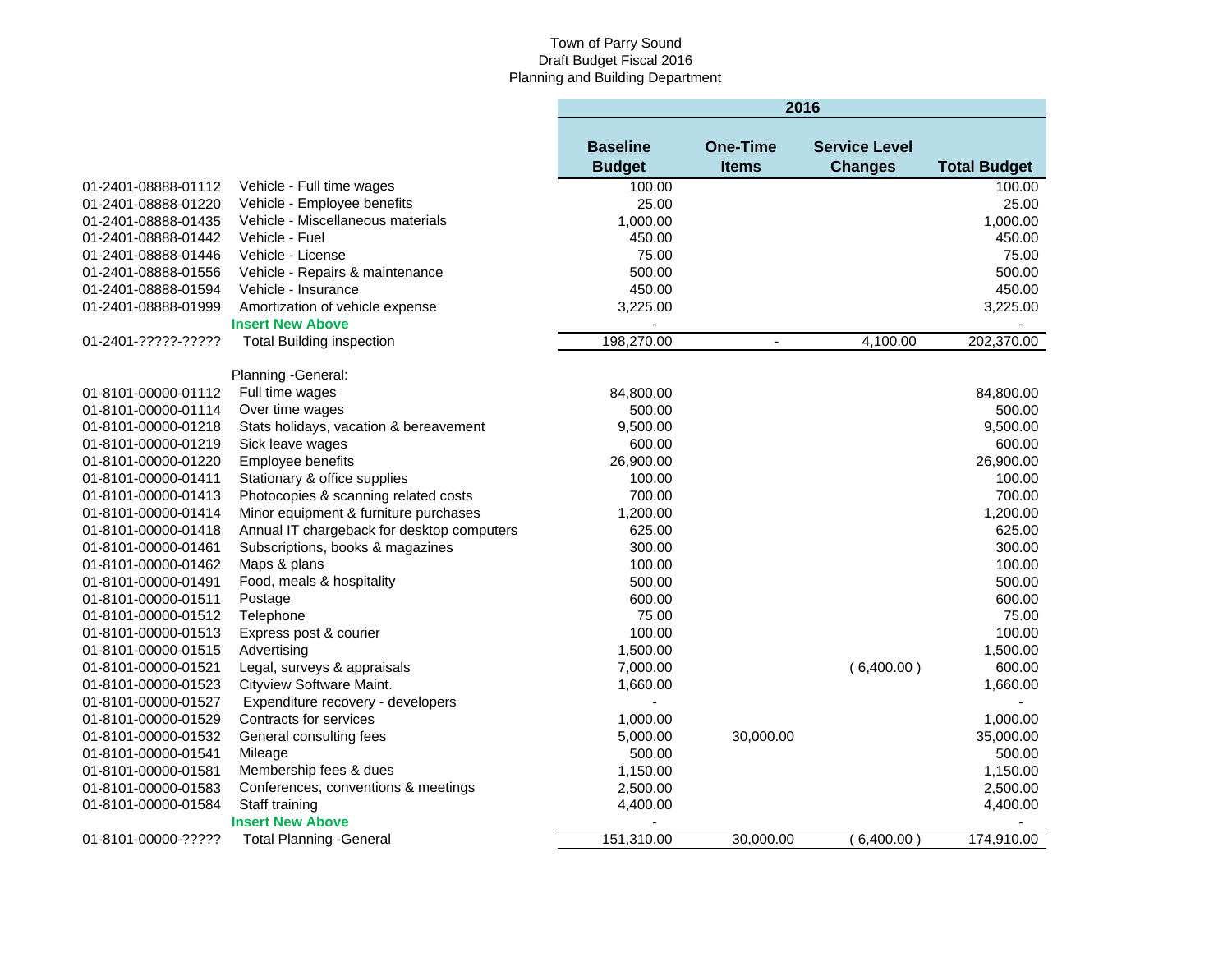#### Town of Parry Sound Draft Budget Fiscal 2016 Planning and Building Department

|                     |                                            | 2016            |                          |                      |                     |  |  |  |
|---------------------|--------------------------------------------|-----------------|--------------------------|----------------------|---------------------|--|--|--|
|                     |                                            | <b>Baseline</b> | <b>One-Time</b>          | <b>Service Level</b> |                     |  |  |  |
|                     |                                            | <b>Budget</b>   | <b>Items</b>             | <b>Changes</b>       | <b>Total Budget</b> |  |  |  |
| 01-2401-08888-01112 | Vehicle - Full time wages                  | 100.00          |                          |                      | 100.00              |  |  |  |
| 01-2401-08888-01220 | Vehicle - Employee benefits                | 25.00           |                          |                      | 25.00               |  |  |  |
| 01-2401-08888-01435 | Vehicle - Miscellaneous materials          | 1,000.00        |                          |                      | 1,000.00            |  |  |  |
| 01-2401-08888-01442 | Vehicle - Fuel                             | 450.00          |                          |                      | 450.00              |  |  |  |
| 01-2401-08888-01446 | Vehicle - License                          | 75.00           |                          |                      | 75.00               |  |  |  |
| 01-2401-08888-01556 | Vehicle - Repairs & maintenance            | 500.00          |                          |                      | 500.00              |  |  |  |
| 01-2401-08888-01594 | Vehicle - Insurance                        | 450.00          |                          |                      | 450.00              |  |  |  |
| 01-2401-08888-01999 | Amortization of vehicle expense            | 3,225.00        |                          |                      | 3,225.00            |  |  |  |
|                     | <b>Insert New Above</b>                    |                 |                          |                      |                     |  |  |  |
| 01-2401-?????-????? | <b>Total Building inspection</b>           | 198,270.00      | $\overline{\phantom{a}}$ | 4,100.00             | 202,370.00          |  |  |  |
|                     | Planning -General:                         |                 |                          |                      |                     |  |  |  |
| 01-8101-00000-01112 | Full time wages                            | 84,800.00       |                          |                      | 84,800.00           |  |  |  |
| 01-8101-00000-01114 | Over time wages                            | 500.00          |                          |                      | 500.00              |  |  |  |
| 01-8101-00000-01218 | Stats holidays, vacation & bereavement     | 9,500.00        |                          |                      | 9,500.00            |  |  |  |
| 01-8101-00000-01219 | Sick leave wages                           | 600.00          |                          |                      | 600.00              |  |  |  |
| 01-8101-00000-01220 | Employee benefits                          | 26,900.00       |                          |                      | 26,900.00           |  |  |  |
| 01-8101-00000-01411 | Stationary & office supplies               | 100.00          |                          |                      | 100.00              |  |  |  |
| 01-8101-00000-01413 | Photocopies & scanning related costs       | 700.00          |                          |                      | 700.00              |  |  |  |
| 01-8101-00000-01414 | Minor equipment & furniture purchases      | 1,200.00        |                          |                      | 1,200.00            |  |  |  |
| 01-8101-00000-01418 | Annual IT chargeback for desktop computers | 625.00          |                          |                      | 625.00              |  |  |  |
| 01-8101-00000-01461 | Subscriptions, books & magazines           | 300.00          |                          |                      | 300.00              |  |  |  |
| 01-8101-00000-01462 | Maps & plans                               | 100.00          |                          |                      | 100.00              |  |  |  |
| 01-8101-00000-01491 | Food, meals & hospitality                  | 500.00          |                          |                      | 500.00              |  |  |  |
| 01-8101-00000-01511 | Postage                                    | 600.00          |                          |                      | 600.00              |  |  |  |
| 01-8101-00000-01512 | Telephone                                  | 75.00           |                          |                      | 75.00               |  |  |  |
| 01-8101-00000-01513 | Express post & courier                     | 100.00          |                          |                      | 100.00              |  |  |  |
| 01-8101-00000-01515 | Advertising                                | 1,500.00        |                          |                      | 1,500.00            |  |  |  |
| 01-8101-00000-01521 | Legal, surveys & appraisals                | 7,000.00        |                          | (6,400.00)           | 600.00              |  |  |  |
| 01-8101-00000-01523 | Cityview Software Maint.                   | 1,660.00        |                          |                      | 1.660.00            |  |  |  |
| 01-8101-00000-01527 | Expenditure recovery - developers          | ÷,              |                          |                      |                     |  |  |  |
| 01-8101-00000-01529 | Contracts for services                     | 1,000.00        |                          |                      | 1,000.00            |  |  |  |
| 01-8101-00000-01532 | General consulting fees                    | 5,000.00        | 30,000.00                |                      | 35,000.00           |  |  |  |
| 01-8101-00000-01541 | Mileage                                    | 500.00          |                          |                      | 500.00              |  |  |  |
| 01-8101-00000-01581 | Membership fees & dues                     | 1,150.00        |                          |                      | 1,150.00            |  |  |  |
| 01-8101-00000-01583 | Conferences, conventions & meetings        | 2,500.00        |                          |                      | 2,500.00            |  |  |  |
| 01-8101-00000-01584 | Staff training                             | 4,400.00        |                          |                      | 4,400.00            |  |  |  |
|                     | <b>Insert New Above</b>                    |                 |                          |                      |                     |  |  |  |
| 01-8101-00000-????? | <b>Total Planning -General</b>             | 151,310.00      | 30,000.00                | 6,400.00             | 174,910.00          |  |  |  |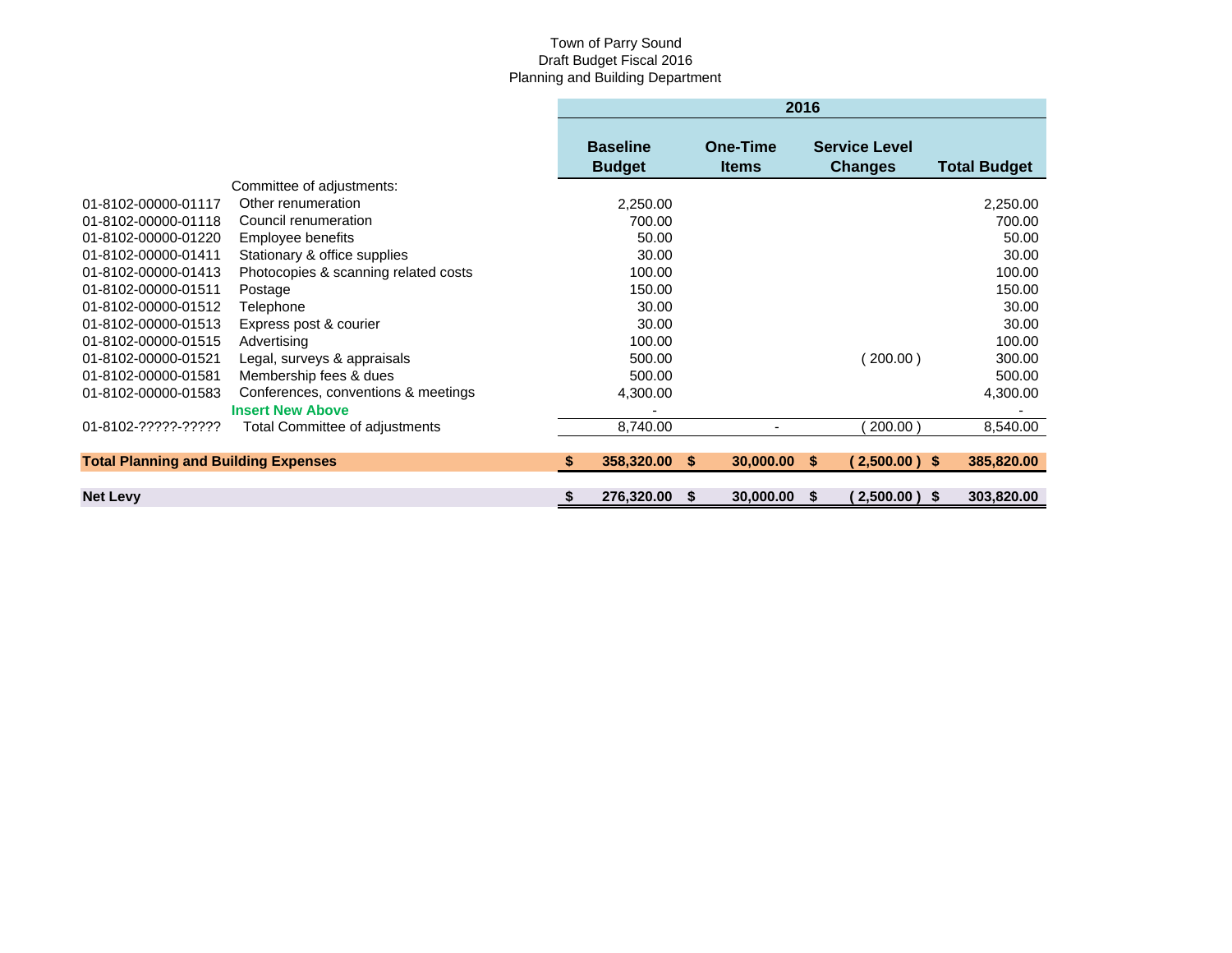## Town of Parry Sound Draft Budget Fiscal 2016 Planning and Building Department

|                                             |                                      |     | 2016                             |    |                                 |    |                                        |                     |
|---------------------------------------------|--------------------------------------|-----|----------------------------------|----|---------------------------------|----|----------------------------------------|---------------------|
|                                             |                                      |     | <b>Baseline</b><br><b>Budget</b> |    | <b>One-Time</b><br><b>Items</b> |    | <b>Service Level</b><br><b>Changes</b> | <b>Total Budget</b> |
|                                             | Committee of adjustments:            |     |                                  |    |                                 |    |                                        |                     |
| 01-8102-00000-01117                         | Other renumeration                   |     | 2,250.00                         |    |                                 |    |                                        | 2,250.00            |
| 01-8102-00000-01118                         | Council renumeration                 |     | 700.00                           |    |                                 |    |                                        | 700.00              |
| 01-8102-00000-01220                         | Employee benefits                    |     | 50.00                            |    |                                 |    |                                        | 50.00               |
| 01-8102-00000-01411                         | Stationary & office supplies         |     | 30.00                            |    |                                 |    |                                        | 30.00               |
| 01-8102-00000-01413                         | Photocopies & scanning related costs |     | 100.00                           |    |                                 |    |                                        | 100.00              |
| 01-8102-00000-01511                         | Postage                              |     | 150.00                           |    |                                 |    |                                        | 150.00              |
| 01-8102-00000-01512                         | Telephone                            |     | 30.00                            |    |                                 |    |                                        | 30.00               |
| 01-8102-00000-01513                         | Express post & courier               |     | 30.00                            |    |                                 |    |                                        | 30.00               |
| 01-8102-00000-01515                         | Advertising                          |     | 100.00                           |    |                                 |    |                                        | 100.00              |
| 01-8102-00000-01521                         | Legal, surveys & appraisals          |     | 500.00                           |    |                                 |    | 200.00)                                | 300.00              |
| 01-8102-00000-01581                         | Membership fees & dues               |     | 500.00                           |    |                                 |    |                                        | 500.00              |
| 01-8102-00000-01583                         | Conferences, conventions & meetings  |     | 4,300.00                         |    |                                 |    |                                        | 4,300.00            |
|                                             | <b>Insert New Above</b>              |     |                                  |    |                                 |    |                                        |                     |
| 01-8102-?????-?????                         | Total Committee of adjustments       |     | 8,740.00                         |    |                                 |    | 200.00                                 | 8,540.00            |
| <b>Total Planning and Building Expenses</b> |                                      | -SS | 358,320.00                       | S. | 30,000.00                       | -S | $(2,500.00)$ \$                        | 385,820.00          |
| <b>Net Levy</b>                             |                                      |     | 276,320.00                       | S  | 30,000.00                       | Ŝ. | $2,500.00$ ) \$                        | 303,820.00          |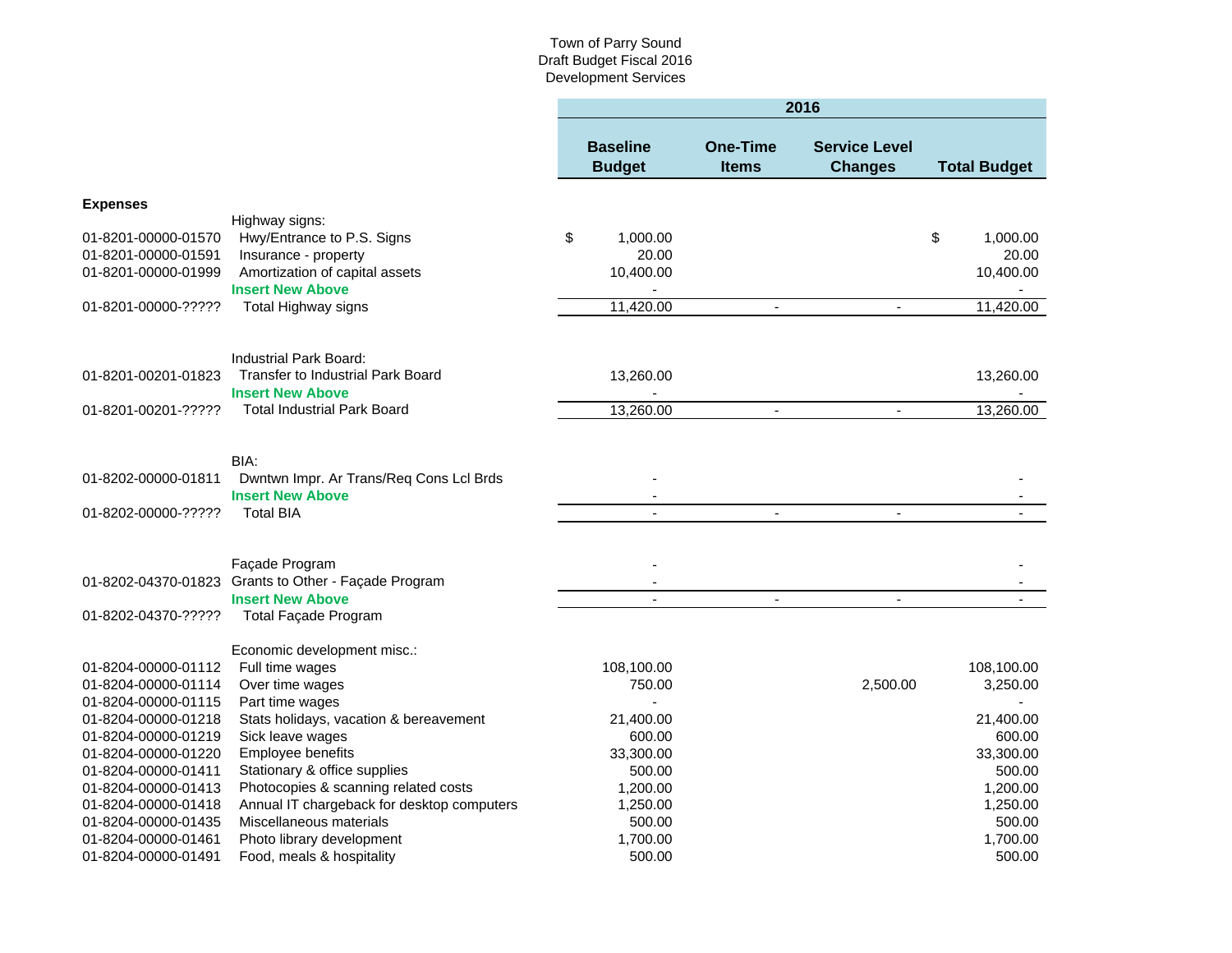|                     |                                                      | 2016                             |                                 |                                        |    |                     |  |  |  |
|---------------------|------------------------------------------------------|----------------------------------|---------------------------------|----------------------------------------|----|---------------------|--|--|--|
|                     |                                                      | <b>Baseline</b><br><b>Budget</b> | <b>One-Time</b><br><b>Items</b> | <b>Service Level</b><br><b>Changes</b> |    | <b>Total Budget</b> |  |  |  |
| <b>Expenses</b>     |                                                      |                                  |                                 |                                        |    |                     |  |  |  |
|                     | Highway signs:                                       |                                  |                                 |                                        |    |                     |  |  |  |
| 01-8201-00000-01570 | Hwy/Entrance to P.S. Signs                           | \$<br>1,000.00                   |                                 |                                        | \$ | 1,000.00            |  |  |  |
| 01-8201-00000-01591 | Insurance - property                                 | 20.00                            |                                 |                                        |    | 20.00               |  |  |  |
| 01-8201-00000-01999 | Amortization of capital assets                       | 10,400.00                        |                                 |                                        |    | 10,400.00           |  |  |  |
|                     | <b>Insert New Above</b>                              | $\overline{\phantom{a}}$         |                                 |                                        |    |                     |  |  |  |
| 01-8201-00000-????? | Total Highway signs                                  | 11,420.00                        | $\blacksquare$                  | $\blacksquare$                         |    | 11,420.00           |  |  |  |
|                     | Industrial Park Board:                               |                                  |                                 |                                        |    |                     |  |  |  |
| 01-8201-00201-01823 | <b>Transfer to Industrial Park Board</b>             | 13,260.00                        |                                 |                                        |    | 13,260.00           |  |  |  |
|                     | <b>Insert New Above</b>                              |                                  |                                 |                                        |    |                     |  |  |  |
| 01-8201-00201-????? | <b>Total Industrial Park Board</b>                   | 13,260.00                        | $\blacksquare$                  | $\blacksquare$                         |    | 13,260.00           |  |  |  |
|                     |                                                      |                                  |                                 |                                        |    |                     |  |  |  |
|                     | BIA:                                                 |                                  |                                 |                                        |    |                     |  |  |  |
| 01-8202-00000-01811 | Dwntwn Impr. Ar Trans/Req Cons Lcl Brds              |                                  |                                 |                                        |    |                     |  |  |  |
|                     | <b>Insert New Above</b>                              |                                  |                                 |                                        |    |                     |  |  |  |
| 01-8202-00000-????? | <b>Total BIA</b>                                     |                                  | $\overline{\phantom{a}}$        | $\blacksquare$                         |    |                     |  |  |  |
|                     |                                                      |                                  |                                 |                                        |    |                     |  |  |  |
|                     | Façade Program                                       |                                  |                                 |                                        |    |                     |  |  |  |
|                     | 01-8202-04370-01823 Grants to Other - Façade Program |                                  |                                 |                                        |    |                     |  |  |  |
|                     | <b>Insert New Above</b>                              |                                  | $\sim$                          |                                        |    |                     |  |  |  |
| 01-8202-04370-????? | Total Façade Program                                 |                                  |                                 |                                        |    |                     |  |  |  |
|                     | Economic development misc.:                          |                                  |                                 |                                        |    |                     |  |  |  |
| 01-8204-00000-01112 | Full time wages                                      | 108,100.00                       |                                 |                                        |    | 108,100.00          |  |  |  |
| 01-8204-00000-01114 | Over time wages                                      | 750.00                           |                                 | 2,500.00                               |    | 3,250.00            |  |  |  |
| 01-8204-00000-01115 | Part time wages                                      | L.                               |                                 |                                        |    |                     |  |  |  |
| 01-8204-00000-01218 | Stats holidays, vacation & bereavement               | 21,400.00                        |                                 |                                        |    | 21,400.00           |  |  |  |
| 01-8204-00000-01219 | Sick leave wages                                     | 600.00                           |                                 |                                        |    | 600.00              |  |  |  |
| 01-8204-00000-01220 | Employee benefits                                    | 33,300.00                        |                                 |                                        |    | 33,300.00           |  |  |  |
| 01-8204-00000-01411 | Stationary & office supplies                         | 500.00                           |                                 |                                        |    | 500.00              |  |  |  |
| 01-8204-00000-01413 | Photocopies & scanning related costs                 | 1,200.00                         |                                 |                                        |    | 1,200.00            |  |  |  |
| 01-8204-00000-01418 | Annual IT chargeback for desktop computers           | 1,250.00                         |                                 |                                        |    | 1,250.00            |  |  |  |
| 01-8204-00000-01435 | Miscellaneous materials                              | 500.00                           |                                 |                                        |    | 500.00              |  |  |  |
| 01-8204-00000-01461 | Photo library development                            | 1,700.00                         |                                 |                                        |    | 1,700.00            |  |  |  |
| 01-8204-00000-01491 | Food, meals & hospitality                            | 500.00                           |                                 |                                        |    | 500.00              |  |  |  |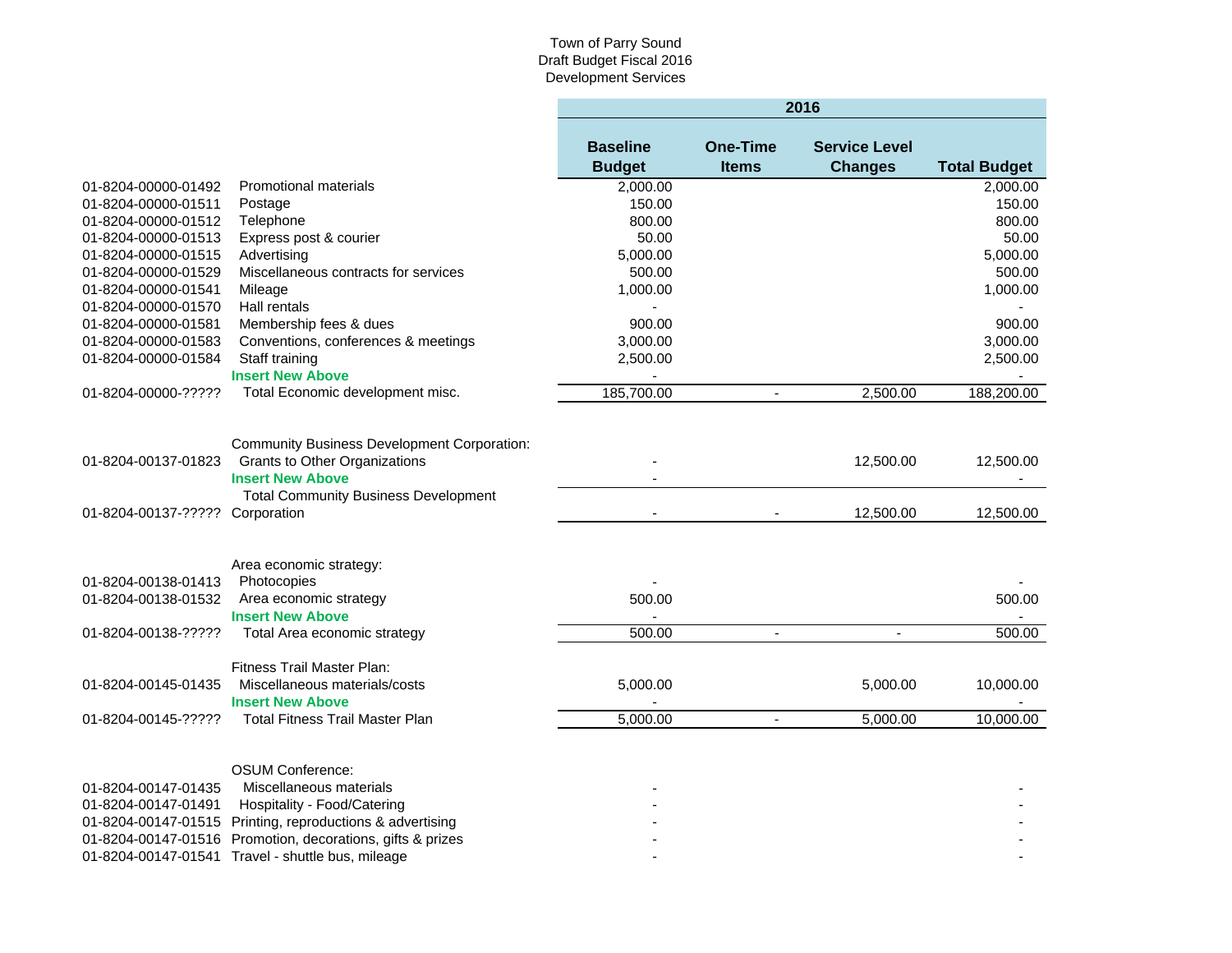|                                 |                                                                                                                       | 2016                             |                                 |                                        |                     |  |  |
|---------------------------------|-----------------------------------------------------------------------------------------------------------------------|----------------------------------|---------------------------------|----------------------------------------|---------------------|--|--|
|                                 |                                                                                                                       | <b>Baseline</b><br><b>Budget</b> | <b>One-Time</b><br><b>Items</b> | <b>Service Level</b><br><b>Changes</b> | <b>Total Budget</b> |  |  |
| 01-8204-00000-01492             | <b>Promotional materials</b>                                                                                          | 2,000.00                         |                                 |                                        | 2,000.00            |  |  |
| 01-8204-00000-01511             | Postage                                                                                                               | 150.00                           |                                 |                                        | 150.00              |  |  |
| 01-8204-00000-01512             | Telephone                                                                                                             | 800.00                           |                                 |                                        | 800.00              |  |  |
| 01-8204-00000-01513             | Express post & courier                                                                                                | 50.00                            |                                 |                                        | 50.00               |  |  |
| 01-8204-00000-01515             | Advertising                                                                                                           | 5,000.00                         |                                 |                                        | 5,000.00            |  |  |
| 01-8204-00000-01529             | Miscellaneous contracts for services                                                                                  | 500.00                           |                                 |                                        | 500.00              |  |  |
| 01-8204-00000-01541             | Mileage                                                                                                               | 1,000.00                         |                                 |                                        | 1,000.00            |  |  |
| 01-8204-00000-01570             | Hall rentals                                                                                                          |                                  |                                 |                                        |                     |  |  |
| 01-8204-00000-01581             | Membership fees & dues                                                                                                | 900.00                           |                                 |                                        | 900.00              |  |  |
| 01-8204-00000-01583             | Conventions, conferences & meetings                                                                                   | 3,000.00                         |                                 |                                        | 3,000.00            |  |  |
| 01-8204-00000-01584             | Staff training                                                                                                        | 2,500.00                         |                                 |                                        | 2,500.00            |  |  |
|                                 | <b>Insert New Above</b>                                                                                               |                                  |                                 |                                        |                     |  |  |
| 01-8204-00000-?????             | Total Economic development misc.                                                                                      | 185,700.00                       | $\overline{\phantom{a}}$        | 2,500.00                               | 188,200.00          |  |  |
| 01-8204-00137-01823             | <b>Community Business Development Corporation:</b><br><b>Grants to Other Organizations</b><br><b>Insert New Above</b> |                                  |                                 | 12,500.00                              | 12,500.00           |  |  |
| 01-8204-00137-????? Corporation | <b>Total Community Business Development</b>                                                                           |                                  |                                 | 12,500.00                              | 12,500.00           |  |  |
| 01-8204-00138-01413             | Area economic strategy:<br>Photocopies                                                                                |                                  |                                 |                                        |                     |  |  |
| 01-8204-00138-01532             | Area economic strategy                                                                                                | 500.00                           |                                 |                                        | 500.00              |  |  |
|                                 | <b>Insert New Above</b>                                                                                               |                                  |                                 |                                        |                     |  |  |
| 01-8204-00138-?????             | Total Area economic strategy                                                                                          | 500.00                           | $\blacksquare$                  | $\mathbf{r}$                           | 500.00              |  |  |
|                                 | <b>Fitness Trail Master Plan:</b>                                                                                     |                                  |                                 |                                        |                     |  |  |
| 01-8204-00145-01435             | Miscellaneous materials/costs                                                                                         | 5,000.00                         |                                 | 5,000.00                               | 10,000.00           |  |  |
|                                 | <b>Insert New Above</b>                                                                                               |                                  |                                 |                                        |                     |  |  |
| 01-8204-00145-?????             | <b>Total Fitness Trail Master Plan</b>                                                                                | 5,000.00                         |                                 | 5,000.00                               | 10,000.00           |  |  |
|                                 |                                                                                                                       |                                  |                                 |                                        |                     |  |  |
|                                 | <b>OSUM Conference:</b>                                                                                               |                                  |                                 |                                        |                     |  |  |
| 01-8204-00147-01435             | Miscellaneous materials                                                                                               |                                  |                                 |                                        |                     |  |  |
| 01-8204-00147-01491             | Hospitality - Food/Catering                                                                                           |                                  |                                 |                                        |                     |  |  |
|                                 | 01-8204-00147-01515 Printing, reproductions & advertising                                                             |                                  |                                 |                                        |                     |  |  |
|                                 | 01-8204-00147-01516 Promotion, decorations, gifts & prizes                                                            |                                  |                                 |                                        |                     |  |  |
|                                 | 01-8204-00147-01541 Travel - shuttle bus, mileage                                                                     |                                  |                                 |                                        |                     |  |  |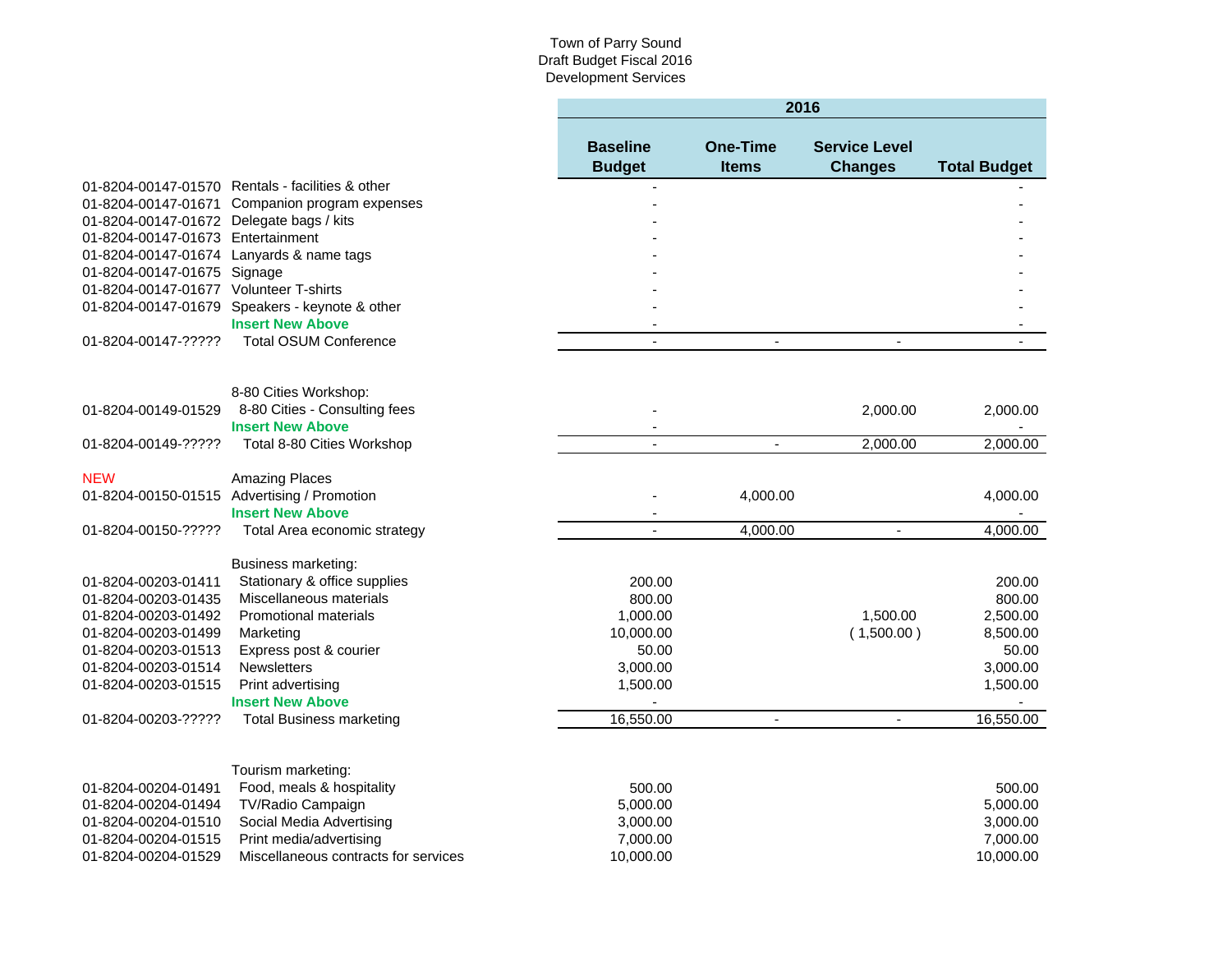٠

|                                            |                                                  |                                  | 2016                            |                                        |                     |  |  |  |
|--------------------------------------------|--------------------------------------------------|----------------------------------|---------------------------------|----------------------------------------|---------------------|--|--|--|
|                                            |                                                  | <b>Baseline</b><br><b>Budget</b> | <b>One-Time</b><br><b>Items</b> | <b>Service Level</b><br><b>Changes</b> | <b>Total Budget</b> |  |  |  |
|                                            | 01-8204-00147-01570 Rentals - facilities & other |                                  |                                 |                                        |                     |  |  |  |
|                                            | 01-8204-00147-01671 Companion program expenses   |                                  |                                 |                                        |                     |  |  |  |
| 01-8204-00147-01672 Delegate bags / kits   |                                                  |                                  |                                 |                                        |                     |  |  |  |
| 01-8204-00147-01673 Entertainment          |                                                  |                                  |                                 |                                        |                     |  |  |  |
|                                            | 01-8204-00147-01674 Lanyards & name tags         |                                  |                                 |                                        |                     |  |  |  |
| 01-8204-00147-01675 Signage                |                                                  |                                  |                                 |                                        |                     |  |  |  |
| 01-8204-00147-01677 Volunteer T-shirts     |                                                  |                                  |                                 |                                        |                     |  |  |  |
|                                            | 01-8204-00147-01679 Speakers - keynote & other   |                                  |                                 |                                        |                     |  |  |  |
|                                            | <b>Insert New Above</b>                          |                                  |                                 |                                        |                     |  |  |  |
| 01-8204-00147-?????                        | <b>Total OSUM Conference</b>                     |                                  |                                 |                                        |                     |  |  |  |
|                                            | 8-80 Cities Workshop:                            |                                  |                                 |                                        |                     |  |  |  |
| 01-8204-00149-01529                        | 8-80 Cities - Consulting fees                    |                                  |                                 | 2,000.00                               | 2,000.00            |  |  |  |
|                                            | <b>Insert New Above</b>                          |                                  |                                 |                                        |                     |  |  |  |
| 01-8204-00149-?????                        | Total 8-80 Cities Workshop                       |                                  |                                 | 2,000.00                               | 2,000.00            |  |  |  |
| <b>NEW</b>                                 | <b>Amazing Places</b>                            |                                  |                                 |                                        |                     |  |  |  |
|                                            | 01-8204-00150-01515 Advertising / Promotion      |                                  | 4,000.00                        |                                        | 4,000.00            |  |  |  |
|                                            | <b>Insert New Above</b>                          |                                  |                                 |                                        |                     |  |  |  |
| 01-8204-00150-?????                        | Total Area economic strategy                     |                                  | 4,000.00                        | ä,                                     | 4,000.00            |  |  |  |
|                                            | Business marketing:                              |                                  |                                 |                                        |                     |  |  |  |
| 01-8204-00203-01411                        | Stationary & office supplies                     | 200.00                           |                                 |                                        | 200.00              |  |  |  |
| 01-8204-00203-01435                        | Miscellaneous materials                          | 800.00                           |                                 |                                        | 800.00              |  |  |  |
| 01-8204-00203-01492                        | <b>Promotional materials</b>                     | 1,000.00                         |                                 | 1,500.00                               | 2,500.00            |  |  |  |
| 01-8204-00203-01499                        | Marketing                                        | 10,000.00                        |                                 | (1,500.00)                             | 8,500.00            |  |  |  |
| 01-8204-00203-01513                        | Express post & courier<br><b>Newsletters</b>     | 50.00                            |                                 |                                        | 50.00<br>3,000.00   |  |  |  |
| 01-8204-00203-01514<br>01-8204-00203-01515 | Print advertising                                | 3,000.00<br>1,500.00             |                                 |                                        | 1,500.00            |  |  |  |
|                                            | <b>Insert New Above</b>                          |                                  |                                 |                                        |                     |  |  |  |
| 01-8204-00203-?????                        | <b>Total Business marketing</b>                  | 16,550.00                        | $\blacksquare$                  | $\blacksquare$                         | 16,550.00           |  |  |  |
|                                            |                                                  |                                  |                                 |                                        |                     |  |  |  |
|                                            | Tourism marketing:                               |                                  |                                 |                                        |                     |  |  |  |
| 01-8204-00204-01491                        | Food, meals & hospitality                        | 500.00                           |                                 |                                        | 500.00              |  |  |  |
| 01-8204-00204-01494                        | TV/Radio Campaign                                | 5,000.00                         |                                 |                                        | 5,000.00            |  |  |  |
| 01-8204-00204-01510                        | Social Media Advertising                         | 3,000.00                         |                                 |                                        | 3,000.00            |  |  |  |
| 01-8204-00204-01515                        | Print media/advertising                          | 7,000.00                         |                                 |                                        | 7,000.00            |  |  |  |
| 01-8204-00204-01529                        | Miscellaneous contracts for services             | 10,000.00                        |                                 |                                        | 10,000.00           |  |  |  |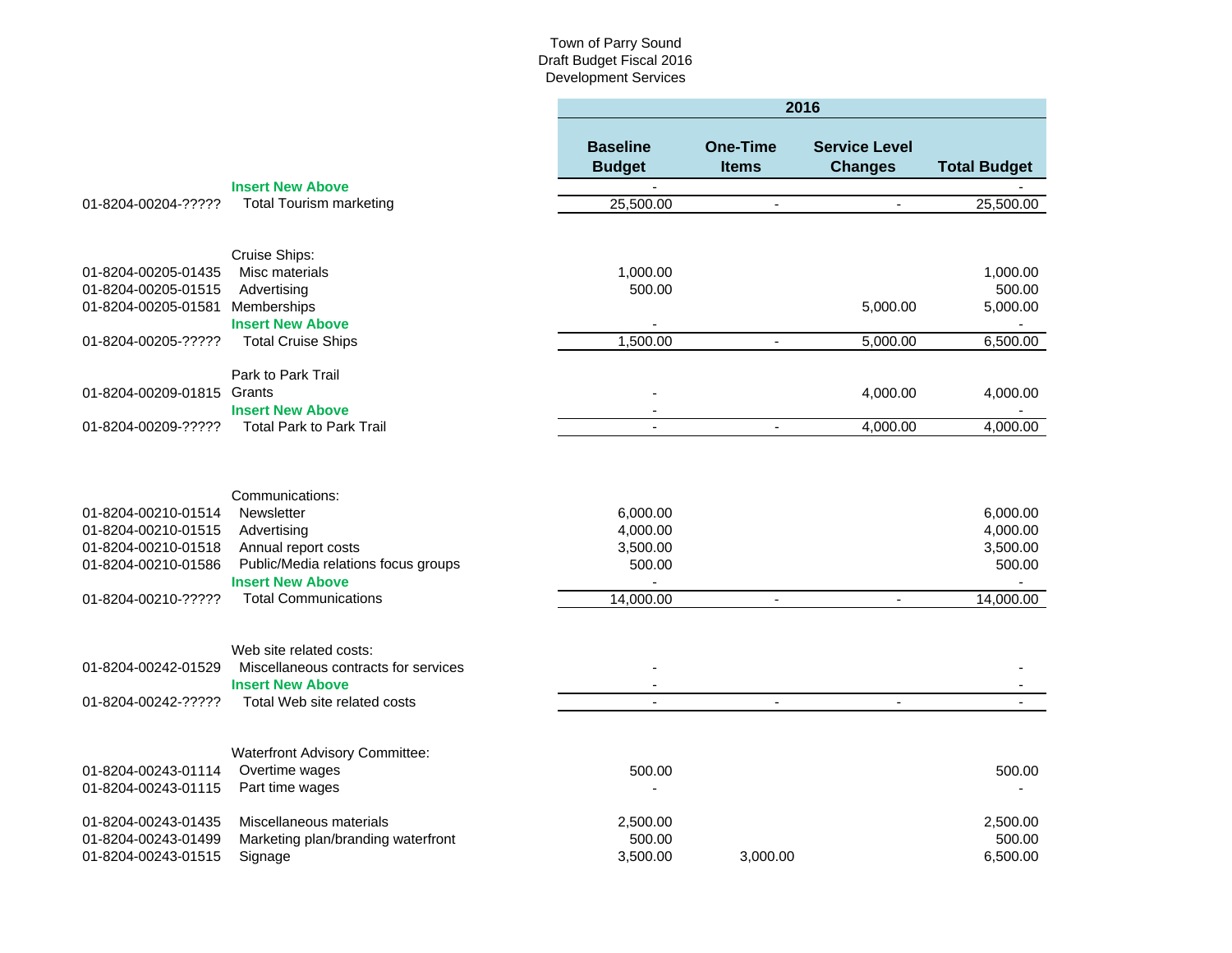|                                            |                                                                 | 2016                             |                                 |                                        |                     |  |
|--------------------------------------------|-----------------------------------------------------------------|----------------------------------|---------------------------------|----------------------------------------|---------------------|--|
|                                            |                                                                 | <b>Baseline</b><br><b>Budget</b> | <b>One-Time</b><br><b>Items</b> | <b>Service Level</b><br><b>Changes</b> | <b>Total Budget</b> |  |
|                                            | <b>Insert New Above</b>                                         |                                  |                                 |                                        |                     |  |
| 01-8204-00204-?????                        | <b>Total Tourism marketing</b>                                  | 25,500.00                        | $\blacksquare$                  | $\sim$                                 | 25,500.00           |  |
|                                            |                                                                 |                                  |                                 |                                        |                     |  |
|                                            | Cruise Ships:                                                   |                                  |                                 |                                        |                     |  |
| 01-8204-00205-01435<br>01-8204-00205-01515 | Misc materials<br>Advertising                                   | 1,000.00<br>500.00               |                                 |                                        | 1,000.00<br>500.00  |  |
| 01-8204-00205-01581                        | Memberships                                                     |                                  |                                 | 5,000.00                               | 5,000.00            |  |
|                                            | <b>Insert New Above</b>                                         |                                  |                                 |                                        |                     |  |
| 01-8204-00205-?????                        | <b>Total Cruise Ships</b>                                       | 1,500.00                         | $\sim$                          | 5,000.00                               | 6,500.00            |  |
|                                            | Park to Park Trail                                              |                                  |                                 |                                        |                     |  |
| 01-8204-00209-01815                        | Grants                                                          |                                  |                                 | 4,000.00                               | 4,000.00            |  |
|                                            | <b>Insert New Above</b>                                         |                                  |                                 |                                        |                     |  |
| 01-8204-00209-?????                        | <b>Total Park to Park Trail</b>                                 | $\overline{a}$                   | $\overline{\phantom{a}}$        | 4,000.00                               | 4,000.00            |  |
|                                            | Communications:                                                 |                                  |                                 |                                        |                     |  |
| 01-8204-00210-01514                        | <b>Newsletter</b>                                               | 6,000.00                         |                                 |                                        | 6,000.00            |  |
| 01-8204-00210-01515                        | Advertising                                                     | 4,000.00                         |                                 |                                        | 4,000.00            |  |
| 01-8204-00210-01518                        | Annual report costs                                             | 3,500.00                         |                                 |                                        | 3,500.00            |  |
| 01-8204-00210-01586                        | Public/Media relations focus groups<br><b>Insert New Above</b>  | 500.00                           |                                 |                                        | 500.00              |  |
| 01-8204-00210-?????                        | <b>Total Communications</b>                                     | 14,000.00                        |                                 |                                        | 14,000.00           |  |
|                                            |                                                                 |                                  |                                 |                                        |                     |  |
| 01-8204-00242-01529                        | Web site related costs:<br>Miscellaneous contracts for services |                                  |                                 |                                        |                     |  |
|                                            | <b>Insert New Above</b>                                         |                                  |                                 |                                        |                     |  |
| 01-8204-00242-?????                        | Total Web site related costs                                    |                                  | $\overline{\phantom{a}}$        | $\overline{\phantom{a}}$               |                     |  |
|                                            |                                                                 |                                  |                                 |                                        |                     |  |
|                                            | Waterfront Advisory Committee:                                  |                                  |                                 |                                        |                     |  |
| 01-8204-00243-01114                        | Overtime wages                                                  | 500.00                           |                                 |                                        | 500.00              |  |
| 01-8204-00243-01115                        | Part time wages                                                 |                                  |                                 |                                        |                     |  |
| 01-8204-00243-01435                        | Miscellaneous materials                                         | 2,500.00                         |                                 |                                        | 2,500.00            |  |
| 01-8204-00243-01499                        | Marketing plan/branding waterfront                              | 500.00                           |                                 |                                        | 500.00              |  |
| 01-8204-00243-01515                        | Signage                                                         | 3,500.00                         | 3.000.00                        |                                        | 6,500.00            |  |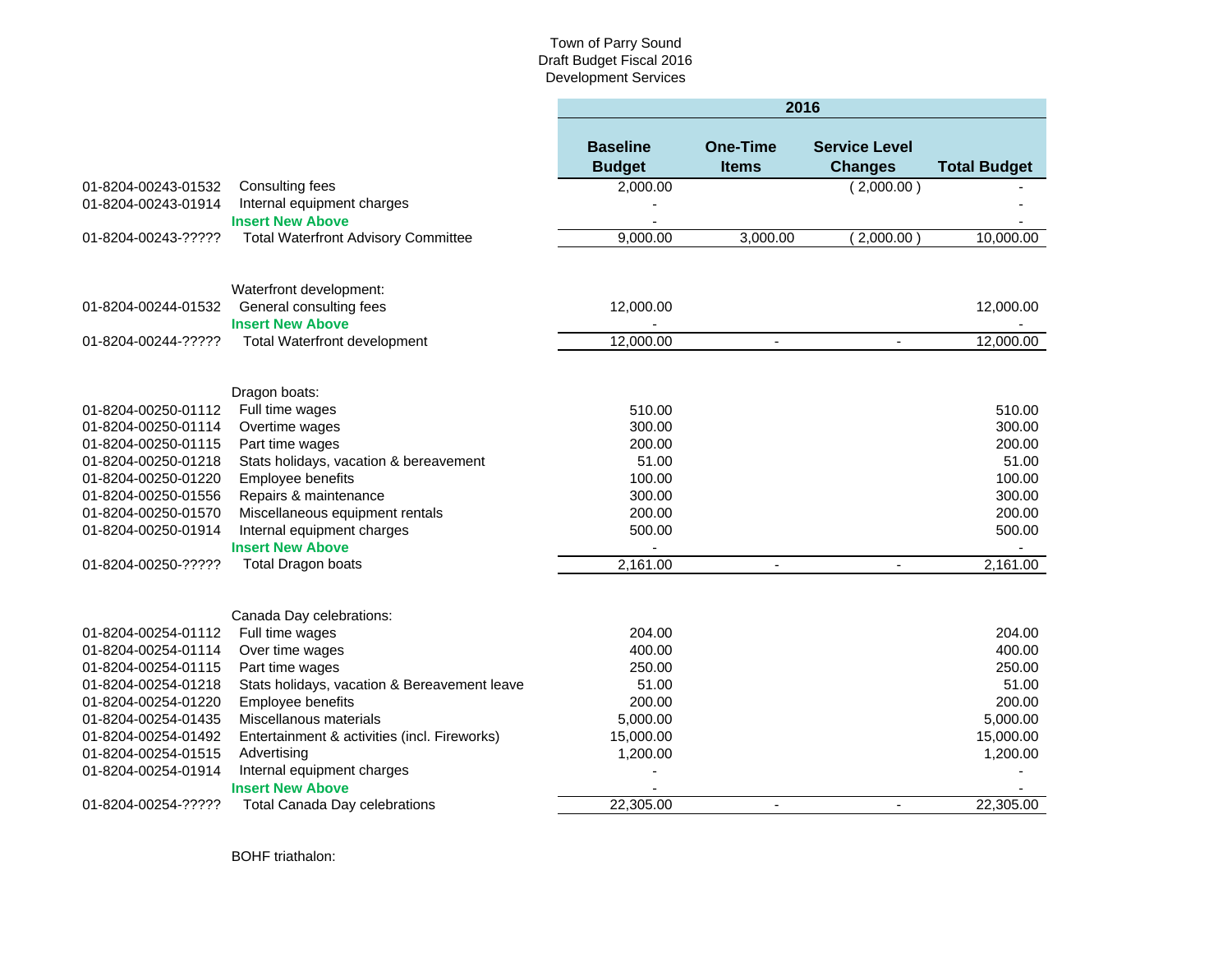|                                                                                                                                                                                                             |                                                                                                                                                                                                                                                                                                          | 2016                                                                                    |                                 |                                        |                                                                                         |
|-------------------------------------------------------------------------------------------------------------------------------------------------------------------------------------------------------------|----------------------------------------------------------------------------------------------------------------------------------------------------------------------------------------------------------------------------------------------------------------------------------------------------------|-----------------------------------------------------------------------------------------|---------------------------------|----------------------------------------|-----------------------------------------------------------------------------------------|
|                                                                                                                                                                                                             |                                                                                                                                                                                                                                                                                                          | <b>Baseline</b><br><b>Budget</b>                                                        | <b>One-Time</b><br><b>Items</b> | <b>Service Level</b><br><b>Changes</b> | <b>Total Budget</b>                                                                     |
| 01-8204-00243-01532                                                                                                                                                                                         | Consulting fees                                                                                                                                                                                                                                                                                          | 2,000.00                                                                                |                                 | (2,000.00)                             |                                                                                         |
| 01-8204-00243-01914                                                                                                                                                                                         | Internal equipment charges<br><b>Insert New Above</b>                                                                                                                                                                                                                                                    |                                                                                         |                                 |                                        |                                                                                         |
| 01-8204-00243-?????                                                                                                                                                                                         | <b>Total Waterfront Advisory Committee</b>                                                                                                                                                                                                                                                               | 9,000.00                                                                                | 3,000.00                        | 2,000.00                               | 10,000.00                                                                               |
| 01-8204-00244-01532                                                                                                                                                                                         | Waterfront development:<br>General consulting fees<br><b>Insert New Above</b>                                                                                                                                                                                                                            | 12,000.00                                                                               |                                 |                                        | 12,000.00                                                                               |
| 01-8204-00244-?????                                                                                                                                                                                         | <b>Total Waterfront development</b>                                                                                                                                                                                                                                                                      | 12,000.00                                                                               | $\overline{\phantom{a}}$        | $\blacksquare$                         | 12,000.00                                                                               |
| 01-8204-00250-01112<br>01-8204-00250-01114<br>01-8204-00250-01115<br>01-8204-00250-01218<br>01-8204-00250-01220<br>01-8204-00250-01556<br>01-8204-00250-01570<br>01-8204-00250-01914<br>01-8204-00250-????? | Dragon boats:<br>Full time wages<br>Overtime wages<br>Part time wages<br>Stats holidays, vacation & bereavement<br>Employee benefits<br>Repairs & maintenance<br>Miscellaneous equipment rentals<br>Internal equipment charges<br><b>Insert New Above</b><br><b>Total Dragon boats</b>                   | 510.00<br>300.00<br>200.00<br>51.00<br>100.00<br>300.00<br>200.00<br>500.00<br>2,161.00 | $\blacksquare$                  | $\mathcal{L}$                          | 510.00<br>300.00<br>200.00<br>51.00<br>100.00<br>300.00<br>200.00<br>500.00<br>2,161.00 |
| 01-8204-00254-01112<br>01-8204-00254-01114<br>01-8204-00254-01115<br>01-8204-00254-01218<br>01-8204-00254-01220<br>01-8204-00254-01435<br>01-8204-00254-01492<br>01-8204-00254-01515<br>01-8204-00254-01914 | Canada Day celebrations:<br>Full time wages<br>Over time wages<br>Part time wages<br>Stats holidays, vacation & Bereavement leave<br>Employee benefits<br>Miscellanous materials<br>Entertainment & activities (incl. Fireworks)<br>Advertising<br>Internal equipment charges<br><b>Insert New Above</b> | 204.00<br>400.00<br>250.00<br>51.00<br>200.00<br>5,000.00<br>15,000.00<br>1,200.00      |                                 |                                        | 204.00<br>400.00<br>250.00<br>51.00<br>200.00<br>5,000.00<br>15,000.00<br>1,200.00      |
| 01-8204-00254-?????                                                                                                                                                                                         | <b>Total Canada Day celebrations</b>                                                                                                                                                                                                                                                                     | 22,305.00                                                                               | $\blacksquare$                  | $\sim$                                 | 22,305.00                                                                               |

BOHF triathalon: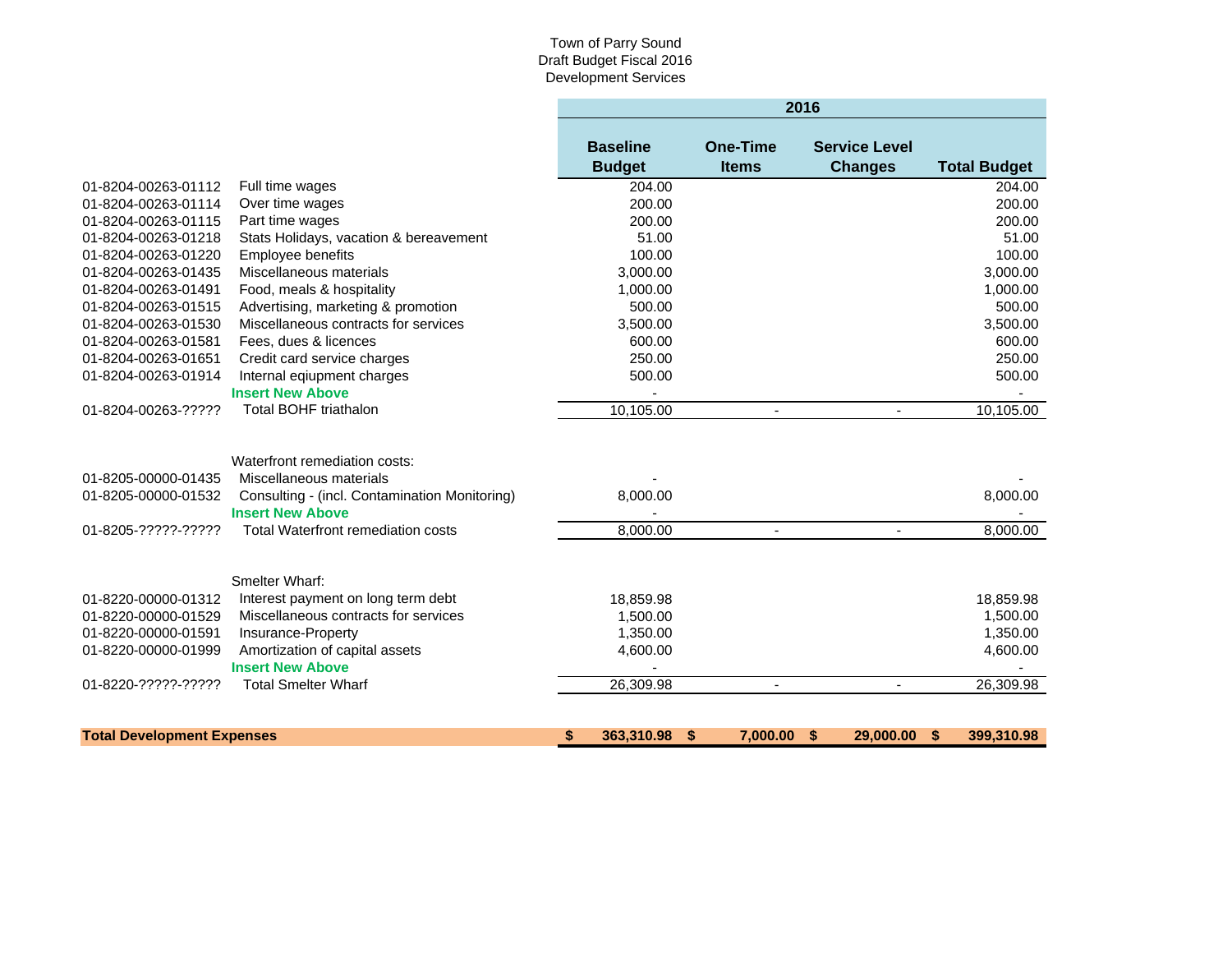#### Town of Parry Sound Draft Budget Fiscal 2016 Development Services

|                                                                   |                                                                                                                                                                                   |                                  |                                 | 2016                                   |                      |
|-------------------------------------------------------------------|-----------------------------------------------------------------------------------------------------------------------------------------------------------------------------------|----------------------------------|---------------------------------|----------------------------------------|----------------------|
|                                                                   |                                                                                                                                                                                   | <b>Baseline</b><br><b>Budget</b> | <b>One-Time</b><br><b>Items</b> | <b>Service Level</b><br><b>Changes</b> | <b>Total Budget</b>  |
| 01-8204-00263-01112                                               | Full time wages                                                                                                                                                                   | 204.00                           |                                 |                                        | 204.00               |
| 01-8204-00263-01114                                               | Over time wages                                                                                                                                                                   | 200.00                           |                                 |                                        | 200.00               |
| 01-8204-00263-01115                                               | Part time wages                                                                                                                                                                   | 200.00                           |                                 |                                        | 200.00               |
| 01-8204-00263-01218                                               | Stats Holidays, vacation & bereavement                                                                                                                                            | 51.00                            |                                 |                                        | 51.00                |
| 01-8204-00263-01220                                               | Employee benefits                                                                                                                                                                 | 100.00                           |                                 |                                        | 100.00               |
| 01-8204-00263-01435                                               | Miscellaneous materials                                                                                                                                                           | 3,000.00                         |                                 |                                        | 3,000.00             |
| 01-8204-00263-01491                                               | Food, meals & hospitality                                                                                                                                                         | 1,000.00                         |                                 |                                        | 1,000.00             |
| 01-8204-00263-01515                                               | Advertising, marketing & promotion                                                                                                                                                | 500.00                           |                                 |                                        | 500.00               |
| 01-8204-00263-01530                                               | Miscellaneous contracts for services                                                                                                                                              | 3,500.00                         |                                 |                                        | 3,500.00             |
| 01-8204-00263-01581                                               | Fees, dues & licences                                                                                                                                                             | 600.00                           |                                 |                                        | 600.00               |
| 01-8204-00263-01651                                               | Credit card service charges                                                                                                                                                       | 250.00                           |                                 |                                        | 250.00               |
| 01-8204-00263-01914                                               | Internal eqiupment charges                                                                                                                                                        | 500.00                           |                                 |                                        | 500.00               |
|                                                                   | <b>Insert New Above</b>                                                                                                                                                           |                                  |                                 |                                        |                      |
| 01-8204-00263-?????                                               | <b>Total BOHF triathalon</b>                                                                                                                                                      | 10,105.00                        | $\blacksquare$                  | $\sim$                                 | 10,105.00            |
| 01-8205-00000-01435<br>01-8205-00000-01532<br>01-8205-?????-????? | Waterfront remediation costs:<br>Miscellaneous materials<br>Consulting - (incl. Contamination Monitoring)<br><b>Insert New Above</b><br><b>Total Waterfront remediation costs</b> | 8,000.00<br>8,000.00             | $\blacksquare$                  |                                        | 8,000.00<br>8,000.00 |
| 01-8220-00000-01312                                               | Smelter Wharf:<br>Interest payment on long term debt                                                                                                                              | 18,859.98                        |                                 |                                        | 18,859.98            |
| 01-8220-00000-01529                                               | Miscellaneous contracts for services                                                                                                                                              | 1,500.00                         |                                 |                                        | 1,500.00             |
| 01-8220-00000-01591                                               | Insurance-Property                                                                                                                                                                | 1,350.00                         |                                 |                                        | 1,350.00             |
| 01-8220-00000-01999                                               | Amortization of capital assets                                                                                                                                                    | 4,600.00                         |                                 |                                        | 4,600.00             |
|                                                                   | <b>Insert New Above</b>                                                                                                                                                           |                                  |                                 |                                        |                      |
| 01-8220-?????-?????                                               | <b>Total Smelter Wharf</b>                                                                                                                                                        | 26,309.98                        |                                 |                                        | 26,309.98            |
|                                                                   |                                                                                                                                                                                   |                                  |                                 |                                        |                      |
| <b>Total Development Expenses</b>                                 |                                                                                                                                                                                   | \$<br>363,310.98 \$              | 7.000.00 \$                     | 29,000.00                              | 399,310.98<br>- \$   |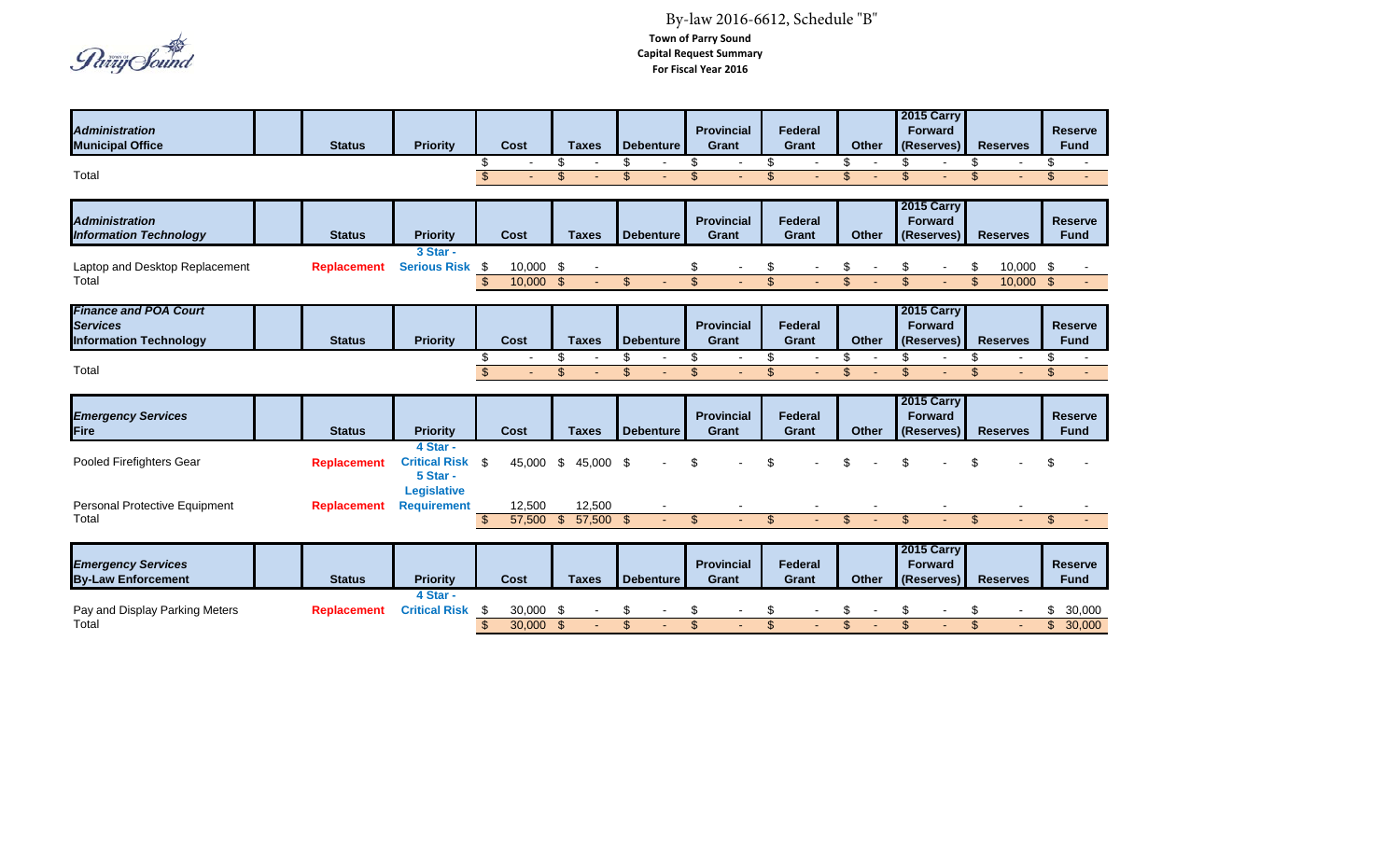Païiy Sound

#### **Town of Parry Sound Capital Request Summary For Fiscal Year 2016** By-law 2016-6612, Schedule "B"

| <b>Administration</b><br><b>Municipal Office</b>                                 | <b>Status</b>      | <b>Priority</b>                              | <b>Cost</b>                                | <b>Taxes</b>                   | <b>Debenture</b>               | <b>Provincial</b><br>Grant                                 | <b>Federal</b><br><b>Grant</b>                             | <b>Other</b>                                         | 2015 Carry<br><b>Forward</b><br>(Reserves)        | <b>Reserves</b>                                             | <b>Reserve</b><br><b>Fund</b>                    |
|----------------------------------------------------------------------------------|--------------------|----------------------------------------------|--------------------------------------------|--------------------------------|--------------------------------|------------------------------------------------------------|------------------------------------------------------------|------------------------------------------------------|---------------------------------------------------|-------------------------------------------------------------|--------------------------------------------------|
| Total                                                                            |                    |                                              | \$<br>$\overline{\$}$                      | \$<br>\$                       | \$<br>\$                       | \$<br>$\overline{\phantom{a}}$<br>$\mathfrak{S}$           | \$<br>$\mathfrak{S}$                                       | \$<br>\$                                             | \$<br>$\mathfrak{S}$                              | \$<br>$\mathfrak{S}$                                        | \$<br>\$                                         |
| <b>Administration</b><br><b>Information Technology</b>                           | <b>Status</b>      | <b>Priority</b>                              | <b>Cost</b>                                | <b>Taxes</b>                   | <b>Debenture</b>               | <b>Provincial</b><br><b>Grant</b>                          | <b>Federal</b><br>Grant                                    | Other                                                | 2015 Carry<br><b>Forward</b><br>(Reserves)        | <b>Reserves</b>                                             | <b>Reserve</b><br><b>Fund</b>                    |
| Laptop and Desktop Replacement<br>Total                                          | <b>Replacement</b> | 3 Star -<br><b>Serious Risk</b>              | 10,000<br>-\$<br>$\overline{\$}$<br>10,000 | \$<br>$\sqrt{2}$               | $\boldsymbol{\mathsf{S}}$      | \$<br>$\overline{\mathbf{s}}$                              | \$<br>$\overline{\mathbf{s}}$                              | \$<br>$\overline{\mathbb{S}}$                        | \$<br>$\overline{\mathbf{s}}$                     | $10,000$ \$<br>\$<br>$\overline{\mathbf{s}}$<br>$10,000$ \$ |                                                  |
| <b>Finance and POA Court</b><br><b>Services</b><br><b>Information Technology</b> | <b>Status</b>      | <b>Priority</b>                              | Cost                                       | <b>Taxes</b>                   | <b>Debenture</b>               | <b>Provincial</b><br><b>Grant</b>                          | <b>Federal</b><br><b>Grant</b>                             | Other                                                | 2015 Carry<br><b>Forward</b><br>(Reserves)        | <b>Reserves</b>                                             | <b>Reserve</b><br><b>Fund</b>                    |
| Total                                                                            |                    |                                              | \$<br>$\overline{\$}$                      | \$<br>\$                       | \$<br>$\overline{\mathbf{s}}$  | \$<br>$\overline{\phantom{a}}$<br>$\overline{\mathcal{S}}$ | \$<br>$\overline{\phantom{a}}$<br>$\overline{\mathcal{S}}$ | \$<br>$\overline{\phantom{a}}$<br>$\mathbf{\hat{s}}$ | \$<br>$\blacksquare$<br>$\mathfrak{L}$            | \$<br>$\overline{\phantom{a}}$<br>$\mathfrak{S}$            | £.<br>$\overline{\phantom{a}}$<br>$\mathfrak{L}$ |
| <b>Emergency Services</b><br>Fire                                                | <b>Status</b>      | <b>Priority</b>                              | Cost                                       | <b>Taxes</b>                   | <b>Debenture</b>               | <b>Provincial</b><br><b>Grant</b>                          | <b>Federal</b><br>Grant                                    | Other                                                | <b>2015 Carry</b><br><b>Forward</b><br>(Reserves) | <b>Reserves</b>                                             | <b>Reserve</b><br><b>Fund</b>                    |
| Pooled Firefighters Gear                                                         | <b>Replacement</b> | 4 Star -<br><b>Critical Risk</b><br>5 Star - | -\$<br>45,000                              | \$<br>45,000                   | -\$                            | \$                                                         | \$                                                         |                                                      |                                                   |                                                             |                                                  |
| Personal Protective Equipment<br>Total                                           | <b>Replacement</b> | <b>Legislative</b><br><b>Requirement</b>     | 12,500<br>57,500<br>-\$                    | 12,500<br>$\sqrt{3}$<br>57,500 | $\mathfrak{L}$                 | $\mathfrak{S}$<br>÷.                                       | $\mathfrak{S}$                                             | $\mathfrak{L}$                                       | $\mathfrak{S}$                                    | $\mathfrak{S}$                                              | $\mathfrak{L}$                                   |
| <b>Emergency Services</b><br><b>By-Law Enforcement</b>                           | <b>Status</b>      | <b>Priority</b>                              | Cost                                       | <b>Taxes</b>                   | <b>Debenture</b>               | <b>Provincial</b><br><b>Grant</b>                          | Federal<br>Grant                                           | <b>Other</b>                                         | 2015 Carry<br><b>Forward</b><br>(Reserves)        | <b>Reserves</b>                                             | <b>Reserve</b><br><b>Fund</b>                    |
| Pay and Display Parking Meters<br>Total                                          | <b>Replacement</b> | 4 Star -<br><b>Critical Risk</b>             | S<br>30,000<br>\$<br>30,000                | S<br>$\mathfrak{F}$            | S<br>$\boldsymbol{\mathsf{S}}$ | \$<br>$\overline{\mathcal{S}}$                             | \$<br>$\mathsf{\$}$                                        | \$<br>$\overline{\mathcal{S}}$                       | S<br>$\mathfrak{S}$                               | S<br>$\mathfrak{S}$                                         | 30,000<br>$\mathfrak{L}$<br>30,000               |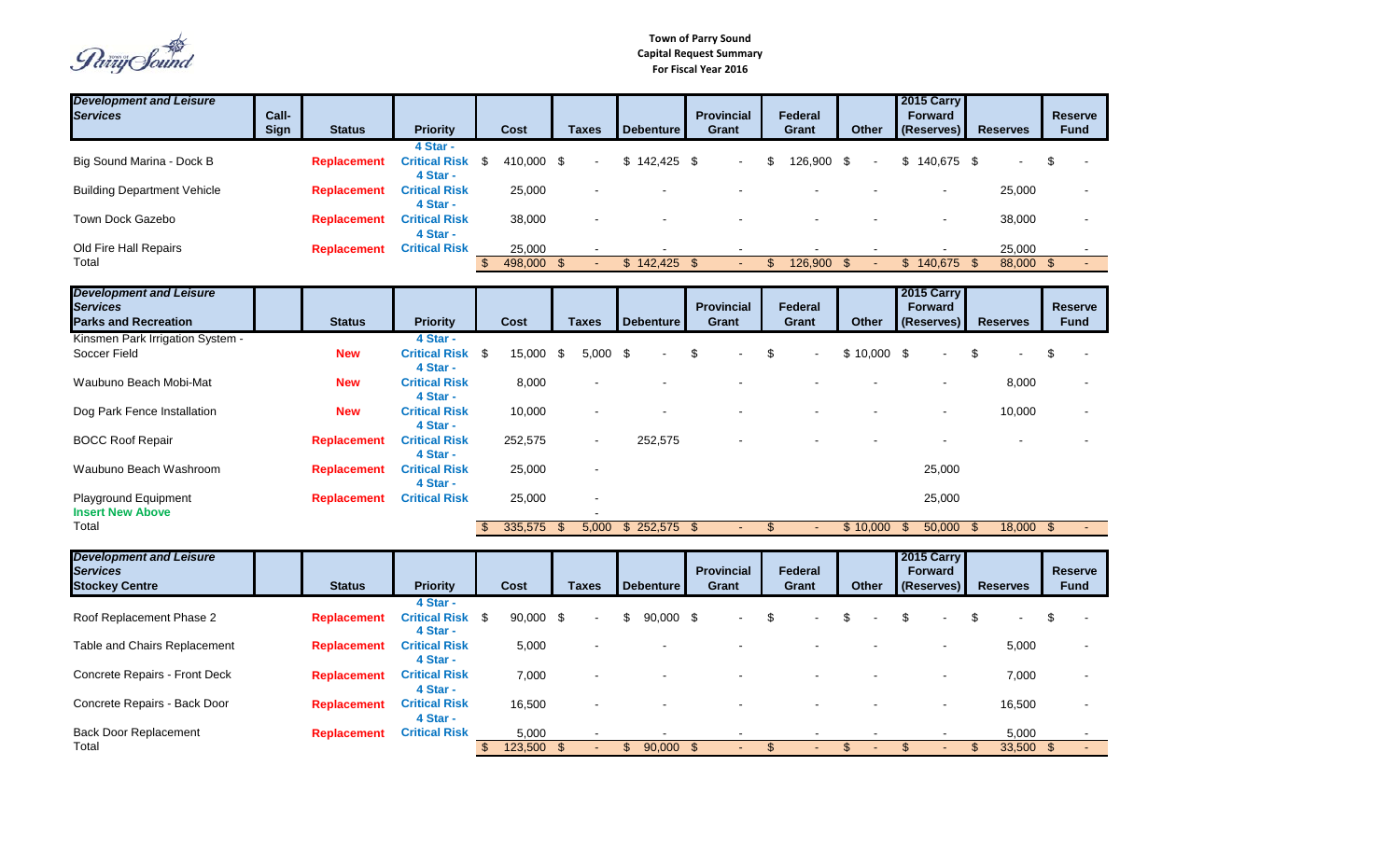Païïy Sound

| <b>Development and Leisure</b><br><b>Services</b>                                | Call-<br><b>Sign</b> | <b>Status</b>      | <b>Priority</b>                                 |                         | Cost                  |      | <b>Taxes</b> |               | <b>Debenture</b> |               | <b>Provincial</b><br><b>Grant</b> |               | Federal<br>Grant | <b>Other</b>   |                         | 2015 Carry<br><b>Forward</b><br>(Reserves) |                         | <b>Reserves</b>      |     | <b>Reserve</b><br><b>Fund</b> |
|----------------------------------------------------------------------------------|----------------------|--------------------|-------------------------------------------------|-------------------------|-----------------------|------|--------------|---------------|------------------|---------------|-----------------------------------|---------------|------------------|----------------|-------------------------|--------------------------------------------|-------------------------|----------------------|-----|-------------------------------|
| Big Sound Marina - Dock B                                                        |                      | <b>Replacement</b> | 4 Star -<br><b>Critical Risk</b><br>4 Star -    | - \$                    | 410,000 \$            |      |              |               | $$142,425$ \$    |               |                                   | \$            | 126,900          | \$             | \$                      | 140,675 \$                                 |                         |                      |     |                               |
| <b>Building Department Vehicle</b>                                               |                      | <b>Replacement</b> | <b>Critical Risk</b><br>4 Star -                |                         | 25,000                |      |              |               |                  |               |                                   |               |                  |                |                         |                                            |                         | 25,000               |     |                               |
| Town Dock Gazebo                                                                 |                      | <b>Replacement</b> | <b>Critical Risk</b><br>4 Star -                |                         | 38,000                |      |              |               |                  |               |                                   |               |                  |                |                         |                                            |                         | 38,000               |     |                               |
| Old Fire Hall Repairs<br>Total                                                   |                      | <b>Replacement</b> | <b>Critical Risk</b>                            | $\sqrt[6]{\frac{1}{2}}$ | 25,000<br>498,000 \$  |      |              |               | \$142,425        | $\mathbf{\$}$ |                                   | \$            | 126,900          | $\mathfrak{S}$ |                         | $$140,675$ \$                              |                         | 25,000<br>88,000 \$  |     |                               |
| <b>Development and Leisure</b><br><b>Services</b><br><b>Parks and Recreation</b> |                      | <b>Status</b>      | <b>Priority</b>                                 |                         | <b>Cost</b>           |      | <b>Taxes</b> |               | <b>Debenture</b> |               | <b>Provincial</b><br>Grant        |               | Federal<br>Grant | <b>Other</b>   |                         | 2015 Carry<br><b>Forward</b><br>(Reserves) |                         | <b>Reserves</b>      |     | <b>Reserve</b><br><b>Fund</b> |
| Kinsmen Park Irrigation System -<br>Soccer Field                                 |                      | <b>New</b>         | 4 Star -<br><b>Critical Risk \$</b><br>4 Star - |                         | 15,000 \$             |      | $5,000$ \$   |               |                  | \$            |                                   | \$            |                  | $$10,000$ \$   |                         |                                            |                         |                      |     |                               |
| Waubuno Beach Mobi-Mat                                                           |                      | <b>New</b>         | <b>Critical Risk</b><br>4 Star -                |                         | 8,000                 |      |              |               |                  |               |                                   |               |                  |                |                         |                                            |                         | 8,000                |     |                               |
| Dog Park Fence Installation                                                      |                      | <b>New</b>         | <b>Critical Risk</b><br>4 Star -                |                         | 10,000                |      |              |               |                  |               |                                   |               |                  |                |                         |                                            |                         | 10,000               |     |                               |
| <b>BOCC Roof Repair</b>                                                          |                      | <b>Replacement</b> | <b>Critical Risk</b><br>4 Star -                |                         | 252,575               |      |              |               | 252,575          |               |                                   |               |                  |                |                         |                                            |                         |                      |     |                               |
| Waubuno Beach Washroom                                                           |                      | <b>Replacement</b> | <b>Critical Risk</b><br>4 Star -                |                         | 25,000                |      |              |               |                  |               |                                   |               |                  |                |                         | 25,000                                     |                         |                      |     |                               |
| Playground Equipment<br><b>Insert New Above</b>                                  |                      | <b>Replacement</b> | <b>Critical Risk</b>                            |                         | 25,000                |      |              |               |                  |               |                                   |               |                  |                |                         | 25,000                                     |                         |                      |     |                               |
| Total                                                                            |                      |                    |                                                 | -\$                     | 335,575               | - \$ | 5,000        |               | \$252,575        | -\$           |                                   | $\frac{1}{2}$ |                  | \$10,000       | - \$                    | 50,000                                     | - \$                    | 18,000               | -\$ |                               |
| <b>Development and Leisure</b><br><b>Services</b><br><b>Stockey Centre</b>       |                      | <b>Status</b>      | <b>Priority</b>                                 |                         | Cost                  |      | <b>Taxes</b> |               | <b>Debenture</b> |               | <b>Provincial</b><br>Grant        |               | Federal<br>Grant | <b>Other</b>   |                         | 2015 Carry<br><b>Forward</b><br>(Reserves) |                         | <b>Reserves</b>      |     | <b>Reserve</b><br><b>Fund</b> |
| Roof Replacement Phase 2                                                         |                      | <b>Replacement</b> | 4 Star -<br><b>Critical Risk \$</b><br>4 Star - |                         | 90,000 \$             |      |              |               | 90,000 \$        |               |                                   | \$            |                  |                |                         |                                            |                         |                      |     |                               |
| Table and Chairs Replacement                                                     |                      | <b>Replacement</b> | <b>Critical Risk</b><br>4 Star -                |                         | 5,000                 |      |              |               |                  |               |                                   |               |                  |                |                         |                                            |                         | 5,000                |     |                               |
| Concrete Repairs - Front Deck                                                    |                      | <b>Replacement</b> | <b>Critical Risk</b><br>4 Star -                |                         | 7,000                 |      |              |               |                  |               |                                   |               |                  |                |                         |                                            |                         | 7,000                |     |                               |
| Concrete Repairs - Back Door                                                     |                      | <b>Replacement</b> | <b>Critical Risk</b><br>4 Star -                |                         | 16,500                |      |              |               |                  |               |                                   |               |                  |                |                         |                                            |                         | 16,500               |     |                               |
| <b>Back Door Replacement</b><br>Total                                            |                      | <b>Replacement</b> | <b>Critical Risk</b>                            | $\sqrt[6]{\frac{1}{2}}$ | 5,000<br>$123,500$ \$ |      |              | $\mathbf{\$}$ | $90,000$ \$      |               |                                   | \$            |                  | \$             | $\sqrt[6]{\frac{1}{2}}$ |                                            | $\sqrt[6]{\frac{1}{2}}$ | 5,000<br>$33,500$ \$ |     |                               |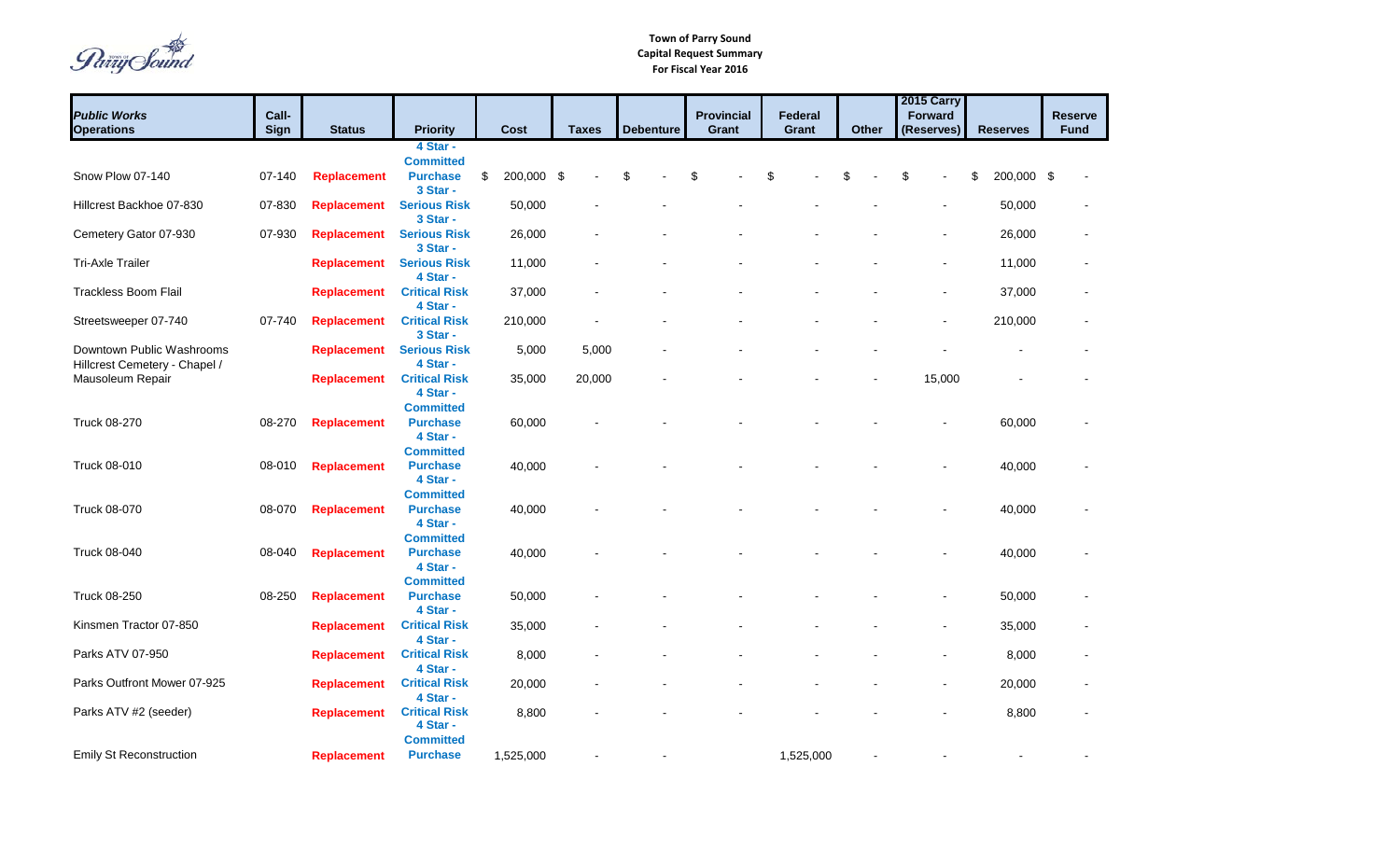Païiy Sound

| <b>Public Works</b><br><b>Operations</b>                   | Call-<br><b>Sign</b> | <b>Status</b>      | <b>Priority</b>                                      |                           | Cost       | <b>Taxes</b> | <b>Debenture</b> | <b>Provincial</b><br>Grant | Federal<br>Grant | <b>Other</b> | <b>2015 Carry</b><br><b>Forward</b><br>(Reserves) | <b>Reserves</b>  | <b>Reserve</b><br><b>Fund</b> |
|------------------------------------------------------------|----------------------|--------------------|------------------------------------------------------|---------------------------|------------|--------------|------------------|----------------------------|------------------|--------------|---------------------------------------------------|------------------|-------------------------------|
|                                                            |                      |                    | 4 Star -                                             |                           |            |              |                  |                            |                  |              |                                                   |                  |                               |
| Snow Plow 07-140                                           | 07-140               | <b>Replacement</b> | <b>Committed</b><br><b>Purchase</b><br>3 Star -      | $\boldsymbol{\mathsf{S}}$ | 200,000 \$ |              | \$               | \$                         | \$               | \$.          | \$                                                | \$<br>200,000 \$ |                               |
| Hillcrest Backhoe 07-830                                   | 07-830               | <b>Replacement</b> | <b>Serious Risk</b><br>3 Star -                      |                           | 50,000     |              |                  |                            |                  |              | $\blacksquare$                                    | 50,000           |                               |
| Cemetery Gator 07-930                                      | 07-930               | <b>Replacement</b> | <b>Serious Risk</b><br>3 Star -                      |                           | 26,000     |              |                  |                            |                  |              |                                                   | 26,000           |                               |
| <b>Tri-Axle Trailer</b>                                    |                      | <b>Replacement</b> | <b>Serious Risk</b><br>4 Star -                      |                           | 11,000     |              |                  |                            |                  |              |                                                   | 11,000           |                               |
| Trackless Boom Flail                                       |                      | <b>Replacement</b> | <b>Critical Risk</b><br>4 Star -                     |                           | 37,000     |              |                  |                            |                  |              |                                                   | 37,000           |                               |
| Streetsweeper 07-740                                       | 07-740               | <b>Replacement</b> | <b>Critical Risk</b><br>3 Star -                     |                           | 210,000    |              |                  |                            |                  |              |                                                   | 210,000          |                               |
| Downtown Public Washrooms<br>Hillcrest Cemetery - Chapel / |                      | <b>Replacement</b> | <b>Serious Risk</b><br>4 Star -                      |                           | 5,000      | 5,000        |                  |                            |                  |              |                                                   |                  |                               |
| Mausoleum Repair                                           |                      | <b>Replacement</b> | <b>Critical Risk</b><br>4 Star -<br><b>Committed</b> |                           | 35,000     | 20,000       |                  |                            |                  |              | 15,000                                            |                  |                               |
| Truck 08-270                                               | 08-270               | <b>Replacement</b> | <b>Purchase</b><br>4 Star -                          |                           | 60,000     |              |                  |                            |                  |              |                                                   | 60,000           |                               |
| Truck 08-010                                               | 08-010               | <b>Replacement</b> | <b>Committed</b><br><b>Purchase</b><br>4 Star -      |                           | 40,000     |              |                  |                            |                  |              |                                                   | 40,000           |                               |
| <b>Truck 08-070</b>                                        | 08-070               | <b>Replacement</b> | <b>Committed</b><br><b>Purchase</b><br>4 Star -      |                           | 40,000     |              |                  |                            |                  |              |                                                   | 40,000           |                               |
| Truck 08-040                                               | 08-040               | <b>Replacement</b> | <b>Committed</b><br><b>Purchase</b><br>4 Star -      |                           | 40,000     |              |                  |                            |                  |              |                                                   | 40,000           |                               |
| Truck 08-250                                               | 08-250               | <b>Replacement</b> | <b>Committed</b><br><b>Purchase</b><br>4 Star -      |                           | 50,000     |              |                  |                            |                  |              |                                                   | 50,000           |                               |
| Kinsmen Tractor 07-850                                     |                      | <b>Replacement</b> | <b>Critical Risk</b><br>4 Star -                     |                           | 35,000     |              |                  |                            |                  |              |                                                   | 35,000           |                               |
| Parks ATV 07-950                                           |                      | <b>Replacement</b> | <b>Critical Risk</b><br>4 Star -                     |                           | 8,000      |              |                  |                            |                  |              |                                                   | 8,000            |                               |
| Parks Outfront Mower 07-925                                |                      | <b>Replacement</b> | <b>Critical Risk</b><br>4 Star -                     |                           | 20,000     |              |                  |                            |                  |              |                                                   | 20,000           |                               |
| Parks ATV #2 (seeder)                                      |                      | <b>Replacement</b> | <b>Critical Risk</b><br>4 Star -<br><b>Committed</b> |                           | 8,800      |              |                  |                            |                  |              |                                                   | 8,800            |                               |
| <b>Emily St Reconstruction</b>                             |                      | <b>Replacement</b> | <b>Purchase</b>                                      |                           | 1,525,000  |              |                  |                            | 1,525,000        |              |                                                   |                  |                               |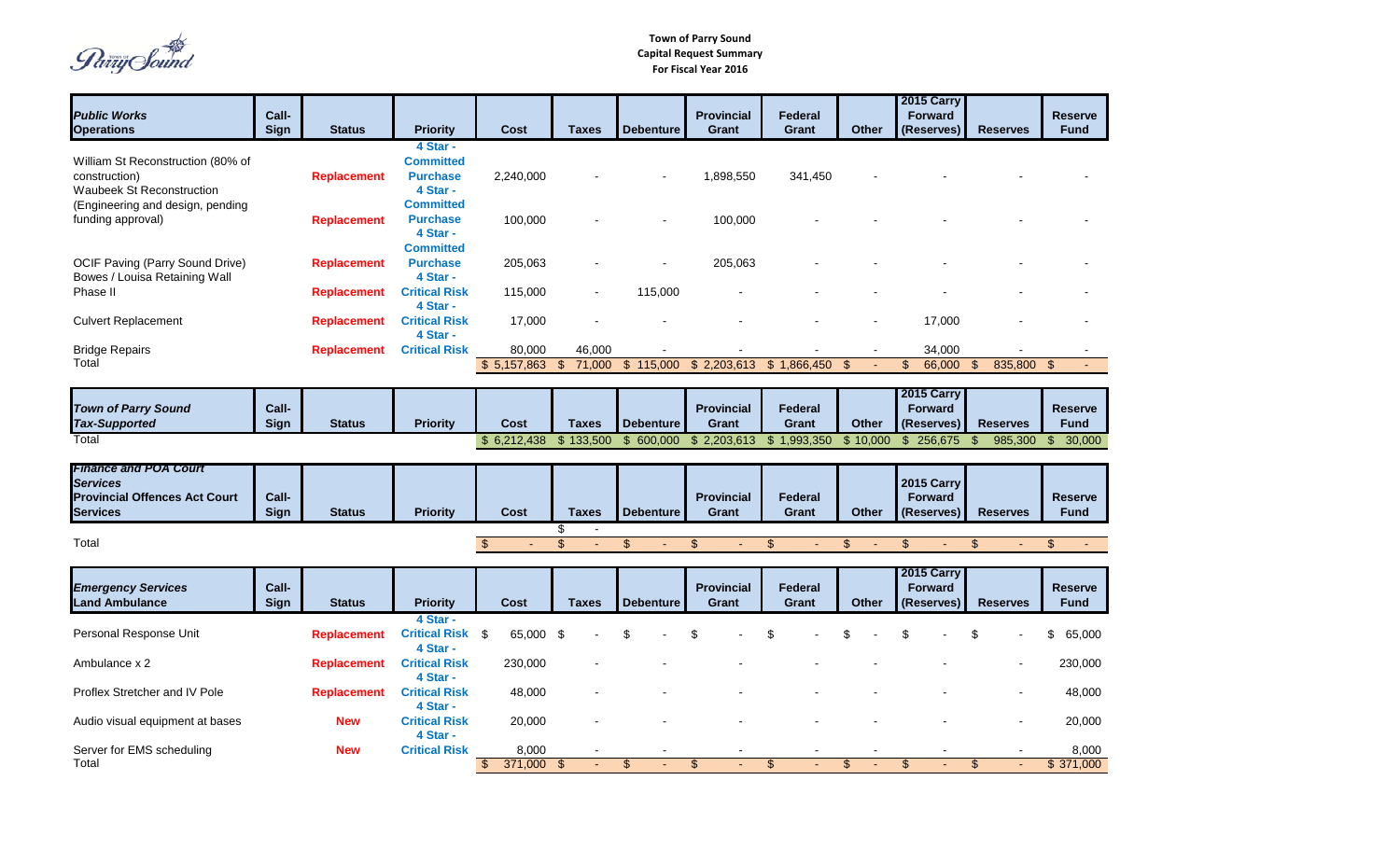*Parry* Sound

|                                                                                                            |                      |                    |                                                             |                            |                  |                                              |                  |                                   |                                |              | <b>2015 Carry</b>                          |                           |                               |
|------------------------------------------------------------------------------------------------------------|----------------------|--------------------|-------------------------------------------------------------|----------------------------|------------------|----------------------------------------------|------------------|-----------------------------------|--------------------------------|--------------|--------------------------------------------|---------------------------|-------------------------------|
| <b>Public Works</b>                                                                                        | Call-                |                    |                                                             |                            |                  |                                              |                  | <b>Provincial</b>                 | Federal                        |              | <b>Forward</b>                             |                           | <b>Reserve</b>                |
| <b>Operations</b>                                                                                          | <b>Sign</b>          | <b>Status</b>      | <b>Priority</b>                                             |                            | Cost             | <b>Taxes</b>                                 | <b>Debenture</b> | <b>Grant</b>                      | <b>Grant</b>                   | <b>Other</b> | (Reserves)                                 | <b>Reserves</b>           | <b>Fund</b>                   |
| William St Reconstruction (80% of<br>construction)<br><b>Waubeek St Reconstruction</b>                     |                      | <b>Replacement</b> | 4 Star -<br><b>Committed</b><br><b>Purchase</b><br>4 Star - |                            | 2,240,000        |                                              |                  | 1,898,550                         | 341,450                        |              |                                            |                           |                               |
| (Engineering and design, pending<br>funding approval)                                                      |                      | <b>Replacement</b> | <b>Committed</b><br><b>Purchase</b><br>4 Star -             |                            | 100,000          |                                              |                  | 100,000                           |                                |              |                                            |                           |                               |
| <b>OCIF Paving (Parry Sound Drive)</b><br>Bowes / Louisa Retaining Wall                                    |                      | <b>Replacement</b> | <b>Committed</b><br><b>Purchase</b><br>4 Star -             |                            | 205,063          |                                              |                  | 205,063                           |                                |              |                                            |                           |                               |
| Phase II                                                                                                   |                      | <b>Replacement</b> | <b>Critical Risk</b><br>4 Star -                            |                            | 115,000          |                                              | 115,000          |                                   |                                |              |                                            |                           |                               |
| <b>Culvert Replacement</b>                                                                                 |                      | <b>Replacement</b> | <b>Critical Risk</b><br>4 Star -                            |                            | 17,000           |                                              |                  |                                   |                                |              | 17,000                                     |                           |                               |
| <b>Bridge Repairs</b>                                                                                      |                      | <b>Replacement</b> | <b>Critical Risk</b>                                        |                            | 80,000           | 46,000                                       |                  |                                   |                                |              | 34,000                                     |                           |                               |
| Total                                                                                                      |                      |                    |                                                             |                            | \$5,157,863      | $\mathfrak{S}$<br>71,000                     | \$115,000        | \$2,203,613                       | \$1,866,450                    |              | $\mathfrak{L}$<br>66,000                   | 835,800<br>$\mathfrak{L}$ | $\mathfrak{F}$                |
|                                                                                                            |                      |                    |                                                             |                            |                  |                                              |                  |                                   |                                |              | 2015 Carry                                 |                           |                               |
| <b>Town of Parry Sound</b><br><b>Tax-Supported</b>                                                         | Call-<br><b>Sign</b> | <b>Status</b>      | <b>Priority</b>                                             |                            | <b>Cost</b>      | <b>Taxes</b>                                 | <b>Debenture</b> | <b>Provincial</b><br>Grant        | Federal<br><b>Grant</b>        | <b>Other</b> | <b>Forward</b><br>(Reserves)               | <b>Reserves</b>           | <b>Reserve</b><br><b>Fund</b> |
| Total                                                                                                      |                      |                    |                                                             |                            | \$6,212,438      | \$133,500                                    | \$600,000        | \$2,203,613                       | \$1,993,350                    | \$10,000     | \$256,675                                  | 985,300<br>\$.            | 30,000<br>\$.                 |
|                                                                                                            |                      |                    |                                                             |                            |                  |                                              |                  |                                   |                                |              |                                            |                           |                               |
| <b>Finance and POA Court</b><br><b>Services</b><br><b>Provincial Offences Act Court</b><br><b>Services</b> | Call-<br>Sign        | <b>Status</b>      | <b>Priority</b>                                             |                            | <b>Cost</b>      | <b>Taxes</b>                                 | <b>Debenture</b> | <b>Provincial</b><br><b>Grant</b> | Federal<br>Grant               | <b>Other</b> | 2015 Carry<br><b>Forward</b><br>(Reserves) | <b>Reserves</b>           | <b>Reserve</b><br><b>Fund</b> |
| Total                                                                                                      |                      |                    |                                                             |                            |                  | \$<br>$\overline{\phantom{a}}$<br>$\sqrt{3}$ | $\mathfrak{S}$   | \$                                | $\mathfrak{L}$                 | \$           | \$                                         | \$                        | $\mathfrak{L}$                |
|                                                                                                            |                      |                    |                                                             | $\boldsymbol{\mathsf{\$}}$ |                  |                                              |                  |                                   |                                |              |                                            |                           |                               |
| <b>Emergency Services</b><br><b>Land Ambulance</b>                                                         | Call-<br><b>Sign</b> | <b>Status</b>      | <b>Priority</b>                                             |                            | <b>Cost</b>      | <b>Taxes</b>                                 | <b>Debenture</b> | <b>Provincial</b><br>Grant        | <b>Federal</b><br><b>Grant</b> | <b>Other</b> | 2015 Carry<br><b>Forward</b><br>(Reserves) | <b>Reserves</b>           | <b>Reserve</b><br><b>Fund</b> |
| Personal Response Unit                                                                                     |                      | <b>Replacement</b> | 4 Star -<br><b>Critical Risk \$</b><br>4 Star -             |                            | 65,000           | -\$                                          | \$               |                                   |                                |              | \$.                                        | \$                        | \$<br>65,000                  |
| Ambulance x 2                                                                                              |                      | <b>Replacement</b> | <b>Critical Risk</b><br>4 Star -                            |                            | 230,000          |                                              |                  |                                   |                                |              |                                            |                           | 230,000                       |
| Proflex Stretcher and IV Pole                                                                              |                      | <b>Replacement</b> | <b>Critical Risk</b><br>4 Star -                            |                            | 48,000           |                                              |                  |                                   |                                |              |                                            |                           | 48,000                        |
| Audio visual equipment at bases                                                                            |                      | <b>New</b>         | <b>Critical Risk</b><br>4 Star -                            |                            | 20,000           |                                              |                  |                                   |                                |              |                                            |                           | 20,000                        |
| Server for EMS scheduling<br>Total                                                                         |                      | <b>New</b>         | <b>Critical Risk</b>                                        | $\mathfrak{L}$             | 8,000<br>371,000 | $\mathfrak{F}$                               | \$               | \$                                | $\mathfrak{S}$                 | \$           | \$                                         | $\frac{1}{2}$             | 8,000<br>\$371,000            |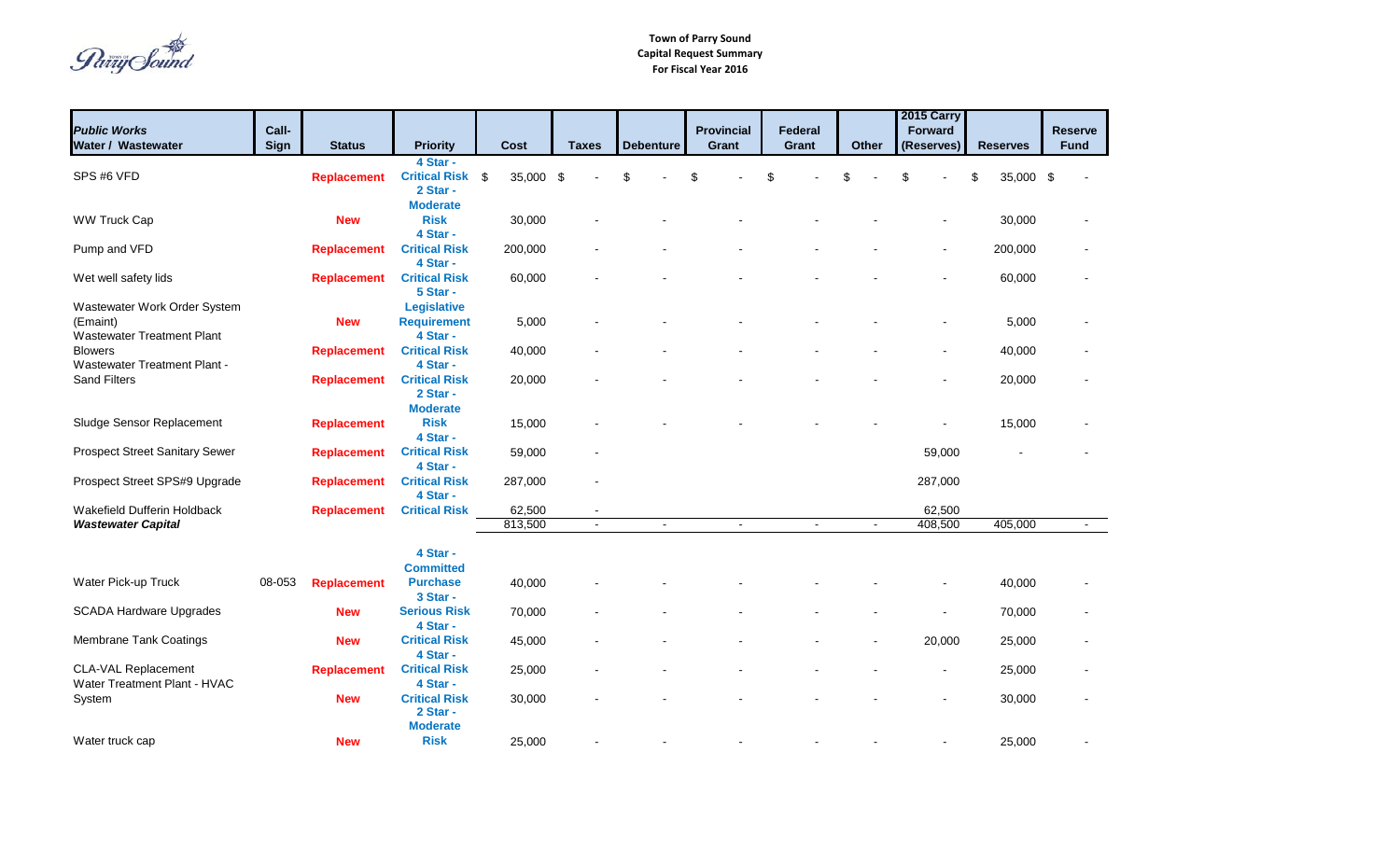Païiy Sound

|                                                                               |                      |                    |                                                      |                   |                |                  |        |                            |     |                  |              |                | 2015 Carry               |                 |     |                               |
|-------------------------------------------------------------------------------|----------------------|--------------------|------------------------------------------------------|-------------------|----------------|------------------|--------|----------------------------|-----|------------------|--------------|----------------|--------------------------|-----------------|-----|-------------------------------|
| <b>Public Works</b><br>Water / Wastewater                                     | Call-<br><b>Sign</b> | <b>Status</b>      | <b>Priority</b>                                      | Cost              | <b>Taxes</b>   | <b>Debenture</b> |        | <b>Provincial</b><br>Grant |     | Federal<br>Grant | <b>Other</b> |                | Forward<br>(Reserves)    | <b>Reserves</b> |     | <b>Reserve</b><br><b>Fund</b> |
| SPS #6 VFD                                                                    |                      | <b>Replacement</b> | 4 Star -<br><b>Critical Risk \$</b><br>2 Star -      | 35,000 \$         |                |                  |        | \$                         | \$. |                  |              |                |                          | 35,000          | -\$ |                               |
| <b>WW Truck Cap</b>                                                           |                      | <b>New</b>         | <b>Moderate</b><br><b>Risk</b><br>4 Star -           | 30,000            |                |                  |        |                            |     |                  |              |                |                          | 30,000          |     |                               |
| Pump and VFD                                                                  |                      | <b>Replacement</b> | <b>Critical Risk</b><br>4 Star -                     | 200,000           |                |                  |        |                            |     |                  |              |                | $\overline{\phantom{a}}$ | 200,000         |     |                               |
| Wet well safety lids                                                          |                      | <b>Replacement</b> | <b>Critical Risk</b><br>5 Star -                     | 60,000            |                |                  |        |                            |     |                  |              |                |                          | 60,000          |     |                               |
| Wastewater Work Order System<br>(Emaint)<br><b>Wastewater Treatment Plant</b> |                      | <b>New</b>         | <b>Legislative</b><br><b>Requirement</b><br>4 Star - | 5,000             |                |                  |        |                            |     |                  |              |                |                          | 5,000           |     |                               |
| <b>Blowers</b><br>Wastewater Treatment Plant -                                |                      | <b>Replacement</b> | <b>Critical Risk</b><br>4 Star -                     | 40,000            |                |                  |        |                            |     |                  |              |                |                          | 40,000          |     |                               |
| Sand Filters                                                                  |                      | <b>Replacement</b> | <b>Critical Risk</b><br>2 Star -<br><b>Moderate</b>  | 20,000            |                |                  |        |                            |     |                  |              |                |                          | 20,000          |     |                               |
| Sludge Sensor Replacement                                                     |                      | <b>Replacement</b> | <b>Risk</b><br>4 Star -                              | 15,000            |                |                  |        |                            |     |                  |              |                |                          | 15,000          |     |                               |
| <b>Prospect Street Sanitary Sewer</b>                                         |                      | <b>Replacement</b> | <b>Critical Risk</b><br>4 Star -                     | 59,000            |                |                  |        |                            |     |                  |              |                | 59,000                   |                 |     |                               |
| Prospect Street SPS#9 Upgrade                                                 |                      | <b>Replacement</b> | <b>Critical Risk</b><br>4 Star -                     | 287,000           |                |                  |        |                            |     |                  |              |                | 287,000                  |                 |     |                               |
| Wakefield Dufferin Holdback<br><b>Wastewater Capital</b>                      |                      | <b>Replacement</b> | <b>Critical Risk</b>                                 | 62,500<br>813,500 | $\blacksquare$ |                  | $\sim$ | $\blacksquare$             |     | $\blacksquare$   |              | $\blacksquare$ | 62,500<br>408,500        | 405,000         |     | $\sim$                        |
|                                                                               |                      |                    | 4 Star -<br><b>Committed</b>                         |                   |                |                  |        |                            |     |                  |              |                |                          |                 |     |                               |
| Water Pick-up Truck                                                           | 08-053               | <b>Replacement</b> | <b>Purchase</b><br>3 Star -                          | 40,000            |                |                  |        |                            |     |                  |              |                |                          | 40,000          |     |                               |
| <b>SCADA Hardware Upgrades</b>                                                |                      | <b>New</b>         | <b>Serious Risk</b><br>4 Star -                      | 70,000            |                |                  |        |                            |     |                  |              |                |                          | 70,000          |     |                               |
| Membrane Tank Coatings                                                        |                      | <b>New</b>         | <b>Critical Risk</b><br>4 Star -                     | 45,000            |                |                  |        |                            |     |                  |              |                | 20,000                   | 25,000          |     |                               |
| <b>CLA-VAL Replacement</b><br>Water Treatment Plant - HVAC                    |                      | <b>Replacement</b> | <b>Critical Risk</b><br>4 Star -                     | 25,000            |                |                  |        |                            |     |                  |              |                |                          | 25,000          |     |                               |
| System                                                                        |                      | <b>New</b>         | <b>Critical Risk</b><br>2 Star -                     | 30,000            |                |                  |        |                            |     |                  |              |                |                          | 30,000          |     |                               |
| Water truck cap                                                               |                      | <b>New</b>         | <b>Moderate</b><br><b>Risk</b>                       | 25,000            |                |                  |        |                            |     |                  |              |                |                          | 25,000          |     |                               |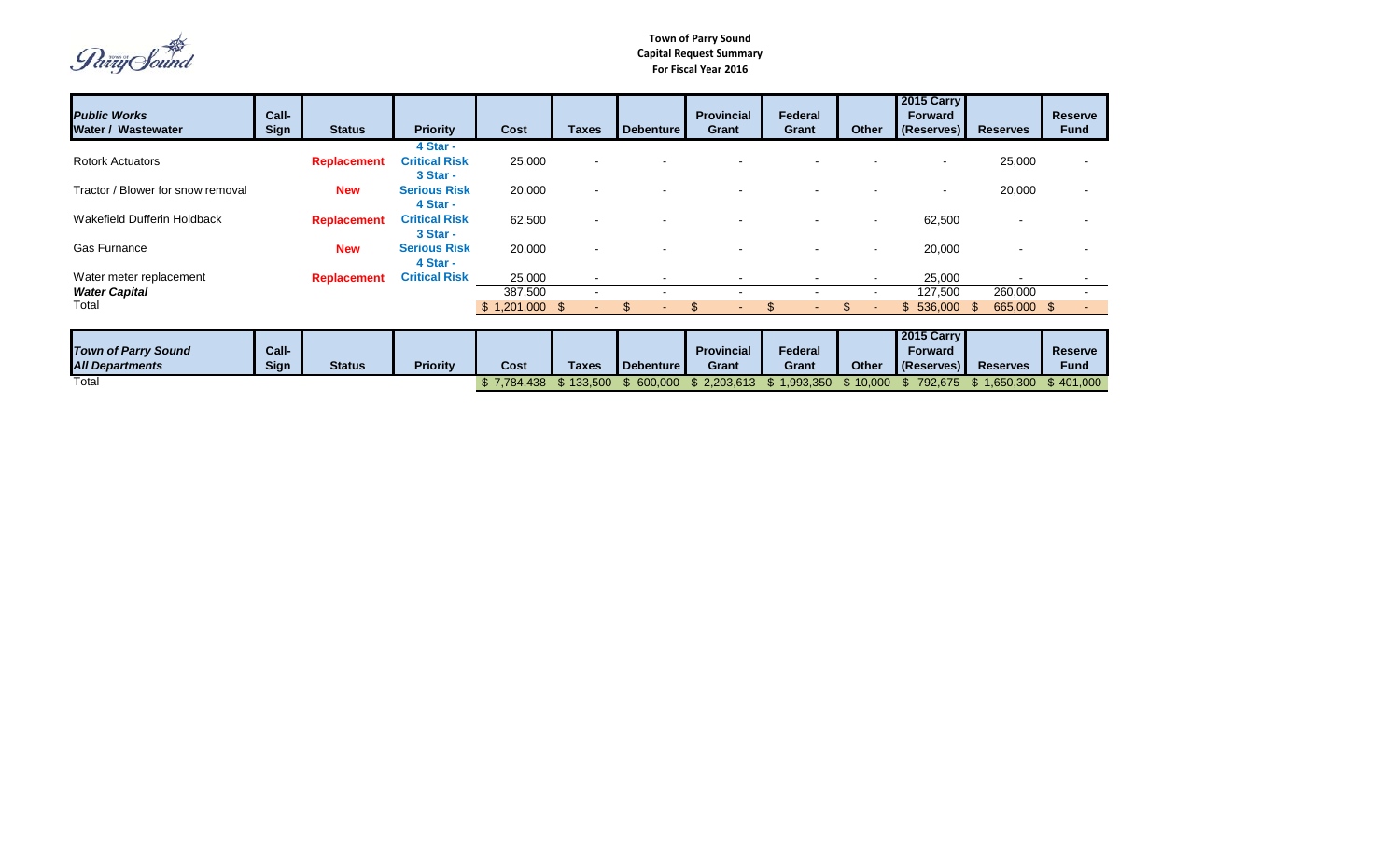Party Sound

 $\frac{1}{3}$  7,784,438  $\frac{1}{3}$  133,500  $\frac{1}{3}$  600,000  $\frac{1}{3}$  2,203,613  $\frac{1}{3}$  1,993,350  $\frac{1}{3}$  10,000  $\frac{1}{3}$  792,675  $\frac{1}{3}$  1,650,300  $\frac{1}{3}$  401,000

| <b>Public Works</b>               | Call-       |                    |                      |             |                          |                          | <b>Provincial</b>        | Federal                  |                | <b>2015 Carry</b><br><b>Forward</b> |                 | <b>Reserve</b>                   |
|-----------------------------------|-------------|--------------------|----------------------|-------------|--------------------------|--------------------------|--------------------------|--------------------------|----------------|-------------------------------------|-----------------|----------------------------------|
| Water / Wastewater                | <b>Sign</b> | <b>Status</b>      | <b>Priority</b>      | Cost        | <b>Taxes</b>             | Debenture                | Grant                    | Grant                    | <b>Other</b>   | (Reserves)                          | <b>Reserves</b> | <b>Fund</b>                      |
|                                   |             |                    | 4 Star -             |             |                          |                          |                          |                          |                |                                     |                 |                                  |
| <b>Rotork Actuators</b>           |             | <b>Replacement</b> | <b>Critical Risk</b> | 25,000      | $\blacksquare$           |                          |                          |                          |                |                                     | 25,000          | $\blacksquare$                   |
|                                   |             |                    | 3 Star -             |             |                          |                          |                          |                          |                |                                     |                 |                                  |
| Tractor / Blower for snow removal |             | <b>New</b>         | <b>Serious Risk</b>  | 20,000      | $\blacksquare$           |                          |                          |                          |                | $\blacksquare$                      | 20,000          | $\overline{\phantom{0}}$         |
|                                   |             |                    | 4 Star -             |             |                          |                          |                          |                          |                |                                     |                 |                                  |
| Wakefield Dufferin Holdback       |             | <b>Replacement</b> | <b>Critical Risk</b> | 62,500      | $\overline{\phantom{0}}$ |                          |                          |                          | $\blacksquare$ | 62,500                              |                 |                                  |
|                                   |             |                    | 3 Star -             |             |                          |                          |                          |                          |                |                                     |                 |                                  |
| <b>Gas Furnance</b>               |             | <b>New</b>         | <b>Serious Risk</b>  | 20,000      | $\overline{\phantom{a}}$ |                          |                          |                          | $\blacksquare$ | 20,000                              |                 |                                  |
|                                   |             |                    | 4 Star -             |             |                          |                          |                          |                          |                |                                     |                 |                                  |
| Water meter replacement           |             | <b>Replacement</b> | <b>Critical Risk</b> | 25,000      | $\blacksquare$           | $\overline{\phantom{0}}$ | $\overline{\phantom{0}}$ | $\overline{\phantom{0}}$ | $\sim$         | 25,000                              |                 | $\blacksquare$                   |
| <b>Water Capital</b>              |             |                    |                      | 387,500     | $\blacksquare$           |                          | $\overline{\phantom{a}}$ |                          | $\blacksquare$ | 127,500                             | 260,000         | $\blacksquare$                   |
| Total                             |             |                    |                      | \$1,201,000 | - \$<br>$\blacksquare$   |                          |                          |                          |                | \$<br>536,000                       | 665,000<br>- \$ | $\mathfrak{L}$<br>$\overline{a}$ |
|                                   |             |                    |                      |             |                          |                          |                          |                          |                |                                     |                 |                                  |
|                                   |             |                    |                      |             |                          |                          |                          |                          |                | <b>2015 Carry</b>                   |                 |                                  |
| <b>Town of Parry Sound</b>        | Call-       |                    |                      |             |                          |                          | <b>Provincial</b>        | Federal                  |                | <b>Forward</b>                      |                 | <b>Reserve</b>                   |
| <b>All Departments</b>            | <b>Sign</b> | <b>Status</b>      | <b>Priority</b>      | Cost        | <b>Taxes</b>             | Debenture                | Grant                    | Grant                    | <b>Other</b>   | (Reserves)                          | <b>Reserves</b> | <b>Fund</b>                      |
| Total                             |             |                    |                      | \$7,784,438 | \$133,500                | \$600,000                | \$2,203,613              | \$1,993,350              | \$10,000       | \$792,675                           | \$1,650,300     | \$401,000                        |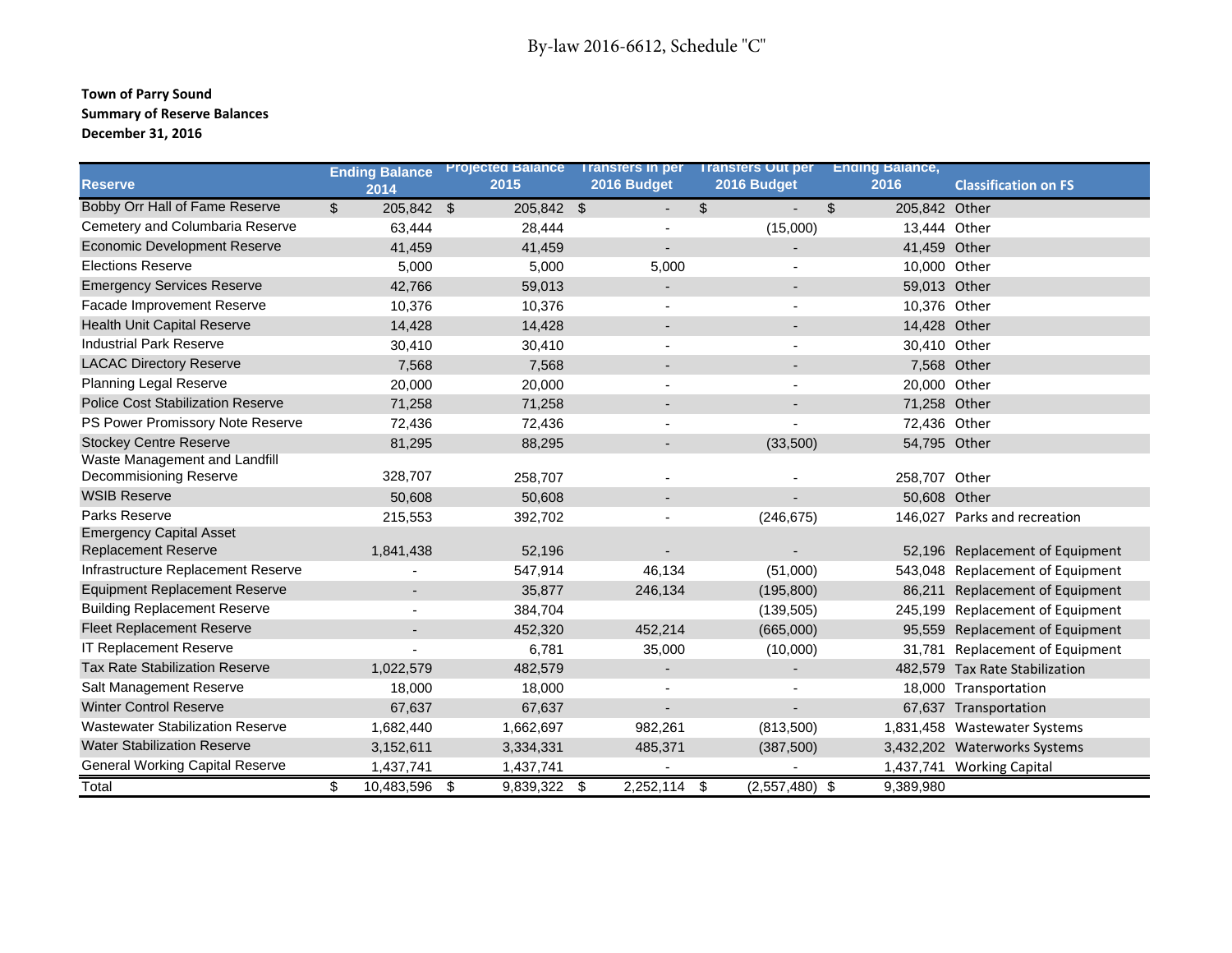#### **Town of Parry Sound Summary of Reserve Balances December 31, 2016**

| <b>Reserve</b>                                               | <b>Ending Balance</b><br>2014 | 2015       | 2016 Budget              | Projected Balance Transfers in per Transfers Out per<br>2016 Budget | <b>Ending Balance,</b><br>2016  | <b>Classification on FS</b>      |
|--------------------------------------------------------------|-------------------------------|------------|--------------------------|---------------------------------------------------------------------|---------------------------------|----------------------------------|
| Bobby Orr Hall of Fame Reserve                               | 205,842 \$<br>\$              | 205,842 \$ | $\overline{\phantom{a}}$ | \$<br>$\overline{\phantom{a}}$                                      | $\mathfrak{L}$<br>205,842 Other |                                  |
| Cemetery and Columbaria Reserve                              | 63,444                        | 28,444     |                          | (15,000)                                                            | 13,444 Other                    |                                  |
| <b>Economic Development Reserve</b>                          | 41,459                        | 41,459     |                          |                                                                     | 41,459 Other                    |                                  |
| <b>Elections Reserve</b>                                     | 5,000                         | 5,000      | 5,000                    |                                                                     | 10,000 Other                    |                                  |
| <b>Emergency Services Reserve</b>                            | 42,766                        | 59,013     |                          |                                                                     | 59,013 Other                    |                                  |
| Facade Improvement Reserve                                   | 10,376                        | 10,376     |                          |                                                                     | 10,376 Other                    |                                  |
| <b>Health Unit Capital Reserve</b>                           | 14,428                        | 14,428     |                          |                                                                     | 14,428 Other                    |                                  |
| <b>Industrial Park Reserve</b>                               | 30,410                        | 30,410     |                          |                                                                     | 30,410 Other                    |                                  |
| <b>LACAC Directory Reserve</b>                               | 7,568                         | 7,568      | $\blacksquare$           |                                                                     |                                 | 7,568 Other                      |
| Planning Legal Reserve                                       | 20,000                        | 20,000     | $\blacksquare$           |                                                                     | 20,000 Other                    |                                  |
| <b>Police Cost Stabilization Reserve</b>                     | 71,258                        | 71,258     |                          |                                                                     | 71,258 Other                    |                                  |
| PS Power Promissory Note Reserve                             | 72,436                        | 72,436     |                          |                                                                     | 72,436 Other                    |                                  |
| <b>Stockey Centre Reserve</b>                                | 81,295                        | 88,295     |                          | (33,500)                                                            | 54,795 Other                    |                                  |
| Waste Management and Landfill<br>Decommisioning Reserve      | 328,707                       | 258,707    |                          |                                                                     | 258,707 Other                   |                                  |
| <b>WSIB Reserve</b>                                          | 50,608                        | 50,608     |                          |                                                                     | 50,608 Other                    |                                  |
| Parks Reserve                                                | 215,553                       | 392,702    |                          | (246, 675)                                                          |                                 | 146,027 Parks and recreation     |
| <b>Emergency Capital Asset</b><br><b>Replacement Reserve</b> | 1,841,438                     | 52,196     |                          |                                                                     |                                 | 52,196 Replacement of Equipment  |
| Infrastructure Replacement Reserve                           |                               | 547,914    | 46,134                   | (51,000)                                                            |                                 | 543,048 Replacement of Equipment |
| <b>Equipment Replacement Reserve</b>                         |                               | 35,877     | 246,134                  | (195, 800)                                                          |                                 | 86,211 Replacement of Equipment  |
| <b>Building Replacement Reserve</b>                          |                               | 384,704    |                          | (139, 505)                                                          |                                 | 245,199 Replacement of Equipment |
| <b>Fleet Replacement Reserve</b>                             |                               | 452,320    | 452,214                  | (665,000)                                                           |                                 | 95,559 Replacement of Equipment  |
| <b>IT Replacement Reserve</b>                                |                               | 6,781      | 35,000                   | (10,000)                                                            |                                 | 31,781 Replacement of Equipment  |
| <b>Tax Rate Stabilization Reserve</b>                        | 1,022,579                     | 482,579    | $\blacksquare$           |                                                                     |                                 | 482,579 Tax Rate Stabilization   |
| Salt Management Reserve                                      | 18,000                        | 18,000     |                          |                                                                     |                                 | 18,000 Transportation            |
| <b>Winter Control Reserve</b>                                | 67,637                        | 67,637     | $\overline{\phantom{a}}$ | $\overline{\phantom{a}}$                                            |                                 | 67,637 Transportation            |
| <b>Wastewater Stabilization Reserve</b>                      | 1,682,440                     | 1,662,697  | 982,261                  | (813,500)                                                           |                                 | 1,831,458 Wastewater Systems     |
| <b>Water Stabilization Reserve</b>                           | 3,152,611                     | 3,334,331  | 485,371                  | (387, 500)                                                          |                                 | 3,432,202 Waterworks Systems     |
| <b>General Working Capital Reserve</b>                       | 1,437,741                     | 1,437,741  |                          |                                                                     |                                 | 1,437,741 Working Capital        |
| Total                                                        | \$<br>10,483,596 \$           | 9,839,322  | $2,252,114$ \$<br>\$     | $(2,557,480)$ \$                                                    | 9,389,980                       |                                  |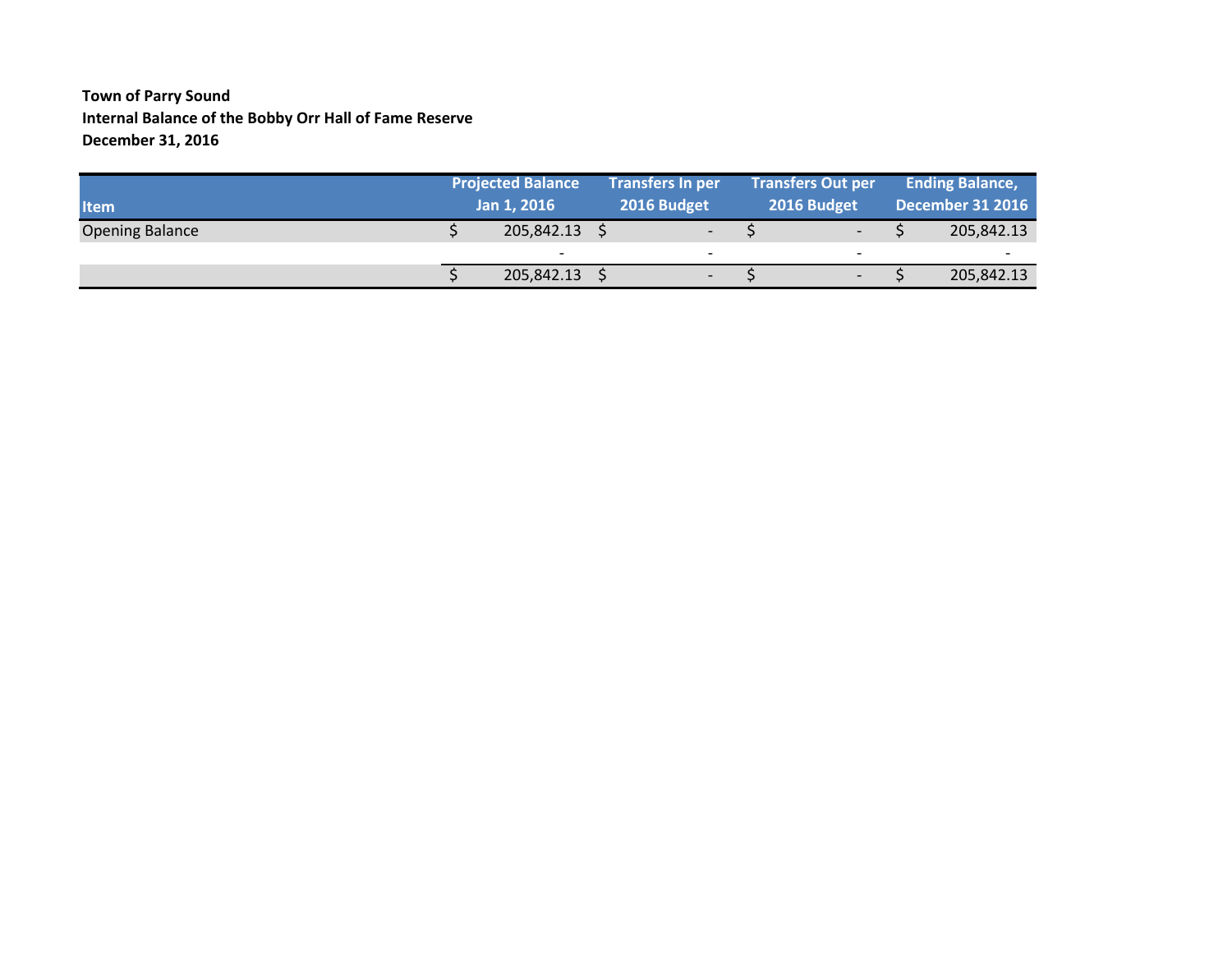### **Town of Parry Sound Internal Balance of the Bobby Orr Hall of Fame Reserve December 31, 2016**

| <b>Item</b>            | <b>Projected Balance</b><br>Jan 1, 2016 |                          | <b>Transfers In per</b><br>2016 Budget |  | <b>Transfers Out per</b><br>2016 Budget | <b>Ending Balance,</b><br>December 31 2016 |
|------------------------|-----------------------------------------|--------------------------|----------------------------------------|--|-----------------------------------------|--------------------------------------------|
| <b>Opening Balance</b> | 205,842.13                              |                          | $\overline{\phantom{a}}$               |  | $\overline{\phantom{0}}$                | 205,842.13                                 |
|                        | $\overline{\phantom{0}}$                | $\overline{\phantom{0}}$ |                                        |  | $\overline{\phantom{0}}$                | $\overline{\phantom{0}}$                   |
|                        | 205,842.13                              |                          | $\overline{\phantom{a}}$               |  | $\overline{\phantom{a}}$                | 205,842.13                                 |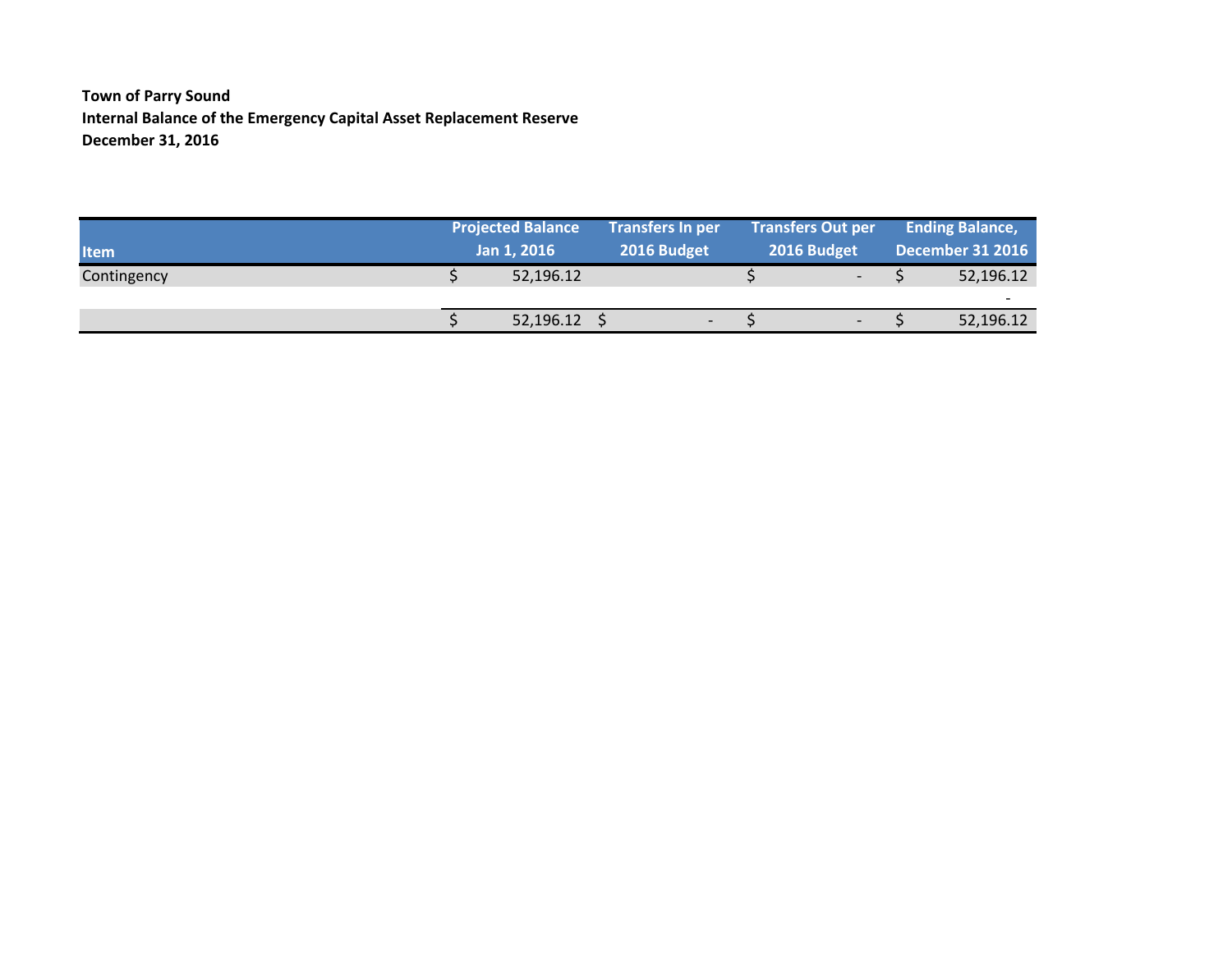**Town of Parry Sound Internal Balance of the Emergency Capital Asset Replacement Reserve December 31, 2016**

|             | <b>Projected Balance</b> |                | <b>Transfers In per</b>  | <b>Transfers Out per</b> | <b>Ending Balance,</b>   |
|-------------|--------------------------|----------------|--------------------------|--------------------------|--------------------------|
| <b>Item</b> |                          | Jan 1, 2016    | 2016 Budget              | 2016 Budget              | <b>December 31 2016</b>  |
| Contingency |                          | 52,196.12      |                          | $\overline{\phantom{0}}$ | 52,196.12                |
|             |                          |                |                          |                          | $\overline{\phantom{a}}$ |
|             |                          | $52,196.12$ \$ | $\overline{\phantom{0}}$ | $\overline{\phantom{0}}$ | 52,196.12                |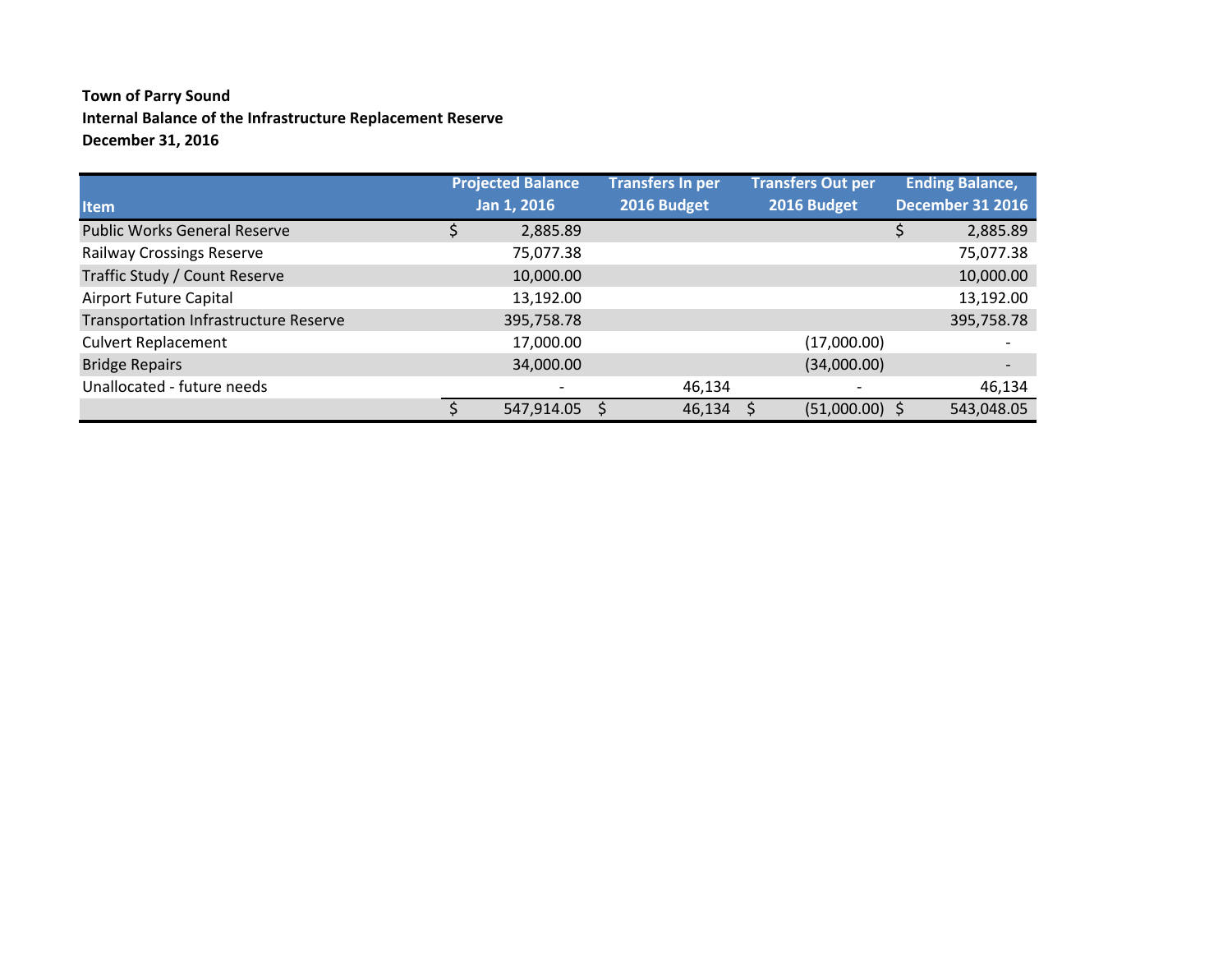## **Town of Parry Sound Internal Balance of the Infrastructure Replacement Reserve December 31, 2016**

|                                              | <b>Projected Balance</b> | <b>Transfers In per</b> |        | <b>Transfers Out per</b> | <b>Ending Balance,</b>   |
|----------------------------------------------|--------------------------|-------------------------|--------|--------------------------|--------------------------|
| <b>Item</b>                                  | Jan 1, 2016              | 2016 Budget             |        | 2016 Budget              | <b>December 31 2016</b>  |
| <b>Public Works General Reserve</b>          | 2,885.89                 |                         |        |                          | 2,885.89                 |
| <b>Railway Crossings Reserve</b>             | 75,077.38                |                         |        |                          | 75,077.38                |
| Traffic Study / Count Reserve                | 10,000.00                |                         |        |                          | 10,000.00                |
| Airport Future Capital                       | 13,192.00                |                         |        |                          | 13,192.00                |
| <b>Transportation Infrastructure Reserve</b> | 395,758.78               |                         |        |                          | 395,758.78               |
| <b>Culvert Replacement</b>                   | 17,000.00                |                         |        | (17,000.00)              |                          |
| <b>Bridge Repairs</b>                        | 34,000.00                |                         |        | (34,000.00)              | $\overline{\phantom{a}}$ |
| Unallocated - future needs                   |                          |                         | 46,134 |                          | 46,134                   |
|                                              | 547,914.05               |                         | 46,134 | $(51,000.00)$ \$         | 543,048.05               |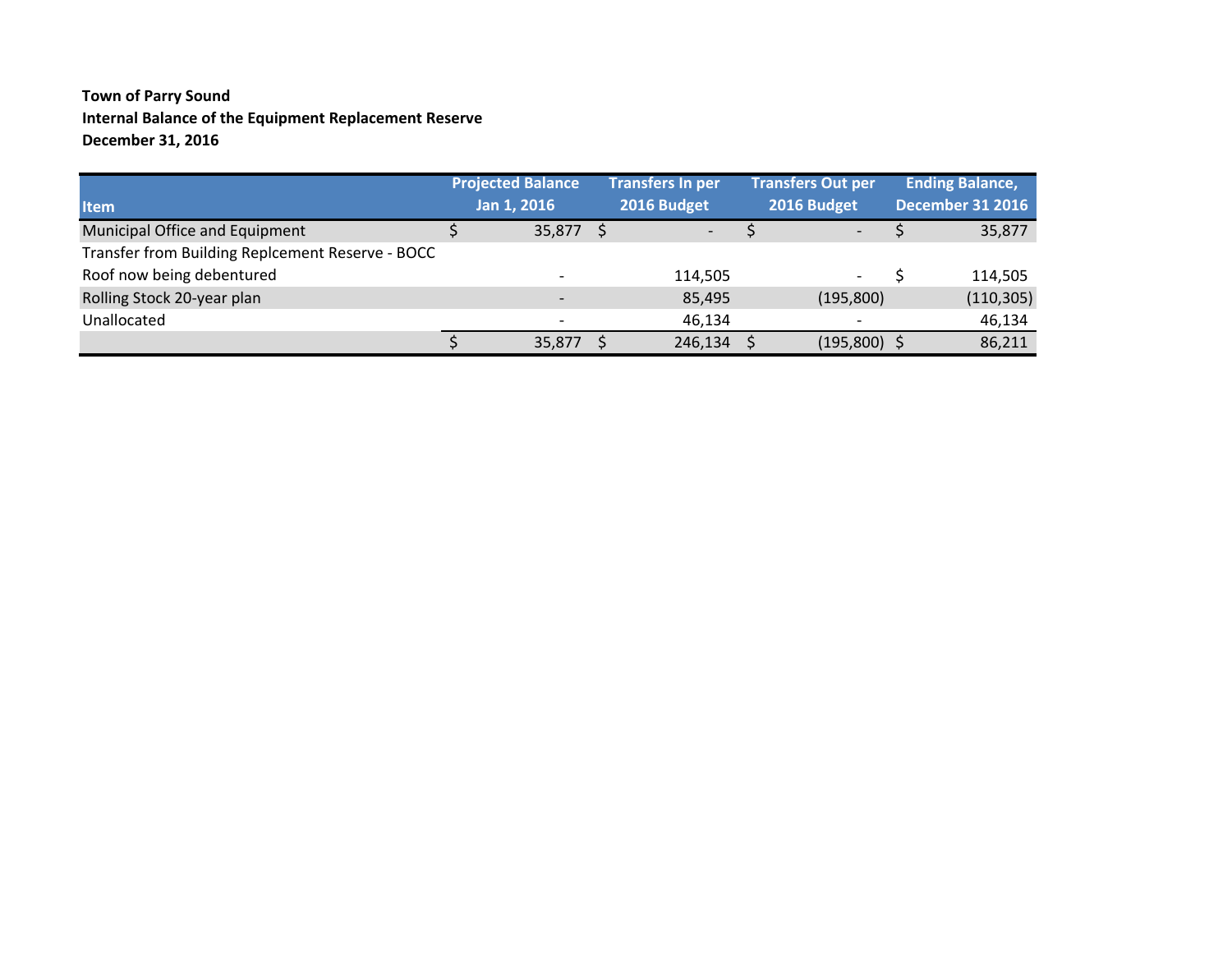## **Town of Parry Sound Internal Balance of the Equipment Replacement Reserve December 31, 2016**

|                                                  | <b>Projected Balance</b> | <b>Transfers In per</b>  | <b>Transfers Out per</b> | <b>Ending Balance,</b>  |
|--------------------------------------------------|--------------------------|--------------------------|--------------------------|-------------------------|
| <b>Item</b>                                      | Jan 1, 2016              | 2016 Budget              | 2016 Budget              | <b>December 31 2016</b> |
| Municipal Office and Equipment                   | $35,877$ \$              | $\overline{\phantom{0}}$ | $\overline{\phantom{0}}$ | 35,877                  |
| Transfer from Building Replcement Reserve - BOCC |                          |                          |                          |                         |
| Roof now being debentured                        |                          | 114,505                  | $\overline{\phantom{a}}$ | 114,505                 |
| Rolling Stock 20-year plan                       |                          | 85,495                   | (195, 800)               | (110, 305)              |
| Unallocated                                      |                          | 46,134                   |                          | 46,134                  |
|                                                  | 35,877                   | 246,134                  | $(195,800)$ \$           | 86,211                  |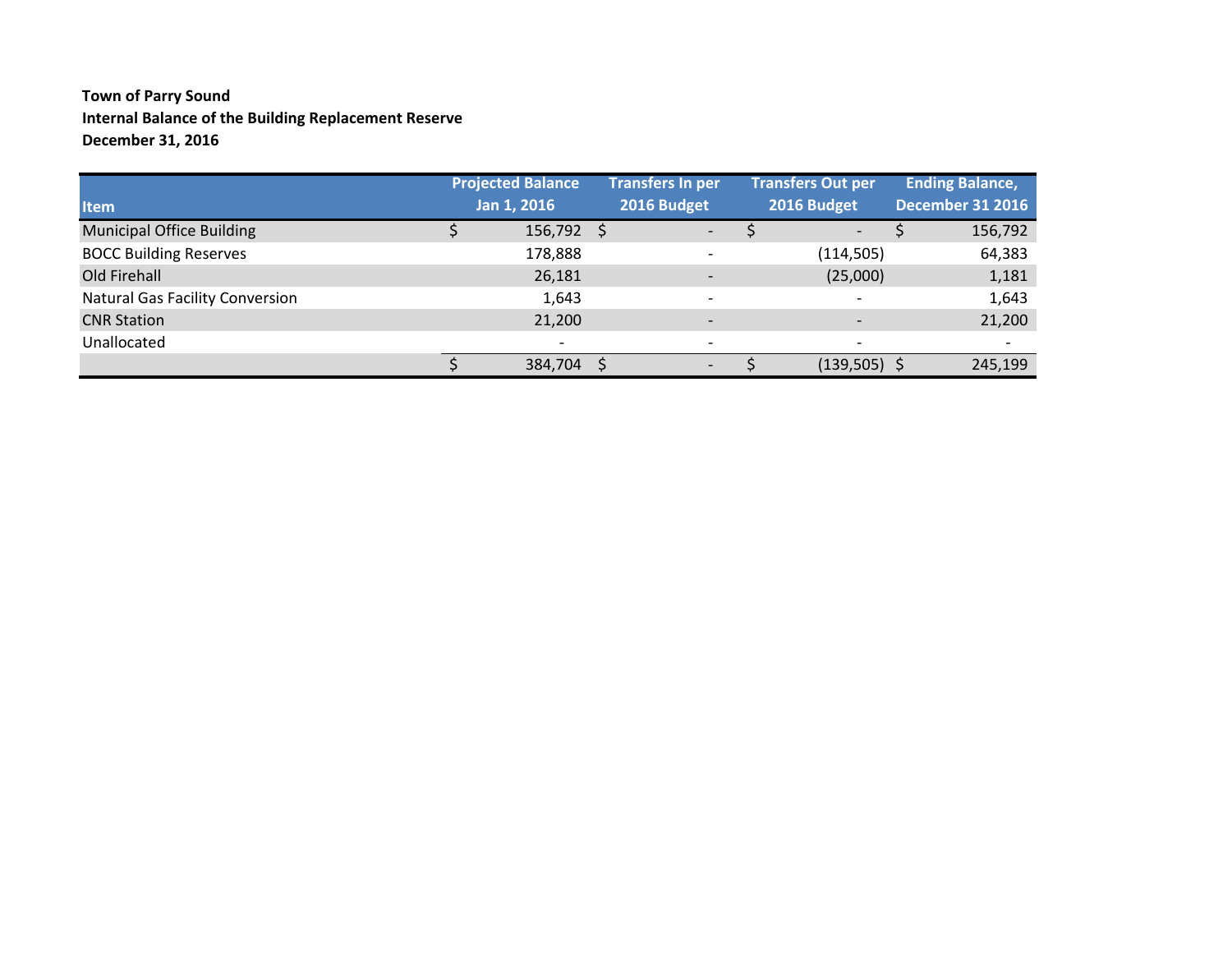### **Town of Parry Sound Internal Balance of the Building Replacement Reserve December 31, 2016**

|                                        | <b>Projected Balance</b> | <b>Transfers In per</b>  | <b>Transfers Out per</b> | <b>Ending Balance,</b>   |
|----------------------------------------|--------------------------|--------------------------|--------------------------|--------------------------|
| <b>Item</b>                            | Jan 1, 2016              | 2016 Budget              | 2016 Budget              | <b>December 31 2016</b>  |
| <b>Municipal Office Building</b>       | $156,792$ \$             | $\overline{\phantom{0}}$ | $\overline{\phantom{a}}$ | 156,792                  |
| <b>BOCC Building Reserves</b>          | 178,888                  | $\overline{\phantom{0}}$ | (114, 505)               | 64,383                   |
| Old Firehall                           | 26,181                   | $\overline{\phantom{0}}$ | (25,000)                 | 1,181                    |
| <b>Natural Gas Facility Conversion</b> | 1,643                    | $\overline{\phantom{a}}$ |                          | 1,643                    |
| <b>CNR Station</b>                     | 21,200                   | $\overline{\phantom{a}}$ |                          | 21,200                   |
| Unallocated                            | $\overline{\phantom{a}}$ | $\overline{\phantom{a}}$ | $\overline{\phantom{a}}$ | $\overline{\phantom{a}}$ |
|                                        | 384,704 :                | $\overline{\phantom{a}}$ | $(139,505)$ \$           | 245,199                  |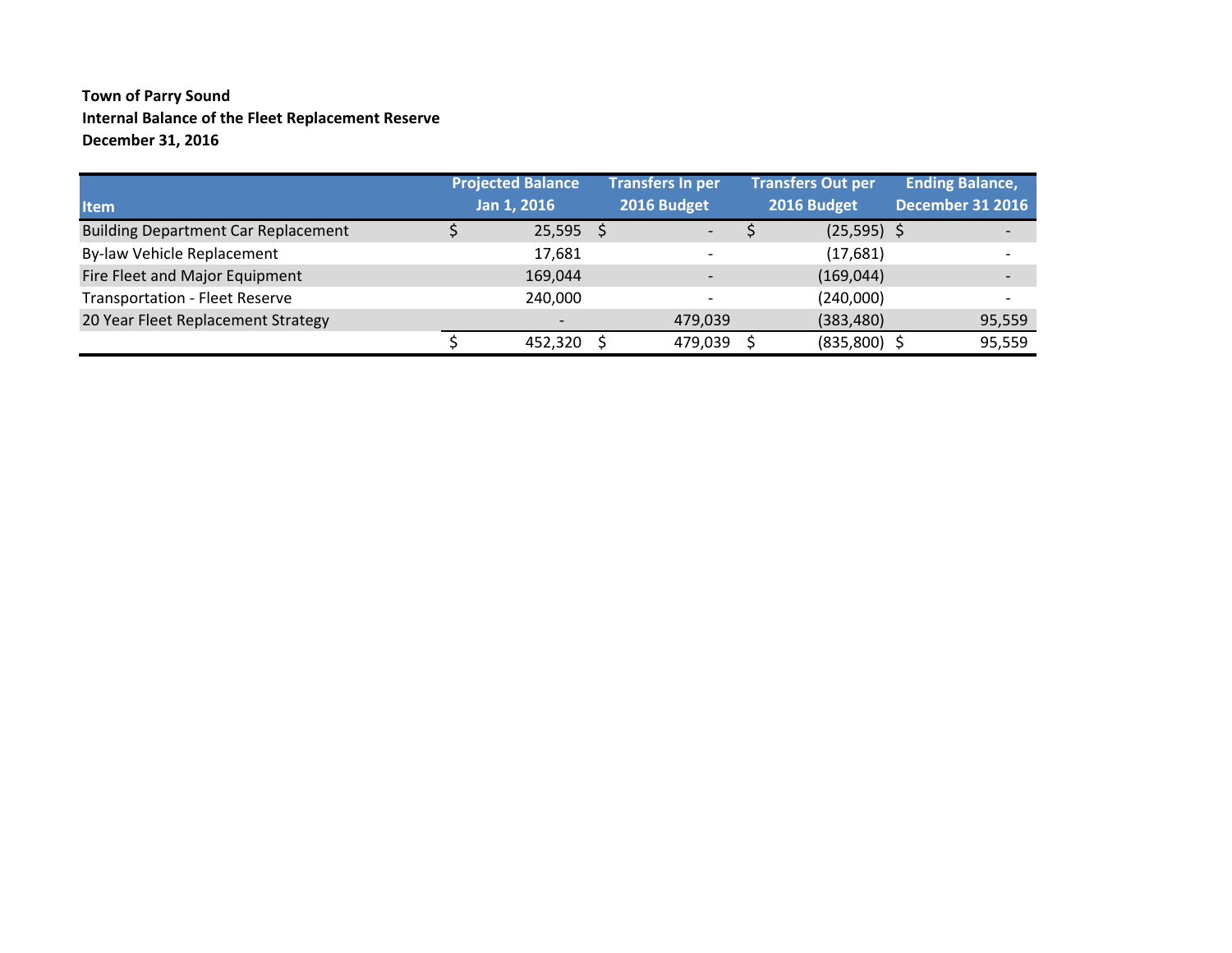### **Town of Parry Sound Internal Balance of the Fleet Replacement Reserve December 31, 2016**

|                                            | <b>Projected Balance</b> | <b>Transfers In per</b>  | <b>Transfers Out per</b> | <b>Ending Balance,</b>  |                          |
|--------------------------------------------|--------------------------|--------------------------|--------------------------|-------------------------|--------------------------|
| <b>Item</b>                                | Jan 1, 2016              | 2016 Budget              | 2016 Budget              | <b>December 31 2016</b> |                          |
| <b>Building Department Car Replacement</b> | $25,595$ \$              | $\overline{\phantom{a}}$ | $(25,595)$ \$            |                         |                          |
| By-law Vehicle Replacement                 | 17,681                   |                          | (17,681)                 |                         | $\overline{\phantom{0}}$ |
| Fire Fleet and Major Equipment             | 169,044                  | $\overline{\phantom{0}}$ | (169, 044)               |                         | $\overline{\phantom{0}}$ |
| <b>Transportation - Fleet Reserve</b>      | 240,000                  |                          | (240,000)                |                         | $\overline{\phantom{a}}$ |
| 20 Year Fleet Replacement Strategy         |                          | 479,039                  | (383, 480)               |                         | 95,559                   |
|                                            | 452,320 \$               | 479,039                  | $(835,800)$ \$           |                         | 95,559                   |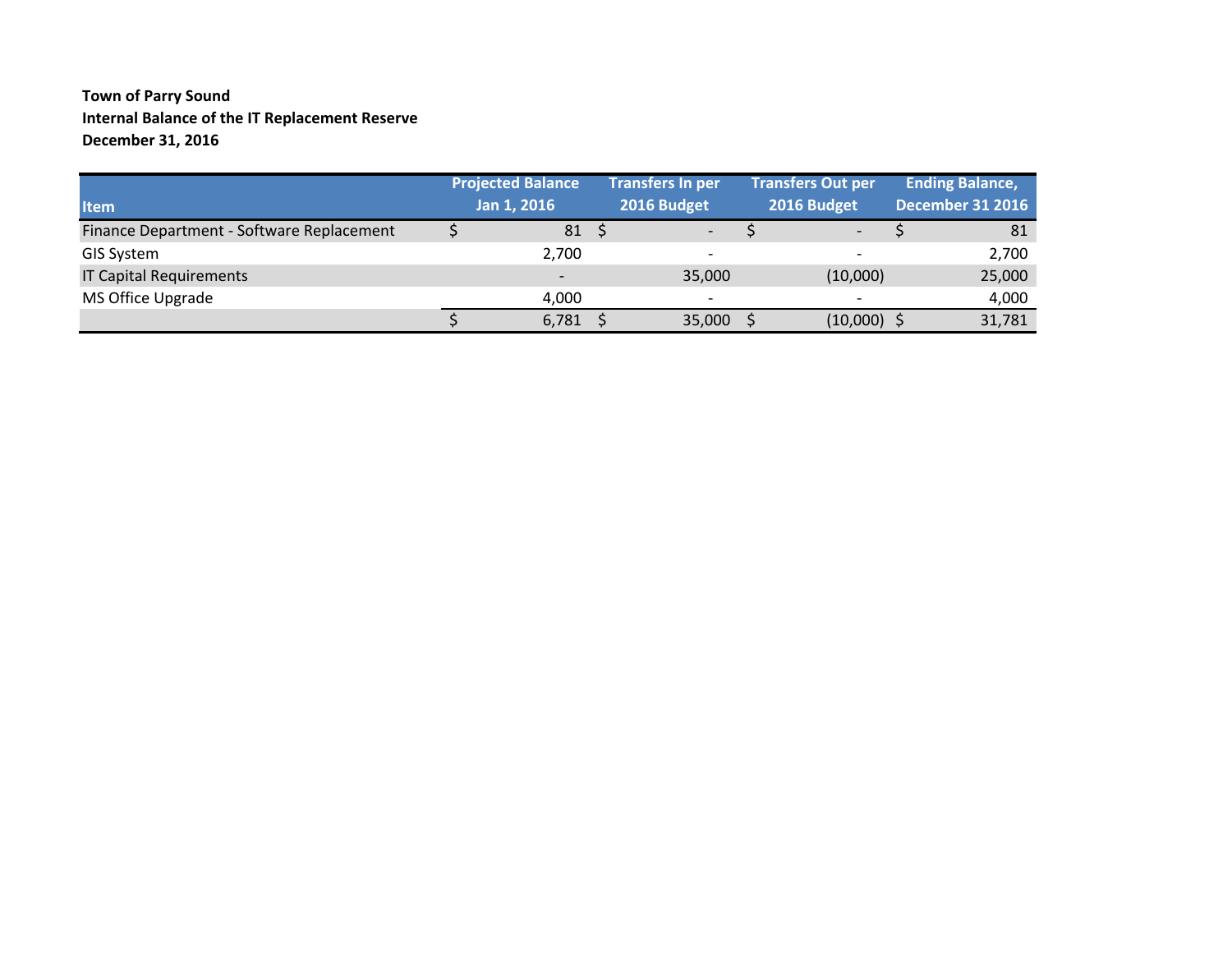### **Town of Parry Sound Internal Balance of the IT Replacement Reserve December 31, 2016**

| <b>Item</b>                               | <b>Projected Balance</b><br>Jan 1, 2016 | <b>Transfers In per</b><br>2016 Budget | <b>Transfers Out per</b><br>2016 Budget | <b>Ending Balance,</b><br><b>December 31 2016</b> |        |
|-------------------------------------------|-----------------------------------------|----------------------------------------|-----------------------------------------|---------------------------------------------------|--------|
| Finance Department - Software Replacement | 81                                      | $\overline{\phantom{a}}$               | $\overline{\phantom{a}}$                |                                                   | 81     |
| <b>GIS System</b>                         | 2,700                                   | $\overline{\phantom{a}}$               | $\overline{\phantom{a}}$                |                                                   | 2,700  |
| <b>IT Capital Requirements</b>            | $\overline{\phantom{0}}$                | 35,000                                 | (10,000)                                |                                                   | 25,000 |
| MS Office Upgrade                         | 4,000                                   | $\overline{\phantom{0}}$               |                                         |                                                   | 4,000  |
|                                           | 6,781                                   | 35,000                                 | $(10,000)$ \$                           |                                                   | 31,781 |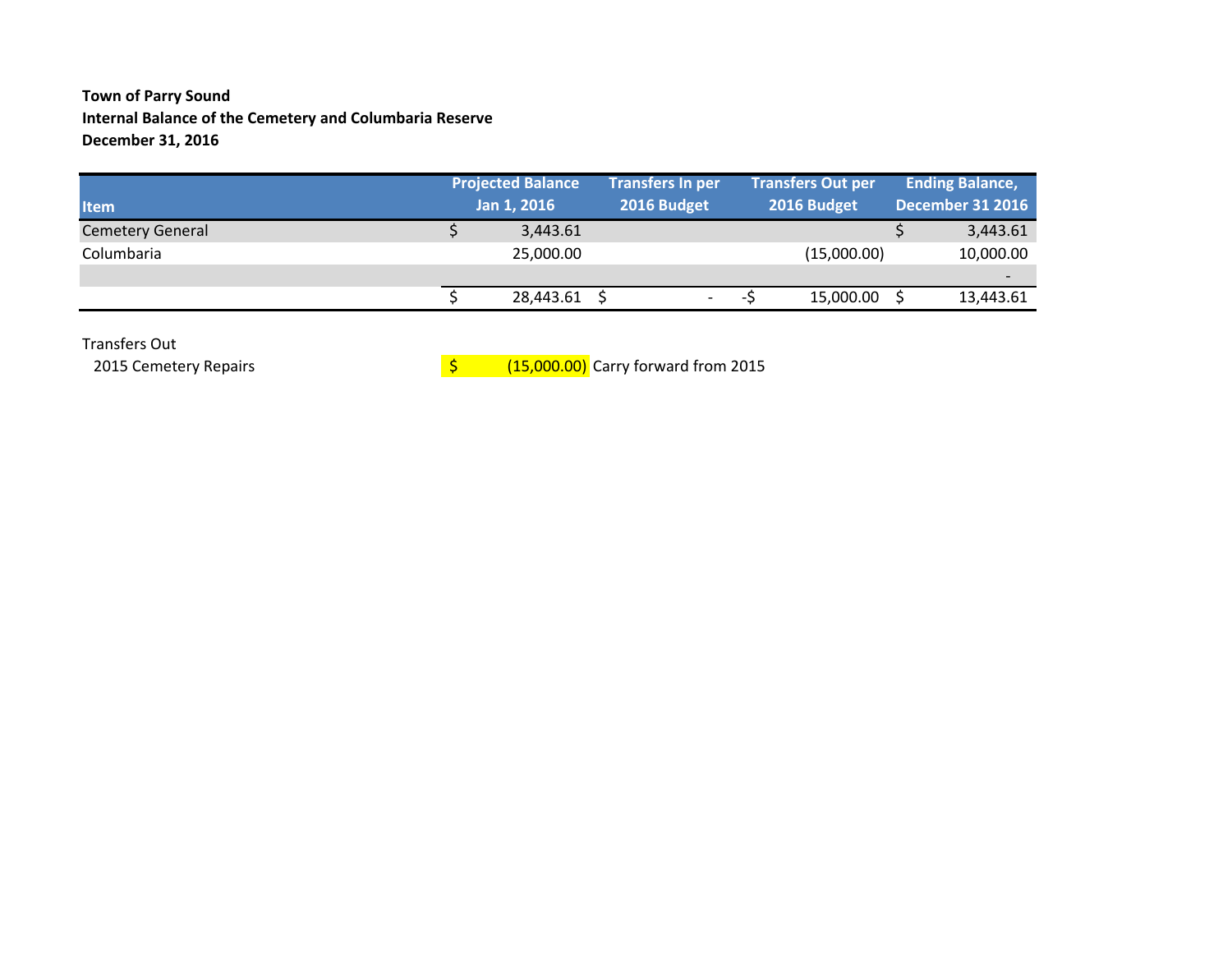### **Town of Parry Sound Internal Balance of the Cemetery and Columbaria Reserve December 31, 2016**

|           |                                         |                          |                                        |     | <b>Ending Balance,</b>                               |
|-----------|-----------------------------------------|--------------------------|----------------------------------------|-----|------------------------------------------------------|
|           |                                         |                          | 2016 Budget                            |     | <b>December 31 2016</b>                              |
| 3,443.61  |                                         |                          |                                        |     | 3,443.61                                             |
| 25,000.00 |                                         |                          |                                        |     | 10,000.00                                            |
|           |                                         |                          |                                        |     | $\overline{\phantom{0}}$                             |
| 28,443.61 |                                         | $\overline{\phantom{0}}$ |                                        |     | 13,443.61                                            |
|           | <b>Projected Balance</b><br>Jan 1, 2016 |                          | <b>Transfers In per</b><br>2016 Budget | - 7 | <b>Transfers Out per</b><br>(15,000.00)<br>15,000.00 |

Transfers Out

2015 Cemetery Repairs

 $\frac{1}{5}$  (15,000.00) Carry forward from 2015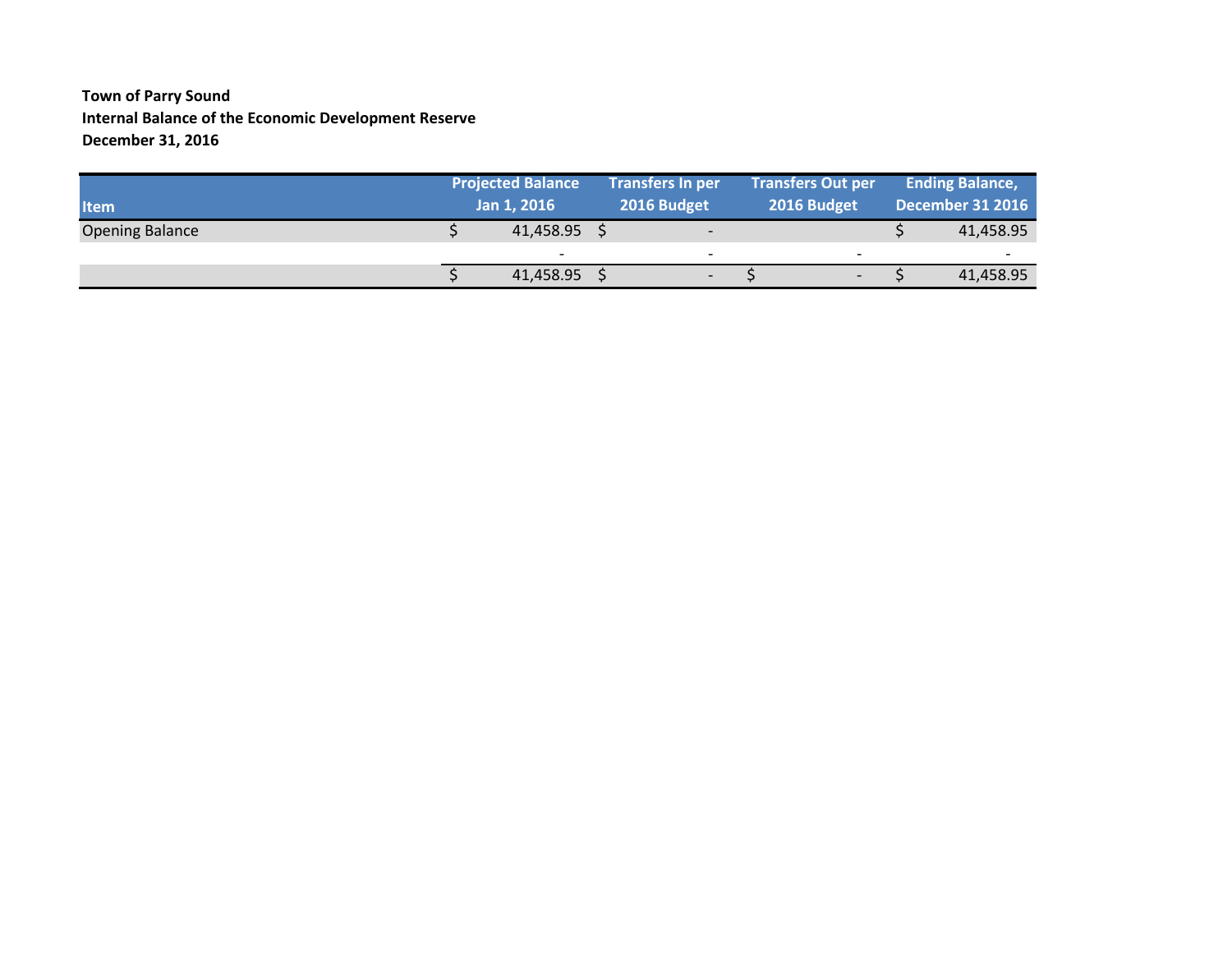### **Town of Parry Sound Internal Balance of the Economic Development Reserve December 31, 2016**

| <b>Item</b>            | <b>Projected Balance</b><br>Jan 1, 2016 |  | <b>Transfers In per</b><br>2016 Budget |  | <b>Transfers Out per</b><br>2016 Budget |  | <b>Ending Balance,</b><br>December 31 2016 |  |  |
|------------------------|-----------------------------------------|--|----------------------------------------|--|-----------------------------------------|--|--------------------------------------------|--|--|
| <b>Opening Balance</b> | 41,458.95                               |  | $\overline{\phantom{a}}$               |  |                                         |  | 41,458.95                                  |  |  |
|                        | $\overline{\phantom{0}}$                |  | $\overline{\phantom{0}}$               |  | $\overline{\phantom{0}}$                |  | $\overline{\phantom{0}}$                   |  |  |
|                        | 41,458.95                               |  | $\overline{\phantom{a}}$               |  | $\overline{\phantom{0}}$                |  | 41,458.95                                  |  |  |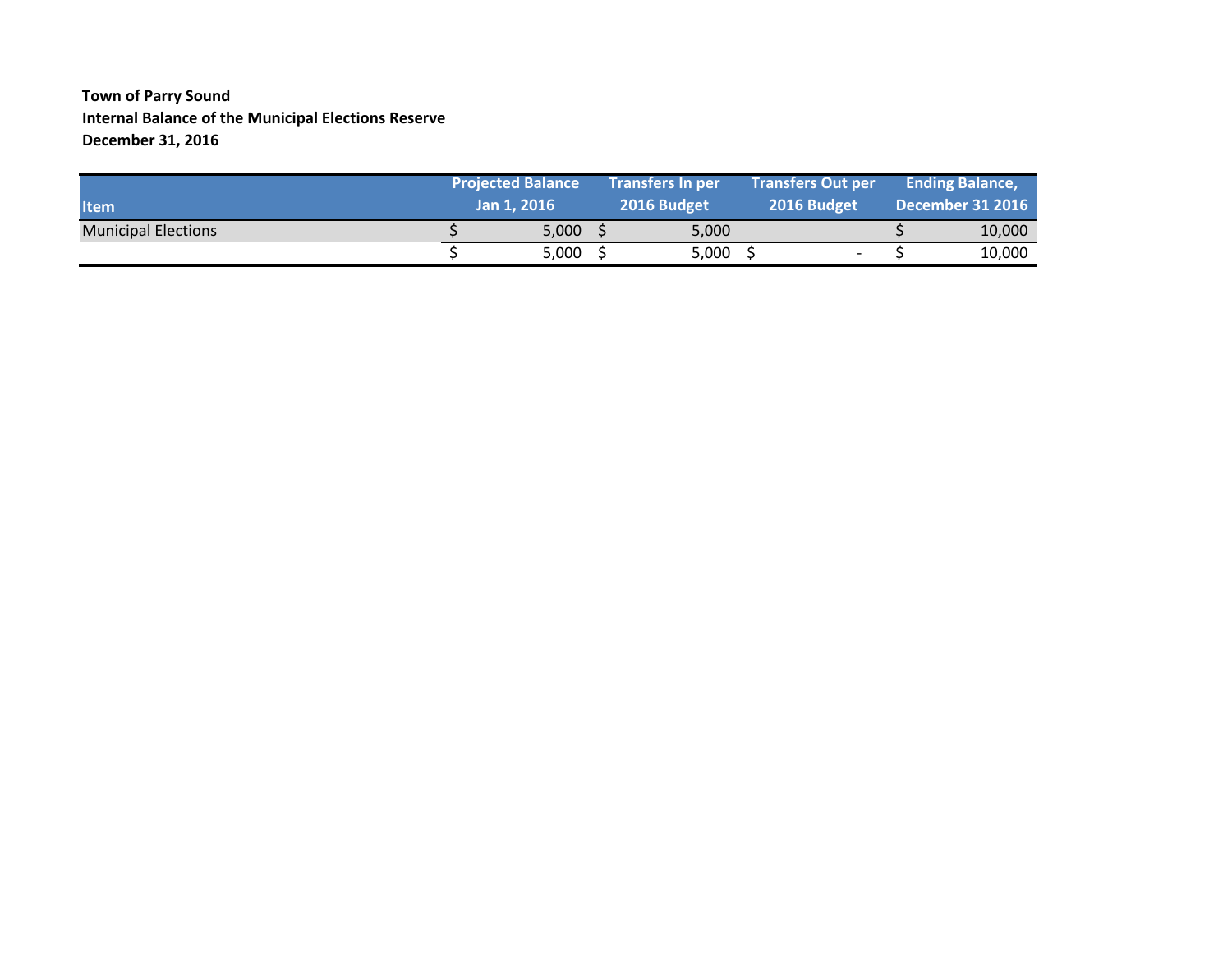#### **Town of Parry Sound Internal Balance of the Municipal Elections Reserve December 31, 2016**

| <b>Item</b>                | <b>Projected Balance</b><br>Jan 1, 2016 | <b>Transfers In per</b><br>2016 Budget | <b>Transfers Out per</b><br>2016 Budget | <b>Ending Balance,</b><br>December 31 2016 |
|----------------------------|-----------------------------------------|----------------------------------------|-----------------------------------------|--------------------------------------------|
| <b>Municipal Elections</b> | 5,000                                   | 5.000                                  |                                         | 10,000                                     |
|                            | 5,000                                   | 5,000                                  |                                         | 10,000                                     |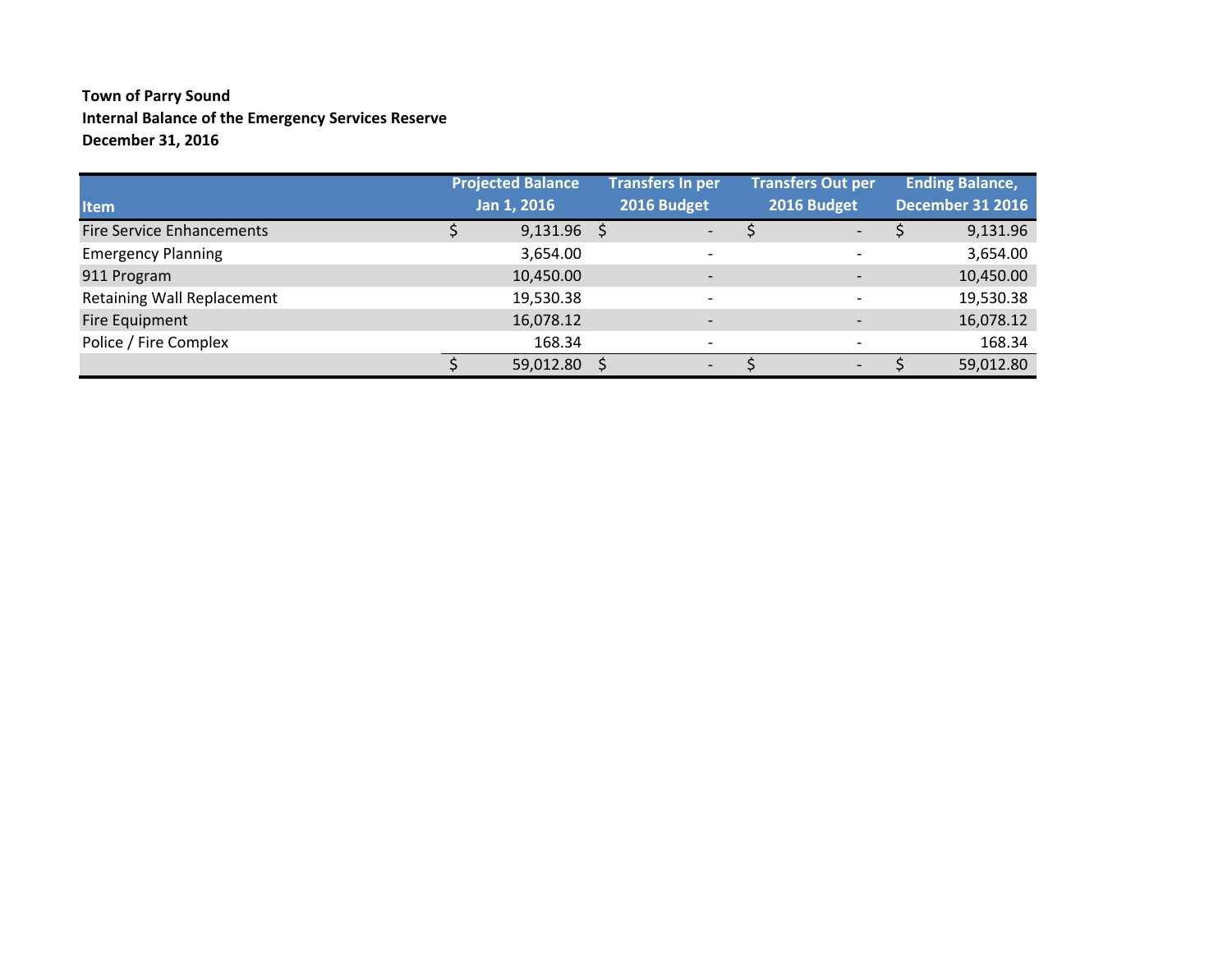### **Town of Parry Sound Internal Balance of the Emergency Services Reserve December 31, 2016**

|                                  | <b>Projected Balance</b> | Transfers In per             | <b>Transfers Out per</b> | <b>Ending Balance,</b>  |
|----------------------------------|--------------------------|------------------------------|--------------------------|-------------------------|
| <b>Item</b>                      | Jan 1, 2016              | 2016 Budget                  | 2016 Budget              | <b>December 31 2016</b> |
| <b>Fire Service Enhancements</b> | $9,131.96$ \$            | $\overline{\phantom{0}}$     | $\overline{\phantom{0}}$ | 9,131.96                |
| <b>Emergency Planning</b>        | 3,654.00                 | $\overline{\phantom{a}}$     |                          | 3,654.00                |
| 911 Program                      | 10,450.00                | $\overline{\phantom{a}}$     |                          | 10,450.00               |
| Retaining Wall Replacement       | 19,530.38                | $\overline{\phantom{0}}$     |                          | 19,530.38               |
| Fire Equipment                   | 16,078.12                | $\overline{\phantom{a}}$     | $\overline{\phantom{0}}$ | 16,078.12               |
| Police / Fire Complex            | 168.34                   | $\overline{\phantom{0}}$     | $\overline{\phantom{0}}$ | 168.34                  |
|                                  | 59,012.80                | $\qquad \qquad \blacksquare$ | -                        | 59,012.80               |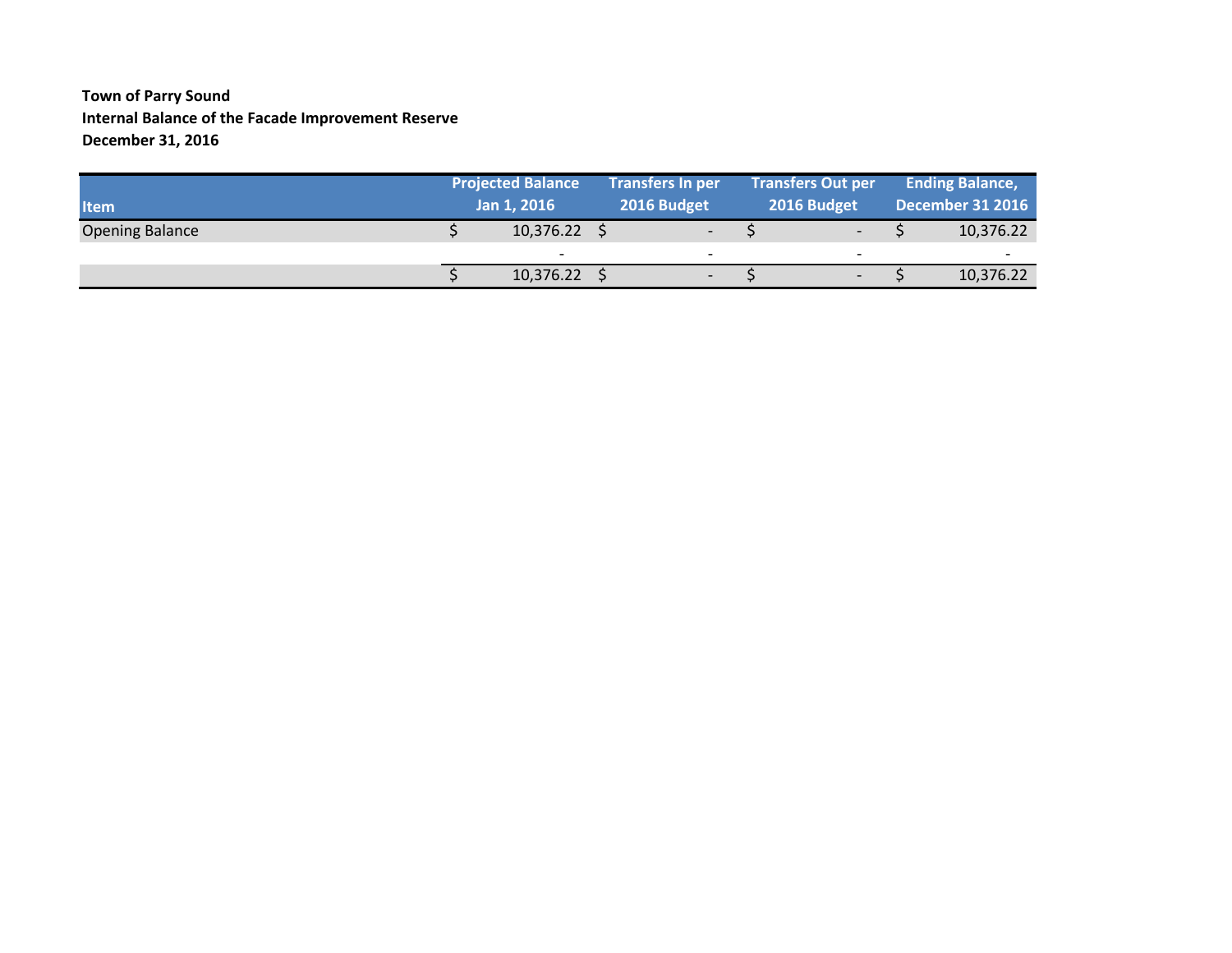### **Town of Parry Sound Internal Balance of the Facade Improvement Reserve December 31, 2016**

| <b>Item</b>            | <b>Projected Balance</b><br>Jan 1, 2016 |  | <b>Transfers In per</b><br>2016 Budget |  | <b>Transfers Out per</b><br>2016 Budget |  | <b>Ending Balance,</b><br>December 31 2016 |
|------------------------|-----------------------------------------|--|----------------------------------------|--|-----------------------------------------|--|--------------------------------------------|
| <b>Opening Balance</b> | 10,376.22                               |  | $\overline{\phantom{0}}$               |  |                                         |  | 10,376.22                                  |
|                        | $\overline{\phantom{a}}$                |  | $\overline{\phantom{a}}$               |  |                                         |  | $\overline{\phantom{a}}$                   |
|                        | 10,376.22                               |  | $\overline{\phantom{0}}$               |  | $\overline{\phantom{0}}$                |  | 10,376.22                                  |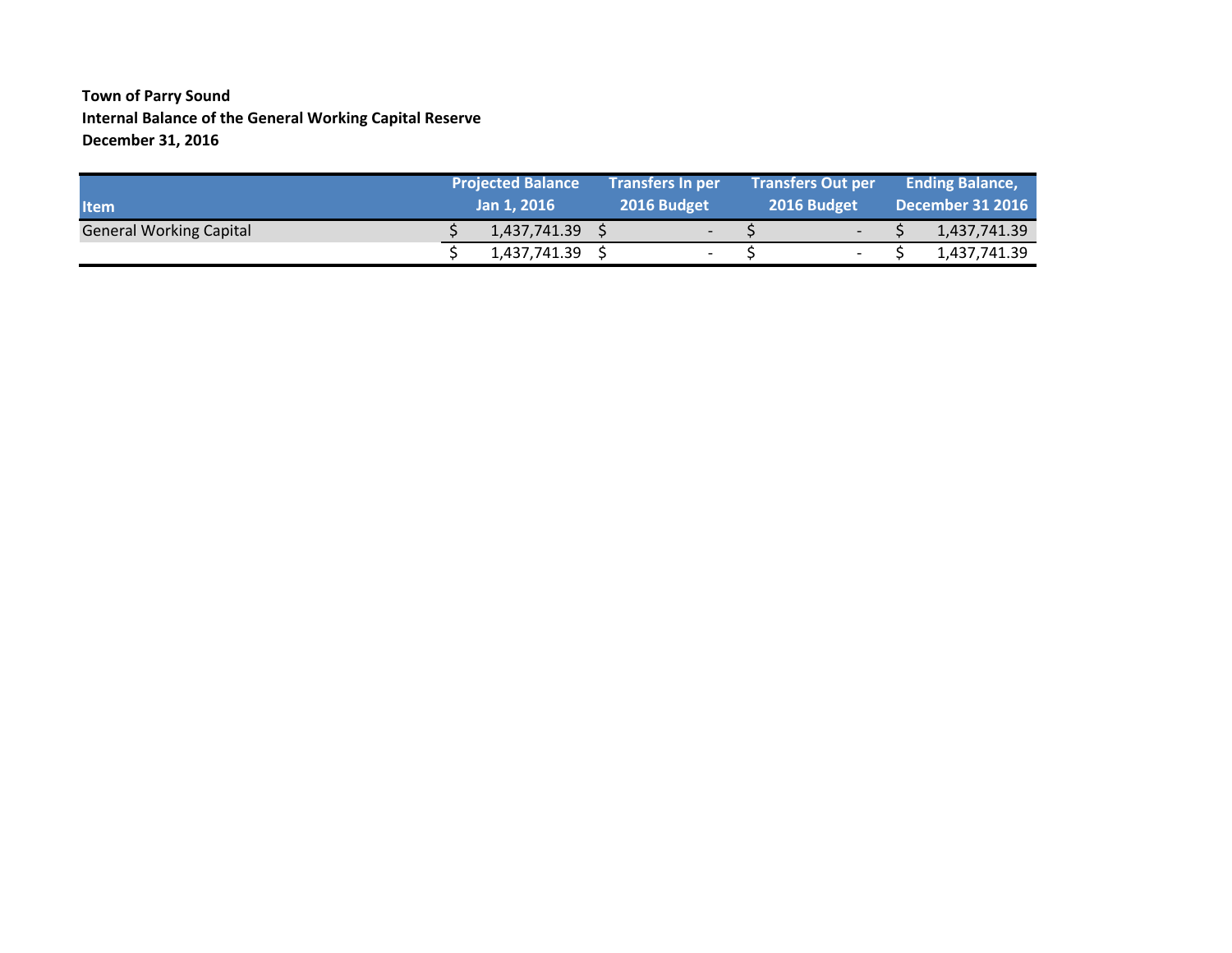### **Town of Parry Sound Internal Balance of the General Working Capital Reserve December 31, 2016**

| <b>Item</b>                    | <b>Projected Balance</b><br>Jan 1, 2016 |  | <b>Transfers In per</b><br>2016 Budget |  | <b>Transfers Out per</b><br>2016 Budget | <b>Ending Balance,</b><br><b>December 31 2016</b> |              |  |
|--------------------------------|-----------------------------------------|--|----------------------------------------|--|-----------------------------------------|---------------------------------------------------|--------------|--|
| <b>General Working Capital</b> | 1,437,741.39                            |  | $\overline{\phantom{a}}$               |  | $\overline{\phantom{0}}$                |                                                   | 1,437,741.39 |  |
|                                | 1,437,741.39                            |  |                                        |  | $\overline{a}$                          |                                                   | 1,437,741.39 |  |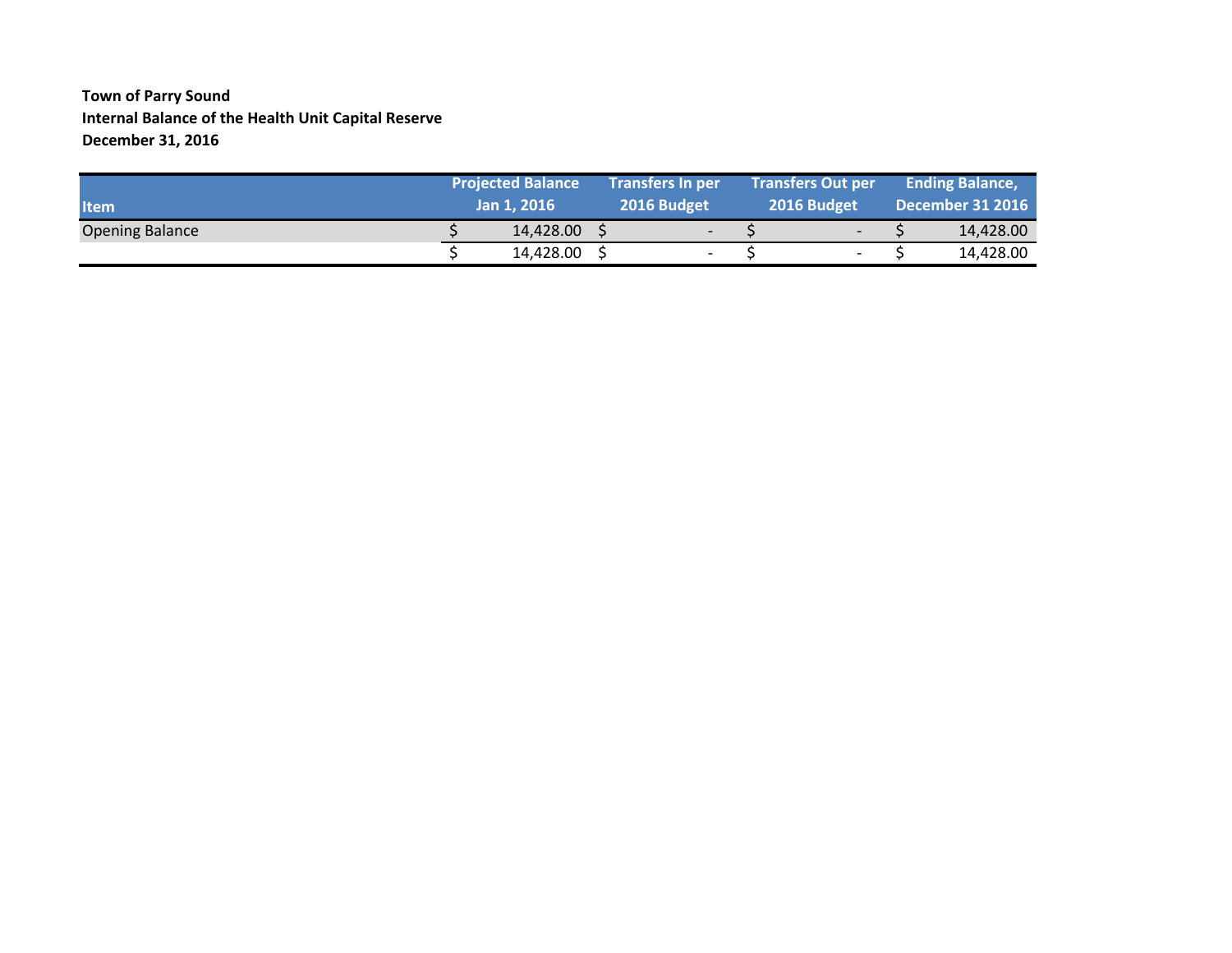#### **Town of Parry Sound Internal Balance of the Health Unit Capital Reserve December 31, 2016**

| <b>Item</b>            | <b>Projected Balance</b><br>Jan 1, 2016 |  | <b>Transfers In per</b><br>2016 Budget |  | Transfers Out per<br>2016 Budget |  | <b>Ending Balance,</b><br><b>December 31 2016</b> |
|------------------------|-----------------------------------------|--|----------------------------------------|--|----------------------------------|--|---------------------------------------------------|
| <b>Opening Balance</b> | 14,428.00                               |  | $\overline{\phantom{0}}$               |  | $\overline{\phantom{0}}$         |  | 14,428.00                                         |
|                        | 14,428.00                               |  | -                                      |  | $\overline{\phantom{0}}$         |  | 14,428.00                                         |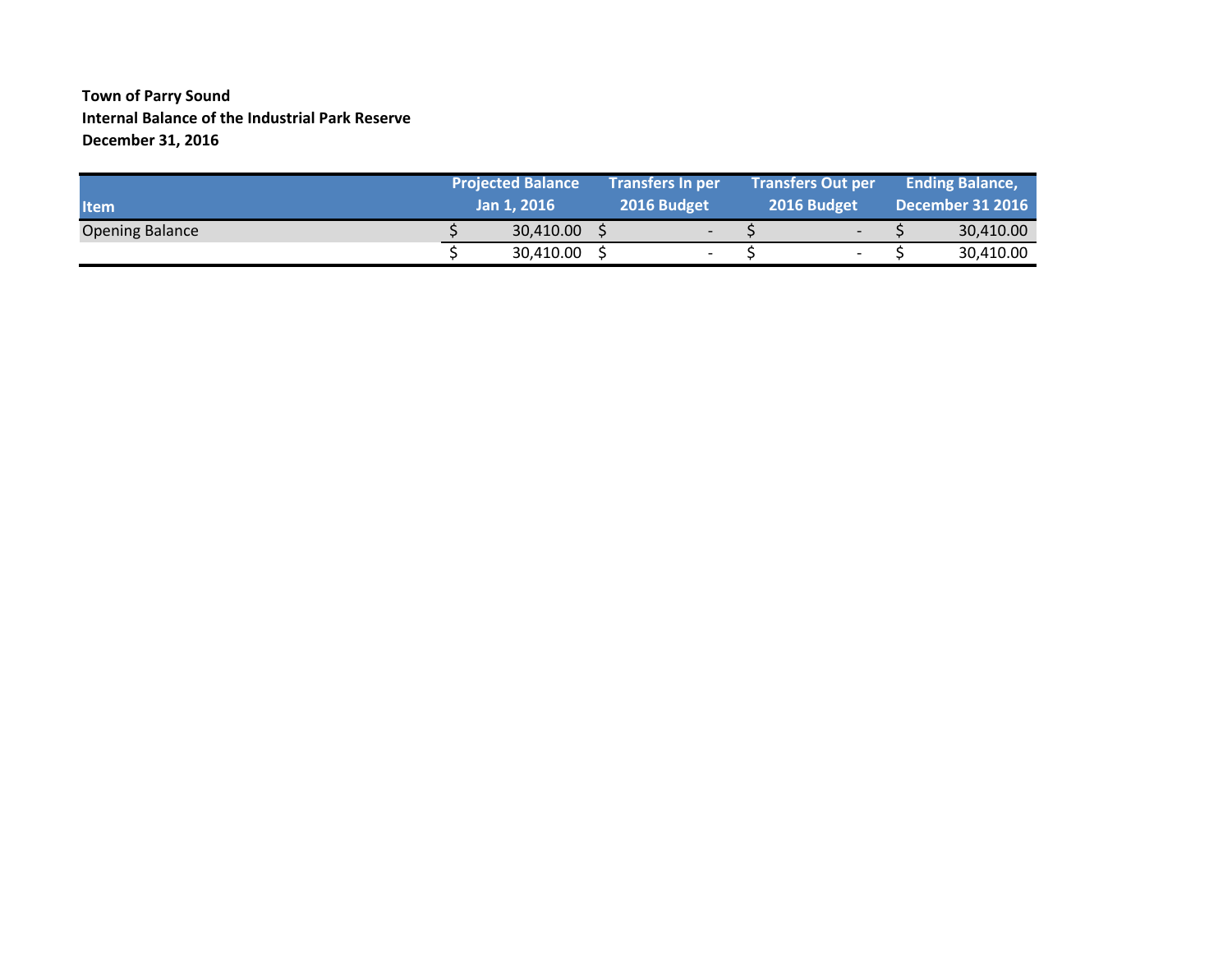### **Town of Parry Sound Internal Balance of the Industrial Park Reserve December 31, 2016**

| <b>Item</b>            | <b>Projected Balance</b><br>Jan 1, 2016 |  | <b>Transfers In per</b><br><b>2016 Budget</b> |  | <b>Transfers Out per</b><br>2016 Budget |  | <b>Ending Balance,</b><br><b>December 31 2016</b> |
|------------------------|-----------------------------------------|--|-----------------------------------------------|--|-----------------------------------------|--|---------------------------------------------------|
| <b>Opening Balance</b> | 30,410.00                               |  | $\overline{\phantom{0}}$                      |  | $\overline{\phantom{0}}$                |  | 30,410.00                                         |
|                        | 30,410.00                               |  | $\overline{\phantom{0}}$                      |  | $\overline{\phantom{a}}$                |  | 30,410.00                                         |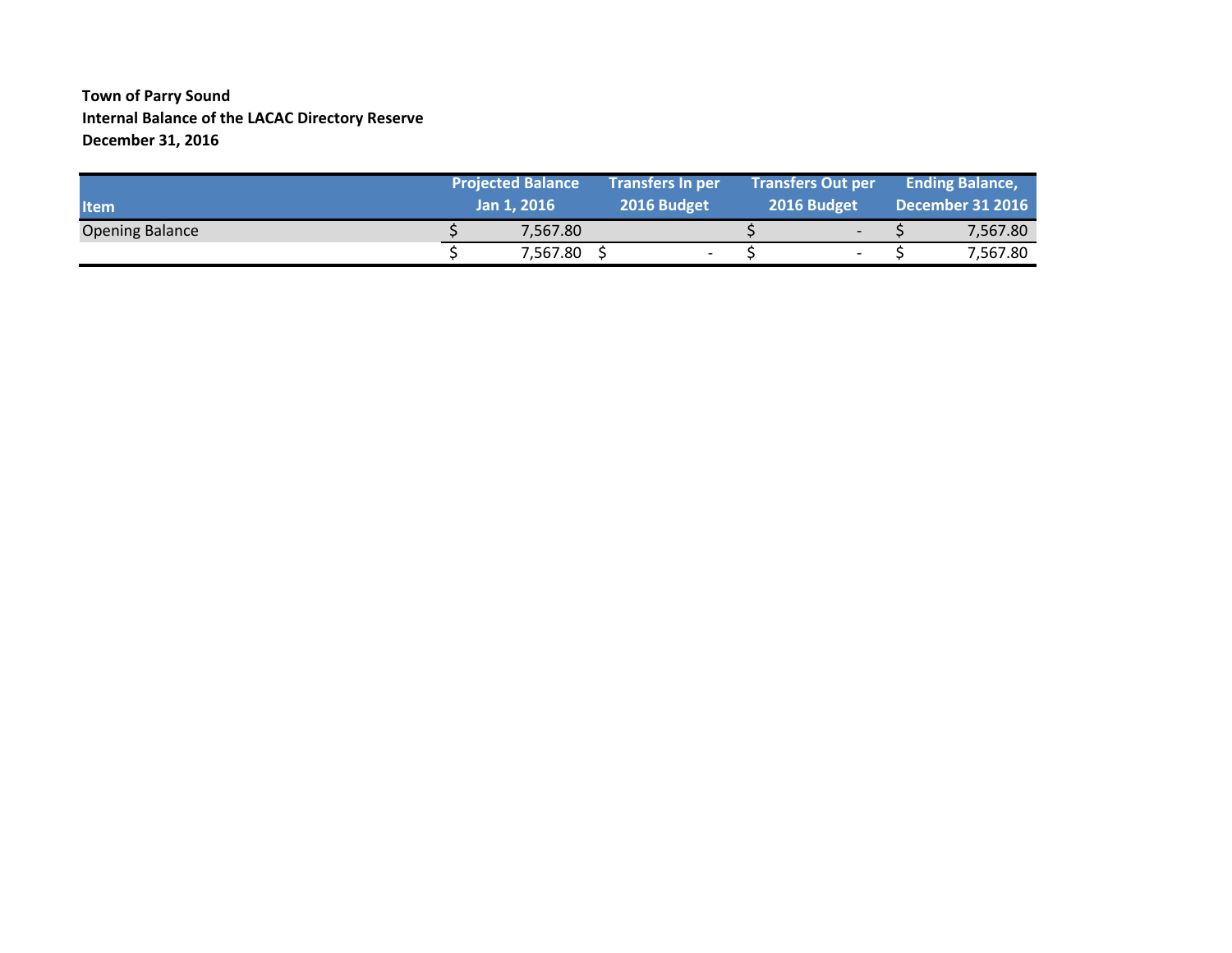#### **Town of Parry Sound Internal Balance of the LACAC Directory Reserve December 31, 2016**

| <b>Item</b>            | <b>Projected Balance</b><br>Jan 1, 2016 |  | <b>Transfers In per</b><br>2016 Budget |  | <b>Transfers Out per</b><br>2016 Budget |  | <b>Ending Balance,</b><br><b>December 31 2016</b> |
|------------------------|-----------------------------------------|--|----------------------------------------|--|-----------------------------------------|--|---------------------------------------------------|
| <b>Opening Balance</b> | 7.567.80                                |  |                                        |  | $\overline{\phantom{a}}$                |  | 7,567.80                                          |
|                        | 7,567.80                                |  | $\overline{\phantom{0}}$               |  | $\overline{\phantom{a}}$                |  | 7,567.80                                          |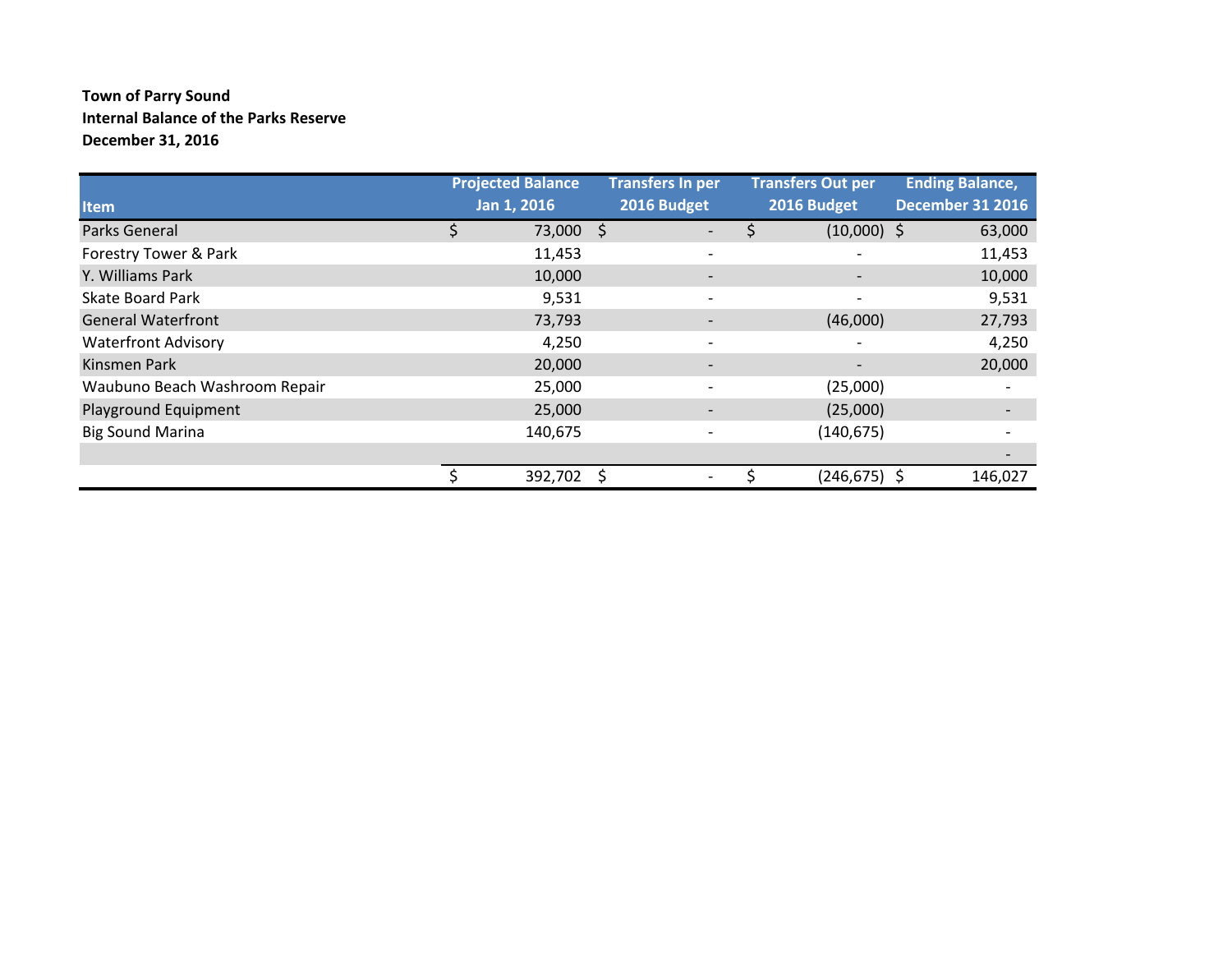### **Town of Parry Sound Internal Balance of the Parks Reserve December 31, 2016**

|                               | <b>Projected Balance</b> | <b>Transfers In per</b>  | <b>Transfers Out per</b> | <b>Ending Balance,</b>   |  |
|-------------------------------|--------------------------|--------------------------|--------------------------|--------------------------|--|
| <b>Item</b>                   | Jan 1, 2016              | 2016 Budget              | 2016 Budget              | <b>December 31 2016</b>  |  |
| Parks General                 | 73,000 \$                | -                        | $(10,000)$ \$<br>Ś       | 63,000                   |  |
| Forestry Tower & Park         | 11,453                   | $\overline{\phantom{a}}$ |                          | 11,453                   |  |
| Y. Williams Park              | 10,000                   | $\overline{\phantom{a}}$ |                          | 10,000                   |  |
| <b>Skate Board Park</b>       | 9,531                    |                          |                          | 9,531                    |  |
| <b>General Waterfront</b>     | 73,793                   |                          | (46,000)                 | 27,793                   |  |
| <b>Waterfront Advisory</b>    | 4,250                    |                          |                          | 4,250                    |  |
| Kinsmen Park                  | 20,000                   | $\overline{\phantom{a}}$ |                          | 20,000                   |  |
| Waubuno Beach Washroom Repair | 25,000                   | $\overline{\phantom{a}}$ | (25,000)                 | $\overline{\phantom{a}}$ |  |
| Playground Equipment          | 25,000                   | $\overline{\phantom{a}}$ | (25,000)                 |                          |  |
| <b>Big Sound Marina</b>       | 140,675                  | $\overline{\phantom{a}}$ | (140, 675)               |                          |  |
|                               |                          |                          |                          |                          |  |
|                               | 392,702                  |                          | (246,675) \$             | 146,027                  |  |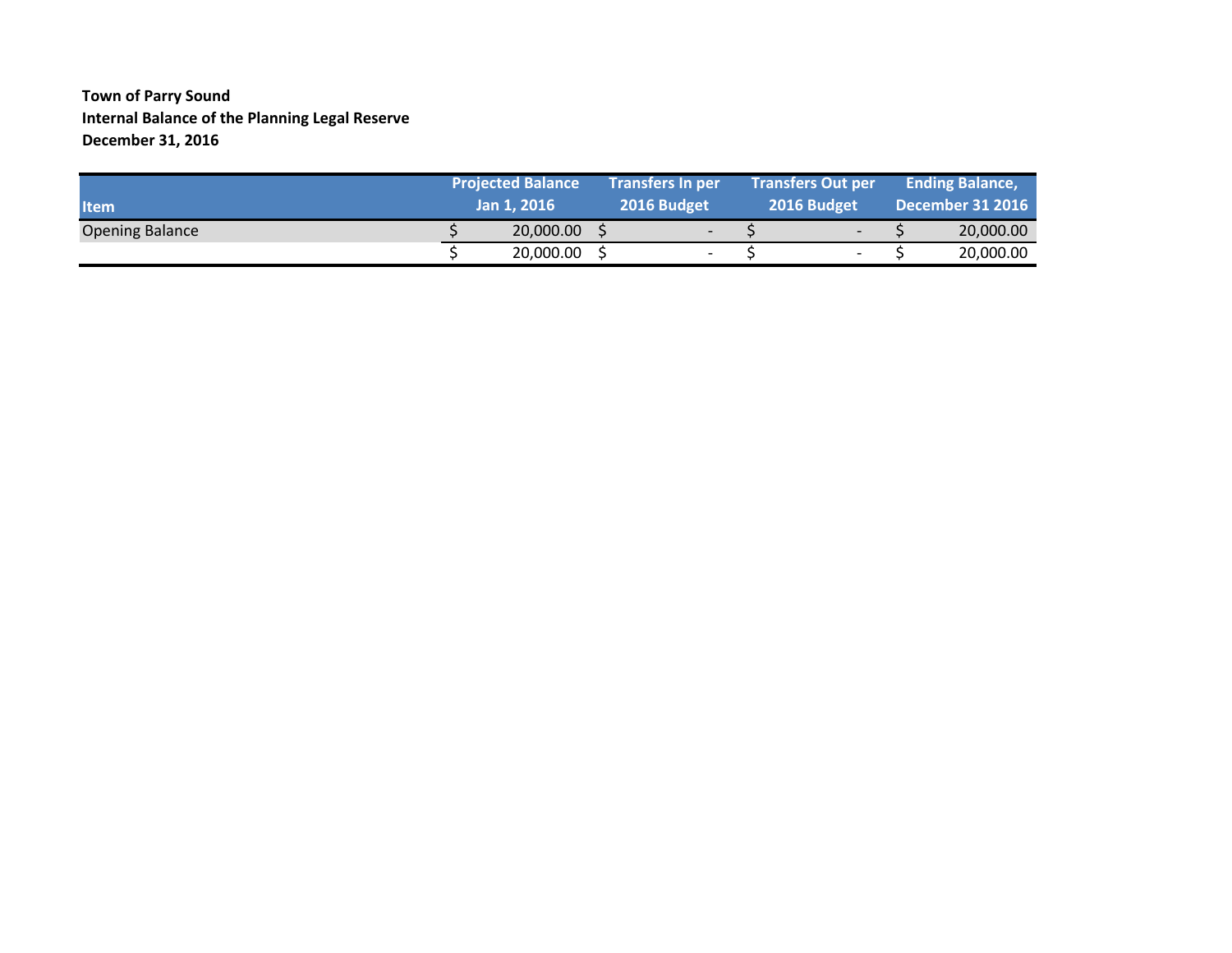#### **Town of Parry Sound Internal Balance of the Planning Legal Reserve December 31, 2016**

| <b>Item</b>            | <b>Projected Balance</b><br>Jan 1, 2016 | <b>Transfers In per</b><br>2016 Budget |  | <b>Transfers Out per</b><br>2016 Budget |  | <b>Ending Balance,</b><br><b>December 31 2016</b> |
|------------------------|-----------------------------------------|----------------------------------------|--|-----------------------------------------|--|---------------------------------------------------|
| <b>Opening Balance</b> | 20,000.00                               | $\overline{\phantom{0}}$               |  | $\overline{\phantom{0}}$                |  | 20,000.00                                         |
|                        | 20,000.00                               | $\overline{\phantom{a}}$               |  | $\overline{\phantom{a}}$                |  | 20,000.00                                         |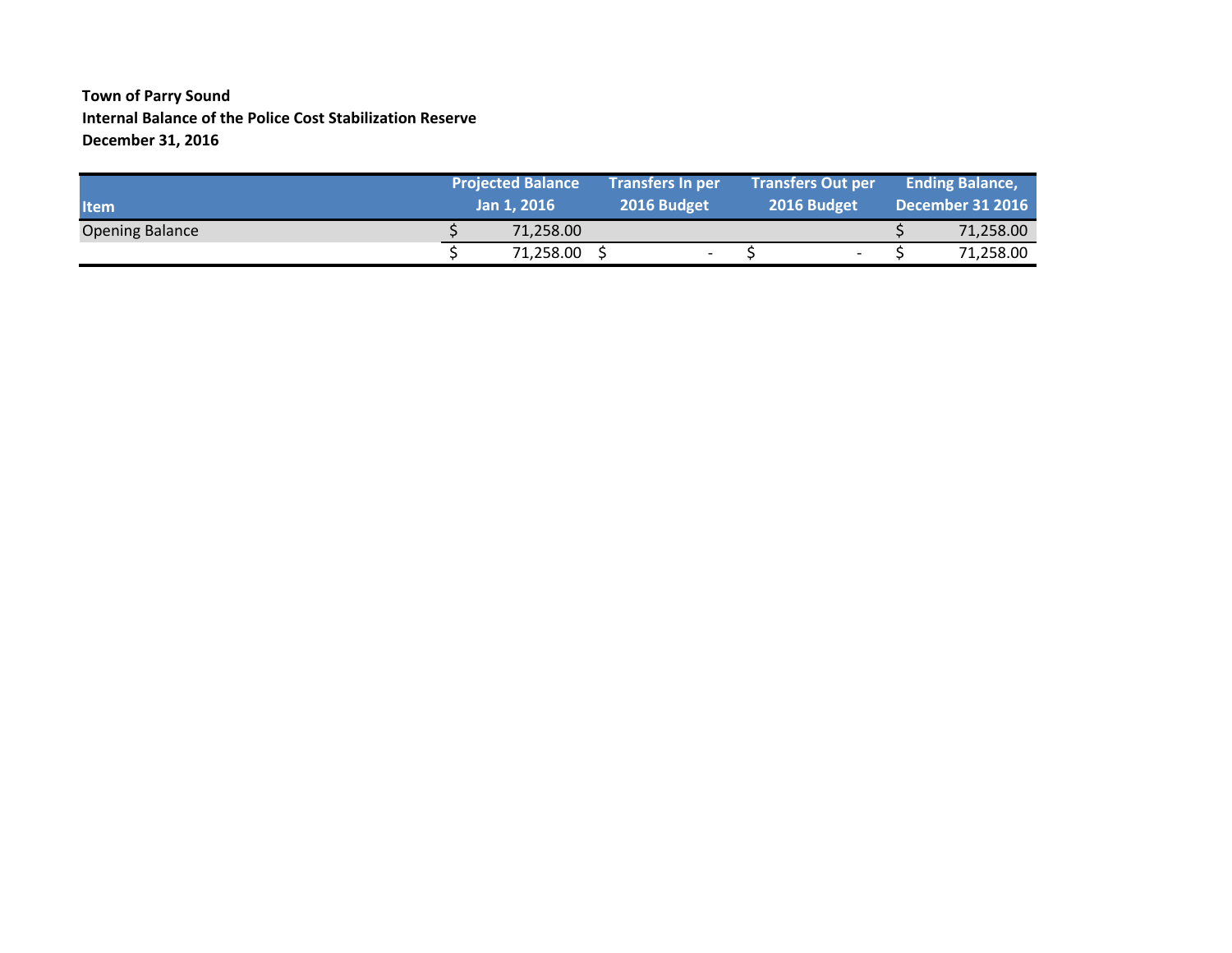### **Town of Parry Sound Internal Balance of the Police Cost Stabilization Reserve December 31, 2016**

| <b>Item</b>            | <b>Projected Balance</b><br>Jan 1, 2016 |  | <b>Transfers In per</b><br>2016 Budget | <b>Transfers Out per</b><br>2016 Budget | <b>Ending Balance,</b><br><b>December 31 2016</b> |           |  |
|------------------------|-----------------------------------------|--|----------------------------------------|-----------------------------------------|---------------------------------------------------|-----------|--|
| <b>Opening Balance</b> | 71.258.00                               |  |                                        |                                         |                                                   | 71,258.00 |  |
|                        | 71,258.00                               |  | $\overline{\phantom{0}}$               | $\overline{\phantom{0}}$                |                                                   | 71,258.00 |  |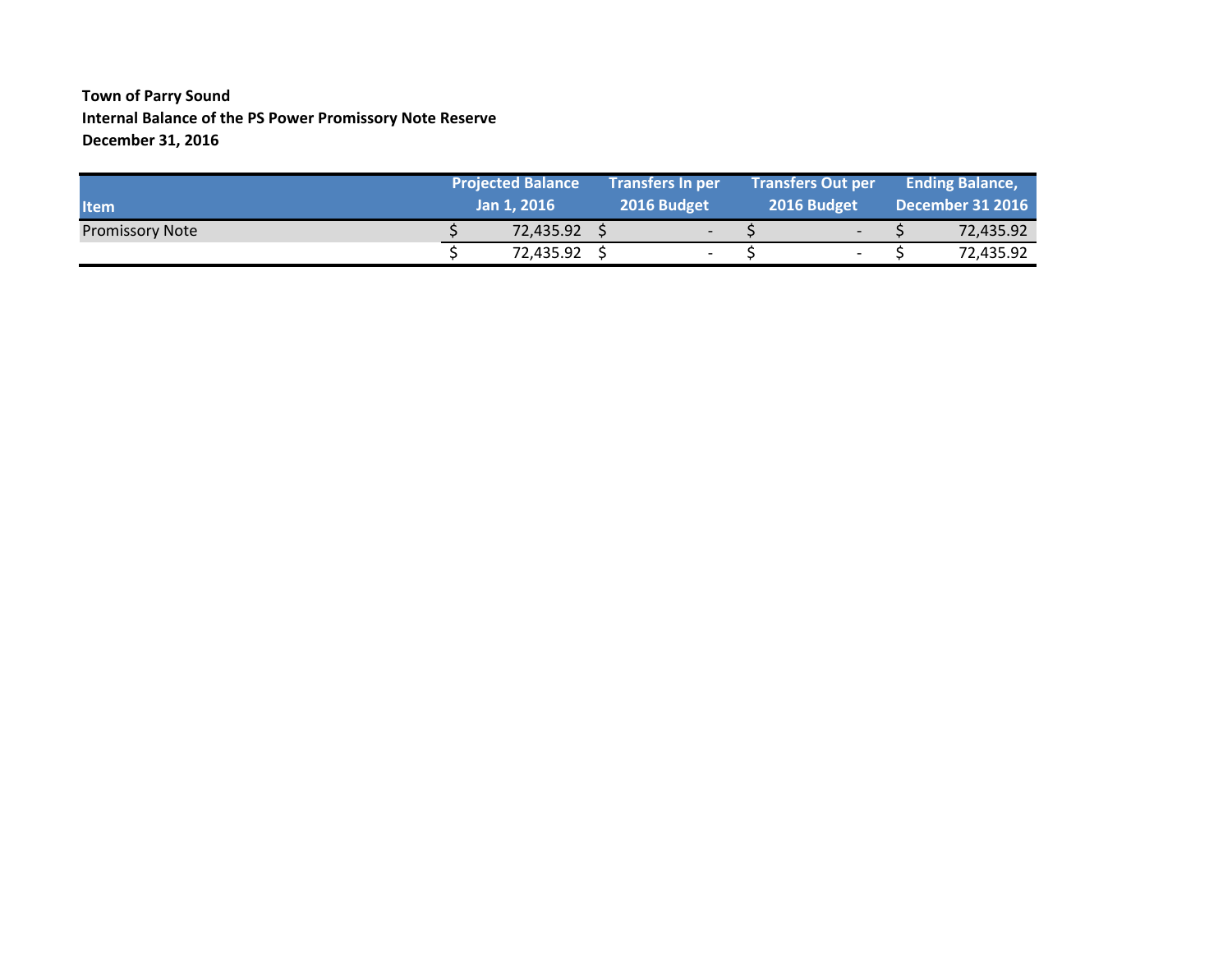### **Town of Parry Sound Internal Balance of the PS Power Promissory Note Reserve December 31, 2016**

| <b>Item</b>            | <b>Projected Balance</b><br>Jan 1, 2016 | <b>Transfers In per</b><br>2016 Budget |  | <b>Transfers Out per</b><br>2016 Budget |  | <b>Ending Balance,</b><br><b>December 31 2016</b> |
|------------------------|-----------------------------------------|----------------------------------------|--|-----------------------------------------|--|---------------------------------------------------|
| <b>Promissory Note</b> | 72,435.92                               | $\overline{\phantom{0}}$               |  | $\overline{\phantom{0}}$                |  | 72,435.92                                         |
|                        | 72.435.92                               | $\overline{\phantom{a}}$               |  | $\overline{\phantom{a}}$                |  | 72,435.92                                         |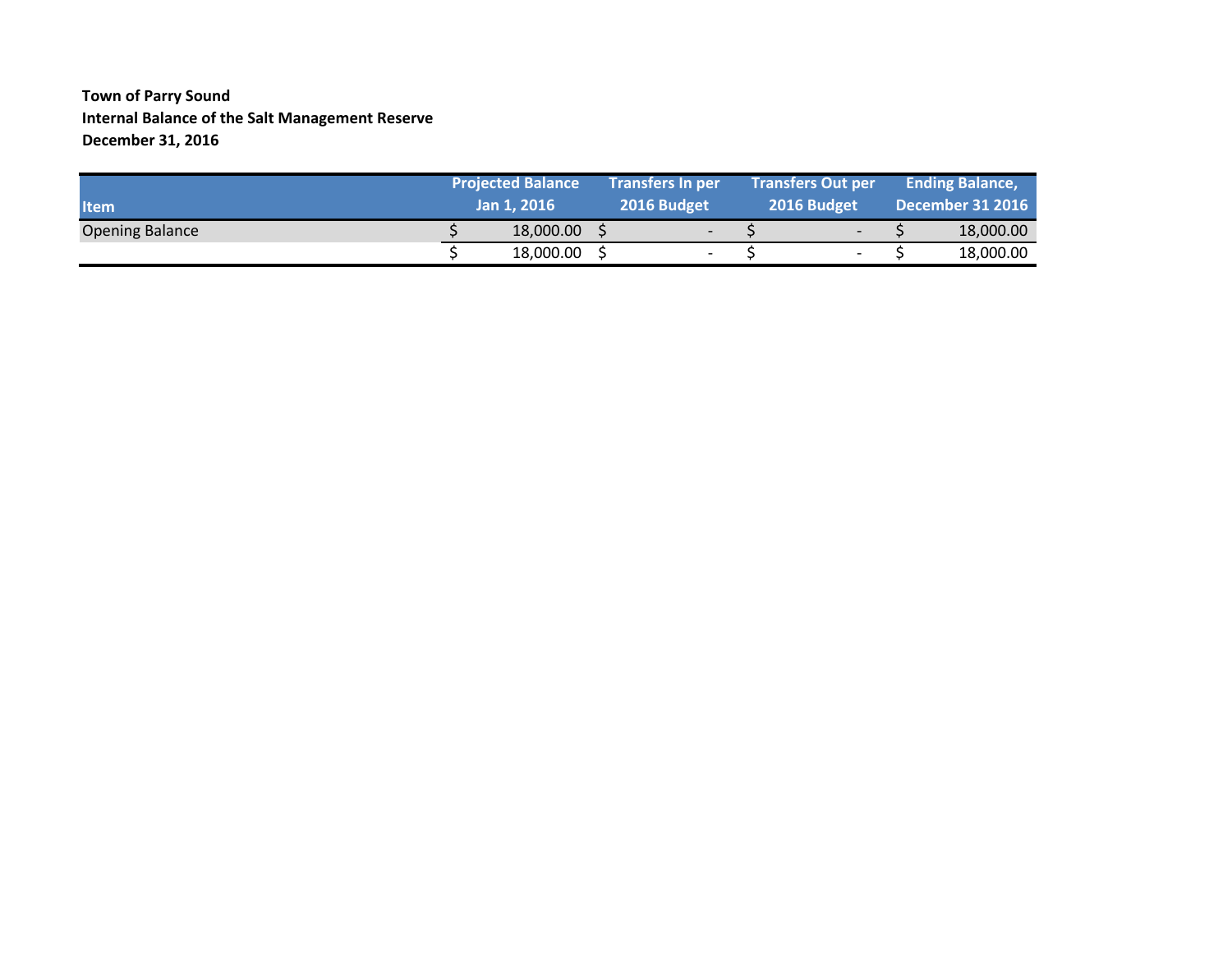#### **Town of Parry Sound Internal Balance of the Salt Management Reserve December 31, 2016**

| <b>Iltem</b>           | <b>Projected Balance</b><br>Jan 1, 2016 |  | <b>Transfers In per</b><br>2016 Budget |  | <b>Transfers Out per</b><br>2016 Budget |  | <b>Ending Balance,</b><br><b>December 31 2016</b> |
|------------------------|-----------------------------------------|--|----------------------------------------|--|-----------------------------------------|--|---------------------------------------------------|
| <b>Opening Balance</b> | 18,000.00                               |  | $\overline{\phantom{0}}$               |  | $\overline{\phantom{0}}$                |  | 18,000.00                                         |
|                        | 18,000.00                               |  | $\overline{\phantom{0}}$               |  | $\overline{\phantom{a}}$                |  | 18,000.00                                         |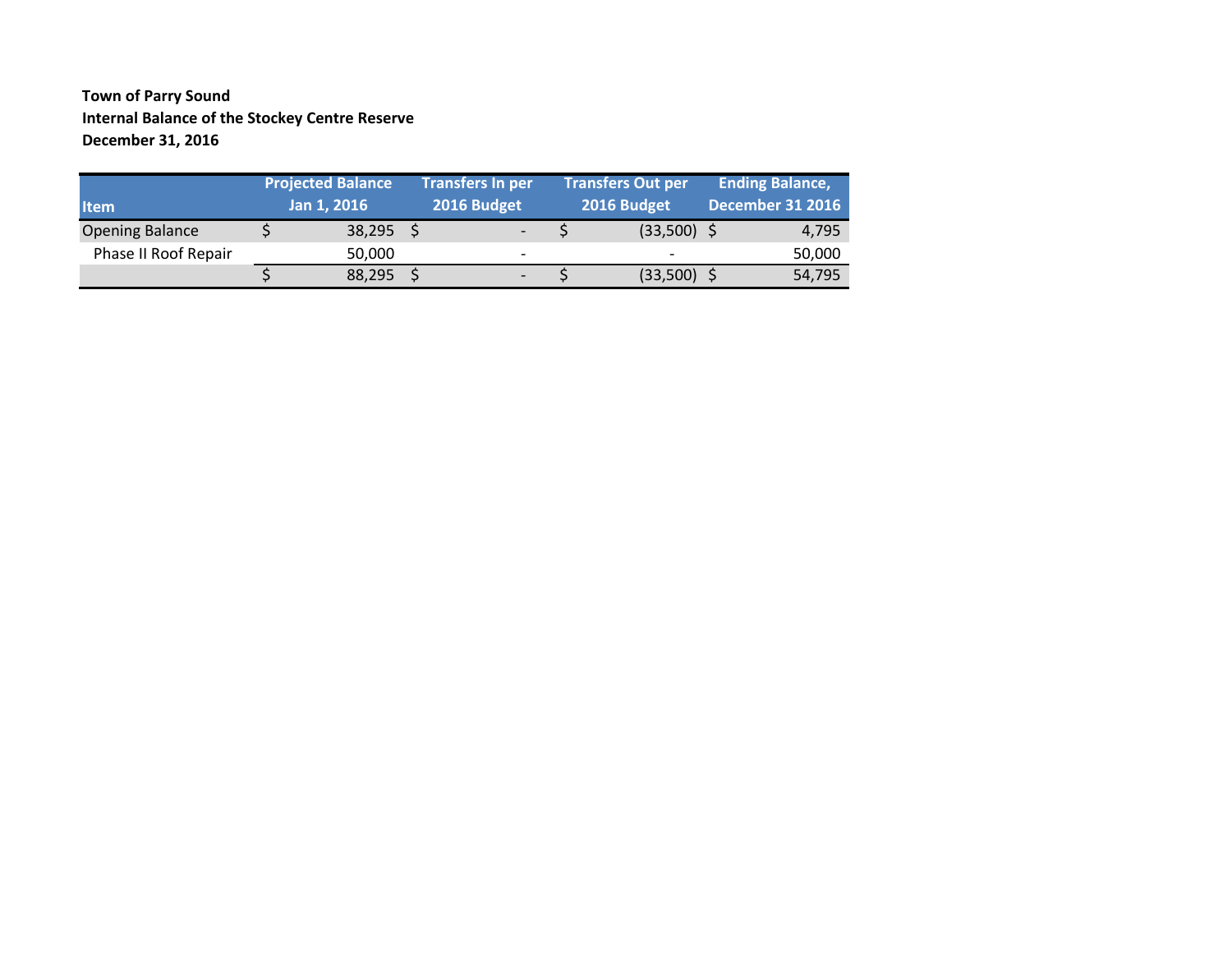#### **Town of Parry Sound Internal Balance of the Stockey Centre Reserve December 31, 2016**

|                        | <b>Projected Balance</b> |             | <b>Transfers In per</b>  | <b>Transfers Out per</b> | <b>Ending Balance,</b>  |
|------------------------|--------------------------|-------------|--------------------------|--------------------------|-------------------------|
| <b>Item</b>            |                          | Jan 1, 2016 | 2016 Budget              | 2016 Budget              | <b>December 31 2016</b> |
| <b>Opening Balance</b> |                          | 38,295      |                          | $(33,500)$ \$            | 4,795                   |
| Phase II Roof Repair   |                          | 50,000      | $\overline{\phantom{0}}$ |                          | 50,000                  |
|                        |                          | 88,295      | $\overline{\phantom{0}}$ | $(33,500)$ \$            | 54,795                  |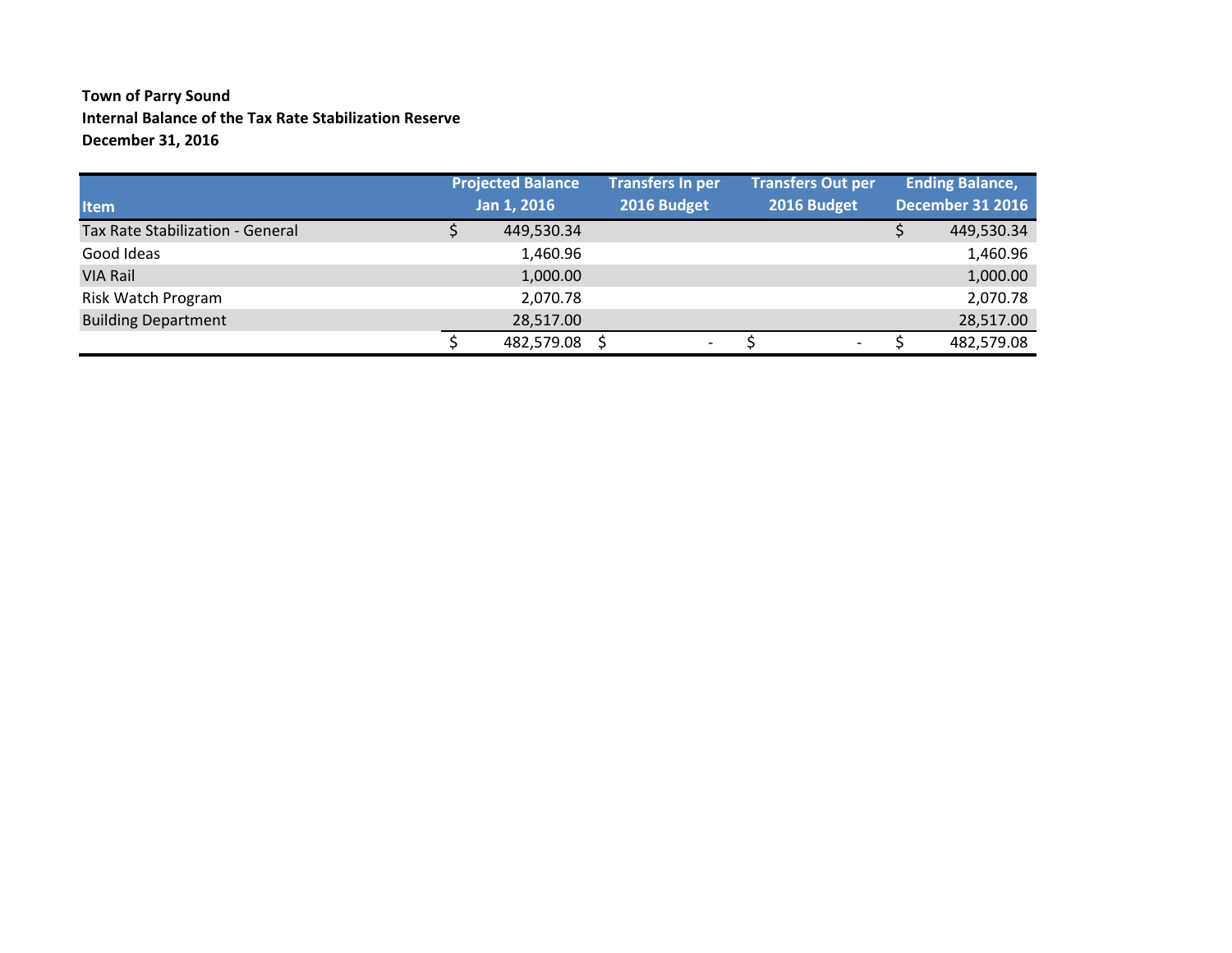### **Town of Parry Sound Internal Balance of the Tax Rate Stabilization Reserve December 31, 2016**

|                                  | <b>Projected Balance</b> | <b>Transfers In per</b> |                          | <b>Transfers Out per</b> |  | <b>Ending Balance,</b>  |
|----------------------------------|--------------------------|-------------------------|--------------------------|--------------------------|--|-------------------------|
| <b>Item</b>                      | Jan 1, 2016              | 2016 Budget             |                          | 2016 Budget              |  | <b>December 31 2016</b> |
| Tax Rate Stabilization - General | 449,530.34               |                         |                          |                          |  | 449,530.34              |
| Good Ideas                       | 1,460.96                 |                         |                          |                          |  | 1,460.96                |
| <b>VIA Rail</b>                  | 1,000.00                 |                         |                          |                          |  | 1,000.00                |
| Risk Watch Program               | 2,070.78                 |                         |                          |                          |  | 2,070.78                |
| <b>Building Department</b>       | 28,517.00                |                         |                          |                          |  | 28,517.00               |
|                                  | 482,579.08 \$            |                         | $\overline{\phantom{a}}$ | $\overline{\phantom{a}}$ |  | 482,579.08              |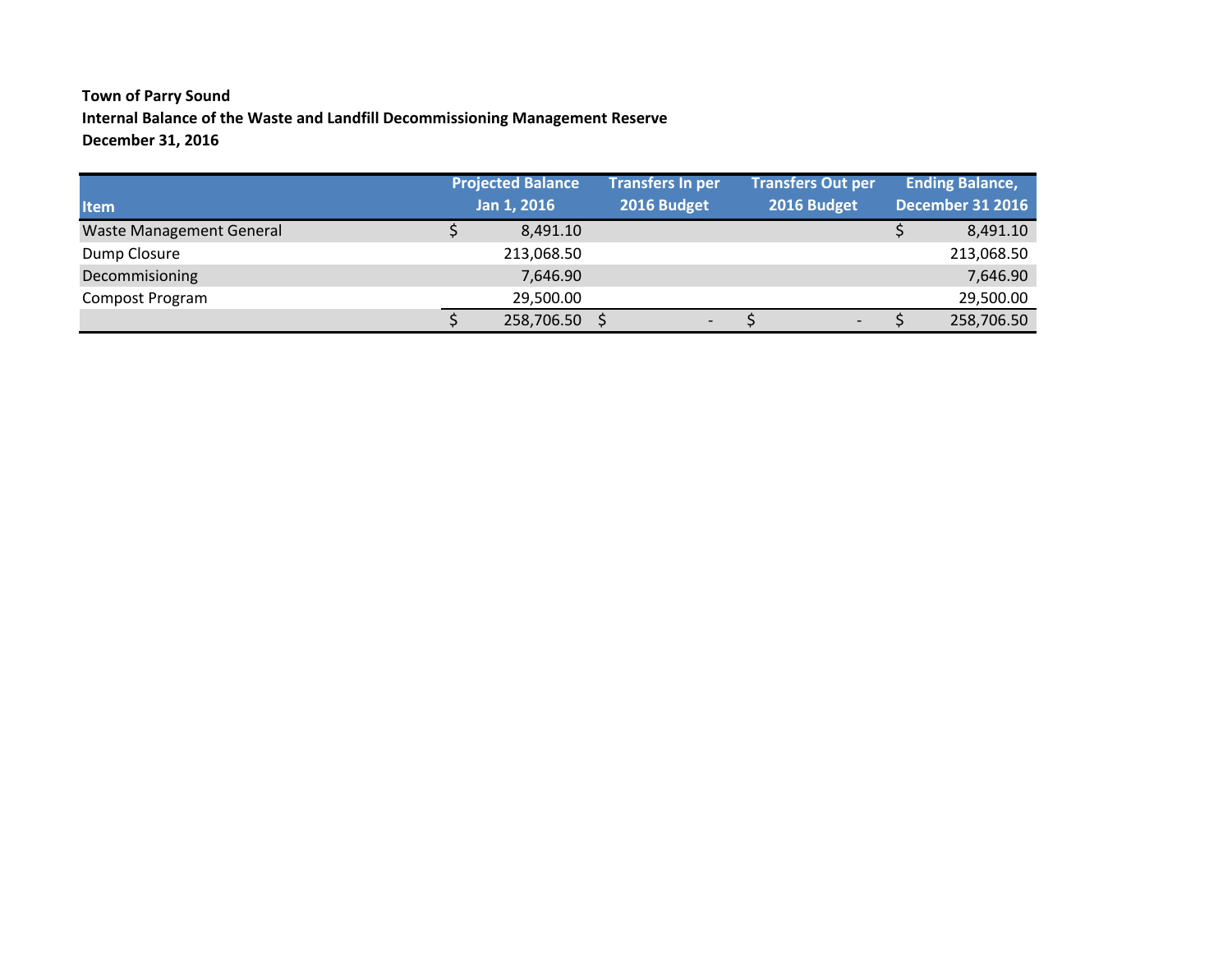# **Town of Parry Sound Internal Balance of the Waste and Landfill Decommissioning Management Reserve December 31, 2016**

| <b>Item</b>                     | <b>Projected Balance</b><br>Jan 1, 2016 | <b>Transfers In per</b><br>2016 Budget | <b>Transfers Out per</b><br>2016 Budget | <b>Ending Balance,</b><br><b>December 31 2016</b> |            |  |
|---------------------------------|-----------------------------------------|----------------------------------------|-----------------------------------------|---------------------------------------------------|------------|--|
| <b>Waste Management General</b> | 8,491.10                                |                                        |                                         |                                                   | 8,491.10   |  |
| Dump Closure                    | 213,068.50                              |                                        |                                         |                                                   | 213,068.50 |  |
| Decommisioning                  | 7,646.90                                |                                        |                                         |                                                   | 7,646.90   |  |
| Compost Program                 | 29,500.00                               |                                        |                                         |                                                   | 29,500.00  |  |
|                                 | 258,706.50                              | $\overline{\phantom{a}}$               | $\overline{\phantom{0}}$                |                                                   | 258,706.50 |  |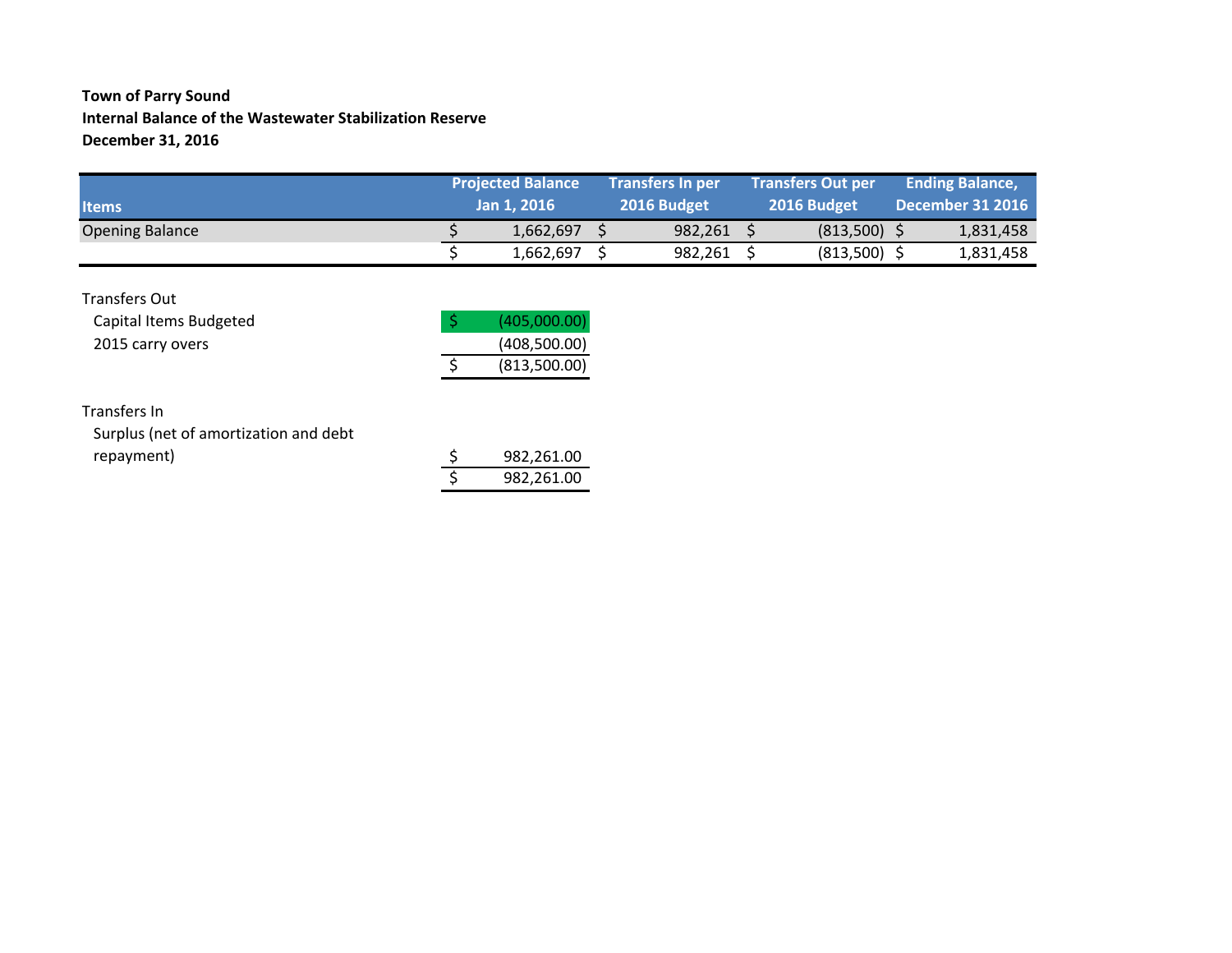### **Town of Parry Sound Internal Balance of the Wastewater Stabilization Reserve December 31, 2016**

|                        | <b>Projected Balance</b> |             | <b>Transfers In per</b> |  | <b>Transfers Out per</b> | <b>Ending Balance,</b> |                  |
|------------------------|--------------------------|-------------|-------------------------|--|--------------------------|------------------------|------------------|
| <b>Items</b>           |                          | Jan 1, 2016 | 2016 Budget             |  | 2016 Budget              |                        | December 31 2016 |
| <b>Opening Balance</b> |                          | 1.662.697   | 982.261                 |  | (813.500)                |                        | 1,831,458        |
|                        |                          | 1,662,697   | 982,261                 |  | (813,500)                |                        | 1,831,458        |

| <b>Transfers Out</b>   |              |
|------------------------|--------------|
| Capital Items Budgeted | (405,000.00) |
| 2015 carry overs       | (408,500.00) |
|                        | (813,500.00) |

#### Transfers In

Surplus (net of amortization and debt repayment)

|  | 982,261.00 |
|--|------------|
|  | 982,261.00 |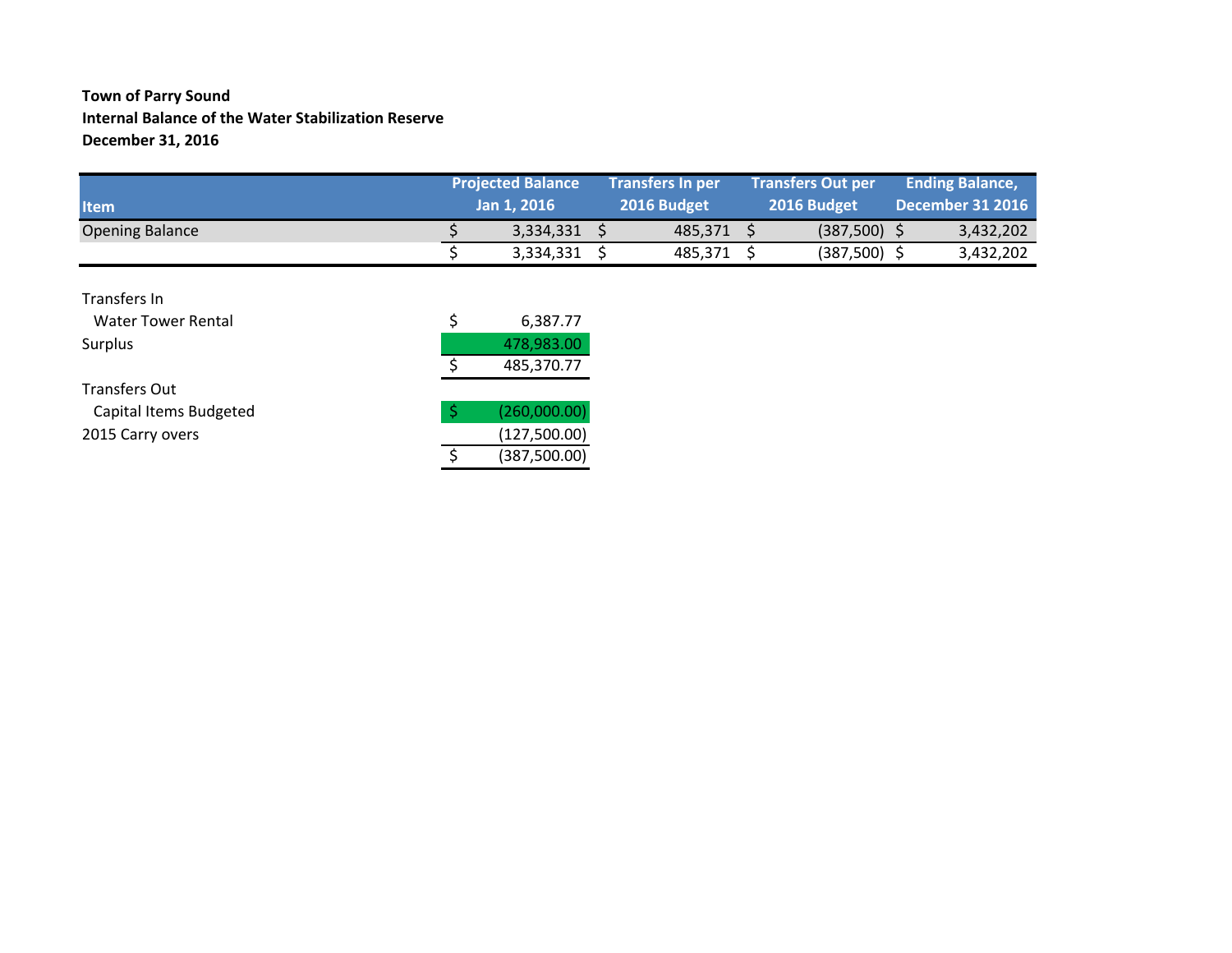### **Town of Parry Sound Internal Balance of the Water Stabilization Reserve December 31, 2016**

| <b>Item</b>            | <b>Projected Balance</b><br><b>Jan 1. 2016 .</b> |  | <b>Transfers In per</b><br>2016 Budget |  | <b>Transfers Out per</b><br>2016 Budget |  | <b>Ending Balance,</b><br>December 31 2016 |  |
|------------------------|--------------------------------------------------|--|----------------------------------------|--|-----------------------------------------|--|--------------------------------------------|--|
| <b>Opening Balance</b> | 3,334,331 \$                                     |  | 485.371                                |  | (387,500)                               |  | 3,432,202                                  |  |
|                        | 3,334,331                                        |  | 485,371                                |  | (387, 500)                              |  | 3,432,202                                  |  |

| Transfers In              |   |               |
|---------------------------|---|---------------|
| <b>Water Tower Rental</b> | Ś | 6,387.77      |
| Surplus                   |   | 478,983.00    |
|                           |   | 485,370.77    |
| <b>Transfers Out</b>      |   |               |
| Capital Items Budgeted    |   | (260,000.00)  |
| 2015 Carry overs          |   | (127,500.00)  |
|                           |   | (387, 500.00) |
|                           |   |               |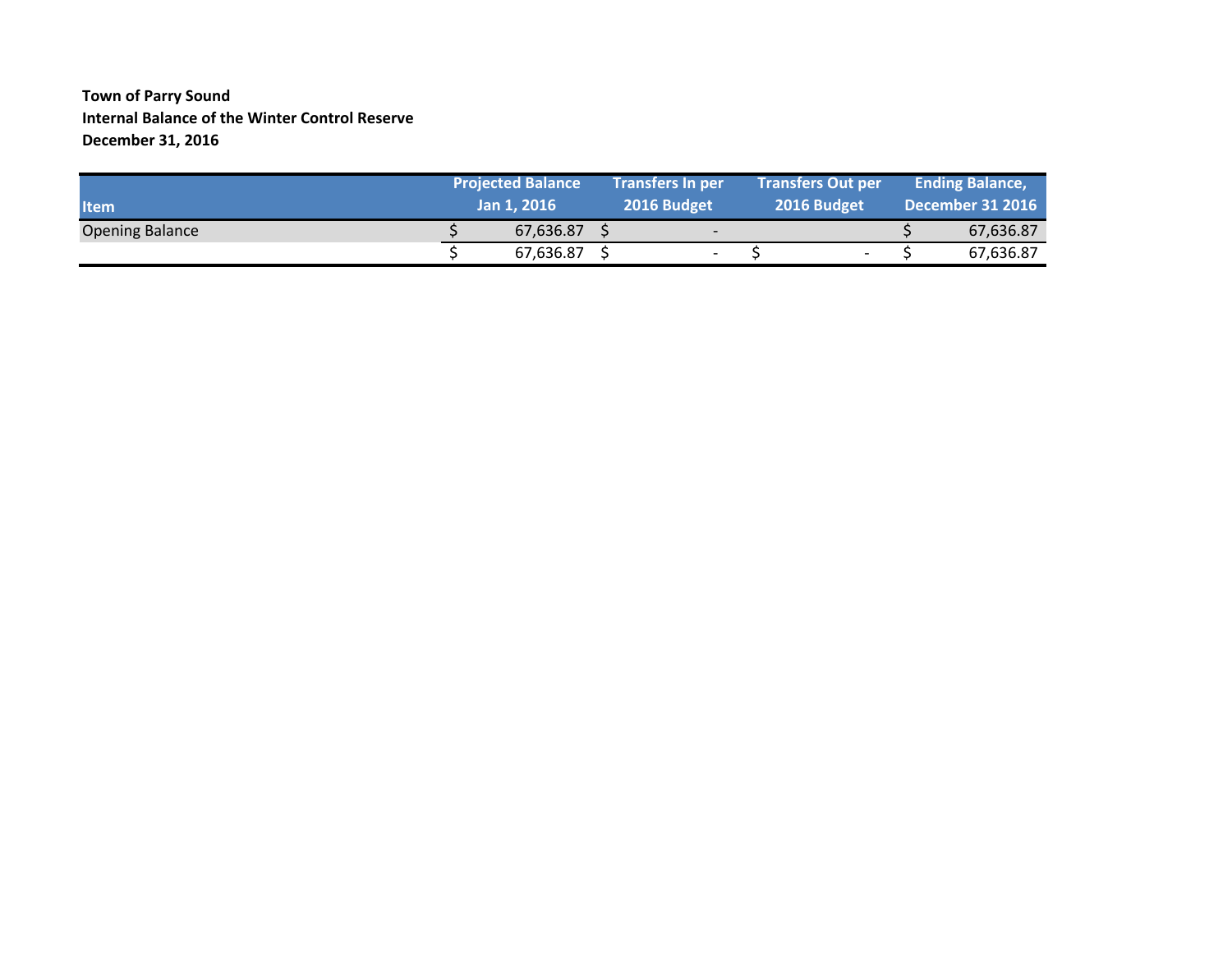#### **Town of Parry Sound Internal Balance of the Winter Control Reserve December 31, 2016**

|                        | <b>Projected Balance</b> |  | <b>Transfers In per</b>  |  | <b>Transfers Out per</b> |  | <b>Ending Balance,</b>  |  |
|------------------------|--------------------------|--|--------------------------|--|--------------------------|--|-------------------------|--|
| <b>Item</b>            | Jan 1, 2016              |  | 2016 Budget              |  | 2016 Budget              |  | <b>December 31 2016</b> |  |
| <b>Opening Balance</b> | 67,636.87                |  | $\overline{\phantom{0}}$ |  |                          |  | 67,636.87               |  |
|                        | 67,636.87                |  | $\overline{\phantom{a}}$ |  | $\overline{\phantom{a}}$ |  | 67,636.87               |  |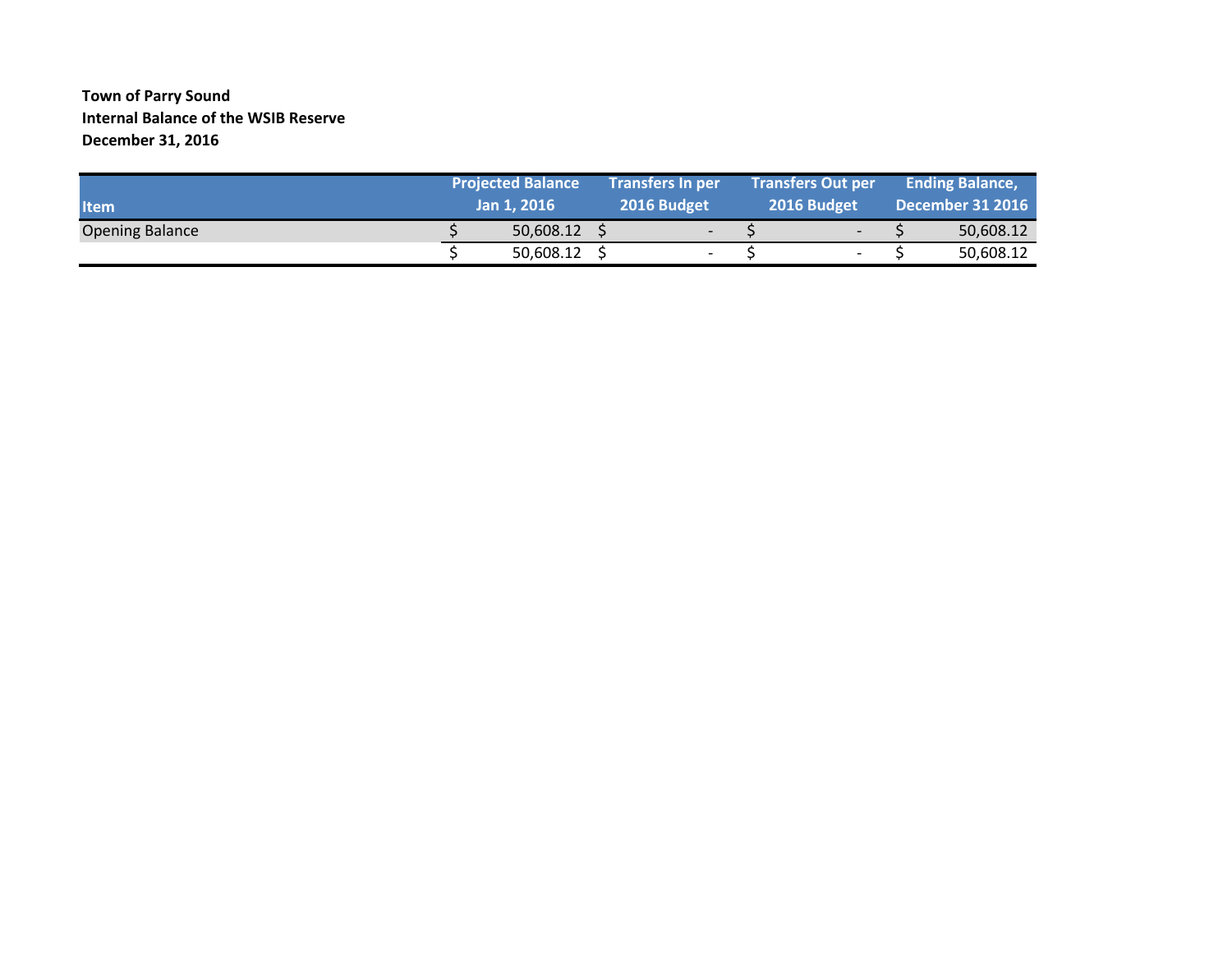### **Town of Parry Sound Internal Balance of the WSIB Reserve December 31, 2016**

| <b>Item</b>            | <b>Projected Balance</b><br><b>Transfers In per</b><br>2016 Budget<br>Jan 1, 2016 |           |  | <b>Transfers Out per</b><br>2016 Budget |  |                          | <b>Ending Balance,</b><br>December 31 2016 |           |
|------------------------|-----------------------------------------------------------------------------------|-----------|--|-----------------------------------------|--|--------------------------|--------------------------------------------|-----------|
| <b>Opening Balance</b> |                                                                                   | 50,608.12 |  | $\overline{\phantom{0}}$                |  | $\overline{\phantom{0}}$ |                                            | 50,608.12 |
|                        |                                                                                   | 50,608.12 |  | $\overline{\phantom{0}}$                |  |                          |                                            | 50,608.12 |